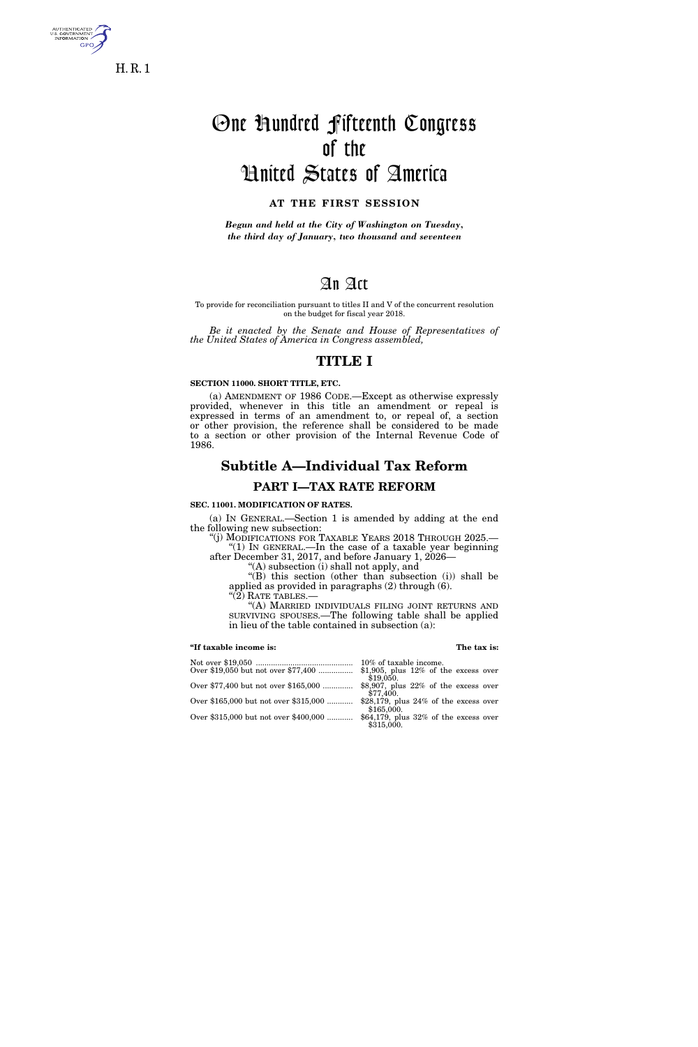

5. GOVERNME<br>INFORMATION

One Hundred Fifteenth Congress of the United States of America

# **AT THE FIRST SESSION**

*Begun and held at the City of Washington on Tuesday, the third day of January, two thousand and seventeen* 

# An Act

To provide for reconciliation pursuant to titles II and V of the concurrent resolution on the budget for fiscal year 2018.

*Be it enacted by the Senate and House of Representatives of the United States of America in Congress assembled,* 

# **TITLE I**

## **SECTION 11000. SHORT TITLE, ETC.**

(a) AMENDMENT OF 1986 CODE.—Except as otherwise expressly provided, whenever in this title an amendment or repeal is expressed in terms of an amendment to, or repeal of, a section or other provision, the reference shall be considered to be made to a section or other provision of the Internal Revenue Code of 1986.

# **Subtitle A—Individual Tax Reform**

# **PART I—TAX RATE REFORM**

# **SEC. 11001. MODIFICATION OF RATES.**

(a) IN GENERAL.—Section 1 is amended by adding at the end the following new subsection:

''(j) MODIFICATIONS FOR TAXABLE YEARS 2018 THROUGH 2025.— ''(1) IN GENERAL.—In the case of a taxable year beginning after December 31, 2017, and before January 1, 2026—

''(A) subsection (i) shall not apply, and

''(B) this section (other than subsection (i)) shall be applied as provided in paragraphs (2) through (6).

''(2) RATE TABLES.— ''(A) MARRIED INDIVIDUALS FILING JOINT RETURNS AND SURVIVING SPOUSES.—The following table shall be applied in lieu of the table contained in subsection (a):

### **''If taxable income is: The tax is:**

Not over \$19,050 ............................................. 10% of taxable income. Over \$19,050 but not over \$77,400 ................ \$1,905, plus 12% of the excess over \$19,050. Over \$77,400 but not over \$165,000 .............. \$77,400. Over \$165,000 but not over \$315,000 ............  $$165,000.$ Over \$315,000 but not over \$400,000 ............ \$64,179, plus 32% of the excess over \$315,000.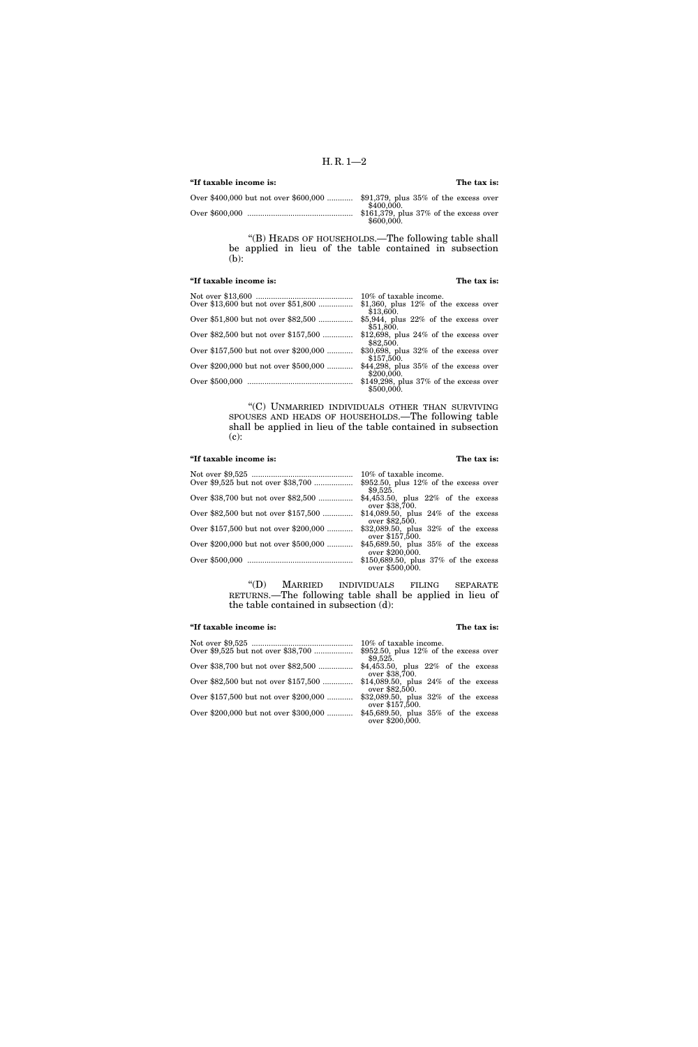# **''If taxable income is: The tax is:**

| \$400,000.                                             |
|--------------------------------------------------------|
| $$161,379$ , plus 37% of the excess over<br>\$600,000. |

''(B) HEADS OF HOUSEHOLDS.—The following table shall be applied in lieu of the table contained in subsection (b):

# **''If taxable income is: The tax is:**

|                                       | 10% of taxable income.                                 |
|---------------------------------------|--------------------------------------------------------|
| Over \$13,600 but not over \$51,800   | \$1,360, plus $12\%$ of the excess over<br>\$13,600.   |
| Over \$51,800 but not over \$82,500   | \$5,944, plus $22\%$ of the excess over<br>\$51,800.   |
| Over \$82,500 but not over \$157,500  | \$12,698, plus $24\%$ of the excess over<br>\$82,500.  |
| Over \$157,500 but not over \$200,000 | \$30,698, plus $32\%$ of the excess over<br>\$157,500. |
| Over \$200,000 but not over \$500,000 | $$44,298$ , plus 35% of the excess over<br>\$200,000.  |
|                                       | $$149,298$ , plus 37% of the excess over<br>\$500,000. |

''(C) UNMARRIED INDIVIDUALS OTHER THAN SURVIVING SPOUSES AND HEADS OF HOUSEHOLDS.—The following table shall be applied in lieu of the table contained in subsection (c):

# **''If taxable income is: The tax is:**

|                                       | 10% of taxable income.                                      |
|---------------------------------------|-------------------------------------------------------------|
| Over \$9,525 but not over \$38,700    | $$952.50$ , plus 12% of the excess over<br>\$9.525.         |
| Over \$38,700 but not over \$82,500   | $$4,453.50$ , plus $22\%$ of the excess<br>over \$38,700.   |
| Over \$82,500 but not over \$157,500  | $$14,089.50$ , plus $24\%$ of the excess<br>over \$82,500.  |
| Over \$157,500 but not over \$200,000 | $$32,089.50$ , plus $32\%$ of the excess<br>over \$157,500. |
| Over \$200,000 but not over \$500,000 | \$45,689.50, plus $35\%$ of the excess<br>over \$200,000.   |
|                                       | \$150,689.50, plus $37\%$ of the excess<br>over \$500,000.  |

''(D) MARRIED INDIVIDUALS FILING SEPARATE RETURNS.—The following table shall be applied in lieu of the table contained in subsection (d):

# **''If taxable income is: The tax is:**

|                                       | 10% of taxable income.                                      |
|---------------------------------------|-------------------------------------------------------------|
| Over \$9,525 but not over \$38,700    | \$952.50, plus $12\%$ of the excess over<br>\$9.525.        |
| Over \$38,700 but not over \$82,500   | $$4,453.50$ , plus $22\%$ of the excess<br>over \$38,700.   |
| Over \$82,500 but not over \$157,500  | $$14,089.50$ , plus $24\%$ of the excess<br>over \$82,500.  |
| Over \$157,500 but not over \$200,000 | $$32,089.50$ , plus $32\%$ of the excess<br>over \$157,500. |
| Over \$200,000 but not over \$300,000 | \$45,689.50, plus 35% of the excess<br>over \$200,000.      |
|                                       |                                                             |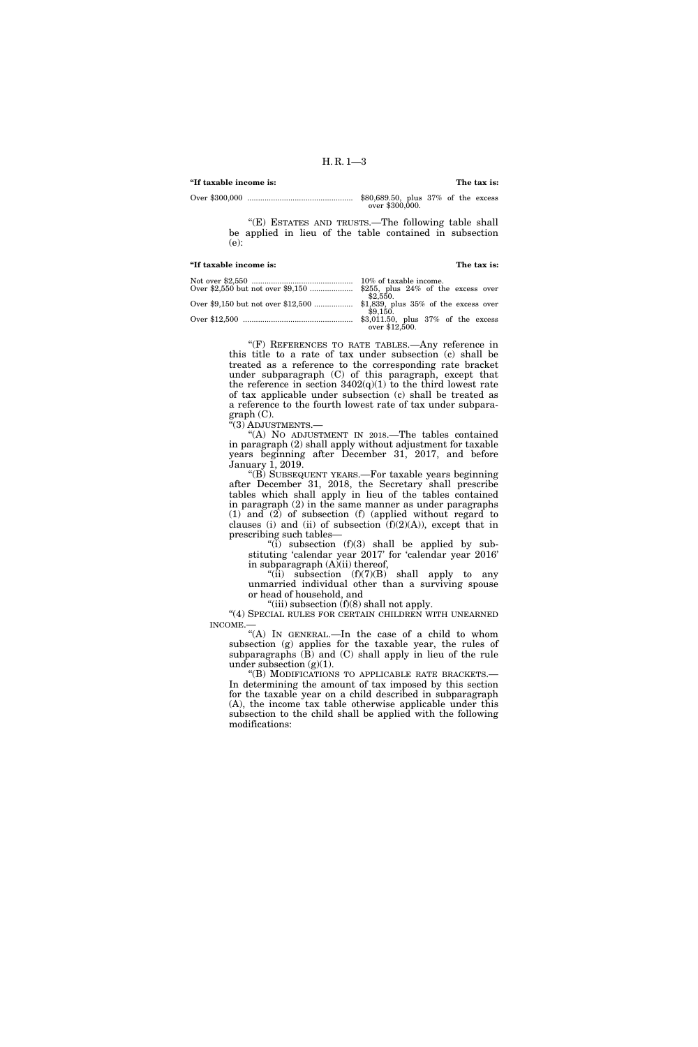# **''If taxable income is: The tax is:**  Over \$300,000 ................................................. \$80,689.50, plus 37% of the excess over \$300,000.

"(E) ESTATES AND TRUSTS.-The following table shall be applied in lieu of the table contained in subsection (e):

## **''If taxable income is: The tax is:**

| 10% of taxable income.             |
|------------------------------------|
|                                    |
| \$2.550.                           |
|                                    |
| \$9.150.                           |
| \$3,011.50, plus 37% of the excess |
| over \$12,500.                     |
|                                    |

''(F) REFERENCES TO RATE TABLES.—Any reference in this title to a rate of tax under subsection (c) shall be treated as a reference to the corresponding rate bracket under subparagraph (C) of this paragraph, except that the reference in section  $3402(q)(1)$  to the third lowest rate of tax applicable under subsection (c) shall be treated as a reference to the fourth lowest rate of tax under subpara $graph (C)$ .

 $\tilde{f}(3)$  Adjustments.—

''(A) NO ADJUSTMENT IN 2018.—The tables contained in paragraph (2) shall apply without adjustment for taxable years beginning after December 31, 2017, and before January 1, 2019.

''(B) SUBSEQUENT YEARS.—For taxable years beginning after December 31, 2018, the Secretary shall prescribe tables which shall apply in lieu of the tables contained in paragraph (2) in the same manner as under paragraphs (1) and (2) of subsection (f) (applied without regard to clauses (i) and (ii) of subsection  $(f)(2)(A)$ ), except that in prescribing such tables—

"(i) subsection  $(f)(3)$  shall be applied by substituting 'calendar year 2017' for 'calendar year 2016' in subparagraph (A)(ii) thereof,

"(ii) subsection  $(f)(7)(B)$  shall apply to any unmarried individual other than a surviving spouse or head of household, and

"(iii) subsection  $(f)(8)$  shall not apply.

"(4) SPECIAL RULES FOR CERTAIN CHILDREN WITH UNEARNED INCOME.—

''(A) IN GENERAL.—In the case of a child to whom subsection (g) applies for the taxable year, the rules of subparagraphs (B) and (C) shall apply in lieu of the rule under subsection  $(g)(1)$ .

''(B) MODIFICATIONS TO APPLICABLE RATE BRACKETS.— In determining the amount of tax imposed by this section for the taxable year on a child described in subparagraph (A), the income tax table otherwise applicable under this subsection to the child shall be applied with the following modifications: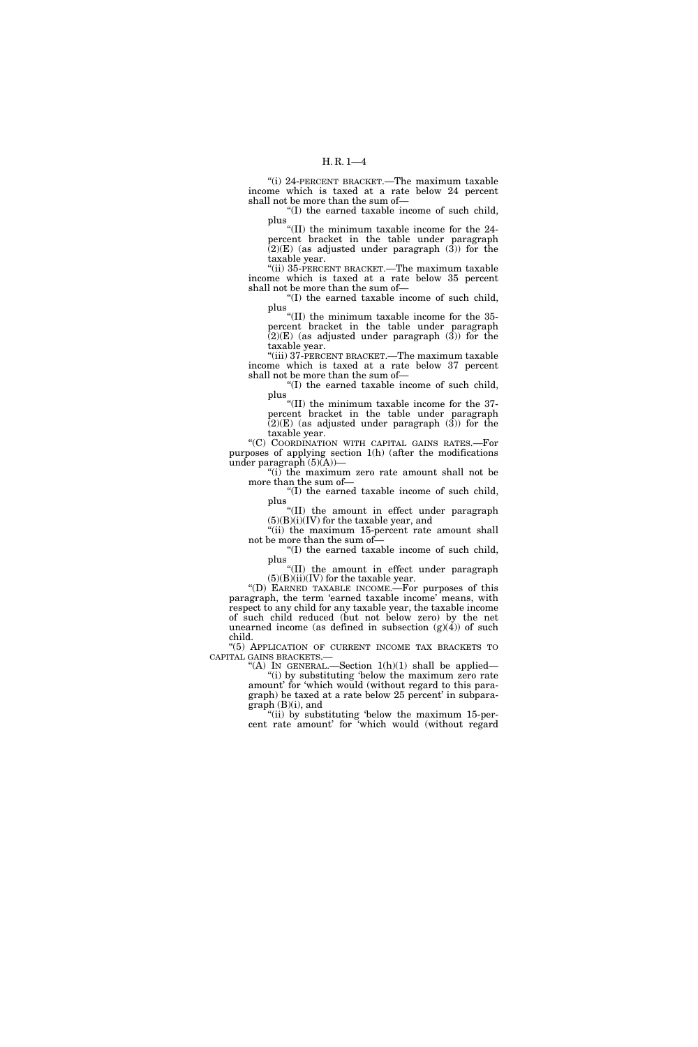''(i) 24-PERCENT BRACKET.—The maximum taxable income which is taxed at a rate below 24 percent shall not be more than the sum of—

''(I) the earned taxable income of such child, plus

''(II) the minimum taxable income for the 24 percent bracket in the table under paragraph  $(2)(E)$  (as adjusted under paragraph  $(3)$ ) for the taxable year.

''(ii) 35-PERCENT BRACKET.—The maximum taxable income which is taxed at a rate below 35 percent shall not be more than the sum of—

''(I) the earned taxable income of such child, plus

''(II) the minimum taxable income for the 35 percent bracket in the table under paragraph (2)(E) (as adjusted under paragraph (3)) for the taxable year.

''(iii) 37-PERCENT BRACKET.—The maximum taxable income which is taxed at a rate below 37 percent shall not be more than the sum of—

''(I) the earned taxable income of such child, plus

''(II) the minimum taxable income for the 37 percent bracket in the table under paragraph  $(2)(E)$  (as adjusted under paragraph  $(3)$ ) for the taxable year.

''(C) COORDINATION WITH CAPITAL GAINS RATES.—For purposes of applying section 1(h) (after the modifications under paragraph  $(5)(A)$ —

"(i) the maximum zero rate amount shall not be more than the sum of—

''(I) the earned taxable income of such child, plus

''(II) the amount in effect under paragraph (5)(B)(i)(IV) for the taxable year, and

''(ii) the maximum 15-percent rate amount shall not be more than the sum of—

''(I) the earned taxable income of such child, plus

''(II) the amount in effect under paragraph  $(5)(B)(ii)(IV)$  for the taxable year.

''(D) EARNED TAXABLE INCOME.—For purposes of this paragraph, the term 'earned taxable income' means, with respect to any child for any taxable year, the taxable income of such child reduced (but not below zero) by the net unearned income (as defined in subsection  $(g)(4)$ ) of such child.

''(5) APPLICATION OF CURRENT INCOME TAX BRACKETS TO CAPITAL GAINS BRACKETS.—

"(A) IN GENERAL.—Section  $1(h)(1)$  shall be applied— ''(i) by substituting 'below the maximum zero rate amount' for 'which would (without regard to this paragraph) be taxed at a rate below 25 percent' in subparagraph (B)(i), and

''(ii) by substituting 'below the maximum 15-percent rate amount' for 'which would (without regard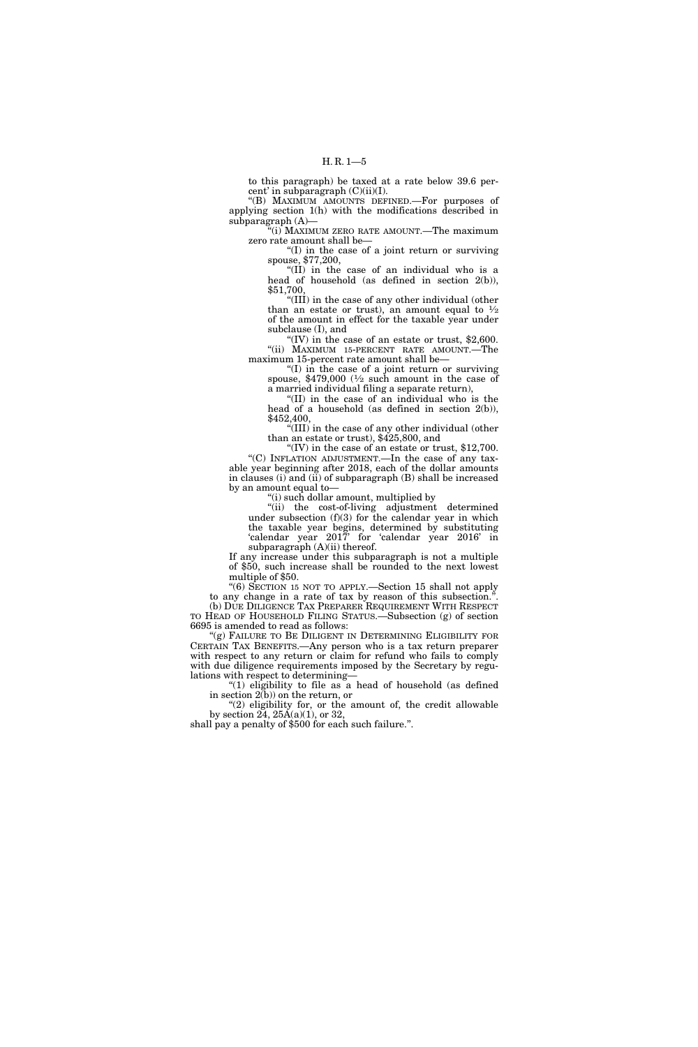to this paragraph) be taxed at a rate below 39.6 percent' in subparagraph  $(C)(ii)(I)$ .

''(B) MAXIMUM AMOUNTS DEFINED.—For purposes of applying section 1(h) with the modifications described in subparagraph (A)—

''(i) MAXIMUM ZERO RATE AMOUNT.—The maximum zero rate amount shall be—

''(I) in the case of a joint return or surviving spouse, \$77,200,

''(II) in the case of an individual who is a head of household (as defined in section 2(b)), \$51,700,

 $\sqrt{\text{H}}$ ) in the case of any other individual (other than an estate or trust), an amount equal to  $\frac{1}{2}$ of the amount in effect for the taxable year under subclause (I), and

"(IV) in the case of an estate or trust,  $$2,600$ . "(ii) MAXIMUM 15-PERCENT RATE AMOUNT.—The maximum 15-percent rate amount shall be—

" $(I)$  in the case of a joint return or surviving" spouse,  $$479,000$  ( $\frac{1}{2}$  such amount in the case of a married individual filing a separate return),

''(II) in the case of an individual who is the head of a household (as defined in section 2(b)), \$452,400,

 $\sqrt{\text{III}}$ ) in the case of any other individual (other than an estate or trust), \$425,800, and

"(IV) in the case of an estate or trust,  $$12,700$ . ''(C) INFLATION ADJUSTMENT.—In the case of any tax-

able year beginning after 2018, each of the dollar amounts in clauses (i) and (ii) of subparagraph (B) shall be increased by an amount equal to—

''(i) such dollar amount, multiplied by

''(ii) the cost-of-living adjustment determined under subsection (f)(3) for the calendar year in which the taxable year begins, determined by substituting 'calendar year 2017' for 'calendar year 2016' in subparagraph  $(A)(ii)$  thereof.

If any increase under this subparagraph is not a multiple of \$50, such increase shall be rounded to the next lowest multiple of \$50.

''(6) SECTION 15 NOT TO APPLY.—Section 15 shall not apply to any change in a rate of tax by reason of this subsection.''. (b) DUE DILIGENCE TAX PREPARER REQUIREMENT WITH RESPECT

TO HEAD OF HOUSEHOLD FILING STATUS.—Subsection (g) of section 6695 is amended to read as follows:

"(g) FAILURE TO BE DILIGENT IN DETERMINING ELIGIBILITY FOR CERTAIN TAX BENEFITS.—Any person who is a tax return preparer with respect to any return or claim for refund who fails to comply with due diligence requirements imposed by the Secretary by regulations with respect to determining—

" $(1)$  eligibility to file as a head of household (as defined in section  $2(b)$  on the return, or

"(2) eligibility for, or the amount of, the credit allowable by section 24,  $25A(a)(1)$ , or 32,

shall pay a penalty of \$500 for each such failure.''.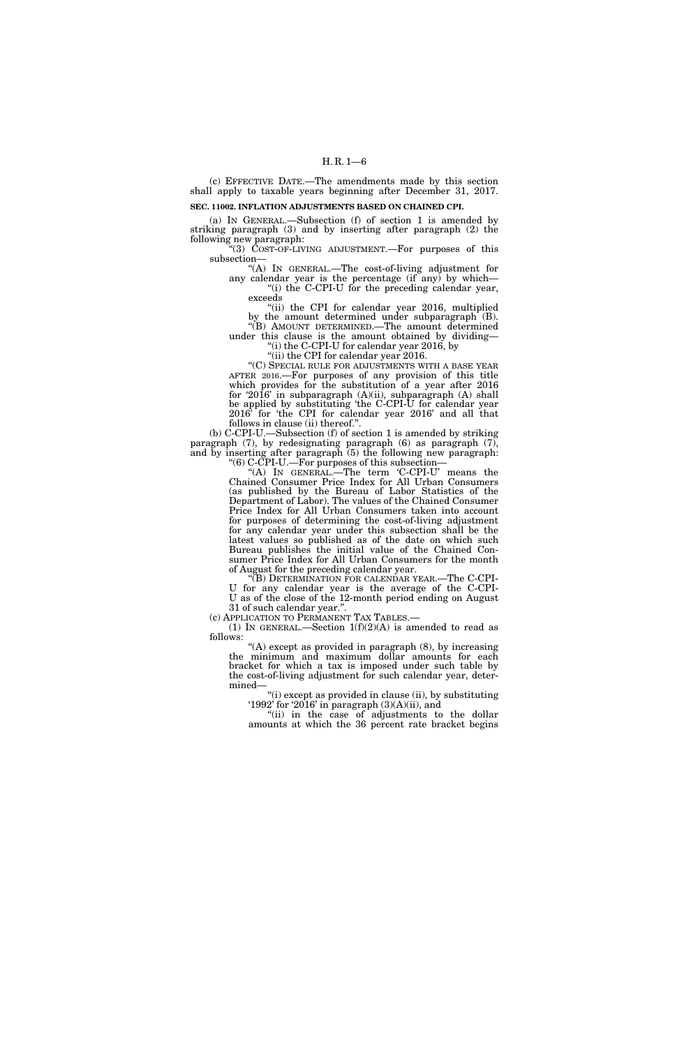(c) EFFECTIVE DATE.—The amendments made by this section shall apply to taxable years beginning after December 31, 2017.

## **SEC. 11002. INFLATION ADJUSTMENTS BASED ON CHAINED CPI.**

(a) IN GENERAL.—Subsection (f) of section 1 is amended by striking paragraph (3) and by inserting after paragraph (2) the following new paragraph:

''(3) COST-OF-LIVING ADJUSTMENT.—For purposes of this subsection—

''(A) IN GENERAL.—The cost-of-living adjustment for any calendar year is the percentage (if any) by which— "(i) the C-CPI-U for the preceding calendar year, exceeds

"(ii) the CPI for calendar year 2016, multiplied by the amount determined under subparagraph (B). ''(B) AMOUNT DETERMINED.—The amount determined

under this clause is the amount obtained by dividing— "(i) the C-CPI-U for calendar year 2016, by

"(ii) the CPI for calendar year 2016.

''(C) SPECIAL RULE FOR ADJUSTMENTS WITH A BASE YEAR AFTER 2016.—For purposes of any provision of this title which provides for the substitution of a year after 2016 for '2016' in subparagraph (A)(ii), subparagraph (A) shall be applied by substituting 'the C-CPI-U for calendar year 2016' for 'the CPI for calendar year 2016' and all that follows in clause (ii) thereof.''.

(b) C-CPI-U.—Subsection (f) of section 1 is amended by striking paragraph (7), by redesignating paragraph (6) as paragraph (7), and by inserting after paragraph (5) the following new paragraph: ''(6) C-CPI-U.—For purposes of this subsection—

"(A) IN GENERAL.—The term 'C-CPI-U' means the Chained Consumer Price Index for All Urban Consumers (as published by the Bureau of Labor Statistics of the Department of Labor). The values of the Chained Consumer Price Index for All Urban Consumers taken into account for purposes of determining the cost-of-living adjustment for any calendar year under this subsection shall be the latest values so published as of the date on which such Bureau publishes the initial value of the Chained Consumer Price Index for All Urban Consumers for the month of August for the preceding calendar year.

''(B) DETERMINATION FOR CALENDAR YEAR.—The C-CPI-U for any calendar year is the average of the C-CPI-U as of the close of the 12-month period ending on August

31 of such calendar year.''.

(1) IN GENERAL.—Section  $1(f)(2)(A)$  is amended to read as follows:

"(A) except as provided in paragraph (8), by increasing the minimum and maximum dollar amounts for each bracket for which a tax is imposed under such table by the cost-of-living adjustment for such calendar year, determined—

''(i) except as provided in clause (ii), by substituting '1992' for '2016' in paragraph (3)(A)(ii), and

"(ii) in the case of adjustments to the dollar amounts at which the 36 percent rate bracket begins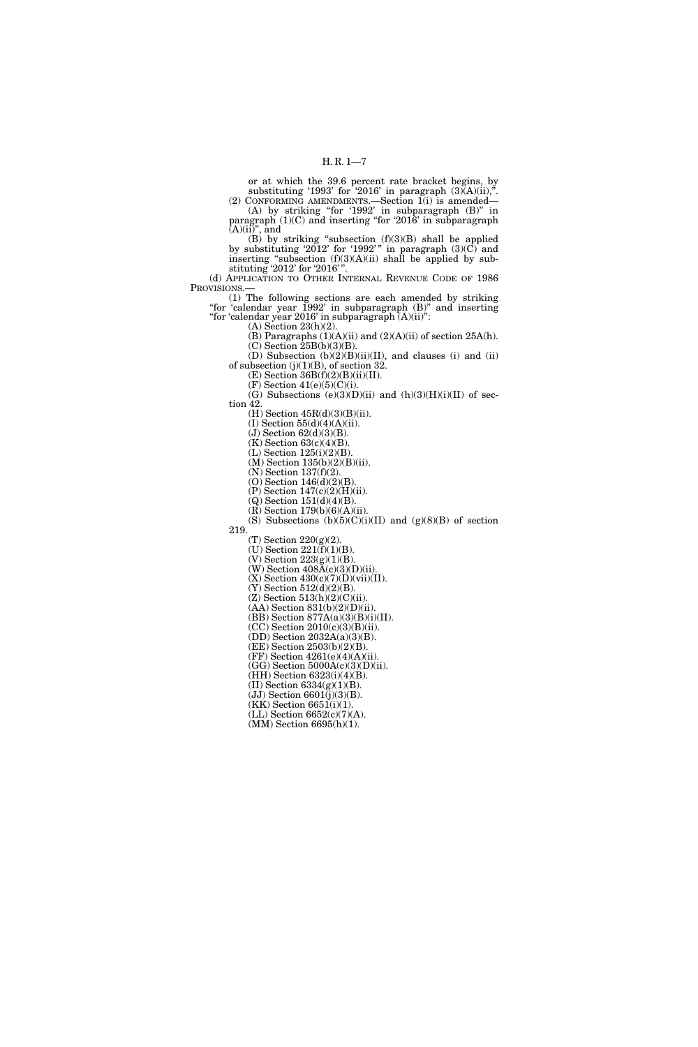or at which the 39.6 percent rate bracket begins, by substituting '1993' for '2016' in paragraph  $(3)$  $(A)$  $(i)$ ,". (2) CONFORMING AMENDMENTS.—Section 1(i) is amended—

(A) by striking ''for '1992' in subparagraph (B)'' in paragraph (1)(C) and inserting ''for '2016' in subparagraph  $(A)(ii)$ <sup>"</sup>, and

(B) by striking "subsection  $(f)(3)(B)$  shall be applied by substituting '2012' for '1992'" in paragraph  $(3)(C)$  and inserting "subsection  $(f)(3)(A)(ii)$  shall be applied by substituting '2012' for '2016' ''.

(d) APPLICATION TO OTHER INTERNAL REVENUE CODE OF 1986 PROVISIONS.—

(1) The following sections are each amended by striking "for 'calendar year 1992' in subparagraph (B)" and inserting ''for 'calendar year 2016' in subparagraph (A)(ii)'':

(A) Section 23(h)(2).

 $(B)$  Paragraphs  $(1)(A)(ii)$  and  $(2)(A)(ii)$  of section 25A(h).  $(C)$  Section  $\overline{2}5B(b)(3)(B)$ .

(D) Subsection (b)(2)(B)(ii)(II), and clauses (i) and (ii) of subsection  $(j)(1)(B)$ , of section 32.

 $(E)$  Section 36B $(f)(2)(B)(ii)(II)$ .  $(F)$  Section  $41(e)(5)(C)(i)$ .

(G) Subsections (e)(3)(D)(ii) and (h)(3)(H)(i)(II) of section 42.

(H) Section 45R(d)(3)(B)(ii).

(I) Section  $55(d)(4)(A)(ii)$ .

 $(J)$  Section  $62(d)(3)(B)$ . (K) Section 63(c)(4)(B).

 $(L)$  Section  $125(i)(2)(B)$ .

(M) Section 135(b)(2)(B)(ii).

(N) Section 137(f)(2).

(O) Section 146(d)(2)(B).

(P) Section 147(c)(2)(H)(ii). (Q) Section 151(d)(4)(B).

(R) Section 179(b)(6)(A)(ii).

(S) Subsections  $(b)(5)(C)(i)(II)$  and  $(g)(8)(B)$  of section

219.

(T) Section 220(g)(2).

 $(U)$  Section 221 $(f)(1)(B)$ .

 $(V)$  Section 223 $(g)(1)(B)$ .

(W) Section  $408\text{\AA(c)}(3)(\text{D})(\text{ii}).$  $(X)$  Section 430(c)(7)(D)(vii)(II).

(Y) Section  $512(d)(2)(B)$ .

(Z) Section 513(h)(2)(C)(ii).

(AA) Section 831(b)(2)(D)(ii).

(BB) Section 877A(a)(3)(B)(i)(II).

 $(CC)$  Section  $2010(c)(3)(B)(ii)$ .

(DD) Section 2032A(a)(3)(B).

(EE) Section 2503(b)(2)(B).

(FF) Section 4261(e)(4)(A)(ii).  $(GG)$  Section  $5000A(c)(3)(D)(ii)$ .

(HH) Section 6323(i)(4)(B).

(II) Section  $6334(g)(1)(B)$ .

 $(JJ)$  Section 6601 $\tilde{J}$  $(3)(B)$ .

 $(KK)$  Section 6651(i)(1).

 $(LL)$  Section 6652(c)(7)(A).

(MM) Section 6695(h)(1).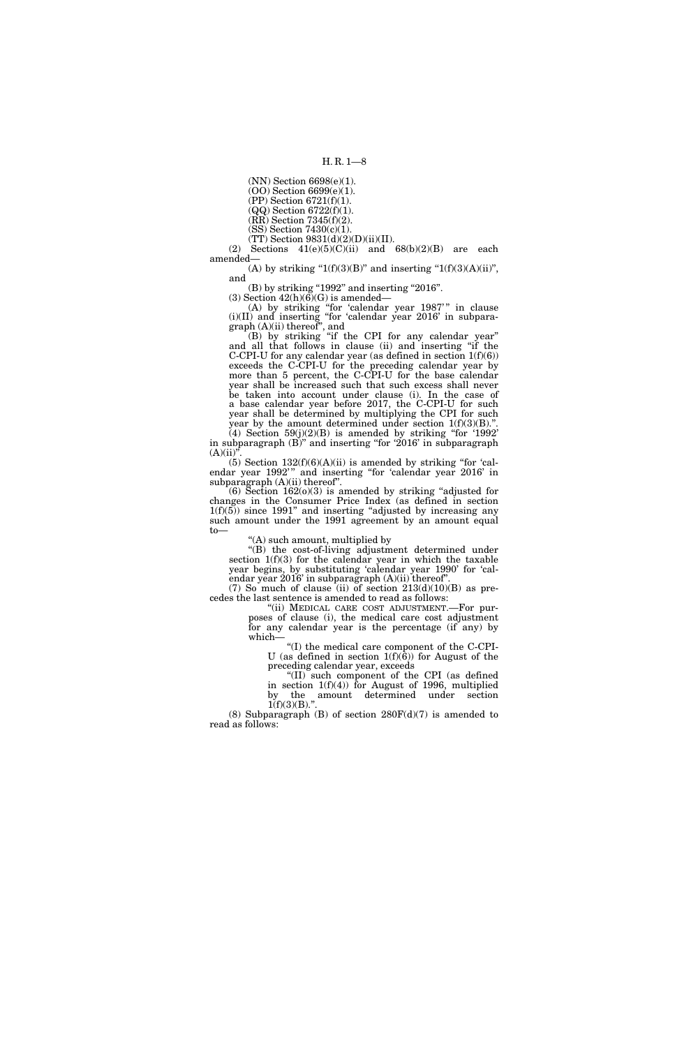(NN) Section 6698(e)(1).

(OO) Section 6699(e)(1).

(PP) Section 6721(f)(1).

(QQ) Section 6722(f)(1).

 $(RR)$  Section 7345(f)(2). (SS) Section 7430(c)(1).

 $(TT)$  Section 9831(d)(2)(D)(ii)(II).

(2) Sections  $41(e)(5)(C)(ii)$  and  $68(b)(2)(B)$  are each amended—

(A) by striking " $1(f)(3)(B)$ " and inserting " $1(f)(3)(A)(ii)$ ", and

 $(B)$  by striking "1992" and inserting "2016". (3) Section  $42(h)(6)(G)$  is amended—

(A) by striking "for 'calendar year 1987'" in clause (i)(II) and inserting ''for 'calendar year 2016' in subparagraph (A)(ii) thereof'', and

(B) by striking ''if the CPI for any calendar year'' and all that follows in clause (ii) and inserting ''if the C-CPI-U for any calendar year (as defined in section  $1(f)(6)$ ) exceeds the C-CPI-U for the preceding calendar year by more than 5 percent, the C-CPI-U for the base calendar year shall be increased such that such excess shall never be taken into account under clause (i). In the case of a base calendar year before 2017, the C-CPI-U for such year shall be determined by multiplying the CPI for such

year by the amount determined under section  $1(f)(3)(B)$ ."  $(4)$  Section 59(j)(2)(B) is amended by striking "for '1992' in subparagraph  $(B)$ <sup>"</sup> and inserting "for '2016' in subparagraph  $(A)(ii)'$ 

 $(5)$  Section  $132(f)(6)(A)(ii)$  is amended by striking "for 'calendar year 1992" and inserting "for 'calendar year 2016' in subparagraph  $(A)(ii)$  thereof".

 $(6)$  Section 162 $(0)(3)$  is amended by striking "adjusted for changes in the Consumer Price Index (as defined in section  $1(f)(5)$  since 1991" and inserting "adjusted by increasing any such amount under the 1991 agreement by an amount equal to—

''(A) such amount, multiplied by

''(B) the cost-of-living adjustment determined under section  $1(f)(3)$  for the calendar year in which the taxable year begins, by substituting 'calendar year 1990' for 'calendar year 2016' in subparagraph (A)(ii) thereof''.

(7) So much of clause (ii) of section  $213(d)(10)(B)$  as precedes the last sentence is amended to read as follows:

''(ii) MEDICAL CARE COST ADJUSTMENT.—For purposes of clause (i), the medical care cost adjustment for any calendar year is the percentage (if any) by which—

''(I) the medical care component of the C-CPI-U (as defined in section  $1(f)(\tilde{6})$ ) for August of the preceding calendar year, exceeds

''(II) such component of the CPI (as defined in section  $1(f)(4)$  for August of 1996, multiplied by the amount determined under section  $1(f)(3)(B)$ .".

(8) Subparagraph (B) of section  $280F(d)(7)$  is amended to read as follows: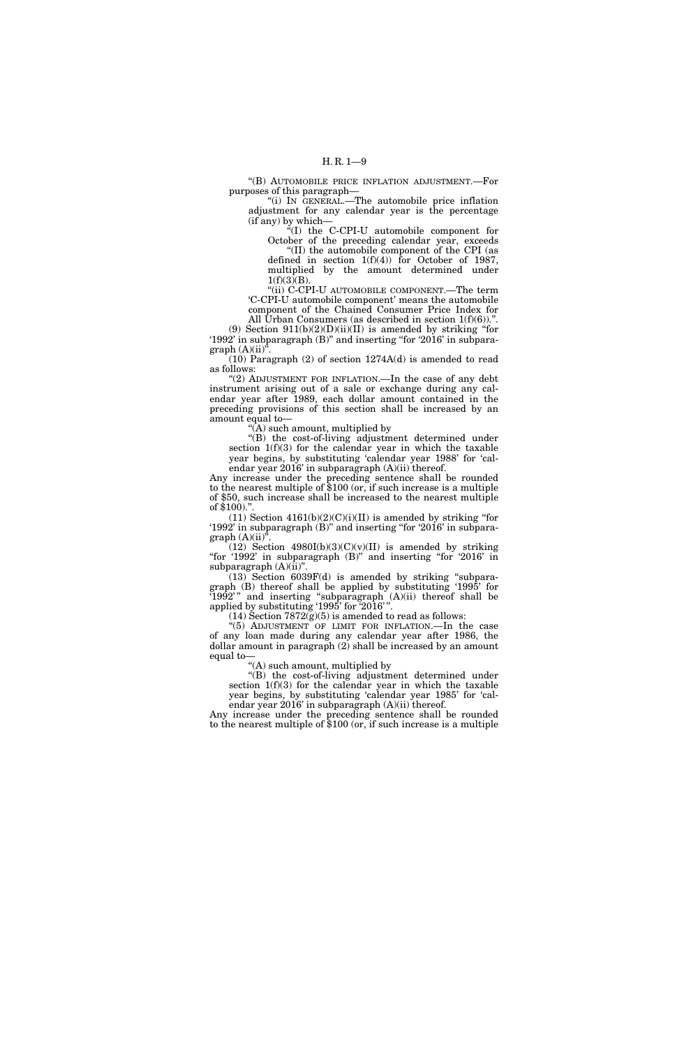''(B) AUTOMOBILE PRICE INFLATION ADJUSTMENT.—For purposes of this paragraph—

''(i) IN GENERAL.—The automobile price inflation adjustment for any calendar year is the percentage (if any) by which—

''(I) the C-CPI-U automobile component for October of the preceding calendar year, exceeds

''(II) the automobile component of the CPI (as defined in section 1(f)(4)) for October of 1987, multiplied by the amount determined under  $1(f)(3)(B)$ .

''(ii) C-CPI-U AUTOMOBILE COMPONENT.—The term 'C-CPI-U automobile component' means the automobile component of the Chained Consumer Price Index for

All Urban Consumers (as described in section  $1(f)(6)$ ).".

(9) Section  $911(b)(2)(D)(ii)(II)$  is amended by striking "for '1992' in subparagraph (B)'' and inserting ''for '2016' in subpara $graph (A)(ii)^{n}$ .

(10) Paragraph (2) of section 1274A(d) is amended to read as follows:

"(2) ADJUSTMENT FOR INFLATION.—In the case of any debt instrument arising out of a sale or exchange during any calendar year after 1989, each dollar amount contained in the preceding provisions of this section shall be increased by an amount equal to—

''(A) such amount, multiplied by

''(B) the cost-of-living adjustment determined under section 1(f)(3) for the calendar year in which the taxable year begins, by substituting 'calendar year 1988' for 'calendar year 2016' in subparagraph (A)(ii) thereof.

Any increase under the preceding sentence shall be rounded to the nearest multiple of \$100 (or, if such increase is a multiple of \$50, such increase shall be increased to the nearest multiple of  $$100$ .

 $(11)$  Section  $4161(b)(2)(C)(i)(II)$  is amended by striking "for '1992' in subparagraph (B)'' and inserting ''for '2016' in subpara $graph (A)(ii)$ <sup>\*</sup>

 $(12)$  Section 4980I(b)(3)(C)(v)(II) is amended by striking "for '1992' in subparagraph (B)" and inserting "for '2016' in subparagraph  $(A)(ii)$ ".

(13) Section 6039F(d) is amended by striking ''subparagraph (B) thereof shall be applied by substituting '1995' for  $(1992)$ " and inserting "subparagraph  $(A)(ii)$  thereof shall be applied by substituting '1995' for '2016'"

 $(14)$  Section 7872 $(g)(5)$  is amended to read as follows:

''(5) ADJUSTMENT OF LIMIT FOR INFLATION.—In the case of any loan made during any calendar year after 1986, the dollar amount in paragraph (2) shall be increased by an amount equal to—

''(A) such amount, multiplied by

''(B) the cost-of-living adjustment determined under section  $1(f)(3)$  for the calendar year in which the taxable year begins, by substituting 'calendar year 1985' for 'calendar year 2016' in subparagraph (A)(ii) thereof.

Any increase under the preceding sentence shall be rounded to the nearest multiple of \$100 (or, if such increase is a multiple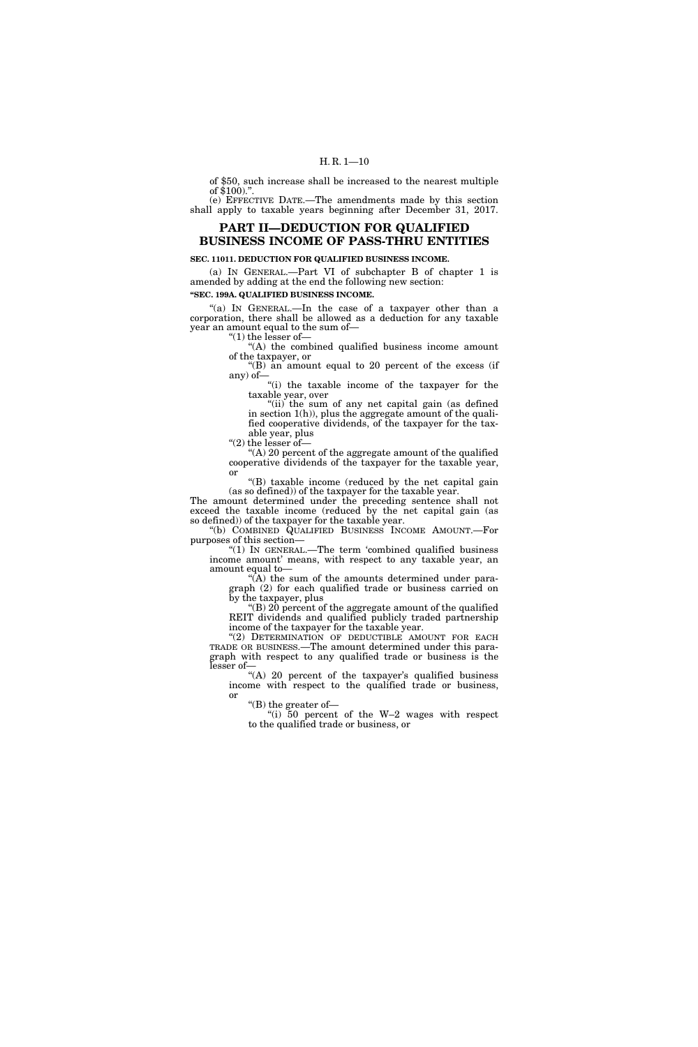# H. R. 1—10

of \$50, such increase shall be increased to the nearest multiple of  $$100."$ 

(e) EFFECTIVE DATE.—The amendments made by this section shall apply to taxable years beginning after December 31, 2017.

# **PART II—DEDUCTION FOR QUALIFIED BUSINESS INCOME OF PASS-THRU ENTITIES**

# **SEC. 11011. DEDUCTION FOR QUALIFIED BUSINESS INCOME.**

(a) IN GENERAL.—Part VI of subchapter B of chapter 1 is amended by adding at the end the following new section:

**''SEC. 199A. QUALIFIED BUSINESS INCOME.** 

"(a) In GENERAL.—In the case of a taxpayer other than a corporation, there shall be allowed as a deduction for any taxable year an amount equal to the sum of— " $(1)$  the lesser of-

''(A) the combined qualified business income amount of the taxpayer, or

''(B) an amount equal to 20 percent of the excess (if any) of— ''(i) the taxable income of the taxpayer for the

taxable year, over

"(ii) the sum of any net capital gain (as defined in section 1(h)), plus the aggregate amount of the qualified cooperative dividends, of the taxpayer for the taxable year, plus

"(2) the lesser of<br/>— $\,$ 

''(A) 20 percent of the aggregate amount of the qualified cooperative dividends of the taxpayer for the taxable year, or

''(B) taxable income (reduced by the net capital gain (as so defined)) of the taxpayer for the taxable year.

The amount determined under the preceding sentence shall not exceed the taxable income (reduced by the net capital gain (as so defined)) of the taxpayer for the taxable year.

''(b) COMBINED QUALIFIED BUSINESS INCOME AMOUNT.—For purposes of this section—

''(1) IN GENERAL.—The term 'combined qualified business income amount' means, with respect to any taxable year, an amount equal to—

''(A) the sum of the amounts determined under paragraph (2) for each qualified trade or business carried on by the taxpayer, plus

''(B) 20 percent of the aggregate amount of the qualified REIT dividends and qualified publicly traded partnership income of the taxpayer for the taxable year.

"(2) DETERMINATION OF DEDUCTIBLE AMOUNT FOR EACH TRADE OR BUSINESS.—The amount determined under this paragraph with respect to any qualified trade or business is the lesser of—

"(A) 20 percent of the taxpayer's qualified business income with respect to the qualified trade or business, or

''(B) the greater of—

''(i) 50 percent of the W–2 wages with respect to the qualified trade or business, or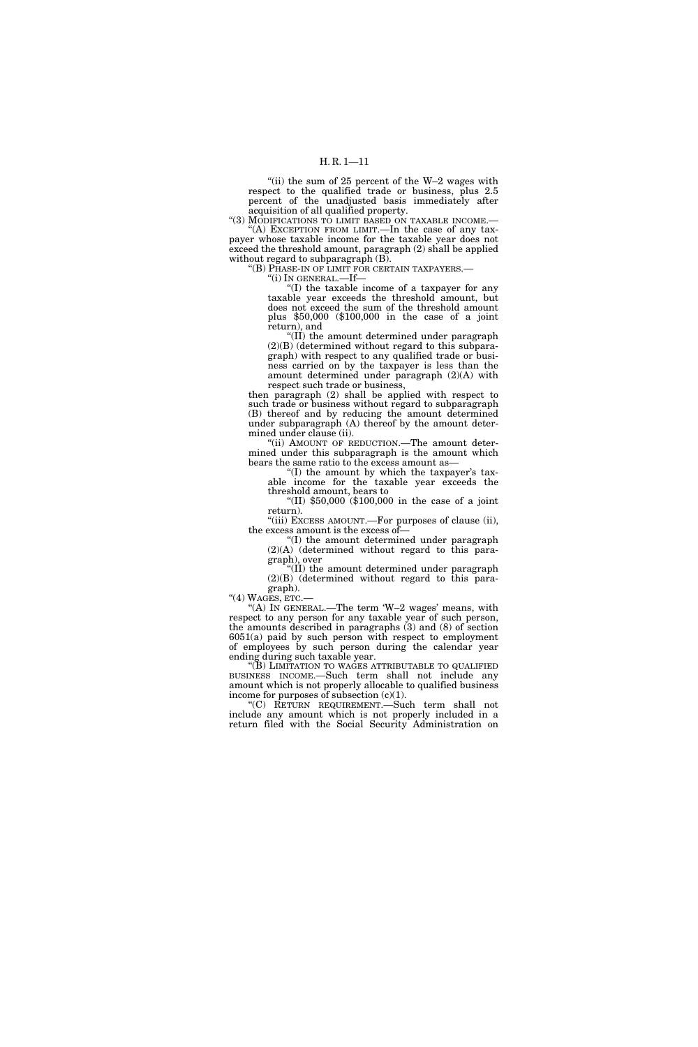''(ii) the sum of 25 percent of the W–2 wages with respect to the qualified trade or business, plus 2.5 percent of the unadjusted basis immediately after acquisition of all qualified property.

"(3) MODIFICATIONS TO LIMIT BASED ON TAXABLE INCOME. "(A) EXCEPTION FROM LIMIT.—In the case of any tax-

payer whose taxable income for the taxable year does not exceed the threshold amount, paragraph (2) shall be applied without regard to subparagraph (B).

''(B) PHASE-IN OF LIMIT FOR CERTAIN TAXPAYERS.—

''(i) IN GENERAL.—If—

''(I) the taxable income of a taxpayer for any taxable year exceeds the threshold amount, but does not exceed the sum of the threshold amount plus \$50,000 (\$100,000 in the case of a joint return), and

''(II) the amount determined under paragraph (2)(B) (determined without regard to this subparagraph) with respect to any qualified trade or business carried on by the taxpayer is less than the amount determined under paragraph (2)(A) with respect such trade or business,

then paragraph (2) shall be applied with respect to such trade or business without regard to subparagraph (B) thereof and by reducing the amount determined under subparagraph (A) thereof by the amount determined under clause (ii).

''(ii) AMOUNT OF REDUCTION.—The amount determined under this subparagraph is the amount which bears the same ratio to the excess amount as—

 $(1)$  the amount by which the taxpayer's taxable income for the taxable year exceeds the threshold amount, bears to

''(II) \$50,000 (\$100,000 in the case of a joint return).

''(iii) EXCESS AMOUNT.—For purposes of clause (ii), the excess amount is the excess of—

''(I) the amount determined under paragraph  $(2)(A)$  (determined without regard to this paragraph), over

''(II) the amount determined under paragraph (2)(B) (determined without regard to this paragraph).

"(4) WAGES, ETC.

"(A) IN GENERAL.—The term 'W-2 wages' means, with respect to any person for any taxable year of such person, the amounts described in paragraphs (3) and (8) of section 6051(a) paid by such person with respect to employment of employees by such person during the calendar year ending during such taxable year.

''(B) LIMITATION TO WAGES ATTRIBUTABLE TO QUALIFIED BUSINESS INCOME.—Such term shall not include any amount which is not properly allocable to qualified business income for purposes of subsection  $(c)(1)$ .

''(C) RETURN REQUIREMENT.—Such term shall not include any amount which is not properly included in a return filed with the Social Security Administration on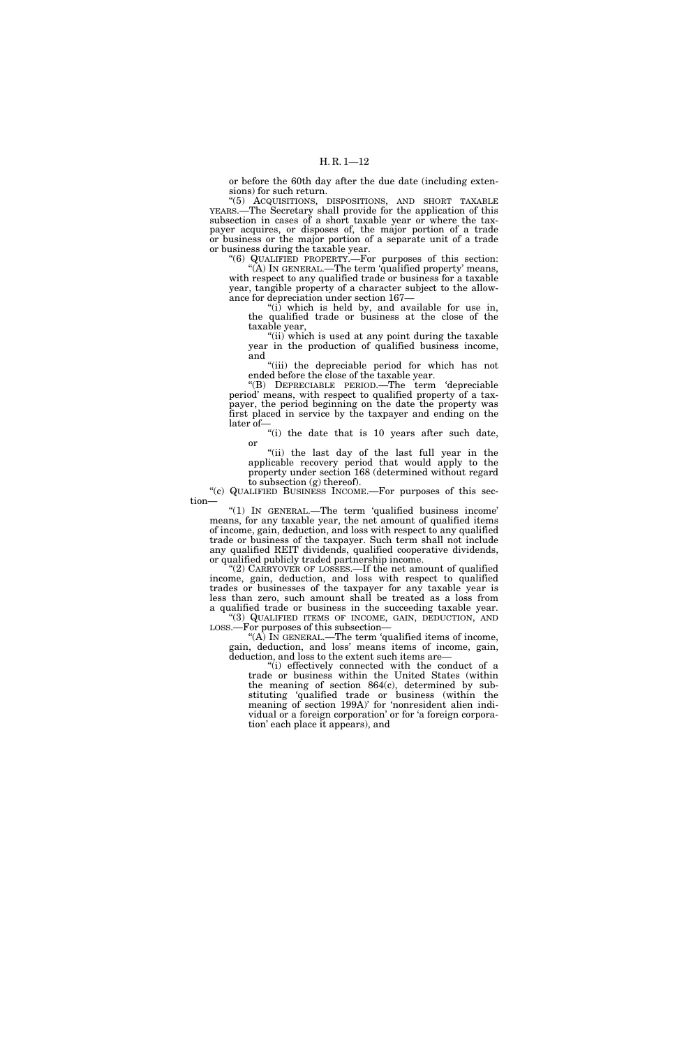or before the 60th day after the due date (including extensions) for such return.

''(5) ACQUISITIONS, DISPOSITIONS, AND SHORT TAXABLE YEARS.—The Secretary shall provide for the application of this subsection in cases of a short taxable year or where the taxpayer acquires, or disposes of, the major portion of a trade or business or the major portion of a separate unit of a trade or business during the taxable year.

''(6) QUALIFIED PROPERTY.—For purposes of this section: ''(A) IN GENERAL.—The term 'qualified property' means, with respect to any qualified trade or business for a taxable year, tangible property of a character subject to the allowance for depreciation under section 167—

''(i) which is held by, and available for use in, the qualified trade or business at the close of the taxable year,

"(ii) which is used at any point during the taxable year in the production of qualified business income, and

"(iii) the depreciable period for which has not ended before the close of the taxable year.

''(B) DEPRECIABLE PERIOD.—The term 'depreciable period' means, with respect to qualified property of a taxpayer, the period beginning on the date the property was first placed in service by the taxpayer and ending on the later of—

"(i) the date that is 10 years after such date, or

"(ii) the last day of the last full year in the applicable recovery period that would apply to the property under section 168 (determined without regard to subsection (g) thereof).

''(c) QUALIFIED BUSINESS INCOME.—For purposes of this section—

''(1) IN GENERAL.—The term 'qualified business income' means, for any taxable year, the net amount of qualified items of income, gain, deduction, and loss with respect to any qualified trade or business of the taxpayer. Such term shall not include any qualified REIT dividends, qualified cooperative dividends, or qualified publicly traded partnership income.

"(2) CARRYOVER OF LOSSES.—If the net amount of qualified income, gain, deduction, and loss with respect to qualified trades or businesses of the taxpayer for any taxable year is less than zero, such amount shall be treated as a loss from a qualified trade or business in the succeeding taxable year. ''(3) QUALIFIED ITEMS OF INCOME, GAIN, DEDUCTION, AND

LOSS.—For purposes of this subsection— "(A) IN GENERAL.—The term 'qualified items of income, gain, deduction, and loss' means items of income, gain,

deduction, and loss to the extent such items are— "(i) effectively connected with the conduct of a trade or business within the United States (within the meaning of section 864(c), determined by substituting 'qualified trade or business (within the meaning of section 199A)' for 'nonresident alien individual or a foreign corporation' or for 'a foreign corporation' each place it appears), and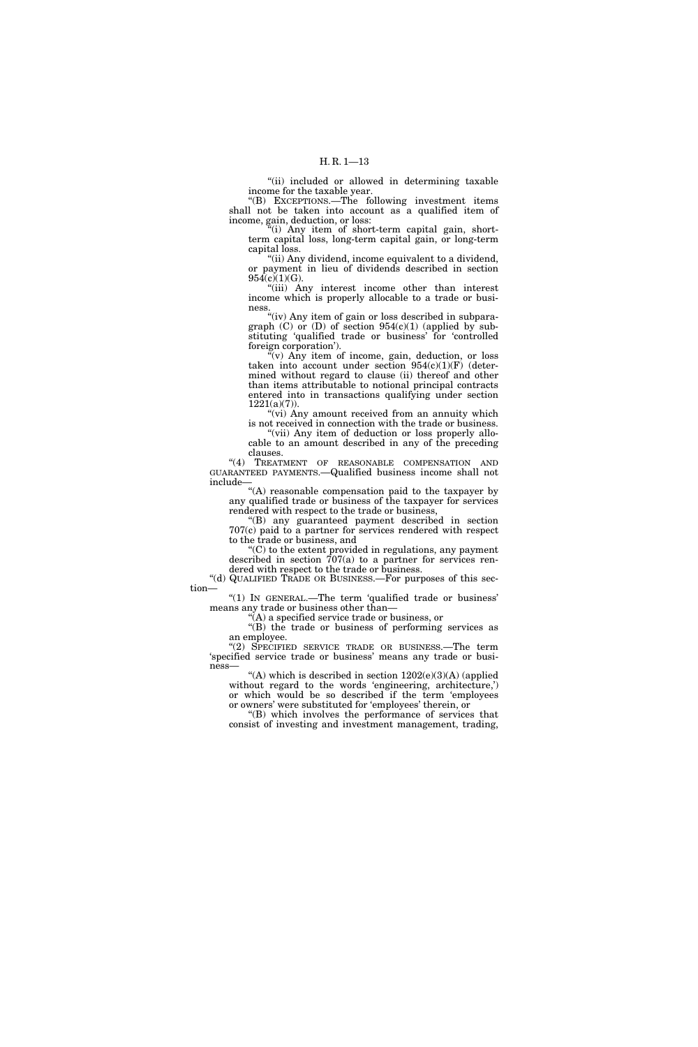"(ii) included or allowed in determining taxable income for the taxable year.

''(B) EXCEPTIONS.—The following investment items shall not be taken into account as a qualified item of income, gain, deduction, or loss:

''(i) Any item of short-term capital gain, shortterm capital loss, long-term capital gain, or long-term capital loss.

''(ii) Any dividend, income equivalent to a dividend, or payment in lieu of dividends described in section  $954(c)(1)(G)$ .

''(iii) Any interest income other than interest income which is properly allocable to a trade or business.

"(iv) Any item of gain or loss described in subparagraph (C) or (D) of section 954(c)(1) (applied by substituting 'qualified trade or business' for 'controlled foreign corporation').

 $\sqrt[n]{v}$  Any item of income, gain, deduction, or loss taken into account under section  $954(c)(1)(F)$  (determined without regard to clause (ii) thereof and other than items attributable to notional principal contracts entered into in transactions qualifying under section  $1221(a)(7)$ ).

"(vi) Any amount received from an annuity which is not received in connection with the trade or business.

"(vii) Any item of deduction or loss properly allocable to an amount described in any of the preceding clauses.

"(4) TREATMENT OF REASONABLE COMPENSATION AND GUARANTEED PAYMENTS.—Qualified business income shall not include—

''(A) reasonable compensation paid to the taxpayer by any qualified trade or business of the taxpayer for services rendered with respect to the trade or business,

''(B) any guaranteed payment described in section 707(c) paid to a partner for services rendered with respect to the trade or business, and

''(C) to the extent provided in regulations, any payment described in section 707(a) to a partner for services rendered with respect to the trade or business.

''(d) QUALIFIED TRADE OR BUSINESS.—For purposes of this section—

"(1) In GENERAL.—The term 'qualified trade or business' means any trade or business other than—

''(A) a specified service trade or business, or

''(B) the trade or business of performing services as an employee.

''(2) SPECIFIED SERVICE TRADE OR BUSINESS.—The term 'specified service trade or business' means any trade or business—

"(A) which is described in section  $1202(e)(3)(A)$  (applied without regard to the words 'engineering, architecture,') or which would be so described if the term 'employees or owners' were substituted for 'employees' therein, or

''(B) which involves the performance of services that consist of investing and investment management, trading,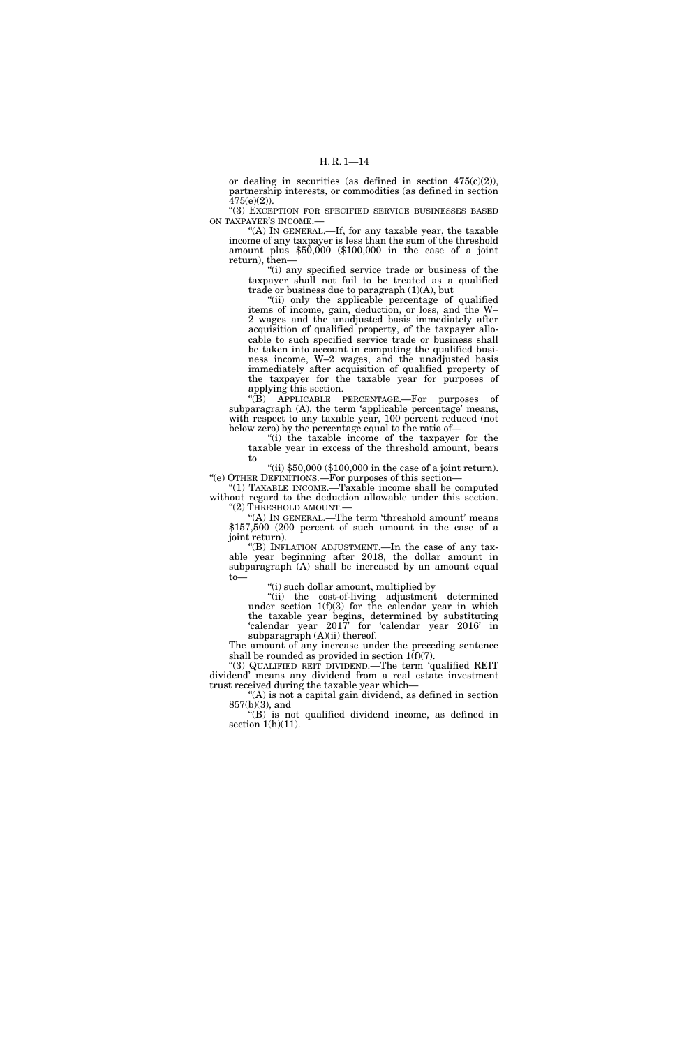or dealing in securities (as defined in section 475(c)(2)), partnership interests, or commodities (as defined in section  $475(e)(2)$ ).

''(3) EXCEPTION FOR SPECIFIED SERVICE BUSINESSES BASED ON TAXPAYER'S INCOME.—

"(A) In GENERAL.—If, for any taxable year, the taxable income of any taxpayer is less than the sum of the threshold amount plus  $$50,000$   $$100,000$  in the case of a joint return), then—

''(i) any specified service trade or business of the taxpayer shall not fail to be treated as a qualified trade or business due to paragraph  $(1)(A)$ , but

"(ii) only the applicable percentage of qualified items of income, gain, deduction, or loss, and the W– 2 wages and the unadjusted basis immediately after acquisition of qualified property, of the taxpayer allocable to such specified service trade or business shall be taken into account in computing the qualified business income, W–2 wages, and the unadjusted basis immediately after acquisition of qualified property of the taxpayer for the taxable year for purposes of applying this section.

''(B) APPLICABLE PERCENTAGE.—For purposes of subparagraph (A), the term 'applicable percentage' means, with respect to any taxable year, 100 percent reduced (not below zero) by the percentage equal to the ratio of—

''(i) the taxable income of the taxpayer for the taxable year in excess of the threshold amount, bears to

"(ii)  $$50,000$  ( $$100,000$  in the case of a joint return). ''(e) OTHER DEFINITIONS.—For purposes of this section—

''(1) TAXABLE INCOME.—Taxable income shall be computed without regard to the deduction allowable under this section. "(2) THRESHOLD AMOUNT.-

"(A) IN GENERAL.—The term 'threshold amount' means \$157,500 (200 percent of such amount in the case of a joint return).

''(B) INFLATION ADJUSTMENT.—In the case of any taxable year beginning after 2018, the dollar amount in subparagraph (A) shall be increased by an amount equal to—

''(i) such dollar amount, multiplied by

''(ii) the cost-of-living adjustment determined under section 1(f)(3) for the calendar year in which the taxable year begins, determined by substituting 'calendar year 2017' for 'calendar year 2016' in subparagraph (A)(ii) thereof.

The amount of any increase under the preceding sentence shall be rounded as provided in section  $1(f)(7)$ .

''(3) QUALIFIED REIT DIVIDEND.—The term 'qualified REIT dividend' means any dividend from a real estate investment trust received during the taxable year which—

''(A) is not a capital gain dividend, as defined in section  $857(b)(3)$ , and

''(B) is not qualified dividend income, as defined in section  $1(h)(11)$ .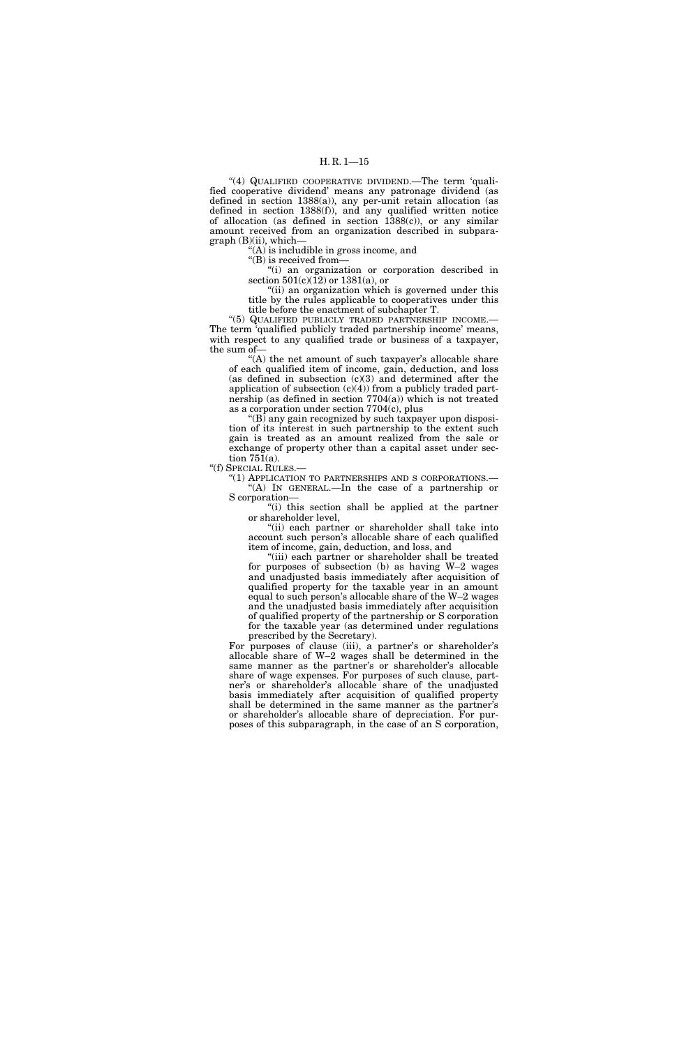"(4) QUALIFIED COOPERATIVE DIVIDEND.—The term 'qualified cooperative dividend' means any patronage dividend (as defined in section 1388(a)), any per-unit retain allocation (as defined in section 1388(f)), and any qualified written notice of allocation (as defined in section 1388(c)), or any similar amount received from an organization described in subpara $graph (B)(ii)$ , which-

''(A) is includible in gross income, and

"(B) is received from-

''(i) an organization or corporation described in section  $501(c)(12)$  or  $1381(a)$ , or

''(ii) an organization which is governed under this title by the rules applicable to cooperatives under this title before the enactment of subchapter T.

''(5) QUALIFIED PUBLICLY TRADED PARTNERSHIP INCOME.— The term 'qualified publicly traded partnership income' means, with respect to any qualified trade or business of a taxpayer, the sum of—

"(A) the net amount of such taxpayer's allocable share of each qualified item of income, gain, deduction, and loss (as defined in subsection  $(c)(3)$  and determined after the application of subsection  $(c)(4)$  from a publicly traded partnership (as defined in section  $7704(a)$ ) which is not treated as a corporation under section 7704(c), plus

 $(16)$  any gain recognized by such taxpayer upon disposition of its interest in such partnership to the extent such gain is treated as an amount realized from the sale or exchange of property other than a capital asset under section 751(a).

"(f) SPECIAL RULES.-

''(1) APPLICATION TO PARTNERSHIPS AND S CORPORATIONS.— '(A) IN GENERAL.—In the case of a partnership or S corporation—

"(i) this section shall be applied at the partner or shareholder level,

''(ii) each partner or shareholder shall take into account such person's allocable share of each qualified item of income, gain, deduction, and loss, and

"(iii) each partner or shareholder shall be treated for purposes of subsection  $(b)$  as having W–2 wages and unadjusted basis immediately after acquisition of qualified property for the taxable year in an amount equal to such person's allocable share of the W–2 wages and the unadjusted basis immediately after acquisition of qualified property of the partnership or S corporation for the taxable year (as determined under regulations prescribed by the Secretary).

For purposes of clause (iii), a partner's or shareholder's allocable share of W–2 wages shall be determined in the same manner as the partner's or shareholder's allocable share of wage expenses. For purposes of such clause, partner's or shareholder's allocable share of the unadjusted basis immediately after acquisition of qualified property shall be determined in the same manner as the partner's or shareholder's allocable share of depreciation. For purposes of this subparagraph, in the case of an S corporation,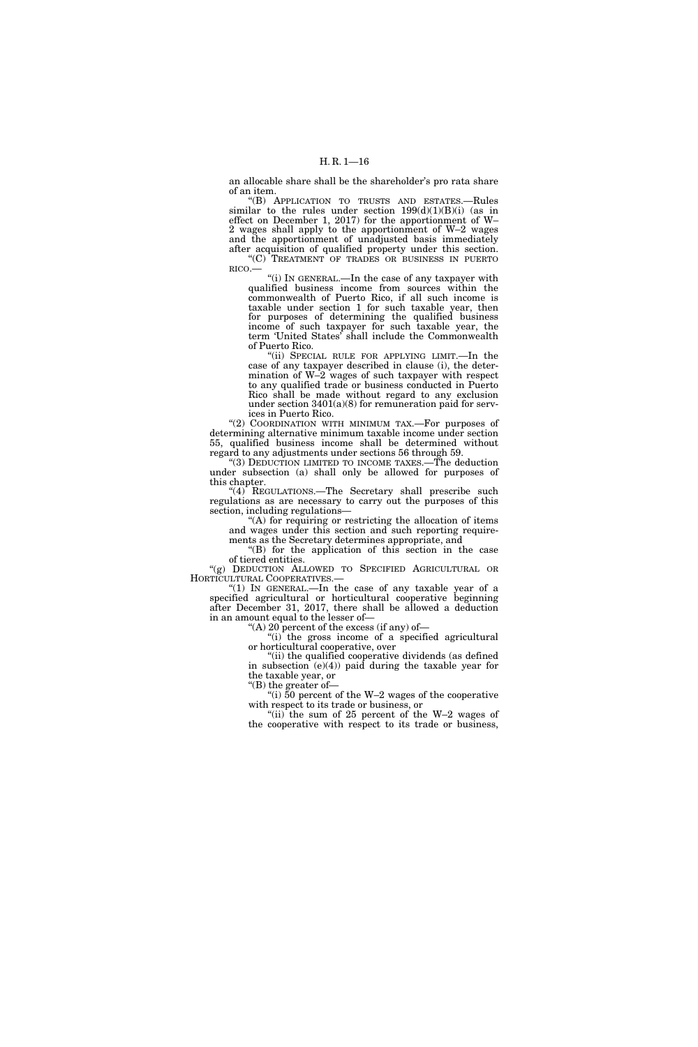an allocable share shall be the shareholder's pro rata share of an item.

''(B) APPLICATION TO TRUSTS AND ESTATES.—Rules similar to the rules under section 199(d)(1)(B)(i) (as in effect on December 1, 2017) for the apportionment of W– 2 wages shall apply to the apportionment of W–2 wages and the apportionment of unadjusted basis immediately after acquisition of qualified property under this section. ''(C) TREATMENT OF TRADES OR BUSINESS IN PUERTO

RICO.— ''(i) IN GENERAL.—In the case of any taxpayer with qualified business income from sources within the commonwealth of Puerto Rico, if all such income is

taxable under section 1 for such taxable year, then for purposes of determining the qualified business income of such taxpayer for such taxable year, the term 'United States' shall include the Commonwealth of Puerto Rico.

"(ii) SPECIAL RULE FOR APPLYING LIMIT.—In the case of any taxpayer described in clause (i), the determination of W–2 wages of such taxpayer with respect to any qualified trade or business conducted in Puerto Rico shall be made without regard to any exclusion under section 3401(a)(8) for remuneration paid for services in Puerto Rico.

"(2) COORDINATION WITH MINIMUM TAX.-For purposes of determining alternative minimum taxable income under section 55, qualified business income shall be determined without regard to any adjustments under sections 56 through 59.

''(3) DEDUCTION LIMITED TO INCOME TAXES.—The deduction under subsection (a) shall only be allowed for purposes of this chapter.

" $(4)$  REGULATIONS.—The Secretary shall prescribe such regulations as are necessary to carry out the purposes of this section, including regulations—

''(A) for requiring or restricting the allocation of items and wages under this section and such reporting requirements as the Secretary determines appropriate, and

''(B) for the application of this section in the case of tiered entities.

''(g) DEDUCTION ALLOWED TO SPECIFIED AGRICULTURAL OR HORTICULTURAL COOPERATIVES.—

''(1) IN GENERAL.—In the case of any taxable year of a specified agricultural or horticultural cooperative beginning after December 31, 2017, there shall be allowed a deduction in an amount equal to the lesser of—

"(A) 20 percent of the excess (if any) of—

"(i) the gross income of a specified agricultural or horticultural cooperative, over

'(ii) the qualified cooperative dividends (as defined in subsection  $(e)(4)$  paid during the taxable year for the taxable year, or ''(B) the greater of—

"(i)  $50$  percent of the W–2 wages of the cooperative with respect to its trade or business, or

''(ii) the sum of 25 percent of the W–2 wages of the cooperative with respect to its trade or business,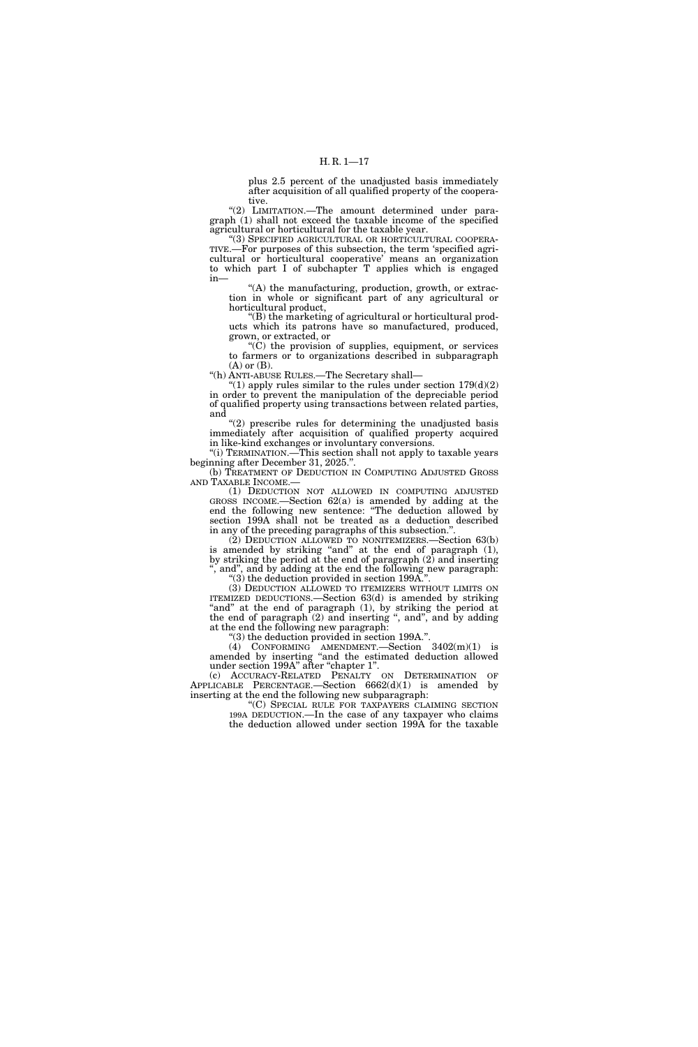plus 2.5 percent of the unadjusted basis immediately after acquisition of all qualified property of the cooperative.

"(2) LIMITATION.-The amount determined under paragraph (1) shall not exceed the taxable income of the specified agricultural or horticultural for the taxable year.

''(3) SPECIFIED AGRICULTURAL OR HORTICULTURAL COOPERA-TIVE.—For purposes of this subsection, the term 'specified agricultural or horticultural cooperative' means an organization to which part I of subchapter T applies which is engaged in—

''(A) the manufacturing, production, growth, or extraction in whole or significant part of any agricultural or horticultural product,

''(B) the marketing of agricultural or horticultural products which its patrons have so manufactured, produced, grown, or extracted, or

 $(C)$  the provision of supplies, equipment, or services to farmers or to organizations described in subparagraph (A) or (B).

''(h) ANTI-ABUSE RULES.—The Secretary shall—

"(1) apply rules similar to the rules under section  $179(d)(2)$ in order to prevent the manipulation of the depreciable period of qualified property using transactions between related parties, and

''(2) prescribe rules for determining the unadjusted basis immediately after acquisition of qualified property acquired in like-kind exchanges or involuntary conversions.

"(i) TERMINATION.—This section shall not apply to taxable years beginning after December 31, 2025.''.

(b) TREATMENT OF DEDUCTION IN COMPUTING ADJUSTED GROSS AND TAXABLE INCOME.—

(1) DEDUCTION NOT ALLOWED IN COMPUTING ADJUSTED GROSS INCOME.—Section 62(a) is amended by adding at the end the following new sentence: ''The deduction allowed by section 199A shall not be treated as a deduction described in any of the preceding paragraphs of this subsection."

(2) DEDUCTION ALLOWED TO NONITEMIZERS.—Section 63(b) is amended by striking ''and'' at the end of paragraph (1), by striking the period at the end of paragraph (2) and inserting , and", and by adding at the end the following new paragraph: ''(3) the deduction provided in section 199A.''.

(3) DEDUCTION ALLOWED TO ITEMIZERS WITHOUT LIMITS ON ITEMIZED DEDUCTIONS.—Section 63(d) is amended by striking "and" at the end of paragraph (1), by striking the period at the end of paragraph  $(2)$  and inserting ", and", and by adding at the end the following new paragraph:

''(3) the deduction provided in section 199A.''.

(4) CONFORMING AMENDMENT.—Section 3402(m)(1) is amended by inserting ''and the estimated deduction allowed under section 199A'' after ''chapter 1''.

(c) ACCURACY-RELATED PENALTY ON DETERMINATION OF APPLICABLE PERCENTAGE.—Section 6662(d)(1) is amended by inserting at the end the following new subparagraph:

''(C) SPECIAL RULE FOR TAXPAYERS CLAIMING SECTION 199A DEDUCTION.—In the case of any taxpayer who claims the deduction allowed under section 199A for the taxable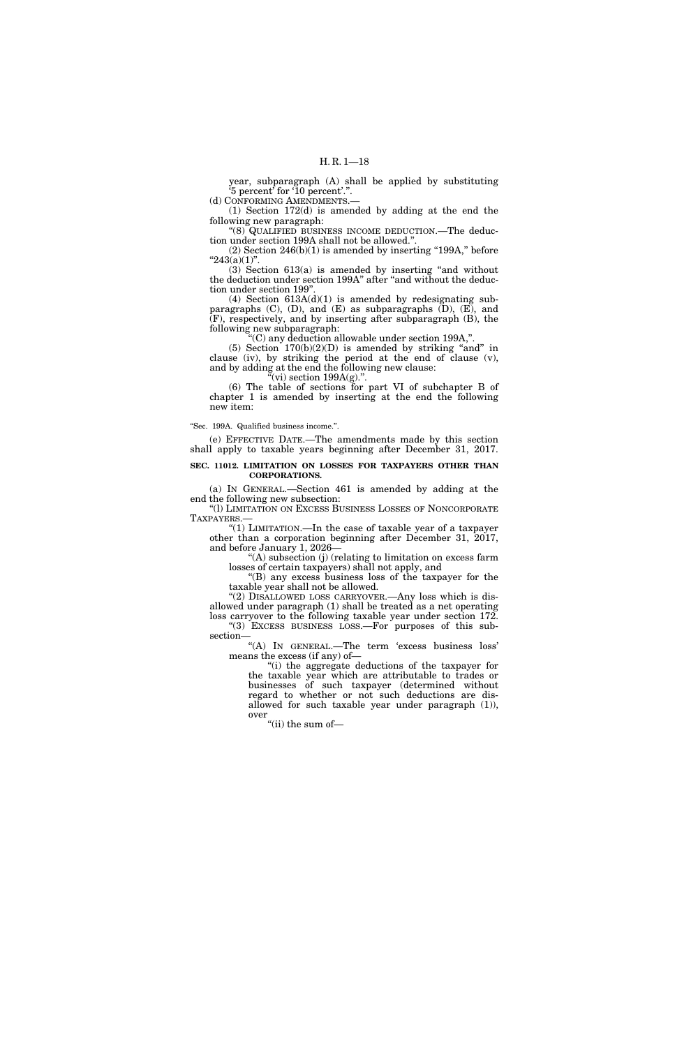year, subparagraph (A) shall be applied by substituting '5 percent' for '10 percent'.''.

(d) CONFORMING AMENDMENTS.—

(1) Section 172(d) is amended by adding at the end the following new paragraph:

''(8) QUALIFIED BUSINESS INCOME DEDUCTION.—The deduction under section 199A shall not be allowed.''.

 $(2)$  Section 246(b) $(1)$  is amended by inserting "199A," before  $"243(a)(1)"$ .

 $(3)$  Section  $613(a)$  is amended by inserting "and without the deduction under section 199A'' after ''and without the deduction under section 199''.

(4) Section  $613A(d)(1)$  is amended by redesignating subparagraphs (C), (D), and (E) as subparagraphs (D), (E), and (F), respectively, and by inserting after subparagraph (B), the following new subparagraph:

''(C) any deduction allowable under section 199A,''.

(5) Section  $170(b)(2)(D)$  is amended by striking "and" in clause (iv), by striking the period at the end of clause (v), and by adding at the end the following new clause:  $\mathbf{u}^{\alpha}$ (vi) section 199A(g).".

(6) The table of sections for part VI of subchapter B of chapter 1 is amended by inserting at the end the following new item:

### ''Sec. 199A. Qualified business income.''.

(e) EFFECTIVE DATE.—The amendments made by this section shall apply to taxable years beginning after December 31, 2017.

## **SEC. 11012. LIMITATION ON LOSSES FOR TAXPAYERS OTHER THAN CORPORATIONS.**

(a) IN GENERAL.—Section 461 is amended by adding at the end the following new subsection:

''(l) LIMITATION ON EXCESS BUSINESS LOSSES OF NONCORPORATE TAXPAYERS.—

''(1) LIMITATION.—In the case of taxable year of a taxpayer other than a corporation beginning after December 31, 2017, and before January 1, 2026—

 $<sup>"</sup>(A)$  subsection (j) (relating to limitation on excess farm</sup> losses of certain taxpayers) shall not apply, and

''(B) any excess business loss of the taxpayer for the taxable year shall not be allowed.

"(2) DISALLOWED LOSS CARRYOVER.—Any loss which is disallowed under paragraph (1) shall be treated as a net operating loss carryover to the following taxable year under section 172. "(3) EXCESS BUSINESS LOSS.—For purposes of this subsection—

''(A) IN GENERAL.—The term 'excess business loss' means the excess (if any) of—

''(i) the aggregate deductions of the taxpayer for the taxable year which are attributable to trades or businesses of such taxpayer (determined without regard to whether or not such deductions are disallowed for such taxable year under paragraph (1)), over

''(ii) the sum of—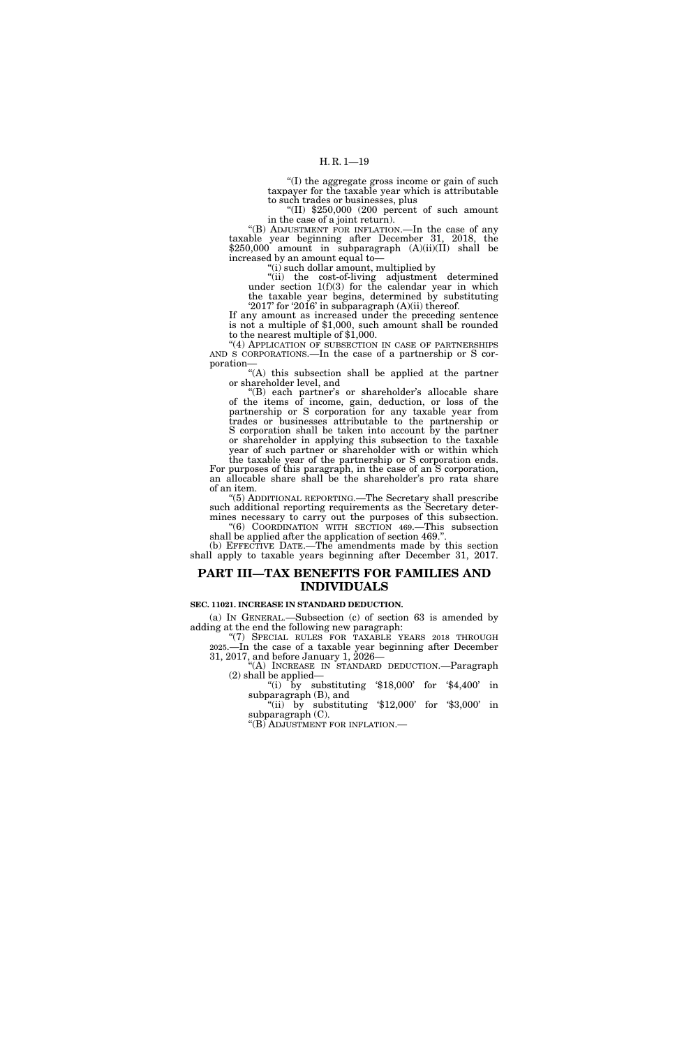''(I) the aggregate gross income or gain of such taxpayer for the taxable year which is attributable

"(II)  $$250,000$  (200 percent of such amount in the case of a joint return).

"(B) ADJUSTMENT FOR INFLATION.—In the case of any taxable year beginning after December 31, 2018, the \$250,000 amount in subparagraph (A)(ii)(II) shall be increased by an amount equal to—

''(i) such dollar amount, multiplied by

''(ii) the cost-of-living adjustment determined under section 1(f)(3) for the calendar year in which the taxable year begins, determined by substituting '2017' for '2016' in subparagraph (A)(ii) thereof.

If any amount as increased under the preceding sentence is not a multiple of \$1,000, such amount shall be rounded to the nearest multiple of \$1,000.

"(4) APPLICATION OF SUBSECTION IN CASE OF PARTNERSHIPS AND S CORPORATIONS.—In the case of a partnership or S corporation—

''(A) this subsection shall be applied at the partner or shareholder level, and

"(B) each partner's or shareholder's allocable share of the items of income, gain, deduction, or loss of the partnership or S corporation for any taxable year from trades or businesses attributable to the partnership or S corporation shall be taken into account by the partner or shareholder in applying this subsection to the taxable year of such partner or shareholder with or within which

the taxable year of the partnership or S corporation ends. For purposes of this paragraph, in the case of an S corporation, an allocable share shall be the shareholder's pro rata share of an item.

''(5) ADDITIONAL REPORTING.—The Secretary shall prescribe such additional reporting requirements as the Secretary determines necessary to carry out the purposes of this subsection. ''(6) COORDINATION WITH SECTION 469.—This subsection

shall be applied after the application of section 469.' (b) EFFECTIVE DATE.—The amendments made by this section

shall apply to taxable years beginning after December 31, 2017.

# **PART III—TAX BENEFITS FOR FAMILIES AND INDIVIDUALS**

# **SEC. 11021. INCREASE IN STANDARD DEDUCTION.**

(a) IN GENERAL.—Subsection (c) of section 63 is amended by adding at the end the following new paragraph:

"(7) SPECIAL RULES FOR TAXABLE YEARS 2018 THROUGH 2025.—In the case of a taxable year beginning after December 31, 2017, and before January 1, 2026—

''(A) INCREASE IN STANDARD DEDUCTION.—Paragraph

(2) shall be applied—<br>"(i) by substituting '\$18,000' for '\$4,400' in subparagraph (B), and

"(ii) by substituting '\$12,000' for '\$3,000' in subparagraph (C).

''(B) ADJUSTMENT FOR INFLATION.—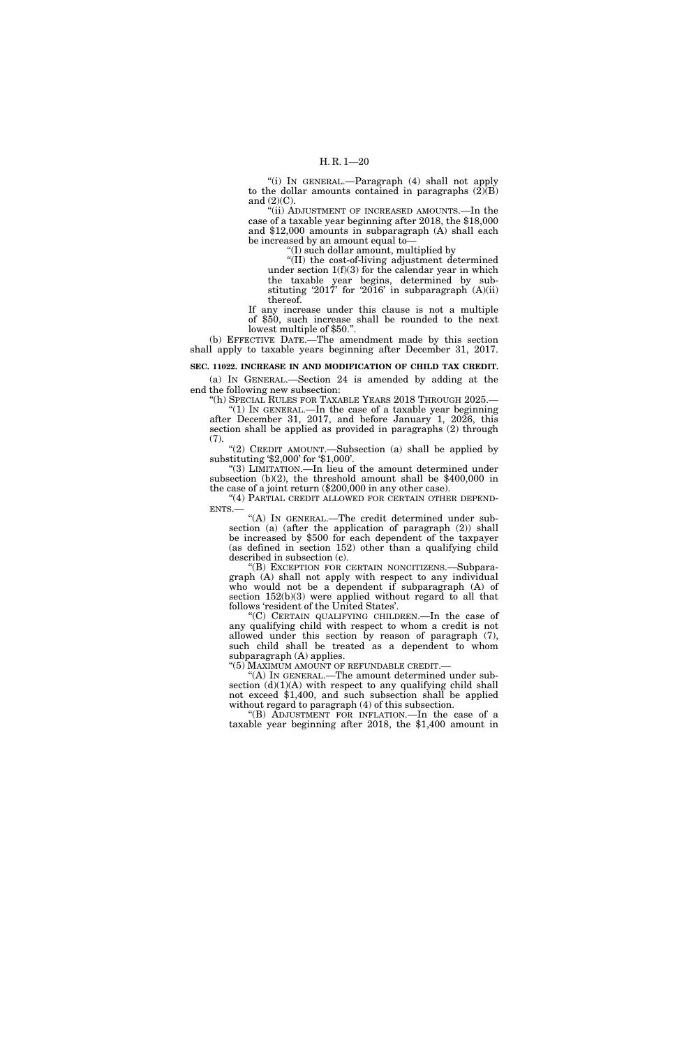''(i) IN GENERAL.—Paragraph (4) shall not apply to the dollar amounts contained in paragraphs  $(\overline{2})(\overline{B})$ and  $(2)(C)$ .

"(ii) ADJUSTMENT OF INCREASED AMOUNTS.—In the case of a taxable year beginning after 2018, the \$18,000 and \$12,000 amounts in subparagraph (A) shall each be increased by an amount equal to—

 $f(I)$  such dollar amount, multiplied by

''(II) the cost-of-living adjustment determined under section  $1(f)(3)$  for the calendar year in which the taxable year begins, determined by substituting '2017' for '2016' in subparagraph (A)(ii) thereof.

If any increase under this clause is not a multiple of \$50, such increase shall be rounded to the next lowest multiple of \$50.''.

(b) EFFECTIVE DATE.—The amendment made by this section shall apply to taxable years beginning after December 31, 2017.

# **SEC. 11022. INCREASE IN AND MODIFICATION OF CHILD TAX CREDIT.**

(a) IN GENERAL.—Section 24 is amended by adding at the end the following new subsection:

''(h) SPECIAL RULES FOR TAXABLE YEARS 2018 THROUGH 2025.— "(1) IN GENERAL.—In the case of a taxable year beginning after December 31, 2017, and before January 1, 2026, this section shall be applied as provided in paragraphs (2) through (7).

"(2) CREDIT AMOUNT.—Subsection (a) shall be applied by substituting '\$2,000' for '\$1,000'.

''(3) LIMITATION.—In lieu of the amount determined under subsection (b)(2), the threshold amount shall be \$400,000 in the case of a joint return (\$200,000 in any other case).

"(4) PARTIAL CREDIT ALLOWED FOR CERTAIN OTHER DEPEND-ENTS.—

''(A) IN GENERAL.—The credit determined under subsection (a) (after the application of paragraph (2)) shall be increased by \$500 for each dependent of the taxpayer (as defined in section 152) other than a qualifying child described in subsection (c).

''(B) EXCEPTION FOR CERTAIN NONCITIZENS.—Subparagraph (A) shall not apply with respect to any individual who would not be a dependent if subparagraph (A) of section 152(b)(3) were applied without regard to all that follows 'resident of the United States'.

''(C) CERTAIN QUALIFYING CHILDREN.—In the case of any qualifying child with respect to whom a credit is not allowed under this section by reason of paragraph (7), such child shall be treated as a dependent to whom subparagraph (A) applies.

"(5) MAXIMUM AMOUNT OF REFUNDABLE CREDIT.-

'(A) In GENERAL.—The amount determined under subsection  $(d)(1)(A)$  with respect to any qualifying child shall not exceed \$1,400, and such subsection shall be applied without regard to paragraph (4) of this subsection.

''(B) ADJUSTMENT FOR INFLATION.—In the case of a taxable year beginning after 2018, the \$1,400 amount in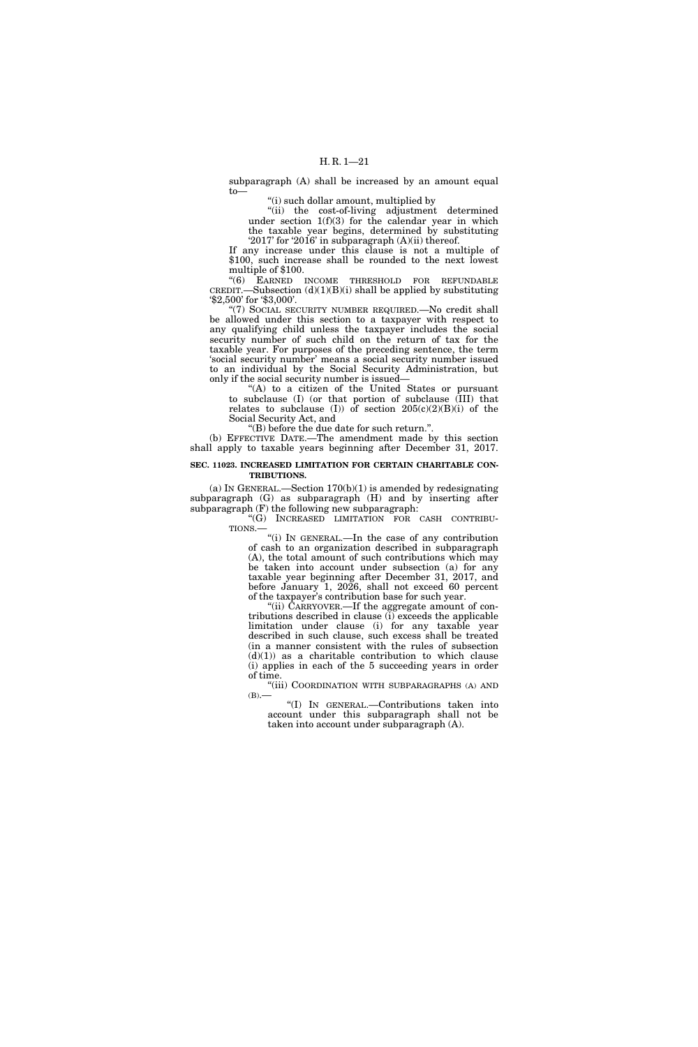subparagraph (A) shall be increased by an amount equal to—

''(i) such dollar amount, multiplied by

''(ii) the cost-of-living adjustment determined under section  $1(f)(3)$  for the calendar year in which the taxable year begins, determined by substituting '2017' for '2016' in subparagraph (A)(ii) thereof.

If any increase under this clause is not a multiple of \$100, such increase shall be rounded to the next lowest multiple of \$100.

"(6) EARNED INCOME THRESHOLD FOR REFUNDABLE CREDIT.—Subsection  $(d)(1)(B)(i)$  shall be applied by substituting '\$2,500' for '\$3,000'.

"(7) SOCIAL SECURITY NUMBER REQUIRED.—No credit shall be allowed under this section to a taxpayer with respect to any qualifying child unless the taxpayer includes the social security number of such child on the return of tax for the taxable year. For purposes of the preceding sentence, the term 'social security number' means a social security number issued to an individual by the Social Security Administration, but only if the social security number is issued—

''(A) to a citizen of the United States or pursuant to subclause (I) (or that portion of subclause (III) that relates to subclause (I)) of section  $205(c)(2)(B)(i)$  of the Social Security Act, and

''(B) before the due date for such return.''.

(b) EFFECTIVE DATE.—The amendment made by this section shall apply to taxable years beginning after December 31, 2017.

## **SEC. 11023. INCREASED LIMITATION FOR CERTAIN CHARITABLE CON-TRIBUTIONS.**

(a) IN GENERAL.—Section  $170(b)(1)$  is amended by redesignating subparagraph (G) as subparagraph (H) and by inserting after subparagraph (F) the following new subparagraph:

''(G) INCREASED LIMITATION FOR CASH CONTRIBU-TIONS.—

''(i) IN GENERAL.—In the case of any contribution of cash to an organization described in subparagraph (A), the total amount of such contributions which may be taken into account under subsection (a) for any taxable year beginning after December 31, 2017, and before January 1, 2026, shall not exceed 60 percent of the taxpayer's contribution base for such year.

"(ii) CARRYOVER.—If the aggregate amount of contributions described in clause (i) exceeds the applicable limitation under clause (i) for any taxable year described in such clause, such excess shall be treated (in a manner consistent with the rules of subsection  $(d)(1)$  as a charitable contribution to which clause (i) applies in each of the 5 succeeding years in order of time.

"(iii) COORDINATION WITH SUBPARAGRAPHS (A) AND  $(B)$ .

''(I) IN GENERAL.—Contributions taken into account under this subparagraph shall not be taken into account under subparagraph (A).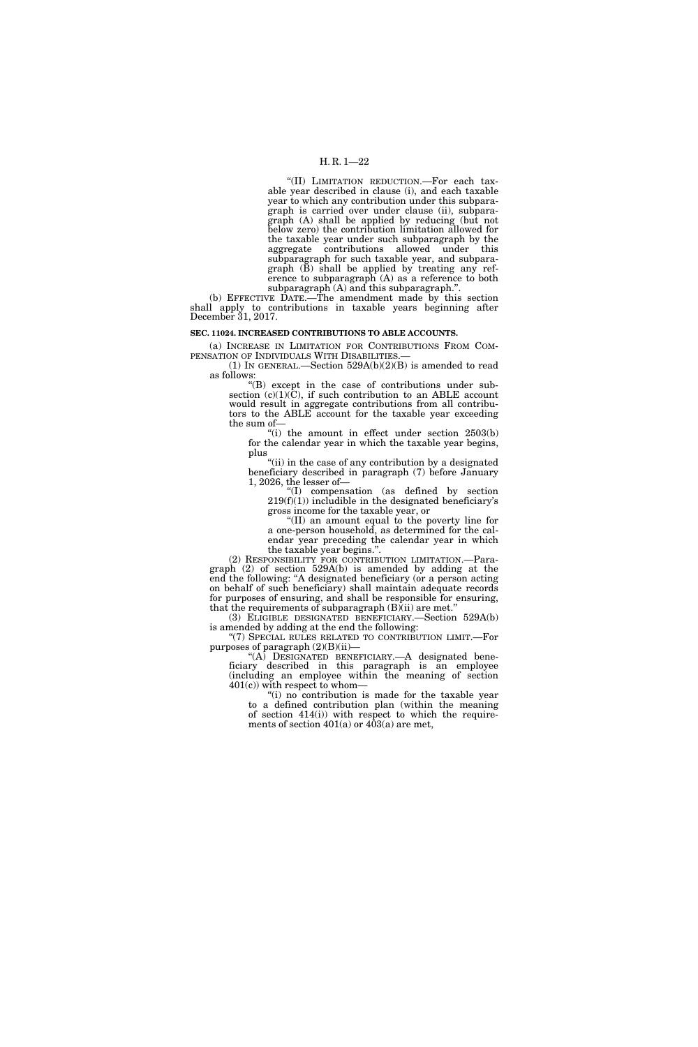# H. R. 1—22

''(II) LIMITATION REDUCTION.—For each taxable year described in clause (i), and each taxable year to which any contribution under this subparagraph is carried over under clause (ii), subparagraph (A) shall be applied by reducing (but not below zero) the contribution limitation allowed for the taxable year under such subparagraph by the aggregate contributions allowed under this subparagraph for such taxable year, and subparagraph (B) shall be applied by treating any reference to subparagraph (A) as a reference to both subparagraph (A) and this subparagraph.''.

(b) EFFECTIVE DATE.—The amendment made by this section shall apply to contributions in taxable years beginning after December 31, 2017.

### **SEC. 11024. INCREASED CONTRIBUTIONS TO ABLE ACCOUNTS.**

(a) INCREASE IN LIMITATION FOR CONTRIBUTIONS FROM COM-PENSATION OF INDIVIDUALS WITH DISABILITIES.

(1) IN GENERAL.—Section 529A(b)(2)(B) is amended to read as follows:

''(B) except in the case of contributions under subsection  $(c)(1)(\overline{C})$ , if such contribution to an ABLE account would result in aggregate contributions from all contributors to the ABLE account for the taxable year exceeding the sum of—

"(i) the amount in effect under section  $2503(b)$ for the calendar year in which the taxable year begins, plus

''(ii) in the case of any contribution by a designated beneficiary described in paragraph (7) before January 1, 2026, the lesser of—

''(I) compensation (as defined by section  $219(f)(1)$ ) includible in the designated beneficiary's gross income for the taxable year, or

''(II) an amount equal to the poverty line for a one-person household, as determined for the calendar year preceding the calendar year in which the taxable year begins.''.

(2) RESPONSIBILITY FOR CONTRIBUTION LIMITATION.—Paragraph (2) of section 529A(b) is amended by adding at the end the following: ''A designated beneficiary (or a person acting on behalf of such beneficiary) shall maintain adequate records for purposes of ensuring, and shall be responsible for ensuring, that the requirements of subparagraph  $(B)$ (ii) are met."

(3) ELIGIBLE DESIGNATED BENEFICIARY.—Section 529A(b) is amended by adding at the end the following:

"(7) SPECIAL RULES RELATED TO CONTRIBUTION LIMIT.—For purposes of paragraph  $(2)(B)(ii)$ —

''(A) DESIGNATED BENEFICIARY.—A designated beneficiary described in this paragraph is an employee (including an employee within the meaning of section  $401(c)$  with respect to whom-

"(i) no contribution is made for the taxable year to a defined contribution plan (within the meaning of section 414(i)) with respect to which the requirements of section  $401(a)$  or  $403(a)$  are met,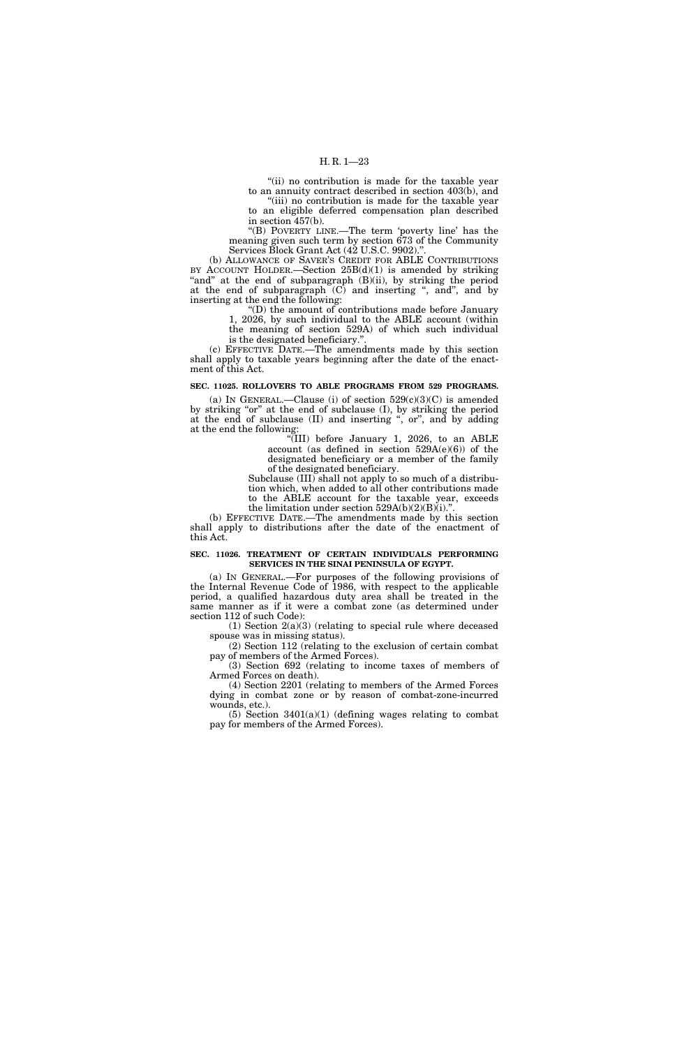"(ii) no contribution is made for the taxable year to an annuity contract described in section 403(b), and

"(iii) no contribution is made for the taxable year to an eligible deferred compensation plan described in section 457(b).

''(B) POVERTY LINE.—The term 'poverty line' has the meaning given such term by section 673 of the Community Services Block Grant Act (42 U.S.C. 9902).''.

(b) ALLOWANCE OF SAVER'S CREDIT FOR ABLE CONTRIBUTIONS BY ACCOUNT HOLDER.—Section  $25B(d)(1)$  is amended by striking "and" at the end of subparagraph (B)(ii), by striking the period at the end of subparagraph (C) and inserting ", and", and by inserting at the end the following:

''(D) the amount of contributions made before January 1, 2026, by such individual to the ABLE account (within the meaning of section 529A) of which such individual is the designated beneficiary.''.

(c) EFFECTIVE DATE.—The amendments made by this section shall apply to taxable years beginning after the date of the enactment of this Act.

## **SEC. 11025. ROLLOVERS TO ABLE PROGRAMS FROM 529 PROGRAMS.**

(a) IN GENERAL.—Clause (i) of section  $529(c)(3)(C)$  is amended by striking ''or'' at the end of subclause (I), by striking the period at the end of subclause (II) and inserting ", or", and by adding at the end the following:

 $\sqrt[4]{III}$  before January 1, 2026, to an ABLE account (as defined in section  $529A(e)(6)$ ) of the designated beneficiary or a member of the family of the designated beneficiary.

Subclause (III) shall not apply to so much of a distribution which, when added to all other contributions made to the ABLE account for the taxable year, exceeds the limitation under section  $529A(b)(2)(B)(i)$ ."

(b) EFFECTIVE DATE.—The amendments made by this section shall apply to distributions after the date of the enactment of this Act.

## **SEC. 11026. TREATMENT OF CERTAIN INDIVIDUALS PERFORMING SERVICES IN THE SINAI PENINSULA OF EGYPT.**

(a) IN GENERAL.—For purposes of the following provisions of the Internal Revenue Code of 1986, with respect to the applicable period, a qualified hazardous duty area shall be treated in the same manner as if it were a combat zone (as determined under section 112 of such Code):

(1) Section  $2(a)(3)$  (relating to special rule where deceased spouse was in missing status).

(2) Section 112 (relating to the exclusion of certain combat pay of members of the Armed Forces).

(3) Section 692 (relating to income taxes of members of Armed Forces on death).

(4) Section 2201 (relating to members of the Armed Forces dying in combat zone or by reason of combat-zone-incurred wounds, etc.).

 $(5)$  Section 3401 $(a)(1)$  (defining wages relating to combat pay for members of the Armed Forces).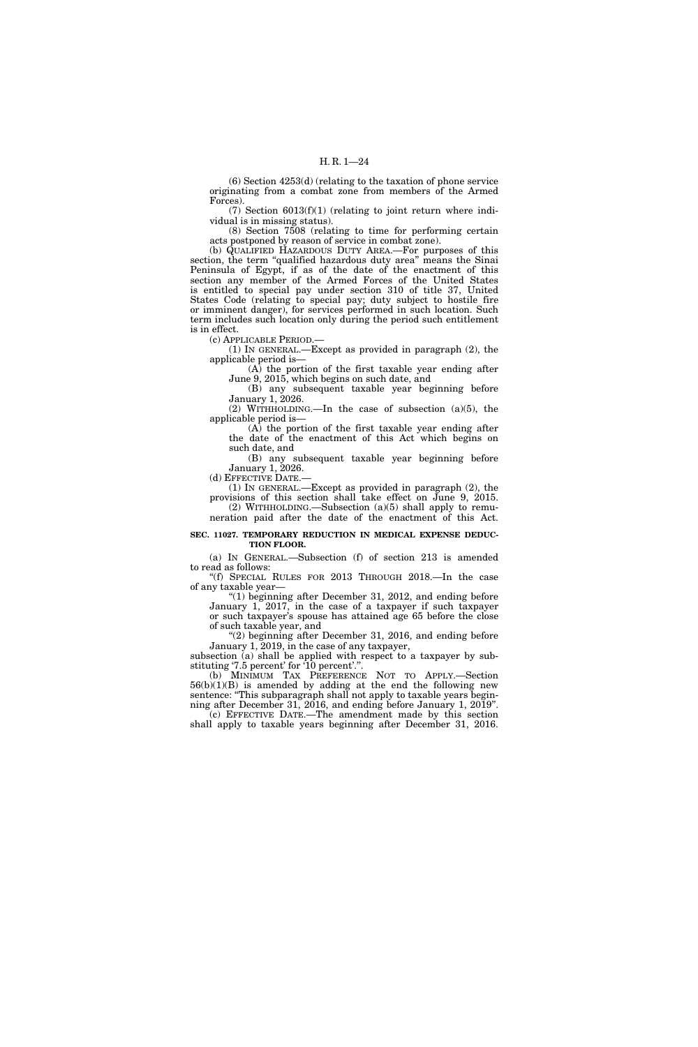(6) Section 4253(d) (relating to the taxation of phone service originating from a combat zone from members of the Armed Forces).

(7) Section 6013(f)(1) (relating to joint return where individual is in missing status).

(8) Section 7508 (relating to time for performing certain acts postponed by reason of service in combat zone).

(b) QUALIFIED HAZARDOUS DUTY AREA.—For purposes of this section, the term "qualified hazardous duty area" means the Sinai Peninsula of Egypt, if as of the date of the enactment of this section any member of the Armed Forces of the United States is entitled to special pay under section 310 of title 37, United States Code (relating to special pay; duty subject to hostile fire or imminent danger), for services performed in such location. Such term includes such location only during the period such entitlement is in effect.

(c) APPLICABLE PERIOD.—

(1) IN GENERAL.—Except as provided in paragraph (2), the applicable period is—

(A) the portion of the first taxable year ending after June 9, 2015, which begins on such date, and

(B) any subsequent taxable year beginning before January 1, 2026. (2) WITHHOLDING.—In the case of subsection (a)(5), the

applicable period is—

(A) the portion of the first taxable year ending after the date of the enactment of this Act which begins on such date, and

(B) any subsequent taxable year beginning before January 1, 2026.

(d) EFFECTIVE DATE.—

(1) IN GENERAL.—Except as provided in paragraph (2), the provisions of this section shall take effect on June 9, 2015. (2) WITHHOLDING.—Subsection (a)(5) shall apply to remu-

neration paid after the date of the enactment of this Act.

# **SEC. 11027. TEMPORARY REDUCTION IN MEDICAL EXPENSE DEDUC-TION FLOOR.**

(a) IN GENERAL.—Subsection (f) of section 213 is amended to read as follows:

''(f) SPECIAL RULES FOR 2013 THROUGH 2018.—In the case of any taxable year—

''(1) beginning after December 31, 2012, and ending before January 1, 2017, in the case of a taxpayer if such taxpayer or such taxpayer's spouse has attained age 65 before the close of such taxable year, and

"(2) beginning after December 31, 2016, and ending before January 1, 2019, in the case of any taxpayer,

subsection (a) shall be applied with respect to a taxpayer by substituting '7.5 percent' for '10 percent'.''.

(b) MINIMUM TAX PREFERENCE NOT TO APPLY.—Section  $56(b)(1)(B)$  is amended by adding at the end the following new sentence: "This subparagraph shall not apply to taxable years beginning after December 31, 2016, and ending before January 1, 2019''.

(c) EFFECTIVE DATE.—The amendment made by this section shall apply to taxable years beginning after December 31, 2016.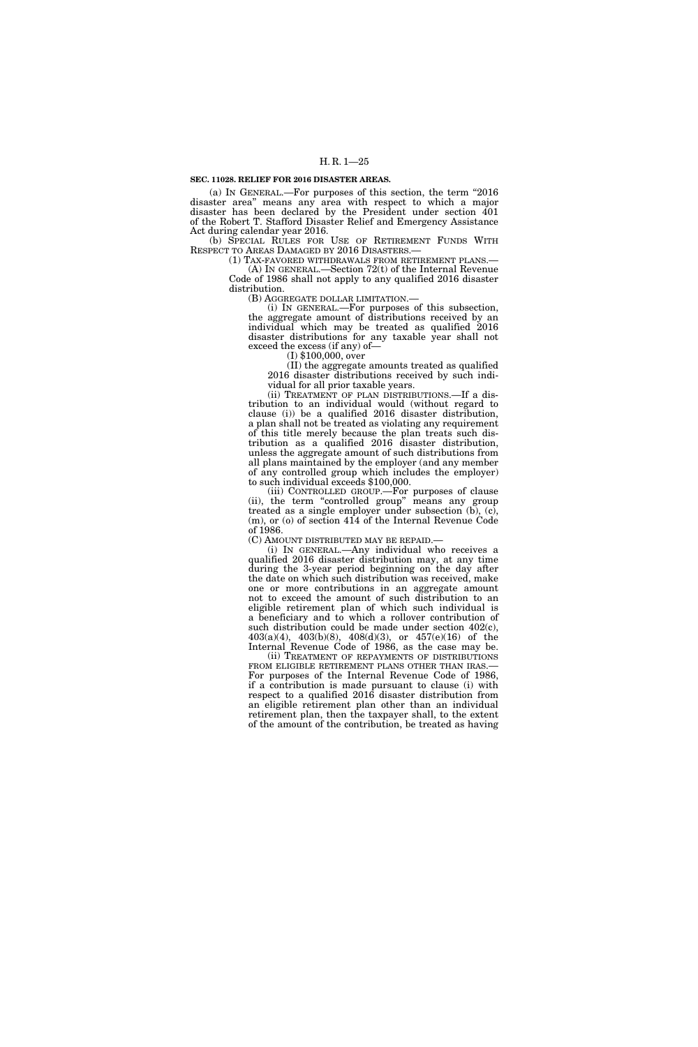### **SEC. 11028. RELIEF FOR 2016 DISASTER AREAS.**

(a) IN GENERAL.—For purposes of this section, the term ''2016 disaster area'' means any area with respect to which a major disaster has been declared by the President under section 401 of the Robert T. Stafford Disaster Relief and Emergency Assistance Act during calendar year 2016.

(b) SPECIAL RULES FOR USE OF RETIREMENT FUNDS WITH RESPECT TO AREAS DAMAGED BY 2016 DISASTERS.—

(1) TAX-FAVORED WITHDRAWALS FROM RETIREMENT PLANS.— (A) IN GENERAL.—Section 72(t) of the Internal Revenue Code of 1986 shall not apply to any qualified 2016 disaster distribution.

(B) AGGREGATE DOLLAR LIMITATION.— (i) IN GENERAL.—For purposes of this subsection, the aggregate amount of distributions received by an individual which may be treated as qualified 2016 disaster distributions for any taxable year shall not exceed the excess (if any) of— (I) \$100,000, over

(II) the aggregate amounts treated as qualified 2016 disaster distributions received by such individual for all prior taxable years.

(ii) TREATMENT OF PLAN DISTRIBUTIONS.—If a distribution to an individual would (without regard to clause (i)) be a qualified 2016 disaster distribution, a plan shall not be treated as violating any requirement of this title merely because the plan treats such distribution as a qualified 2016 disaster distribution, unless the aggregate amount of such distributions from all plans maintained by the employer (and any member of any controlled group which includes the employer) to such individual exceeds \$100,000.

(iii) CONTROLLED GROUP.—For purposes of clause (ii), the term "controlled group" means any group treated as a single employer under subsection  $(b)$ ,  $(c)$ , (m), or (o) of section 414 of the Internal Revenue Code of 1986.

(C) AMOUNT DISTRIBUTED MAY BE REPAID.— (i) IN GENERAL.—Any individual who receives a qualified 2016 disaster distribution may, at any time during the 3-year period beginning on the day after the date on which such distribution was received, make one or more contributions in an aggregate amount not to exceed the amount of such distribution to an eligible retirement plan of which such individual is a beneficiary and to which a rollover contribution of such distribution could be made under section 402(c), 403(a)(4), 403(b)(8), 408(d)(3), or 457(e)(16) of the Internal Revenue Code of 1986, as the case may be.

(ii) TREATMENT OF REPAYMENTS OF DISTRIBUTIONS FROM ELIGIBLE RETIREMENT PLANS OTHER THAN IRAS.— For purposes of the Internal Revenue Code of 1986, if a contribution is made pursuant to clause (i) with respect to a qualified 2016 disaster distribution from an eligible retirement plan other than an individual retirement plan, then the taxpayer shall, to the extent of the amount of the contribution, be treated as having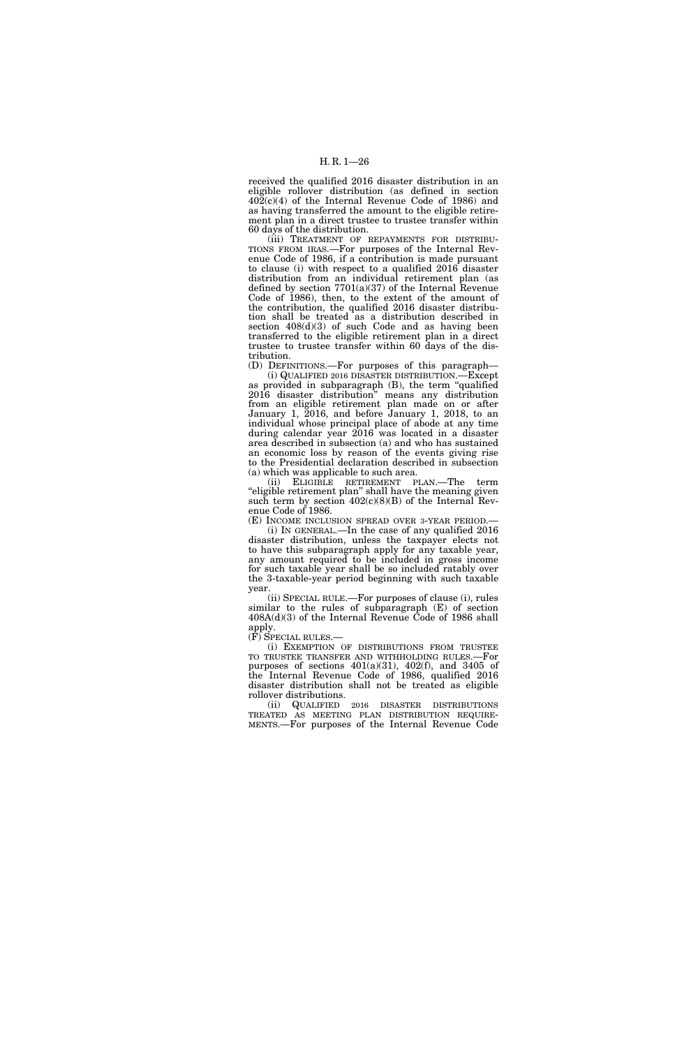received the qualified 2016 disaster distribution in an eligible rollover distribution (as defined in section  $40\overline{2}(c)(4)$  of the Internal Revenue Code of 1986) and as having transferred the amount to the eligible retirement plan in a direct trustee to trustee transfer within 60 days of the distribution.

(iii) TREATMENT OF REPAYMENTS FOR DISTRIBU-TIONS FROM IRAS.—For purposes of the Internal Revenue Code of 1986, if a contribution is made pursuant to clause (i) with respect to a qualified 2016 disaster distribution from an individual retirement plan (as defined by section  $7701(a)(37)$  of the Internal Revenue Code of 1986), then, to the extent of the amount of the contribution, the qualified 2016 disaster distribution shall be treated as a distribution described in section 408(d)(3) of such Code and as having been transferred to the eligible retirement plan in a direct trustee to trustee transfer within 60 days of the distribution.

(D) DEFINITIONS.—For purposes of this paragraph— (i) QUALIFIED 2016 DISASTER DISTRIBUTION.—Except as provided in subparagraph (B), the term ''qualified 2016 disaster distribution'' means any distribution from an eligible retirement plan made on or after January 1, 2016, and before January 1, 2018, to an individual whose principal place of abode at any time during calendar year 2016 was located in a disaster area described in subsection (a) and who has sustained an economic loss by reason of the events giving rise to the Presidential declaration described in subsection (a) which was applicable to such area.

(ii) ELIGIBLE RETIREMENT PLAN.—The term "eligible retirement plan" shall have the meaning given such term by section  $402(c)(8)(B)$  of the Internal Revenue Code of 1986.

(E) INCOME INCLUSION SPREAD OVER 3-YEAR PERIOD.— (i) IN GENERAL.—In the case of any qualified 2016 disaster distribution, unless the taxpayer elects not to have this subparagraph apply for any taxable year, any amount required to be included in gross income for such taxable year shall be so included ratably over the 3-taxable-year period beginning with such taxable year.

(ii) SPECIAL RULE.—For purposes of clause (i), rules similar to the rules of subparagraph (E) of section 408A(d)(3) of the Internal Revenue Code of 1986 shall apply.<br>(F) SPECIAL RULES.—

(i) EXEMPTION OF DISTRIBUTIONS FROM TRUSTEE TO TRUSTEE TRANSFER AND WITHHOLDING RULES.—For purposes of sections  $401(a)(31)$ ,  $402(f)$ , and  $3405$  of the Internal Revenue Code of 1986, qualified 2016 disaster distribution shall not be treated as eligible rollover distributions.

(ii) QUALIFIED 2016 DISASTER DISTRIBUTIONS TREATED AS MEETING PLAN DISTRIBUTION REQUIRE- MENTS.—For purposes of the Internal Revenue Code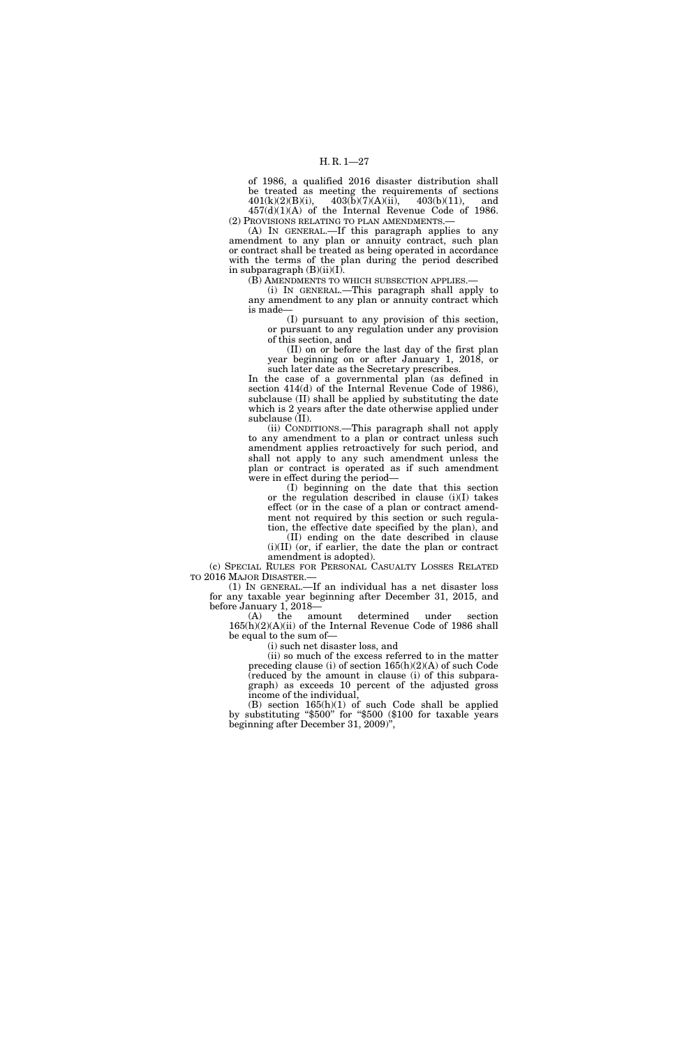of 1986, a qualified 2016 disaster distribution shall be treated as meeting the requirements of sections  $401(k)(2)(B)(i)$ ,  $403(b)(7)(A)(ii)$ ,  $403(b)(11)$ , and  $403(b)(7)(A)(ii)$ ,  $403(b)(11)$ , and 457(d)(1)(A) of the Internal Revenue Code of 1986.

(2) PROVISIONS RELATING TO PLAN AMENDMENTS.— (A) IN GENERAL.—If this paragraph applies to any amendment to any plan or annuity contract, such plan or contract shall be treated as being operated in accordance

with the terms of the plan during the period described in subparagraph  $(B)(ii)(I)$ .

(B) AMENDMENTS TO WHICH SUBSECTION APPLIES.— (i) IN GENERAL.—This paragraph shall apply to any amendment to any plan or annuity contract which

is made— (I) pursuant to any provision of this section, or pursuant to any regulation under any provision of this section, and

(II) on or before the last day of the first plan year beginning on or after January 1, 2018, or such later date as the Secretary prescribes.

In the case of a governmental plan (as defined in section 414(d) of the Internal Revenue Code of 1986), subclause (II) shall be applied by substituting the date which is 2 years after the date otherwise applied under subclause (II).

(ii) CONDITIONS.—This paragraph shall not apply to any amendment to a plan or contract unless such amendment applies retroactively for such period, and shall not apply to any such amendment unless the plan or contract is operated as if such amendment were in effect during the period—

(I) beginning on the date that this section or the regulation described in clause (i)(I) takes effect (or in the case of a plan or contract amendment not required by this section or such regulation, the effective date specified by the plan), and

(II) ending on the date described in clause (i)(II) (or, if earlier, the date the plan or contract amendment is adopted).

(c) SPECIAL RULES FOR PERSONAL CASUALTY LOSSES RELATED TO 2016 MAJOR DISASTER.—

(1) IN GENERAL.—If an individual has a net disaster loss for any taxable year beginning after December 31, 2015, and before January 1, 2018—

(A) the amount determined under section 165(h)(2)(A)(ii) of the Internal Revenue Code of 1986 shall be equal to the sum of—

(i) such net disaster loss, and

(ii) so much of the excess referred to in the matter preceding clause (i) of section 165(h)(2)(A) of such Code (reduced by the amount in clause (i) of this subparagraph) as exceeds 10 percent of the adjusted gross income of the individual,

(B) section 165(h)(1) of such Code shall be applied by substituting ''\$500'' for ''\$500 (\$100 for taxable years beginning after December 31, 2009)'',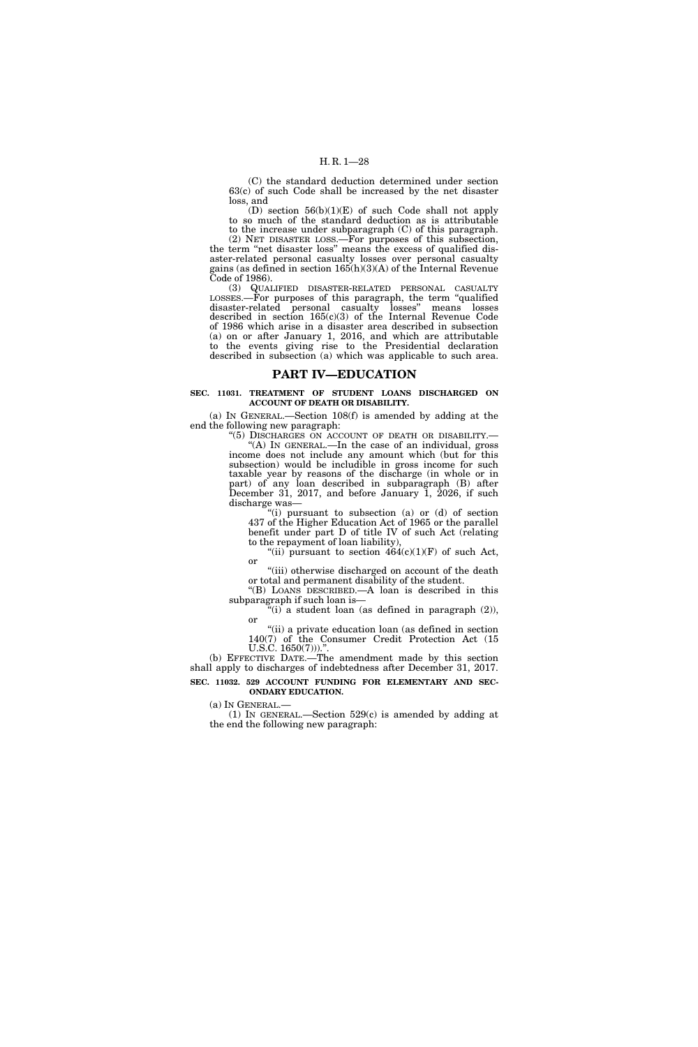# H. R. 1—28

(C) the standard deduction determined under section 63(c) of such Code shall be increased by the net disaster loss, and

(D) section 56(b)(1)(E) of such Code shall not apply to so much of the standard deduction as is attributable to the increase under subparagraph (C) of this paragraph.

(2) NET DISASTER LOSS.—For purposes of this subsection, the term ''net disaster loss'' means the excess of qualified disaster-related personal casualty losses over personal casualty gains (as defined in section 165(h)(3)(A) of the Internal Revenue Code of 1986).

(3) QUALIFIED DISASTER-RELATED PERSONAL CASUALTY LOSSES.—For purposes of this paragraph, the term ''qualified disaster-related personal casualty losses'' means losses described in section 165(c)(3) of the Internal Revenue Code of 1986 which arise in a disaster area described in subsection (a) on or after January 1, 2016, and which are attributable to the events giving rise to the Presidential declaration described in subsection (a) which was applicable to such area.

# **PART IV—EDUCATION**

## **SEC. 11031. TREATMENT OF STUDENT LOANS DISCHARGED ON ACCOUNT OF DEATH OR DISABILITY.**

(a) IN GENERAL.—Section 108(f) is amended by adding at the end the following new paragraph:

> ''(5) DISCHARGES ON ACCOUNT OF DEATH OR DISABILITY.— ''(A) IN GENERAL.—In the case of an individual, gross income does not include any amount which (but for this subsection) would be includible in gross income for such taxable year by reasons of the discharge (in whole or in part) of any loan described in subparagraph (B) after December 31, 2017, and before January 1, 2026, if such discharge was—

''(i) pursuant to subsection (a) or (d) of section 437 of the Higher Education Act of 1965 or the parallel benefit under part D of title IV of such Act (relating to the repayment of loan liability),

'(ii) pursuant to section  $464(c)(1)(F)$  of such Act, or

"(iii) otherwise discharged on account of the death or total and permanent disability of the student.

''(B) LOANS DESCRIBED.—A loan is described in this subparagraph if such loan is—

"(i) a student loan (as defined in paragraph  $(2)$ ), or

''(ii) a private education loan (as defined in section 140(7) of the Consumer Credit Protection Act (15 U.S.C. 1650(7))).".

(b) EFFECTIVE DATE.—The amendment made by this section shall apply to discharges of indebtedness after December 31, 2017. **SEC. 11032. 529 ACCOUNT FUNDING FOR ELEMENTARY AND SEC-ONDARY EDUCATION.** 

(a) IN GENERAL.—

(1) IN GENERAL.—Section 529(c) is amended by adding at the end the following new paragraph: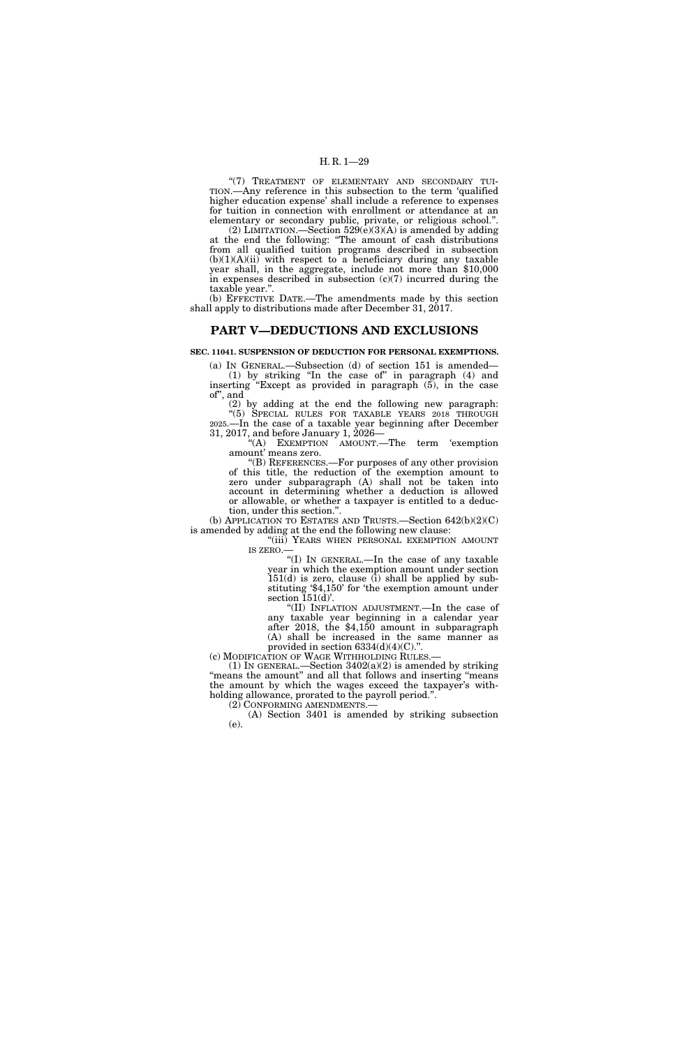# H. R. 1—29

"(7) TREATMENT OF ELEMENTARY AND SECONDARY TUI-TION.—Any reference in this subsection to the term 'qualified higher education expense' shall include a reference to expenses for tuition in connection with enrollment or attendance at an elementary or secondary public, private, or religious school.''.

(2) LIMITATION.—Section  $529(e)(3)(A)$  is amended by adding at the end the following: ''The amount of cash distributions from all qualified tuition programs described in subsection  $(b)(1)(A)(ii)$  with respect to a beneficiary during any taxable year shall, in the aggregate, include not more than \$10,000 in expenses described in subsection  $(c)(7)$  incurred during the taxable year.''.

(b) EFFECTIVE DATE.—The amendments made by this section shall apply to distributions made after December 31, 2017.

# **PART V—DEDUCTIONS AND EXCLUSIONS**

# **SEC. 11041. SUSPENSION OF DEDUCTION FOR PERSONAL EXEMPTIONS.**

(a) IN GENERAL.—Subsection (d) of section 151 is amended— (1) by striking ''In the case of'' in paragraph (4) and inserting ''Except as provided in paragraph (5), in the case of'', and

(2) by adding at the end the following new paragraph: ''(5) SPECIAL RULES FOR TAXABLE YEARS 2018 THROUGH 2025.—In the case of a taxable year beginning after December 31, 2017, and before January 1, 2026—

"(A) EXEMPTION AMOUNT.—The term 'exemption amount' means zero.

''(B) REFERENCES.—For purposes of any other provision of this title, the reduction of the exemption amount to zero under subparagraph (A) shall not be taken into account in determining whether a deduction is allowed or allowable, or whether a taxpayer is entitled to a deduction, under this section.''.

(b) APPLICATION TO ESTATES AND TRUSTS.—Section 642(b)(2)(C) is amended by adding at the end the following new clause:

''(iii) YEARS WHEN PERSONAL EXEMPTION AMOUNT IS ZERO.—

''(I) IN GENERAL.—In the case of any taxable year in which the exemption amount under section 151(d) is zero, clause (i) shall be applied by substituting '\$4,150' for 'the exemption amount under section  $151(d)$ .

''(II) INFLATION ADJUSTMENT.—In the case of any taxable year beginning in a calendar year after 2018, the \$4,150 amount in subparagraph (A) shall be increased in the same manner as provided in section  $6334(d)(4)(C)$ .'

(c) MODIFICATION OF WAGE WITHHOLDING RULES.—

(1) IN GENERAL.—Section  $3402(a)(2)$  is amended by striking "means the amount" and all that follows and inserting "means the amount by which the wages exceed the taxpayer's withholding allowance, prorated to the payroll period.''.

(2) CONFORMING AMENDMENTS.—

(A) Section 3401 is amended by striking subsection (e).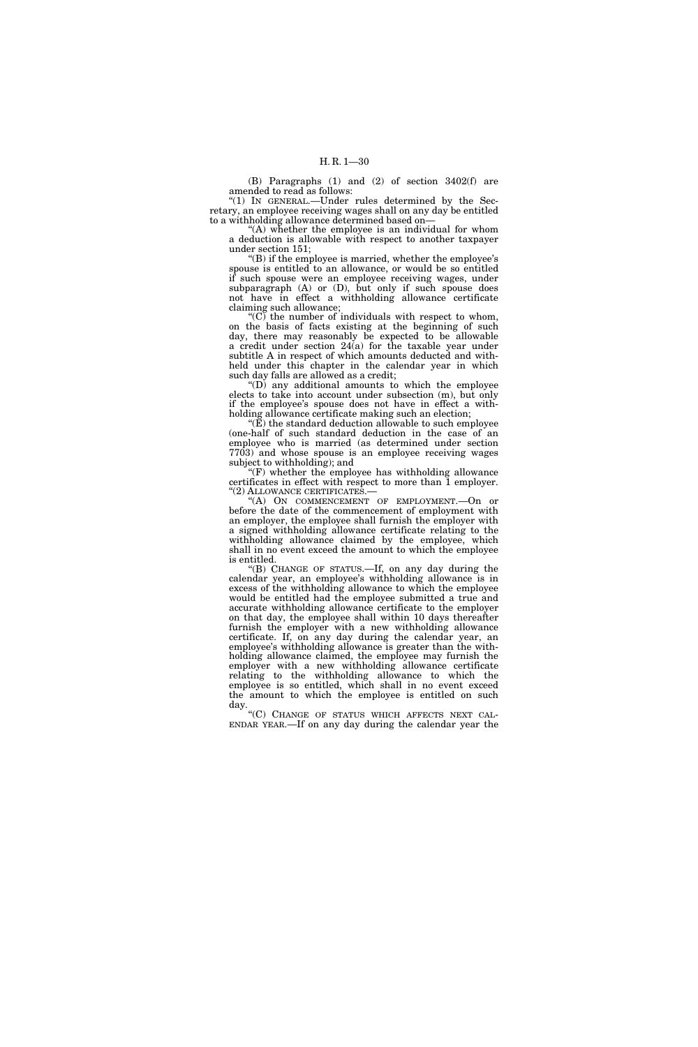(B) Paragraphs (1) and (2) of section 3402(f) are amended to read as follows:

''(1) IN GENERAL.—Under rules determined by the Secretary, an employee receiving wages shall on any day be entitled to a withholding allowance determined based on—

"(A) whether the employee is an individual for whom a deduction is allowable with respect to another taxpayer under section 151;

''(B) if the employee is married, whether the employee's spouse is entitled to an allowance, or would be so entitled if such spouse were an employee receiving wages, under subparagraph (A) or (D), but only if such spouse does not have in effect a withholding allowance certificate claiming such allowance;

" $(C)$  the number of individuals with respect to whom, on the basis of facts existing at the beginning of such day, there may reasonably be expected to be allowable a credit under section 24(a) for the taxable year under subtitle A in respect of which amounts deducted and withheld under this chapter in the calendar year in which such day falls are allowed as a credit;

 $f(D)$  any additional amounts to which the employee elects to take into account under subsection (m), but only if the employee's spouse does not have in effect a withholding allowance certificate making such an election;

 $(E)$  the standard deduction allowable to such employee (one-half of such standard deduction in the case of an employee who is married (as determined under section 7703) and whose spouse is an employee receiving wages subject to withholding); and

 $f(F)$  whether the employee has withholding allowance certificates in effect with respect to more than 1 employer. ''(2) ALLOWANCE CERTIFICATES.—

''(A) ON COMMENCEMENT OF EMPLOYMENT.—On or before the date of the commencement of employment with an employer, the employee shall furnish the employer with a signed withholding allowance certificate relating to the withholding allowance claimed by the employee, which shall in no event exceed the amount to which the employee is entitled.

''(B) CHANGE OF STATUS.—If, on any day during the calendar year, an employee's withholding allowance is in excess of the withholding allowance to which the employee would be entitled had the employee submitted a true and accurate withholding allowance certificate to the employer on that day, the employee shall within 10 days thereafter furnish the employer with a new withholding allowance certificate. If, on any day during the calendar year, an employee's withholding allowance is greater than the withholding allowance claimed, the employee may furnish the employer with a new withholding allowance certificate relating to the withholding allowance to which the employee is so entitled, which shall in no event exceed the amount to which the employee is entitled on such day.

''(C) CHANGE OF STATUS WHICH AFFECTS NEXT CAL- ENDAR YEAR.—If on any day during the calendar year the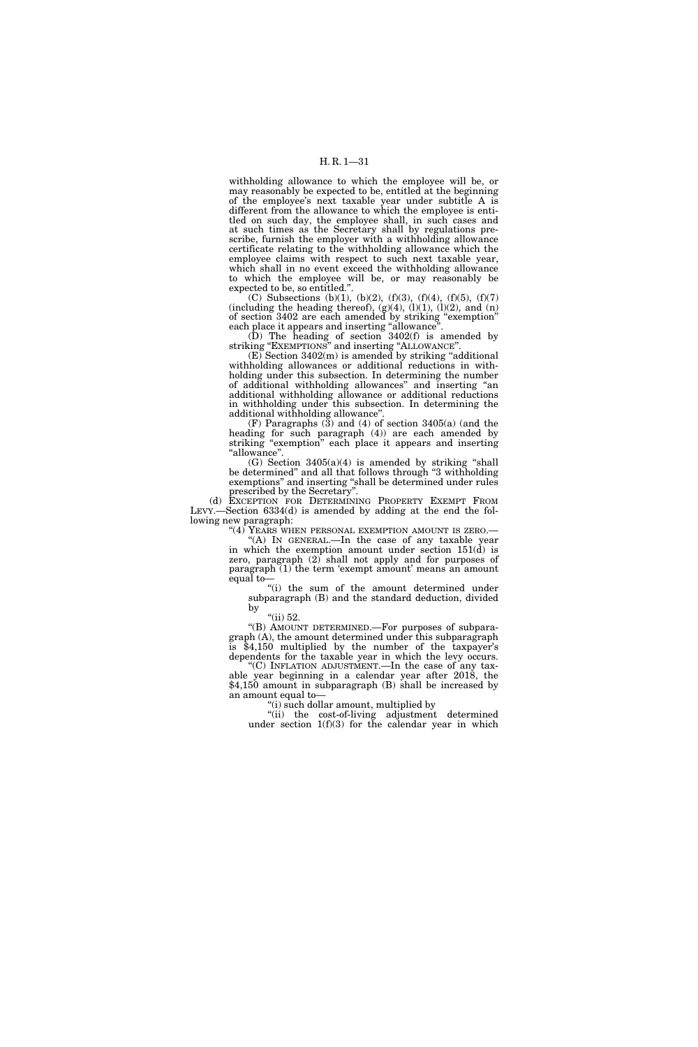withholding allowance to which the employee will be, or may reasonably be expected to be, entitled at the beginning of the employee's next taxable year under subtitle A is different from the allowance to which the employee is entitled on such day, the employee shall, in such cases and at such times as the Secretary shall by regulations prescribe, furnish the employer with a withholding allowance certificate relating to the withholding allowance which the employee claims with respect to such next taxable year, which shall in no event exceed the withholding allowance to which the employee will be, or may reasonably be expected to be, so entitled.''.

(C) Subsections (b)(1), (b)(2), (f)(3), (f)(4), (f)(5), (f)(7) (including the heading thereof),  $(g)(4)$ ,  $(l)(1)$ ,  $(l)(2)$ , and  $(n)$ of section 3402 are each amended by striking ''exemption'' each place it appears and inserting "allowance".

(D) The heading of section 3402(f) is amended by striking ''EXEMPTIONS'' and inserting ''ALLOWANCE''.

(E) Section 3402(m) is amended by striking ''additional withholding allowances or additional reductions in withholding under this subsection. In determining the number of additional withholding allowances'' and inserting ''an additional withholding allowance or additional reductions in withholding under this subsection. In determining the additional withholding allowance''.

(F) Paragraphs (3) and (4) of section 3405(a) (and the heading for such paragraph (4)) are each amended by striking "exemption" each place it appears and inserting ''allowance''.

 $(G)$  Section 3405 $(a)(4)$  is amended by striking "shall be determined'' and all that follows through ''3 withholding exemptions'' and inserting ''shall be determined under rules prescribed by the Secretary''.

(d) EXCEPTION FOR DETERMINING PROPERTY EXEMPT FROM LEVY.—Section 6334(d) is amended by adding at the end the following new paragraph:

''(4) YEARS WHEN PERSONAL EXEMPTION AMOUNT IS ZERO.— ''(A) IN GENERAL.—In the case of any taxable year in which the exemption amount under section  $151(\dot{d})$  is zero, paragraph (2) shall not apply and for purposes of paragraph (1) the term 'exempt amount' means an amount equal to—

''(i) the sum of the amount determined under subparagraph (B) and the standard deduction, divided by

''(ii) 52.

''(B) AMOUNT DETERMINED.—For purposes of subparagraph (A), the amount determined under this subparagraph is \$4,150 multiplied by the number of the taxpayer's dependents for the taxable year in which the levy occurs.

"(C) INFLATION ADJUSTMENT.—In the case of any taxable year beginning in a calendar year after 2018, the \$4,150 amount in subparagraph (B) shall be increased by an amount equal to—

''(i) such dollar amount, multiplied by

''(ii) the cost-of-living adjustment determined under section  $1(f)(3)$  for the calendar year in which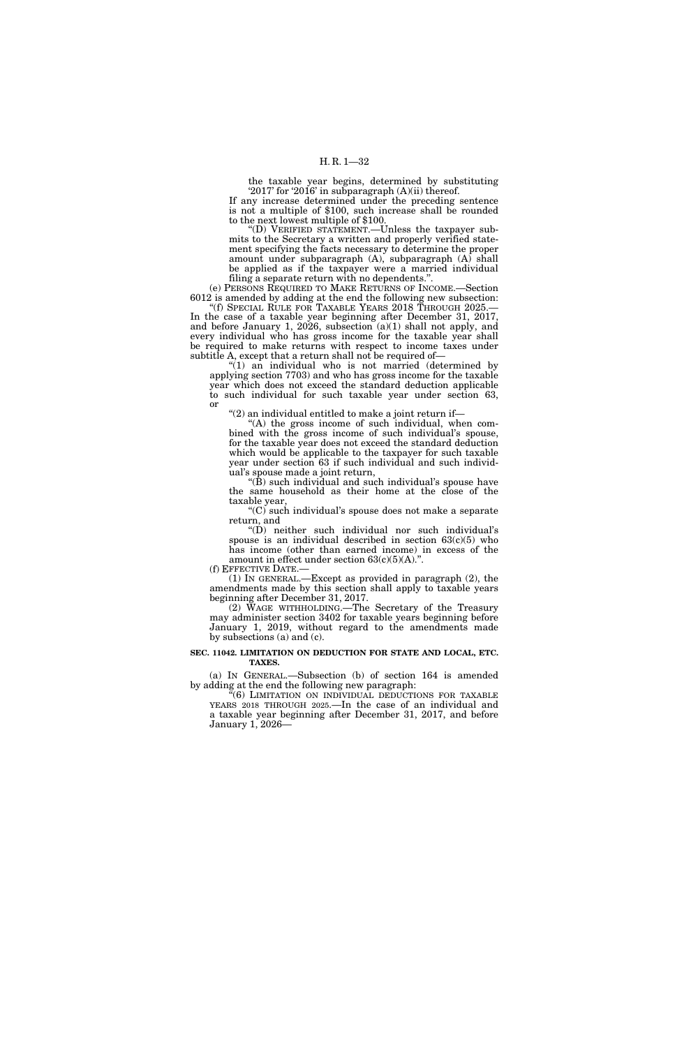the taxable year begins, determined by substituting '2017' for '2016' in subparagraph (A)(ii) thereof. If any increase determined under the preceding sentence

is not a multiple of \$100, such increase shall be rounded to the next lowest multiple of \$100.

''(D) VERIFIED STATEMENT.—Unless the taxpayer submits to the Secretary a written and properly verified statement specifying the facts necessary to determine the proper amount under subparagraph (A), subparagraph (A) shall be applied as if the taxpayer were a married individual filing a separate return with no dependents.''.

(e) PERSONS REQUIRED TO MAKE RETURNS OF INCOME.—Section 6012 is amended by adding at the end the following new subsection: ''(f) SPECIAL RULE FOR TAXABLE YEARS 2018 THROUGH 2025.— In the case of a taxable year beginning after December 31, 2017, and before January 1, 2026, subsection (a)(1) shall not apply, and every individual who has gross income for the taxable year shall be required to make returns with respect to income taxes under subtitle A, except that a return shall not be required of—

''(1) an individual who is not married (determined by applying section 7703) and who has gross income for the taxable year which does not exceed the standard deduction applicable to such individual for such taxable year under section 63, or

''(2) an individual entitled to make a joint return if—

 $(A)$  the gross income of such individual, when combined with the gross income of such individual's spouse, for the taxable year does not exceed the standard deduction which would be applicable to the taxpayer for such taxable year under section 63 if such individual and such individual's spouse made a joint return,

''(B) such individual and such individual's spouse have the same household as their home at the close of the taxable year,

''(C) such individual's spouse does not make a separate return, and

 $f'(D)$  neither such individual nor such individual's spouse is an individual described in section  $63(c)(5)$  who has income (other than earned income) in excess of the amount in effect under section  $63(c)(5)(A)$ .".

(f) EFFECTIVE DATE.—

(1) IN GENERAL.—Except as provided in paragraph (2), the amendments made by this section shall apply to taxable years beginning after December 31, 2017.

(2) WAGE WITHHOLDING.—The Secretary of the Treasury may administer section 3402 for taxable years beginning before January 1, 2019, without regard to the amendments made by subsections (a) and (c).

## **SEC. 11042. LIMITATION ON DEDUCTION FOR STATE AND LOCAL, ETC. TAXES.**

(a) IN GENERAL.—Subsection (b) of section 164 is amended by adding at the end the following new paragraph:

"(6) LIMITATION ON INDIVIDUAL DEDUCTIONS FOR TAXABLE YEARS 2018 THROUGH 2025.—In the case of an individual and a taxable year beginning after December 31, 2017, and before January 1, 2026—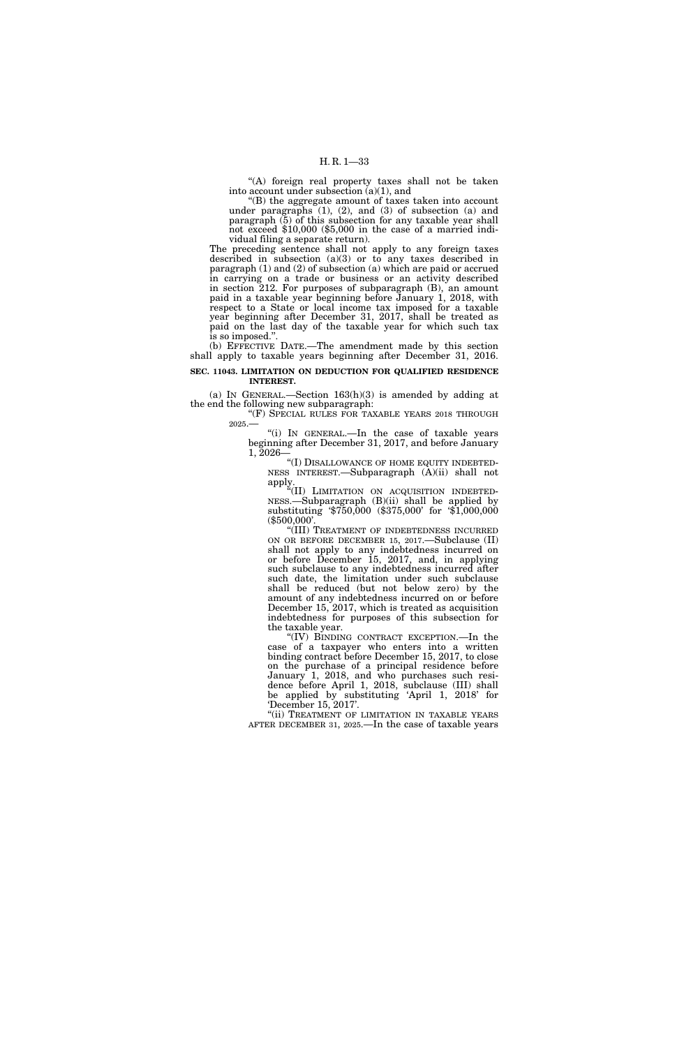"(A) foreign real property taxes shall not be taken into account under subsection  $(a)(1)$ , and

''(B) the aggregate amount of taxes taken into account under paragraphs  $(1)$ ,  $(2)$ , and  $(3)$  of subsection  $(a)$  and paragraph (5) of this subsection for any taxable year shall not exceed \$10,000 (\$5,000 in the case of a married individual filing a separate return).

The preceding sentence shall not apply to any foreign taxes described in subsection (a)(3) or to any taxes described in paragraph (1) and (2) of subsection (a) which are paid or accrued in carrying on a trade or business or an activity described in section 212. For purposes of subparagraph (B), an amount paid in a taxable year beginning before January 1, 2018, with respect to a State or local income tax imposed for a taxable year beginning after December 31, 2017, shall be treated as paid on the last day of the taxable year for which such tax is so imposed.''.

(b) EFFECTIVE DATE.—The amendment made by this section shall apply to taxable years beginning after December 31, 2016.

**SEC. 11043. LIMITATION ON DEDUCTION FOR QUALIFIED RESIDENCE INTEREST.** 

(a) IN GENERAL.—Section  $163(h)(3)$  is amended by adding at the end the following new subparagraph:

"(F) SPECIAL RULES FOR TAXABLE YEARS 2018 THROUGH 2025.—

''(i) IN GENERAL.—In the case of taxable years beginning after December 31, 2017, and before January 1, 2026—

"(I) DISALLOWANCE OF HOME EQUITY INDEBTED-NESS INTEREST.—Subparagraph (A)(ii) shall not apply.

''(II) LIMITATION ON ACQUISITION INDEBTED-NESS.—Subparagraph (B)(ii) shall be applied by substituting '\$750,000 (\$375,000' for '\$1,000,000 (\$500,000'.

''(III) TREATMENT OF INDEBTEDNESS INCURRED ON OR BEFORE DECEMBER 15, 2017.—Subclause (II) shall not apply to any indebtedness incurred on or before December 15, 2017, and, in applying such subclause to any indebtedness incurred after such date, the limitation under such subclause shall be reduced (but not below zero) by the amount of any indebtedness incurred on or before December 15, 2017, which is treated as acquisition indebtedness for purposes of this subsection for the taxable year.

''(IV) BINDING CONTRACT EXCEPTION.—In the case of a taxpayer who enters into a written binding contract before December 15, 2017, to close on the purchase of a principal residence before January 1, 2018, and who purchases such residence before April 1, 2018, subclause (III) shall be applied by substituting 'April 1, 2018' for 'December 15, 2017'.

"(ii) TREATMENT OF LIMITATION IN TAXABLE YEARS AFTER DECEMBER 31, 2025.—In the case of taxable years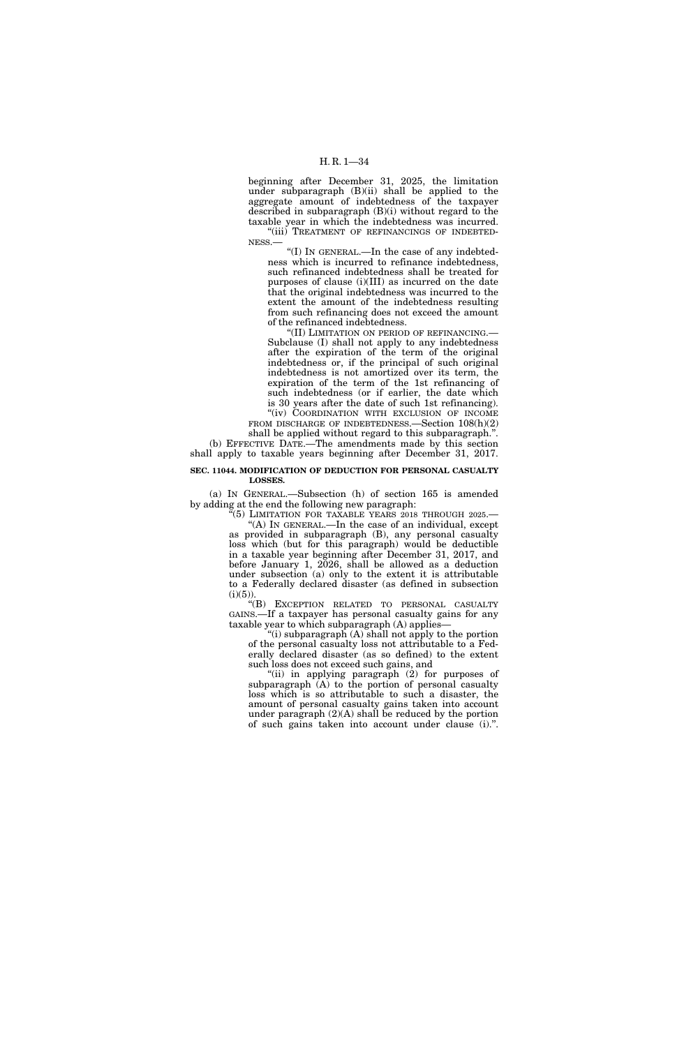beginning after December 31, 2025, the limitation under subparagraph (B)(ii) shall be applied to the aggregate amount of indebtedness of the taxpayer described in subparagraph (B)(i) without regard to the taxable year in which the indebtedness was incurred. "(iii) TREATMENT OF REFINANCINGS OF INDEBTED-

NESS.— ''(I) IN GENERAL.—In the case of any indebtedness which is incurred to refinance indebtedness, such refinanced indebtedness shall be treated for purposes of clause (i)(III) as incurred on the date that the original indebtedness was incurred to the

extent the amount of the indebtedness resulting from such refinancing does not exceed the amount of the refinanced indebtedness.

''(II) LIMITATION ON PERIOD OF REFINANCING.— Subclause (I) shall not apply to any indebtedness after the expiration of the term of the original indebtedness or, if the principal of such original indebtedness is not amortized over its term, the expiration of the term of the 1st refinancing of such indebtedness (or if earlier, the date which is 30 years after the date of such 1st refinancing). "(iv) COORDINATION WITH EXCLUSION OF INCOME

FROM DISCHARGE OF INDEBTEDNESS.—Section 108(h)(2) shall be applied without regard to this subparagraph.''.

(b) EFFECTIVE DATE.—The amendments made by this section shall apply to taxable years beginning after December 31, 2017.

## **SEC. 11044. MODIFICATION OF DEDUCTION FOR PERSONAL CASUALTY LOSSES.**

(a) IN GENERAL.—Subsection (h) of section 165 is amended by adding at the end the following new paragraph:

 $\frac{1}{10}$ (5) LIMITATION FOR TAXABLE YEARS 2018 THROUGH 2025. ''(A) IN GENERAL.—In the case of an individual, except as provided in subparagraph (B), any personal casualty loss which (but for this paragraph) would be deductible in a taxable year beginning after December 31, 2017, and before January 1, 2026, shall be allowed as a deduction under subsection (a) only to the extent it is attributable to a Federally declared disaster (as defined in subsection  $(i)(5)$ ).

''(B) EXCEPTION RELATED TO PERSONAL CASUALTY GAINS.—If a taxpayer has personal casualty gains for any taxable year to which subparagraph (A) applies—

''(i) subparagraph (A) shall not apply to the portion of the personal casualty loss not attributable to a Federally declared disaster (as so defined) to the extent such loss does not exceed such gains, and

"(ii) in applying paragraph (2) for purposes of subparagraph  $(A)$  to the portion of personal casualty loss which is so attributable to such a disaster, the amount of personal casualty gains taken into account under paragraph  $(2)(A)$  shall be reduced by the portion of such gains taken into account under clause (i).''.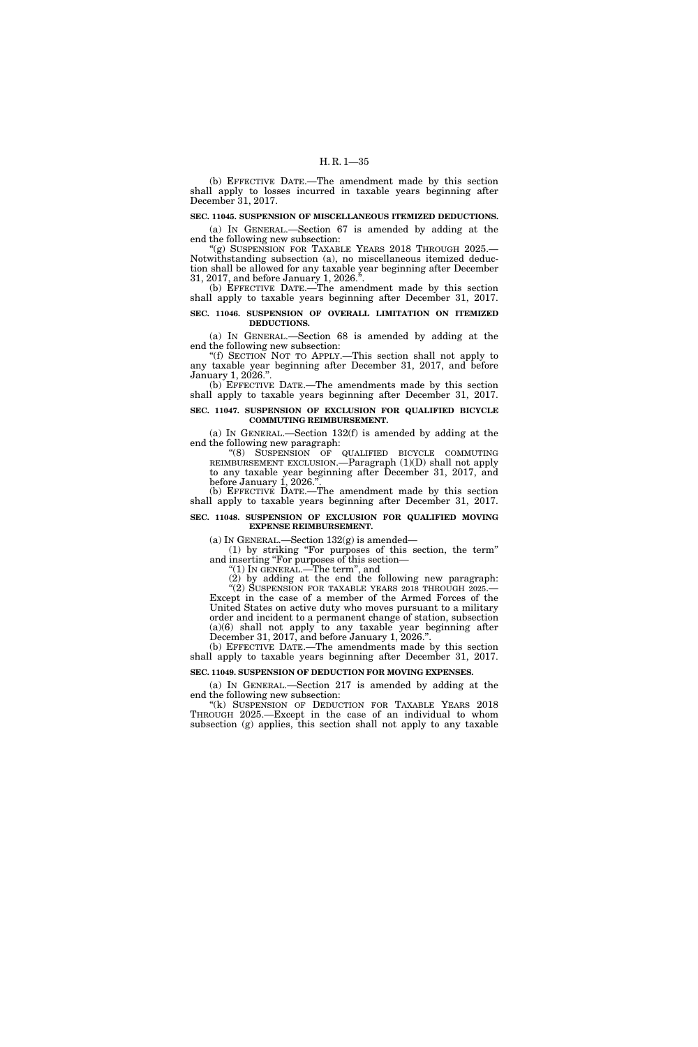(b) EFFECTIVE DATE.—The amendment made by this section shall apply to losses incurred in taxable years beginning after December 31, 2017.

# **SEC. 11045. SUSPENSION OF MISCELLANEOUS ITEMIZED DEDUCTIONS.**

(a) IN GENERAL.—Section 67 is amended by adding at the end the following new subsection:

"(g) SUSPENSION FOR TAXABLE YEARS 2018 THROUGH 2025. Notwithstanding subsection (a), no miscellaneous itemized deduction shall be allowed for any taxable year beginning after December 31, 2017, and before January 1, 2026.'

(b) EFFECTIVE DATE.—The amendment made by this section shall apply to taxable years beginning after December 31, 2017.

## **SEC. 11046. SUSPENSION OF OVERALL LIMITATION ON ITEMIZED DEDUCTIONS.**

(a) IN GENERAL.—Section 68 is amended by adding at the end the following new subsection:

''(f) SECTION NOT TO APPLY.—This section shall not apply to any taxable year beginning after December 31, 2017, and before January 1, 2026.''.

(b) EFFECTIVE DATE.—The amendments made by this section shall apply to taxable years beginning after December 31, 2017.

# **SEC. 11047. SUSPENSION OF EXCLUSION FOR QUALIFIED BICYCLE COMMUTING REIMBURSEMENT.**

(a) IN GENERAL.—Section 132(f) is amended by adding at the end the following new paragraph:

''(8) SUSPENSION OF QUALIFIED BICYCLE COMMUTING REIMBURSEMENT EXCLUSION.—Paragraph (1)(D) shall not apply to any taxable year beginning after December 31, 2017, and before January 1, 2026.

(b) EFFECTIVE DATE.—The amendment made by this section shall apply to taxable years beginning after December 31, 2017.

### **SEC. 11048. SUSPENSION OF EXCLUSION FOR QUALIFIED MOVING EXPENSE REIMBURSEMENT.**

(a) IN GENERAL.—Section  $132(g)$  is amended—

(1) by striking ''For purposes of this section, the term'' and inserting ''For purposes of this section—

''(1) IN GENERAL.—The term'', and

(2) by adding at the end the following new paragraph: "(2) SUSPENSION FOR TAXABLE YEARS 2018 THROUGH 2025.-Except in the case of a member of the Armed Forces of the United States on active duty who moves pursuant to a military order and incident to a permanent change of station, subsection (a)(6) shall not apply to any taxable year beginning after December 31, 2017, and before January 1, 2026.''.

(b) EFFECTIVE DATE.—The amendments made by this section shall apply to taxable years beginning after December 31, 2017.

# **SEC. 11049. SUSPENSION OF DEDUCTION FOR MOVING EXPENSES.**

(a) IN GENERAL.—Section 217 is amended by adding at the end the following new subsection:

"(k) SUSPENSION OF DEDUCTION FOR TAXABLE YEARS 2018 THROUGH 2025.—Except in the case of an individual to whom subsection (g) applies, this section shall not apply to any taxable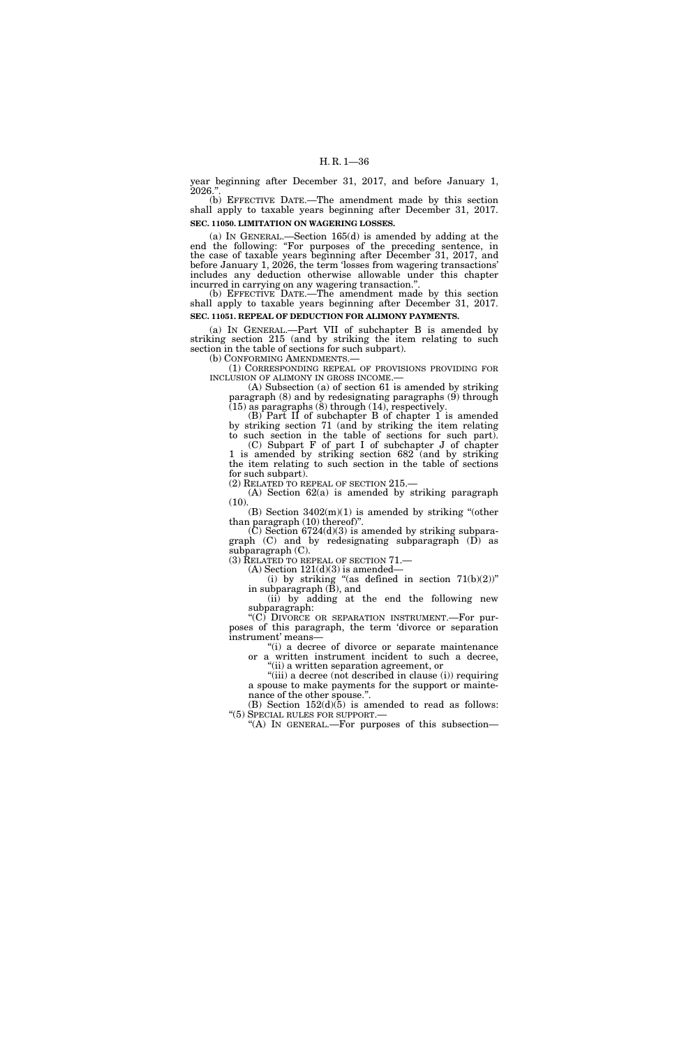year beginning after December 31, 2017, and before January 1, 2026.''.

(b) EFFECTIVE DATE.—The amendment made by this section shall apply to taxable years beginning after December 31, 2017. **SEC. 11050. LIMITATION ON WAGERING LOSSES.** 

(a) IN GENERAL.—Section 165(d) is amended by adding at the end the following: "For purposes of the preceding sentence, in the case of taxable years beginning after December 31, 2017, and before January 1, 2026, the term 'losses from wagering transactions' includes any deduction otherwise allowable under this chapter incurred in carrying on any wagering transaction.''.

(b) EFFECTIVE DATE.—The amendment made by this section shall apply to taxable years beginning after December 31, 2017. **SEC. 11051. REPEAL OF DEDUCTION FOR ALIMONY PAYMENTS.** 

(a) IN GENERAL.—Part VII of subchapter B is amended by striking section 215 (and by striking the item relating to such section in the table of sections for such subpart).<br>(b) CONFORMING AMENDMENTS.—

(1) CORRESPONDING REPEAL OF PROVISIONS PROVIDING FOR INCLUSION OF ALIMONY IN GROSS INCOME.—

 $(A)$  Subsection  $(a)$  of section 61 is amended by striking paragraph (8) and by redesignating paragraphs (9) through (15) as paragraphs (8) through (14), respectively.

(B) Part II of subchapter B of chapter 1 is amended by striking section 71 (and by striking the item relating to such section in the table of sections for such part).

(C) Subpart F of part I of subchapter J of chapter 1 is amended by striking section 682 (and by striking the item relating to such section in the table of sections for such subpart).

(2) RELATED TO REPEAL OF SECTION 215.—

(A) Section 62(a) is amended by striking paragraph  $(10).$ 

(B) Section  $3402(m)(1)$  is amended by striking "(other than paragraph (10) thereof)''.

 $(C)$  Section 6724 $(d)(3)$  is amended by striking subparagraph (C) and by redesignating subparagraph (D) as subparagraph (C).

(3) RELATED TO REPEAL OF SECTION 71.—

 $(A)$  Section  $121(d)(3)$  is amended—

(i) by striking "(as defined in section  $71(b)(2)$ " in subparagraph (B), and

(ii) by adding at the end the following new subparagraph:

''(C) DIVORCE OR SEPARATION INSTRUMENT.—For purposes of this paragraph, the term 'divorce or separation instrument' means—

"(i) a decree of divorce or separate maintenance or a written instrument incident to such a decree, ''(ii) a written separation agreement, or

"(iii) a decree (not described in clause (i)) requiring a spouse to make payments for the support or maintenance of the other spouse.''.

(B) Section  $152(d)(5)$  is amended to read as follows: ''(5) SPECIAL RULES FOR SUPPORT.—

"(A) IN GENERAL.—For purposes of this subsection—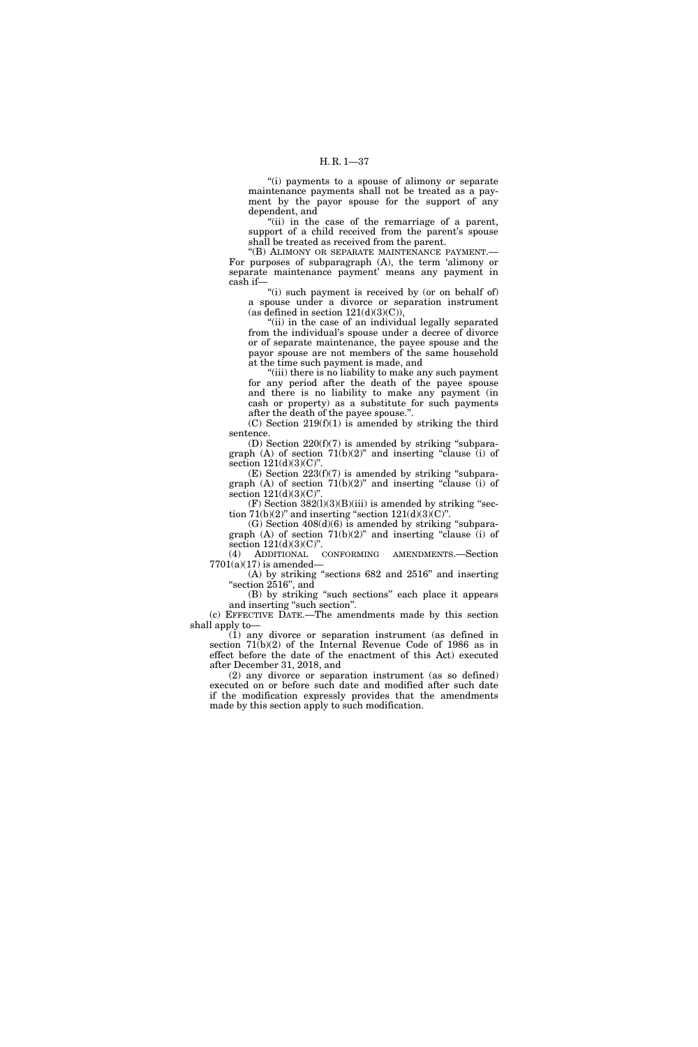"(i) payments to a spouse of alimony or separate maintenance payments shall not be treated as a payment by the payor spouse for the support of any dependent, and

"(ii) in the case of the remarriage of a parent, support of a child received from the parent's spouse shall be treated as received from the parent.

''(B) ALIMONY OR SEPARATE MAINTENANCE PAYMENT.— For purposes of subparagraph (A), the term 'alimony or separate maintenance payment' means any payment in cash if—

"(i) such payment is received by (or on behalf of) a spouse under a divorce or separation instrument (as defined in section  $121(d)(3)(C)$ ),

"(ii) in the case of an individual legally separated from the individual's spouse under a decree of divorce or of separate maintenance, the payee spouse and the payor spouse are not members of the same household at the time such payment is made, and

''(iii) there is no liability to make any such payment for any period after the death of the payee spouse and there is no liability to make any payment (in cash or property) as a substitute for such payments after the death of the payee spouse.''.

 $(C)$  Section 219 $(f)(1)$  is amended by striking the third sentence.

(D) Section 220(f)(7) is amended by striking ''subparagraph (A) of section  $71(b)(2)$ " and inserting "clause (i) of section  $121(d)(3)(C)$ ".

 $(E)$  Section 223(f)(7) is amended by striking "subparagraph  $(A)$  of section  $71(b)(2)$ " and inserting "clause (i) of section  $121(d)(3)(C)'$ 

(F) Section  $382(1)(3)(B)(iii)$  is amended by striking "section  $71(b)(2)$ " and inserting "section  $121(d)(3)(C)$ ".

(G) Section  $408(d)(6)$  is amended by striking "subparagraph (A) of section  $71(b)(2)$ " and inserting "clause (i) of section  $121(d)(3)(C)$ ".

(4) ADDITIONAL CONFORMING AMENDMENTS.—Section  $7701(a)(17)$  is amended-

(A) by striking ''sections 682 and 2516'' and inserting ''section 2516'', and

(B) by striking ''such sections'' each place it appears and inserting "such section".

(c) EFFECTIVE DATE.—The amendments made by this section shall apply to—

(1) any divorce or separation instrument (as defined in section 71(b)(2) of the Internal Revenue Code of 1986 as in effect before the date of the enactment of this Act) executed after December 31, 2018, and

(2) any divorce or separation instrument (as so defined) executed on or before such date and modified after such date if the modification expressly provides that the amendments made by this section apply to such modification.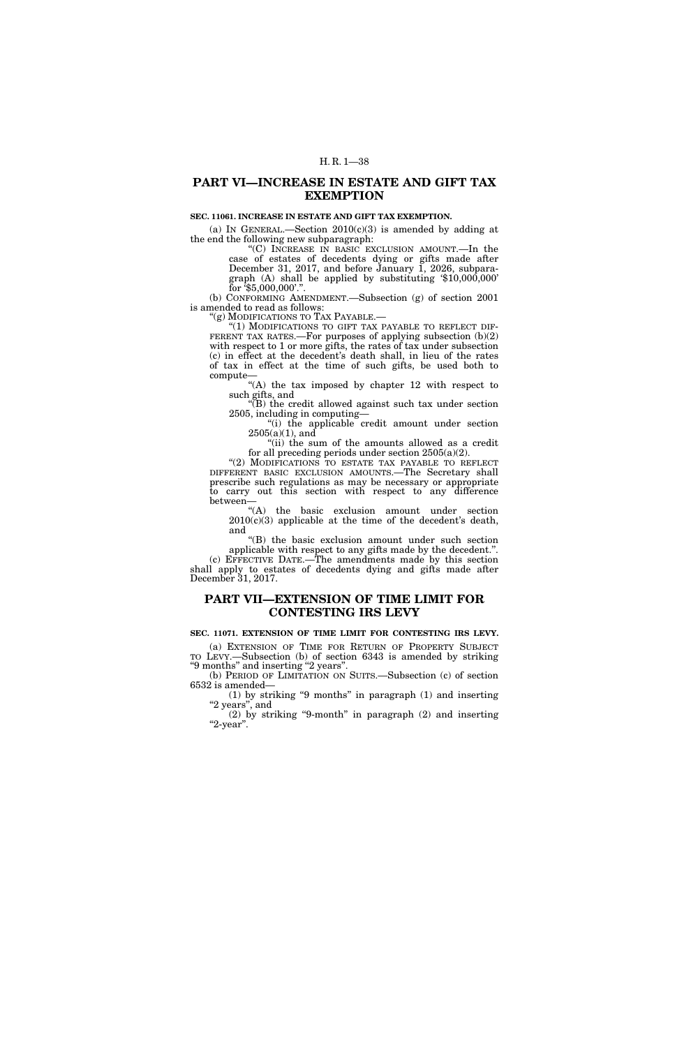# **PART VI—INCREASE IN ESTATE AND GIFT TAX EXEMPTION**

# **SEC. 11061. INCREASE IN ESTATE AND GIFT TAX EXEMPTION.**

(a) IN GENERAL.—Section  $2010(c)(3)$  is amended by adding at the end the following new subparagraph:

''(C) INCREASE IN BASIC EXCLUSION AMOUNT.—In the case of estates of decedents dying or gifts made after December 31, 2017, and before January 1, 2026, subparagraph (A) shall be applied by substituting '\$10,000,000' for  $\sqrt[5]{5,000,000}$ .".

(b) CONFORMING AMENDMENT.—Subsection (g) of section 2001 is amended to read as follows:

"(g) MODIFICATIONS TO TAX PAYABLE.—<br>"(1) MODIFICATIONS TO GIFT TAX PAYABLE TO REFLECT DIF-FERENT TAX RATES.—For purposes of applying subsection  $(b)(2)$ with respect to 1 or more gifts, the rates of tax under subsection (c) in effect at the decedent's death shall, in lieu of the rates of tax in effect at the time of such gifts, be used both to compute—

"(A) the tax imposed by chapter 12 with respect to such gifts, and

''(B) the credit allowed against such tax under section 2505, including in computing—

''(i) the applicable credit amount under section  $2505(a)(1)$ , and

"(ii) the sum of the amounts allowed as a credit for all preceding periods under section 2505(a)(2).

"(2) MODIFICATIONS TO ESTATE TAX PAYABLE TO REFLECT DIFFERENT BASIC EXCLUSION AMOUNTS.—The Secretary shall prescribe such regulations as may be necessary or appropriate to carry out this section with respect to any difference between—

''(A) the basic exclusion amount under section  $2010(c)(3)$  applicable at the time of the decedent's death, and

''(B) the basic exclusion amount under such section applicable with respect to any gifts made by the decedent.''. (c) EFFECTIVE DATE.—The amendments made by this section shall apply to estates of decedents dying and gifts made after December 31, 2017.

# **PART VII—EXTENSION OF TIME LIMIT FOR CONTESTING IRS LEVY**

**SEC. 11071. EXTENSION OF TIME LIMIT FOR CONTESTING IRS LEVY.** 

(a) EXTENSION OF TIME FOR RETURN OF PROPERTY SUBJECT TO LEVY.—Subsection (b) of section 6343 is amended by striking ''9 months'' and inserting ''2 years''.

(b) PERIOD OF LIMITATION ON SUITS.—Subsection (c) of section 6532 is amended—

 $(1)$  by striking "9 months" in paragraph  $(1)$  and inserting  $^{\rm o}2$  years", and

(2) by striking ''9-month'' in paragraph (2) and inserting ''2-year''.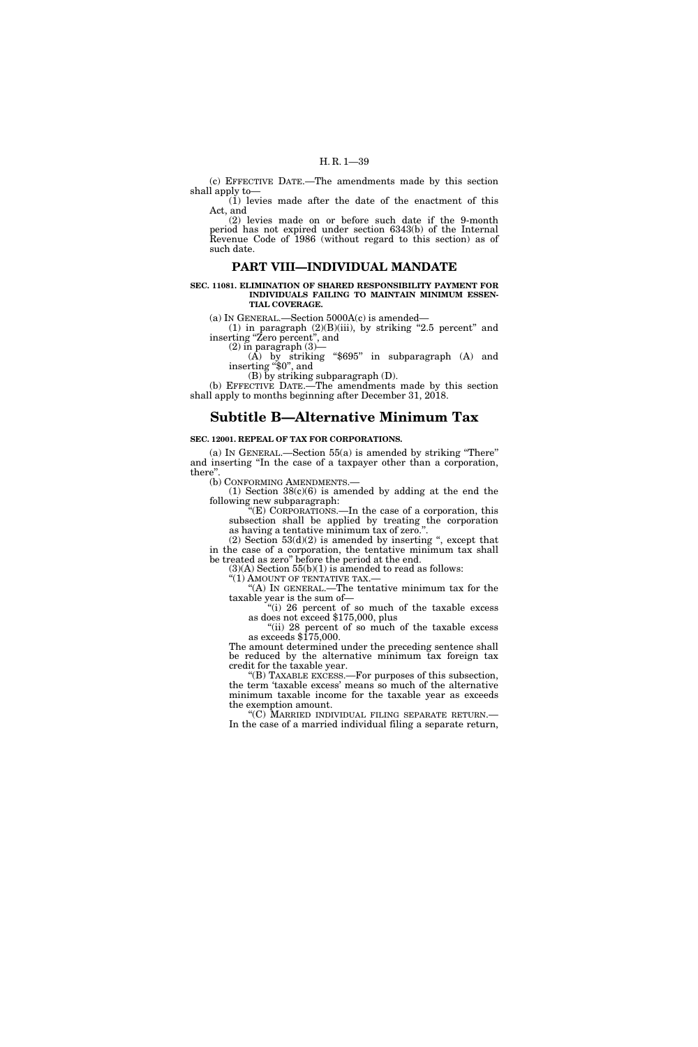(c) EFFECTIVE DATE.—The amendments made by this section shall apply to—

(1) levies made after the date of the enactment of this Act, and

(2) levies made on or before such date if the 9-month period has not expired under section 6343(b) of the Internal Revenue Code of 1986 (without regard to this section) as of such date.

## **PART VIII—INDIVIDUAL MANDATE**

#### **SEC. 11081. ELIMINATION OF SHARED RESPONSIBILITY PAYMENT FOR INDIVIDUALS FAILING TO MAINTAIN MINIMUM ESSEN-TIAL COVERAGE.**

(a) IN GENERAL.—Section 5000A(c) is amended—

(1) in paragraph  $(2)(B)(iii)$ , by striking "2.5 percent" and inserting ''Zero percent'', and

 $(2)$  in paragraph  $(3)$ —

(A) by striking ''\$695'' in subparagraph (A) and inserting ''\$0'', and

(B) by striking subparagraph (D).

(b) EFFECTIVE DATE.—The amendments made by this section shall apply to months beginning after December 31, 2018.

## **Subtitle B—Alternative Minimum Tax**

## **SEC. 12001. REPEAL OF TAX FOR CORPORATIONS.**

(a) IN GENERAL.—Section 55(a) is amended by striking ''There'' and inserting ''In the case of a taxpayer other than a corporation, there''.

(b) CONFORMING AMENDMENTS.—

(1) Section 38(c)(6) is amended by adding at the end the following new subparagraph:

''(E) CORPORATIONS.—In the case of a corporation, this subsection shall be applied by treating the corporation as having a tentative minimum tax of zero.''.

 $(2)$  Section  $53(d)(2)$  is amended by inserting ", except that in the case of a corporation, the tentative minimum tax shall be treated as zero'' before the period at the end.

 $(3)(A)$  Section 55(b)(1) is amended to read as follows:

"(1) AMOUNT OF TENTATIVE TAX.-

'(A) In GENERAL.—The tentative minimum tax for the taxable year is the sum of—

''(i) 26 percent of so much of the taxable excess as does not exceed \$175,000, plus

''(ii) 28 percent of so much of the taxable excess as exceeds  $$175,000$ .

The amount determined under the preceding sentence shall be reduced by the alternative minimum tax foreign tax credit for the taxable year.

''(B) TAXABLE EXCESS.—For purposes of this subsection, the term 'taxable excess' means so much of the alternative minimum taxable income for the taxable year as exceeds the exemption amount.

''(C) MARRIED INDIVIDUAL FILING SEPARATE RETURN.— In the case of a married individual filing a separate return,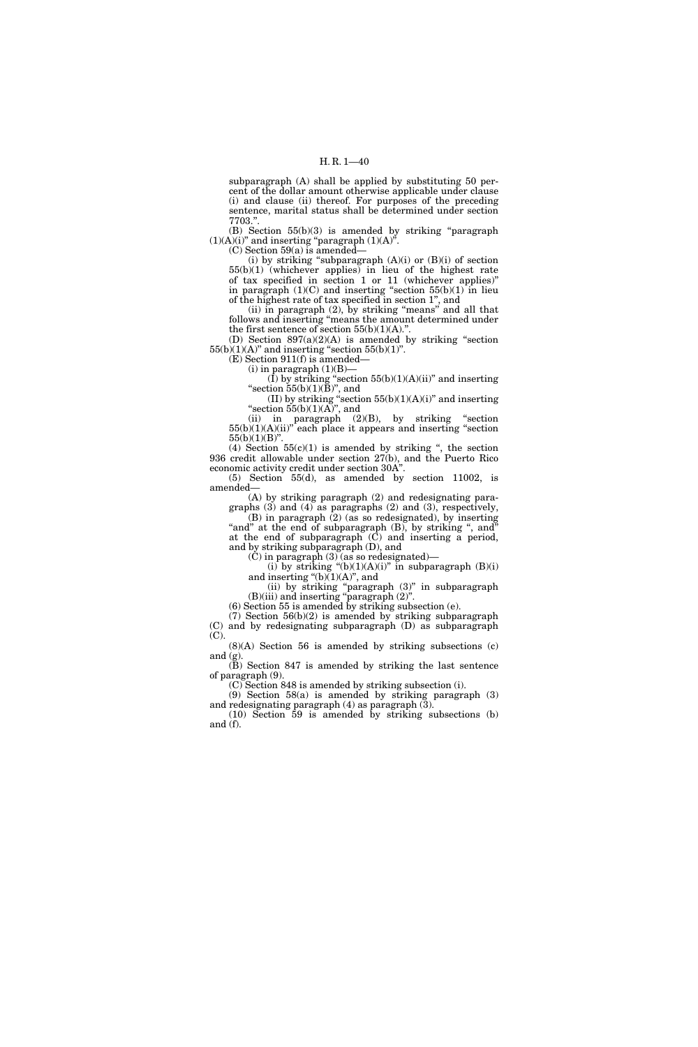subparagraph (A) shall be applied by substituting 50 percent of the dollar amount otherwise applicable under clause (i) and clause (ii) thereof. For purposes of the preceding sentence, marital status shall be determined under section 7703.''.

(B) Section 55(b)(3) is amended by striking ''paragraph  $(1)(A)(i)$ " and inserting "paragraph  $(1)(A)$ ".

(C) Section 59(a) is amended—

(i) by striking "subparagraph  $(A)(i)$  or  $(B)(i)$  of section 55(b)(1) (whichever applies) in lieu of the highest rate of tax specified in section 1 or 11 (whichever applies)'' in paragraph  $(1)(C)$  and inserting "section  $55(b)(1)$  in lieu of the highest rate of tax specified in section 1'', and

(ii) in paragraph (2), by striking ''means'' and all that follows and inserting ''means the amount determined under the first sentence of section  $55(b)(1)(A)$ .".

(D) Section  $897(a)(2)(A)$  is amended by striking "section  $55(b)(1)(A)$ " and inserting "section  $55(b)(1)$ ".

(E) Section 911(f) is amended—

 $(i)$  in paragraph  $(1)(B)$ 

 $(I)$  by striking "section 55(b)(1)(A)(ii)" and inserting "section  $55(b)(1)(B)$ ", and

(II) by striking "section  $55(b)(1)(A)(i)$ " and inserting "section  $55(b)(1)(\overrightarrow{A})$ ", and

(ii) in paragraph (2)(B), by striking ''section  $55(b)(1)(A)(ii)$ <sup>"</sup> each place it appears and inserting "section"  $55(b)(1)(B)$ ".

(4) Section  $55(c)(1)$  is amended by striking ", the section 936 credit allowable under section 27(b), and the Puerto Rico economic activity credit under section 30A''.

(5) Section 55(d), as amended by section 11002, is amended—

(A) by striking paragraph (2) and redesignating paragraphs (3) and (4) as paragraphs (2) and (3), respectively,

(B) in paragraph (2) (as so redesignated), by inserting "and" at the end of subparagraph (B), by striking ", and" at the end of subparagraph (C) and inserting a period, and by striking subparagraph (D), and

(C) in paragraph (3) (as so redesignated)—

(i) by striking  $\text{``(b)(1)(A)(i)}\text{''}$  in subparagraph  $\text{(B)(i)}$ and inserting " $(b)(1)(A)$ ", and

(ii) by striking ''paragraph (3)'' in subparagraph  $(B)(iii)$  and inserting "paragraph  $(2)$ ".

(6) Section 55 is amended by striking subsection (e).

(7) Section 56(b)(2) is amended by striking subparagraph (C) and by redesignating subparagraph (D) as subparagraph (C).

(8)(A) Section 56 is amended by striking subsections (c) and  $(g)$ .

(B) Section 847 is amended by striking the last sentence of paragraph (9).

(C) Section 848 is amended by striking subsection (i).

(9) Section 58(a) is amended by striking paragraph (3) and redesignating paragraph (4) as paragraph (3).

(10) Section 59 is amended by striking subsections (b) and (f).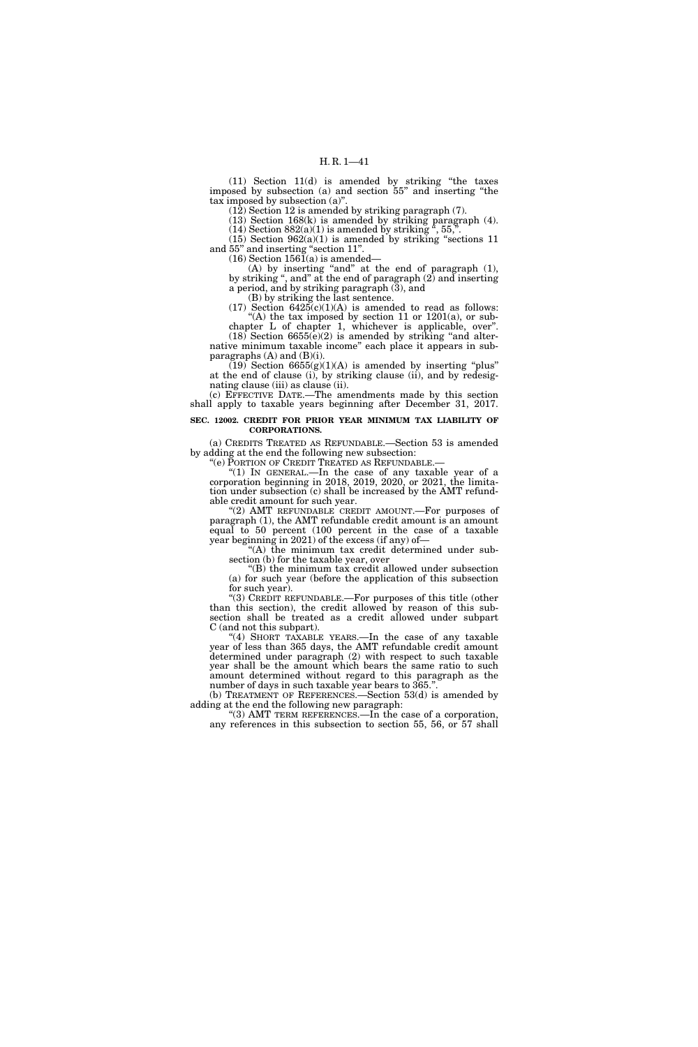(11) Section 11(d) is amended by striking ''the taxes imposed by subsection (a) and section 55'' and inserting ''the tax imposed by subsection (a)''.

 $(12)$  Section 12 is amended by striking paragraph  $(7)$ .

(13) Section 168(k) is amended by striking paragraph (4). (14) Section  $882(a)(1)$  is amended by striking  $\alpha$ , 55,  $\alpha$ .

 $(15)$  Section  $962(a)(1)$  is amended by striking "sections 11 and 55'' and inserting ''section 11''.

 $(16)$  Section 1561 $(a)$  is amended—

(A) by inserting "and" at the end of paragraph (1), by striking '', and'' at the end of paragraph (2) and inserting a period, and by striking paragraph (3), and

(B) by striking the last sentence.  $(17)$  Section  $6425(c)(1)(A)$  is amended to read as follows:

"(A) the tax imposed by section 11 or  $1201(a)$ , or subchapter L of chapter 1, whichever is applicable, over''.

 $(18)$  Section 6655(e)(2) is amended by striking "and alternative minimum taxable income'' each place it appears in subparagraphs  $(A)$  and  $(B)(i)$ .

 $(19)$  Section 6655(g)(1)(A) is amended by inserting "plus" at the end of clause (i), by striking clause (ii), and by redesignating clause (iii) as clause (ii).

(c) EFFECTIVE DATE.—The amendments made by this section shall apply to taxable years beginning after December 31, 2017.

## **SEC. 12002. CREDIT FOR PRIOR YEAR MINIMUM TAX LIABILITY OF CORPORATIONS.**

(a) CREDITS TREATED AS REFUNDABLE.—Section 53 is amended by adding at the end the following new subsection:

''(e) PORTION OF CREDIT TREATED AS REFUNDABLE.—

"(1) IN GENERAL.—In the case of any taxable year of a corporation beginning in 2018, 2019, 2020, or 2021, the limitation under subsection (c) shall be increased by the AMT refundable credit amount for such year.

"(2) AMT REFUNDABLE CREDIT AMOUNT.—For purposes of paragraph (1), the AMT refundable credit amount is an amount equal to 50 percent (100 percent in the case of a taxable year beginning in 2021) of the excess (if any) of—

''(A) the minimum tax credit determined under subsection (b) for the taxable year, over

''(B) the minimum tax credit allowed under subsection (a) for such year (before the application of this subsection for such year).

''(3) CREDIT REFUNDABLE.—For purposes of this title (other than this section), the credit allowed by reason of this subsection shall be treated as a credit allowed under subpart C (and not this subpart).

"(4) SHORT TAXABLE YEARS.—In the case of any taxable year of less than 365 days, the AMT refundable credit amount determined under paragraph (2) with respect to such taxable year shall be the amount which bears the same ratio to such amount determined without regard to this paragraph as the number of days in such taxable year bears to 365.

(b) TREATMENT OF REFERENCES.—Section 53(d) is amended by adding at the end the following new paragraph:

"(3) AMT TERM REFERENCES.—In the case of a corporation, any references in this subsection to section 55, 56, or 57 shall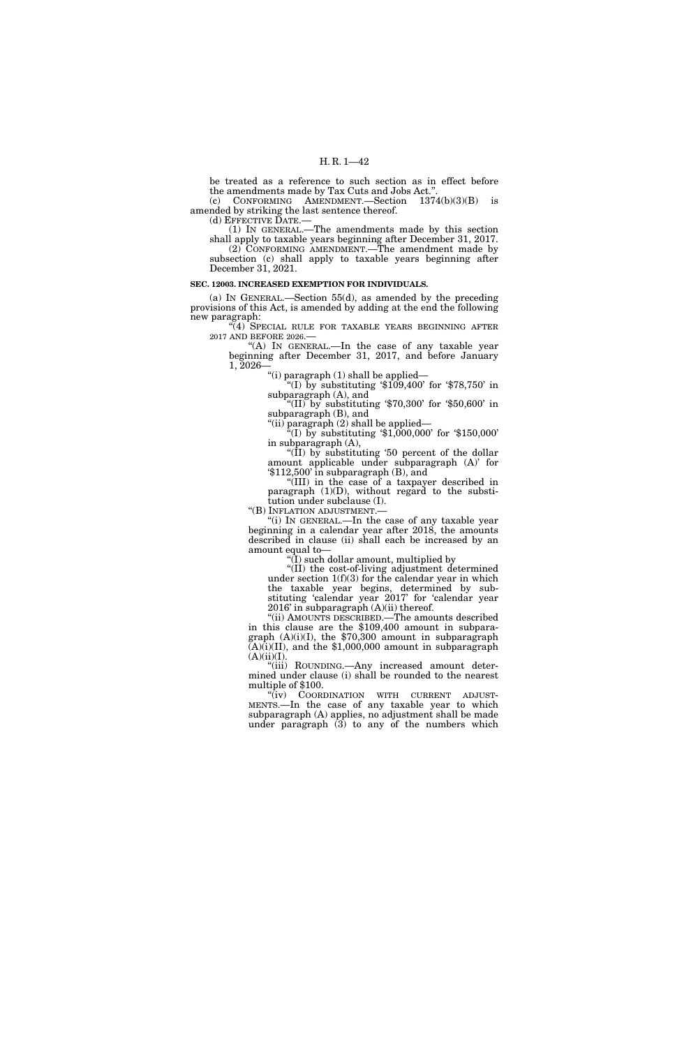be treated as a reference to such section as in effect before the amendments made by Tax Cuts and Jobs Act.' (c) CONFORMING AMENDMENT.—Section 1374(b)(3)(B) is

amended by striking the last sentence thereof.

(d) EFFECTIVE DATE.—

(1) IN GENERAL.—The amendments made by this section shall apply to taxable years beginning after December 31, 2017. (2) CONFORMING AMENDMENT.—The amendment made by subsection (c) shall apply to taxable years beginning after December 31, 2021.

#### **SEC. 12003. INCREASED EXEMPTION FOR INDIVIDUALS.**

(a) IN GENERAL.—Section 55(d), as amended by the preceding provisions of this Act, is amended by adding at the end the following new paragraph:

"(4) SPECIAL RULE FOR TAXABLE YEARS BEGINNING AFTER 2017 AND BEFORE 2026.—

"(A) In GENERAL.—In the case of any taxable year beginning after December 31, 2017, and before January 1, 2026—

''(i) paragraph (1) shall be applied—

 $(1)$  by substituting  $$109,400'$  for  $$78,750'$  in subparagraph (A), and

''(II) by substituting '\$70,300' for '\$50,600' in subparagraph (B), and

''(ii) paragraph (2) shall be applied—

"(I) by substituting  $$1,000,000$  for  $$150,000$ " in subparagraph (A),

''(II) by substituting '50 percent of the dollar amount applicable under subparagraph (A)' for '\$112,500' in subparagraph (B), and

''(III) in the case of a taxpayer described in paragraph (1)(D), without regard to the substitution under subclause (I).

''(B) INFLATION ADJUSTMENT.—

''(i) IN GENERAL.—In the case of any taxable year beginning in a calendar year after 2018, the amounts described in clause (ii) shall each be increased by an amount equal to—

 $\hat{I}(\bar{I})$  such dollar amount, multiplied by

''(II) the cost-of-living adjustment determined under section  $1(f)(3)$  for the calendar year in which the taxable year begins, determined by substituting 'calendar year 2017' for 'calendar year 2016' in subparagraph (A)(ii) thereof.

''(ii) AMOUNTS DESCRIBED.—The amounts described in this clause are the \$109,400 amount in subparagraph (A)(i)(I), the \$70,300 amount in subparagraph  $\text{A}(A)(i)(II)$ , and the \$1,000,000 amount in subparagraph  $(A)(ii)(I).$ 

''(iii) ROUNDING.—Any increased amount determined under clause (i) shall be rounded to the nearest multiple of \$100.<br>"(iv) COORDINATION WITH CURRENT ADJUST-

MENTS.—In the case of any taxable year to which subparagraph (A) applies, no adjustment shall be made under paragraph (3) to any of the numbers which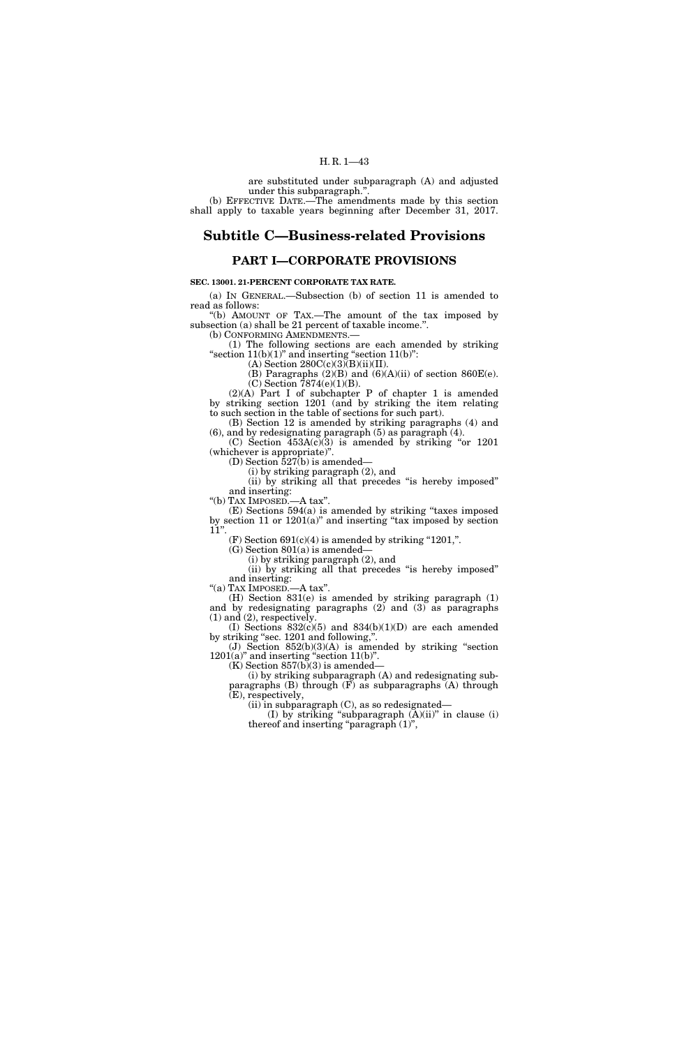are substituted under subparagraph (A) and adjusted under this subparagraph.'

(b) EFFECTIVE DATE.—The amendments made by this section shall apply to taxable years beginning after December 31, 2017.

# **Subtitle C—Business-related Provisions**

## **PART I—CORPORATE PROVISIONS**

## **SEC. 13001. 21-PERCENT CORPORATE TAX RATE.**

(a) IN GENERAL.—Subsection (b) of section 11 is amended to read as follows:

''(b) AMOUNT OF TAX.—The amount of the tax imposed by subsection (a) shall be 21 percent of taxable income.". (b) CONFORMING AMENDMENTS.—

(1) The following sections are each amended by striking "section  $11(b)(1)$ " and inserting "section  $11(b)$ ":

 $(A)$  Section 280 $C(c)(3)(B)(ii)(II)$ .

(B) Paragraphs  $(2)(B)$  and  $(6)(A)(ii)$  of section 860E(e). (C) Section 7874(e)(1)(B).

(2)(A) Part I of subchapter P of chapter 1 is amended by striking section 1201 (and by striking the item relating to such section in the table of sections for such part). (B) Section 12 is amended by striking paragraphs (4) and

(6), and by redesignating paragraph (5) as paragraph (4).

 $(C)$  Section  $453A(c)(3)$  is amended by striking "or 1201 (whichever is appropriate)''. (D) Section  $\bar{5}27(b)$  is amended—

(i) by striking paragraph (2), and

(ii) by striking all that precedes ''is hereby imposed'' and inserting:

''(b) TAX IMPOSED.—A tax''.

(E) Sections 594(a) is amended by striking ''taxes imposed by section 11 or 1201(a)'' and inserting ''tax imposed by section  $11$ ".

(F) Section  $691(c)(4)$  is amended by striking "1201,".

(G) Section 801(a) is amended—

(i) by striking paragraph (2), and

(ii) by striking all that precedes ''is hereby imposed'' and inserting:

''(a) TAX IMPOSED.—A tax''.

(H) Section 831(e) is amended by striking paragraph (1) and by redesignating paragraphs (2) and (3) as paragraphs (1) and (2), respectively.

(I) Sections  $832(c)(5)$  and  $834(b)(1)(D)$  are each amended by striking ''sec. 1201 and following,''.

(J) Section  $852(b)(3)(A)$  is amended by striking "section  $1201(a)$ " and inserting "section  $11(b)$ ".

 $(K)$  Section 857 $(b)(3)$  is amended—

(i) by striking subparagraph (A) and redesignating subparagraphs  $(B)$  through  $(F)$  as subparagraphs  $(A)$  through (E), respectively,

(ii) in subparagraph (C), as so redesignated—

(I) by striking "subparagraph  $(A)(ii)$ " in clause  $(i)$ thereof and inserting "paragraph (1)",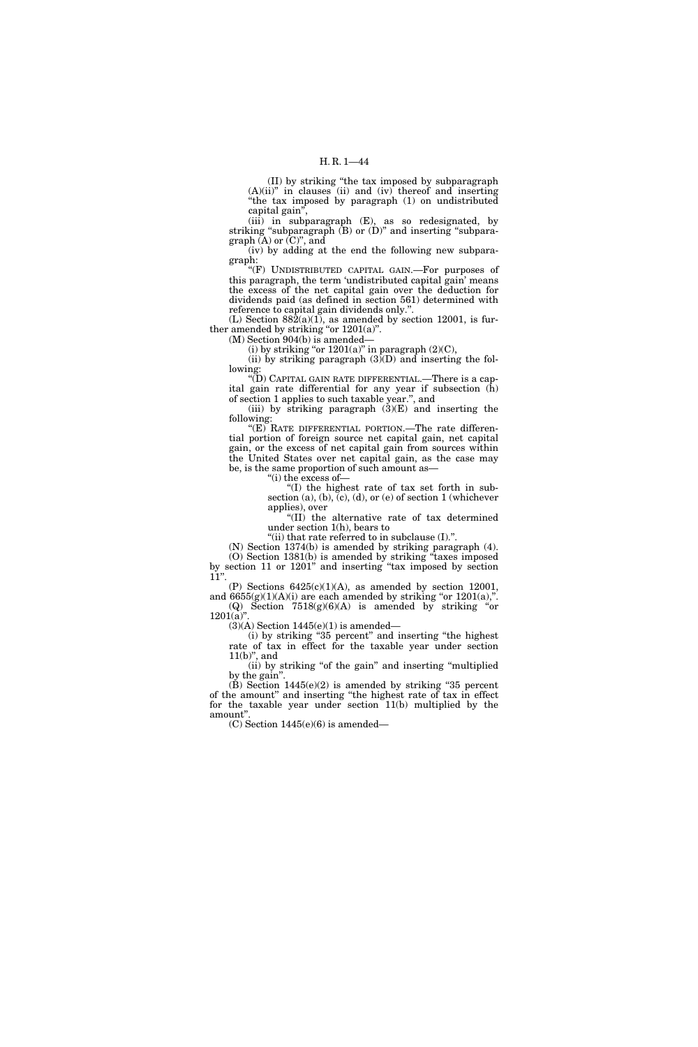(II) by striking ''the tax imposed by subparagraph  $(A)(ii)$ " in clauses (ii) and (iv) thereof and inserting ''the tax imposed by paragraph (1) on undistributed capital gain'',

(iii) in subparagraph (E), as so redesignated, by striking "subparagraph  $(B)$  or  $(D)$ " and inserting "subparagraph  $(A)$  or  $(C)$ ", and

(iv) by adding at the end the following new subparagraph:

"(F) UNDISTRIBUTED CAPITAL GAIN.—For purposes of this paragraph, the term 'undistributed capital gain' means the excess of the net capital gain over the deduction for dividends paid (as defined in section 561) determined with reference to capital gain dividends only.''.

 $(L)$  Section 882 $(a)(1)$ , as amended by section 12001, is further amended by striking "or  $1201(a)$ ".

(M) Section 904(b) is amended—

(i) by striking "or  $1201(a)$ " in paragraph (2)(C),

(ii) by striking paragraph  $(3)(D)$  and inserting the following:

''(D) CAPITAL GAIN RATE DIFFERENTIAL.—There is a capital gain rate differential for any year if subsection  $(\hat{h})$ of section 1 applies to such taxable year.'', and

(iii) by striking paragraph  $(3)(E)$  and inserting the following:

"(E) RATE DIFFERENTIAL PORTION.—The rate differential portion of foreign source net capital gain, net capital gain, or the excess of net capital gain from sources within the United States over net capital gain, as the case may be, is the same proportion of such amount as—

''(i) the excess of—

''(I) the highest rate of tax set forth in subsection (a), (b),  $(c)$ , (d), or (e) of section 1 (whichever applies), over

''(II) the alternative rate of tax determined under section 1(h), bears to

''(ii) that rate referred to in subclause (I).''.

(N) Section 1374(b) is amended by striking paragraph (4). (O) Section 1381(b) is amended by striking ''taxes imposed by section 11 or 1201'' and inserting ''tax imposed by section  $11"$ 

(P) Sections  $6425(c)(1)(A)$ , as amended by section 12001, and  $6655(g)(1)(A)(i)$  are each amended by striking "or  $1201(a)$ ,". (Q) Section  $7518(g)(6)(A)$  is amended by striking "or

 $1201(a)$ ".

 $(3)$ (A) Section 1445(e)(1) is amended—

(i) by striking ''35 percent'' and inserting ''the highest rate of tax in effect for the taxable year under section  $11(b)$ ", and

(ii) by striking "of the gain" and inserting "multiplied by the gain''.

(B) Section 1445(e)(2) is amended by striking ''35 percent of the amount'' and inserting ''the highest rate of tax in effect for the taxable year under section 11(b) multiplied by the amount''.

 $(C)$  Section 1445(e)(6) is amended—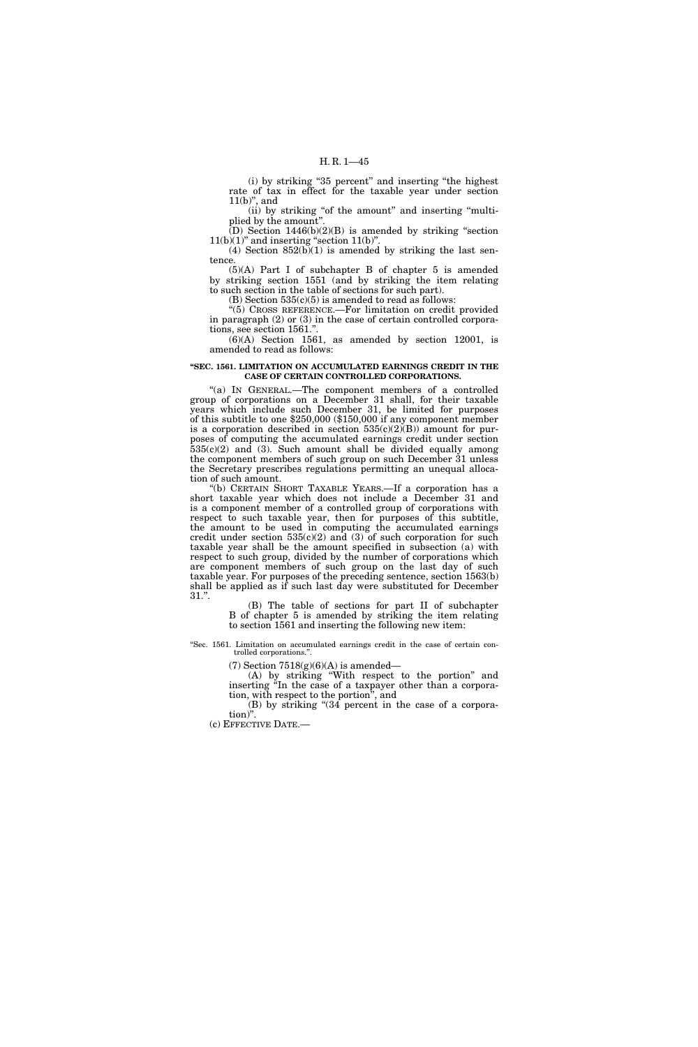(i) by striking ''35 percent'' and inserting ''the highest rate of tax in effect for the taxable year under section  $11(b)$ ", and

(ii) by striking ''of the amount'' and inserting ''multiplied by the amount''.

 $(D)$  Section 1446(b)(2)(B) is amended by striking "section  $11(b)(1)$ " and inserting "section  $11(b)$ "

(4) Section  $852(b)(1)$  is amended by striking the last sentence.

(5)(A) Part I of subchapter B of chapter 5 is amended by striking section 1551 (and by striking the item relating to such section in the table of sections for such part).

(B) Section  $535(c)(5)$  is amended to read as follows:

"(5) CROSS REFERENCE.—For limitation on credit provided in paragraph (2) or (3) in the case of certain controlled corporations, see section 1561."

(6)(A) Section 1561, as amended by section 12001, is amended to read as follows:

### **''SEC. 1561. LIMITATION ON ACCUMULATED EARNINGS CREDIT IN THE CASE OF CERTAIN CONTROLLED CORPORATIONS.**

"(a) In GENERAL.—The component members of a controlled group of corporations on a December 31 shall, for their taxable years which include such December 31, be limited for purposes of this subtitle to one \$250,000 (\$150,000 if any component member is a corporation described in section  $535(c)(2)(B)$  amount for purposes of computing the accumulated earnings credit under section  $535(c)(2)$  and  $(3)$ . Such amount shall be divided equally among the component members of such group on such December 31 unless the Secretary prescribes regulations permitting an unequal allocation of such amount.

(b) CERTAIN SHORT TAXABLE YEARS.—If a corporation has a short taxable year which does not include a December 31 and is a component member of a controlled group of corporations with respect to such taxable year, then for purposes of this subtitle, the amount to be used in computing the accumulated earnings credit under section  $535(c)(2)$  and  $(3)$  of such corporation for such taxable year shall be the amount specified in subsection (a) with respect to such group, divided by the number of corporations which are component members of such group on the last day of such taxable year. For purposes of the preceding sentence, section 1563(b) shall be applied as if such last day were substituted for December 31.''.

(B) The table of sections for part II of subchapter B of chapter 5 is amended by striking the item relating to section 1561 and inserting the following new item:

''Sec. 1561. Limitation on accumulated earnings credit in the case of certain controlled corporations.''.

(7) Section  $7518(g)(6)(A)$  is amended—

(A) by striking ''With respect to the portion'' and inserting ''In the case of a taxpayer other than a corporation, with respect to the portion'', and

(B) by striking ''(34 percent in the case of a corporation)''.

(c) EFFECTIVE DATE.—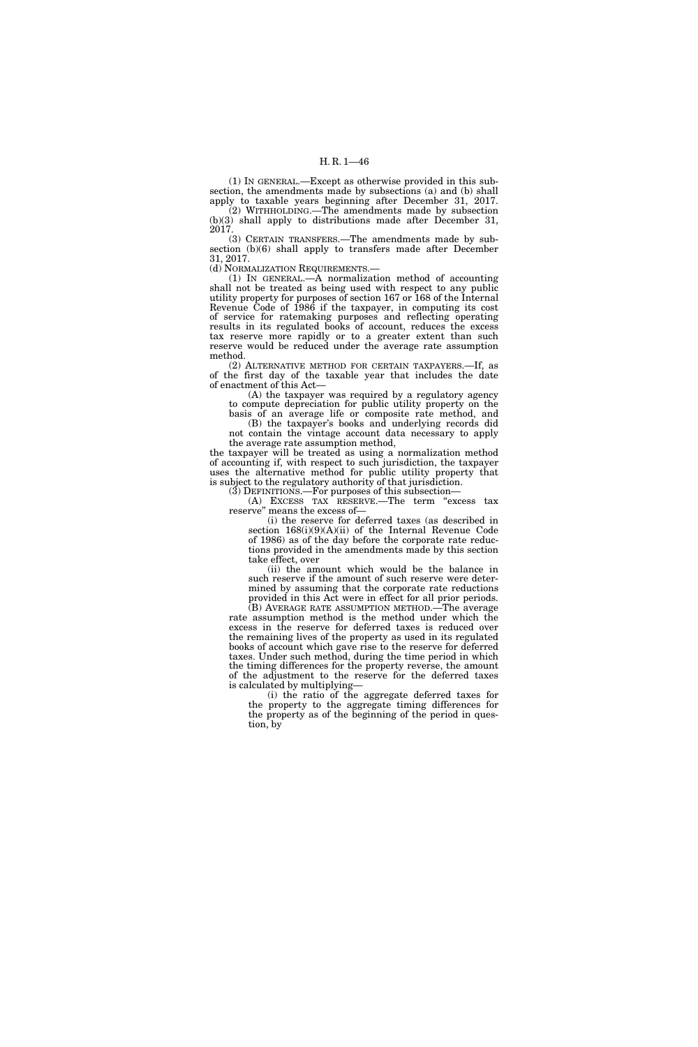(1) IN GENERAL.—Except as otherwise provided in this subsection, the amendments made by subsections (a) and (b) shall apply to taxable years beginning after December 31, 2017. (2) WITHHOLDING.—The amendments made by subsection (b)(3) shall apply to distributions made after December 31, 2017.

(3) CERTAIN TRANSFERS.—The amendments made by subsection (b)(6) shall apply to transfers made after December 31, 2017.

(d) NORMALIZATION REQUIREMENTS.—

(1) IN GENERAL.—A normalization method of accounting shall not be treated as being used with respect to any public utility property for purposes of section 167 or 168 of the Internal Revenue Code of 1986 if the taxpayer, in computing its cost of service for ratemaking purposes and reflecting operating results in its regulated books of account, reduces the excess tax reserve more rapidly or to a greater extent than such reserve would be reduced under the average rate assumption method.

(2) ALTERNATIVE METHOD FOR CERTAIN TAXPAYERS.—If, as of the first day of the taxable year that includes the date of enactment of this Act—

(A) the taxpayer was required by a regulatory agency to compute depreciation for public utility property on the basis of an average life or composite rate method, and

(B) the taxpayer's books and underlying records did not contain the vintage account data necessary to apply

the average rate assumption method, the taxpayer will be treated as using a normalization method of accounting if, with respect to such jurisdiction, the taxpayer uses the alternative method for public utility property that is subject to the regulatory authority of that jurisdiction.

(3) DEFINITIONS.—For purposes of this subsection—

(A) EXCESS TAX RESERVE.—The term ''excess tax reserve'' means the excess of—

(i) the reserve for deferred taxes (as described in section 168(i)(9)(A)(ii) of the Internal Revenue Code of 1986) as of the day before the corporate rate reductions provided in the amendments made by this section take effect, over

(ii) the amount which would be the balance in such reserve if the amount of such reserve were determined by assuming that the corporate rate reductions provided in this Act were in effect for all prior periods.

(B) AVERAGE RATE ASSUMPTION METHOD.—The average rate assumption method is the method under which the excess in the reserve for deferred taxes is reduced over the remaining lives of the property as used in its regulated books of account which gave rise to the reserve for deferred taxes. Under such method, during the time period in which the timing differences for the property reverse, the amount of the adjustment to the reserve for the deferred taxes is calculated by multiplying—

(i) the ratio of the aggregate deferred taxes for the property to the aggregate timing differences for the property as of the beginning of the period in question, by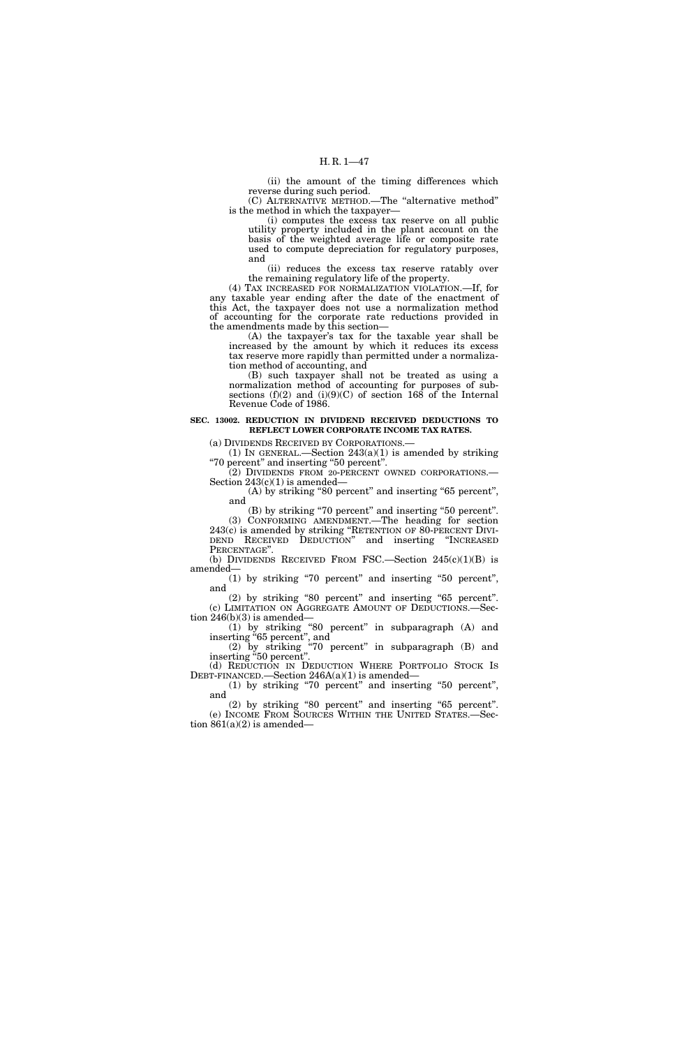(ii) the amount of the timing differences which reverse during such period. (C) ALTERNATIVE METHOD.—The ''alternative method''

is the method in which the taxpayer—

(i) computes the excess tax reserve on all public utility property included in the plant account on the basis of the weighted average life or composite rate used to compute depreciation for regulatory purposes, and

(ii) reduces the excess tax reserve ratably over the remaining regulatory life of the property.

(4) TAX INCREASED FOR NORMALIZATION VIOLATION.—If, for any taxable year ending after the date of the enactment of this Act, the taxpayer does not use a normalization method of accounting for the corporate rate reductions provided in the amendments made by this section—

(A) the taxpayer's tax for the taxable year shall be increased by the amount by which it reduces its excess tax reserve more rapidly than permitted under a normalization method of accounting, and

(B) such taxpayer shall not be treated as using a normalization method of accounting for purposes of subsections  $(f)(2)$  and  $(i)(9)(C)$  of section 168 of the Internal Revenue Code of 1986.

## **SEC. 13002. REDUCTION IN DIVIDEND RECEIVED DEDUCTIONS TO REFLECT LOWER CORPORATE INCOME TAX RATES.**

(a) DIVIDENDS RECEIVED BY CORPORATIONS.—

(1) IN GENERAL.—Section  $243(a)(1)$  is amended by striking ''70 percent'' and inserting ''50 percent''.

(2) DIVIDENDS FROM 20-PERCENT OWNED CORPORATIONS.— Section  $243(c)(1)$  is amended—

(A) by striking "80 percent" and inserting "65 percent", and

(B) by striking ''70 percent'' and inserting ''50 percent''. (3) CONFORMING AMENDMENT.—The heading for section 243(c) is amended by striking ''RETENTION OF 80-PERCENT DIVI- DEND RECEIVED DEDUCTION'' and inserting ''INCREASED PERCENTAGE".

(b) DIVIDENDS RECEIVED FROM FSC.—Section  $245(c)(1)(B)$  is amended—

(1) by striking ''70 percent'' and inserting ''50 percent'', and

(2) by striking ''80 percent'' and inserting ''65 percent''. (c) LIMITATION ON AGGREGATE AMOUNT OF DEDUCTIONS.—Section 246(b)(3) is amended—

(1) by striking ''80 percent'' in subparagraph (A) and inserting "65 percent", and

(2) by striking ''70 percent'' in subparagraph (B) and inserting ''50 percent''.

(d) REDUCTION IN DEDUCTION WHERE PORTFOLIO STOCK IS DEBT-FINANCED.—Section 246A(a)(1) is amended—

(1) by striking ''70 percent'' and inserting ''50 percent'', and

(2) by striking ''80 percent'' and inserting ''65 percent''. (e) INCOME FROM SOURCES WITHIN THE UNITED STATES.—Section  $861(a)(2)$  is amended—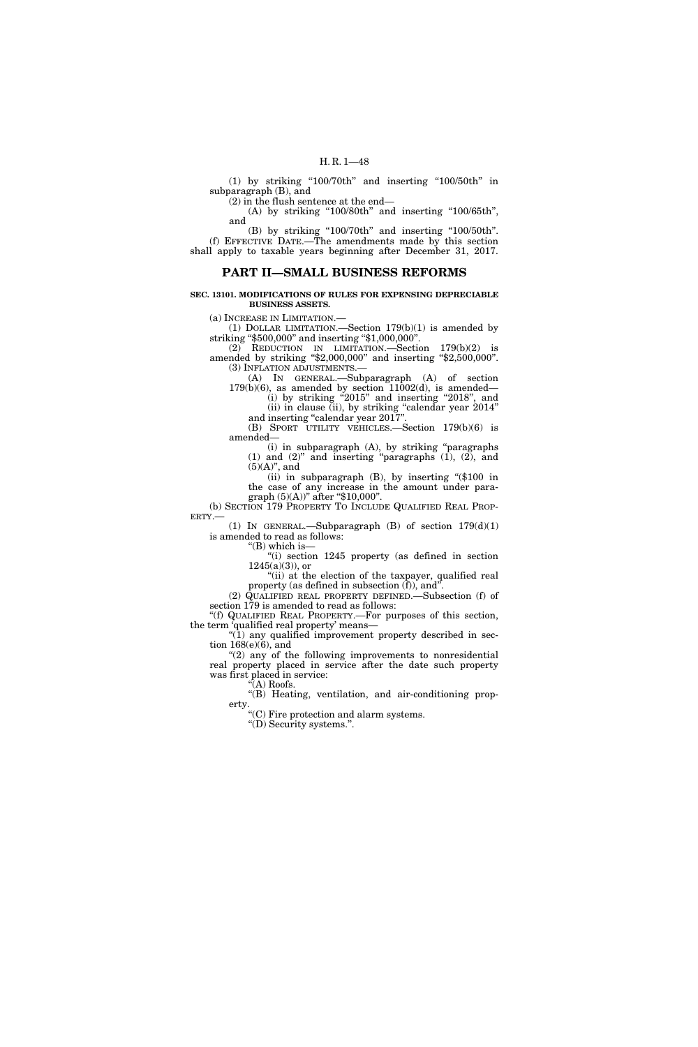(1) by striking " $100/70$ th" and inserting " $100/50$ th" in subparagraph (B), and

(2) in the flush sentence at the end—

(A) by striking " $100/80$ th" and inserting " $100/65$ th", and

(B) by striking "100/70th" and inserting "100/50th". (f) EFFECTIVE DATE.—The amendments made by this section shall apply to taxable years beginning after December 31, 2017.

## **PART II—SMALL BUSINESS REFORMS**

**SEC. 13101. MODIFICATIONS OF RULES FOR EXPENSING DEPRECIABLE BUSINESS ASSETS.** 

(a) INCREASE IN LIMITATION.—

(1) DOLLAR LIMITATION.—Section 179(b)(1) is amended by striking "\$500,000" and inserting "\$1,000,000".

(2) REDUCTION IN LIMITATION.—Section 179(b)(2) is amended by striking ''\$2,000,000'' and inserting ''\$2,500,000''. (3) INFLATION ADJUSTMENTS.—

(A) IN GENERAL.—Subparagraph (A) of section  $179(b)(6)$ , as amended by section  $11002(d)$ , is amended—

(i) by striking "2015" and inserting "2018", and (ii) in clause (ii), by striking ''calendar year 2014'' and inserting ''calendar year 2017''.

(B) SPORT UTILITY VEHICLES.—Section 179(b)(6) is amended—

(i) in subparagraph (A), by striking ''paragraphs (1) and (2)'' and inserting ''paragraphs (1), (2), and  $(5)(A)$ ", and

(ii) in subparagraph (B), by inserting ''(\$100 in the case of any increase in the amount under paragraph  $(5)(A)$ " after "\$10,000".

(b) SECTION 179 PROPERTY TO INCLUDE QUALIFIED REAL PROP-ERTY.—

(1) IN GENERAL.—Subparagraph  $(B)$  of section  $179(d)(1)$ is amended to read as follows:

''(B) which is— ''(i) section 1245 property (as defined in section

 $1245(a)(3)$ , or "(ii) at the election of the taxpayer, qualified real

property (as defined in subsection (f)), and''. (2) QUALIFIED REAL PROPERTY DEFINED.—Subsection (f) of

section 179 is amended to read as follows: ''(f) QUALIFIED REAL PROPERTY.—For purposes of this section, the term 'qualified real property' means—

''(1) any qualified improvement property described in section 168(e)(6), and

"(2) any of the following improvements to nonresidential real property placed in service after the date such property was first placed in service: ''(A) Roofs.

"(B) Heating, ventilation, and air-conditioning property.

''(C) Fire protection and alarm systems.

''(D) Security systems.''.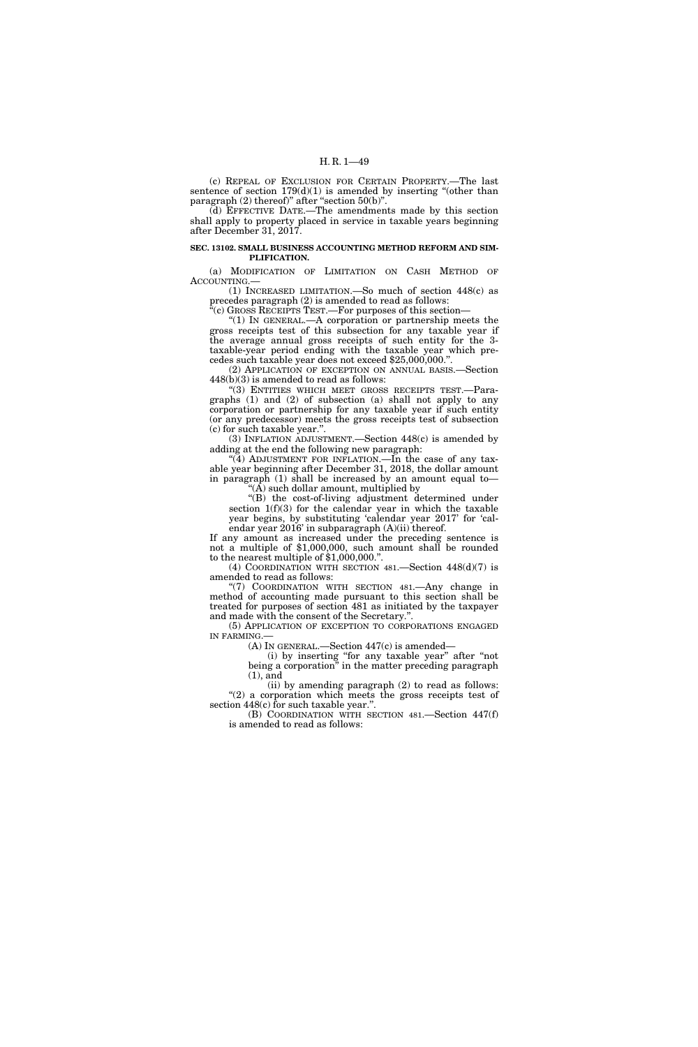(c) REPEAL OF EXCLUSION FOR CERTAIN PROPERTY.—The last sentence of section  $179(d)(1)$  is amended by inserting "(other than paragraph (2) thereof)" after "section  $50(b)$ ".

(d) EFFECTIVE DATE.—The amendments made by this section shall apply to property placed in service in taxable years beginning after December 31, 2017.

#### **SEC. 13102. SMALL BUSINESS ACCOUNTING METHOD REFORM AND SIM-PLIFICATION.**

(a) MODIFICATION OF LIMITATION ON CASH METHOD OF ACCOUNTING.—

(1) INCREASED LIMITATION.—So much of section 448(c) as precedes paragraph (2) is amended to read as follows:

"(c) GROSS RECEIPTS TEST.—For purposes of this section-

''(1) IN GENERAL.—A corporation or partnership meets the gross receipts test of this subsection for any taxable year if the average annual gross receipts of such entity for the 3 taxable-year period ending with the taxable year which precedes such taxable year does not exceed \$25,000,000.''.

(2) APPLICATION OF EXCEPTION ON ANNUAL BASIS.—Section 448(b)(3) is amended to read as follows:

''(3) ENTITIES WHICH MEET GROSS RECEIPTS TEST.—Paragraphs (1) and (2) of subsection (a) shall not apply to any corporation or partnership for any taxable year if such entity (or any predecessor) meets the gross receipts test of subsection (c) for such taxable year.''.

(3) INFLATION ADJUSTMENT.—Section 448(c) is amended by adding at the end the following new paragraph:

"(4) ADJUSTMENT FOR INFLATION.—In the case of any taxable year beginning after December 31, 2018, the dollar amount in paragraph (1) shall be increased by an amount equal to— ''(A) such dollar amount, multiplied by

''(B) the cost-of-living adjustment determined under section  $1(f)(3)$  for the calendar year in which the taxable year begins, by substituting 'calendar year 2017' for 'calendar year 2016' in subparagraph (A)(ii) thereof.

If any amount as increased under the preceding sentence is not a multiple of \$1,000,000, such amount shall be rounded to the nearest multiple of \$1,000,000."

(4) COORDINATION WITH SECTION 481.—Section 448(d)(7) is amended to read as follows:

''(7) COORDINATION WITH SECTION 481.—Any change in method of accounting made pursuant to this section shall be treated for purposes of section 481 as initiated by the taxpayer and made with the consent of the Secretary.''.

(5) APPLICATION OF EXCEPTION TO CORPORATIONS ENGAGED IN FARMING.

(A) IN GENERAL.—Section 447(c) is amended—

(i) by inserting ''for any taxable year'' after ''not being a corporation'' in the matter preceding paragraph (1), and

(ii) by amending paragraph (2) to read as follows: " $(2)$  a corporation which meets the gross receipts test of section 448(c) for such taxable year.''.

(B) COORDINATION WITH SECTION 481.—Section 447(f) is amended to read as follows: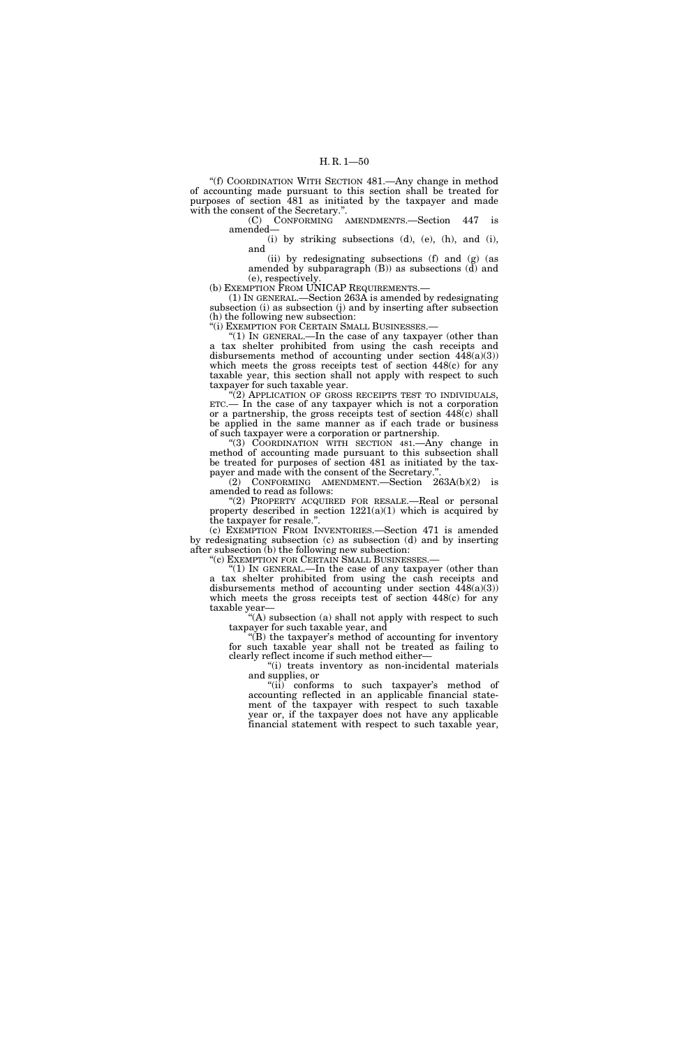''(f) COORDINATION WITH SECTION 481.—Any change in method of accounting made pursuant to this section shall be treated for purposes of section 481 as initiated by the taxpayer and made with the consent of the Secretary.''.

(C) CONFORMING AMENDMENTS.—Section 447 is amended—

(i) by striking subsections (d), (e), (h), and (i), and

(ii) by redesignating subsections (f) and (g) (as amended by subparagraph (B)) as subsections (d) and (e), respectively.

(b) EXEMPTION FROM UNICAP REQUIREMENTS.—

(1) IN GENERAL.—Section 263A is amended by redesignating subsection (i) as subsection (j) and by inserting after subsection (h) the following new subsection:

''(i) EXEMPTION FOR CERTAIN SMALL BUSINESSES.—

"(1) In GENERAL.—In the case of any taxpayer (other than a tax shelter prohibited from using the cash receipts and disbursements method of accounting under section 448(a)(3)) which meets the gross receipts test of section 448(c) for any taxable year, this section shall not apply with respect to such taxpayer for such taxable year.

'(2) APPLICATION OF GROSS RECEIPTS TEST TO INDIVIDUALS, ETC.— In the case of any taxpayer which is not a corporation or a partnership, the gross receipts test of section 448(c) shall be applied in the same manner as if each trade or business of such taxpayer were a corporation or partnership.

''(3) COORDINATION WITH SECTION 481.—Any change in method of accounting made pursuant to this subsection shall be treated for purposes of section 481 as initiated by the taxpayer and made with the consent of the Secretary.''.

(2) CONFORMING AMENDMENT.—Section 263A(b)(2) is amended to read as follows:

''(2) PROPERTY ACQUIRED FOR RESALE.—Real or personal property described in section  $1221(a)(1)$  which is acquired by the taxpayer for resale.''.

(c) EXEMPTION FROM INVENTORIES.—Section 471 is amended by redesignating subsection (c) as subsection (d) and by inserting after subsection (b) the following new subsection:<br>"(c) EXEMPTION FOR CERTAIN SMALL BUSINESSES.—

"(1) In GENERAL.—In the case of any taxpayer (other than a tax shelter prohibited from using the cash receipts and disbursements method of accounting under section 448(a)(3)) which meets the gross receipts test of section 448(c) for any taxable year—

"(A) subsection (a) shall not apply with respect to such taxpayer for such taxable year, and

''(B) the taxpayer's method of accounting for inventory for such taxable year shall not be treated as failing to clearly reflect income if such method either—

"(i) treats inventory as non-incidental materials and supplies, or

"(ii) conforms to such taxpayer's method of accounting reflected in an applicable financial statement of the taxpayer with respect to such taxable year or, if the taxpayer does not have any applicable financial statement with respect to such taxable year,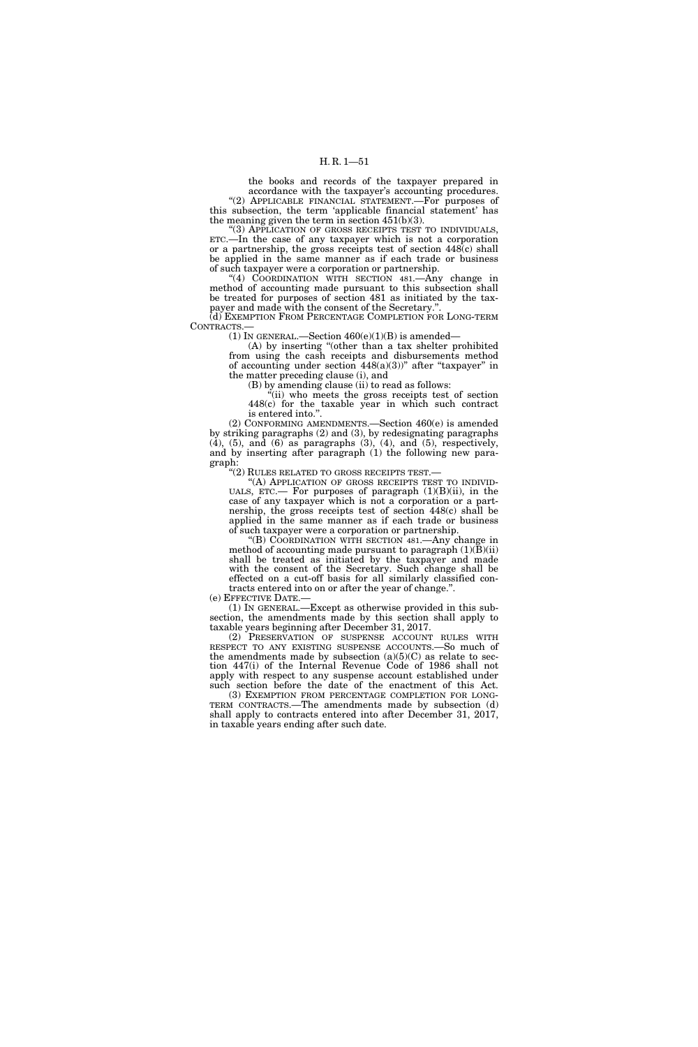the books and records of the taxpayer prepared in accordance with the taxpayer's accounting procedures. "(2) APPLICABLE FINANCIAL STATEMENT.—For purposes of

this subsection, the term 'applicable financial statement' has the meaning given the term in section 451(b)(3). "(3) APPLICATION OF GROSS RECEIPTS TEST TO INDIVIDUALS,

ETC.—In the case of any taxpayer which is not a corporation or a partnership, the gross receipts test of section 448(c) shall be applied in the same manner as if each trade or business of such taxpayer were a corporation or partnership.

''(4) COORDINATION WITH SECTION 481.—Any change in method of accounting made pursuant to this subsection shall be treated for purposes of section 481 as initiated by the taxpayer and made with the consent of the Secretary.''.

(d) EXEMPTION FROM PERCENTAGE COMPLETION FOR LONG-TERM CONTRACTS.—

(1) IN GENERAL.—Section  $460(e)(1)(B)$  is amended–

(A) by inserting ''(other than a tax shelter prohibited from using the cash receipts and disbursements method of accounting under section  $448(a)(3)$ " after "taxpayer" in the matter preceding clause (i), and

(B) by amending clause (ii) to read as follows:

''(ii) who meets the gross receipts test of section 448(c) for the taxable year in which such contract is entered into.''.

(2) CONFORMING AMENDMENTS.—Section 460(e) is amended by striking paragraphs (2) and (3), by redesignating paragraphs  $(4)$ ,  $(5)$ , and  $(6)$  as paragraphs  $(3)$ ,  $(4)$ , and  $(5)$ , respectively, and by inserting after paragraph (1) the following new paragraph:

''(2) RULES RELATED TO GROSS RECEIPTS TEST.—

"(A) APPLICATION OF GROSS RECEIPTS TEST TO INDIVID-UALS, ETC.— For purposes of paragraph  $(1)(B)(ii)$ , in the case of any taxpayer which is not a corporation or a partnership, the gross receipts test of section 448(c) shall be applied in the same manner as if each trade or business of such taxpayer were a corporation or partnership.

''(B) COORDINATION WITH SECTION 481.—Any change in method of accounting made pursuant to paragraph  $(1)(B)(ii)$ shall be treated as initiated by the taxpayer and made with the consent of the Secretary. Such change shall be effected on a cut-off basis for all similarly classified contracts entered into on or after the year of change.''.

(e) EFFECTIVE DATE.—

(1) IN GENERAL.—Except as otherwise provided in this subsection, the amendments made by this section shall apply to taxable years beginning after December 31, 2017.

(2) PRESERVATION OF SUSPENSE ACCOUNT RULES WITH RESPECT TO ANY EXISTING SUSPENSE ACCOUNTS.-So much of the amendments made by subsection  $(a)(5)(C)$  as relate to section 447(i) of the Internal Revenue Code of 1986 shall not apply with respect to any suspense account established under

such section before the date of the enactment of this Act.<br>(3) EXEMPTION FROM PERCENTAGE COMPLETION FOR LONG-TERM CONTRACTS.—The amendments made by subsection (d) shall apply to contracts entered into after December 31, 2017, in taxable years ending after such date.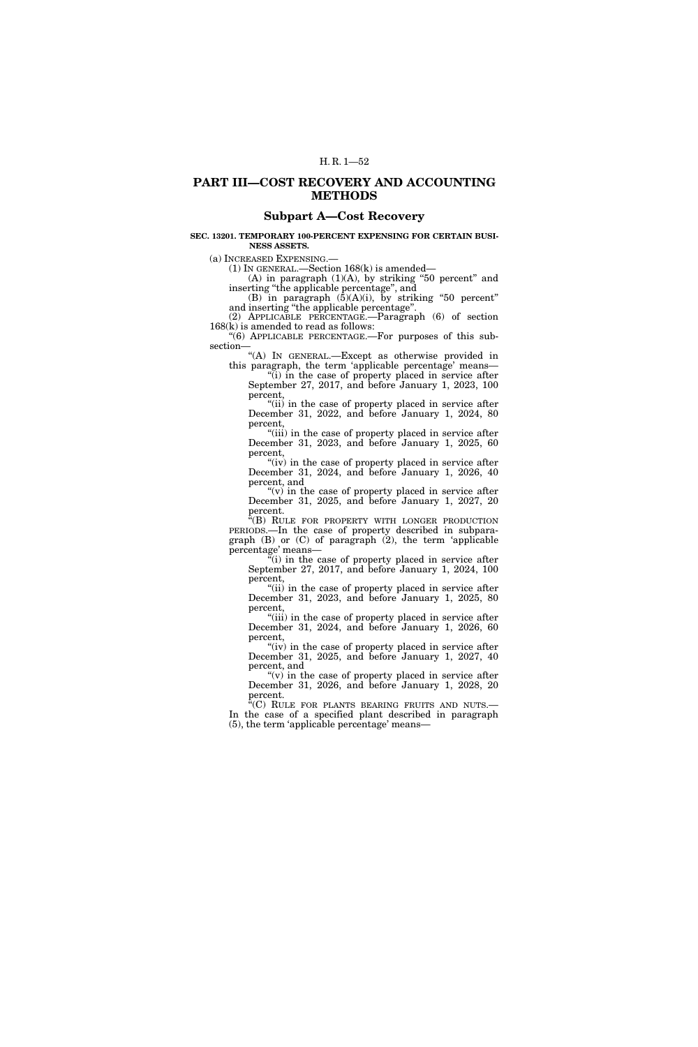# **PART III—COST RECOVERY AND ACCOUNTING METHODS**

# **Subpart A—Cost Recovery**

## **SEC. 13201. TEMPORARY 100-PERCENT EXPENSING FOR CERTAIN BUSI-NESS ASSETS.**

(a) INCREASED EXPENSING.—

(1) IN GENERAL.—Section 168(k) is amended—

(A) in paragraph  $(1)(A)$ , by striking "50 percent" and inserting ''the applicable percentage'', and

(B) in paragraph  $(5)(A)(i)$ , by striking "50 percent" and inserting ''the applicable percentage''.

(2) APPLICABLE PERCENTAGE.—Paragraph (6) of section 168(k) is amended to read as follows:

''(6) APPLICABLE PERCENTAGE.—For purposes of this subsection—

''(A) IN GENERAL.—Except as otherwise provided in this paragraph, the term 'applicable percentage' means—

''(i) in the case of property placed in service after September 27, 2017, and before January 1, 2023, 100 percent,

''(ii) in the case of property placed in service after December 31, 2022, and before January 1, 2024, 80 percent,

"(iii) in the case of property placed in service after December 31, 2023, and before January 1, 2025, 60 percent,

"(iv) in the case of property placed in service after December 31, 2024, and before January 1, 2026, 40 percent, and

" $(v)$  in the case of property placed in service after December 31, 2025, and before January 1, 2027, 20 percent.

"(B) RULE FOR PROPERTY WITH LONGER PRODUCTION PERIODS.—In the case of property described in subparagraph  $(B)$  or  $(C)$  of paragraph  $(2)$ , the term 'applicable percentage' means—

 $\mathbf{u}^{\mathbf{u}}$  (i) in the case of property placed in service after September 27, 2017, and before January 1, 2024, 100 percent,

"(ii) in the case of property placed in service after December 31, 2023, and before January 1, 2025, 80 percent,

"(iii) in the case of property placed in service after December 31, 2024, and before January 1, 2026, 60 percent,

"(iv) in the case of property placed in service after December 31, 2025, and before January 1, 2027, 40 percent, and

" $(v)$  in the case of property placed in service after December 31, 2026, and before January 1, 2028, 20 percent.

 $\sqrt[\text{m}]{C}$  RULE FOR PLANTS BEARING FRUITS AND NUTS.— In the case of a specified plant described in paragraph (5), the term 'applicable percentage' means—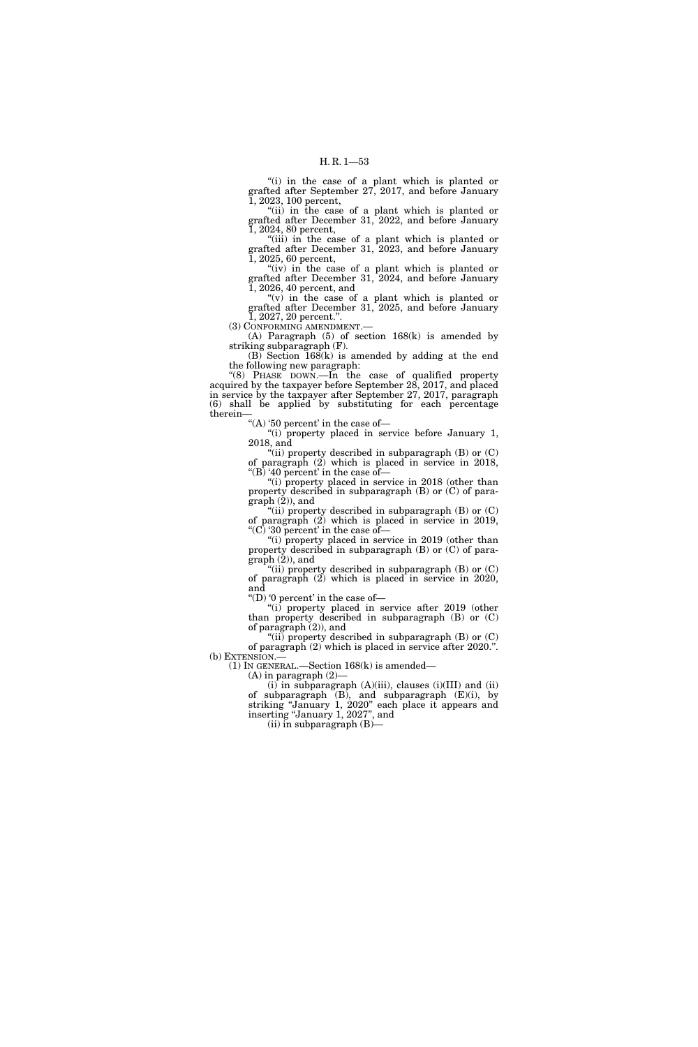"(i) in the case of a plant which is planted or grafted after September 27, 2017, and before January 1, 2023, 100 percent,

"(ii) in the case of a plant which is planted or grafted after December 31, 2022, and before January 1, 2024, 80 percent,

"(iii) in the case of a plant which is planted or grafted after December 31, 2023, and before January 1, 2025, 60 percent,

"(iv) in the case of a plant which is planted or grafted after December 31, 2024, and before January 1, 2026, 40 percent, and

" $(v)$  in the case of a plant which is planted or grafted after December 31, 2025, and before January 1, 2027, 20 percent.''.

(3) CONFORMING AMENDMENT.—

(A) Paragraph (5) of section 168(k) is amended by striking subparagraph (F).

(B) Section 168(k) is amended by adding at the end the following new paragraph:

''(8) PHASE DOWN.—In the case of qualified property acquired by the taxpayer before September 28, 2017, and placed in service by the taxpayer after September 27, 2017, paragraph (6) shall be applied by substituting for each percentage therein—

"(A) '50 percent' in the case of  $-$ 

"(i) property placed in service before January 1, 2018, and

"(ii) property described in subparagraph  $(B)$  or  $(C)$ of paragraph (2) which is placed in service in 2018, "(B) '40 percent' in the case of  $-$ 

''(i) property placed in service in 2018 (other than property described in subparagraph (B) or (C) of paragraph (2)), and

"(ii) property described in subparagraph (B) or (C) of paragraph (2) which is placed in service in 2019, "(C) '30 percent' in the case of  $-$ 

''(i) property placed in service in 2019 (other than property described in subparagraph (B) or (C) of para- $\mbox{graph}\left( 2\right)$  , and

"(ii) property described in subparagraph  $(B)$  or  $(C)$ of paragraph (2) which is placed in service in 2020, and

"(D) '0 percent' in the case of  $-$ 

"(i) property placed in service after 2019 (other than property described in subparagraph (B) or (C) of paragraph (2)), and

"(ii) property described in subparagraph  $(B)$  or  $(C)$ of paragraph (2) which is placed in service after 2020.''. (b) EXTENSION.—

(1) IN GENERAL.—Section 168(k) is amended—

(A) in paragraph (2)— (i) in subparagraph (A)(iii), clauses (i)(III) and (ii) of subparagraph  $(B)$ , and subparagraph  $(E)(i)$ , by striking ''January 1, 2020'' each place it appears and inserting ''January 1, 2027'', and

 $(ii)$  in subparagraph  $(B)$ —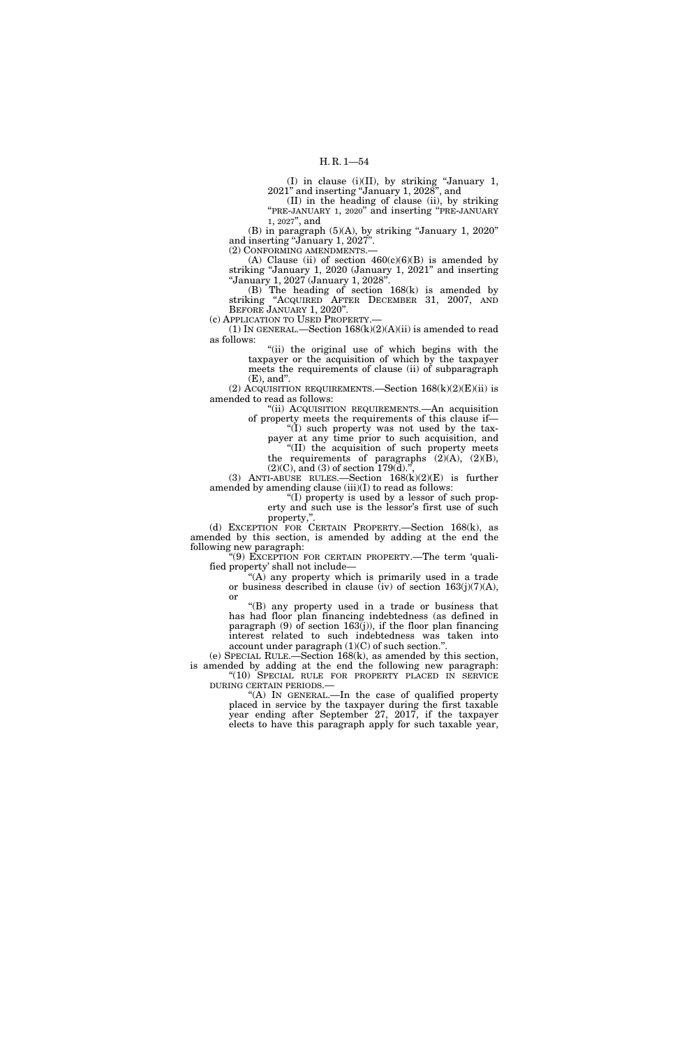(I) in clause (i)(II), by striking ''January 1, 2021'' and inserting ''January 1, 2028'', and

(II) in the heading of clause (ii), by striking ''PRE-JANUARY 1, 2020'' and inserting ''PRE-JANUARY 1, 2027'', and

(B) in paragraph (5)(A), by striking ''January 1, 2020'' and inserting "January 1, 2027".

(2) CONFORMING AMENDMENTS.—

(A) Clause (ii) of section  $460(c)(6)(B)$  is amended by striking "January 1, 2020 (January 1, 2021" and inserting ''January 1, 2027 (January 1, 2028''.

(B) The heading of section 168(k) is amended by striking ''ACQUIRED AFTER DECEMBER 31, 2007, AND BEFORE JANUARY 1, 2020".

(c) APPLICATION TO USED PROPERTY.—

(1) IN GENERAL.—Section  $168(k)(2)(A)(ii)$  is amended to read as follows:

> ''(ii) the original use of which begins with the taxpayer or the acquisition of which by the taxpayer meets the requirements of clause (ii) of subparagraph (E), and''.

(2) ACQUISITION REQUIREMENTS.—Section  $168(k)(2)(E)(ii)$  is amended to read as follows:

''(ii) ACQUISITION REQUIREMENTS.—An acquisition of property meets the requirements of this clause if—

''(I) such property was not used by the taxpayer at any time prior to such acquisition, and ''(II) the acquisition of such property meets the requirements of paragraphs  $(2)(A)$ ,  $(2)(B)$ ,

 $(2)(C)$ , and  $(3)$  of section 179 $(d)$ . (3) ANTI-ABUSE RULES.—Section 168(k)(2)(E) is further

amended by amending clause (iii)(I) to read as follows: ''(I) property is used by a lessor of such prop-

erty and such use is the lessor's first use of such property,''.

(d) EXCEPTION FOR CERTAIN PROPERTY.—Section 168(k), as amended by this section, is amended by adding at the end the following new paragraph:

''(9) EXCEPTION FOR CERTAIN PROPERTY.—The term 'qualified property' shall not include—

''(A) any property which is primarily used in a trade or business described in clause (iv) of section  $163(j)(7)(A)$ , or

''(B) any property used in a trade or business that has had floor plan financing indebtedness (as defined in paragraph  $(9)$  of section 163(j)), if the floor plan financing interest related to such indebtedness was taken into account under paragraph  $(1)(C)$  of such section.'

(e) SPECIAL RULE.—Section 168(k), as amended by this section, is amended by adding at the end the following new paragraph: ''(10) SPECIAL RULE FOR PROPERTY PLACED IN SERVICE DURING CERTAIN PERIODS.—

''(A) IN GENERAL.—In the case of qualified property placed in service by the taxpayer during the first taxable year ending after September 27, 2017, if the taxpayer elects to have this paragraph apply for such taxable year,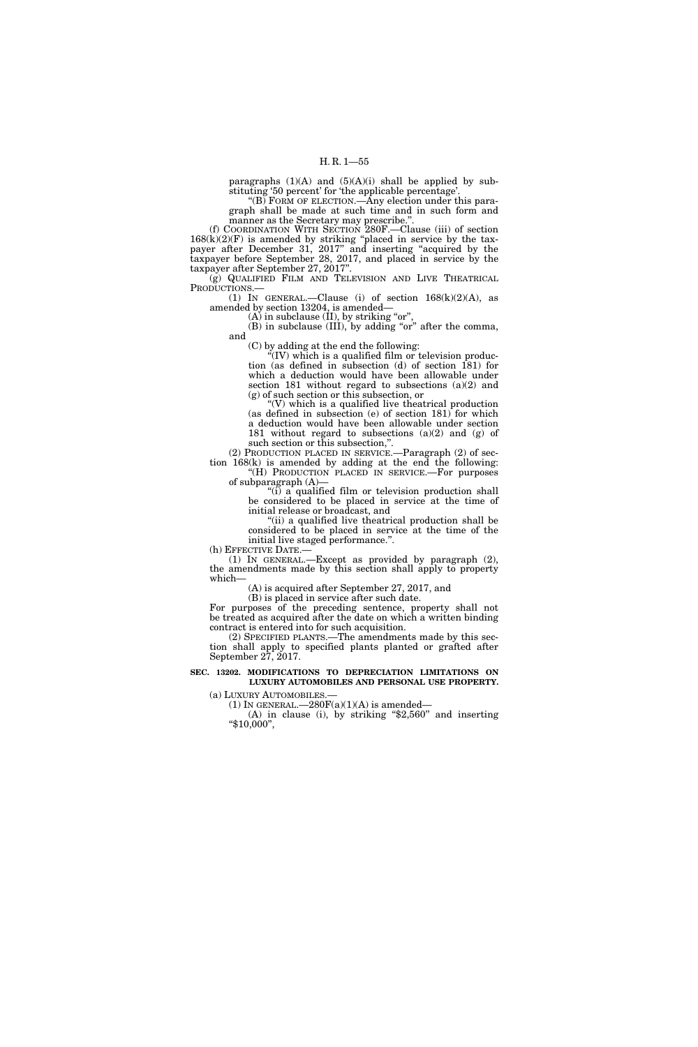paragraphs  $(1)(A)$  and  $(5)(A)(i)$  shall be applied by substituting '50 percent' for 'the applicable percentage'.

"(B) FORM OF ELECTION.—Any election under this paragraph shall be made at such time and in such form and manner as the Secretary may prescribe.''.

(f) COORDINATION WITH SECTION 280F.—Clause (iii) of section  $168(k)(2)(F)$  is amended by striking "placed in service by the taxpayer after December 31, 2017'' and inserting ''acquired by the taxpayer before September 28, 2017, and placed in service by the taxpayer after September 27, 2017''.

(g) QUALIFIED FILM AND TELEVISION AND LIVE THEATRICAL PRODUCTIONS.—

(1) IN GENERAL.—Clause (i) of section  $168(k)(2)(A)$ , as amended by section 13204, is amended—

 $(A)$  in subclause (II), by striking "or",

(B) in subclause (III), by adding "or" after the comma, and

(C) by adding at the end the following:

''(IV) which is a qualified film or television production (as defined in subsection (d) of section 181) for which a deduction would have been allowable under section 181 without regard to subsections (a)(2) and (g) of such section or this subsection, or

" $(V)$  which is a qualified live theatrical production" (as defined in subsection (e) of section 181) for which a deduction would have been allowable under section 181 without regard to subsections  $(a)(2)$  and  $(g)$  of such section or this subsection,''.

(2) PRODUCTION PLACED IN SERVICE.—Paragraph (2) of section 168(k) is amended by adding at the end the following:

''(H) PRODUCTION PLACED IN SERVICE.—For purposes of subparagraph (A)—

" $(i)$  a qualified film or television production shall be considered to be placed in service at the time of initial release or broadcast, and

"(ii) a qualified live theatrical production shall be considered to be placed in service at the time of the initial live staged performance.''.

(h) EFFECTIVE DATE.—

(1) IN GENERAL.—Except as provided by paragraph (2), the amendments made by this section shall apply to property which—

(A) is acquired after September 27, 2017, and

(B) is placed in service after such date. For purposes of the preceding sentence, property shall not be treated as acquired after the date on which a written binding contract is entered into for such acquisition.

(2) SPECIFIED PLANTS.—The amendments made by this section shall apply to specified plants planted or grafted after September 27, 2017.

### **SEC. 13202. MODIFICATIONS TO DEPRECIATION LIMITATIONS ON LUXURY AUTOMOBILES AND PERSONAL USE PROPERTY.**

(a) LUXURY AUTOMOBILES.—<br>(1) IN GENERAL.—280F(a)(1)(A) is amended—

(A) in clause (i), by striking " $$2,560"$  and inserting " $$10,000"$ ,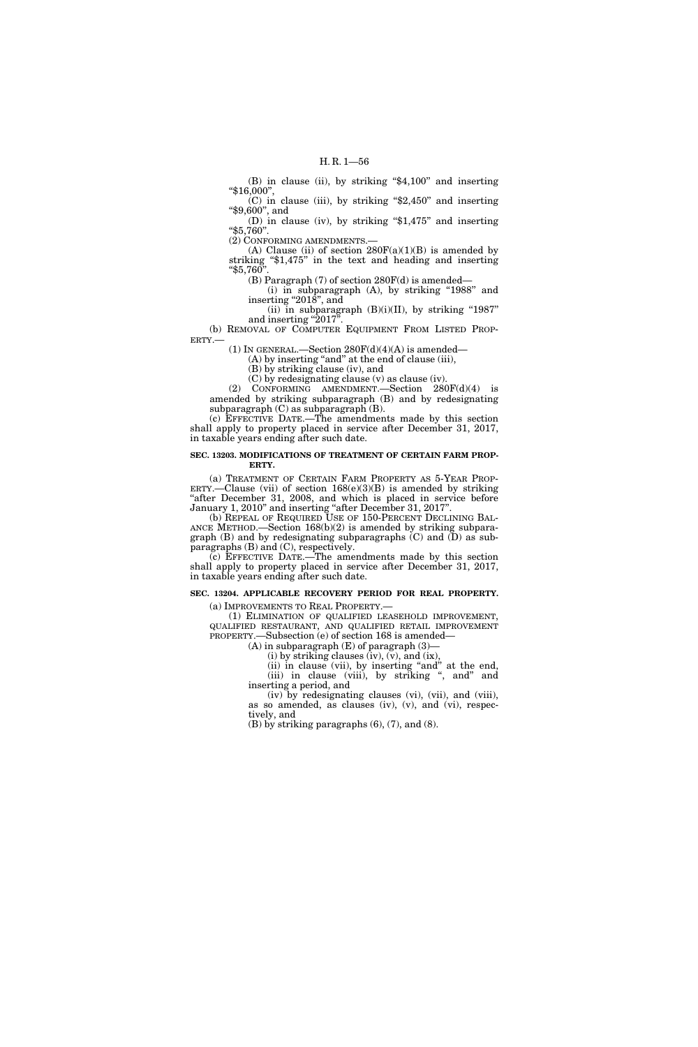(B) in clause (ii), by striking "\$4,100" and inserting ''\$16,000'',

 $(C)$  in clause (iii), by striking "\$2,450" and inserting ''\$9,600'', and

(D) in clause (iv), by striking ''\$1,475'' and inserting ''\$5,760''.

(2) CONFORMING AMENDMENTS.—

(A) Clause (ii) of section  $280F(a)(1)(B)$  is amended by striking ''\$1,475'' in the text and heading and inserting ''\$5,760''.

(B) Paragraph (7) of section 280F(d) is amended— (i) in subparagraph (A), by striking "1988" and inserting " $201\overline{8}$ ", and

(ii) in subparagraph  $(B)(i)(II)$ , by striking "1987" and inserting " $2017$ "

(b) REMOVAL OF COMPUTER EQUIPMENT FROM LISTED PROP-ERTY.—

(1) IN GENERAL.—Section  $280F(d)(4)(A)$  is amended—

(A) by inserting ''and'' at the end of clause (iii),

(B) by striking clause (iv), and

(C) by redesignating clause (v) as clause (iv). (2) CONFORMING AMENDMENT.—Section 280F(d)(4) is

amended by striking subparagraph (B) and by redesignating subparagraph (C) as subparagraph (B).

(c) EFFECTIVE DATE.—The amendments made by this section shall apply to property placed in service after December 31, 2017, in taxable years ending after such date.

### **SEC. 13203. MODIFICATIONS OF TREATMENT OF CERTAIN FARM PROP-ERTY.**

(a) TREATMENT OF CERTAIN FARM PROPERTY AS 5-YEAR PROP-ERTY.—Clause (vii) of section  $168(e)(3)(B)$  is amended by striking "after December 31, 2008, and which is placed in service before January 1, 2010'' and inserting ''after December 31, 2017''.

(b) REPEAL OF REQUIRED USE OF 150-PERCENT DECLINING BAL-ANCE METHOD.—Section 168(b)(2) is amended by striking subparagraph (B) and by redesignating subparagraphs (C) and (D) as subparagraphs (B) and (C), respectively.

(c) EFFECTIVE DATE.—The amendments made by this section shall apply to property placed in service after December 31, 2017, in taxable years ending after such date.

## **SEC. 13204. APPLICABLE RECOVERY PERIOD FOR REAL PROPERTY.**

(a) IMPROVEMENTS TO REAL PROPERTY.—

(1) ELIMINATION OF QUALIFIED LEASEHOLD IMPROVEMENT, QUALIFIED RESTAURANT, AND QUALIFIED RETAIL IMPROVEMENT PROPERTY.—Subsection (e) of section 168 is amended—  $(A)$  in subparagraph  $(E)$  of paragraph  $(3)$ —

 $(i)$  by striking clauses  $(iv)$ ,  $(v)$ , and  $(ix)$ ,

(ii) in clause (vii), by inserting "and" at the end, (iii) in clause (viii), by striking ", and" and inserting a period, and

(iv) by redesignating clauses (vi), (vii), and (viii), as so amended, as clauses (iv), (v), and (vi), respectively, and

(B) by striking paragraphs (6), (7), and (8).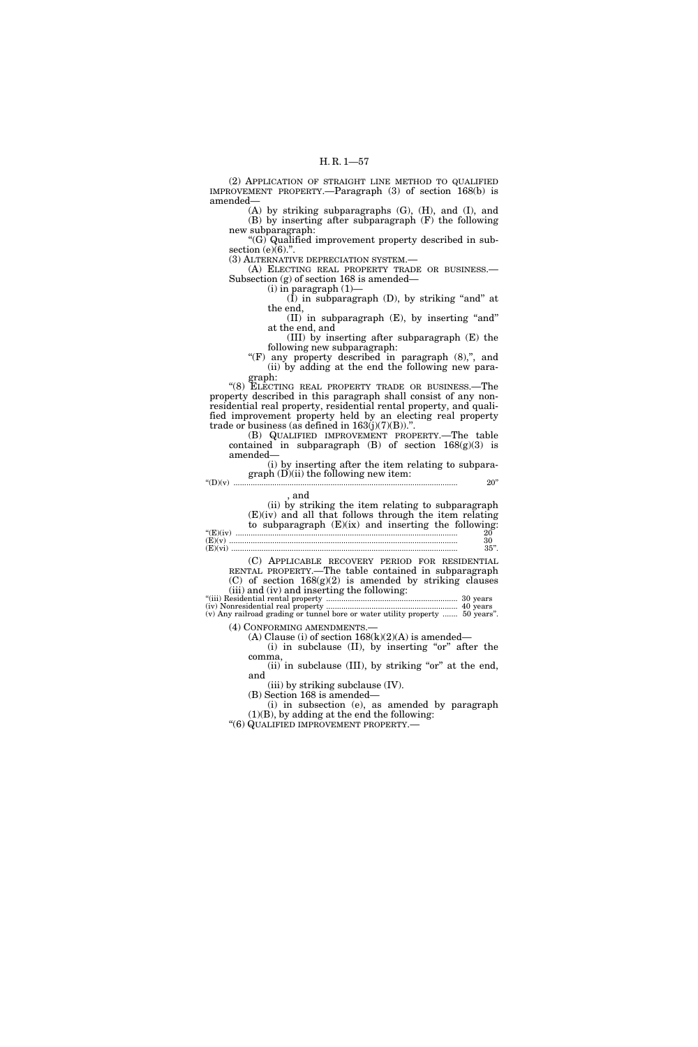(2) APPLICATION OF STRAIGHT LINE METHOD TO QUALIFIED IMPROVEMENT PROPERTY.—Paragraph (3) of section 168(b) is amended—

(A) by striking subparagraphs (G), (H), and (I), and (B) by inserting after subparagraph (F) the following new subparagraph:

''(G) Qualified improvement property described in subsection  $(e)(6)$ .".

(3) ALTERNATIVE DEPRECIATION SYSTEM.— (A) ELECTING REAL PROPERTY TRADE OR BUSINESS.— Subsection (g) of section 168 is amended—

 $(i)$  in paragraph  $(1)$ —

 $(\hat{I})$  in subparagraph  $(D)$ , by striking "and" at the end,

(II) in subparagraph (E), by inserting ''and'' at the end, and

(III) by inserting after subparagraph (E) the following new subparagraph:

" $(F)$  any property described in paragraph  $(8)$ ,", and (ii) by adding at the end the following new paragraph:

"(8) ELECTING REAL PROPERTY TRADE OR BUSINESS.—The property described in this paragraph shall consist of any nonresidential real property, residential rental property, and qualified improvement property held by an electing real property trade or business (as defined in  $163(j)(7)(B)$ ).".

(B) QUALIFIED IMPROVEMENT PROPERTY.—The table contained in subparagraph (B) of section 168(g)(3) is amended—

(i) by inserting after the item relating to subparagraph  $(D)(ii)$  the following new item: ''(D)(v) ........................................................................................................ 20''

, and

(ii) by striking the item relating to subparagraph (E)(iv) and all that follows through the item relating to subparagraph  $(E)(ix)$  and inserting the following: ''(E)(iv) ....................................................................................................... 20 (E)(v) .......................................................................................................... 30

(E)(vi) ......................................................................................................... 35''.

(C) APPLICABLE RECOVERY PERIOD FOR RESIDENTIAL RENTAL PROPERTY.—The table contained in subparagraph (C) of section  $168(g)(2)$  is amended by striking clauses (iii) and (iv) and inserting the following:

''(iii) Residential rental property ............................................................. 30 years (iv) Nonresidential real property ............................................................. 40 years (v) Any railroad grading or tunnel bore or water utility property ....... 50 years''.

(4) CONFORMING AMENDMENTS.—

(A) Clause (i) of section  $168(k)(2)(A)$  is amended— (i) in subclause  $(II)$ , by inserting "or" after the comma,

(ii) in subclause  $(III)$ , by striking "or" at the end, and

(iii) by striking subclause (IV).

(B) Section 168 is amended—

(i) in subsection (e), as amended by paragraph  $(1)(B)$ , by adding at the end the following:

''(6) QUALIFIED IMPROVEMENT PROPERTY.—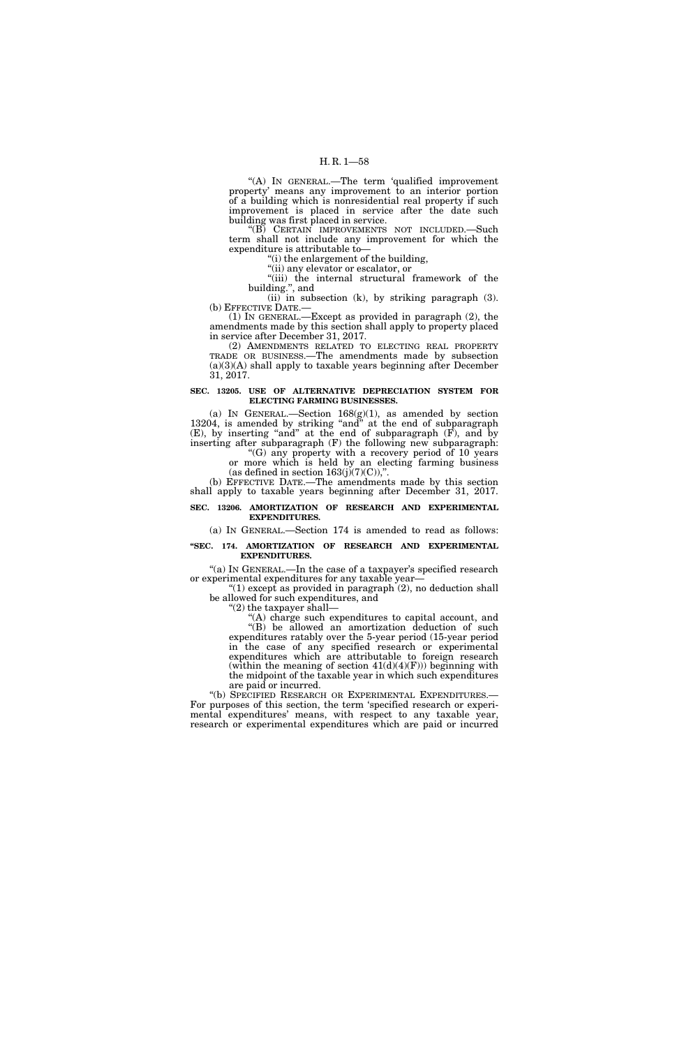"(A) IN GENERAL.—The term 'qualified improvement property' means any improvement to an interior portion of a building which is nonresidential real property if such improvement is placed in service after the date such building was first placed in service.

''(B) CERTAIN IMPROVEMENTS NOT INCLUDED.—Such term shall not include any improvement for which the expenditure is attributable to—

''(i) the enlargement of the building,

''(ii) any elevator or escalator, or

"(iii) the internal structural framework of the building.'', and (ii) in subsection (k), by striking paragraph (3).

(b) EFFECTIVE DATE.—

(1) IN GENERAL.—Except as provided in paragraph (2), the amendments made by this section shall apply to property placed in service after December 31, 2017.

(2) AMENDMENTS RELATED TO ELECTING REAL PROPERTY TRADE OR BUSINESS.—The amendments made by subsection  $(a)(3)(A)$  shall apply to taxable years beginning after December 31, 2017.

### **SEC. 13205. USE OF ALTERNATIVE DEPRECIATION SYSTEM FOR ELECTING FARMING BUSINESSES.**

(a) IN GENERAL.—Section  $168(g)(1)$ , as amended by section 13204, is amended by striking "and" at the end of subparagraph (E), by inserting ''and'' at the end of subparagraph (F), and by inserting after subparagraph (F) the following new subparagraph:

''(G) any property with a recovery period of 10 years or more which is held by an electing farming business (as defined in section  $163(j)(7)(C)$ ),".

(b) EFFECTIVE DATE.—The amendments made by this section shall apply to taxable years beginning after December 31, 2017.

## **SEC. 13206. AMORTIZATION OF RESEARCH AND EXPERIMENTAL EXPENDITURES.**

(a) IN GENERAL.—Section 174 is amended to read as follows:

## **''SEC. 174. AMORTIZATION OF RESEARCH AND EXPERIMENTAL EXPENDITURES.**

"(a) IN GENERAL.—In the case of a taxpayer's specified research or experimental expenditures for any taxable year—

"(1) except as provided in paragraph  $(2)$ , no deduction shall be allowed for such expenditures, and

''(2) the taxpayer shall—

''(A) charge such expenditures to capital account, and ''(B) be allowed an amortization deduction of such expenditures ratably over the 5-year period (15-year period in the case of any specified research or experimental expenditures which are attributable to foreign research (within the meaning of section  $41(d)(4)(F))$ ) beginning with the midpoint of the taxable year in which such expenditures are paid or incurred.

''(b) SPECIFIED RESEARCH OR EXPERIMENTAL EXPENDITURES.— For purposes of this section, the term 'specified research or experimental expenditures' means, with respect to any taxable year, research or experimental expenditures which are paid or incurred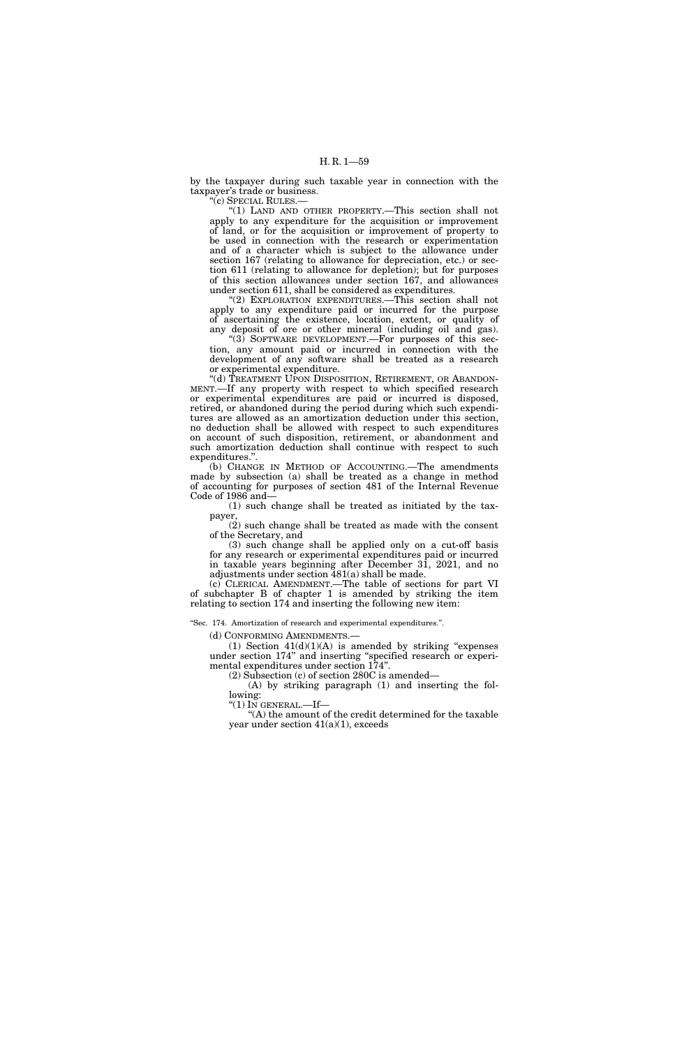by the taxpayer during such taxable year in connection with the taxpayer's trade or business.

''(c) SPECIAL RULES.—

''(1) LAND AND OTHER PROPERTY.—This section shall not apply to any expenditure for the acquisition or improvement of land, or for the acquisition or improvement of property to be used in connection with the research or experimentation and of a character which is subject to the allowance under section 167 (relating to allowance for depreciation, etc.) or section 611 (relating to allowance for depletion); but for purposes of this section allowances under section 167, and allowances under section 611, shall be considered as expenditures.

''(2) EXPLORATION EXPENDITURES.—This section shall not apply to any expenditure paid or incurred for the purpose of ascertaining the existence, location, extent, or quality of any deposit of ore or other mineral (including oil and gas).

''(3) SOFTWARE DEVELOPMENT.—For purposes of this section, any amount paid or incurred in connection with the development of any software shall be treated as a research or experimental expenditure.

"(d) TREATMENT UPON DISPOSITION, RETIREMENT, OR ABANDON-MENT.—If any property with respect to which specified research or experimental expenditures are paid or incurred is disposed, retired, or abandoned during the period during which such expenditures are allowed as an amortization deduction under this section, no deduction shall be allowed with respect to such expenditures on account of such disposition, retirement, or abandonment and such amortization deduction shall continue with respect to such expenditures.''.

(b) CHANGE IN METHOD OF ACCOUNTING.—The amendments made by subsection (a) shall be treated as a change in method of accounting for purposes of section 481 of the Internal Revenue Code of 1986 and—

(1) such change shall be treated as initiated by the taxpayer,

(2) such change shall be treated as made with the consent of the Secretary, and

(3) such change shall be applied only on a cut-off basis for any research or experimental expenditures paid or incurred in taxable years beginning after December 31, 2021, and no adjustments under section 481(a) shall be made.

(c) CLERICAL AMENDMENT.—The table of sections for part VI of subchapter B of chapter 1 is amended by striking the item relating to section 174 and inserting the following new item:

''Sec. 174. Amortization of research and experimental expenditures.''.

(d) CONFORMING AMENDMENTS.—

(1) Section  $41(d)(1)(A)$  is amended by striking "expenses under section 174'' and inserting ''specified research or experimental expenditures under section 174''.

(2) Subsection (c) of section 280C is amended—

(A) by striking paragraph (1) and inserting the following:

" $(1)$  In GENERAL.—If—

 $(A)$  the amount of the credit determined for the taxable year under section  $41(a)(1)$ , exceeds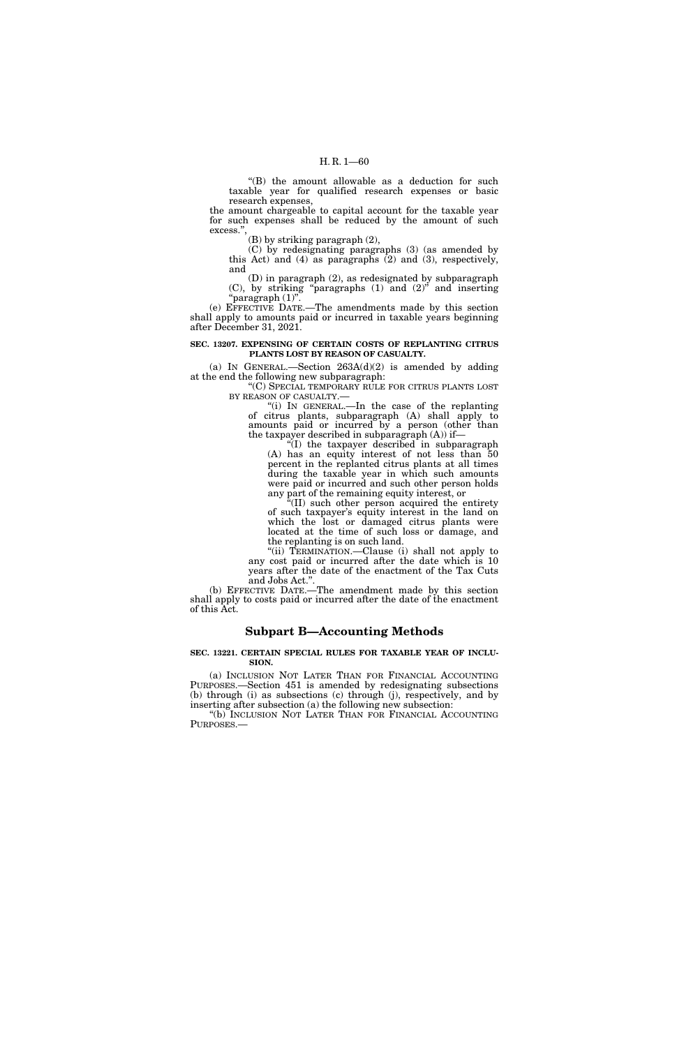''(B) the amount allowable as a deduction for such taxable year for qualified research expenses or basic research expenses,

the amount chargeable to capital account for the taxable year for such expenses shall be reduced by the amount of such excess.'',

(B) by striking paragraph (2),

(C) by redesignating paragraphs (3) (as amended by this Act) and  $(4)$  as paragraphs  $(2)$  and  $(3)$ , respectively, and

(D) in paragraph (2), as redesignated by subparagraph (C), by striking ''paragraphs (1) and (2)'' and inserting ''paragraph (1)''.

(e) EFFECTIVE DATE.—The amendments made by this section shall apply to amounts paid or incurred in taxable years beginning after December 31, 2021.

### **SEC. 13207. EXPENSING OF CERTAIN COSTS OF REPLANTING CITRUS PLANTS LOST BY REASON OF CASUALTY.**

(a) IN GENERAL.—Section  $263A(d)(2)$  is amended by adding at the end the following new subparagraph:

''(C) SPECIAL TEMPORARY RULE FOR CITRUS PLANTS LOST BY REASON OF CASUALTY.—

''(i) IN GENERAL.—In the case of the replanting of citrus plants, subparagraph (A) shall apply to amounts paid or incurred by a person (other than the taxpayer described in subparagraph (A)) if—

''(I) the taxpayer described in subparagraph (A) has an equity interest of not less than 50 percent in the replanted citrus plants at all times during the taxable year in which such amounts were paid or incurred and such other person holds any part of the remaining equity interest, or

''(II) such other person acquired the entirety of such taxpayer's equity interest in the land on which the lost or damaged citrus plants were located at the time of such loss or damage, and the replanting is on such land.

''(ii) TERMINATION.—Clause (i) shall not apply to any cost paid or incurred after the date which is 10 years after the date of the enactment of the Tax Cuts and Jobs Act.''.

(b) EFFECTIVE DATE.—The amendment made by this section shall apply to costs paid or incurred after the date of the enactment of this Act.

## **Subpart B—Accounting Methods**

#### **SEC. 13221. CERTAIN SPECIAL RULES FOR TAXABLE YEAR OF INCLU-SION.**

(a) INCLUSION NOT LATER THAN FOR FINANCIAL ACCOUNTING PURPOSES.—Section 451 is amended by redesignating subsections (b) through (i) as subsections (c) through (j), respectively, and by inserting after subsection (a) the following new subsection:

''(b) INCLUSION NOT LATER THAN FOR FINANCIAL ACCOUNTING PURPOSES.—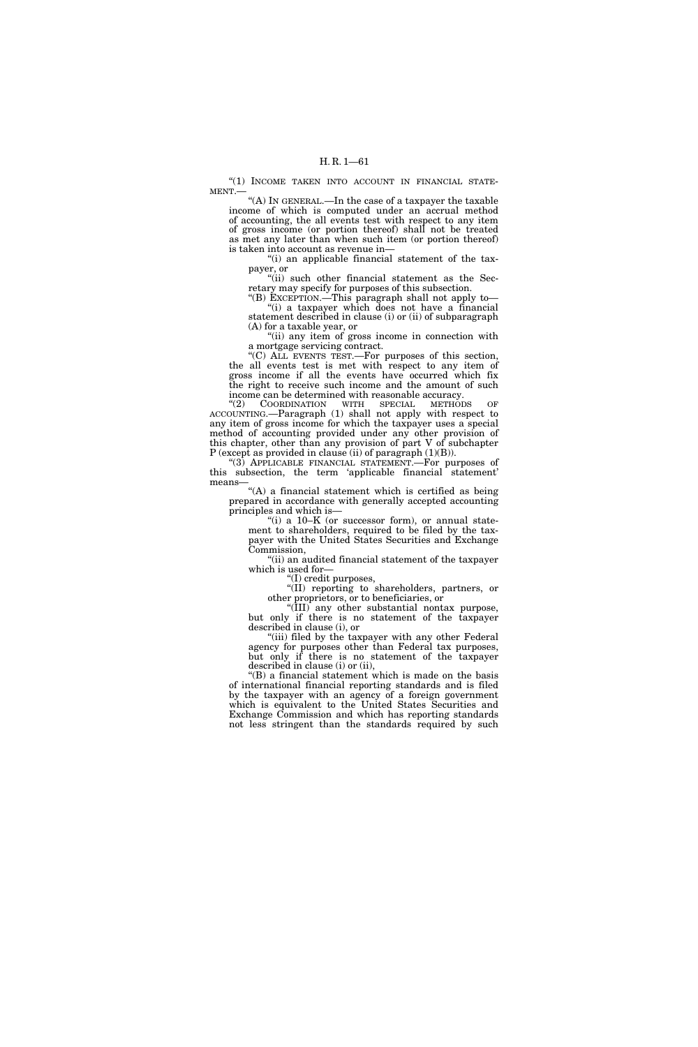"(1) INCOME TAKEN INTO ACCOUNT IN FINANCIAL STATE-MENT.—

''(A) IN GENERAL.—In the case of a taxpayer the taxable income of which is computed under an accrual method of accounting, the all events test with respect to any item of gross income (or portion thereof) shall not be treated as met any later than when such item (or portion thereof) is taken into account as revenue in—

"(i) an applicable financial statement of the taxpayer, or

"(ii) such other financial statement as the Secretary may specify for purposes of this subsection.

''(B) EXCEPTION.—This paragraph shall not apply to— ''(i) a taxpayer which does not have a financial statement described in clause (i) or (ii) of subparagraph (A) for a taxable year, or

''(ii) any item of gross income in connection with a mortgage servicing contract.

"(C) ALL EVENTS TEST.—For purposes of this section, the all events test is met with respect to any item of gross income if all the events have occurred which fix the right to receive such income and the amount of such income can be determined with reasonable accuracy.<br>
"(2) COORDINATION WITH SPECIAL METHOL

COORDINATION WITH SPECIAL METHODS OF ACCOUNTING.—Paragraph (1) shall not apply with respect to any item of gross income for which the taxpayer uses a special method of accounting provided under any other provision of this chapter, other than any provision of part V of subchapter  $P$  (except as provided in clause (ii) of paragraph  $(1)(B)$ ).

''(3) APPLICABLE FINANCIAL STATEMENT.—For purposes of this subsection, the term 'applicable financial statement' means

 $(A)$  a financial statement which is certified as being prepared in accordance with generally accepted accounting principles and which is—

"(i) a  $10-K$  (or successor form), or annual statement to shareholders, required to be filed by the taxpayer with the United States Securities and Exchange Commission,

''(ii) an audited financial statement of the taxpayer which is used for-

''(I) credit purposes,

''(II) reporting to shareholders, partners, or other proprietors, or to beneficiaries, or

''(III) any other substantial nontax purpose, but only if there is no statement of the taxpayer described in clause (i), or

"(iii) filed by the taxpayer with any other Federal agency for purposes other than Federal tax purposes, but only if there is no statement of the taxpayer described in clause (i) or (ii),

''(B) a financial statement which is made on the basis of international financial reporting standards and is filed by the taxpayer with an agency of a foreign government which is equivalent to the United States Securities and Exchange Commission and which has reporting standards not less stringent than the standards required by such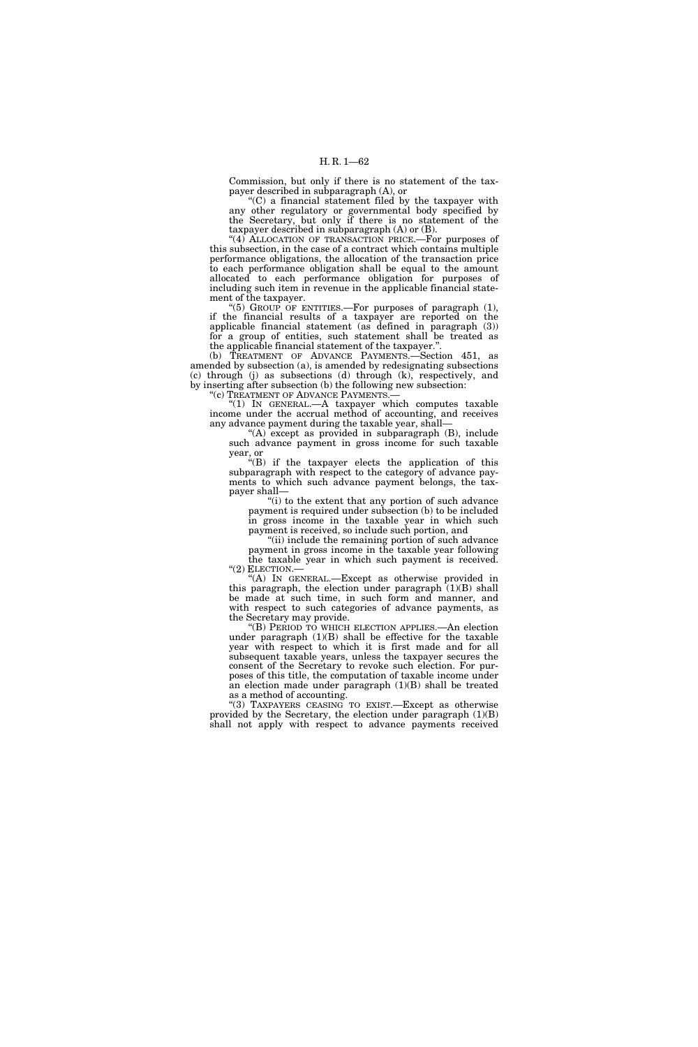Commission, but only if there is no statement of the taxpayer described in subparagraph (A), or

 $C$ ) a financial statement filed by the taxpayer with any other regulatory or governmental body specified by the Secretary, but only if there is no statement of the taxpayer described in subparagraph (A) or (B).

"(4) ALLOCATION OF TRANSACTION PRICE.—For purposes of this subsection, in the case of a contract which contains multiple performance obligations, the allocation of the transaction price to each performance obligation shall be equal to the amount allocated to each performance obligation for purposes of including such item in revenue in the applicable financial statement of the taxpayer.

(5) GROUP OF ENTITIES.—For purposes of paragraph  $(1)$ , if the financial results of a taxpayer are reported on the applicable financial statement (as defined in paragraph (3)) for a group of entities, such statement shall be treated as the applicable financial statement of the taxpayer.''.

(b) TREATMENT OF ADVANCE PAYMENTS.—Section 451, as amended by subsection (a), is amended by redesignating subsections (c) through (j) as subsections (d) through (k), respectively, and by inserting after subsection (b) the following new subsection:

''(c) TREATMENT OF ADVANCE PAYMENTS.—

''(1) IN GENERAL.—A taxpayer which computes taxable income under the accrual method of accounting, and receives any advance payment during the taxable year, shall—

"(A) except as provided in subparagraph (B), include such advance payment in gross income for such taxable year, or

''(B) if the taxpayer elects the application of this subparagraph with respect to the category of advance payments to which such advance payment belongs, the taxpayer shall—

''(i) to the extent that any portion of such advance payment is required under subsection (b) to be included in gross income in the taxable year in which such payment is received, so include such portion, and

"(ii) include the remaining portion of such advance

payment in gross income in the taxable year following the taxable year in which such payment is received. "(2) ELECTION.

''(A) IN GENERAL.—Except as otherwise provided in this paragraph, the election under paragraph  $(1)(B)$  shall be made at such time, in such form and manner, and with respect to such categories of advance payments, as the Secretary may provide.

''(B) PERIOD TO WHICH ELECTION APPLIES.—An election under paragraph (1)(B) shall be effective for the taxable year with respect to which it is first made and for all subsequent taxable years, unless the taxpayer secures the consent of the Secretary to revoke such election. For purposes of this title, the computation of taxable income under an election made under paragraph  $(1)(B)$  shall be treated as a method of accounting.

"(3) TAXPAYERS CEASING TO EXIST.—Except as otherwise provided by the Secretary, the election under paragraph  $(1)(B)$ shall not apply with respect to advance payments received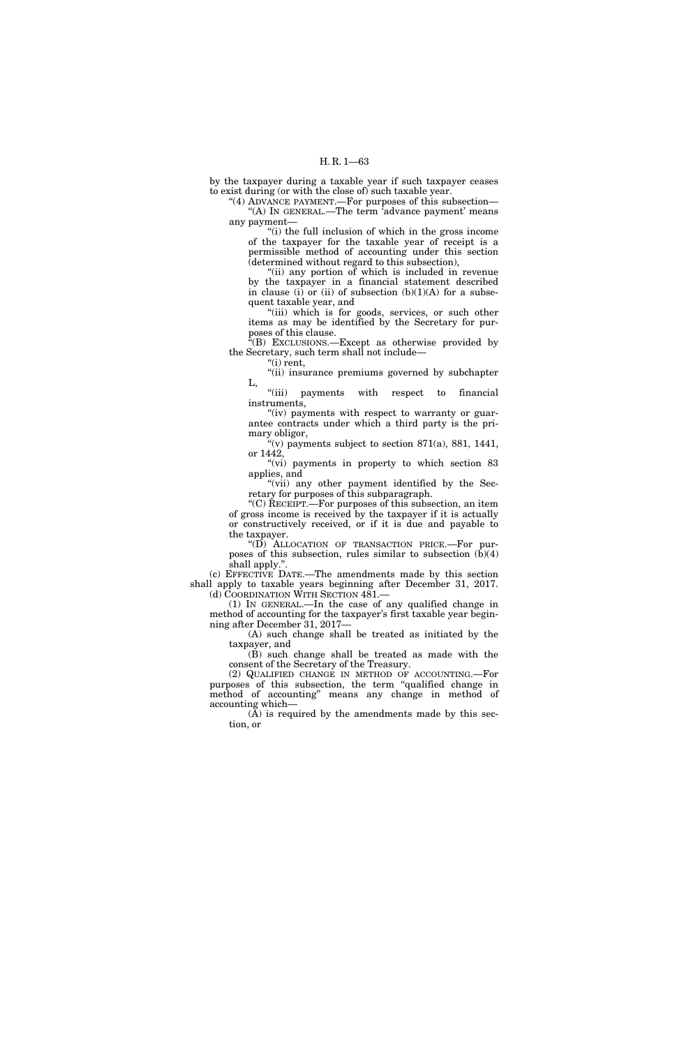by the taxpayer during a taxable year if such taxpayer ceases to exist during (or with the close of) such taxable year.

"(4) ADVANCE PAYMENT.—For purposes of this subsection— "(A) In GENERAL.—The term 'advance payment' means any payment—

''(i) the full inclusion of which in the gross income of the taxpayer for the taxable year of receipt is a permissible method of accounting under this section (determined without regard to this subsection),

''(ii) any portion of which is included in revenue by the taxpayer in a financial statement described in clause (i) or (ii) of subsection  $(b)(1)(A)$  for a subsequent taxable year, and

"(iii) which is for goods, services, or such other items as may be identified by the Secretary for purposes of this clause.

''(B) EXCLUSIONS.—Except as otherwise provided by the Secretary, such term shall not include—

 $"$ (i) rent,

''(ii) insurance premiums governed by subchapter L,

''(iii) payments with respect to financial instruments,

" $(iv)$  payments with respect to warranty or guarantee contracts under which a third party is the primary obligor,

"(v) payments subject to section  $871(a)$ ,  $881$ ,  $1441$ , or 1442,

"(vi) payments in property to which section 83 applies, and

"(vii) any other payment identified by the Secretary for purposes of this subparagraph.

''(C) RECEIPT.—For purposes of this subsection, an item of gross income is received by the taxpayer if it is actually or constructively received, or if it is due and payable to the taxpayer.

''(D) ALLOCATION OF TRANSACTION PRICE.—For purposes of this subsection, rules similar to subsection (b)(4) shall apply.''.

(c) EFFECTIVE DATE.—The amendments made by this section shall apply to taxable years beginning after December 31, 2017. (d) COORDINATION WITH SECTION 481.-

(1) IN GENERAL.—In the case of any qualified change in method of accounting for the taxpayer's first taxable year beginning after December 31, 2017—

(A) such change shall be treated as initiated by the taxpayer, and

(B) such change shall be treated as made with the consent of the Secretary of the Treasury.

(2) QUALIFIED CHANGE IN METHOD OF ACCOUNTING.—For purposes of this subsection, the term ''qualified change in method of accounting'' means any change in method of accounting which—

(A) is required by the amendments made by this section, or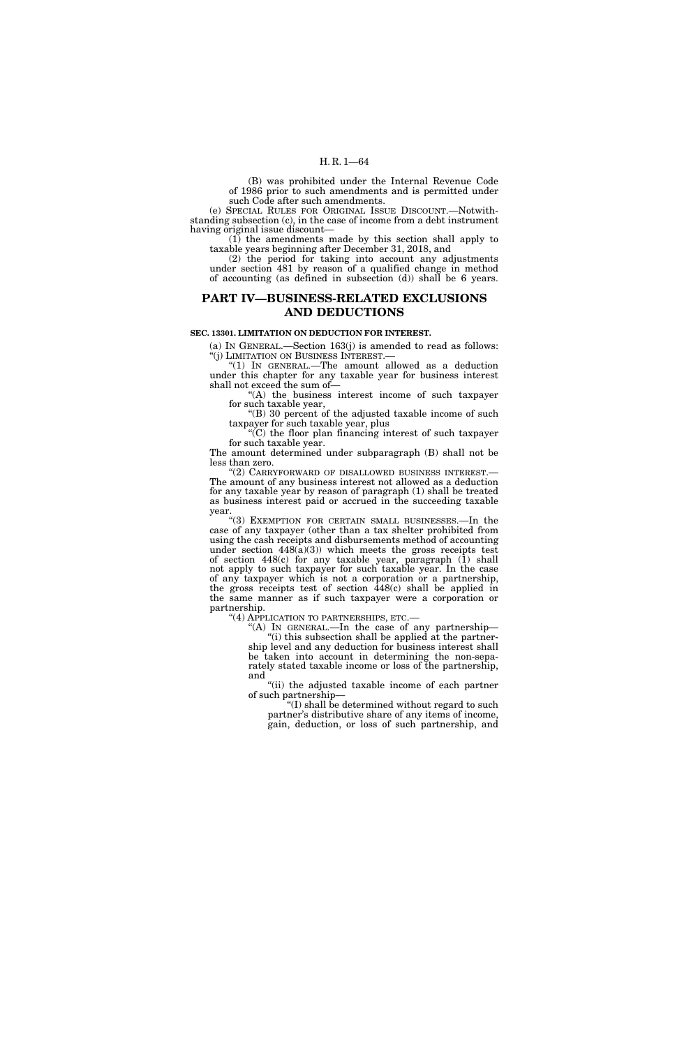(B) was prohibited under the Internal Revenue Code of 1986 prior to such amendments and is permitted under such Code after such amendments.

(e) SPECIAL RULES FOR ORIGINAL ISSUE DISCOUNT.—Notwithstanding subsection (c), in the case of income from a debt instrument having original issue discount—

(1) the amendments made by this section shall apply to taxable years beginning after December 31, 2018, and

(2) the period for taking into account any adjustments under section 481 by reason of a qualified change in method of accounting (as defined in subsection (d)) shall be 6 years.

## **PART IV—BUSINESS-RELATED EXCLUSIONS AND DEDUCTIONS**

#### **SEC. 13301. LIMITATION ON DEDUCTION FOR INTEREST.**

(a) IN GENERAL.—Section 163(j) is amended to read as follows:  $''(j)$  LIMITATION ON BUSINESS INTEREST.

 $(1)$  In GENERAL.—The amount allowed as a deduction under this chapter for any taxable year for business interest shall not exceed the sum of—

''(A) the business interest income of such taxpayer for such taxable year,

''(B) 30 percent of the adjusted taxable income of such taxpayer for such taxable year, plus

''(C) the floor plan financing interest of such taxpayer for such taxable year.

The amount determined under subparagraph (B) shall not be less than zero.

''(2) CARRYFORWARD OF DISALLOWED BUSINESS INTEREST.— The amount of any business interest not allowed as a deduction for any taxable year by reason of paragraph (1) shall be treated as business interest paid or accrued in the succeeding taxable year.

''(3) EXEMPTION FOR CERTAIN SMALL BUSINESSES.—In the case of any taxpayer (other than a tax shelter prohibited from using the cash receipts and disbursements method of accounting under section  $448(a)(3)$ ) which meets the gross receipts test of section 448(c) for any taxable year, paragraph (1) shall not apply to such taxpayer for such taxable year. In the case of any taxpayer which is not a corporation or a partnership, the gross receipts test of section 448(c) shall be applied in the same manner as if such taxpayer were a corporation or partnership.<br>"(4) APPLICATION TO PARTNERSHIPS, ETC.-

"(A) In GENERAL.—In the case of any partnership— "(i) this subsection shall be applied at the partnership level and any deduction for business interest shall be taken into account in determining the non-separately stated taxable income or loss of the partnership, and

''(ii) the adjusted taxable income of each partner of such partnership—

''(I) shall be determined without regard to such partner's distributive share of any items of income, gain, deduction, or loss of such partnership, and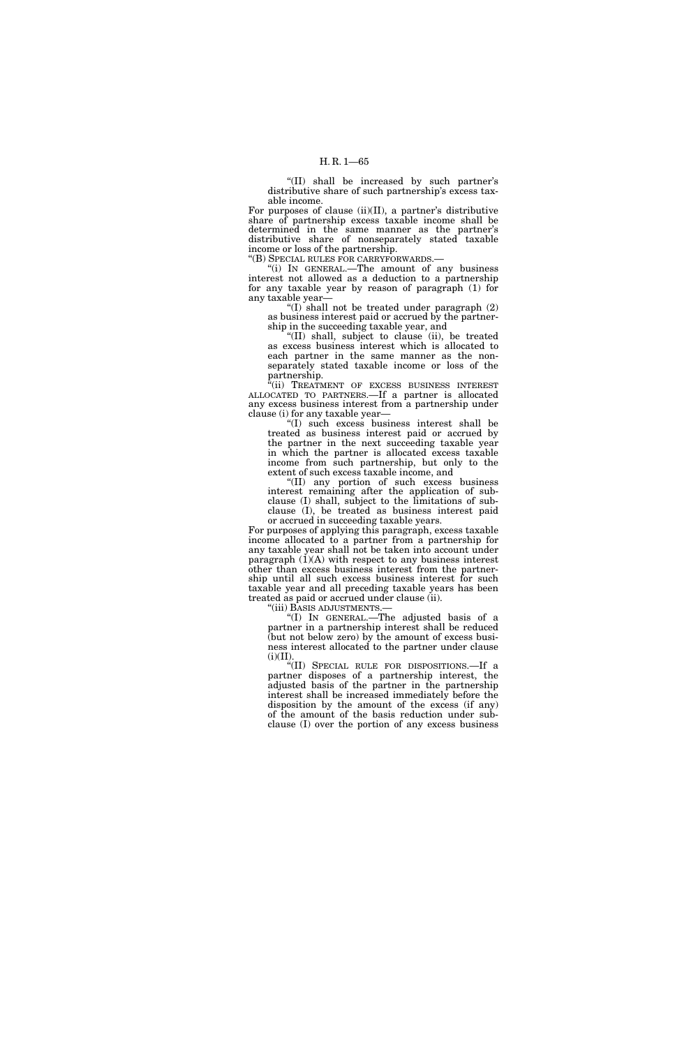''(II) shall be increased by such partner's distributive share of such partnership's excess taxable income.

For purposes of clause (ii)(II), a partner's distributive share of partnership excess taxable income shall be determined in the same manner as the partner's distributive share of nonseparately stated taxable income or loss of the partnership.

''(B) SPECIAL RULES FOR CARRYFORWARDS.—

''(i) IN GENERAL.—The amount of any business interest not allowed as a deduction to a partnership for any taxable year by reason of paragraph (1) for any taxable year—

"(I) shall not be treated under paragraph  $(2)$ as business interest paid or accrued by the partnership in the succeeding taxable year, and

''(II) shall, subject to clause (ii), be treated as excess business interest which is allocated to each partner in the same manner as the nonseparately stated taxable income or loss of the partnership.

"(ii) TREATMENT OF EXCESS BUSINESS INTEREST ALLOCATED TO PARTNERS.—If a partner is allocated any excess business interest from a partnership under clause (i) for any taxable year—

''(I) such excess business interest shall be treated as business interest paid or accrued by the partner in the next succeeding taxable year in which the partner is allocated excess taxable income from such partnership, but only to the extent of such excess taxable income, and

''(II) any portion of such excess business interest remaining after the application of subclause (I) shall, subject to the limitations of subclause (I), be treated as business interest paid or accrued in succeeding taxable years.

For purposes of applying this paragraph, excess taxable income allocated to a partner from a partnership for any taxable year shall not be taken into account under paragraph  $(1)(A)$  with respect to any business interest other than excess business interest from the partnership until all such excess business interest for such taxable year and all preceding taxable years has been treated as paid or accrued under clause (ii).<br>"(iii) BASIS ADJUSTMENTS.—

"(I) IN GENERAL.—The adjusted basis of a partner in a partnership interest shall be reduced (but not below zero) by the amount of excess business interest allocated to the partner under clause  $(i)(II).$ 

''(II) SPECIAL RULE FOR DISPOSITIONS.—If a partner disposes of a partnership interest, the adjusted basis of the partner in the partnership interest shall be increased immediately before the disposition by the amount of the excess (if any) of the amount of the basis reduction under subclause (I) over the portion of any excess business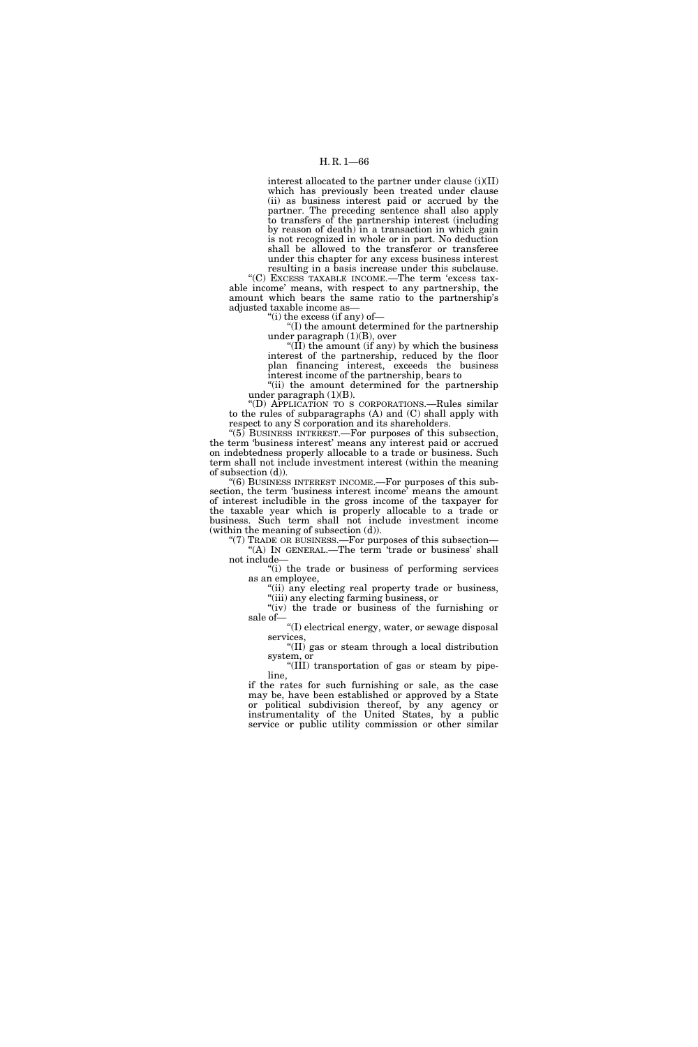interest allocated to the partner under clause (i)(II) which has previously been treated under clause (ii) as business interest paid or accrued by the partner. The preceding sentence shall also apply to transfers of the partnership interest (including by reason of death) in a transaction in which gain is not recognized in whole or in part. No deduction shall be allowed to the transferor or transferee under this chapter for any excess business interest

resulting in a basis increase under this subclause. ''(C) EXCESS TAXABLE INCOME.—The term 'excess taxable income' means, with respect to any partnership, the amount which bears the same ratio to the partnership's adjusted taxable income as—

''(i) the excess (if any) of—

''(I) the amount determined for the partnership under paragraph (1)(B), over

''(II) the amount (if any) by which the business interest of the partnership, reduced by the floor plan financing interest, exceeds the business interest income of the partnership, bears to

"(ii) the amount determined for the partnership under paragraph  $(1)(B)$ .

''(D) APPLICATION TO S CORPORATIONS.—Rules similar to the rules of subparagraphs (A) and (C) shall apply with respect to any S corporation and its shareholders.

''(5) BUSINESS INTEREST.—For purposes of this subsection, the term 'business interest' means any interest paid or accrued on indebtedness properly allocable to a trade or business. Such term shall not include investment interest (within the meaning of subsection (d)).

 $'(6)$  BUSINESS INTEREST INCOME.—For purposes of this subsection, the term 'business interest income' means the amount of interest includible in the gross income of the taxpayer for the taxable year which is properly allocable to a trade or business. Such term shall not include investment income (within the meaning of subsection (d)).

'(7) TRADE OR BUSINESS.—For purposes of this subsection— "(A) IN GENERAL.—The term 'trade or business' shall not include—

''(i) the trade or business of performing services as an employee,

''(ii) any electing real property trade or business, ''(iii) any electing farming business, or

"(iv) the trade or business of the furnishing or sale of—

 $\mathrm{``(I)}$  electrical energy, water, or sewage disposal services,

''(II) gas or steam through a local distribution system, or

''(III) transportation of gas or steam by pipeline,

if the rates for such furnishing or sale, as the case may be, have been established or approved by a State or political subdivision thereof, by any agency or instrumentality of the United States, by a public service or public utility commission or other similar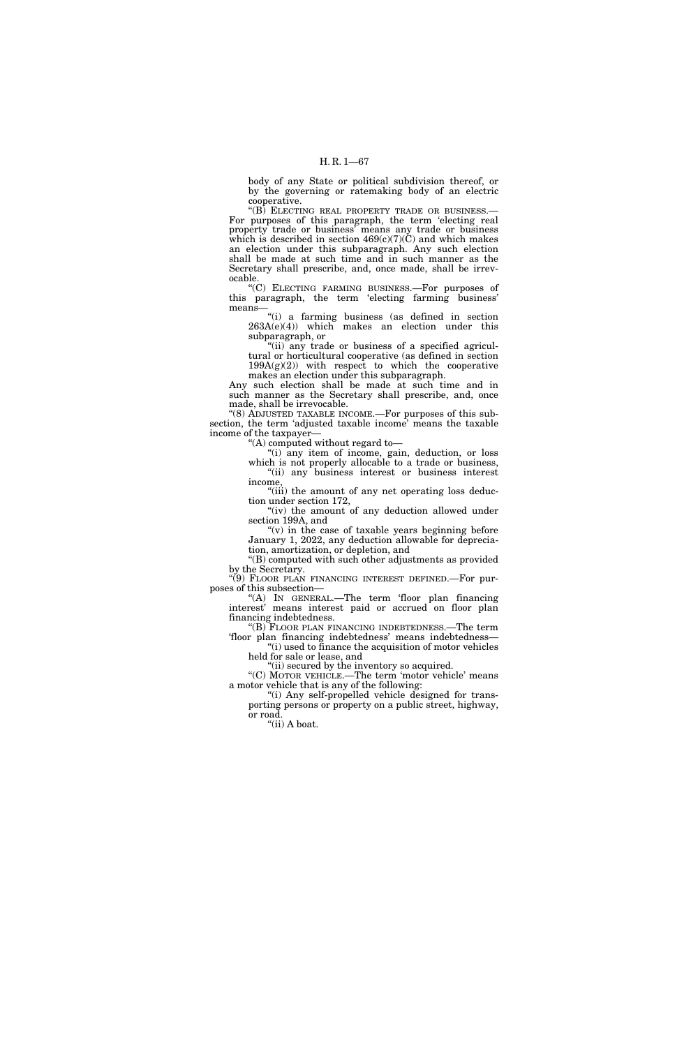body of any State or political subdivision thereof, or by the governing or ratemaking body of an electric cooperative.

"(B) ELECTING REAL PROPERTY TRADE OR BUSINESS.-For purposes of this paragraph, the term 'electing real property trade or business' means any trade or business which is described in section  $469(c)(7)(\text{C})$  and which makes an election under this subparagraph. Any such election shall be made at such time and in such manner as the Secretary shall prescribe, and, once made, shall be irrevocable.

''(C) ELECTING FARMING BUSINESS.—For purposes of this paragraph, the term 'electing farming business' means—

''(i) a farming business (as defined in section  $263A(e)(4)$ ) which makes an election under this subparagraph, or

"(ii) any trade or business of a specified agricultural or horticultural cooperative (as defined in section  $199A(g)(2)$  with respect to which the cooperative makes an election under this subparagraph.

Any such election shall be made at such time and in such manner as the Secretary shall prescribe, and, once made, shall be irrevocable.

''(8) ADJUSTED TAXABLE INCOME.—For purposes of this subsection, the term 'adjusted taxable income' means the taxable income of the taxpayer—

''(A) computed without regard to—

''(i) any item of income, gain, deduction, or loss which is not properly allocable to a trade or business, ''(ii) any business interest or business interest income,

"(iii) the amount of any net operating loss deduction under section 172,

"(iv) the amount of any deduction allowed under section 199A, and

" $(v)$  in the case of taxable years beginning before January 1, 2022, any deduction allowable for depreciation, amortization, or depletion, and

''(B) computed with such other adjustments as provided by the Secretary.

''(9) FLOOR PLAN FINANCING INTEREST DEFINED.—For purposes of this subsection—

''(A) IN GENERAL.—The term 'floor plan financing interest' means interest paid or accrued on floor plan financing indebtedness.

''(B) FLOOR PLAN FINANCING INDEBTEDNESS.—The term 'floor plan financing indebtedness' means indebtedness—

"(i) used to finance the acquisition of motor vehicles held for sale or lease, and

"(ii) secured by the inventory so acquired.

"(C) MOTOR VEHICLE.—The term 'motor vehicle' means a motor vehicle that is any of the following:

"(i) Any self-propelled vehicle designed for transporting persons or property on a public street, highway, or road.

''(ii) A boat.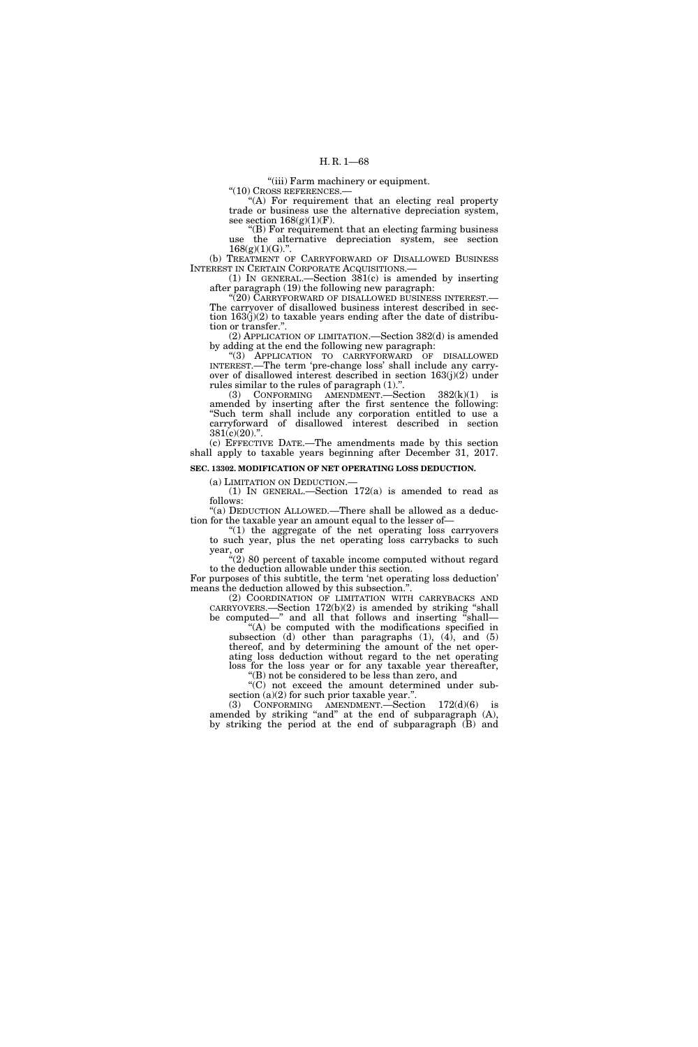''(iii) Farm machinery or equipment.

 $"$ (10) CROSS REFERENCES.

"(A) For requirement that an electing real property trade or business use the alternative depreciation system, see section  $168(g)(1)(F)$ .

''(B) For requirement that an electing farming business use the alternative depreciation system, see section  $168(g)(1)(G)$ ."

(b) TREATMENT OF CARRYFORWARD OF DISALLOWED BUSINESS INTEREST IN CERTAIN CORPORATE ACQUISITIONS.—

(1) IN GENERAL.—Section 381(c) is amended by inserting after paragraph (19) the following new paragraph:

''(20) CARRYFORWARD OF DISALLOWED BUSINESS INTEREST.— The carryover of disallowed business interest described in section 163(j)(2) to taxable years ending after the date of distribution or transfer.''.

(2) APPLICATION OF LIMITATION.—Section 382(d) is amended by adding at the end the following new paragraph:

''(3) APPLICATION TO CARRYFORWARD OF DISALLOWED INTEREST.—The term 'pre-change loss' shall include any carryover of disallowed interest described in section 163(j)(2) under rules similar to the rules of paragraph (1).''.

(3) CONFORMING AMENDMENT.—Section 382(k)(1) is amended by inserting after the first sentence the following: ''Such term shall include any corporation entitled to use a carryforward of disallowed interest described in section  $381(c)(20)$ .".

(c) EFFECTIVE DATE.—The amendments made by this section shall apply to taxable years beginning after December 31, 2017.

## **SEC. 13302. MODIFICATION OF NET OPERATING LOSS DEDUCTION.**

(a) LIMITATION ON DEDUCTION.—

(1) IN GENERAL.—Section 172(a) is amended to read as follows:

''(a) DEDUCTION ALLOWED.—There shall be allowed as a deduction for the taxable year an amount equal to the lesser of—

"(1) the aggregate of the net operating loss carryovers to such year, plus the net operating loss carrybacks to such year, or

"(2) 80 percent of taxable income computed without regard to the deduction allowable under this section.

For purposes of this subtitle, the term 'net operating loss deduction' means the deduction allowed by this subsection.''.

(2) COORDINATION OF LIMITATION WITH CARRYBACKS AND CARRYOVERS.—Section 172(b)(2) is amended by striking ''shall be computed—" and all that follows and inserting "shall—

 $(A)$  be computed with the modifications specified in subsection (d) other than paragraphs  $(1)$ ,  $(4)$ , and  $(5)$ thereof, and by determining the amount of the net operating loss deduction without regard to the net operating loss for the loss year or for any taxable year thereafter,

''(B) not be considered to be less than zero, and ''(C) not exceed the amount determined under subsection  $(a)(2)$  for such prior taxable year.".

(3) CONFORMING AMENDMENT.—Section 172(d)(6) is amended by striking "and" at the end of subparagraph (A), by striking the period at the end of subparagraph (B) and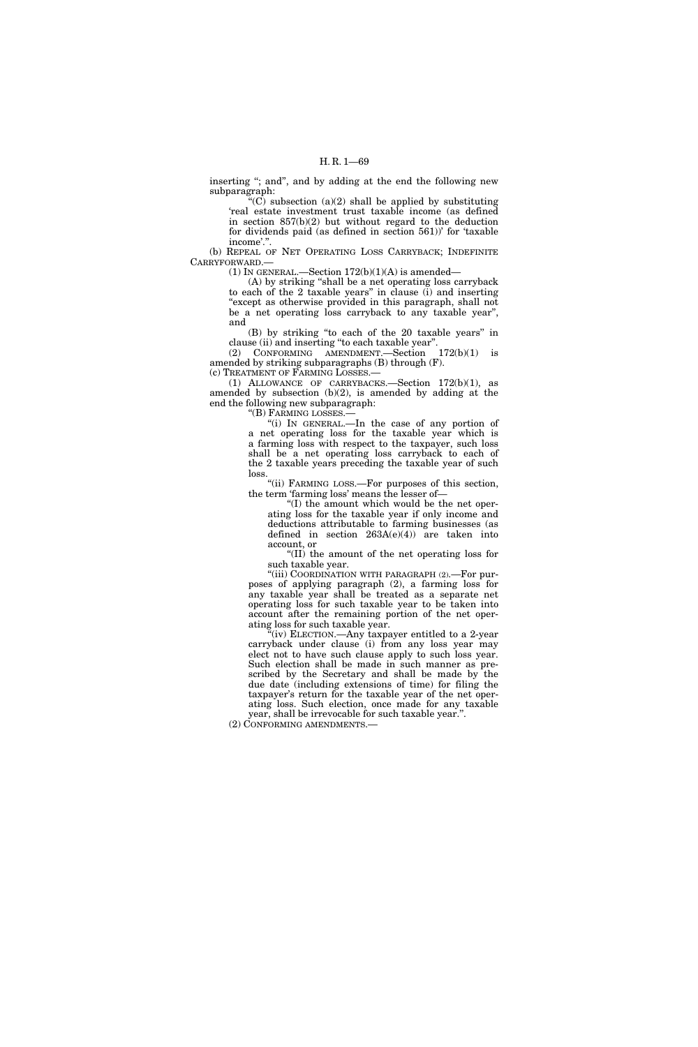inserting "; and", and by adding at the end the following new subparagraph:

"(C) subsection (a)(2) shall be applied by substituting 'real estate investment trust taxable income (as defined in section  $857(b)(2)$  but without regard to the deduction for dividends paid (as defined in section 561))' for 'taxable income'.''.

(b) REPEAL OF NET OPERATING LOSS CARRYBACK; INDEFINITE CARRYFORWARD.—

(1) IN GENERAL.—Section  $172(b)(1)(A)$  is amended—

(A) by striking ''shall be a net operating loss carryback to each of the 2 taxable years'' in clause (i) and inserting "except as otherwise provided in this paragraph, shall not be a net operating loss carryback to any taxable year", and

(B) by striking ''to each of the 20 taxable years'' in clause (ii) and inserting ''to each taxable year''.

(2) CONFORMING AMENDMENT.—Section 172(b)(1) is amended by striking subparagraphs (B) through (F). (c) TREATMENT OF FARMING LOSSES.—

(1) ALLOWANCE OF CARRYBACKS.—Section 172(b)(1), as amended by subsection (b)(2), is amended by adding at the end the following new subparagraph:

''(B) FARMING LOSSES.—

''(i) IN GENERAL.—In the case of any portion of a net operating loss for the taxable year which is a farming loss with respect to the taxpayer, such loss shall be a net operating loss carryback to each of the 2 taxable years preceding the taxable year of such loss.

"(ii) FARMING LOSS.-For purposes of this section, the term 'farming loss' means the lesser of—

''(I) the amount which would be the net operating loss for the taxable year if only income and deductions attributable to farming businesses (as defined in section  $263A(e)(4)$  are taken into account, or

''(II) the amount of the net operating loss for such taxable year.

"(iii) COORDINATION WITH PARAGRAPH (2).—For purposes of applying paragraph (2), a farming loss for any taxable year shall be treated as a separate net operating loss for such taxable year to be taken into account after the remaining portion of the net operating loss for such taxable year.

 $f(iv)$  ELECTION.—Any taxpayer entitled to a 2-year carryback under clause (i) from any loss year may elect not to have such clause apply to such loss year. Such election shall be made in such manner as prescribed by the Secretary and shall be made by the due date (including extensions of time) for filing the taxpayer's return for the taxable year of the net operating loss. Such election, once made for any taxable year, shall be irrevocable for such taxable year.''.

(2) CONFORMING AMENDMENTS.—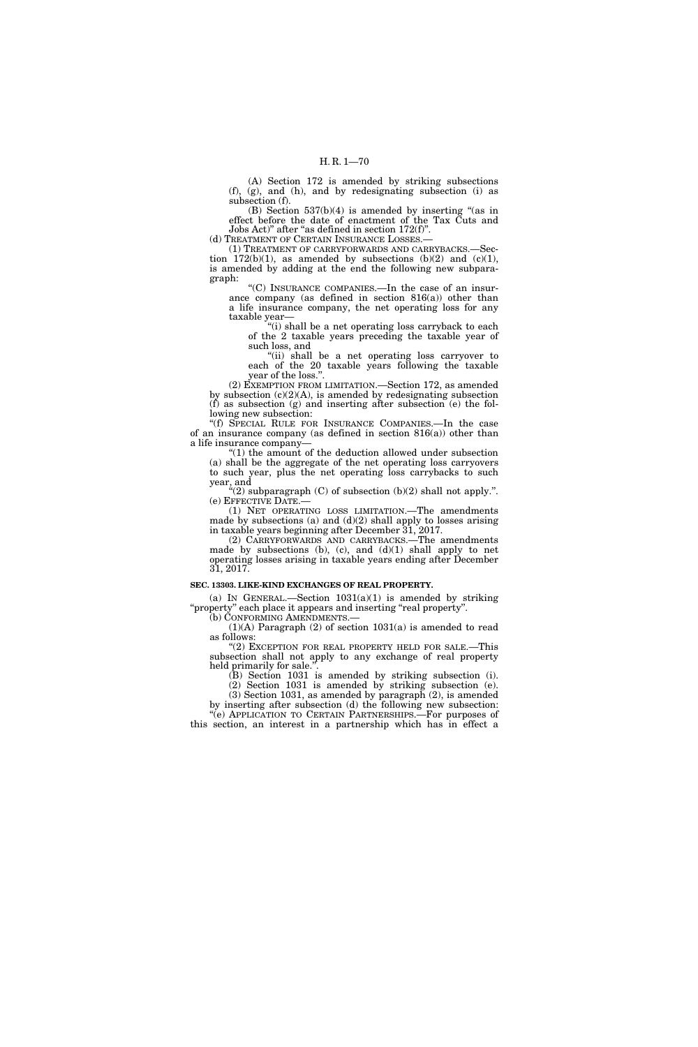(A) Section 172 is amended by striking subsections (f), (g), and (h), and by redesignating subsection (i) as subsection (f).

(B) Section  $537(b)(4)$  is amended by inserting "(as in effect before the date of enactment of the Tax Cuts and Jobs Act)'' after ''as defined in section 172(f)''.

(d) TREATMENT OF CERTAIN INSURANCE LOSSES.-

(1) TREATMENT OF CARRYFORWARDS AND CARRYBACKS.—Section  $172(b)(1)$ , as amended by subsections  $(b)(2)$  and  $(c)(1)$ , is amended by adding at the end the following new subparagraph:

''(C) INSURANCE COMPANIES.—In the case of an insurance company (as defined in section 816(a)) other than a life insurance company, the net operating loss for any taxable year—

''(i) shall be a net operating loss carryback to each of the 2 taxable years preceding the taxable year of such loss, and

''(ii) shall be a net operating loss carryover to each of the 20 taxable years following the taxable year of the loss.''.

(2) EXEMPTION FROM LIMITATION.—Section 172, as amended by subsection  $(c)(2)(A)$ , is amended by redesignating subsection  $(f)$  as subsection  $(g)$  and inserting after subsection  $(e)$  the following new subsection:

''(f) SPECIAL RULE FOR INSURANCE COMPANIES.—In the case of an insurance company (as defined in section 816(a)) other than a life insurance company—

''(1) the amount of the deduction allowed under subsection (a) shall be the aggregate of the net operating loss carryovers to such year, plus the net operating loss carrybacks to such year, and

 $\cdot$  (2) subparagraph (C) of subsection (b)(2) shall not apply.". (e) EFFECTIVE DATE.—

(1) NET OPERATING LOSS LIMITATION.—The amendments made by subsections (a) and  $(d)(2)$  shall apply to losses arising in taxable years beginning after December 31, 2017.

(2) CARRYFORWARDS AND CARRYBACKS.—The amendments made by subsections (b), (c), and  $(d)(1)$  shall apply to net operating losses arising in taxable years ending after December 31, 2017.

### **SEC. 13303. LIKE-KIND EXCHANGES OF REAL PROPERTY.**

(a) IN GENERAL.—Section  $1031(a)(1)$  is amended by striking ''property'' each place it appears and inserting ''real property''.

(b) CONFORMING AMENDMENTS.— (1)(A) Paragraph (2) of section 1031(a) is amended to read as follows:

"(2) EXCEPTION FOR REAL PROPERTY HELD FOR SALE.—This subsection shall not apply to any exchange of real property held primarily for sale."

(B) Section 1031 is amended by striking subsection (i).

(2) Section 1031 is amended by striking subsection (e). (3) Section 1031, as amended by paragraph (2), is amended by inserting after subsection (d) the following new subsection:

''(e) APPLICATION TO CERTAIN PARTNERSHIPS.—For purposes of this section, an interest in a partnership which has in effect a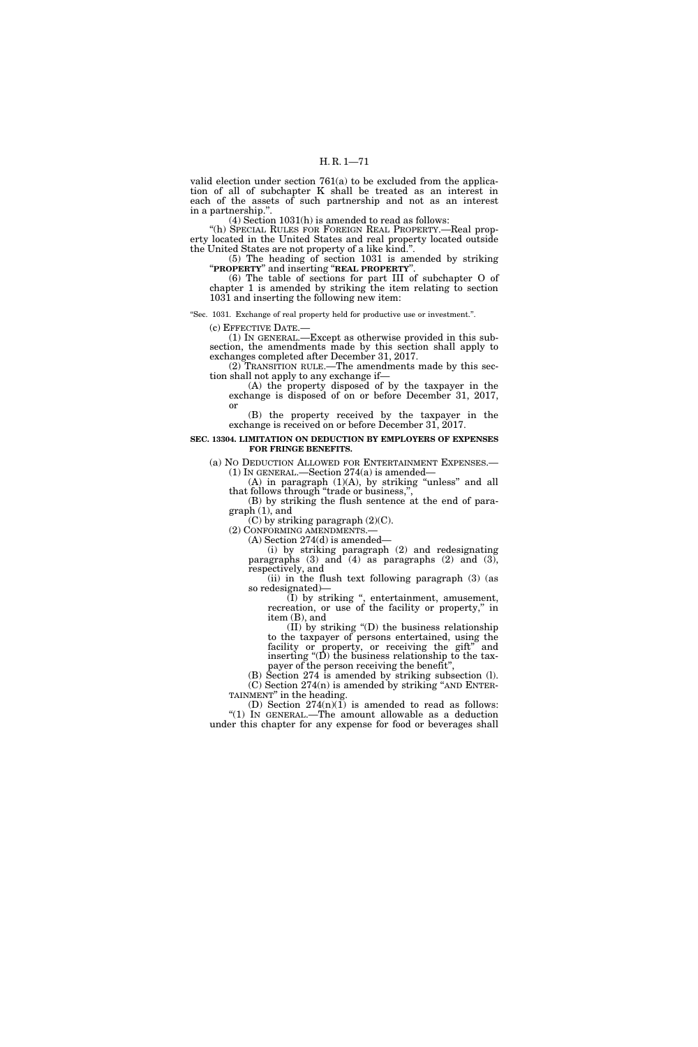valid election under section 761(a) to be excluded from the application of all of subchapter K shall be treated as an interest in each of the assets of such partnership and not as an interest in a partnership.''.

(4) Section 1031(h) is amended to read as follows:

"(h) SPECIAL RULES FOR FOREIGN REAL PROPERTY.—Real property located in the United States and real property located outside the United States are not property of a like kind.''.

(5) The heading of section 1031 is amended by striking ''**PROPERTY**'' and inserting ''**REAL PROPERTY**''.

(6) The table of sections for part III of subchapter O of chapter 1 is amended by striking the item relating to section 1031 and inserting the following new item:

''Sec. 1031. Exchange of real property held for productive use or investment.''.

(c) EFFECTIVE DATE.—

(1) IN GENERAL.—Except as otherwise provided in this subsection, the amendments made by this section shall apply to exchanges completed after December 31, 2017.

(2) TRANSITION RULE.—The amendments made by this section shall not apply to any exchange if—

(A) the property disposed of by the taxpayer in the exchange is disposed of on or before December 31, 2017, or

(B) the property received by the taxpayer in the exchange is received on or before December 31, 2017.

### **SEC. 13304. LIMITATION ON DEDUCTION BY EMPLOYERS OF EXPENSES FOR FRINGE BENEFITS.**

(a) NO DEDUCTION ALLOWED FOR ENTERTAINMENT EXPENSES.— (1) IN GENERAL.—Section 274(a) is amended—

(A) in paragraph (1)(A), by striking ''unless'' and all that follows through "trade or business,",

(B) by striking the flush sentence at the end of paragraph (1), and

(C) by striking paragraph (2)(C).

(2) CONFORMING AMENDMENTS.— (A) Section 274(d) is amended—

(i) by striking paragraph (2) and redesignating paragraphs  $(3)$  and  $(4)$  as paragraphs  $(2)$  and  $(3)$ , respectively, and

(ii) in the flush text following paragraph (3) (as so redesignated)—

(I) by striking '', entertainment, amusement, recreation, or use of the facility or property," in item (B), and

(II) by striking ''(D) the business relationship to the taxpayer of persons entertained, using the facility or property, or receiving the gift" and inserting ''(D) the business relationship to the taxpayer of the person receiving the benefit'',

(B) Section 274 is amended by striking subsection (l). (C) Section  $274(n)$  is amended by striking "AND ENTER-TAINMENT" in the heading.

(D) Section  $274(n)(1)$  is amended to read as follows: ''(1) IN GENERAL.—The amount allowable as a deduction under this chapter for any expense for food or beverages shall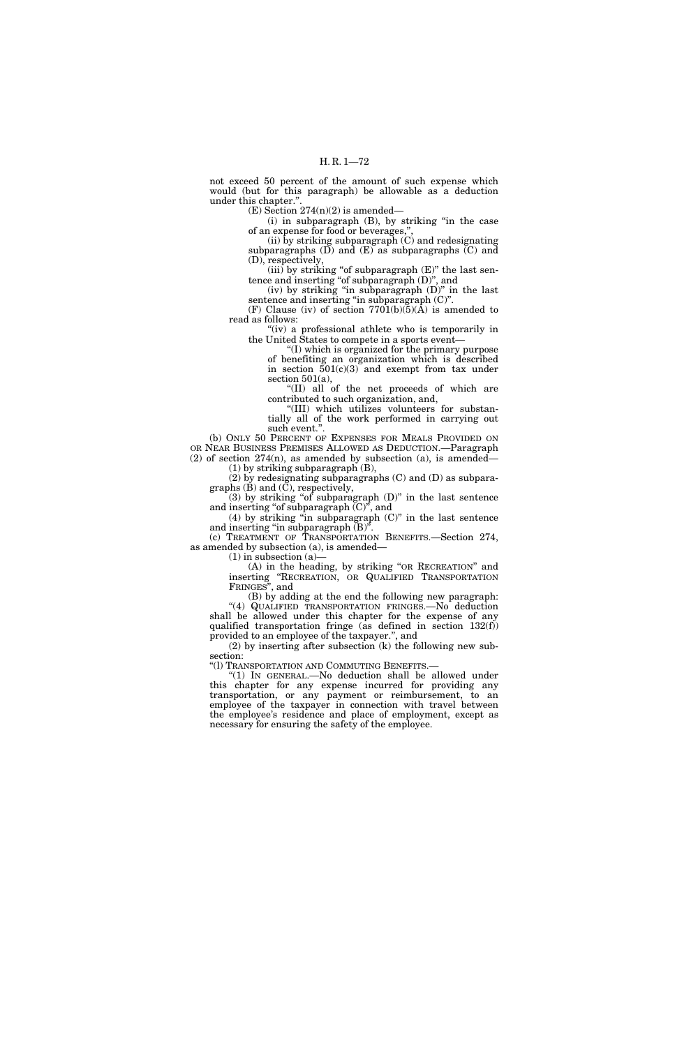not exceed 50 percent of the amount of such expense which would (but for this paragraph) be allowable as a deduction under this chapter.''.

 $(E)$  Section 274(n)(2) is amended—

 $(i)$  in subparagraph  $(B)$ , by striking "in the case of an expense for food or beverages,"

(ii) by striking subparagraph  $(C)$  and redesignating subparagraphs  $(D)$  and  $(E)$  as subparagraphs  $(C)$  and (D), respectively,

 $(iii)$  by striking "of subparagraph  $(E)$ " the last sentence and inserting ''of subparagraph (D)'', and

(iv) by striking ''in subparagraph (D)'' in the last sentence and inserting "in subparagraph (C)".

(F) Clause (iv) of section  $7701(b)(\bar{5})(\bar{A})$  is amended to read as follows:

"(iv) a professional athlete who is temporarily in the United States to compete in a sports event—

''(I) which is organized for the primary purpose of benefiting an organization which is described in section  $501(c)(3)$  and exempt from tax under section 501(a),

''(II) all of the net proceeds of which are contributed to such organization, and,

''(III) which utilizes volunteers for substantially all of the work performed in carrying out such event.''.

(b) ONLY 50 PERCENT OF EXPENSES FOR MEALS PROVIDED ON OR NEAR BUSINESS PREMISES ALLOWED AS DEDUCTION.—Paragraph  $(2)$  of section  $274(n)$ , as amended by subsection  $(a)$ , is amended— (1) by striking subparagraph (B),

(2) by redesignating subparagraphs (C) and (D) as subpara-

graphs (B) and (C), respectively,  $(3)$  by striking "of subparagraph  $(D)$ " in the last sentence

and inserting ''of subparagraph (C)'', and  $(4)$  by striking "in subparagraph  $(C)$ " in the last sentence

and inserting "in subparagraph  $(B)$ ". (c) TREATMENT OF TRANSPORTATION BENEFITS.—Section 274, as amended by subsection (a), is amended—

 $(1)$  in subsection  $(a)$ 

(A) in the heading, by striking ''OR RECREATION'' and inserting ''RECREATION, OR QUALIFIED TRANSPORTATION FRINGES'', and

(B) by adding at the end the following new paragraph: ''(4) QUALIFIED TRANSPORTATION FRINGES.—No deduction shall be allowed under this chapter for the expense of any qualified transportation fringe (as defined in section  $132(f)$ ) provided to an employee of the taxpayer.'', and

(2) by inserting after subsection (k) the following new subsection:

''(l) TRANSPORTATION AND COMMUTING BENEFITS.—

''(1) IN GENERAL.—No deduction shall be allowed under this chapter for any expense incurred for providing any transportation, or any payment or reimbursement, to an employee of the taxpayer in connection with travel between the employee's residence and place of employment, except as necessary for ensuring the safety of the employee.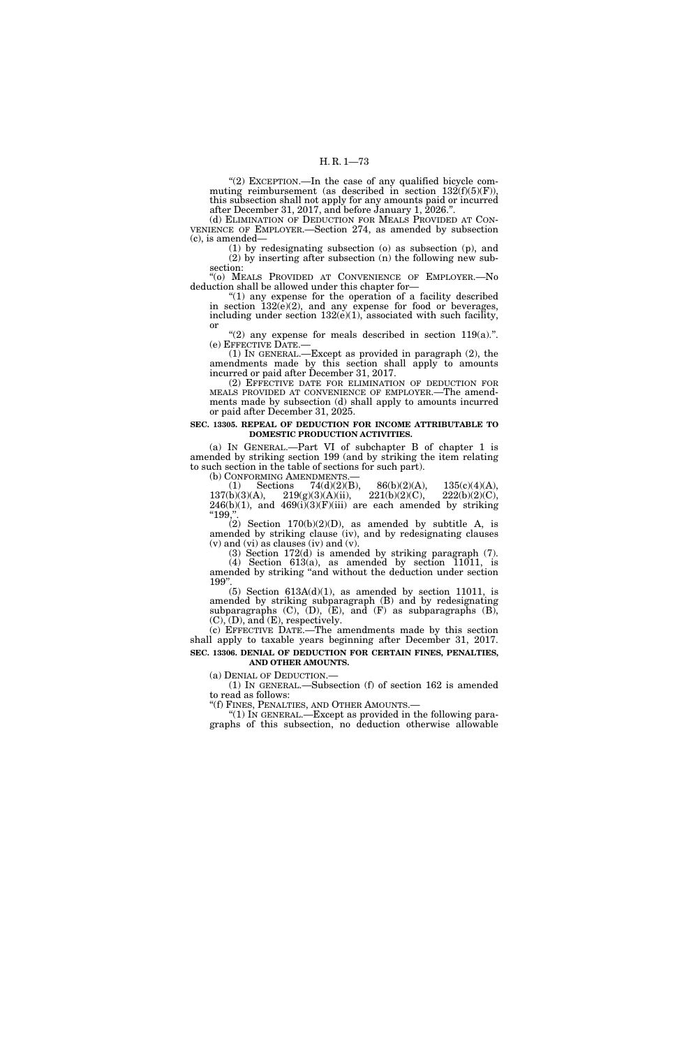''(2) EXCEPTION.—In the case of any qualified bicycle commuting reimbursement (as described in section  $132(f)(5)(F)$ ), this subsection shall not apply for any amounts paid or incurred after December 31, 2017, and before January 1, 2026.''.

(d) ELIMINATION OF DEDUCTION FOR MEALS PROVIDED AT CON- VENIENCE OF EMPLOYER.—Section 274, as amended by subsection (c), is amended—

(1) by redesignating subsection (o) as subsection (p), and (2) by inserting after subsection (n) the following new subsection:

''(o) MEALS PROVIDED AT CONVENIENCE OF EMPLOYER.—No deduction shall be allowed under this chapter for—

"(1) any expense for the operation of a facility described in section 132(e)(2), and any expense for food or beverages, including under section  $132(e)(1)$ , associated with such facility, or

"(2) any expense for meals described in section  $119(a)$ .".

(e)  $\overline{\text{EFFECTIVE DATE}}$ . (1) IN GENERAL.—Except as provided in paragraph (2), the (1) IN GENERAL.—Except as provided in paragraph (2), the amendments made by this section shall apply to amounts incurred or paid after December 31, 2017.

(2) EFFECTIVE DATE FOR ELIMINATION OF DEDUCTION FOR MEALS PROVIDED AT CONVENIENCE OF EMPLOYER.—The amendments made by subsection (d) shall apply to amounts incurred or paid after December 31, 2025.

### **SEC. 13305. REPEAL OF DEDUCTION FOR INCOME ATTRIBUTABLE TO DOMESTIC PRODUCTION ACTIVITIES.**

(a) IN GENERAL.—Part VI of subchapter B of chapter 1 is amended by striking section 199 (and by striking the item relating to such section in the table of sections for such part).

(b) CONFORMING AMENDMENTS.—<br>
(1) Sections 74(d)(2)(B), 86(b)(2)(A), 135(c)(4)(A), 137(b)(3)(A), 219(g)(3)(A)(ii), 221(b)(2)(C), 222(b)(2)(C),  $219(g)(3)(A)(ii),$  $246(b)(1)$ , and  $469(i)(3)(F)(iii)$  are each amended by striking "199,"

(2) Section  $170(b)(2)(D)$ , as amended by subtitle A, is amended by striking clause (iv), and by redesignating clauses  $(v)$  and  $(vi)$  as clauses  $(iv)$  and  $(v)$ .

(3) Section 172(d) is amended by striking paragraph (7). (4) Section 613(a), as amended by section 11011, is amended by striking ''and without the deduction under section 199''.

(5) Section  $613A(d)(1)$ , as amended by section 11011, is amended by striking subparagraph (B) and by redesignating subparagraphs  $(C)$ ,  $(D)$ ,  $(E)$ , and  $(F)$  as subparagraphs  $(B)$ ,  $(C)$ ,  $(D)$ , and  $(E)$ , respectively.

(c) EFFECTIVE DATE.—The amendments made by this section shall apply to taxable years beginning after December 31, 2017. **SEC. 13306. DENIAL OF DEDUCTION FOR CERTAIN FINES, PENALTIES,** 

**AND OTHER AMOUNTS.**  (a) DENIAL OF DEDUCTION.—

(1) IN GENERAL.—Subsection (f) of section 162 is amended to read as follows:

"(f) FINES, PENALTIES, AND OTHER AMOUNTS.

''(1) IN GENERAL.—Except as provided in the following paragraphs of this subsection, no deduction otherwise allowable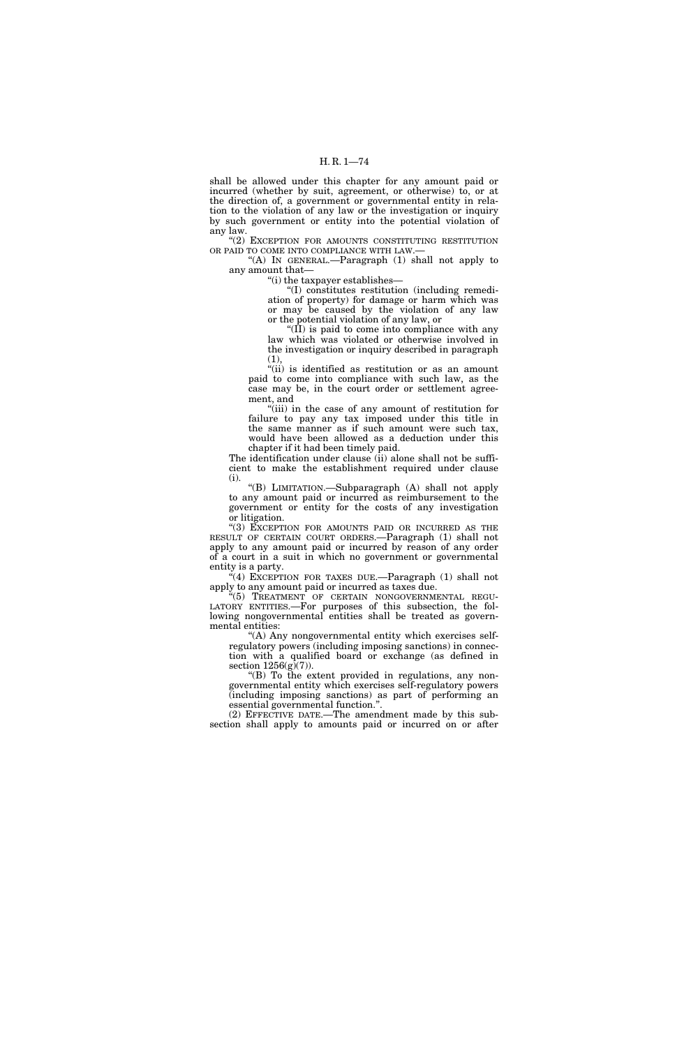shall be allowed under this chapter for any amount paid or incurred (whether by suit, agreement, or otherwise) to, or at the direction of, a government or governmental entity in relation to the violation of any law or the investigation or inquiry by such government or entity into the potential violation of any law.

"(2) EXCEPTION FOR AMOUNTS CONSTITUTING RESTITUTION OR PAID TO COME INTO COMPLIANCE WITH LAW.—

"(A) IN GENERAL.—Paragraph  $(1)$  shall not apply to any amount that—

''(i) the taxpayer establishes—

''(I) constitutes restitution (including remediation of property) for damage or harm which was or may be caused by the violation of any law or the potential violation of any law, or

" $(\hat{II})$  is paid to come into compliance with any law which was violated or otherwise involved in the investigation or inquiry described in paragraph (1),

"(ii) is identified as restitution or as an amount paid to come into compliance with such law, as the case may be, in the court order or settlement agreement, and

''(iii) in the case of any amount of restitution for failure to pay any tax imposed under this title in the same manner as if such amount were such tax, would have been allowed as a deduction under this chapter if it had been timely paid.

The identification under clause (ii) alone shall not be sufficient to make the establishment required under clause (i).

''(B) LIMITATION.—Subparagraph (A) shall not apply to any amount paid or incurred as reimbursement to the government or entity for the costs of any investigation or litigation.

''(3) EXCEPTION FOR AMOUNTS PAID OR INCURRED AS THE RESULT OF CERTAIN COURT ORDERS.—Paragraph (1) shall not apply to any amount paid or incurred by reason of any order of a court in a suit in which no government or governmental entity is a party.

''(4) EXCEPTION FOR TAXES DUE.—Paragraph (1) shall not apply to any amount paid or incurred as taxes due.

 $K(5)$  TREATMENT OF CERTAIN NONGOVERNMENTAL REGU-LATORY ENTITIES.—For purposes of this subsection, the following nongovernmental entities shall be treated as governmental entities:

"(A) Any nongovernmental entity which exercises selfregulatory powers (including imposing sanctions) in connection with a qualified board or exchange (as defined in section  $1256(g)(7)$ ).

''(B) To the extent provided in regulations, any nongovernmental entity which exercises self-regulatory powers (including imposing sanctions) as part of performing an essential governmental function.''.

(2) EFFECTIVE DATE.—The amendment made by this subsection shall apply to amounts paid or incurred on or after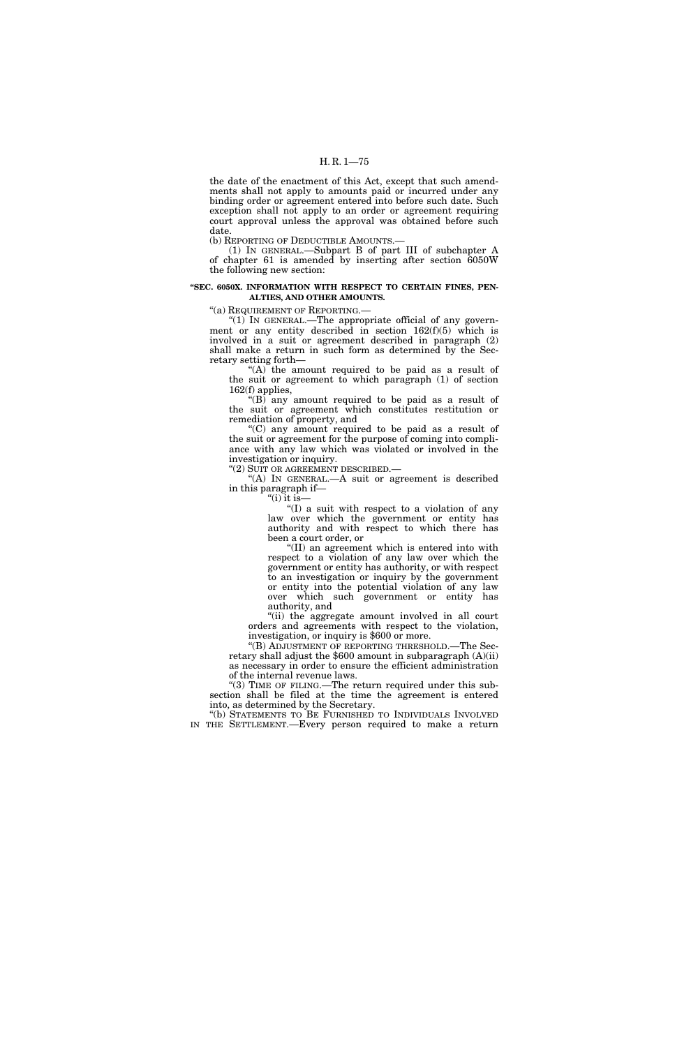the date of the enactment of this Act, except that such amendments shall not apply to amounts paid or incurred under any binding order or agreement entered into before such date. Such exception shall not apply to an order or agreement requiring court approval unless the approval was obtained before such date.

(b) REPORTING OF DEDUCTIBLE AMOUNTS.—

(1) IN GENERAL.—Subpart B of part III of subchapter A of chapter 61 is amended by inserting after section 6050W the following new section:

# **''SEC. 6050X. INFORMATION WITH RESPECT TO CERTAIN FINES, PEN-ALTIES, AND OTHER AMOUNTS.**

"(a) REQUIREMENT OF REPORTING.—

''(1) IN GENERAL.—The appropriate official of any government or any entity described in section 162(f)(5) which is involved in a suit or agreement described in paragraph (2) shall make a return in such form as determined by the Secretary setting forth—

" $(A)$  the amount required to be paid as a result of the suit or agreement to which paragraph (1) of section 162(f) applies,

" $(B)$  any amount required to be paid as a result of the suit or agreement which constitutes restitution or remediation of property, and

''(C) any amount required to be paid as a result of the suit or agreement for the purpose of coming into compliance with any law which was violated or involved in the investigation or inquiry.

''(2) SUIT OR AGREEMENT DESCRIBED.—

"(A) IN GENERAL.—A suit or agreement is described in this paragraph if—

"(i) it is—

''(I) a suit with respect to a violation of any law over which the government or entity has authority and with respect to which there has been a court order, or

''(II) an agreement which is entered into with respect to a violation of any law over which the government or entity has authority, or with respect to an investigation or inquiry by the government or entity into the potential violation of any law over which such government or entity has authority, and

''(ii) the aggregate amount involved in all court orders and agreements with respect to the violation, investigation, or inquiry is \$600 or more.

''(B) ADJUSTMENT OF REPORTING THRESHOLD.—The Secretary shall adjust the \$600 amount in subparagraph (A)(ii) as necessary in order to ensure the efficient administration of the internal revenue laws.

"(3) TIME OF FILING.—The return required under this subsection shall be filed at the time the agreement is entered into, as determined by the Secretary.

''(b) STATEMENTS TO BE FURNISHED TO INDIVIDUALS INVOLVED IN THE SETTLEMENT.—Every person required to make a return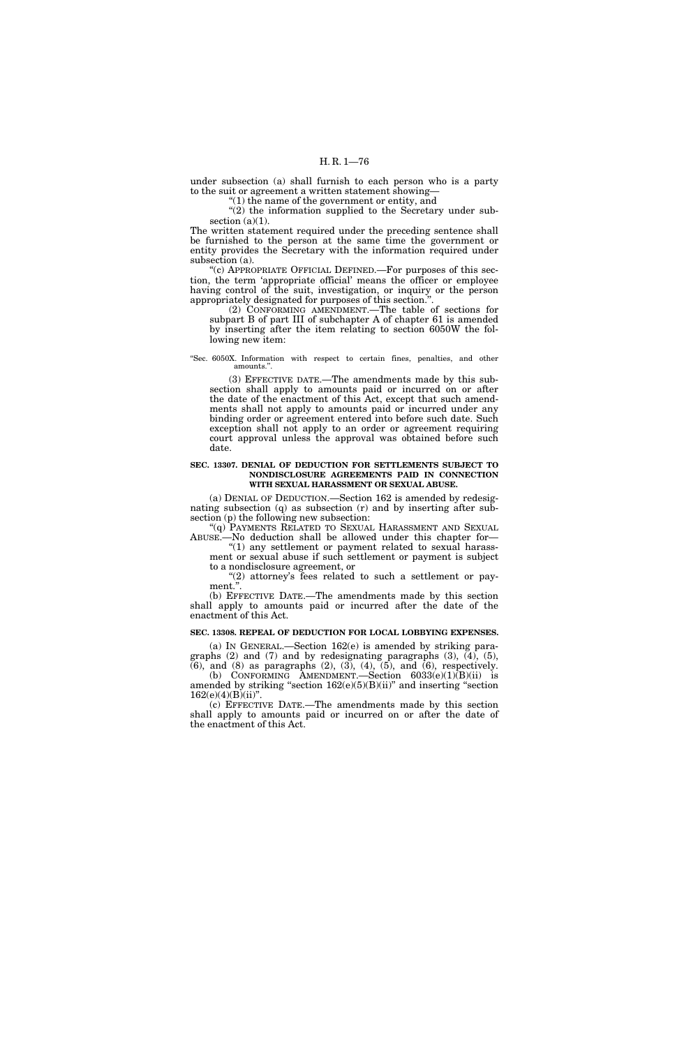under subsection (a) shall furnish to each person who is a party to the suit or agreement a written statement showing—

''(1) the name of the government or entity, and

"(2) the information supplied to the Secretary under subsection  $(a)(1)$ .

The written statement required under the preceding sentence shall be furnished to the person at the same time the government or entity provides the Secretary with the information required under subsection (a).

''(c) APPROPRIATE OFFICIAL DEFINED.—For purposes of this section, the term 'appropriate official' means the officer or employee having control of the suit, investigation, or inquiry or the person appropriately designated for purposes of this section.''.

(2) CONFORMING AMENDMENT.—The table of sections for subpart B of part III of subchapter A of chapter 61 is amended by inserting after the item relating to section 6050W the following new item:

### ''Sec. 6050X. Information with respect to certain fines, penalties, and other amounts.''.

(3) EFFECTIVE DATE.—The amendments made by this subsection shall apply to amounts paid or incurred on or after the date of the enactment of this Act, except that such amendments shall not apply to amounts paid or incurred under any binding order or agreement entered into before such date. Such exception shall not apply to an order or agreement requiring court approval unless the approval was obtained before such date.

### **SEC. 13307. DENIAL OF DEDUCTION FOR SETTLEMENTS SUBJECT TO NONDISCLOSURE AGREEMENTS PAID IN CONNECTION WITH SEXUAL HARASSMENT OR SEXUAL ABUSE.**

(a) DENIAL OF DEDUCTION.—Section 162 is amended by redesignating subsection (q) as subsection (r) and by inserting after subsection (p) the following new subsection:

"(q) PAYMENTS RELATED TO SEXUAL HARASSMENT AND SEXUAL ABUSE.—No deduction shall be allowed under this chapter for—

"(1) any settlement or payment related to sexual harassment or sexual abuse if such settlement or payment is subject to a nondisclosure agreement, or

"(2) attorney's fees related to such a settlement or payment.".

(b) EFFECTIVE DATE.—The amendments made by this section shall apply to amounts paid or incurred after the date of the enactment of this Act.

# **SEC. 13308. REPEAL OF DEDUCTION FOR LOCAL LOBBYING EXPENSES.**

(a) IN GENERAL.—Section 162(e) is amended by striking paragraphs (2) and (7) and by redesignating paragraphs (3), (4), (5),  $(6)$ , and  $(8)$  as paragraphs  $(2)$ ,  $(3)$ ,  $(4)$ ,  $(5)$ , and  $(6)$ , respectively. (b) CONFORMING AMENDMENT.—Section  $6033(e)(1)(B)(ii)$  is amended by striking "section  $162(e)(5)(B)(ii)$ " and inserting "section  $162(e)(4)(B)(ii)$ ".

(c) EFFECTIVE DATE.—The amendments made by this section shall apply to amounts paid or incurred on or after the date of the enactment of this Act.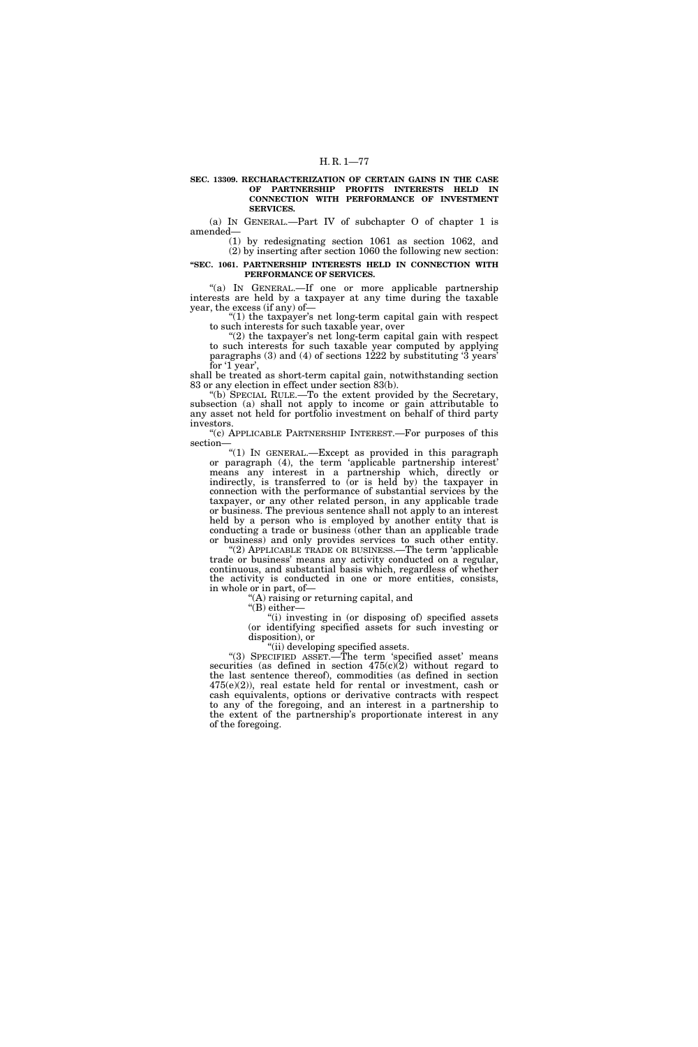### **SEC. 13309. RECHARACTERIZATION OF CERTAIN GAINS IN THE CASE OF PARTNERSHIP PROFITS INTERESTS HELD IN CONNECTION WITH PERFORMANCE OF INVESTMENT SERVICES.**

(a) IN GENERAL.—Part IV of subchapter O of chapter 1 is amended—

(1) by redesignating section 1061 as section 1062, and (2) by inserting after section 1060 the following new section:

### **''SEC. 1061. PARTNERSHIP INTERESTS HELD IN CONNECTION WITH PERFORMANCE OF SERVICES.**

"(a) IN GENERAL.-If one or more applicable partnership interests are held by a taxpayer at any time during the taxable year, the excess (if any) of—

" $(1)$  the taxpayer's net long-term capital gain with respect to such interests for such taxable year, over

" $(2)$  the taxpayer's net long-term capital gain with respect to such interests for such taxable year computed by applying paragraphs (3) and (4) of sections 1222 by substituting '3 years' for '1 year',

shall be treated as short-term capital gain, notwithstanding section 83 or any election in effect under section 83(b).

''(b) SPECIAL RULE.—To the extent provided by the Secretary, subsection (a) shall not apply to income or gain attributable to any asset not held for portfolio investment on behalf of third party investors.

''(c) APPLICABLE PARTNERSHIP INTEREST.—For purposes of this section—

''(1) IN GENERAL.—Except as provided in this paragraph or paragraph (4), the term 'applicable partnership interest' means any interest in a partnership which, directly or indirectly, is transferred to (or is held by) the taxpayer in connection with the performance of substantial services by the taxpayer, or any other related person, in any applicable trade or business. The previous sentence shall not apply to an interest held by a person who is employed by another entity that is conducting a trade or business (other than an applicable trade or business) and only provides services to such other entity.

"(2) APPLICABLE TRADE OR BUSINESS.—The term 'applicable trade or business' means any activity conducted on a regular, continuous, and substantial basis which, regardless of whether the activity is conducted in one or more entities, consists, in whole or in part, of—

(A) raising or returning capital, and

''(B) either—

''(i) investing in (or disposing of) specified assets (or identifying specified assets for such investing or disposition), or

''(ii) developing specified assets.

"(3) SPECIFIED ASSET.—The term 'specified asset' means securities (as defined in section  $475(c)(2)$  without regard to the last sentence thereof), commodities (as defined in section 475(e)(2)), real estate held for rental or investment, cash or cash equivalents, options or derivative contracts with respect to any of the foregoing, and an interest in a partnership to the extent of the partnership's proportionate interest in any of the foregoing.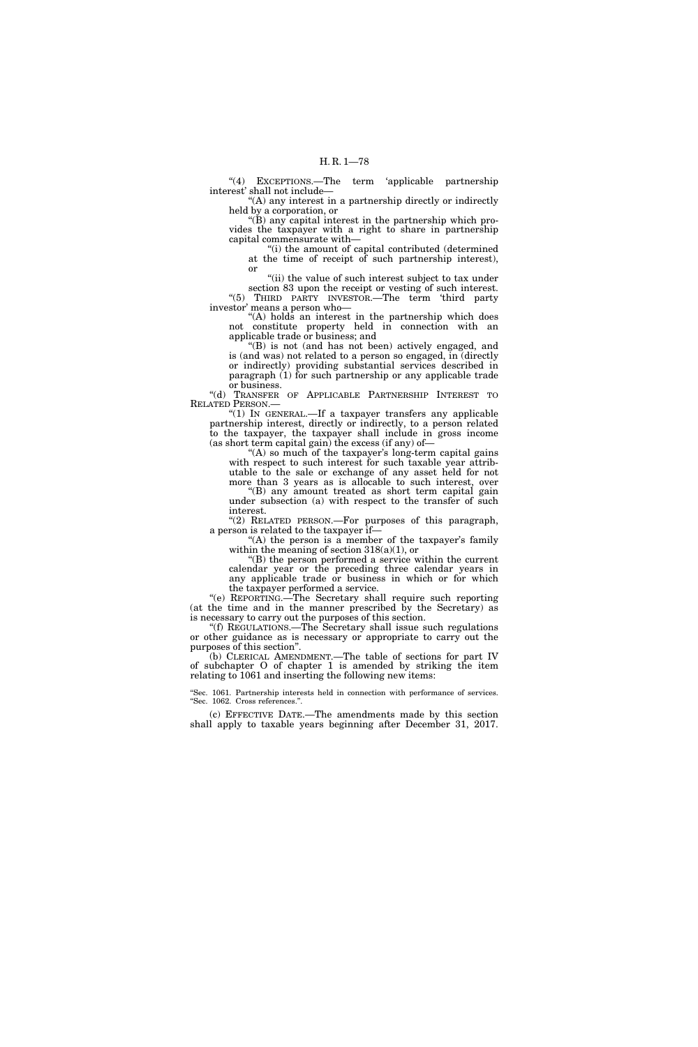"(4) EXCEPTIONS.—The term 'applicable partnership interest' shall not include—

''(A) any interest in a partnership directly or indirectly held by a corporation, or

''(B) any capital interest in the partnership which provides the taxpayer with a right to share in partnership capital commensurate with—

''(i) the amount of capital contributed (determined at the time of receipt of such partnership interest), or

"(ii) the value of such interest subject to tax under section 83 upon the receipt or vesting of such interest. "(5) THIRD PARTY INVESTOR.—The term 'third party investor' means a person who—

''(A) holds an interest in the partnership which does not constitute property held in connection with an applicable trade or business; and

''(B) is not (and has not been) actively engaged, and is (and was) not related to a person so engaged, in (directly or indirectly) providing substantial services described in paragraph (1) for such partnership or any applicable trade or business.

''(d) TRANSFER OF APPLICABLE PARTNERSHIP INTEREST TO RELATED PERSON.—

"(1) In GENERAL.-If a taxpayer transfers any applicable partnership interest, directly or indirectly, to a person related to the taxpayer, the taxpayer shall include in gross income (as short term capital gain) the excess (if any) of—

"(A) so much of the taxpayer's long-term capital gains with respect to such interest for such taxable year attributable to the sale or exchange of any asset held for not more than 3 years as is allocable to such interest, over

 $f(B)$  any amount treated as short term capital gain under subsection (a) with respect to the transfer of such interest.

"(2) RELATED PERSON.—For purposes of this paragraph, a person is related to the taxpayer if—

"(A) the person is a member of the taxpayer's family within the meaning of section 318(a)(1), or

''(B) the person performed a service within the current calendar year or the preceding three calendar years in any applicable trade or business in which or for which the taxpayer performed a service.

''(e) REPORTING.—The Secretary shall require such reporting (at the time and in the manner prescribed by the Secretary) as is necessary to carry out the purposes of this section.

''(f) REGULATIONS.—The Secretary shall issue such regulations or other guidance as is necessary or appropriate to carry out the purposes of this section''.

(b) CLERICAL AMENDMENT.—The table of sections for part IV of subchapter O of chapter 1 is amended by striking the item relating to 1061 and inserting the following new items:

''Sec. 1061. Partnership interests held in connection with performance of services. ''Sec. 1062. Cross references.''.

(c) EFFECTIVE DATE.—The amendments made by this section shall apply to taxable years beginning after December 31, 2017.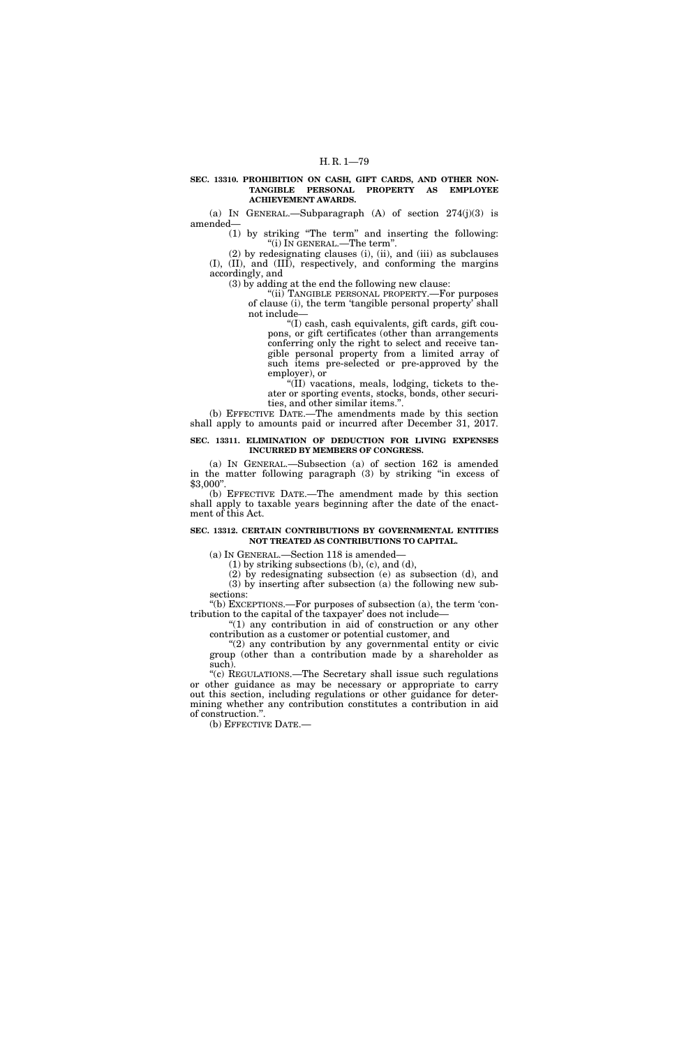### **SEC. 13310. PROHIBITION ON CASH, GIFT CARDS, AND OTHER NON-TANGIBLE PERSONAL PROPERTY AS EMPLOYEE ACHIEVEMENT AWARDS.**

(a) IN GENERAL.—Subparagraph  $(A)$  of section  $274(j)(3)$  is amended—

(1) by striking ''The term'' and inserting the following: ''(i) IN GENERAL.—The term''.

(2) by redesignating clauses (i), (ii), and (iii) as subclauses (I), (II), and (III), respectively, and conforming the margins accordingly, and

(3) by adding at the end the following new clause:

''(ii) TANGIBLE PERSONAL PROPERTY.—For purposes of clause (i), the term 'tangible personal property' shall not include—

''(I) cash, cash equivalents, gift cards, gift coupons, or gift certificates (other than arrangements conferring only the right to select and receive tangible personal property from a limited array of such items pre-selected or pre-approved by the employer), or

" $(II)$  vacations, meals, lodging, tickets to theater or sporting events, stocks, bonds, other securities, and other similar items.''.

(b) EFFECTIVE DATE.—The amendments made by this section shall apply to amounts paid or incurred after December 31, 2017.

**SEC. 13311. ELIMINATION OF DEDUCTION FOR LIVING EXPENSES INCURRED BY MEMBERS OF CONGRESS.** 

(a) IN GENERAL.—Subsection (a) of section 162 is amended in the matter following paragraph (3) by striking ''in excess of \$3,000''.

(b) EFFECTIVE DATE.—The amendment made by this section shall apply to taxable years beginning after the date of the enactment of this Act.

# **SEC. 13312. CERTAIN CONTRIBUTIONS BY GOVERNMENTAL ENTITIES NOT TREATED AS CONTRIBUTIONS TO CAPITAL.**

(a) IN GENERAL.—Section 118 is amended—

(1) by striking subsections (b), (c), and (d),

(2) by redesignating subsection (e) as subsection (d), and (3) by inserting after subsection (a) the following new subsections:

''(b) EXCEPTIONS.—For purposes of subsection (a), the term 'contribution to the capital of the taxpayer' does not include—

''(1) any contribution in aid of construction or any other contribution as a customer or potential customer, and

 $(2)$  any contribution by any governmental entity or civic group (other than a contribution made by a shareholder as such).

''(c) REGULATIONS.—The Secretary shall issue such regulations or other guidance as may be necessary or appropriate to carry out this section, including regulations or other guidance for determining whether any contribution constitutes a contribution in aid of construction.''.

(b) EFFECTIVE DATE.—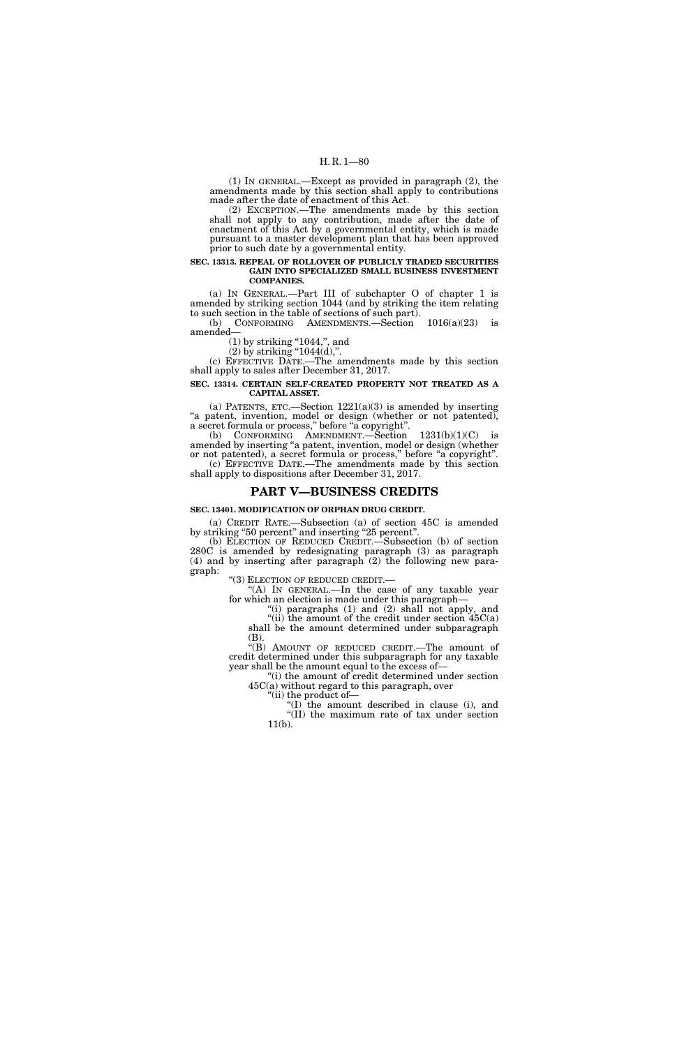(1) IN GENERAL.—Except as provided in paragraph (2), the amendments made by this section shall apply to contributions made after the date of enactment of this Act.

(2) EXCEPTION.—The amendments made by this section shall not apply to any contribution, made after the date of enactment of this Act by a governmental entity, which is made pursuant to a master development plan that has been approved prior to such date by a governmental entity.

#### **SEC. 13313. REPEAL OF ROLLOVER OF PUBLICLY TRADED SECURITIES GAIN INTO SPECIALIZED SMALL BUSINESS INVESTMENT COMPANIES.**

(a) IN GENERAL.—Part III of subchapter O of chapter 1 is amended by striking section 1044 (and by striking the item relating to such section in the table of sections of such part).<br>(b) CONFORMING AMENDMENTS.—Section

 $CONFORMING$  AMENDMENTS.—Section  $1016(a)(23)$  is amended—

 $(1)$  by striking "1044,", and

 $(2)$  by striking "1044 $(d)$ ,".

(c) EFFECTIVE DATE.—The amendments made by this section shall apply to sales after December 31, 2017.

### **SEC. 13314. CERTAIN SELF-CREATED PROPERTY NOT TREATED AS A CAPITAL ASSET.**

(a) PATENTS, ETC.—Section  $1221(a)(3)$  is amended by inserting "a patent, invention, model or design (whether or not patented), a secret formula or process,'' before ''a copyright''.

(b) CONFORMING AMENDMENT.—Section  $1231(b)(1)(C)$  is amended by inserting ''a patent, invention, model or design (whether or not patented), a secret formula or process," before "a copyright". (c) EFFECTIVE DATE.—The amendments made by this section

shall apply to dispositions after December 31, 2017.

# **PART V—BUSINESS CREDITS**

# **SEC. 13401. MODIFICATION OF ORPHAN DRUG CREDIT.**

(a) CREDIT RATE.—Subsection (a) of section 45C is amended by striking "50 percent" and inserting "25 percent".

(b) ELECTION OF REDUCED CREDIT.—Subsection (b) of section 280C is amended by redesignating paragraph (3) as paragraph (4) and by inserting after paragraph (2) the following new paragraph:

''(3) ELECTION OF REDUCED CREDIT.— ''(A) IN GENERAL.—In the case of any taxable year for which an election is made under this paragraph—

 $'$ (i) paragraphs  $(1)$  and  $(2)$  shall not apply, and

"(ii) the amount of the credit under section 45C(a) shall be the amount determined under subparagraph (B).

''(B) AMOUNT OF REDUCED CREDIT.—The amount of credit determined under this subparagraph for any taxable year shall be the amount equal to the excess of—

"(i) the amount of credit determined under section 45C(a) without regard to this paragraph, over

"(ii) the product of-

 $!(I)$  the amount described in clause (i), and ''(II) the maximum rate of tax under section 11(b).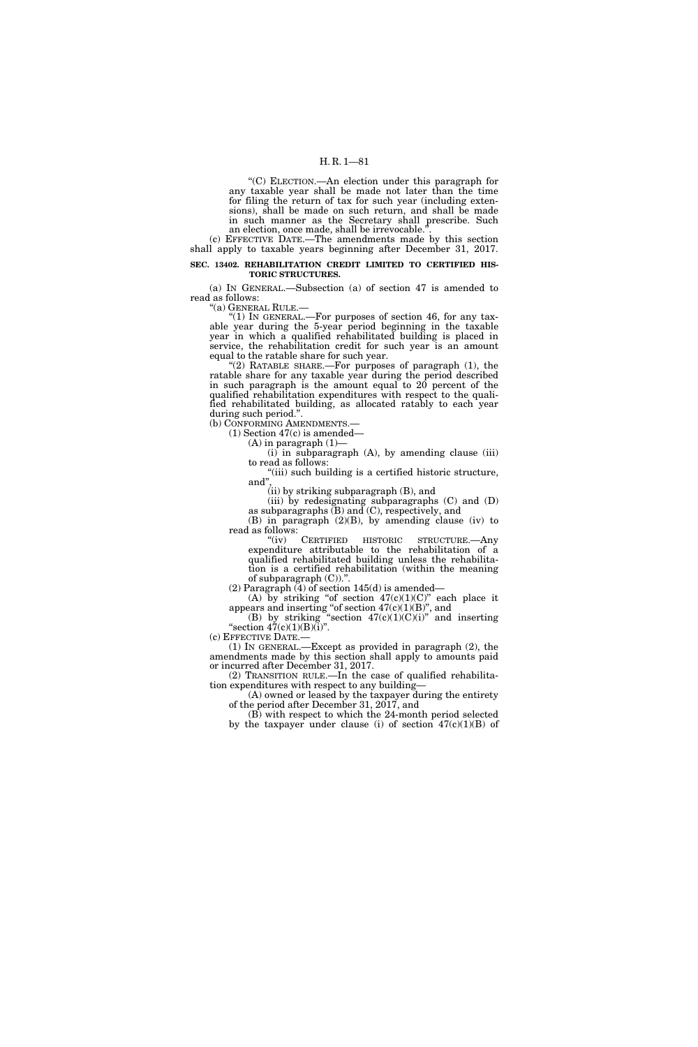''(C) ELECTION.—An election under this paragraph for any taxable year shall be made not later than the time for filing the return of tax for such year (including extensions), shall be made on such return, and shall be made in such manner as the Secretary shall prescribe. Such an election, once made, shall be irrevocable.'

(c) EFFECTIVE DATE.—The amendments made by this section shall apply to taxable years beginning after December 31, 2017.

### **SEC. 13402. REHABILITATION CREDIT LIMITED TO CERTIFIED HIS-TORIC STRUCTURES.**

(a) IN GENERAL.—Subsection (a) of section 47 is amended to read as follows:

''(a) GENERAL RULE.—

" $(1)$  In GENERAL.—For purposes of section 46, for any taxable year during the 5-year period beginning in the taxable year in which a qualified rehabilitated building is placed in service, the rehabilitation credit for such year is an amount equal to the ratable share for such year.

 $(2)$  RATABLE SHARE.—For purposes of paragraph  $(1)$ , the ratable share for any taxable year during the period described in such paragraph is the amount equal to 20 percent of the qualified rehabilitation expenditures with respect to the qualified rehabilitated building, as allocated ratably to each year during such period.''.

(b) CONFORMING AMENDMENTS.—

(1) Section 47(c) is amended—

 $(A)$  in paragraph  $(1)$  $(i)$  in subparagraph  $(A)$ , by amending clause  $(iii)$ 

to read as follows:

"(iii) such building is a certified historic structure, and'',

(ii) by striking subparagraph (B), and

(iii) by redesignating subparagraphs (C) and (D) as subparagraphs (B) and (C), respectively, and

(B) in paragraph  $(2)(B)$ , by amending clause (iv) to read as follows:

''(iv) CERTIFIED HISTORIC STRUCTURE.—Any expenditure attributable to the rehabilitation of a qualified rehabilitated building unless the rehabilitation is a certified rehabilitation (within the meaning of subparagraph (C)).''.

(2) Paragraph (4) of section 145(d) is amended—

(A) by striking "of section  $47(c)(1)(C)$ " each place it appears and inserting "of section  $47(c)(1)(B)$ ", and

(B) by striking "section  $47(c)(1)(C)(i)$ " and inserting "section  $47(c)(1)(B)(i)$ ".

(c) EFFECTIVE DATE.—<br>(1) IN GENERAL.—Except as provided in paragraph (2), the amendments made by this section shall apply to amounts paid or incurred after December 31, 2017.

(2) TRANSITION RULE.—In the case of qualified rehabilitation expenditures with respect to any building—

(A) owned or leased by the taxpayer during the entirety of the period after December 31, 2017, and

(B) with respect to which the 24-month period selected by the taxpayer under clause (i) of section  $47(c)(1)(B)$  of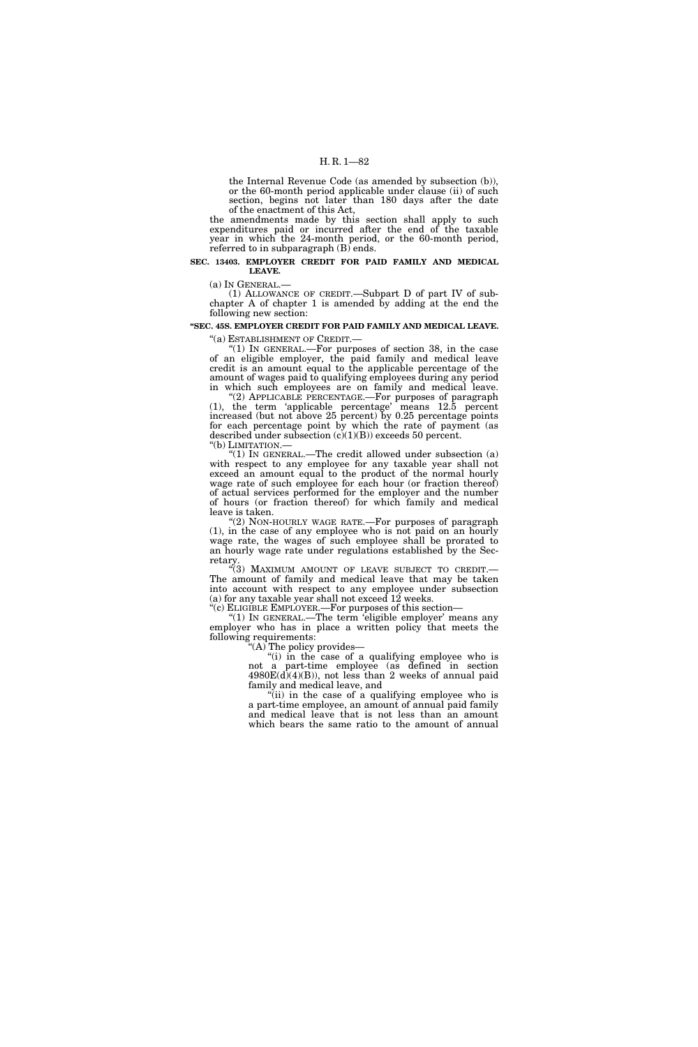the Internal Revenue Code (as amended by subsection (b)), or the 60-month period applicable under clause (ii) of such section, begins not later than 180 days after the date of the enactment of this Act,

the amendments made by this section shall apply to such expenditures paid or incurred after the end of the taxable year in which the 24-month period, or the 60-month period, referred to in subparagraph (B) ends.

### **SEC. 13403. EMPLOYER CREDIT FOR PAID FAMILY AND MEDICAL LEAVE.**

(a) IN GENERAL.— (1) ALLOWANCE OF CREDIT.—Subpart D of part IV of subchapter A of chapter 1 is amended by adding at the end the following new section:

# **''SEC. 45S. EMPLOYER CREDIT FOR PAID FAMILY AND MEDICAL LEAVE.**

''(a) ESTABLISHMENT OF CREDIT.— ''(1) IN GENERAL.—For purposes of section 38, in the case of an eligible employer, the paid family and medical leave credit is an amount equal to the applicable percentage of the amount of wages paid to qualifying employees during any period in which such employees are on family and medical leave.

"(2) APPLICABLE PERCENTAGE.—For purposes of paragraph (1), the term 'applicable percentage' means 12.5 percent increased (but not above 25 percent) by 0.25 percentage points for each percentage point by which the rate of payment (as described under subsection  $(c)(1)(B)$ ) exceeds 50 percent.<br>"(b) LIMITATION.—

"(1) IN GENERAL.—The credit allowed under subsection  $(a)$ with respect to any employee for any taxable year shall not exceed an amount equal to the product of the normal hourly wage rate of such employee for each hour (or fraction thereof) of actual services performed for the employer and the number of hours (or fraction thereof) for which family and medical leave is taken.

''(2) NON-HOURLY WAGE RATE.—For purposes of paragraph (1), in the case of any employee who is not paid on an hourly wage rate, the wages of such employee shall be prorated to an hourly wage rate under regulations established by the Secretary.

''(3) MAXIMUM AMOUNT OF LEAVE SUBJECT TO CREDIT.— The amount of family and medical leave that may be taken into account with respect to any employee under subsection (a) for any taxable year shall not exceed 12 weeks.

''(c) ELIGIBLE EMPLOYER.—For purposes of this section—

"(1) IN GENERAL.—The term 'eligible employer' means any employer who has in place a written policy that meets the following requirements:

'(A) The policy provides—

"(i) in the case of a qualifying employee who is not a part-time employee (as defined in section  $4980E(d)(4)(B)$ , not less than 2 weeks of annual paid family and medical leave, and

"(ii) in the case of a qualifying employee who is a part-time employee, an amount of annual paid family and medical leave that is not less than an amount which bears the same ratio to the amount of annual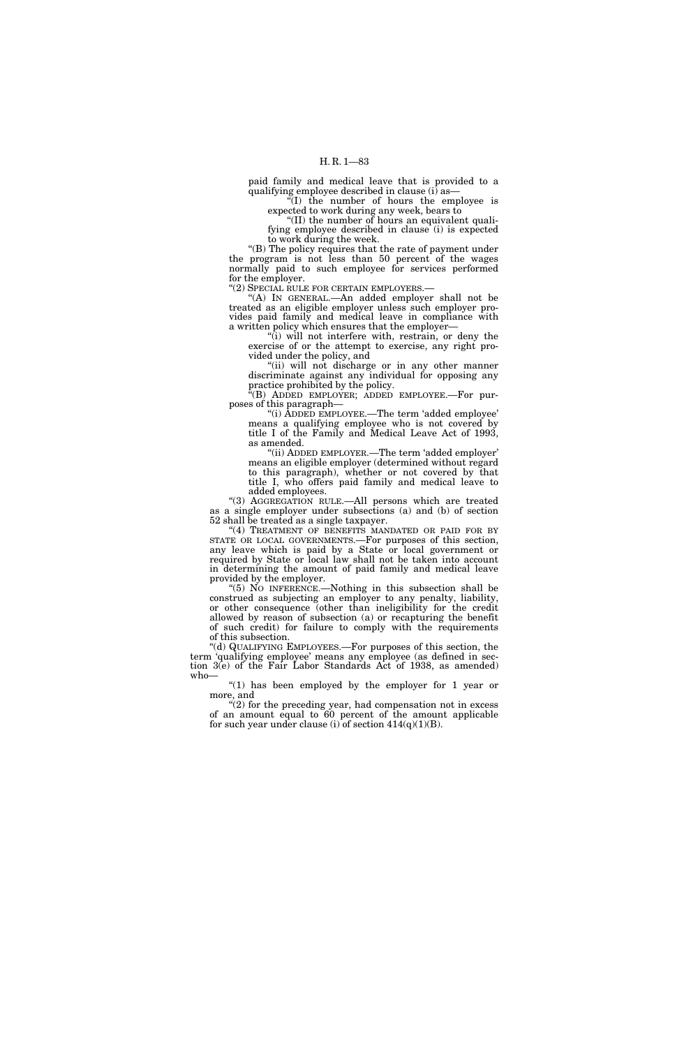paid family and medical leave that is provided to a qualifying employee described in clause (i) as—

 $\sqrt[n]{(I)}$  the number of hours the employee is expected to work during any week, bears to

''(II) the number of hours an equivalent qualifying employee described in clause (i) is expected to work during the week.

''(B) The policy requires that the rate of payment under the program is not less than 50 percent of the wages normally paid to such employee for services performed for the employer.

"(2) SPECIAL RULE FOR CERTAIN EMPLOYERS.—

''(A) IN GENERAL.—An added employer shall not be treated as an eligible employer unless such employer provides paid family and medical leave in compliance with a written policy which ensures that the employer—

''(i) will not interfere with, restrain, or deny the exercise of or the attempt to exercise, any right provided under the policy, and

''(ii) will not discharge or in any other manner discriminate against any individual for opposing any practice prohibited by the policy.

''(B) ADDED EMPLOYER; ADDED EMPLOYEE.—For purposes of this paragraph—

"(i) ADDED EMPLOYEE.—The term 'added employee' means a qualifying employee who is not covered by title I of the Family and Medical Leave Act of 1993, as amended.

''(ii) ADDED EMPLOYER.—The term 'added employer' means an eligible employer (determined without regard to this paragraph), whether or not covered by that title I, who offers paid family and medical leave to added employees.

''(3) AGGREGATION RULE.—All persons which are treated as a single employer under subsections (a) and (b) of section 52 shall be treated as a single taxpayer.

"(4) TREATMENT OF BENEFITS MANDATED OR PAID FOR BY STATE OR LOCAL GOVERNMENTS.—For purposes of this section, any leave which is paid by a State or local government or required by State or local law shall not be taken into account in determining the amount of paid family and medical leave provided by the employer.

''(5) NO INFERENCE.—Nothing in this subsection shall be construed as subjecting an employer to any penalty, liability, or other consequence (other than ineligibility for the credit allowed by reason of subsection (a) or recapturing the benefit of such credit) for failure to comply with the requirements of this subsection.

''(d) QUALIFYING EMPLOYEES.—For purposes of this section, the term 'qualifying employee' means any employee (as defined in section 3(e) of the Fair Labor Standards Act of 1938, as amended) who—

" $(1)$  has been employed by the employer for 1 year or more, and

''(2) for the preceding year, had compensation not in excess of an amount equal to 60 percent of the amount applicable for such year under clause (i) of section  $414(q)(1)(B)$ .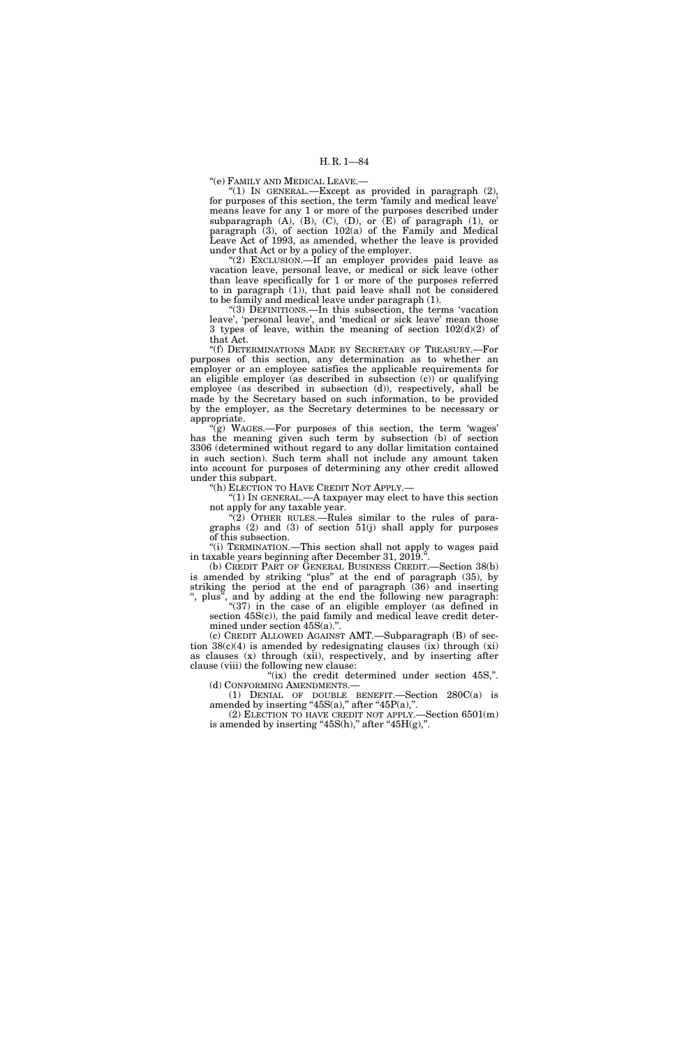''(e) FAMILY AND MEDICAL LEAVE.—

"(1) IN GENERAL.—Except as provided in paragraph (2), for purposes of this section, the term 'family and medical leave' means leave for any 1 or more of the purposes described under subparagraph  $(A)$ ,  $(B)$ ,  $(C)$ ,  $(D)$ , or  $(E)$  of paragraph  $(1)$ , or paragraph (3), of section 102(a) of the Family and Medical Leave Act of 1993, as amended, whether the leave is provided under that Act or by a policy of the employer.

''(2) EXCLUSION.—If an employer provides paid leave as vacation leave, personal leave, or medical or sick leave (other than leave specifically for 1 or more of the purposes referred to in paragraph (1)), that paid leave shall not be considered to be family and medical leave under paragraph (1).

''(3) DEFINITIONS.—In this subsection, the terms 'vacation leave', 'personal leave', and 'medical or sick leave' mean those 3 types of leave, within the meaning of section  $102(d)(2)$  of that Act.

''(f) DETERMINATIONS MADE BY SECRETARY OF TREASURY.—For purposes of this section, any determination as to whether an employer or an employee satisfies the applicable requirements for an eligible employer (as described in subsection  $(c)$ ) or qualifying employee (as described in subsection (d)), respectively, shall be made by the Secretary based on such information, to be provided by the employer, as the Secretary determines to be necessary or appropriate.

 $\mathcal{L}(\mathbf{g})$  WAGES.—For purposes of this section, the term 'wages' has the meaning given such term by subsection (b) of section 3306 (determined without regard to any dollar limitation contained in such section). Such term shall not include any amount taken into account for purposes of determining any other credit allowed under this subpart.

''(h) ELECTION TO HAVE CREDIT NOT APPLY.—

''(1) IN GENERAL.—A taxpayer may elect to have this section not apply for any taxable year.

 $\sqrt{2}$ ) OTHER RULES.—Rules similar to the rules of paragraphs (2) and (3) of section 51(j) shall apply for purposes of this subsection.

''(i) TERMINATION.—This section shall not apply to wages paid in taxable years beginning after December 31, 2019.

(b) CREDIT PART OF GENERAL BUSINESS CREDIT.—Section 38(b) is amended by striking ''plus'' at the end of paragraph (35), by striking the period at the end of paragraph (36) and inserting ", plus", and by adding at the end the following new paragraph:

"(37) in the case of an eligible employer (as defined in section 45S(c)), the paid family and medical leave credit determined under section 45S(a).".

(c) CREDIT ALLOWED AGAINST AMT.—Subparagraph (B) of section  $38(c)(4)$  is amended by redesignating clauses  $(ix)$  through  $(xi)$ as clauses (x) through (xii), respectively, and by inserting after clause (viii) the following new clause:

"(ix) the credit determined under section 45S,". (d) CONFORMING AMENDMENTS.—

(1) DENIAL OF DOUBLE BENEFIT.—Section 280C(a) is amended by inserting "45S(a)," after "45P(a),".

(2) ELECTION TO HAVE CREDIT NOT APPLY.—Section 6501(m) is amended by inserting " $45S(h)$ ," after " $45H(g)$ ,".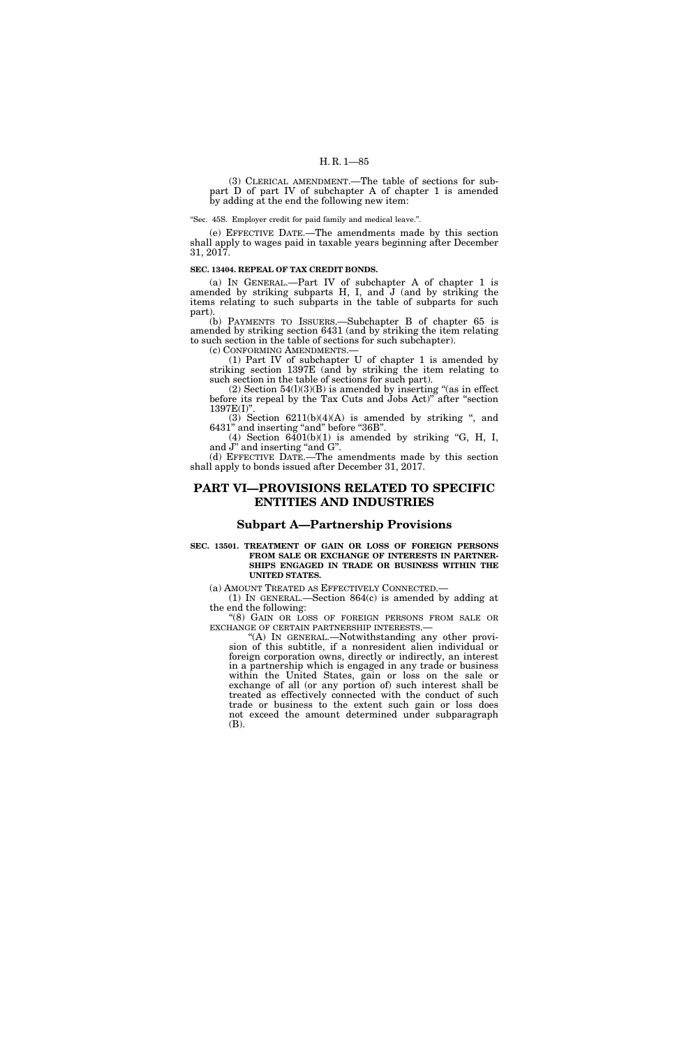(3) CLERICAL AMENDMENT.—The table of sections for subpart D of part IV of subchapter A of chapter 1 is amended by adding at the end the following new item:

''Sec. 45S. Employer credit for paid family and medical leave.''.

(e) EFFECTIVE DATE.—The amendments made by this section shall apply to wages paid in taxable years beginning after December 31, 2017.

### **SEC. 13404. REPEAL OF TAX CREDIT BONDS.**

(a) IN GENERAL.—Part IV of subchapter A of chapter 1 is amended by striking subparts H, I, and J (and by striking the items relating to such subparts in the table of subparts for such part).

(b) PAYMENTS TO ISSUERS.—Subchapter B of chapter 65 is amended by striking section 6431 (and by striking the item relating to such section in the table of sections for such subchapter).

(c) CONFORMING AMENDMENTS.—

(1) Part IV of subchapter U of chapter 1 is amended by striking section 1397E (and by striking the item relating to such section in the table of sections for such part).

(2) Section  $54(1)(3)(B)$  is amended by inserting "(as in effect before its repeal by the Tax Cuts and Jobs Act)'' after ''section 1397E(I)''.

(3) Section  $6211(b)(4)(A)$  is amended by striking ", and 6431'' and inserting ''and'' before ''36B''.

(4) Section  $6401(b)(1)$  is amended by striking "G, H, I, and J" and inserting "and G".

(d) EFFECTIVE DATE.—The amendments made by this section shall apply to bonds issued after December 31, 2017.

# **PART VI—PROVISIONS RELATED TO SPECIFIC ENTITIES AND INDUSTRIES**

# **Subpart A—Partnership Provisions**

### **SEC. 13501. TREATMENT OF GAIN OR LOSS OF FOREIGN PERSONS FROM SALE OR EXCHANGE OF INTERESTS IN PARTNER-SHIPS ENGAGED IN TRADE OR BUSINESS WITHIN THE UNITED STATES.**

(a) AMOUNT TREATED AS EFFECTIVELY CONNECTED.—

(1) IN GENERAL.—Section 864(c) is amended by adding at the end the following:

''(8) GAIN OR LOSS OF FOREIGN PERSONS FROM SALE OR EXCHANGE OF CERTAIN PARTNERSHIP INTERESTS.—

''(A) IN GENERAL.—Notwithstanding any other provision of this subtitle, if a nonresident alien individual or foreign corporation owns, directly or indirectly, an interest in a partnership which is engaged in any trade or business within the United States, gain or loss on the sale or exchange of all (or any portion of) such interest shall be treated as effectively connected with the conduct of such trade or business to the extent such gain or loss does not exceed the amount determined under subparagraph (B).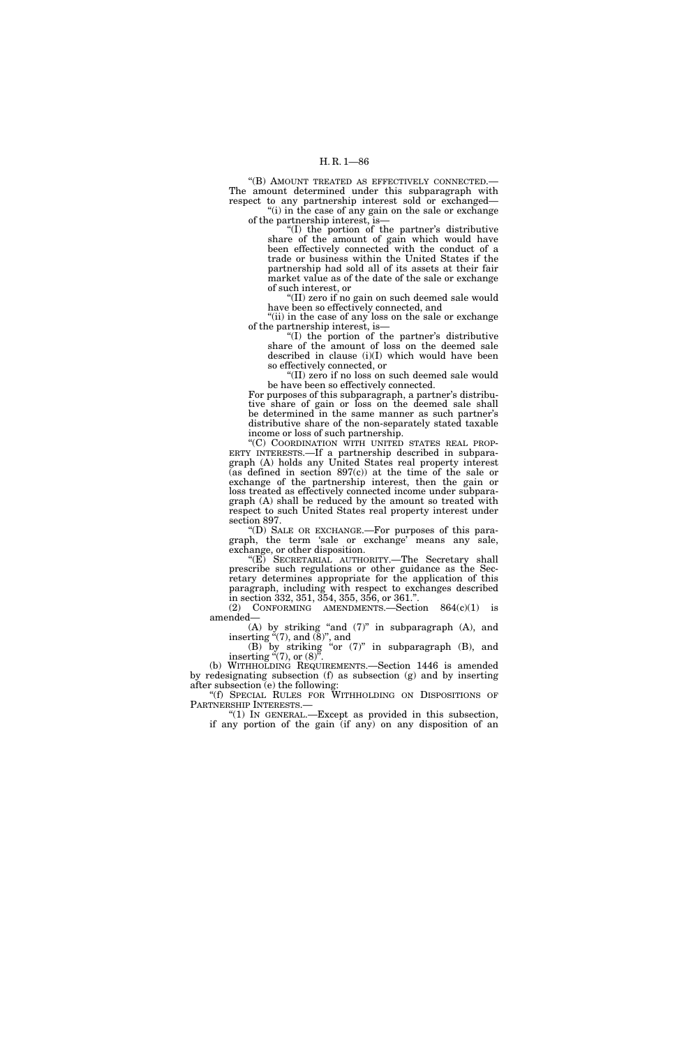"(B) AMOUNT TREATED AS EFFECTIVELY CONNECTED.-The amount determined under this subparagraph with respect to any partnership interest sold or exchanged— "(i) in the case of any gain on the sale or exchange

of the partnership interest, is— ''(I) the portion of the partner's distributive share of the amount of gain which would have

been effectively connected with the conduct of a trade or business within the United States if the partnership had sold all of its assets at their fair market value as of the date of the sale or exchange of such interest, or

'(II) zero if no gain on such deemed sale would have been so effectively connected, and

"(ii) in the case of any loss on the sale or exchange of the partnership interest, is—

''(I) the portion of the partner's distributive share of the amount of loss on the deemed sale described in clause (i)(I) which would have been so effectively connected, or

''(II) zero if no loss on such deemed sale would be have been so effectively connected.

For purposes of this subparagraph, a partner's distributive share of gain or loss on the deemed sale shall be determined in the same manner as such partner's distributive share of the non-separately stated taxable income or loss of such partnership.

''(C) COORDINATION WITH UNITED STATES REAL PROP-ERTY INTERESTS.—If a partnership described in subparagraph (A) holds any United States real property interest  $(as$  defined in section 897 $(c)$  at the time of the sale or exchange of the partnership interest, then the gain or loss treated as effectively connected income under subparagraph (A) shall be reduced by the amount so treated with respect to such United States real property interest under section 897.

''(D) SALE OR EXCHANGE.—For purposes of this paragraph, the term 'sale or exchange' means any sale, exchange, or other disposition.

''(E) SECRETARIAL AUTHORITY.—The Secretary shall prescribe such regulations or other guidance as the Secretary determines appropriate for the application of this paragraph, including with respect to exchanges described in section 332, 351, 354, 355, 356, or 361.''.

(2) CONFORMING AMENDMENTS. Section  $864(c)(1)$  is amended— $(A)$  by striking "and  $(7)$ " in subparagraph  $(A)$ , and

(A) by striking ''and (7)'' in subparagraph (A), and inserting  $(7)$ , and  $(8)$ ", and (B) by striking ''or (7)'' in subparagraph (B), and

inserting  $(7)$ , or  $(8)$ <sup>"</sup>. (b) WITHHOLDING REQUIREMENTS.—Section 1446 is amended

by redesignating subsection (f) as subsection (g) and by inserting after subsection (e) the following:

"(f) SPECIAL RULES FOR WITHHOLDING ON DISPOSITIONS OF PARTNERSHIP INTERESTS.—

" $(1)$  In GENERAL.—Except as provided in this subsection, if any portion of the gain (if any) on any disposition of an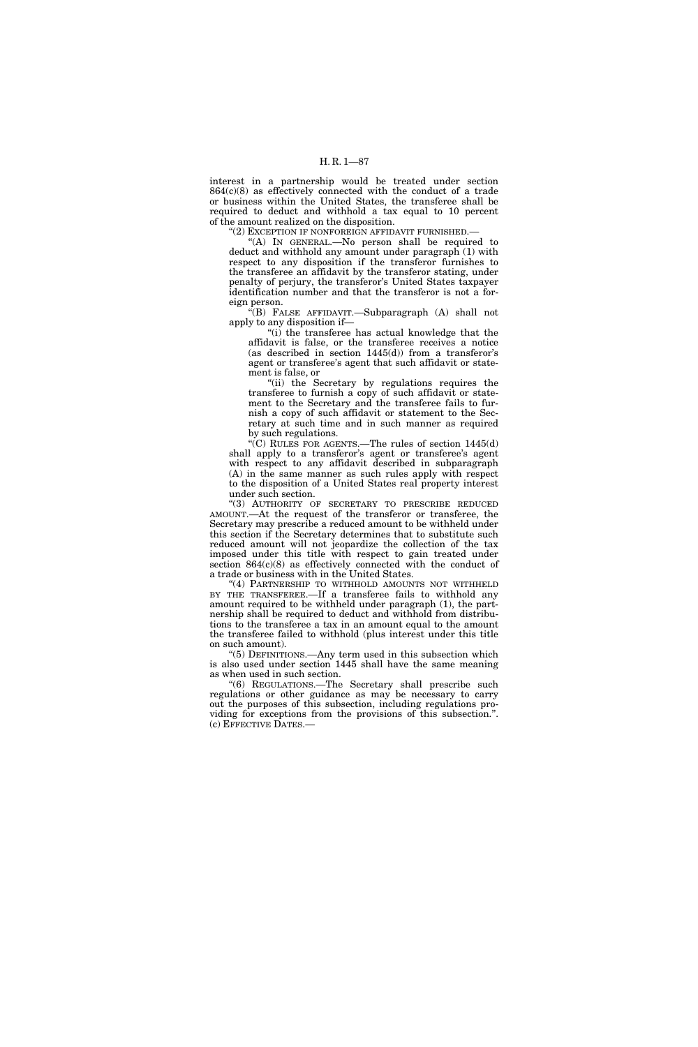interest in a partnership would be treated under section  $864(c)(8)$  as effectively connected with the conduct of a trade or business within the United States, the transferee shall be required to deduct and withhold a tax equal to 10 percent of the amount realized on the disposition.

''(2) EXCEPTION IF NONFOREIGN AFFIDAVIT FURNISHED.—

''(A) IN GENERAL.—No person shall be required to deduct and withhold any amount under paragraph (1) with respect to any disposition if the transferor furnishes to the transferee an affidavit by the transferor stating, under penalty of perjury, the transferor's United States taxpayer identification number and that the transferor is not a foreign person.

''(B) FALSE AFFIDAVIT.—Subparagraph (A) shall not apply to any disposition if—

''(i) the transferee has actual knowledge that the affidavit is false, or the transferee receives a notice (as described in section  $1445(d)$ ) from a transferor's agent or transferee's agent that such affidavit or statement is false, or

''(ii) the Secretary by regulations requires the transferee to furnish a copy of such affidavit or statement to the Secretary and the transferee fails to furnish a copy of such affidavit or statement to the Secretary at such time and in such manner as required by such regulations.

"(C) RULES FOR AGENTS.—The rules of section  $1445(d)$ shall apply to a transferor's agent or transferee's agent with respect to any affidavit described in subparagraph (A) in the same manner as such rules apply with respect to the disposition of a United States real property interest under such section.

''(3) AUTHORITY OF SECRETARY TO PRESCRIBE REDUCED AMOUNT.—At the request of the transferor or transferee, the Secretary may prescribe a reduced amount to be withheld under this section if the Secretary determines that to substitute such reduced amount will not jeopardize the collection of the tax imposed under this title with respect to gain treated under section 864(c)(8) as effectively connected with the conduct of a trade or business with in the United States.

''(4) PARTNERSHIP TO WITHHOLD AMOUNTS NOT WITHHELD BY THE TRANSFEREE.—If a transferee fails to withhold any amount required to be withheld under paragraph (1), the partnership shall be required to deduct and withhold from distributions to the transferee a tax in an amount equal to the amount the transferee failed to withhold (plus interest under this title on such amount).

''(5) DEFINITIONS.—Any term used in this subsection which is also used under section 1445 shall have the same meaning as when used in such section.

''(6) REGULATIONS.—The Secretary shall prescribe such regulations or other guidance as may be necessary to carry out the purposes of this subsection, including regulations providing for exceptions from the provisions of this subsection.''. (c) EFFECTIVE DATES.—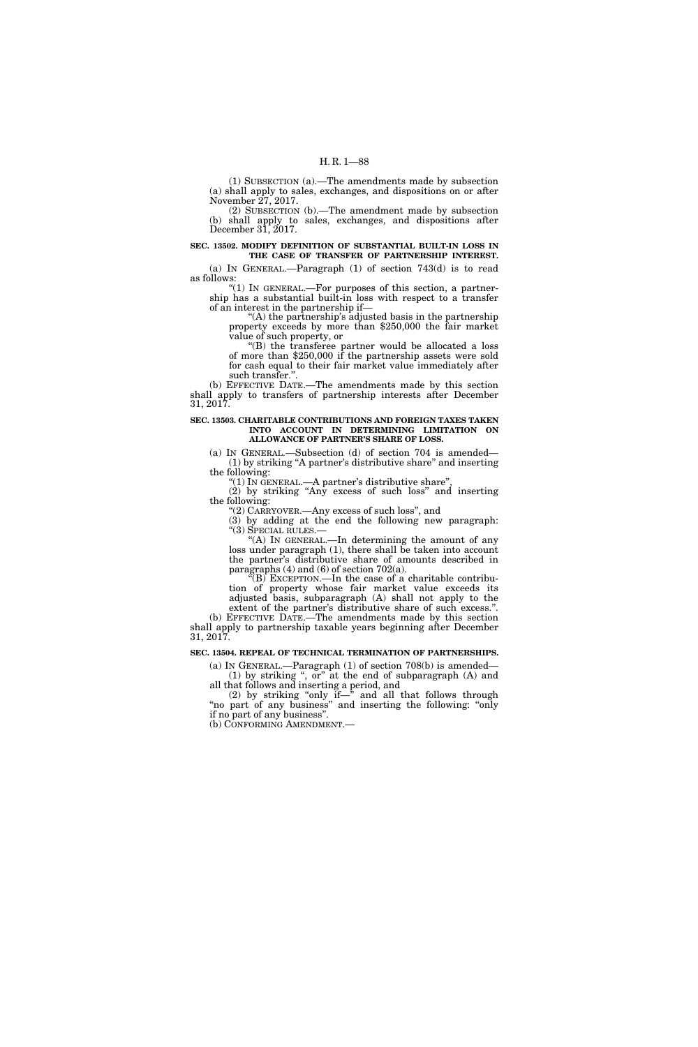(1) SUBSECTION (a).—The amendments made by subsection (a) shall apply to sales, exchanges, and dispositions on or after November 27, 2017.

(2) SUBSECTION (b).—The amendment made by subsection (b) shall apply to sales, exchanges, and dispositions after December 31, 2017.

# **SEC. 13502. MODIFY DEFINITION OF SUBSTANTIAL BUILT-IN LOSS IN THE CASE OF TRANSFER OF PARTNERSHIP INTEREST.**

(a) IN GENERAL.—Paragraph (1) of section 743(d) is to read as follows:

" $(1)$  In GENERAL.—For purposes of this section, a partnership has a substantial built-in loss with respect to a transfer of an interest in the partnership if—

''(A) the partnership's adjusted basis in the partnership property exceeds by more than \$250,000 the fair market value of such property, or

''(B) the transferee partner would be allocated a loss of more than \$250,000 if the partnership assets were sold for cash equal to their fair market value immediately after such transfer.''.

(b) EFFECTIVE DATE.—The amendments made by this section shall apply to transfers of partnership interests after December 31, 2017.

### **SEC. 13503. CHARITABLE CONTRIBUTIONS AND FOREIGN TAXES TAKEN INTO ACCOUNT IN DETERMINING LIMITATION ON ALLOWANCE OF PARTNER'S SHARE OF LOSS.**

(a) IN GENERAL.—Subsection (d) of section 704 is amended— (1) by striking ''A partner's distributive share'' and inserting the following:

''(1) IN GENERAL.—A partner's distributive share'',

(2) by striking ''Any excess of such loss'' and inserting the following:

''(2) CARRYOVER.—Any excess of such loss'', and

(3) by adding at the end the following new paragraph: ''(3) SPECIAL RULES.—

''(A) IN GENERAL.—In determining the amount of any loss under paragraph (1), there shall be taken into account the partner's distributive share of amounts described in paragraphs  $(4)$  and  $(6)$  of section 702 $(a)$ .

 $\sqrt{\rm E}$ (B) EXCEPTION.—In the case of a charitable contribution of property whose fair market value exceeds its adjusted basis, subparagraph (A) shall not apply to the extent of the partner's distributive share of such excess.''.

(b) EFFECTIVE DATE.—The amendments made by this section shall apply to partnership taxable years beginning after December 31, 2017.

### **SEC. 13504. REPEAL OF TECHNICAL TERMINATION OF PARTNERSHIPS.**

(a) IN GENERAL.—Paragraph (1) of section 708(b) is amended— (1) by striking '', or'' at the end of subparagraph (A) and all that follows and inserting a period, and

(2) by striking ''only if—'' and all that follows through "no part of any business" and inserting the following: "only if no part of any business''.

(b) CONFORMING AMENDMENT.—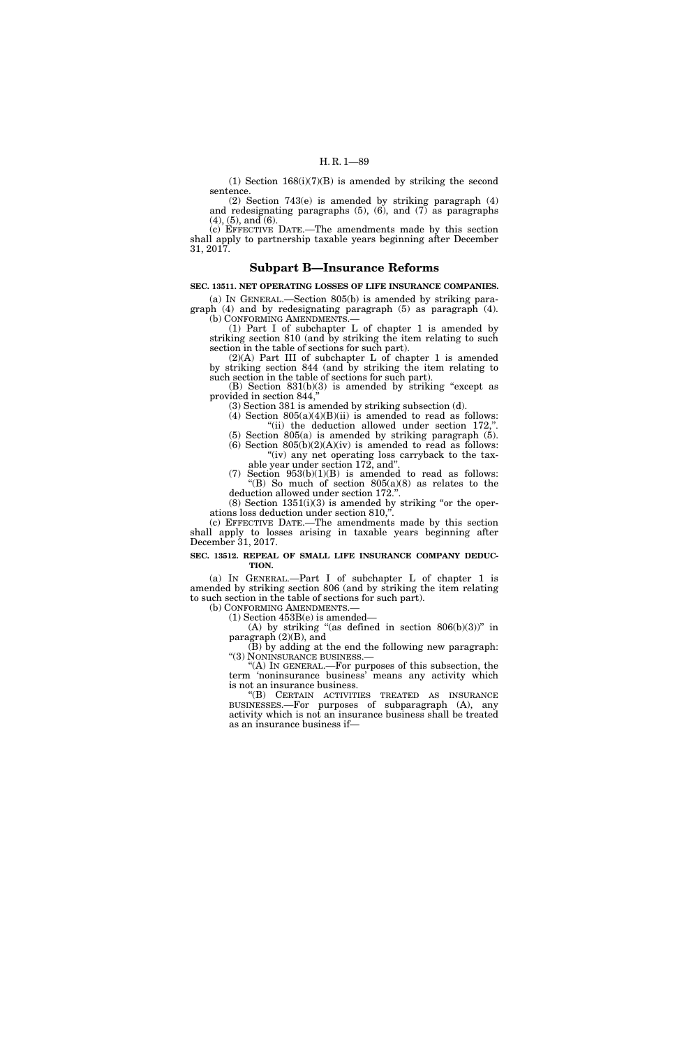(1) Section  $168(i)(7)(B)$  is amended by striking the second sentence.

(2) Section 743(e) is amended by striking paragraph (4) and redesignating paragraphs  $(5)$ ,  $(6)$ , and  $(7)$  as paragraphs  $(4)$ ,  $(5)$ , and  $(6)$ .

(c) EFFECTIVE DATE.—The amendments made by this section shall apply to partnership taxable years beginning after December 31, 2017.

# **Subpart B—Insurance Reforms**

# **SEC. 13511. NET OPERATING LOSSES OF LIFE INSURANCE COMPANIES.**

(a) IN GENERAL.—Section 805(b) is amended by striking paragraph (4) and by redesignating paragraph (5) as paragraph (4).

(b) CONFORMING AMENDMENTS.— (1) Part I of subchapter L of chapter 1 is amended by striking section 810 (and by striking the item relating to such section in the table of sections for such part).

(2)(A) Part III of subchapter L of chapter 1 is amended by striking section 844 (and by striking the item relating to such section in the table of sections for such part).

(B) Section 831(b)(3) is amended by striking ''except as provided in section 844,''

(3) Section 381 is amended by striking subsection (d).

(4) Section  $805(a)(4)(B)(ii)$  is amended to read as follows: "(ii) the deduction allowed under section 172,".

(5) Section 805(a) is amended by striking paragraph (5). (6) Section  $805(b)(2)(A)(iv)$  is amended to read as follows:

"(iv) any net operating loss carryback to the taxable year under section 172, and''.

(7) Section  $953(b)(1)(B)$  is amended to read as follows: "(B) So much of section  $805(a)(8)$  as relates to the deduction allowed under section 172.''.

 $(8)$  Section  $1351(i)(3)$  is amended by striking "or the operations loss deduction under section 810,"

(c) EFFECTIVE DATE.—The amendments made by this section shall apply to losses arising in taxable years beginning after December 31, 2017.

**SEC. 13512. REPEAL OF SMALL LIFE INSURANCE COMPANY DEDUC-TION.** 

(a) IN GENERAL.—Part I of subchapter L of chapter 1 is amended by striking section 806 (and by striking the item relating to such section in the table of sections for such part).<br>(b) CONFORMING AMENDMENTS.—

(b) CONFORMING AMENDMENTS.— (1) Section 453B(e) is amended—

(A) by striking "(as defined in section  $806(b)(3)$ " in paragraph (2)(B), and

(B) by adding at the end the following new paragraph: "(3) NONINSURANCE BUSINESS.

''(A) IN GENERAL.—For purposes of this subsection, the term 'noninsurance business' means any activity which is not an insurance business.

''(B) CERTAIN ACTIVITIES TREATED AS INSURANCE BUSINESSES.—For purposes of subparagraph (A), any activity which is not an insurance business shall be treated as an insurance business if—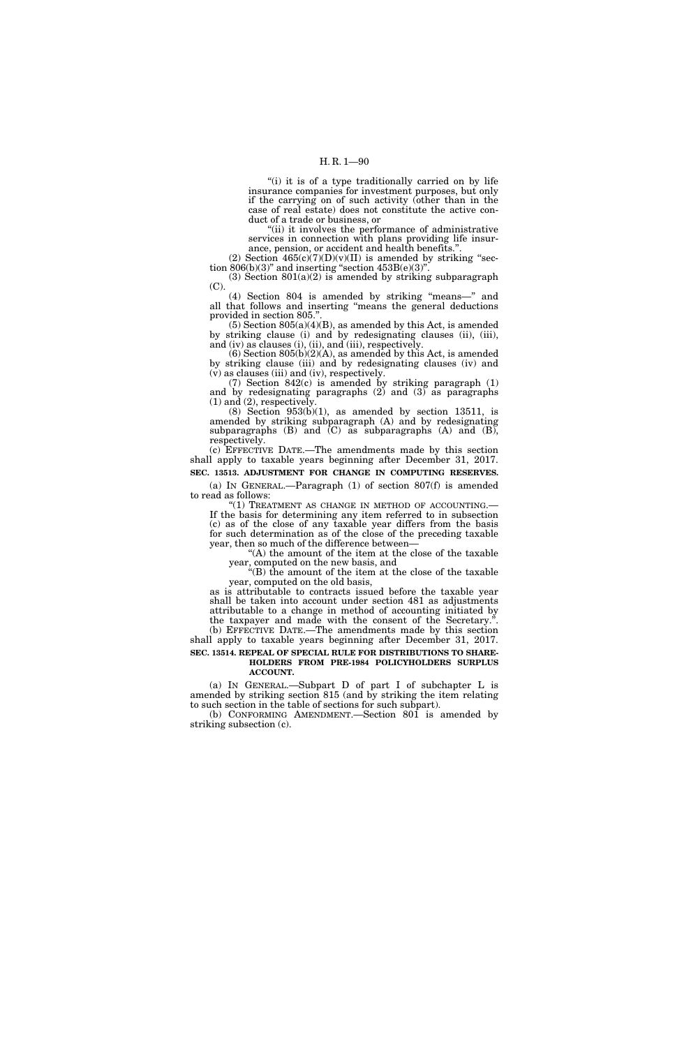"(i) it is of a type traditionally carried on by life insurance companies for investment purposes, but only if the carrying on of such activity (other than in the case of real estate) does not constitute the active conduct of a trade or business, or

"(ii) it involves the performance of administrative services in connection with plans providing life insurance, pension, or accident and health benefits.''.

(2) Section  $465(c)(7)(D)(v)(II)$  is amended by striking "section  $806(b)(3)$ " and inserting "section  $453B(e)(3)$ ".

(3) Section  $801(a)(2)$  is amended by striking subparagraph (C).

(4) Section 804 is amended by striking ''means—'' and all that follows and inserting ''means the general deductions provided in section 805.''.

 $(5)$  Section 805 $(a)(4)(B)$ , as amended by this Act, is amended by striking clause (i) and by redesignating clauses (ii), (iii), and (iv) as clauses (i), (ii), and (iii), respectively.

 $(6)$  Section  $805(b)(2)(A)$ , as amended by this Act, is amended by striking clause (iii) and by redesignating clauses (iv) and (v) as clauses (iii) and (iv), respectively.

(7) Section 842(c) is amended by striking paragraph (1) and by redesignating paragraphs (2) and (3) as paragraphs  $(1)$  and  $(2)$ , respectively.

 $(8)$  Section 953 $(b)(1)$ , as amended by section 13511, is amended by striking subparagraph (A) and by redesignating subparagraphs  $(B)$  and  $(C)$  as subparagraphs  $(A)$  and  $(B)$ , respectively.

(c) EFFECTIVE DATE.—The amendments made by this section shall apply to taxable years beginning after December 31, 2017. **SEC. 13513. ADJUSTMENT FOR CHANGE IN COMPUTING RESERVES.** 

(a) IN GENERAL.—Paragraph (1) of section 807(f) is amended to read as follows:

''(1) TREATMENT AS CHANGE IN METHOD OF ACCOUNTING.— If the basis for determining any item referred to in subsection (c) as of the close of any taxable year differs from the basis for such determination as of the close of the preceding taxable year, then so much of the difference between—

''(A) the amount of the item at the close of the taxable year, computed on the new basis, and

''(B) the amount of the item at the close of the taxable year, computed on the old basis,

as is attributable to contracts issued before the taxable year shall be taken into account under section 481 as adjustments attributable to a change in method of accounting initiated by the taxpayer and made with the consent of the Secretary.''. (b) EFFECTIVE DATE.—The amendments made by this section shall apply to taxable years beginning after December 31, 2017.

**SEC. 13514. REPEAL OF SPECIAL RULE FOR DISTRIBUTIONS TO SHARE-HOLDERS FROM PRE-1984 POLICYHOLDERS SURPLUS** 

# **ACCOUNT.**

(a) IN GENERAL.—Subpart D of part I of subchapter L is amended by striking section 815 (and by striking the item relating to such section in the table of sections for such subpart).

(b) CONFORMING AMENDMENT.—Section 801 is amended by striking subsection (c).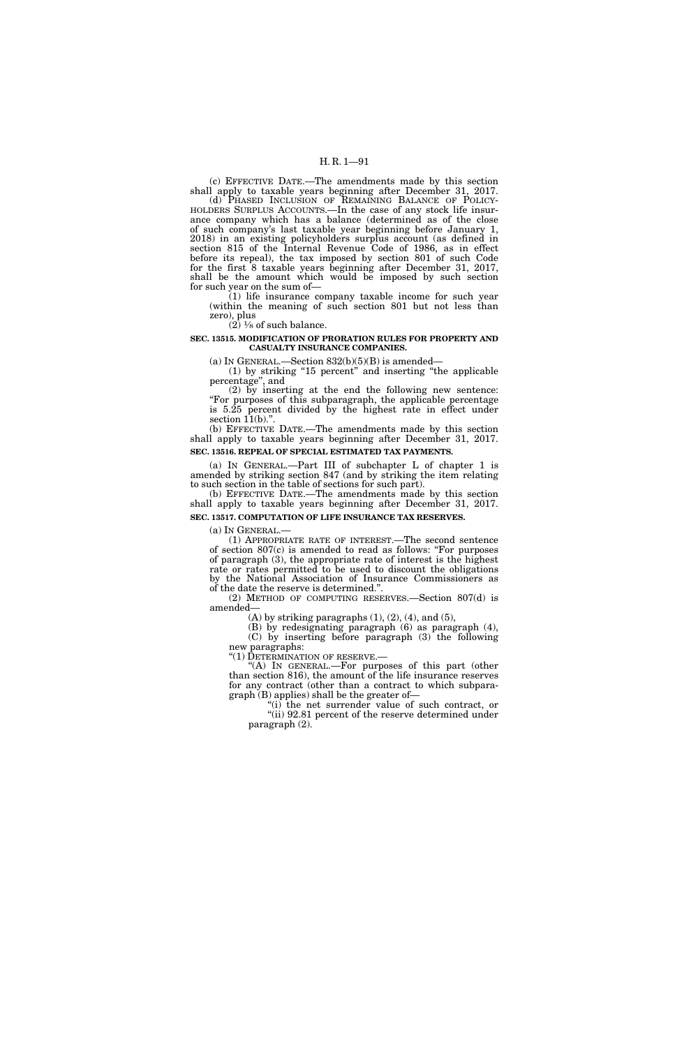(c) EFFECTIVE DATE.—The amendments made by this section shall apply to taxable years beginning after December 31, 2017.

(d) PHASED INCLUSION OF REMAINING BALANCE OF POLICY- HOLDERS SURPLUS ACCOUNTS.—In the case of any stock life insurance company which has a balance (determined as of the close of such company's last taxable year beginning before January 1, 2018) in an existing policyholders surplus account (as defined in section 815 of the Internal Revenue Code of 1986, as in effect before its repeal), the tax imposed by section 801 of such Code for the first 8 taxable years beginning after December 31, 2017, shall be the amount which would be imposed by such section for such year on the sum of—

(1) life insurance company taxable income for such year (within the meaning of such section  $801$  but not less than zero), plus  $(2)$   $\frac{1}{8}$  of such balance.

**SEC. 13515. MODIFICATION OF PRORATION RULES FOR PROPERTY AND** 

**CASUALTY INSURANCE COMPANIES.** 

(a) IN GENERAL.—Section  $832(b)(5)(B)$  is amended—

(1) by striking ''15 percent'' and inserting ''the applicable percentage'', and

(2) by inserting at the end the following new sentence: ''For purposes of this subparagraph, the applicable percentage is 5.25 percent divided by the highest rate in effect under section  $11(b)$ .".

(b) EFFECTIVE DATE.—The amendments made by this section shall apply to taxable years beginning after December 31, 2017. **SEC. 13516. REPEAL OF SPECIAL ESTIMATED TAX PAYMENTS.** 

(a) IN GENERAL.—Part III of subchapter L of chapter 1 is amended by striking section 847 (and by striking the item relating to such section in the table of sections for such part).

(b) EFFECTIVE DATE.—The amendments made by this section shall apply to taxable years beginning after December 31, 2017. **SEC. 13517. COMPUTATION OF LIFE INSURANCE TAX RESERVES.** 

(a) IN GENERAL.—

(1) APPROPRIATE RATE OF INTEREST.—The second sentence of section  $807(c)$  is amended to read as follows: "For purposes" of paragraph (3), the appropriate rate of interest is the highest rate or rates permitted to be used to discount the obligations by the National Association of Insurance Commissioners as of the date the reserve is determined.''.

(2) METHOD OF COMPUTING RESERVES.—Section 807(d) is amended—

 $(A)$  by striking paragraphs  $(1)$ ,  $(2)$ ,  $(4)$ , and  $(5)$ ,

(B) by redesignating paragraph (6) as paragraph (4), (C) by inserting before paragraph (3) the following new paragraphs:

''(1) DETERMINATION OF RESERVE.—

"(A) In GENERAL.—For purposes of this part (other than section 816), the amount of the life insurance reserves for any contract (other than a contract to which subparagraph (B) applies) shall be the greater of—

"(i) the net surrender value of such contract, or "(ii) 92.81 percent of the reserve determined under paragraph (2).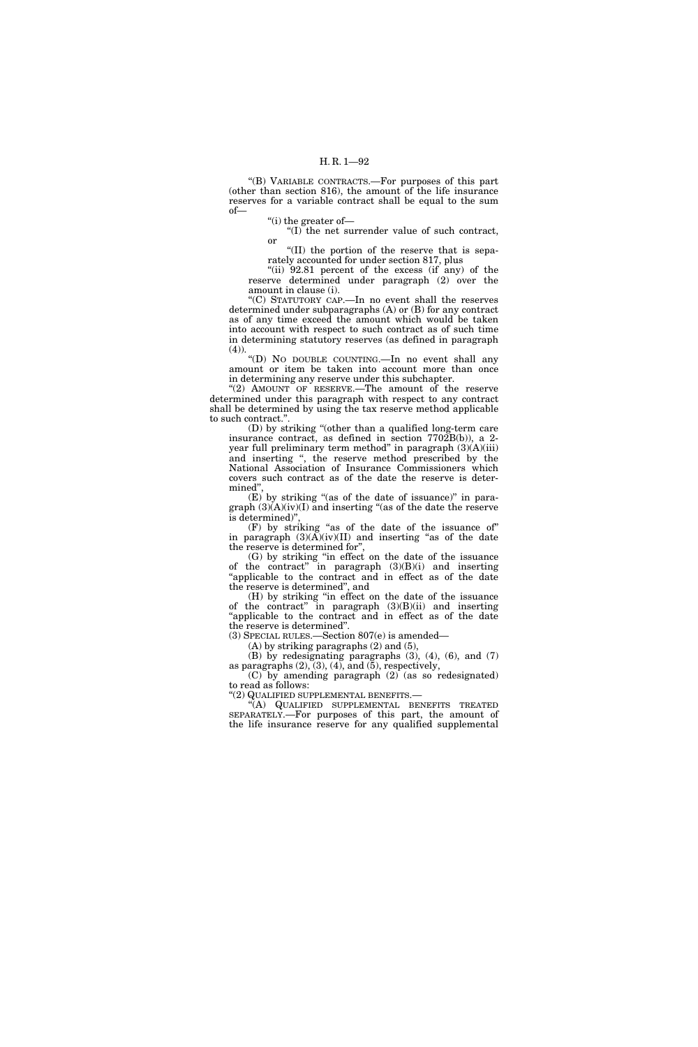''(B) VARIABLE CONTRACTS.—For purposes of this part (other than section 816), the amount of the life insurance reserves for a variable contract shall be equal to the sum of—

''(i) the greater of—

''(I) the net surrender value of such contract, or

''(II) the portion of the reserve that is separately accounted for under section 817, plus

"(ii)  $92.81$  percent of the excess (if any) of the reserve determined under paragraph (2) over the amount in clause (i).

''(C) STATUTORY CAP.—In no event shall the reserves determined under subparagraphs (A) or (B) for any contract as of any time exceed the amount which would be taken into account with respect to such contract as of such time in determining statutory reserves (as defined in paragraph  $(4)$ ).

''(D) NO DOUBLE COUNTING.—In no event shall any amount or item be taken into account more than once in determining any reserve under this subchapter.

"(2) AMOUNT OF RESERVE.—The amount of the reserve determined under this paragraph with respect to any contract shall be determined by using the tax reserve method applicable to such contract.''.

(D) by striking ''(other than a qualified long-term care insurance contract, as defined in section 7702B(b)), a 2 year full preliminary term method'' in paragraph (3)(A)(iii) and inserting '', the reserve method prescribed by the National Association of Insurance Commissioners which covers such contract as of the date the reserve is determined'',

 $(E)$  by striking "(as of the date of issuance)" in paragraph  $(3)(A)(iv)(I)$  and inserting "(as of the date the reserve is determined)'

(F) by striking ''as of the date of the issuance of'' in paragraph  $(3)(A)(iv)(II)$  and inserting "as of the date the reserve is determined for'',

(G) by striking ''in effect on the date of the issuance of the contract'' in paragraph (3)(B)(i) and inserting "applicable to the contract and in effect as of the date the reserve is determined'', and

(H) by striking ''in effect on the date of the issuance of the contract" in paragraph  $(3)(B)(ii)$  and inserting 'applicable to the contract and in effect as of the date the reserve is determined''.

(3) SPECIAL RULES.—Section 807(e) is amended—

(A) by striking paragraphs (2) and (5),

(B) by redesignating paragraphs (3), (4), (6), and (7) as paragraphs  $(2)$ ,  $(3)$ ,  $(4)$ , and  $(5)$ , respectively, (C) by amending paragraph  $(2)$  (as so redesignated)

to read as follows: ''(2) QUALIFIED SUPPLEMENTAL BENEFITS.—

''(A) QUALIFIED SUPPLEMENTAL BENEFITS TREATED SEPARATELY.—For purposes of this part, the amount of the life insurance reserve for any qualified supplemental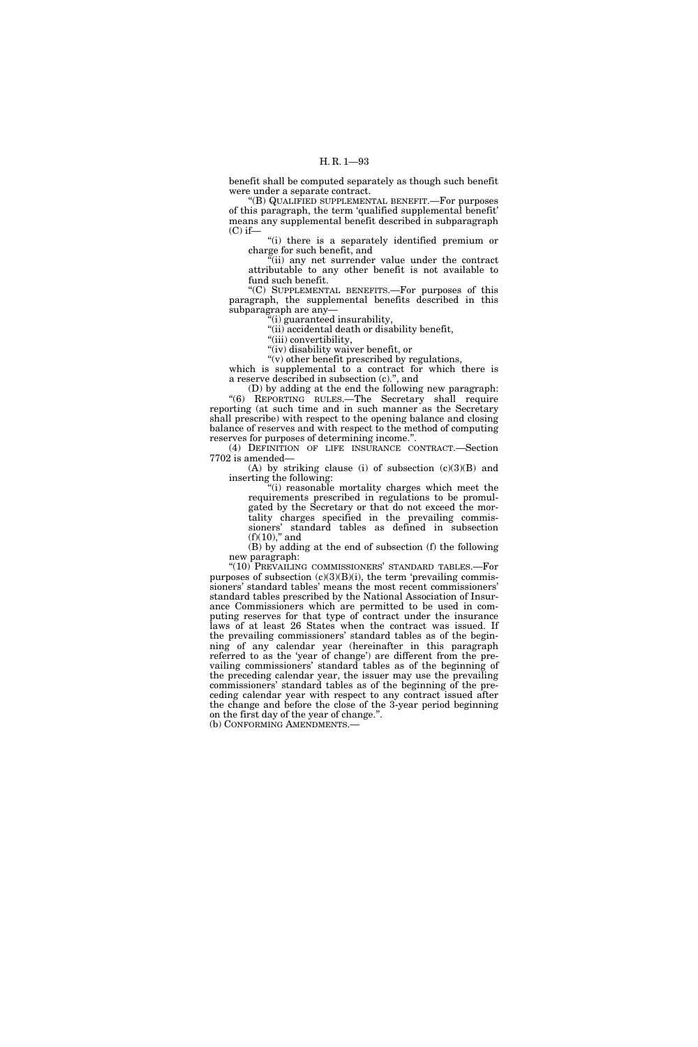benefit shall be computed separately as though such benefit were under a separate contract.

''(B) QUALIFIED SUPPLEMENTAL BENEFIT.—For purposes of this paragraph, the term 'qualified supplemental benefit' means any supplemental benefit described in subparagraph  $(C)$  if—

''(i) there is a separately identified premium or charge for such benefit, and

''(ii) any net surrender value under the contract attributable to any other benefit is not available to fund such benefit.

''(C) SUPPLEMENTAL BENEFITS.—For purposes of this paragraph, the supplemental benefits described in this subparagraph are any—

 $(i)$  guaranteed insurability,

''(ii) accidental death or disability benefit,

"(iii) convertibility,

''(iv) disability waiver benefit, or

''(v) other benefit prescribed by regulations, which is supplemental to a contract for which there is

a reserve described in subsection (c).'', and (D) by adding at the end the following new paragraph:

"(6) REPORTING RULES.—The Secretary shall require reporting (at such time and in such manner as the Secretary shall prescribe) with respect to the opening balance and closing balance of reserves and with respect to the method of computing reserves for purposes of determining income.''.

(4) DEFINITION OF LIFE INSURANCE CONTRACT.—Section 7702 is amended—

(A) by striking clause (i) of subsection  $(c)(3)(B)$  and inserting the following:

''(i) reasonable mortality charges which meet the requirements prescribed in regulations to be promulgated by the Secretary or that do not exceed the mortality charges specified in the prevailing commissioners' standard tables as defined in subsection  $(f)(10)$ ," and

(B) by adding at the end of subsection (f) the following new paragraph:

''(10) PREVAILING COMMISSIONERS' STANDARD TABLES.—For purposes of subsection  $(c)(3)(B)(i)$ , the term 'prevailing commissioners' standard tables' means the most recent commissioners' standard tables prescribed by the National Association of Insurance Commissioners which are permitted to be used in computing reserves for that type of contract under the insurance laws of at least 26 States when the contract was issued. If the prevailing commissioners' standard tables as of the beginning of any calendar year (hereinafter in this paragraph referred to as the 'year of change') are different from the prevailing commissioners' standard tables as of the beginning of the preceding calendar year, the issuer may use the prevailing commissioners' standard tables as of the beginning of the preceding calendar year with respect to any contract issued after the change and before the close of the 3-year period beginning on the first day of the year of change.''.

(b) CONFORMING AMENDMENTS.—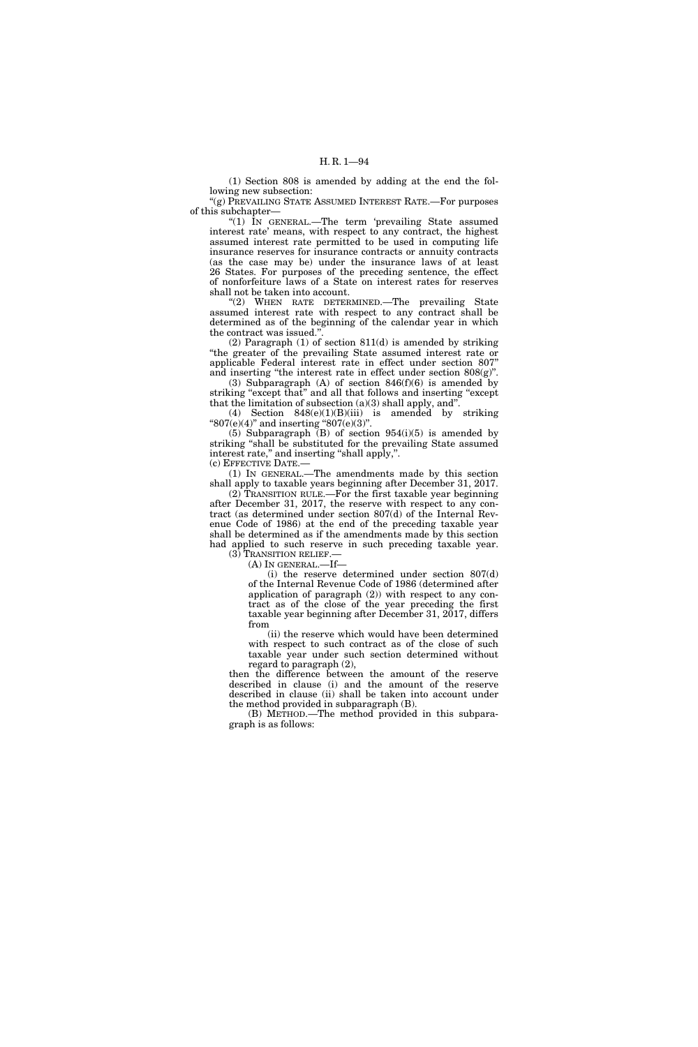(1) Section 808 is amended by adding at the end the following new subsection:

''(g) PREVAILING STATE ASSUMED INTEREST RATE.—For purposes of this subchapter—

"(1) IN GENERAL.—The term 'prevailing State assumed interest rate' means, with respect to any contract, the highest assumed interest rate permitted to be used in computing life insurance reserves for insurance contracts or annuity contracts (as the case may be) under the insurance laws of at least 26 States. For purposes of the preceding sentence, the effect of nonforfeiture laws of a State on interest rates for reserves shall not be taken into account.

"(2) WHEN RATE DETERMINED.—The prevailing State assumed interest rate with respect to any contract shall be determined as of the beginning of the calendar year in which the contract was issued.''.

(2) Paragraph (1) of section 811(d) is amended by striking ''the greater of the prevailing State assumed interest rate or applicable Federal interest rate in effect under section 807'' and inserting "the interest rate in effect under section  $808(g)$ ".

(3) Subparagraph (A) of section 846(f)(6) is amended by striking "except that" and all that follows and inserting "except that the limitation of subsection  $(a)(3)$  shall apply, and".

(4) Section 848(e)(1)(B)(iii) is amended by striking "807(e)(4)" and inserting "807(e)(3)".

(5) Subparagraph  $(B)$  of section 954(i)(5) is amended by striking ''shall be substituted for the prevailing State assumed interest rate," and inserting "shall apply,".

(c) EFFECTIVE DATE.—

(1) IN GENERAL.—The amendments made by this section shall apply to taxable years beginning after December 31, 2017.

(2) TRANSITION RULE.—For the first taxable year beginning after December 31, 2017, the reserve with respect to any contract (as determined under section 807(d) of the Internal Revenue Code of 1986) at the end of the preceding taxable year shall be determined as if the amendments made by this section had applied to such reserve in such preceding taxable year. (3) TRANSITION RELIEF.—

(A) IN GENERAL.—If—

(i) the reserve determined under section 807(d) of the Internal Revenue Code of 1986 (determined after application of paragraph (2)) with respect to any contract as of the close of the year preceding the first taxable year beginning after December 31, 2017, differs from

(ii) the reserve which would have been determined with respect to such contract as of the close of such taxable year under such section determined without regard to paragraph (2),

then the difference between the amount of the reserve described in clause (i) and the amount of the reserve described in clause (ii) shall be taken into account under the method provided in subparagraph (B).

(B) METHOD.—The method provided in this subparagraph is as follows: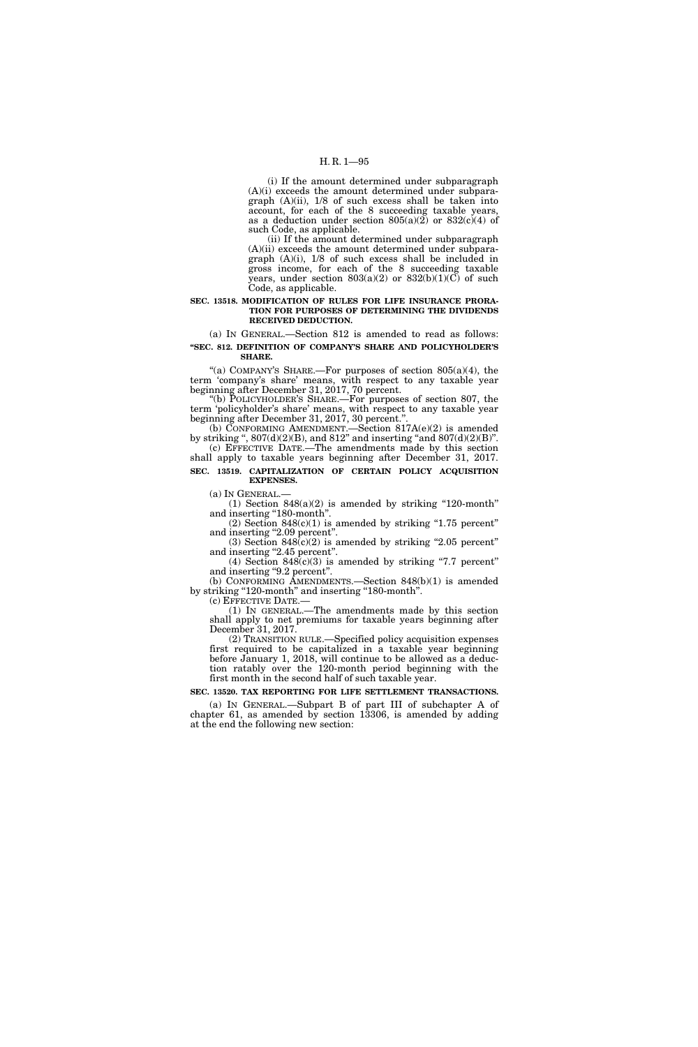# H. R. 1—95

(i) If the amount determined under subparagraph (A)(i) exceeds the amount determined under subparagraph (A)(ii), 1/8 of such excess shall be taken into account, for each of the 8 succeeding taxable years, as a deduction under section  $805(a)(2)$  or  $832(c)(4)$  of such Code, as applicable.

(ii) If the amount determined under subparagraph (A)(ii) exceeds the amount determined under subparagraph  $(A)(i)$ ,  $1/8$  of such excess shall be included in gross income, for each of the 8 succeeding taxable years, under section  $803(a)(2)$  or  $832(b)(1)(C)$  of such Code, as applicable.

### **SEC. 13518. MODIFICATION OF RULES FOR LIFE INSURANCE PRORA-TION FOR PURPOSES OF DETERMINING THE DIVIDENDS RECEIVED DEDUCTION.**

(a) IN GENERAL.—Section 812 is amended to read as follows: **''SEC. 812. DEFINITION OF COMPANY'S SHARE AND POLICYHOLDER'S SHARE.** 

"(a) COMPANY'S SHARE.—For purposes of section 805(a)(4), the term 'company's share' means, with respect to any taxable year beginning after December 31, 2017, 70 percent.

''(b) POLICYHOLDER'S SHARE.—For purposes of section 807, the term 'policyholder's share' means, with respect to any taxable year beginning after December 31, 2017, 30 percent.''.

(b) CONFORMING AMENDMENT.—Section 817A(e)(2) is amended by striking ",  $807(d)(2)(B)$ , and  $812$ " and inserting "and  $807(d)(2)(B)$ ". (c) EFFECTIVE DATE.—The amendments made by this section

shall apply to taxable years beginning after December 31, 2017. **SEC. 13519. CAPITALIZATION OF CERTAIN POLICY ACQUISITION** 

**EXPENSES.**  (a) IN GENERAL.—

(1) Section  $848(a)(2)$  is amended by striking "120-month" and inserting "180-month".

 $(2)$  Section 848 $(c)(1)$  is amended by striking "1.75 percent" and inserting "2.09 percent".

(3) Section  $848(c)(2)$  is amended by striking "2.05 percent" and inserting "2.45 percent". (4) Section  $848(c)(3)$  is amended by striking "7.7 percent"

and inserting "9.2 percent".

(b) CONFORMING AMENDMENTS.—Section 848(b)(1) is amended by striking "120-month" and inserting "180-month".

(c) EFFECTIVE DATE.— (1) IN GENERAL.—The amendments made by this section shall apply to net premiums for taxable years beginning after December 31, 2017.

(2) TRANSITION RULE.—Specified policy acquisition expenses first required to be capitalized in a taxable year beginning before January 1, 2018, will continue to be allowed as a deduction ratably over the 120-month period beginning with the first month in the second half of such taxable year.

**SEC. 13520. TAX REPORTING FOR LIFE SETTLEMENT TRANSACTIONS.** 

(a) IN GENERAL.—Subpart B of part III of subchapter A of chapter 61, as amended by section 13306, is amended by adding at the end the following new section: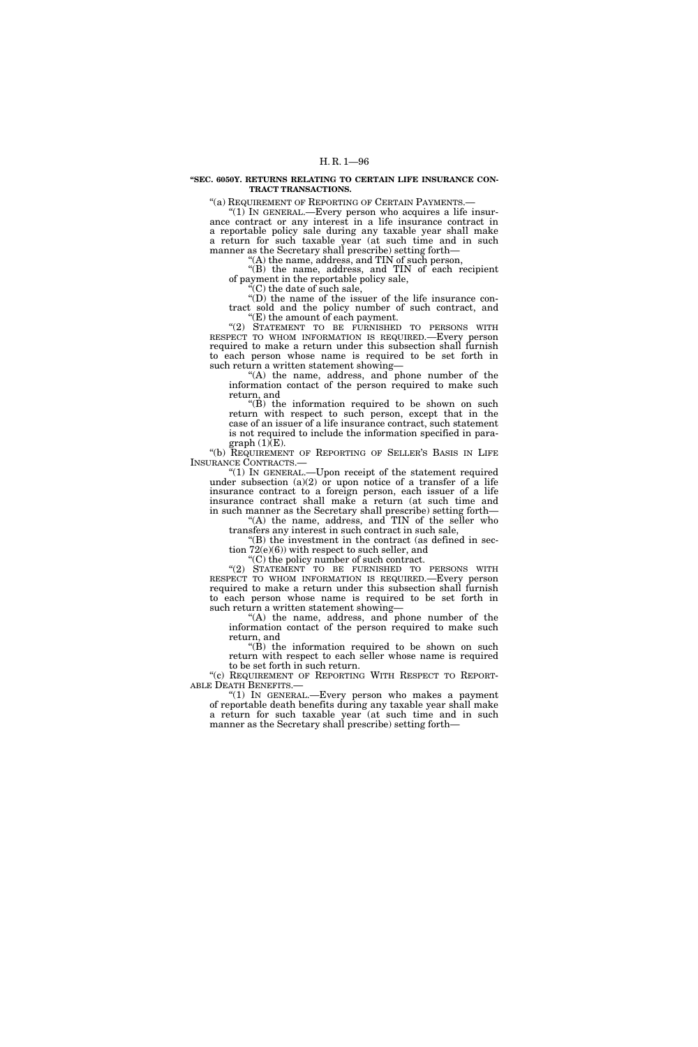### **''SEC. 6050Y. RETURNS RELATING TO CERTAIN LIFE INSURANCE CON-TRACT TRANSACTIONS.**

''(a) REQUIREMENT OF REPORTING OF CERTAIN PAYMENTS.— ''(1) IN GENERAL.—Every person who acquires a life insurance contract or any interest in a life insurance contract in a reportable policy sale during any taxable year shall make a return for such taxable year (at such time and in such manner as the Secretary shall prescribe) setting forth—

"(A) the name, address, and TIN of such person, "(B) the name, address, and TIN of each recipient of payment in the reportable policy sale,

 $\mathcal{C}(C)$  the date of such sale,

''(D) the name of the issuer of the life insurance contract sold and the policy number of such contract, and ''(E) the amount of each payment.

''(2) STATEMENT TO BE FURNISHED TO PERSONS WITH RESPECT TO WHOM INFORMATION IS REQUIRED.—Every person required to make a return under this subsection shall furnish to each person whose name is required to be set forth in such return a written statement showing—

"(A) the name, address, and phone number of the information contact of the person required to make such return, and

 $f(B)$  the information required to be shown on such return with respect to such person, except that in the case of an issuer of a life insurance contract, such statement is not required to include the information specified in para $graph (1)E$ ).

''(b) REQUIREMENT OF REPORTING OF SELLER'S BASIS IN LIFE INSURANCE CONTRACTS.—

"(1) In GENERAL.—Upon receipt of the statement required under subsection  $(a)(2)$  or upon notice of a transfer of a life insurance contract to a foreign person, each issuer of a life insurance contract shall make a return (at such time and in such manner as the Secretary shall prescribe) setting forth—

"(A) the name, address, and TIN of the seller who transfers any interest in such contract in such sale,

 $f(B)$  the investment in the contract (as defined in section 72(e)(6)) with respect to such seller, and

''(C) the policy number of such contract.

"(2) STATEMENT TO BE FURNISHED TO PERSONS WITH RESPECT TO WHOM INFORMATION IS REQUIRED.—Every person required to make a return under this subsection shall furnish to each person whose name is required to be set forth in such return a written statement showing—

"(A) the name, address, and phone number of the information contact of the person required to make such return, and

''(B) the information required to be shown on such return with respect to each seller whose name is required to be set forth in such return.

"(c) REQUIREMENT OF REPORTING WITH RESPECT TO REPORT-ABLE DEATH BENEFITS.—

''(1) IN GENERAL.—Every person who makes a payment of reportable death benefits during any taxable year shall make a return for such taxable year (at such time and in such manner as the Secretary shall prescribe) setting forth—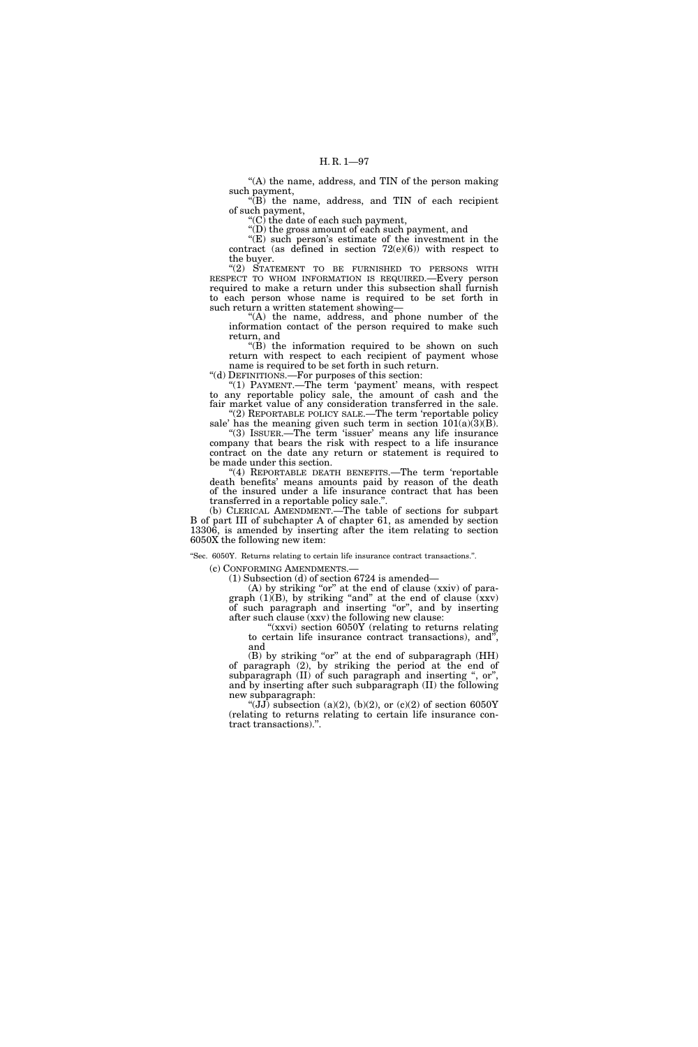"(A) the name, address, and TIN of the person making such payment,

''(B) the name, address, and TIN of each recipient of such payment,

" $(C)$  the date of each such payment,

''(D) the gross amount of each such payment, and

"(E) such person's estimate of the investment in the contract (as defined in section  $72(e)(6)$ ) with respect to the buyer.

''(2) STATEMENT TO BE FURNISHED TO PERSONS WITH RESPECT TO WHOM INFORMATION IS REQUIRED.—Every person required to make a return under this subsection shall furnish to each person whose name is required to be set forth in such return a written statement showing—

"(A) the name, address, and phone number of the information contact of the person required to make such return, and

 $f(B)$  the information required to be shown on such return with respect to each recipient of payment whose name is required to be set forth in such return.

''(d) DEFINITIONS.—For purposes of this section:

"(1) PAYMENT.—The term 'payment' means, with respect to any reportable policy sale, the amount of cash and the fair market value of any consideration transferred in the sale. (2) REPORTABLE POLICY SALE.—The term 'reportable policy

sale' has the meaning given such term in section  $101(a)(3)(B)$ . "(3) ISSUER.—The term 'issuer' means any life insurance company that bears the risk with respect to a life insurance contract on the date any return or statement is required to be made under this section.

(4) REPORTABLE DEATH BENEFITS. The term 'reportable death benefits' means amounts paid by reason of the death of the insured under a life insurance contract that has been transferred in a reportable policy sale.''.

(b) CLERICAL AMENDMENT.—The table of sections for subpart B of part III of subchapter A of chapter 61, as amended by section 13306, is amended by inserting after the item relating to section 6050X the following new item:

''Sec. 6050Y. Returns relating to certain life insurance contract transactions.''.

(c) CONFORMING AMENDMENTS.—

(1) Subsection (d) of section 6724 is amended—

(A) by striking "or" at the end of clause (xxiv) of paragraph  $(1)(B)$ , by striking "and" at the end of clause  $\overline{(xxv)}$ of such paragraph and inserting "or", and by inserting after such clause (xxv) the following new clause:

"(xxvi) section 6050Y (relating to returns relating to certain life insurance contract transactions), and'', and

(B) by striking "or" at the end of subparagraph (HH) of paragraph (2), by striking the period at the end of subparagraph  $(II)$  of such paragraph and inserting ", or", and by inserting after such subparagraph (II) the following new subparagraph:

" $(JJ)$  subsection (a)(2), (b)(2), or (c)(2) of section 6050Y (relating to returns relating to certain life insurance contract transactions).''.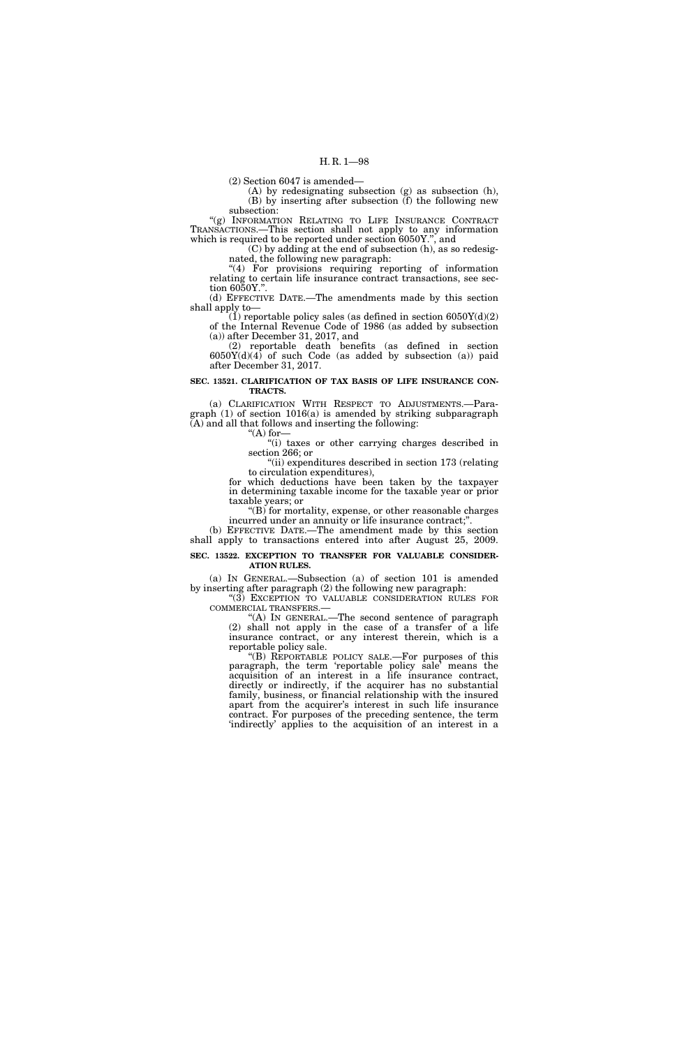(2) Section 6047 is amended—

(A) by redesignating subsection (g) as subsection (h), (B) by inserting after subsection (f) the following new subsection:

''(g) INFORMATION RELATING TO LIFE INSURANCE CONTRACT TRANSACTIONS.—This section shall not apply to any information which is required to be reported under section 6050Y.", and

(C) by adding at the end of subsection (h), as so redesignated, the following new paragraph:

''(4) For provisions requiring reporting of information relating to certain life insurance contract transactions, see section 6050Y.''.

(d) EFFECTIVE DATE.—The amendments made by this section shall apply to—

(1) reportable policy sales (as defined in section  $6050Y(d)(2)$ of the Internal Revenue Code of 1986 (as added by subsection (a)) after December 31, 2017, and

(2) reportable death benefits (as defined in section  $6050Y(d)(4)$  of such Code (as added by subsection (a)) paid after December 31, 2017.

#### **SEC. 13521. CLARIFICATION OF TAX BASIS OF LIFE INSURANCE CON-TRACTS.**

(a) CLARIFICATION WITH RESPECT TO ADJUSTMENTS.—Paragraph (1) of section 1016(a) is amended by striking subparagraph (A) and all that follows and inserting the following: "(A) for  $-$ 

''(i) taxes or other carrying charges described in section 266; or

"(ii) expenditures described in section 173 (relating to circulation expenditures),

for which deductions have been taken by the taxpayer in determining taxable income for the taxable year or prior taxable years; or

''(B) for mortality, expense, or other reasonable charges incurred under an annuity or life insurance contract;''.

(b) EFFECTIVE DATE.—The amendment made by this section shall apply to transactions entered into after August 25, 2009.

### **SEC. 13522. EXCEPTION TO TRANSFER FOR VALUABLE CONSIDER-ATION RULES.**

(a) IN GENERAL.—Subsection (a) of section 101 is amended by inserting after paragraph (2) the following new paragraph:

 $\mbox{``(3)}$  EXCEPTION TO VALUABLE CONSIDERATION RULES FOR COMMERCIAL TRANSFERS.—

"(A) IN GENERAL.—The second sentence of paragraph (2) shall not apply in the case of a transfer of a life insurance contract, or any interest therein, which is a reportable policy sale.

''(B) REPORTABLE POLICY SALE.—For purposes of this paragraph, the term 'reportable policy sale' means the acquisition of an interest in a life insurance contract, directly or indirectly, if the acquirer has no substantial family, business, or financial relationship with the insured apart from the acquirer's interest in such life insurance contract. For purposes of the preceding sentence, the term 'indirectly' applies to the acquisition of an interest in a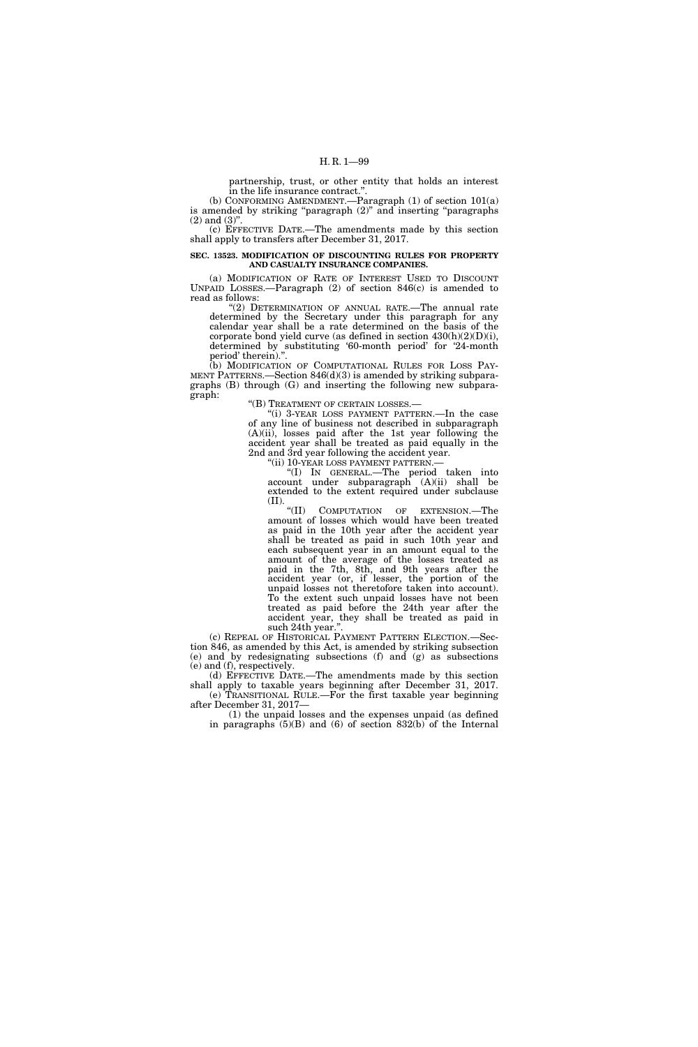partnership, trust, or other entity that holds an interest in the life insurance contract.

(b) CONFORMING AMENDMENT.—Paragraph (1) of section 101(a) is amended by striking "paragraph (2)" and inserting "paragraphs  $(2)$  and  $(3)$ ".

(c) EFFECTIVE DATE.—The amendments made by this section shall apply to transfers after December 31, 2017.

### **SEC. 13523. MODIFICATION OF DISCOUNTING RULES FOR PROPERTY AND CASUALTY INSURANCE COMPANIES.**

(a) MODIFICATION OF RATE OF INTEREST USED TO DISCOUNT UNPAID LOSSES.—Paragraph (2) of section 846(c) is amended to read as follows:

 $(2)$  DETERMINATION OF ANNUAL RATE.—The annual rate determined by the Secretary under this paragraph for any calendar year shall be a rate determined on the basis of the corporate bond yield curve (as defined in section  $430(h)(2)(D)(i)$ , determined by substituting '60-month period' for '24-month period' therein).''.

(b) MODIFICATION OF COMPUTATIONAL RULES FOR LOSS PAY-MENT PATTERNS.—Section 846(d)(3) is amended by striking subparagraphs (B) through (G) and inserting the following new subparagraph:

''(B) TREATMENT OF CERTAIN LOSSES.—

''(i) 3-YEAR LOSS PAYMENT PATTERN.—In the case of any line of business not described in subparagraph (A)(ii), losses paid after the 1st year following the accident year shall be treated as paid equally in the 2nd and 3rd year following the accident year.

"(ii) 10-YEAR LOSS PAYMENT PATTERN.-

''(I) IN GENERAL.—The period taken into account under subparagraph (A)(ii) shall be extended to the extent required under subclause  $^{\textbf{(II)}}$ . " $^{\textbf{(II)}}$ 

COMPUTATION OF EXTENSION.—The amount of losses which would have been treated as paid in the 10th year after the accident year shall be treated as paid in such 10th year and each subsequent year in an amount equal to the amount of the average of the losses treated as paid in the 7th, 8th, and 9th years after the accident year (or, if lesser, the portion of the unpaid losses not theretofore taken into account). To the extent such unpaid losses have not been treated as paid before the 24th year after the accident year, they shall be treated as paid in such 24th year.''.

(c) REPEAL OF HISTORICAL PAYMENT PATTERN ELECTION.—Section 846, as amended by this Act, is amended by striking subsection (e) and by redesignating subsections (f) and (g) as subsections (e) and (f), respectively.

(d) EFFECTIVE DATE.—The amendments made by this section shall apply to taxable years beginning after December 31, 2017. (e) TRANSITIONAL RULE.—For the first taxable year beginning after December 31, 2017—

(1) the unpaid losses and the expenses unpaid (as defined in paragraphs  $(5)(B)$  and  $(6)$  of section  $832(b)$  of the Internal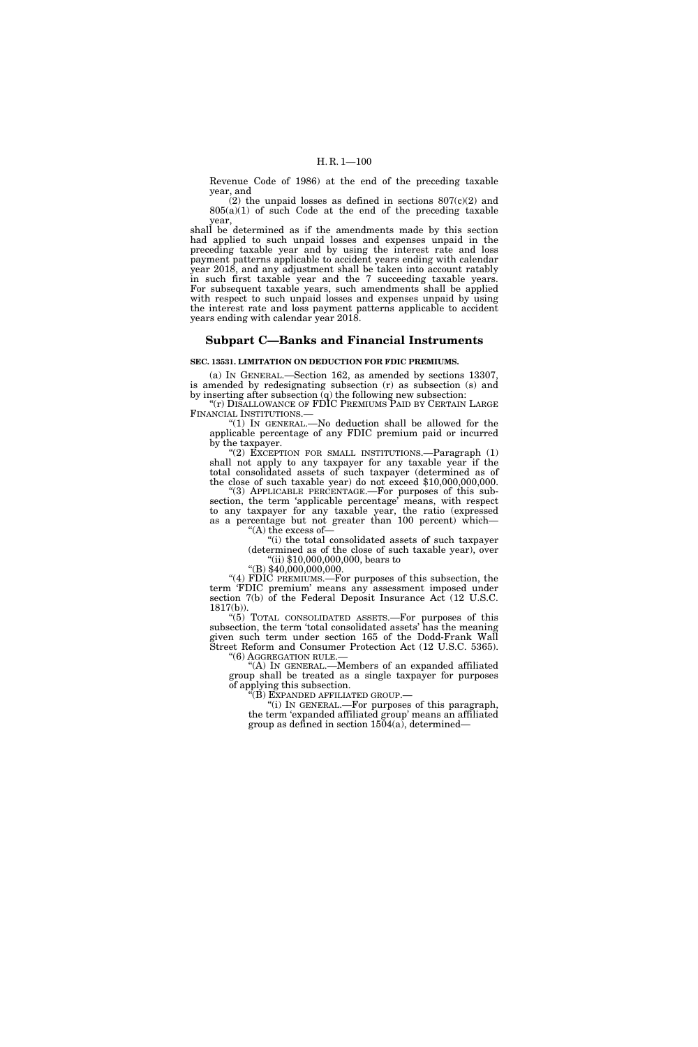Revenue Code of 1986) at the end of the preceding taxable year, and

 $(2)$  the unpaid losses as defined in sections  $807(c)(2)$  and 805(a)(1) of such Code at the end of the preceding taxable year,

shall be determined as if the amendments made by this section had applied to such unpaid losses and expenses unpaid in the preceding taxable year and by using the interest rate and loss payment patterns applicable to accident years ending with calendar year 2018, and any adjustment shall be taken into account ratably in such first taxable year and the 7 succeeding taxable years. For subsequent taxable years, such amendments shall be applied with respect to such unpaid losses and expenses unpaid by using the interest rate and loss payment patterns applicable to accident years ending with calendar year 2018.

# **Subpart C—Banks and Financial Instruments**

### **SEC. 13531. LIMITATION ON DEDUCTION FOR FDIC PREMIUMS.**

(a) IN GENERAL.—Section 162, as amended by sections 13307, is amended by redesignating subsection (r) as subsection (s) and by inserting after subsection  $\mathbf{\bar{q}}$  the following new subsection:

"(r) DISALLOWANCE OF FDIC PREMIUMS PAID BY CERTAIN LARGE FINANCIAL INSTITUTIONS.—

''(1) IN GENERAL.—No deduction shall be allowed for the applicable percentage of any FDIC premium paid or incurred by the taxpayer.

"(2) EXCEPTION FOR SMALL INSTITUTIONS.—Paragraph  $(1)$ shall not apply to any taxpayer for any taxable year if the total consolidated assets of such taxpayer (determined as of the close of such taxable year) do not exceed \$10,000,000,000.

''(3) APPLICABLE PERCENTAGE.—For purposes of this subsection, the term 'applicable percentage' means, with respect to any taxpayer for any taxable year, the ratio (expressed as a percentage but not greater than 100 percent) which— ''(A) the excess of—

''(i) the total consolidated assets of such taxpayer (determined as of the close of such taxable year), over ''(ii) \$10,000,000,000, bears to

"(B) \$40,000,000,000.

''(4) FDIC PREMIUMS.—For purposes of this subsection, the term 'FDIC premium' means any assessment imposed under section 7(b) of the Federal Deposit Insurance Act (12 U.S.C. 1817(b)).

''(5) TOTAL CONSOLIDATED ASSETS.—For purposes of this subsection, the term 'total consolidated assets' has the meaning given such term under section 165 of the Dodd-Frank Wall Street Reform and Consumer Protection Act (12 U.S.C. 5365). ''(6) AGGREGATION RULE.—

''(A) IN GENERAL.—Members of an expanded affiliated group shall be treated as a single taxpayer for purposes of applying this subsection.

''(B) EXPANDED AFFILIATED GROUP.—

''(i) IN GENERAL.—For purposes of this paragraph, the term 'expanded affiliated group' means an affiliated group as defined in section 1504(a), determined—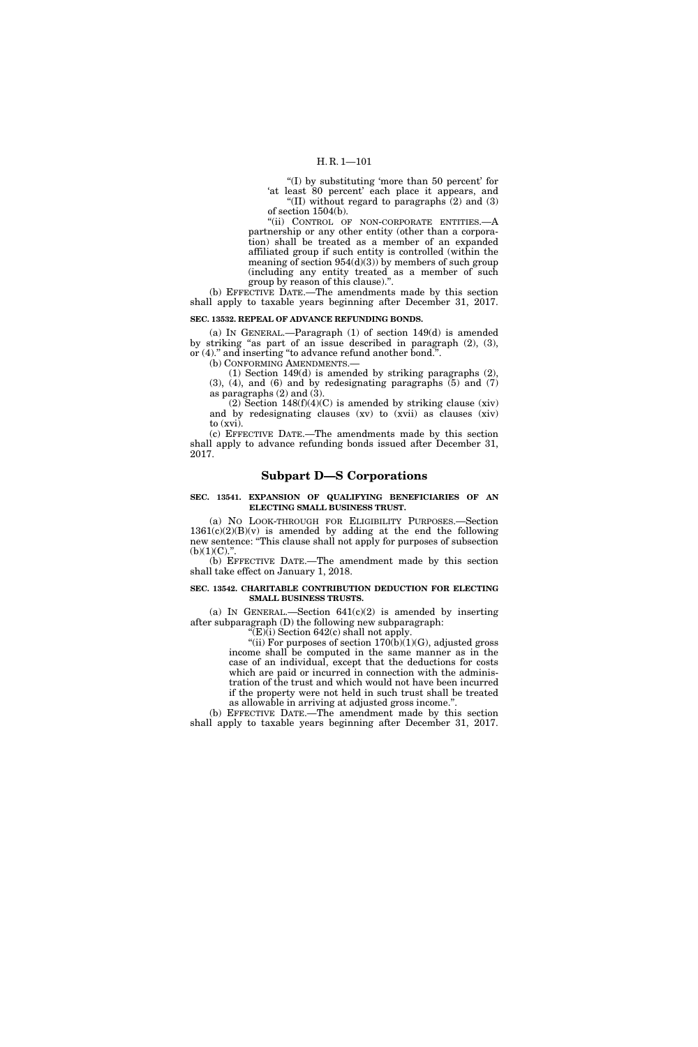# H. R. 1—101

''(I) by substituting 'more than 50 percent' for 'at least 80 percent' each place it appears, and ''(II) without regard to paragraphs (2) and (3) of section 1504(b).

"(ii) CONTROL OF NON-CORPORATE ENTITIES.-- A partnership or any other entity (other than a corporation) shall be treated as a member of an expanded affiliated group if such entity is controlled (within the meaning of section  $954(d)(3)$  by members of such group (including any entity treated as a member of such group by reason of this clause).''.

(b) EFFECTIVE DATE.—The amendments made by this section shall apply to taxable years beginning after December 31, 2017.

# **SEC. 13532. REPEAL OF ADVANCE REFUNDING BONDS.**

(a) IN GENERAL.—Paragraph (1) of section 149(d) is amended by striking "as part of an issue described in paragraph  $(2)$ ,  $(3)$ , or  $(4)$ ." and inserting "to advance refund another bond.".

(b) CONFORMING AMENDMENTS.—

(1) Section 149(d) is amended by striking paragraphs (2),  $(3)$ ,  $(4)$ , and  $(6)$  and by redesignating paragraphs  $(5)$  and  $(7)$ as paragraphs  $(2)$  and  $(3)$ .

(2) Section  $148(f)(4)(C)$  is amended by striking clause (xiv) and by redesignating clauses (xv) to (xvii) as clauses (xiv) to (xvi).

(c) EFFECTIVE DATE.—The amendments made by this section shall apply to advance refunding bonds issued after December 31, 2017.

# **Subpart D—S Corporations**

# **SEC. 13541. EXPANSION OF QUALIFYING BENEFICIARIES OF AN ELECTING SMALL BUSINESS TRUST.**

(a) NO LOOK-THROUGH FOR ELIGIBILITY PURPOSES.—Section  $1361(c)(2)(B)(v)$  is amended by adding at the end the following new sentence: ''This clause shall not apply for purposes of subsection  $(b)(1)(C)$ ."

(b) EFFECTIVE DATE.—The amendment made by this section shall take effect on January 1, 2018.

# **SEC. 13542. CHARITABLE CONTRIBUTION DEDUCTION FOR ELECTING SMALL BUSINESS TRUSTS.**

(a) IN GENERAL.—Section  $641(c)(2)$  is amended by inserting after subparagraph (D) the following new subparagraph:

 $E(E)$ (i) Section 642(c) shall not apply.

"(ii) For purposes of section  $170(b)(1)(G)$ , adjusted gross income shall be computed in the same manner as in the case of an individual, except that the deductions for costs which are paid or incurred in connection with the administration of the trust and which would not have been incurred if the property were not held in such trust shall be treated as allowable in arriving at adjusted gross income.'

(b) EFFECTIVE DATE.—The amendment made by this section shall apply to taxable years beginning after December 31, 2017.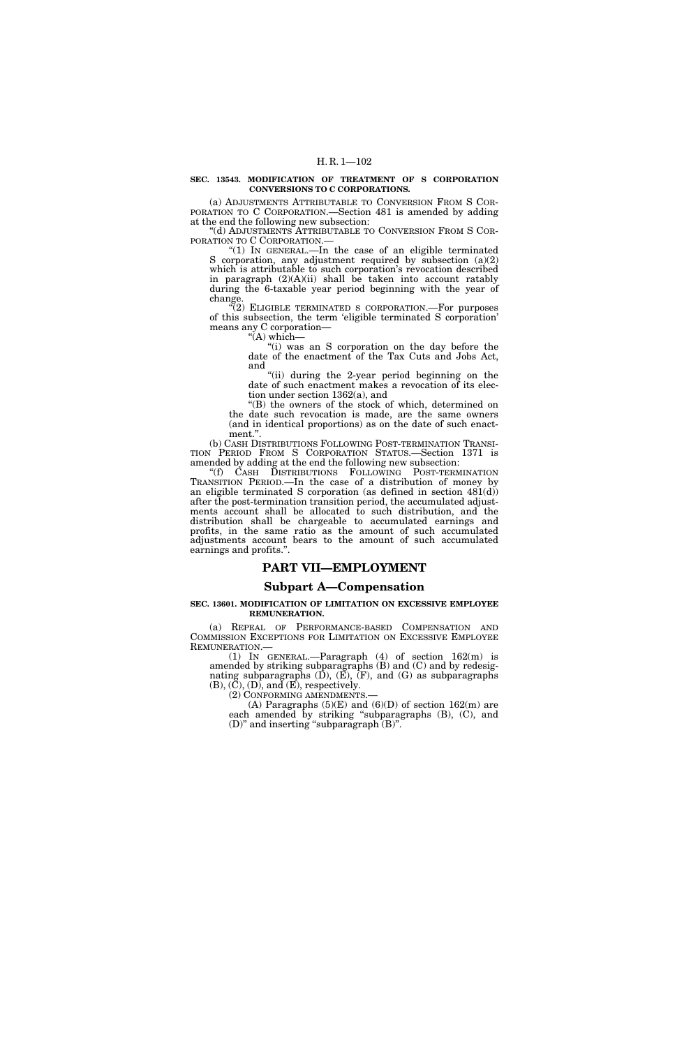### **SEC. 13543. MODIFICATION OF TREATMENT OF S CORPORATION CONVERSIONS TO C CORPORATIONS.**

(a) ADJUSTMENTS ATTRIBUTABLE TO CONVERSION FROM S COR- PORATION TO C CORPORATION.—Section 481 is amended by adding at the end the following new subsection:

''(d) ADJUSTMENTS ATTRIBUTABLE TO CONVERSION FROM S COR- PORATION TO C CORPORATION.— ''(1) IN GENERAL.—In the case of an eligible terminated

S corporation, any adjustment required by subsection (a)(2) which is attributable to such corporation's revocation described in paragraph (2)(A)(ii) shall be taken into account ratably during the 6-taxable year period beginning with the year of change.

"(2) ELIGIBLE TERMINATED S CORPORATION.—For purposes of this subsection, the term 'eligible terminated S corporation' means any C corporation—  $H(A)$  which—

''(i) was an S corporation on the day before the date of the enactment of the Tax Cuts and Jobs Act, and

"(ii) during the 2-year period beginning on the date of such enactment makes a revocation of its election under section 1362(a), and

''(B) the owners of the stock of which, determined on the date such revocation is made, are the same owners (and in identical proportions) as on the date of such enactment."

(b) CASH DISTRIBUTIONS FOLLOWING POST-TERMINATION TRANSI- TION PERIOD FROM S CORPORATION STATUS.—Section 1371 is amended by adding at the end the following new subsection:

''(f) CASH DISTRIBUTIONS FOLLOWING POST-TERMINATION TRANSITION PERIOD.—In the case of a distribution of money by an eligible terminated S corporation (as defined in section  $481(d)$ ) after the post-termination transition period, the accumulated adjustments account shall be allocated to such distribution, and the distribution shall be chargeable to accumulated earnings and profits, in the same ratio as the amount of such accumulated adjustments account bears to the amount of such accumulated earnings and profits.''.

# **PART VII—EMPLOYMENT**

# **Subpart A—Compensation**

### **SEC. 13601. MODIFICATION OF LIMITATION ON EXCESSIVE EMPLOYEE REMUNERATION.**

(a) REPEAL OF PERFORMANCE-BASED COMPENSATION AND COMMISSION EXCEPTIONS FOR LIMITATION ON EXCESSIVE EMPLOYEE

REMUNERATION.—<br>(1) IN GENERAL.—Paragraph (4) of section 162(m) is amended by striking subparagraphs (B) and (C) and by redesignating subparagraphs  $(D)$ ,  $(E)$ ,  $(F)$ , and  $(G)$  as subparagraphs  $(B)$ ,  $(C)$ ,  $(D)$ , and  $(E)$ , respectively.

(2) CONFORMING AMENDMENTS.—<br>(A) Paragraphs (5)(E) and (6)(D) of section 162(m) are each amended by striking ''subparagraphs (B), (C), and (D)'' and inserting ''subparagraph (B)''.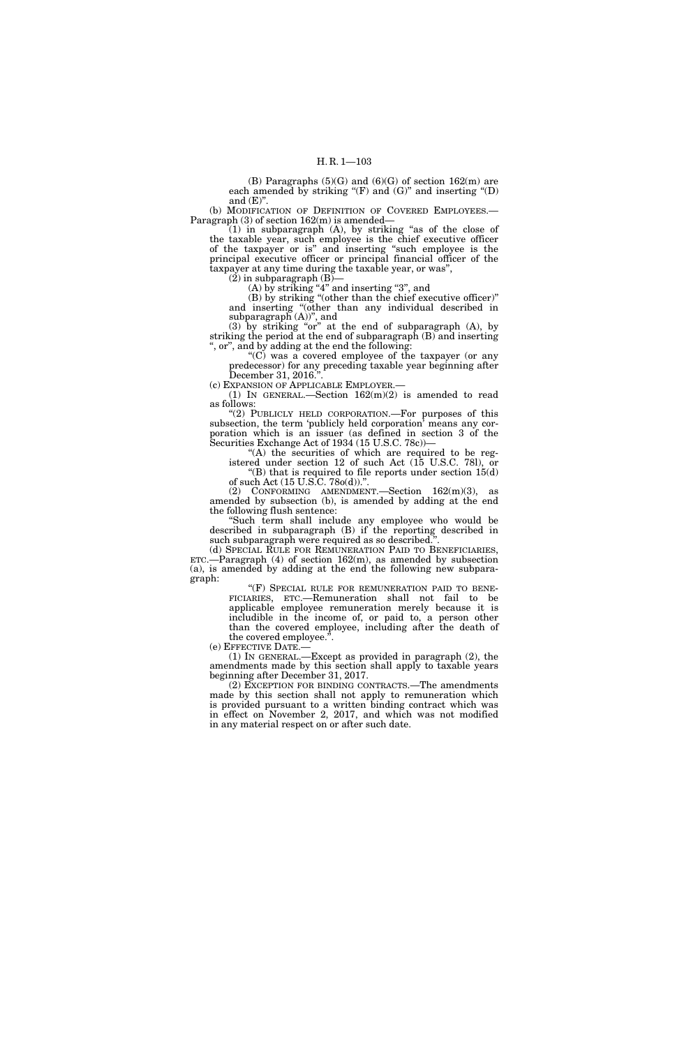(B) Paragraphs  $(5)(G)$  and  $(6)(G)$  of section  $162(m)$  are each amended by striking " $(F)$  and  $(G)$ " and inserting " $(D)$ and  $(E)$ ".

(b) MODIFICATION OF DEFINITION OF COVERED EMPLOYEES.— Paragraph (3) of section 162(m) is amended—

(1) in subparagraph (A), by striking ''as of the close of the taxable year, such employee is the chief executive officer of the taxpayer or is'' and inserting ''such employee is the principal executive officer or principal financial officer of the taxpayer at any time during the taxable year, or was'',

 $(2)$  in subparagraph  $(B)$ 

 $(A)$  by striking "4" and inserting "3", and

(B) by striking ''(other than the chief executive officer)'' and inserting ''(other than any individual described in subparagraph (A))'', and

 $(3)$  by striking "or" at the end of subparagraph  $(A)$ , by striking the period at the end of subparagraph (B) and inserting , or", and by adding at the end the following:

" $(C)$  was a covered employee of the taxpayer (or any predecessor) for any preceding taxable year beginning after December 31, 2016."

(c) EXPANSION OF APPLICABLE EMPLOYER.—

(1) IN GENERAL.—Section  $162(m)(2)$  is amended to read as follows:

"(2) PUBLICLY HELD CORPORATION.—For purposes of this subsection, the term 'publicly held corporation' means any corporation which is an issuer (as defined in section 3 of the Securities Exchange Act of 1934 (15 U.S.C. 78c))—

''(A) the securities of which are required to be registered under section 12 of such Act (15 U.S.C. 78l), or "(B) that is required to file reports under section  $15(d)$ of such Act (15 U.S.C. 78o(d)).''.

(2) CONFORMING AMENDMENT.—Section 162(m)(3), as amended by subsection (b), is amended by adding at the end the following flush sentence:

''Such term shall include any employee who would be described in subparagraph (B) if the reporting described in such subparagraph were required as so described.''.

 $ETC.$ —Paragraph (4) of section 162(m), as amended by subsection (a), is amended by adding at the end the following new subparagraph:

"(F) SPECIAL RULE FOR REMUNERATION PAID TO BENE-FICIARIES, ETC.—Remuneration shall not fail to be applicable employee remuneration merely because it is includible in the income of, or paid to, a person other than the covered employee, including after the death of

the covered employee.".<br>(e) EFFECTIVE DATE.—

(1) IN GENERAL.—Except as provided in paragraph  $(2)$ , the amendments made by this section shall apply to taxable years beginning after December 31, 2017.

(2) EXCEPTION FOR BINDING CONTRACTS.—The amendments made by this section shall not apply to remuneration which is provided pursuant to a written binding contract which was in effect on November 2, 2017, and which was not modified in any material respect on or after such date.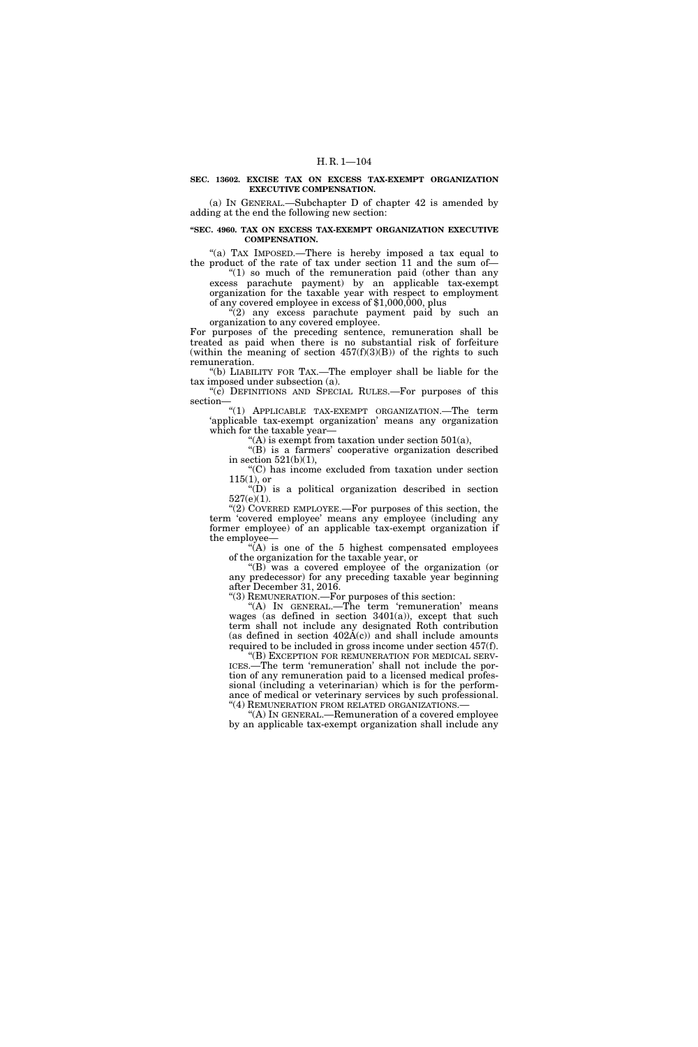### **SEC. 13602. EXCISE TAX ON EXCESS TAX-EXEMPT ORGANIZATION EXECUTIVE COMPENSATION.**

(a) IN GENERAL.—Subchapter D of chapter 42 is amended by adding at the end the following new section:

### **''SEC. 4960. TAX ON EXCESS TAX-EXEMPT ORGANIZATION EXECUTIVE COMPENSATION.**

"(a) TAX IMPOSED.—There is hereby imposed a tax equal to the product of the rate of tax under section 11 and the sum of—

" $(1)$  so much of the remuneration paid (other than any excess parachute payment) by an applicable tax-exempt organization for the taxable year with respect to employment of any covered employee in excess of \$1,000,000, plus

''(2) any excess parachute payment paid by such an organization to any covered employee.

For purposes of the preceding sentence, remuneration shall be treated as paid when there is no substantial risk of forfeiture (within the meaning of section  $457(f)(3)(B)$ ) of the rights to such remuneration.

''(b) LIABILITY FOR TAX.—The employer shall be liable for the tax imposed under subsection (a).

''(c) DEFINITIONS AND SPECIAL RULES.—For purposes of this section—

''(1) APPLICABLE TAX-EXEMPT ORGANIZATION.—The term 'applicable tax-exempt organization' means any organization which for the taxable year—

 $f(A)$  is exempt from taxation under section 501(a),

"(B) is a farmers' cooperative organization described in section 521(b)(1),

''(C) has income excluded from taxation under section 115(1), or

 $\cdot$ <sup>"(D)</sup> is a political organization described in section 527(e)(1).

" $(2)$  COVERED EMPLOYEE.—For purposes of this section, the term 'covered employee' means any employee (including any former employee) of an applicable tax-exempt organization if the employee—

 $*(A)$  is one of the 5 highest compensated employees of the organization for the taxable year, or

''(B) was a covered employee of the organization (or any predecessor) for any preceding taxable year beginning after December 31, 2016.

''(3) REMUNERATION.—For purposes of this section:

''(A) IN GENERAL.—The term 'remuneration' means wages (as defined in section  $3401(a)$ ), except that such term shall not include any designated Roth contribution (as defined in section  $402A(c)$ ) and shall include amounts required to be included in gross income under section 457(f).

''(B) EXCEPTION FOR REMUNERATION FOR MEDICAL SERV-ICES.—The term 'remuneration' shall not include the portion of any remuneration paid to a licensed medical professional (including a veterinarian) which is for the performance of medical or veterinary services by such professional. ''(4) REMUNERATION FROM RELATED ORGANIZATIONS.—

 $(A)$  In GENERAL.—Remuneration of a covered employee by an applicable tax-exempt organization shall include any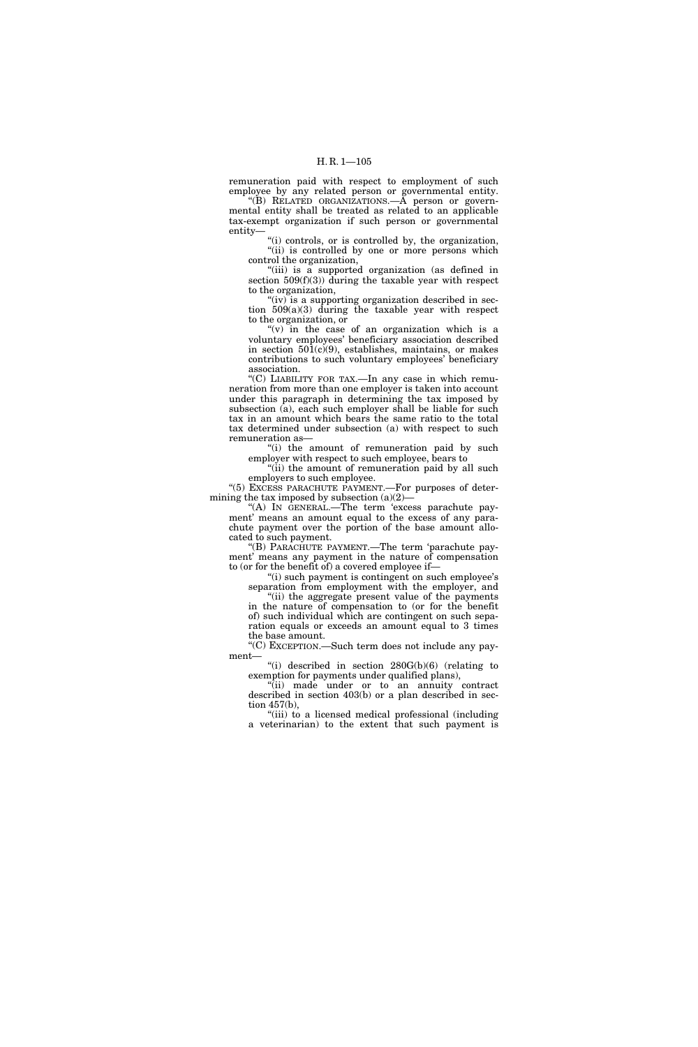remuneration paid with respect to employment of such employee by any related person or governmental entity.

''(B) RELATED ORGANIZATIONS.—A person or governmental entity shall be treated as related to an applicable tax-exempt organization if such person or governmental entity—

''(i) controls, or is controlled by, the organization, "(ii) is controlled by one or more persons which control the organization,

''(iii) is a supported organization (as defined in section 509(f)(3)) during the taxable year with respect to the organization,

" $(iv)$  is a supporting organization described in section 509(a)(3) during the taxable year with respect to the organization, or

" $(v)$  in the case of an organization which is a voluntary employees' beneficiary association described in section  $501(c)(9)$ , establishes, maintains, or makes contributions to such voluntary employees' beneficiary association.

''(C) LIABILITY FOR TAX.—In any case in which remuneration from more than one employer is taken into account under this paragraph in determining the tax imposed by subsection (a), each such employer shall be liable for such tax in an amount which bears the same ratio to the total tax determined under subsection (a) with respect to such remuneration as—

"(i) the amount of remuneration paid by such employer with respect to such employee, bears to

"(ii) the amount of remuneration paid by all such employers to such employee.

''(5) EXCESS PARACHUTE PAYMENT.—For purposes of determining the tax imposed by subsection  $(a)(2)$ –

''(A) IN GENERAL.—The term 'excess parachute payment' means an amount equal to the excess of any parachute payment over the portion of the base amount allocated to such payment.

''(B) PARACHUTE PAYMENT.—The term 'parachute payment' means any payment in the nature of compensation to (or for the benefit of) a covered employee if—

"(i) such payment is contingent on such employee's separation from employment with the employer, and "(ii) the aggregate present value of the payments

in the nature of compensation to (or for the benefit of) such individual which are contingent on such separation equals or exceeds an amount equal to 3 times the base amount.

''(C) EXCEPTION.—Such term does not include any payment—

"(i) described in section  $280G(b)(6)$  (relating to exemption for payments under qualified plans),

''(ii) made under or to an annuity contract described in section 403(b) or a plan described in section 457(b),

''(iii) to a licensed medical professional (including a veterinarian) to the extent that such payment is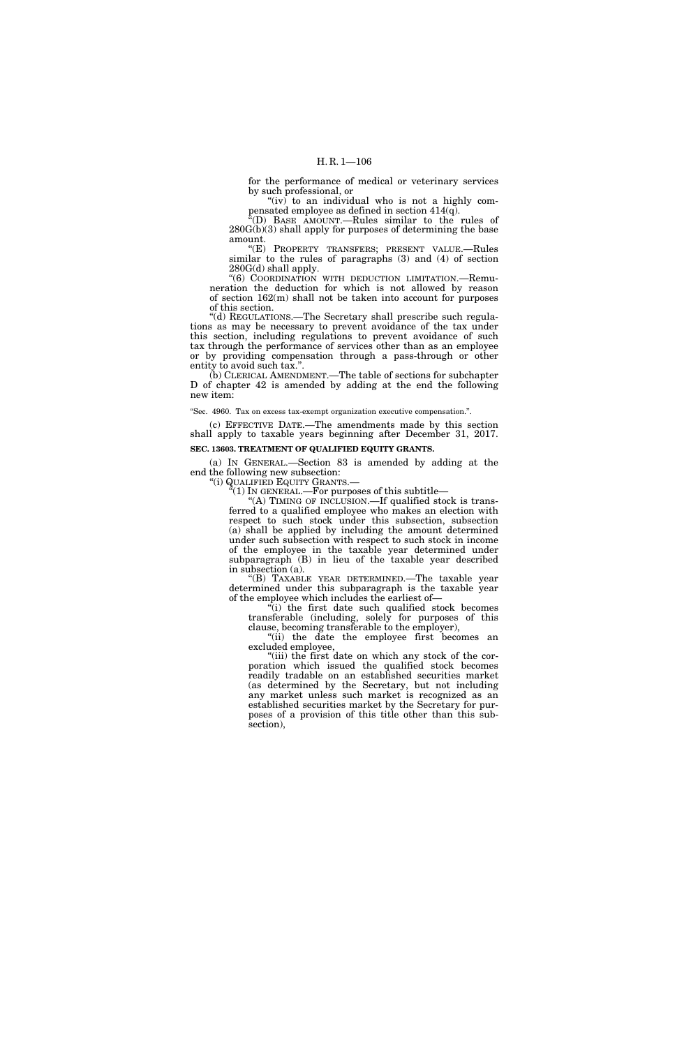for the performance of medical or veterinary services by such professional, or

" $(iv)$  to an individual who is not a highly compensated employee as defined in section 414(q).

''(D) BASE AMOUNT.—Rules similar to the rules of 280G(b)(3) shall apply for purposes of determining the base amount.

''(E) PROPERTY TRANSFERS; PRESENT VALUE.—Rules similar to the rules of paragraphs (3) and (4) of section 280G(d) shall apply.

''(6) COORDINATION WITH DEDUCTION LIMITATION.—Remuneration the deduction for which is not allowed by reason of section 162(m) shall not be taken into account for purposes of this section.

''(d) REGULATIONS.—The Secretary shall prescribe such regulations as may be necessary to prevent avoidance of the tax under this section, including regulations to prevent avoidance of such tax through the performance of services other than as an employee or by providing compensation through a pass-through or other entity to avoid such tax.''.

(b) CLERICAL AMENDMENT.—The table of sections for subchapter D of chapter 42 is amended by adding at the end the following new item:

''Sec. 4960. Tax on excess tax-exempt organization executive compensation.''.

(c) EFFECTIVE DATE.—The amendments made by this section shall apply to taxable years beginning after December 31, 2017.

### **SEC. 13603. TREATMENT OF QUALIFIED EQUITY GRANTS.**

(a) IN GENERAL.—Section 83 is amended by adding at the end the following new subsection:

''(i) QUALIFIED EQUITY GRANTS.—  $\cdot$ <sup>"(1)</sup> IN GENERAL.—For purposes of this subtitle—

''(A) TIMING OF INCLUSION.—If qualified stock is trans-

ferred to a qualified employee who makes an election with respect to such stock under this subsection, subsection (a) shall be applied by including the amount determined under such subsection with respect to such stock in income of the employee in the taxable year determined under subparagraph (B) in lieu of the taxable year described in subsection (a).

''(B) TAXABLE YEAR DETERMINED.—The taxable year determined under this subparagraph is the taxable year of the employee which includes the earliest of—

 $\sqrt[n]{i}$  the first date such qualified stock becomes transferable (including, solely for purposes of this clause, becoming transferable to the employer),

''(ii) the date the employee first becomes an excluded employee,

"(iii) the first date on which any stock of the corporation which issued the qualified stock becomes readily tradable on an established securities market (as determined by the Secretary, but not including any market unless such market is recognized as an established securities market by the Secretary for purposes of a provision of this title other than this subsection),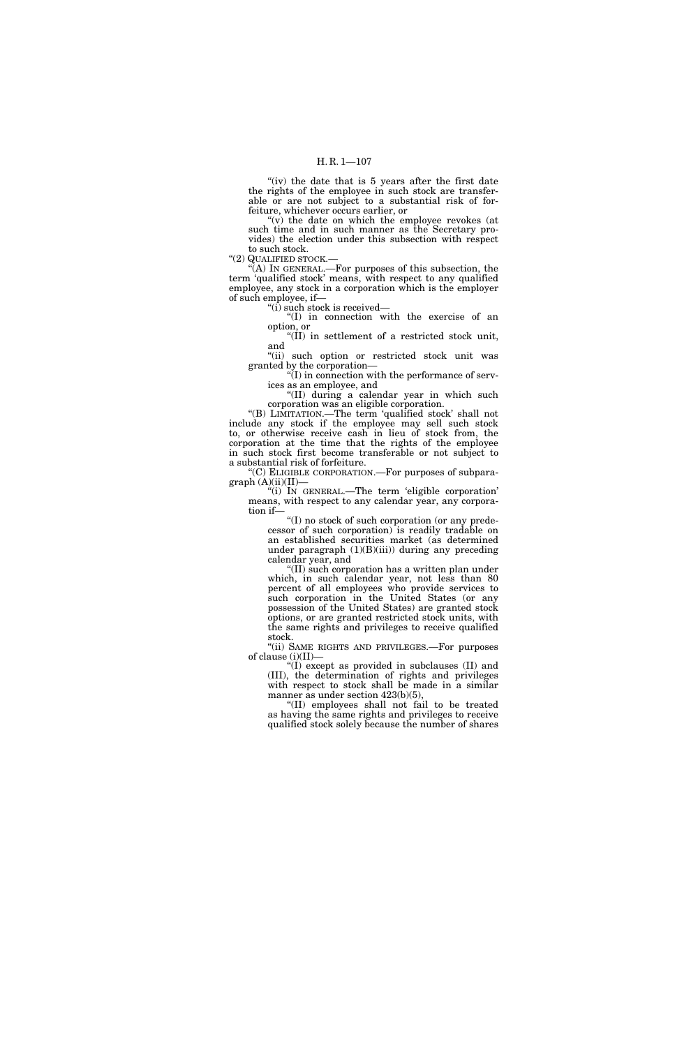### H. R. 1—107

"(iv) the date that is 5 years after the first date the rights of the employee in such stock are transferable or are not subject to a substantial risk of forfeiture, whichever occurs earlier, or

"(v) the date on which the employee revokes (at such time and in such manner as the Secretary provides) the election under this subsection with respect to such stock.

"(2) QUALIFIED STOCK.-

''(A) IN GENERAL.—For purposes of this subsection, the term 'qualified stock' means, with respect to any qualified employee, any stock in a corporation which is the employer of such employee, if—

 $\mathrm{``(i)}$  such stock is received—

''(I) in connection with the exercise of an option, or ''(II) in settlement of a restricted stock unit,

and

"(ii) such option or restricted stock unit was granted by the corporation—

 $\sqrt{\text{I}}$ ) in connection with the performance of services as an employee, and

''(II) during a calendar year in which such corporation was an eligible corporation.

''(B) LIMITATION.—The term 'qualified stock' shall not include any stock if the employee may sell such stock to, or otherwise receive cash in lieu of stock from, the corporation at the time that the rights of the employee in such stock first become transferable or not subject to a substantial risk of forfeiture.

''(C) ELIGIBLE CORPORATION.—For purposes of subpara $graph (A)(ii)(II)$ 

''(i) IN GENERAL.—The term 'eligible corporation' means, with respect to any calendar year, any corporation if—

> ''(I) no stock of such corporation (or any predecessor of such corporation) is readily tradable on an established securities market (as determined under paragraph  $(1)(B)(iii)$  during any preceding calendar year, and

> ''(II) such corporation has a written plan under which, in such calendar year, not less than 80 percent of all employees who provide services to such corporation in the United States (or any possession of the United States) are granted stock options, or are granted restricted stock units, with the same rights and privileges to receive qualified stock.

''(ii) SAME RIGHTS AND PRIVILEGES.—For purposes of clause (i)(II)—

''(I) except as provided in subclauses (II) and (III), the determination of rights and privileges with respect to stock shall be made in a similar manner as under section  $423(b)(5)$ ,

''(II) employees shall not fail to be treated as having the same rights and privileges to receive qualified stock solely because the number of shares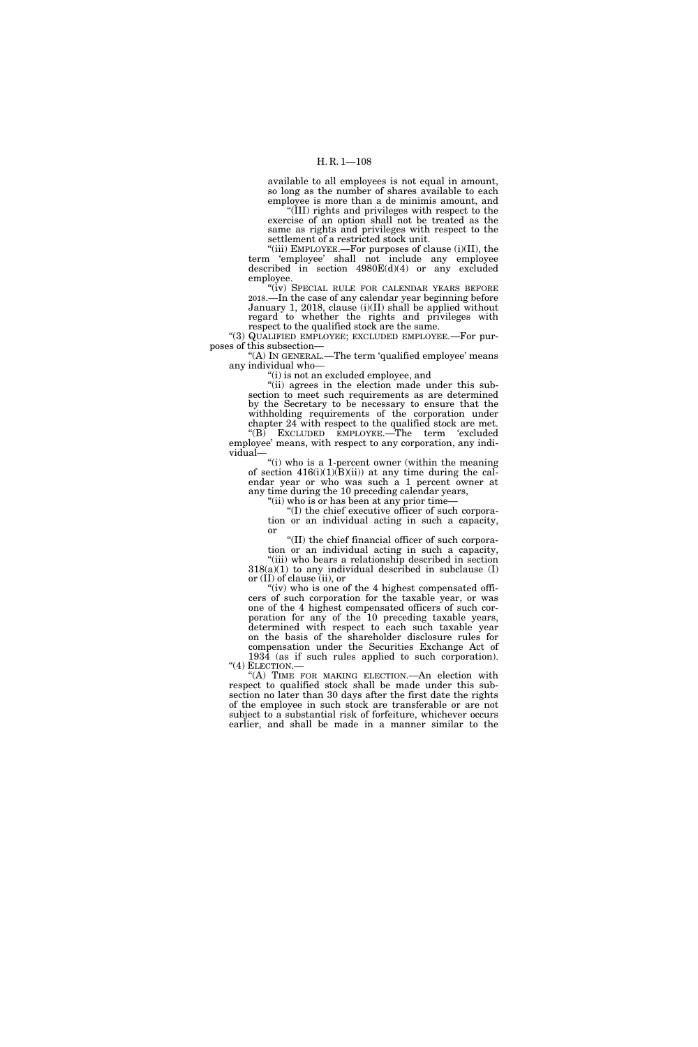available to all employees is not equal in amount, so long as the number of shares available to each employee is more than a de minimis amount, and

''(III) rights and privileges with respect to the exercise of an option shall not be treated as the same as rights and privileges with respect to the settlement of a restricted stock unit.

"(iii) EMPLOYEE.—For purposes of clause (i)(II), the term 'employee' shall not include any employee described in section 4980E(d)(4) or any excluded employee.

"(iv) SPECIAL RULE FOR CALENDAR YEARS BEFORE 2018.—In the case of any calendar year beginning before January 1, 2018, clause (i)(II) shall be applied without regard to whether the rights and privileges with respect to the qualified stock are the same.

''(3) QUALIFIED EMPLOYEE; EXCLUDED EMPLOYEE.—For purposes of this subsection—

''(A) IN GENERAL.—The term 'qualified employee' means any individual who—

''(i) is not an excluded employee, and

"(ii) agrees in the election made under this subsection to meet such requirements as are determined by the Secretary to be necessary to ensure that the withholding requirements of the corporation under chapter 24 with respect to the qualified stock are met. ''(B) EXCLUDED EMPLOYEE.—The term 'excluded

employee' means, with respect to any corporation, any individual—

"(i) who is a 1-percent owner (within the meaning of section  $416(i)(1)(B)(ii)$  at any time during the calendar year or who was such a 1 percent owner at any time during the 10 preceding calendar years,

''(ii) who is or has been at any prior time—

''(I) the chief executive officer of such corporation or an individual acting in such a capacity, or

''(II) the chief financial officer of such corporation or an individual acting in such a capacity,

"(iii) who bears a relationship described in section  $318(a)(1)$  to any individual described in subclause (I) or (II) of clause (ii), or

"(iv) who is one of the 4 highest compensated officers of such corporation for the taxable year, or was one of the 4 highest compensated officers of such corporation for any of the 10 preceding taxable years, determined with respect to each such taxable year on the basis of the shareholder disclosure rules for compensation under the Securities Exchange Act of

1934 (as if such rules applied to such corporation). ''(4) ELECTION.— ''(A) TIME FOR MAKING ELECTION.—An election with

respect to qualified stock shall be made under this subsection no later than 30 days after the first date the rights of the employee in such stock are transferable or are not subject to a substantial risk of forfeiture, whichever occurs earlier, and shall be made in a manner similar to the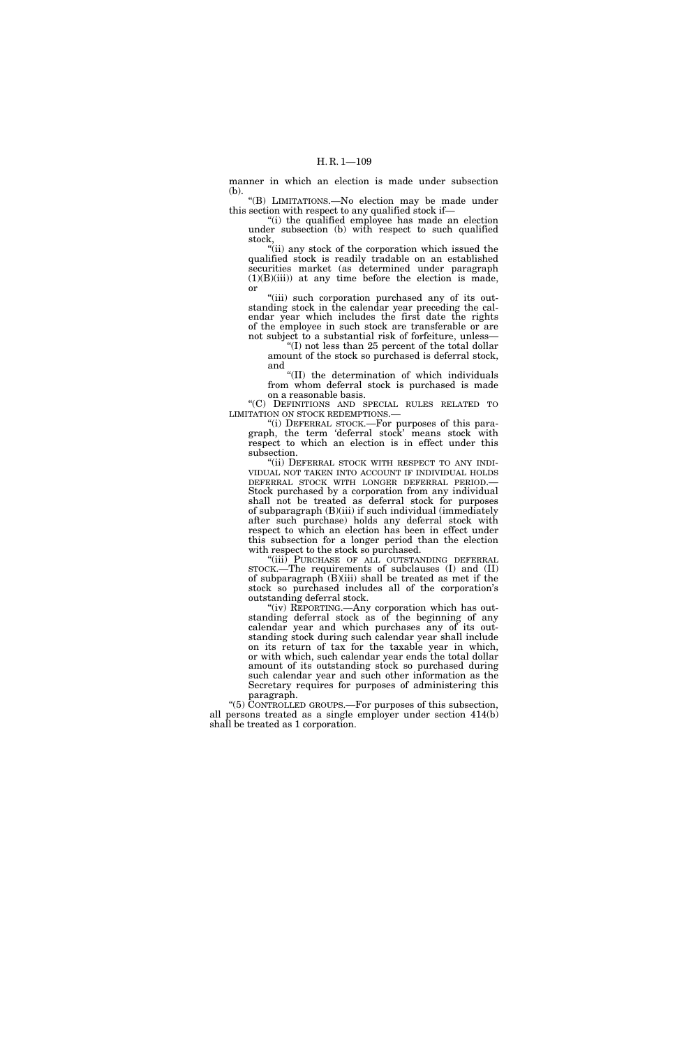manner in which an election is made under subsection (b).

''(B) LIMITATIONS.—No election may be made under this section with respect to any qualified stock if—

''(i) the qualified employee has made an election under subsection (b) with respect to such qualified stock,

''(ii) any stock of the corporation which issued the qualified stock is readily tradable on an established securities market (as determined under paragraph  $(1)(B)(iii)$  at any time before the election is made, or

"(iii) such corporation purchased any of its outstanding stock in the calendar year preceding the calendar year which includes the first date the rights of the employee in such stock are transferable or are not subject to a substantial risk of forfeiture, unless—

''(I) not less than 25 percent of the total dollar amount of the stock so purchased is deferral stock, and

''(II) the determination of which individuals from whom deferral stock is purchased is made on a reasonable basis.

''(C) DEFINITIONS AND SPECIAL RULES RELATED TO LIMITATION ON STOCK REDEMPTIONS.—

''(i) DEFERRAL STOCK.—For purposes of this paragraph, the term 'deferral stock' means stock with respect to which an election is in effect under this subsection.

"(ii) DEFERRAL STOCK WITH RESPECT TO ANY INDI-VIDUAL NOT TAKEN INTO ACCOUNT IF INDIVIDUAL HOLDS DEFERRAL STOCK WITH LONGER DEFERRAL PERIOD.— Stock purchased by a corporation from any individual shall not be treated as deferral stock for purposes of subparagraph (B)(iii) if such individual (immediately after such purchase) holds any deferral stock with respect to which an election has been in effect under this subsection for a longer period than the election with respect to the stock so purchased.

"(iii) PURCHASE OF ALL OUTSTANDING DEFERRAL STOCK.—The requirements of subclauses (I) and (II) of subparagraph  $(B)(iii)$  shall be treated as met if the stock so purchased includes all of the corporation's outstanding deferral stock.

''(iv) REPORTING.—Any corporation which has outstanding deferral stock as of the beginning of any calendar year and which purchases any of its outstanding stock during such calendar year shall include on its return of tax for the taxable year in which, or with which, such calendar year ends the total dollar amount of its outstanding stock so purchased during such calendar year and such other information as the Secretary requires for purposes of administering this paragraph.

''(5) CONTROLLED GROUPS.—For purposes of this subsection, all persons treated as a single employer under section 414(b) shall be treated as 1 corporation.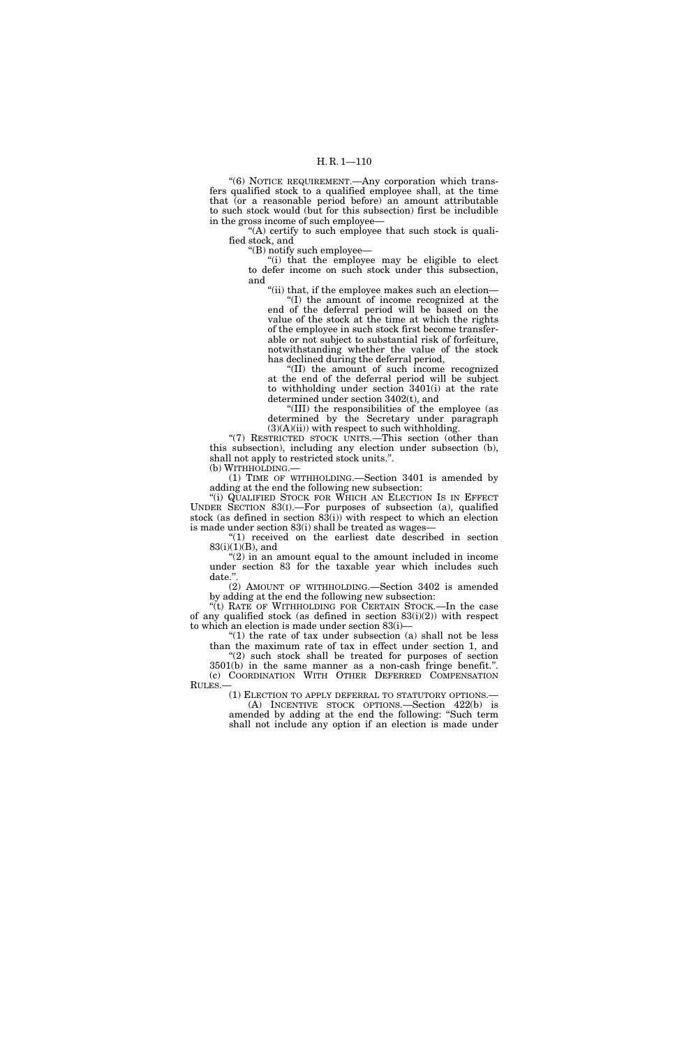"(6) NOTICE REQUIREMENT.—Any corporation which transfers qualified stock to a qualified employee shall, at the time that (or a reasonable period before) an amount attributable to such stock would (but for this subsection) first be includible in the gross income of such employee—

"(A) certify to such employee that such stock is qualified stock, and

''(B) notify such employee—

''(i) that the employee may be eligible to elect to defer income on such stock under this subsection, and

''(ii) that, if the employee makes such an election— ''(I) the amount of income recognized at the end of the deferral period will be based on the value of the stock at the time at which the rights of the employee in such stock first become transferable or not subject to substantial risk of forfeiture, notwithstanding whether the value of the stock has declined during the deferral period,

''(II) the amount of such income recognized at the end of the deferral period will be subject to withholding under section 3401(i) at the rate determined under section 3402(t), and

''(III) the responsibilities of the employee (as determined by the Secretary under paragraph  $(3)(A)(ii)$ ) with respect to such withholding.

"(7) RESTRICTED STOCK UNITS.—This section (other than this subsection), including any election under subsection (b), shall not apply to restricted stock units.''. (b) WITHHOLDING.—

(1) TIME OF WITHHOLDING.—Section 3401 is amended by adding at the end the following new subsection:

"(i) QUALIFIED STOCK FOR WHICH AN ELECTION IS IN EFFECT UNDER SECTION 83(I).—For purposes of subsection (a), qualified stock (as defined in section 83(i)) with respect to which an election is made under section 83(i) shall be treated as wages—

''(1) received on the earliest date described in section  $83(i)(1)(B)$ , and

 $(2)$  in an amount equal to the amount included in income under section 83 for the taxable year which includes such date.'

(2) AMOUNT OF WITHHOLDING.—Section 3402 is amended by adding at the end the following new subsection:

''(t) RATE OF WITHHOLDING FOR CERTAIN STOCK.—In the case of any qualified stock (as defined in section  $83(i)(2)$ ) with respect to which an election is made under section 83(i)—

" $(1)$  the rate of tax under subsection  $(a)$  shall not be less than the maximum rate of tax in effect under section 1, and ''(2) such stock shall be treated for purposes of section

3501(b) in the same manner as a non-cash fringe benefit.''. (c) COORDINATION WITH OTHER DEFERRED COMPENSATION RULES.—

(1) ELECTION TO APPLY DEFERRAL TO STATUTORY OPTIONS.— (A) INCENTIVE STOCK OPTIONS.—Section 422(b) is amended by adding at the end the following: ''Such term shall not include any option if an election is made under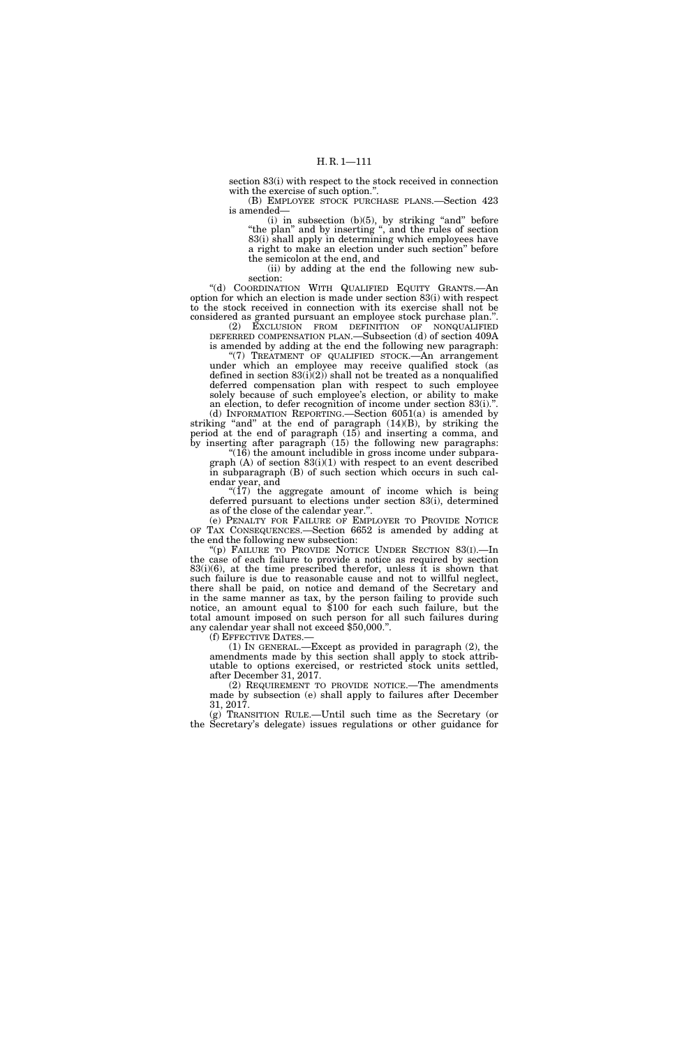section 83(i) with respect to the stock received in connection with the exercise of such option."

(B) EMPLOYEE STOCK PURCHASE PLANS.—Section 423 is amended—

(i) in subsection  $(b)(5)$ , by striking "and" before ''the plan'' and by inserting '', and the rules of section 83(i) shall apply in determining which employees have a right to make an election under such section'' before the semicolon at the end, and

(ii) by adding at the end the following new subsection:

''(d) COORDINATION WITH QUALIFIED EQUITY GRANTS.—An option for which an election is made under section 83(i) with respect to the stock received in connection with its exercise shall not be considered as granted pursuant an employee stock purchase plan.''.

(2) EXCLUSION FROM DEFINITION OF NONQUALIFIED DEFERRED COMPENSATION PLAN.—Subsection (d) of section 409A is amended by adding at the end the following new paragraph: ''(7) TREATMENT OF QUALIFIED STOCK.—An arrangement

under which an employee may receive qualified stock (as defined in section  $83(i)(2)$  shall not be treated as a nonqualified deferred compensation plan with respect to such employee solely because of such employee's election, or ability to make an election, to defer recognition of income under section 83(i).''. (d) INFORMATION REPORTING.—Section 6051(a) is amended by

striking "and" at the end of paragraph  $(14)(B)$ , by striking the period at the end of paragraph (15) and inserting a comma, and by inserting after paragraph (15) the following new paragraphs:

''(16) the amount includible in gross income under subparagraph  $(A)$  of section  $83(i)(1)$  with respect to an event described in subparagraph (B) of such section which occurs in such calendar year, and

" $(17)$  the aggregate amount of income which is being deferred pursuant to elections under section 83(i), determined as of the close of the calendar year.''.

(e) PENALTY FOR FAILURE OF EMPLOYER TO PROVIDE NOTICE OF TAX CONSEQUENCES.—Section 6652 is amended by adding at the end the following new subsection:

''(p) FAILURE TO PROVIDE NOTICE UNDER SECTION 83(I).—In the case of each failure to provide a notice as required by section 83(i)(6), at the time prescribed therefor, unless it is shown that such failure is due to reasonable cause and not to willful neglect, there shall be paid, on notice and demand of the Secretary and in the same manner as tax, by the person failing to provide such notice, an amount equal to \$100 for each such failure, but the total amount imposed on such person for all such failures during any calendar year shall not exceed \$50,000.''.

(1) IN GENERAL.—Except as provided in paragraph  $(2)$ , the amendments made by this section shall apply to stock attributable to options exercised, or restricted stock units settled, after December 31, 2017.

(2) REQUIREMENT TO PROVIDE NOTICE.—The amendments made by subsection (e) shall apply to failures after December 31, 2017.

(g) TRANSITION RULE.—Until such time as the Secretary (or the Secretary's delegate) issues regulations or other guidance for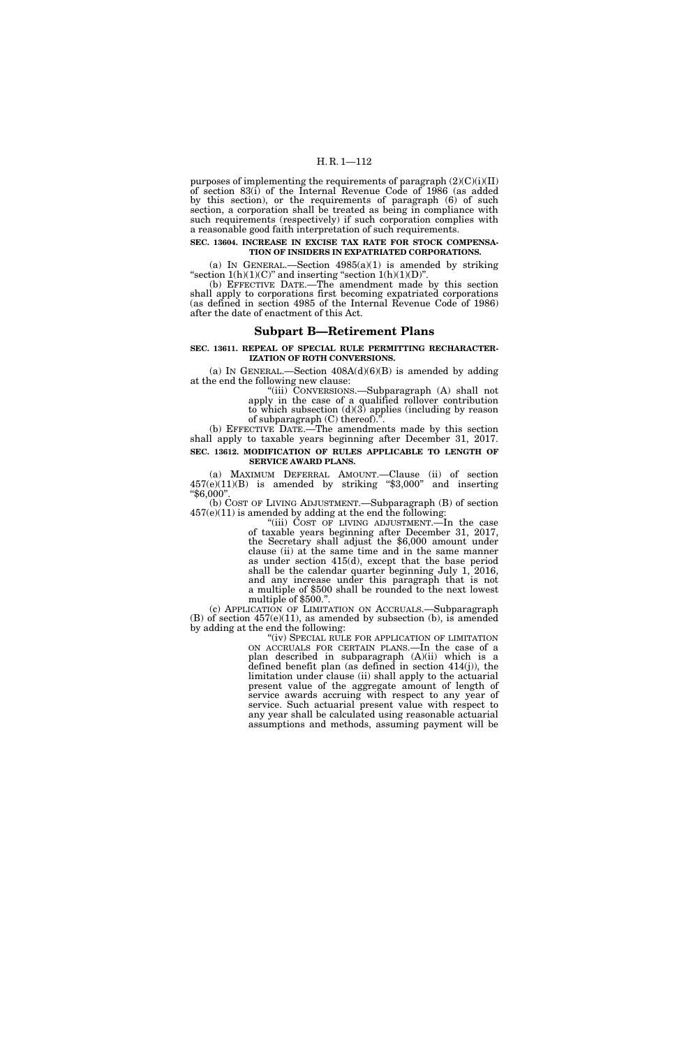## H. R. 1—112

purposes of implementing the requirements of paragraph  $(2)(C)(i)(II)$ of section 83(i) of the Internal Revenue Code of 1986 (as added by this section), or the requirements of paragraph (6) of such section, a corporation shall be treated as being in compliance with such requirements (respectively) if such corporation complies with a reasonable good faith interpretation of such requirements.

## **SEC. 13604. INCREASE IN EXCISE TAX RATE FOR STOCK COMPENSA-TION OF INSIDERS IN EXPATRIATED CORPORATIONS.**

(a) IN GENERAL.—Section  $4985(a)(1)$  is amended by striking "section  $1(h)(1)(C)$ " and inserting "section  $1(h)(1)(D)$ ".

(b) EFFECTIVE DATE.—The amendment made by this section shall apply to corporations first becoming expatriated corporations (as defined in section 4985 of the Internal Revenue Code of 1986) after the date of enactment of this Act.

## **Subpart B—Retirement Plans**

**SEC. 13611. REPEAL OF SPECIAL RULE PERMITTING RECHARACTER-IZATION OF ROTH CONVERSIONS.** 

(a) IN GENERAL.—Section  $408A(d)(6)(B)$  is amended by adding at the end the following new clause:

''(iii) CONVERSIONS.—Subparagraph (A) shall not apply in the case of a qualified rollover contribution to which subsection  $(d)(3)$  applies (including by reason of subparagraph (C) thereof).''.

(b) EFFECTIVE DATE.—The amendments made by this section shall apply to taxable years beginning after December 31, 2017. **SEC. 13612. MODIFICATION OF RULES APPLICABLE TO LENGTH OF** 

**SERVICE AWARD PLANS.** 

(a) MAXIMUM DEFERRAL AMOUNT.—Clause (ii) of section  $457(e)(11)(B)$  is amended by striking "\$3,000" and inserting ''\$6,000''.

(b) COST OF LIVING ADJUSTMENT.—Subparagraph (B) of section  $457(e)(11)$  is amended by adding at the end the following:

''(iii) COST OF LIVING ADJUSTMENT.—In the case of taxable years beginning after December 31, 2017, the Secretary shall adjust the \$6,000 amount under clause (ii) at the same time and in the same manner as under section 415(d), except that the base period shall be the calendar quarter beginning July 1, 2016, and any increase under this paragraph that is not a multiple of \$500 shall be rounded to the next lowest multiple of \$500."

(c) APPLICATION OF LIMITATION ON ACCRUALS.—Subparagraph  $(B)$  of section  $457(e)(11)$ , as amended by subsection (b), is amended by adding at the end the following:

> ''(iv) SPECIAL RULE FOR APPLICATION OF LIMITATION ON ACCRUALS FOR CERTAIN PLANS.—In the case of a plan described in subparagraph (A)(ii) which is a defined benefit plan (as defined in section 414(j)), the limitation under clause (ii) shall apply to the actuarial present value of the aggregate amount of length of service awards accruing with respect to any year of service. Such actuarial present value with respect to any year shall be calculated using reasonable actuarial assumptions and methods, assuming payment will be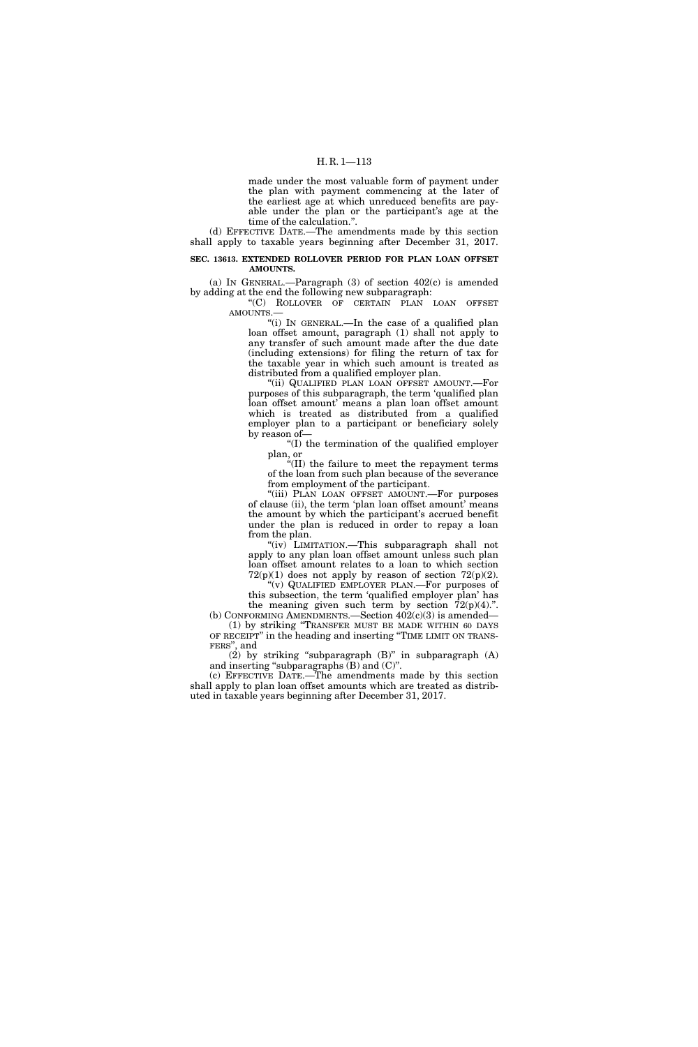made under the most valuable form of payment under the plan with payment commencing at the later of the earliest age at which unreduced benefits are payable under the plan or the participant's age at the time of the calculation.''.

(d) EFFECTIVE DATE.—The amendments made by this section shall apply to taxable years beginning after December 31, 2017.

## **SEC. 13613. EXTENDED ROLLOVER PERIOD FOR PLAN LOAN OFFSET AMOUNTS.**

(a) IN GENERAL.—Paragraph (3) of section 402(c) is amended by adding at the end the following new subparagraph:

''(C) ROLLOVER OF CERTAIN PLAN LOAN OFFSET AMOUNTS.—

''(i) IN GENERAL.—In the case of a qualified plan loan offset amount, paragraph (1) shall not apply to any transfer of such amount made after the due date (including extensions) for filing the return of tax for the taxable year in which such amount is treated as distributed from a qualified employer plan.

''(ii) QUALIFIED PLAN LOAN OFFSET AMOUNT.—For purposes of this subparagraph, the term 'qualified plan loan offset amount' means a plan loan offset amount which is treated as distributed from a qualified employer plan to a participant or beneficiary solely by reason of—

''(I) the termination of the qualified employer plan, or

''(II) the failure to meet the repayment terms of the loan from such plan because of the severance of the loan from such plan because of the severance<br>from employment of the participant.

"(iii) PLAN LOAN OFFSET AMOUNT.—For purposes of clause (ii), the term 'plan loan offset amount' means the amount by which the participant's accrued benefit under the plan is reduced in order to repay a loan from the plan.

"(iv) LIMITATION.—This subparagraph shall not apply to any plan loan offset amount unless such plan loan offset amount relates to a loan to which section  $72(p)(1)$  does not apply by reason of section  $72(p)(2)$ .

''(v) QUALIFIED EMPLOYER PLAN.—For purposes of this subsection, the term 'qualified employer plan' has the meaning given such term by section  $\bar{7}2(p)(4)$ .".

(b) CONFORMING AMENDMENTS. Section  $402(c)(3)$  is amended— (1) by striking ''TRANSFER MUST BE MADE WITHIN 60 DAYS OF RECEIPT'' in the heading and inserting ''TIME LIMIT ON TRANS-FERS'', and

 $(2)$  by striking "subparagraph  $(B)$ " in subparagraph  $(A)$ and inserting "subparagraphs  $(B)$  and  $(C)$ ".

(c) EFFECTIVE DATE.—The amendments made by this section shall apply to plan loan offset amounts which are treated as distributed in taxable years beginning after December 31, 2017.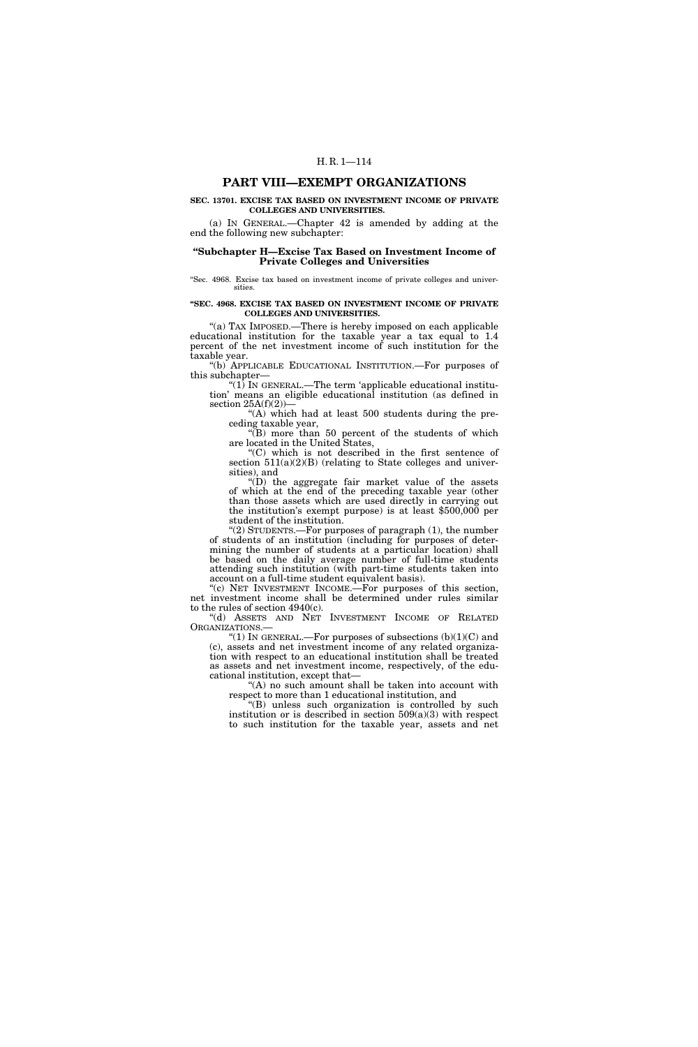## **PART VIII—EXEMPT ORGANIZATIONS**

#### **SEC. 13701. EXCISE TAX BASED ON INVESTMENT INCOME OF PRIVATE COLLEGES AND UNIVERSITIES.**

(a) IN GENERAL.—Chapter 42 is amended by adding at the end the following new subchapter:

#### **''Subchapter H—Excise Tax Based on Investment Income of Private Colleges and Universities**

''Sec. 4968. Excise tax based on investment income of private colleges and universities.

#### **''SEC. 4968. EXCISE TAX BASED ON INVESTMENT INCOME OF PRIVATE COLLEGES AND UNIVERSITIES.**

"(a) TAX IMPOSED.—There is hereby imposed on each applicable educational institution for the taxable year a tax equal to 1.4 percent of the net investment income of such institution for the taxable year.

(b) APPLICABLE EDUCATIONAL INSTITUTION.—For purposes of this subchapter—

''(1) IN GENERAL.—The term 'applicable educational institution' means an eligible educational institution (as defined in section  $25A(f)(2)$ 

"(A) which had at least 500 students during the preceding taxable year,

"(B) more than 50 percent of the students of which are located in the United States,

''(C) which is not described in the first sentence of section  $511(a)(2)(B)$  (relating to State colleges and universities), and

 $f(D)$  the aggregate fair market value of the assets of which at the end of the preceding taxable year (other than those assets which are used directly in carrying out the institution's exempt purpose) is at least \$500,000 per student of the institution.

''(2) STUDENTS.—For purposes of paragraph (1), the number of students of an institution (including for purposes of determining the number of students at a particular location) shall be based on the daily average number of full-time students attending such institution (with part-time students taken into account on a full-time student equivalent basis).

"(c) NET INVESTMENT INCOME. $\frac{1}{\sqrt{2}}$  For purposes of this section, net investment income shall be determined under rules similar to the rules of section 4940(c).

''(d) ASSETS AND NET INVESTMENT INCOME OF RELATED ORGANIZATIONS.—<br>"(1) IN GENERAL.—For purposes of subsections  $(b)(1)(C)$  and

(c), assets and net investment income of any related organization with respect to an educational institution shall be treated as assets and net investment income, respectively, of the educational institution, except that—

''(A) no such amount shall be taken into account with respect to more than 1 educational institution, and

''(B) unless such organization is controlled by such institution or is described in section  $509(a)(3)$  with respect to such institution for the taxable year, assets and net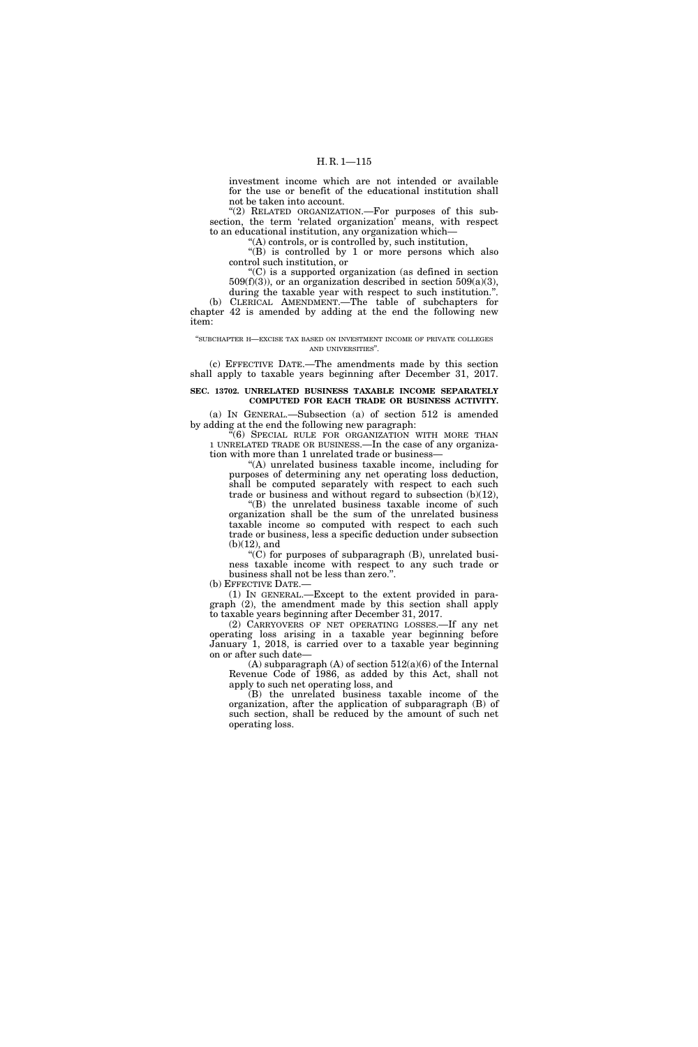investment income which are not intended or available for the use or benefit of the educational institution shall not be taken into account.

"(2) RELATED ORGANIZATION.—For purposes of this subsection, the term 'related organization' means, with respect to an educational institution, any organization which—

''(A) controls, or is controlled by, such institution,

''(B) is controlled by 1 or more persons which also control such institution, or

''(C) is a supported organization (as defined in section  $509(f)(3)$ , or an organization described in section  $509(a)(3)$ , during the taxable year with respect to such institution.''.

(b) CLERICAL AMENDMENT.—The table of subchapters for chapter 42 is amended by adding at the end the following new item:

#### ''SUBCHAPTER H—EXCISE TAX BASED ON INVESTMENT INCOME OF PRIVATE COLLEGES AND UNIVERSITIES''.

(c) EFFECTIVE DATE.—The amendments made by this section shall apply to taxable years beginning after December 31, 2017.

## **SEC. 13702. UNRELATED BUSINESS TAXABLE INCOME SEPARATELY COMPUTED FOR EACH TRADE OR BUSINESS ACTIVITY.**

(a) IN GENERAL.—Subsection (a) of section 512 is amended by adding at the end the following new paragraph:

''(6) SPECIAL RULE FOR ORGANIZATION WITH MORE THAN 1 UNRELATED TRADE OR BUSINESS.—In the case of any organization with more than 1 unrelated trade or business—

''(A) unrelated business taxable income, including for purposes of determining any net operating loss deduction, shall be computed separately with respect to each such trade or business and without regard to subsection (b)(12),

''(B) the unrelated business taxable income of such organization shall be the sum of the unrelated business taxable income so computed with respect to each such trade or business, less a specific deduction under subsection (b)(12), and

" $(C)$  for purposes of subparagraph  $(B)$ , unrelated business taxable income with respect to any such trade or business shall not be less than zero.''.

(b) EFFECTIVE DATE.—

(1) IN GENERAL.—Except to the extent provided in paragraph (2), the amendment made by this section shall apply to taxable years beginning after December 31, 2017.

(2) CARRYOVERS OF NET OPERATING LOSSES.—If any net operating loss arising in a taxable year beginning before January 1, 2018, is carried over to a taxable year beginning on or after such date—

(A) subparagraph (A) of section  $512(a)(6)$  of the Internal Revenue Code of 1986, as added by this Act, shall not apply to such net operating loss, and

(B) the unrelated business taxable income of the organization, after the application of subparagraph (B) of such section, shall be reduced by the amount of such net operating loss.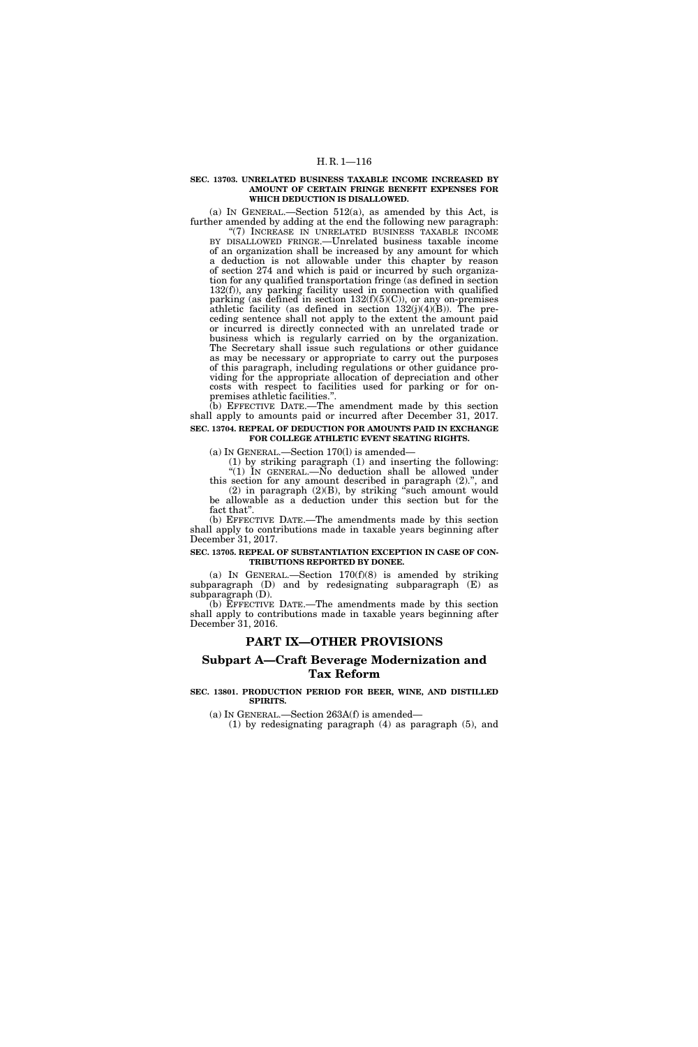#### **SEC. 13703. UNRELATED BUSINESS TAXABLE INCOME INCREASED BY AMOUNT OF CERTAIN FRINGE BENEFIT EXPENSES FOR WHICH DEDUCTION IS DISALLOWED.**

(a) IN GENERAL.—Section 512(a), as amended by this Act, is further amended by adding at the end the following new paragraph:

''(7) INCREASE IN UNRELATED BUSINESS TAXABLE INCOME BY DISALLOWED FRINGE.—Unrelated business taxable income of an organization shall be increased by any amount for which a deduction is not allowable under this chapter by reason of section 274 and which is paid or incurred by such organization for any qualified transportation fringe (as defined in section 132(f)), any parking facility used in connection with qualified parking (as defined in section  $132(f)(5)(C)$ ), or any on-premises athletic facility (as defined in section  $132(j)(4)(B)$ ). The preceding sentence shall not apply to the extent the amount paid or incurred is directly connected with an unrelated trade or business which is regularly carried on by the organization. The Secretary shall issue such regulations or other guidance as may be necessary or appropriate to carry out the purposes of this paragraph, including regulations or other guidance providing for the appropriate allocation of depreciation and other costs with respect to facilities used for parking or for onpremises athletic facilities.''.

(b) EFFECTIVE DATE.—The amendment made by this section shall apply to amounts paid or incurred after December 31, 2017. **SEC. 13704. REPEAL OF DEDUCTION FOR AMOUNTS PAID IN EXCHANGE** 

### **FOR COLLEGE ATHLETIC EVENT SEATING RIGHTS.**

(a) IN GENERAL.—Section 170(l) is amended—

(1) by striking paragraph (1) and inserting the following: ''(1) IN GENERAL.—No deduction shall be allowed under

this section for any amount described in paragraph (2).'', and  $(2)$  in paragraph  $(2)(B)$ , by striking "such amount would be allowable as a deduction under this section but for the fact that''.

(b) EFFECTIVE DATE.—The amendments made by this section shall apply to contributions made in taxable years beginning after December 31, 2017.

#### **SEC. 13705. REPEAL OF SUBSTANTIATION EXCEPTION IN CASE OF CON-TRIBUTIONS REPORTED BY DONEE.**

(a) IN GENERAL.—Section  $170(f)(8)$  is amended by striking subparagraph (D) and by redesignating subparagraph (E) as subparagraph (D).

(b) EFFECTIVE DATE.—The amendments made by this section shall apply to contributions made in taxable years beginning after December 31, 2016.

## **PART IX—OTHER PROVISIONS**

# **Subpart A—Craft Beverage Modernization and Tax Reform**

#### **SEC. 13801. PRODUCTION PERIOD FOR BEER, WINE, AND DISTILLED SPIRITS.**

(a) IN GENERAL.—Section 263A(f) is amended—

(1) by redesignating paragraph (4) as paragraph (5), and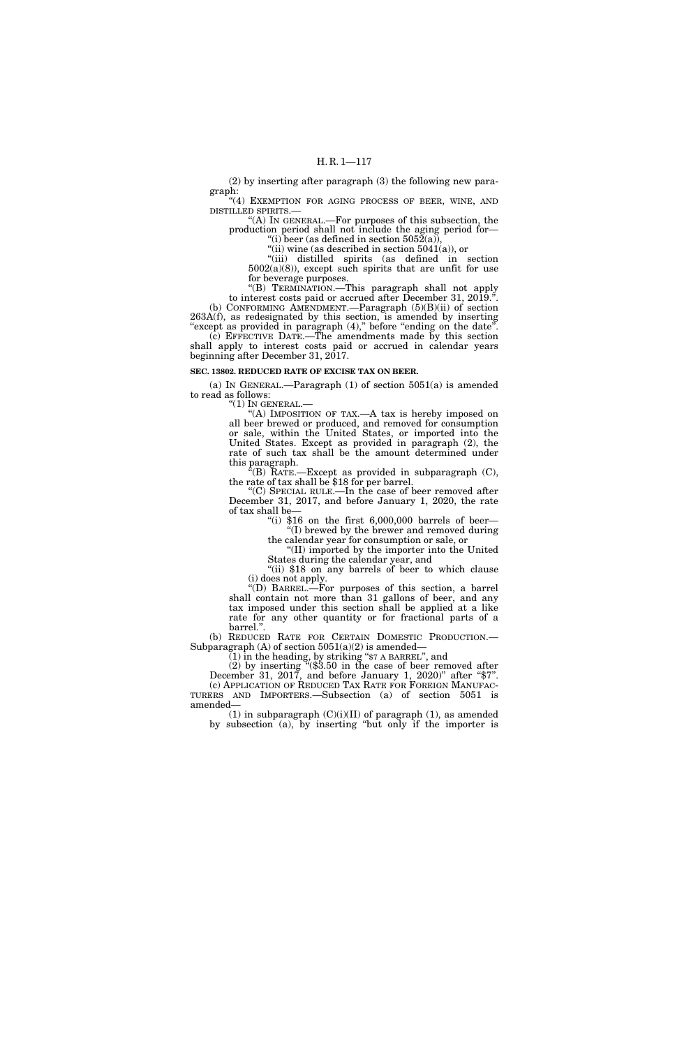(2) by inserting after paragraph (3) the following new paragraph:

''(4) EXEMPTION FOR AGING PROCESS OF BEER, WINE, AND DISTILLED SPIRITS.—

''(A) IN GENERAL.—For purposes of this subsection, the production period shall not include the aging period for— "(i) beer (as defined in section  $5052(a)$ )

 $\cdot$ "(ii) wine (as described in section 5041(a)), or

''(iii) distilled spirits (as defined in section 5002(a)(8)), except such spirits that are unfit for use for beverage purposes.

''(B) TERMINATION.—This paragraph shall not apply to interest costs paid or accrued after December 31, 2019.''. (b) CONFORMING AMENDMENT.—Paragraph (5)(B)(ii) of section 263A(f), as redesignated by this section, is amended by inserting

"except as provided in paragraph (4)," before "ending on the date". (c) EFFECTIVE DATE.—The amendments made by this section shall apply to interest costs paid or accrued in calendar years beginning after December 31, 2017.

#### **SEC. 13802. REDUCED RATE OF EXCISE TAX ON BEER.**

(a) IN GENERAL.—Paragraph (1) of section 5051(a) is amended to read as follows:

 $''(1)$  In GENERAL.—

"(A) IMPOSITION OF TAX.—A tax is hereby imposed on all beer brewed or produced, and removed for consumption or sale, within the United States, or imported into the United States. Except as provided in paragraph (2), the rate of such tax shall be the amount determined under this paragraph.

 $\tilde{f}(B)$  RATE.—Except as provided in subparagraph (C), the rate of tax shall be \$18 for per barrel.

''(C) SPECIAL RULE.—In the case of beer removed after December 31, 2017, and before January 1, 2020, the rate of tax shall be—

> "(i)  $$16$  on the first  $6,000,000$  barrels of beer— ''(I) brewed by the brewer and removed during the calendar year for consumption or sale, or

''(II) imported by the importer into the United States during the calendar year, and

"(ii) \$18 on any barrels of beer to which clause (i) does not apply.

''(D) BARREL.—For purposes of this section, a barrel shall contain not more than 31 gallons of beer, and any tax imposed under this section shall be applied at a like rate for any other quantity or for fractional parts of a

barrel.".<br>(b) REDUCED RATE FOR CERTAIN DOMESTIC PRODUCTION.— Subparagraph (A) of section  $5051(a)(2)$  is amended—

 $(1)$  in the heading, by striking "\$7 A BARREL", and

(2) by inserting ''(\$3.50 in the case of beer removed after December 31, 2017, and before January 1, 2020)" after "\$7". (c) APPLICATION OF REDUCED TAX RATE FOR FOREIGN MANUFAC- TURERS AND IMPORTERS.—Subsection (a) of section 5051 is amended—

(1) in subparagraph  $(C)(i)(II)$  of paragraph (1), as amended by subsection (a), by inserting ''but only if the importer is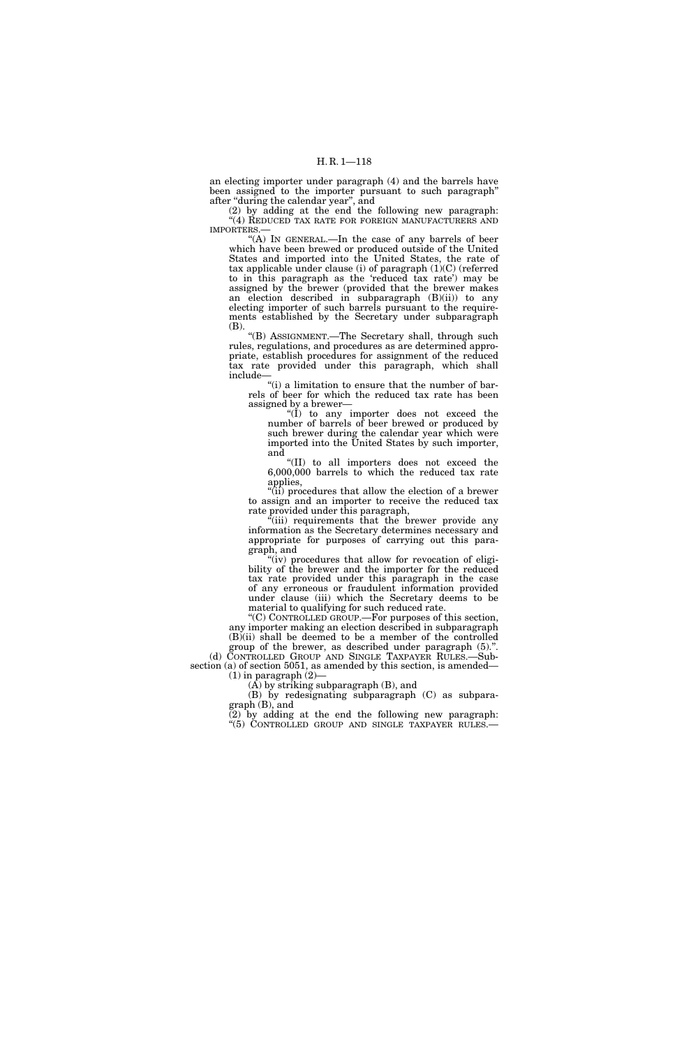an electing importer under paragraph (4) and the barrels have been assigned to the importer pursuant to such paragraph'' after ''during the calendar year'', and

(2) by adding at the end the following new paragraph: ''(4) REDUCED TAX RATE FOR FOREIGN MANUFACTURERS AND IMPORTERS.—

''(A) IN GENERAL.—In the case of any barrels of beer which have been brewed or produced outside of the United States and imported into the United States, the rate of tax applicable under clause (i) of paragraph (1)(C) (referred to in this paragraph as the 'reduced tax rate') may be assigned by the brewer (provided that the brewer makes an election described in subparagraph (B)(ii)) to any electing importer of such barrels pursuant to the requirements established by the Secretary under subparagraph (B).

''(B) ASSIGNMENT.—The Secretary shall, through such rules, regulations, and procedures as are determined appropriate, establish procedures for assignment of the reduced tax rate provided under this paragraph, which shall include—

''(i) a limitation to ensure that the number of barrels of beer for which the reduced tax rate has been assigned by a brewer—

"(I) to any importer does not exceed the number of barrels of beer brewed or produced by such brewer during the calendar year which were imported into the United States by such importer, and

''(II) to all importers does not exceed the 6,000,000 barrels to which the reduced tax rate applies,

''(ii) procedures that allow the election of a brewer to assign and an importer to receive the reduced tax rate provided under this paragraph,

 $\ddot{a}$ (iii) requirements that the brewer provide any information as the Secretary determines necessary and appropriate for purposes of carrying out this paragraph, and

"(iv) procedures that allow for revocation of eligibility of the brewer and the importer for the reduced tax rate provided under this paragraph in the case of any erroneous or fraudulent information provided under clause (iii) which the Secretary deems to be material to qualifying for such reduced rate.

''(C) CONTROLLED GROUP.—For purposes of this section, any importer making an election described in subparagraph  $(B)$ (ii) shall be deemed to be a member of the controlled group of the brewer, as described under paragraph (5).''.

(d) CONTROLLED GROUP AND SINGLE TAXPAYER RULES.—Subsection (a) of section 5051, as amended by this section, is amended—  $(1)$  in paragraph  $(2)$ 

(A) by striking subparagraph (B), and

(B) by redesignating subparagraph (C) as subparagraph (B), and

(2) by adding at the end the following new paragraph: ''(5) CONTROLLED GROUP AND SINGLE TAXPAYER RULES.—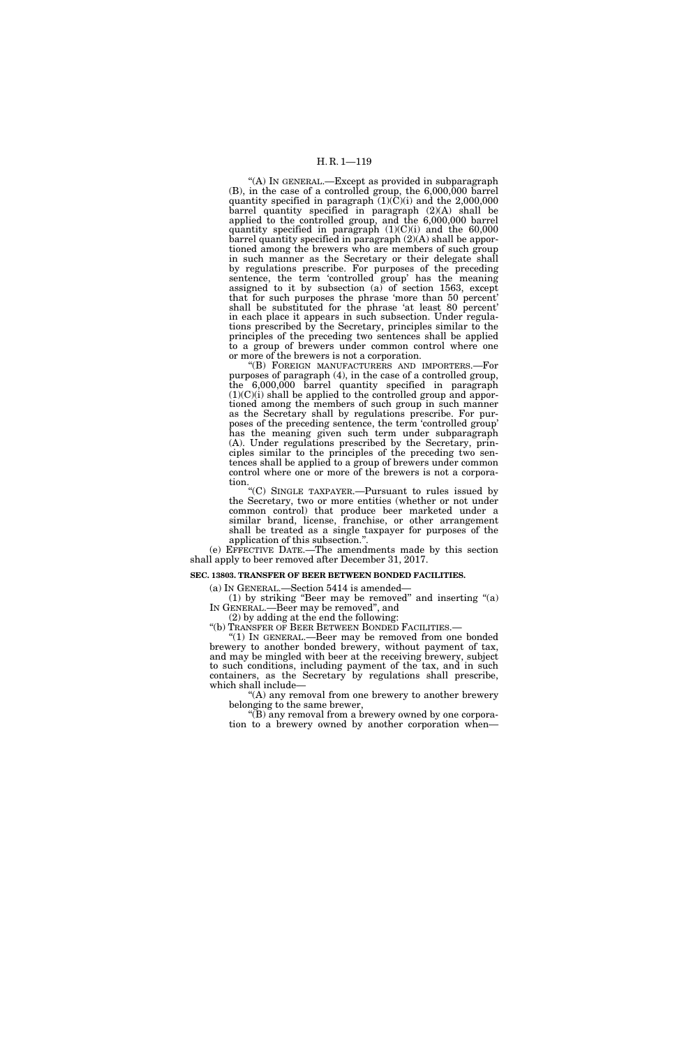## H. R. 1—119

''(A) IN GENERAL.—Except as provided in subparagraph (B), in the case of a controlled group, the 6,000,000 barrel quantity specified in paragraph (1)(C)(i) and the 2,000,000 barrel quantity specified in paragraph (2)(A) shall be applied to the controlled group, and the 6,000,000 barrel quantity specified in paragraph  $(1)(C)(i)$  and the 60,000 barrel quantity specified in paragraph (2)(A) shall be apportioned among the brewers who are members of such group in such manner as the Secretary or their delegate shall by regulations prescribe. For purposes of the preceding sentence, the term 'controlled group' has the meaning assigned to it by subsection (a) of section 1563, except that for such purposes the phrase 'more than 50 percent' shall be substituted for the phrase 'at least 80 percent' in each place it appears in such subsection. Under regulations prescribed by the Secretary, principles similar to the principles of the preceding two sentences shall be applied to a group of brewers under common control where one or more of the brewers is not a corporation.

''(B) FOREIGN MANUFACTURERS AND IMPORTERS.—For purposes of paragraph (4), in the case of a controlled group, the 6,000,000 barrel quantity specified in paragraph  $(1)(C)(i)$  shall be applied to the controlled group and apportioned among the members of such group in such manner as the Secretary shall by regulations prescribe. For purposes of the preceding sentence, the term 'controlled group' has the meaning given such term under subparagraph (A). Under regulations prescribed by the Secretary, principles similar to the principles of the preceding two sentences shall be applied to a group of brewers under common control where one or more of the brewers is not a corporation.

''(C) SINGLE TAXPAYER.—Pursuant to rules issued by the Secretary, two or more entities (whether or not under common control) that produce beer marketed under a similar brand, license, franchise, or other arrangement shall be treated as a single taxpayer for purposes of the application of this subsection.'

(e) EFFECTIVE DATE.—The amendments made by this section shall apply to beer removed after December 31, 2017.

#### **SEC. 13803. TRANSFER OF BEER BETWEEN BONDED FACILITIES.**

(a) IN GENERAL.—Section 5414 is amended—

(1) by striking "Beer may be removed" and inserting  $(2)$ IN GENERAL.—Beer may be removed'', and

(2) by adding at the end the following:

''(b) TRANSFER OF BEER BETWEEN BONDED FACILITIES.—

''(1) IN GENERAL.—Beer may be removed from one bonded brewery to another bonded brewery, without payment of tax, and may be mingled with beer at the receiving brewery, subject to such conditions, including payment of the tax, and in such containers, as the Secretary by regulations shall prescribe, which shall include—

''(A) any removal from one brewery to another brewery belonging to the same brewer,

''(B) any removal from a brewery owned by one corporation to a brewery owned by another corporation when—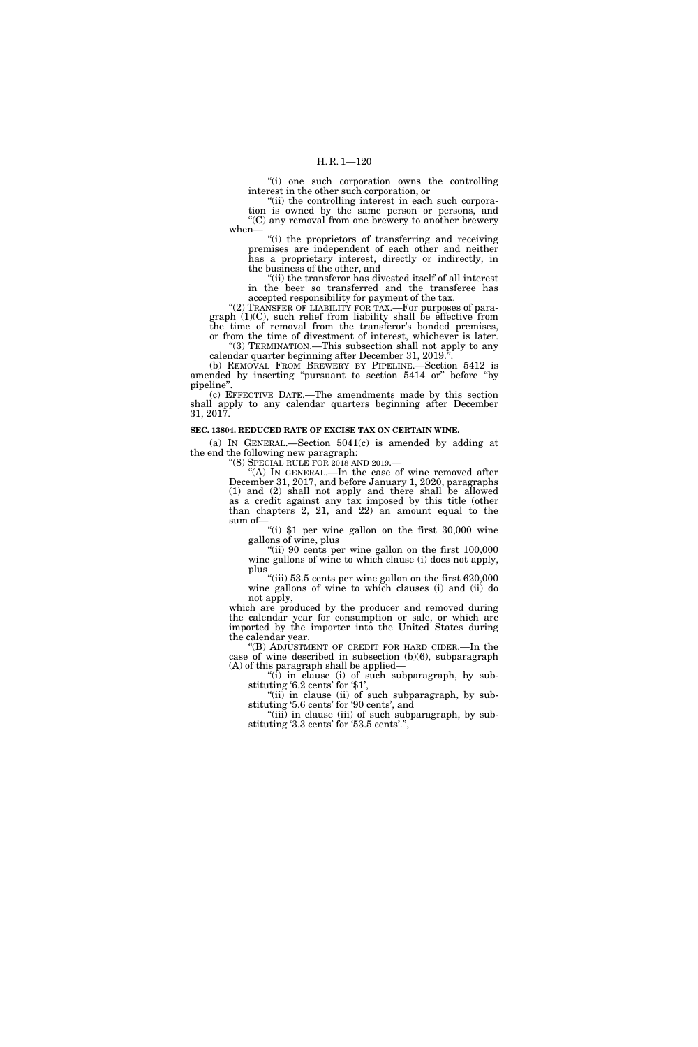''(i) one such corporation owns the controlling interest in the other such corporation, or

"(ii) the controlling interest in each such corporation is owned by the same person or persons, and ''(C) any removal from one brewery to another brewery when—

"(i) the proprietors of transferring and receiving premises are independent of each other and neither has a proprietary interest, directly or indirectly, in the business of the other, and

''(ii) the transferor has divested itself of all interest in the beer so transferred and the transferee has accepted responsibility for payment of the tax.

"(2) TRANSFER OF LIABILITY FOR TAX.—For purposes of paragraph (1)(C), such relief from liability shall be effective from the time of removal from the transferor's bonded premises, or from the time of divestment of interest, whichever is later.

''(3) TERMINATION.—This subsection shall not apply to any calendar quarter beginning after December 31, 2019. (b) REMOVAL FROM BREWERY BY PIPELINE.—Section 5412 is

amended by inserting "pursuant to section 5414 or" before "by pipeline''.

(c) EFFECTIVE DATE.—The amendments made by this section shall apply to any calendar quarters beginning after December 31, 2017.

#### **SEC. 13804. REDUCED RATE OF EXCISE TAX ON CERTAIN WINE.**

(a) IN GENERAL.—Section 5041(c) is amended by adding at the end the following new paragraph:

''(8) SPECIAL RULE FOR 2018 AND 2019.—

''(A) IN GENERAL.—In the case of wine removed after December 31, 2017, and before January 1, 2020, paragraphs (1) and (2) shall not apply and there shall be allowed as a credit against any tax imposed by this title (other than chapters 2, 21, and 22) an amount equal to the sum of—

"(i) \$1 per wine gallon on the first 30,000 wine gallons of wine, plus

"(ii) 90 cents per wine gallon on the first 100,000 wine gallons of wine to which clause (i) does not apply, plus

"(iii) 53.5 cents per wine gallon on the first  $620,000$ wine gallons of wine to which clauses (i) and (ii) do not apply,

which are produced by the producer and removed during the calendar year for consumption or sale, or which are imported by the importer into the United States during the calendar year.

''(B) ADJUSTMENT OF CREDIT FOR HARD CIDER.—In the case of wine described in subsection (b)(6), subparagraph (A) of this paragraph shall be applied—

"(i) in clause (i) of such subparagraph, by substituting  $6.2$  cents' for  $$1$ ',

"(ii) in clause (ii) of such subparagraph, by substituting '5.6 cents' for '90 cents', and

''(iii) in clause (iii) of such subparagraph, by substituting '3.3 cents' for '53.5 cents'.'',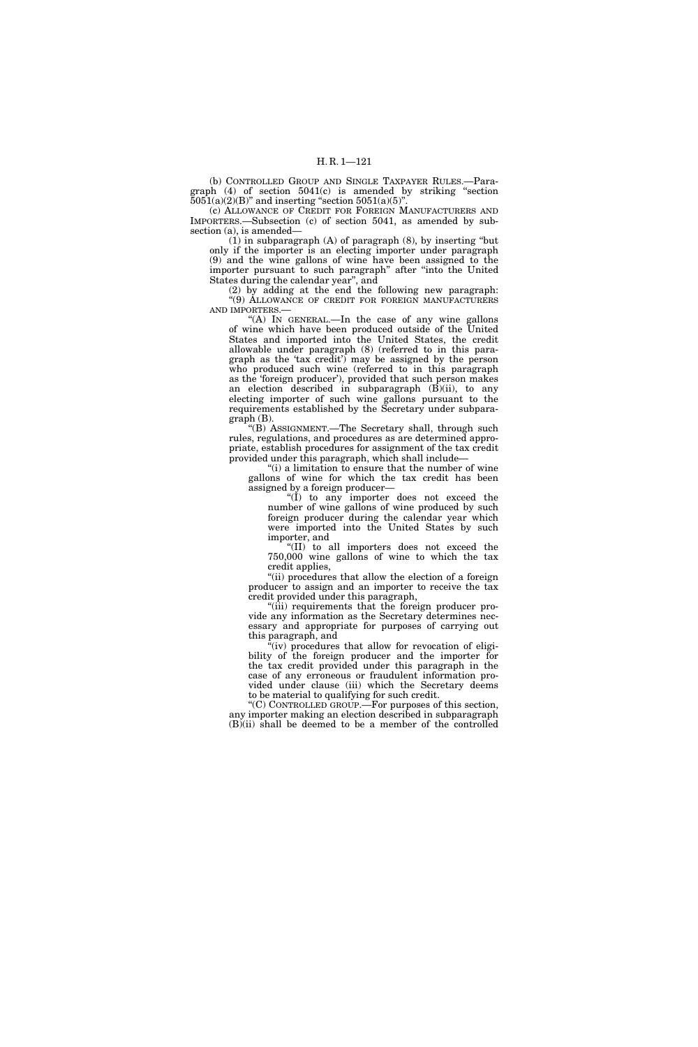(b) CONTROLLED GROUP AND SINGLE TAXPAYER RULES.—Paragraph (4) of section 5041(c) is amended by striking ''section  $5051(a)(2)(B)$ " and inserting "section 5051(a)(5)".

(c) ALLOWANCE OF CREDIT FOR FOREIGN MANUFACTURERS AND IMPORTERS.—Subsection (c) of section 5041, as amended by subsection (a), is amended—

(1) in subparagraph (A) of paragraph (8), by inserting ''but only if the importer is an electing importer under paragraph (9) and the wine gallons of wine have been assigned to the importer pursuant to such paragraph" after "into the United States during the calendar year'', and

(2) by adding at the end the following new paragraph: ''(9) ALLOWANCE OF CREDIT FOR FOREIGN MANUFACTURERS AND IMPORTERS.—

"(A) IN GENERAL.—In the case of any wine gallons of wine which have been produced outside of the United States and imported into the United States, the credit allowable under paragraph (8) (referred to in this paragraph as the 'tax credit') may be assigned by the person who produced such wine (referred to in this paragraph as the 'foreign producer'), provided that such person makes an election described in subparagraph (B)(ii), to any electing importer of such wine gallons pursuant to the requirements established by the Secretary under subparagraph (B).

''(B) ASSIGNMENT.—The Secretary shall, through such rules, regulations, and procedures as are determined appropriate, establish procedures for assignment of the tax credit provided under this paragraph, which shall include—

"(i) a limitation to ensure that the number of wine gallons of wine for which the tax credit has been assigned by a foreign producer—

"(I) to any importer does not exceed the number of wine gallons of wine produced by such foreign producer during the calendar year which were imported into the United States by such importer, and

''(II) to all importers does not exceed the 750,000 wine gallons of wine to which the tax credit applies,

"(ii) procedures that allow the election of a foreign producer to assign and an importer to receive the tax credit provided under this paragraph,

''(iii) requirements that the foreign producer provide any information as the Secretary determines necessary and appropriate for purposes of carrying out this paragraph, and

 $\sqrt[n]{\text{iv}}$  procedures that allow for revocation of eligibility of the foreign producer and the importer for the tax credit provided under this paragraph in the case of any erroneous or fraudulent information provided under clause (iii) which the Secretary deems to be material to qualifying for such credit.

''(C) CONTROLLED GROUP.—For purposes of this section, any importer making an election described in subparagraph (B)(ii) shall be deemed to be a member of the controlled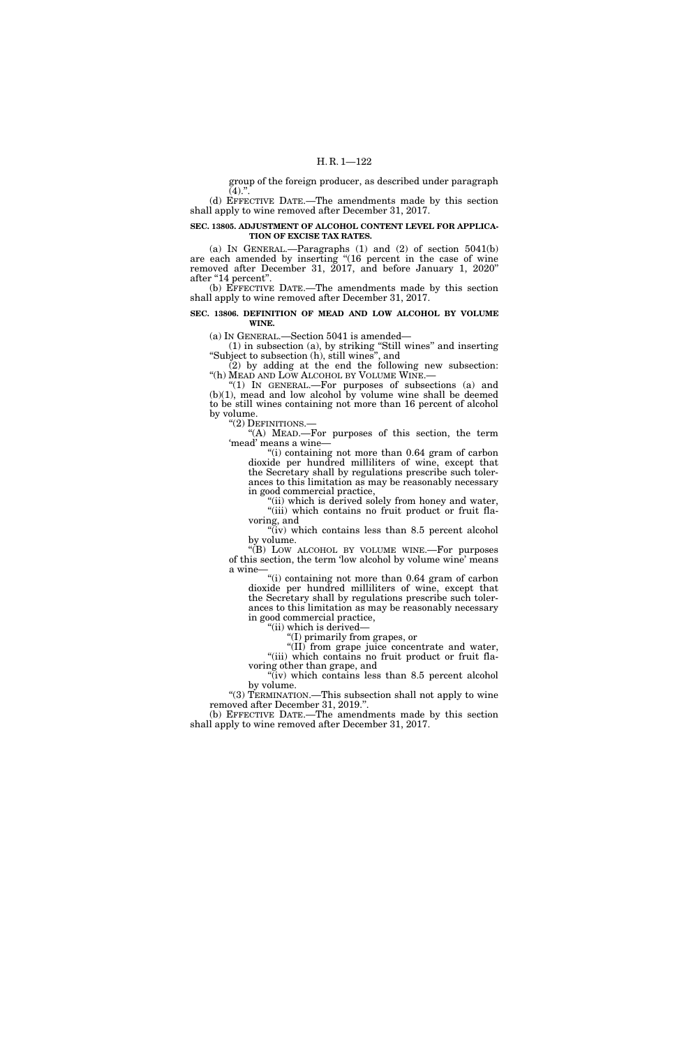group of the foreign producer, as described under paragraph  $(4).$ ".

(d) EFFECTIVE DATE.—The amendments made by this section shall apply to wine removed after December 31, 2017.

## **SEC. 13805. ADJUSTMENT OF ALCOHOL CONTENT LEVEL FOR APPLICA-TION OF EXCISE TAX RATES.**

(a) IN GENERAL.—Paragraphs  $(1)$  and  $(2)$  of section  $5041(b)$ are each amended by inserting "(16 percent in the case of wine removed after December 31, 2017, and before January 1, 2020'' after "14 percent".

(b) EFFECTIVE DATE.—The amendments made by this section shall apply to wine removed after December 31, 2017.

## **SEC. 13806. DEFINITION OF MEAD AND LOW ALCOHOL BY VOLUME WINE.**

(a) IN GENERAL.—Section 5041 is amended—

(1) in subsection (a), by striking ''Still wines'' and inserting ''Subject to subsection (h), still wines'', and

(2) by adding at the end the following new subsection: "(h) MEAD AND LOW ALCOHOL BY VOLUME WINE.-

''(1) IN GENERAL.—For purposes of subsections (a) and (b)(1), mead and low alcohol by volume wine shall be deemed to be still wines containing not more than 16 percent of alcohol by volume.

''(2) DEFINITIONS.—

"(A) MEAD.—For purposes of this section, the term 'mead' means a wine—

''(i) containing not more than 0.64 gram of carbon dioxide per hundred milliliters of wine, except that the Secretary shall by regulations prescribe such tolerances to this limitation as may be reasonably necessary in good commercial practice,

"(ii) which is derived solely from honey and water, "(iii) which contains no fruit product or fruit flavoring, and

 $\sqrt{\text{i}}$  (iv) which contains less than 8.5 percent alcohol by volume.

''(B) LOW ALCOHOL BY VOLUME WINE.—For purposes of this section, the term 'low alcohol by volume wine' means a wine-

"(i) containing not more than 0.64 gram of carbon dioxide per hundred milliliters of wine, except that the Secretary shall by regulations prescribe such tolerances to this limitation as may be reasonably necessary in good commercial practice,

''(ii) which is derived—

''(I) primarily from grapes, or

''(II) from grape juice concentrate and water, "(iii) which contains no fruit product or fruit flavoring other than grape, and

 $\sqrt[n]{i}$  which contains less than 8.5 percent alcohol by volume.

"(3) TERMINATION.—This subsection shall not apply to wine removed after December 31, 2019.''.

(b) EFFECTIVE DATE.—The amendments made by this section shall apply to wine removed after December 31, 2017.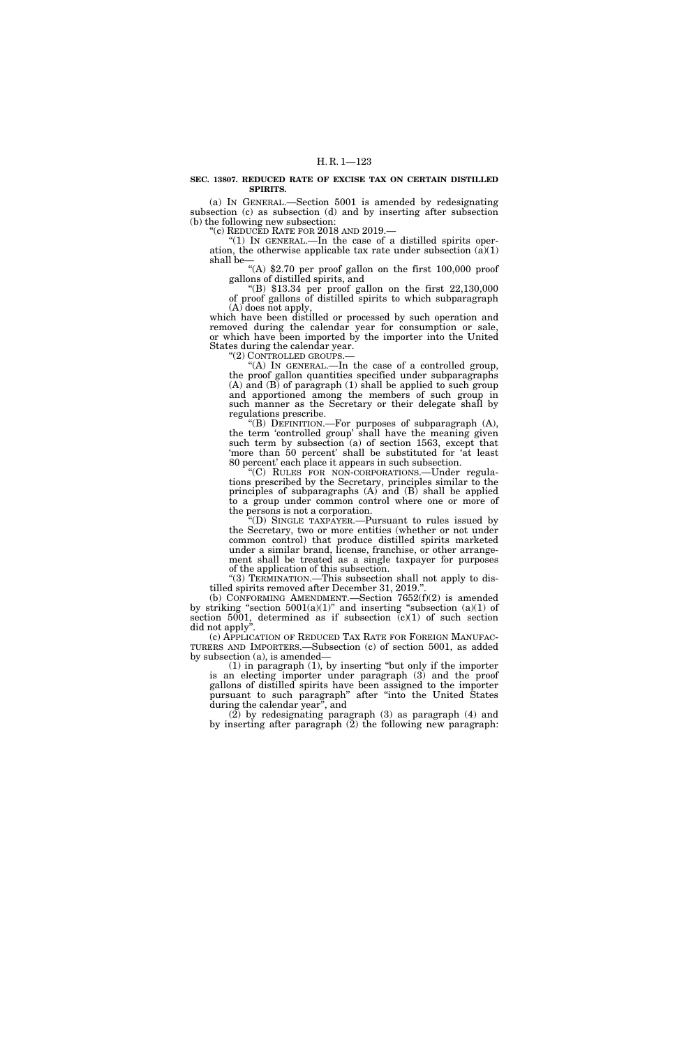#### **SEC. 13807. REDUCED RATE OF EXCISE TAX ON CERTAIN DISTILLED SPIRITS.**

(a) IN GENERAL.—Section 5001 is amended by redesignating subsection (c) as subsection (d) and by inserting after subsection (b) the following new subsection:

''(c) REDUCED RATE FOR 2018 AND 2019.—

" $(1)$  In GENERAL.—In the case of a distilled spirits operation, the otherwise applicable tax rate under subsection  $(\hat{a})(1)$ shall be—

"(A)  $$2.70$  per proof gallon on the first 100,000 proof gallons of distilled spirits, and

"(B)  $$13.34$  per proof gallon on the first  $22,130,000$ of proof gallons of distilled spirits to which subparagraph (A) does not apply,

which have been distilled or processed by such operation and removed during the calendar year for consumption or sale, or which have been imported by the importer into the United States during the calendar year.

''(2) CONTROLLED GROUPS.— ''(A) IN GENERAL.—In the case of a controlled group, the proof gallon quantities specified under subparagraphs (A) and (B) of paragraph (1) shall be applied to such group and apportioned among the members of such group in such manner as the Secretary or their delegate shall by regulations prescribe.

 $f(B)$  DEFINITION.—For purposes of subparagraph  $(A)$ , the term 'controlled group' shall have the meaning given such term by subsection (a) of section 1563, except that 'more than 50 percent' shall be substituted for 'at least 80 percent' each place it appears in such subsection.

''(C) RULES FOR NON-CORPORATIONS.—Under regulations prescribed by the Secretary, principles similar to the principles of subparagraphs (A) and (B) shall be applied to a group under common control where one or more of the persons is not a corporation.

''(D) SINGLE TAXPAYER.—Pursuant to rules issued by the Secretary, two or more entities (whether or not under common control) that produce distilled spirits marketed under a similar brand, license, franchise, or other arrangement shall be treated as a single taxpayer for purposes of the application of this subsection.

"(3) TERMINATION.—This subsection shall not apply to distilled spirits removed after December 31, 2019."

(b) CONFORMING AMENDMENT.—Section 7652(f)(2) is amended by striking "section  $5001(a)(1)$ " and inserting "subsection  $(a)(1)$  of section 5001, determined as if subsection  $(c)(1)$  of such section did not apply''.

(c) APPLICATION OF REDUCED TAX RATE FOR FOREIGN MANUFAC- TURERS AND IMPORTERS.—Subsection (c) of section 5001, as added by subsection (a), is amended—

(1) in paragraph (1), by inserting ''but only if the importer is an electing importer under paragraph (3) and the proof gallons of distilled spirits have been assigned to the importer pursuant to such paragraph'' after ''into the United States during the calendar year'', and

(2) by redesignating paragraph (3) as paragraph (4) and by inserting after paragraph (2) the following new paragraph: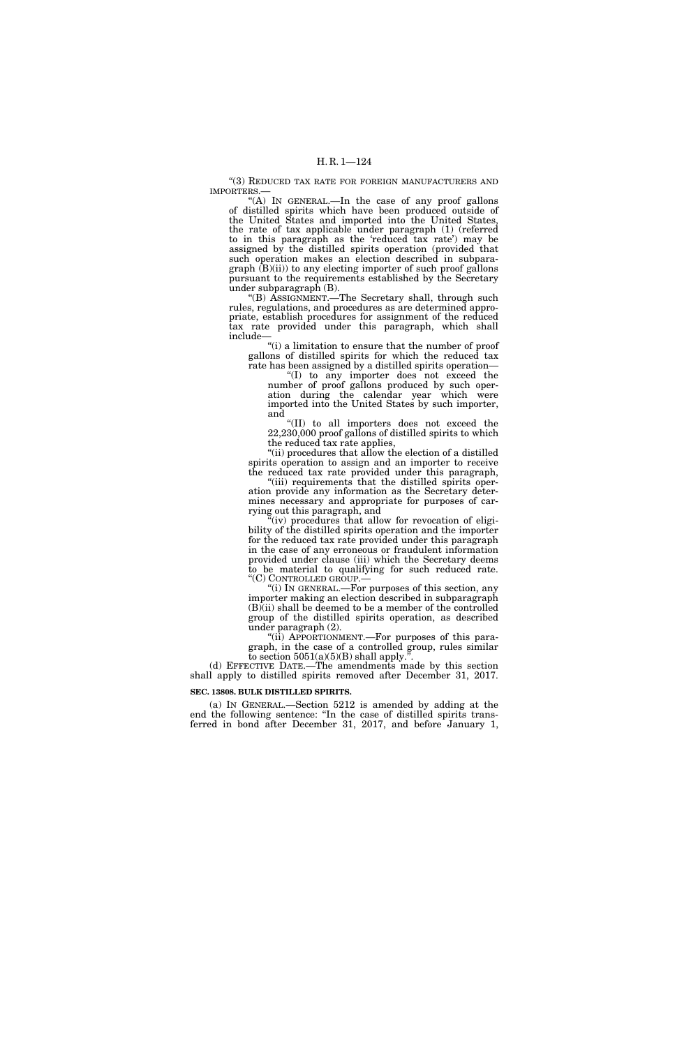"(3) REDUCED TAX RATE FOR FOREIGN MANUFACTURERS AND IMPORTERS.—

"(A) In GENERAL.—In the case of any proof gallons of distilled spirits which have been produced outside of the United States and imported into the United States, the rate of tax applicable under paragraph (1) (referred to in this paragraph as the 'reduced tax rate') may be assigned by the distilled spirits operation (provided that such operation makes an election described in subparagraph (B)(ii)) to any electing importer of such proof gallons pursuant to the requirements established by the Secretary under subparagraph (B).

''(B) ASSIGNMENT.—The Secretary shall, through such rules, regulations, and procedures as are determined appropriate, establish procedures for assignment of the reduced tax rate provided under this paragraph, which shall include—

''(i) a limitation to ensure that the number of proof gallons of distilled spirits for which the reduced tax rate has been assigned by a distilled spirits operation—

''(I) to any importer does not exceed the number of proof gallons produced by such operation during the calendar year which were imported into the United States by such importer, and

''(II) to all importers does not exceed the 22,230,000 proof gallons of distilled spirits to which the reduced tax rate applies,

''(ii) procedures that allow the election of a distilled spirits operation to assign and an importer to receive the reduced tax rate provided under this paragraph,

"(iii) requirements that the distilled spirits operation provide any information as the Secretary determines necessary and appropriate for purposes of carrying out this paragraph, and

 $\tilde{f}^{\alpha}(iv)$  procedures that allow for revocation of eligibility of the distilled spirits operation and the importer for the reduced tax rate provided under this paragraph in the case of any erroneous or fraudulent information provided under clause (iii) which the Secretary deems to be material to qualifying for such reduced rate. ''(C) CONTROLLED GROUP.—

''(i) IN GENERAL.—For purposes of this section, any importer making an election described in subparagraph  $(B)$ (ii) shall be deemed to be a member of the controlled group of the distilled spirits operation, as described under paragraph (2).

''(ii) APPORTIONMENT.—For purposes of this paragraph, in the case of a controlled group, rules similar to section  $5051(a)(5)(B)$  shall apply.<sup>3</sup>

(d) EFFECTIVE DATE.—The amendments made by this section shall apply to distilled spirits removed after December 31, 2017.

## **SEC. 13808. BULK DISTILLED SPIRITS.**

(a) IN GENERAL.—Section 5212 is amended by adding at the end the following sentence: ''In the case of distilled spirits transferred in bond after December 31, 2017, and before January 1,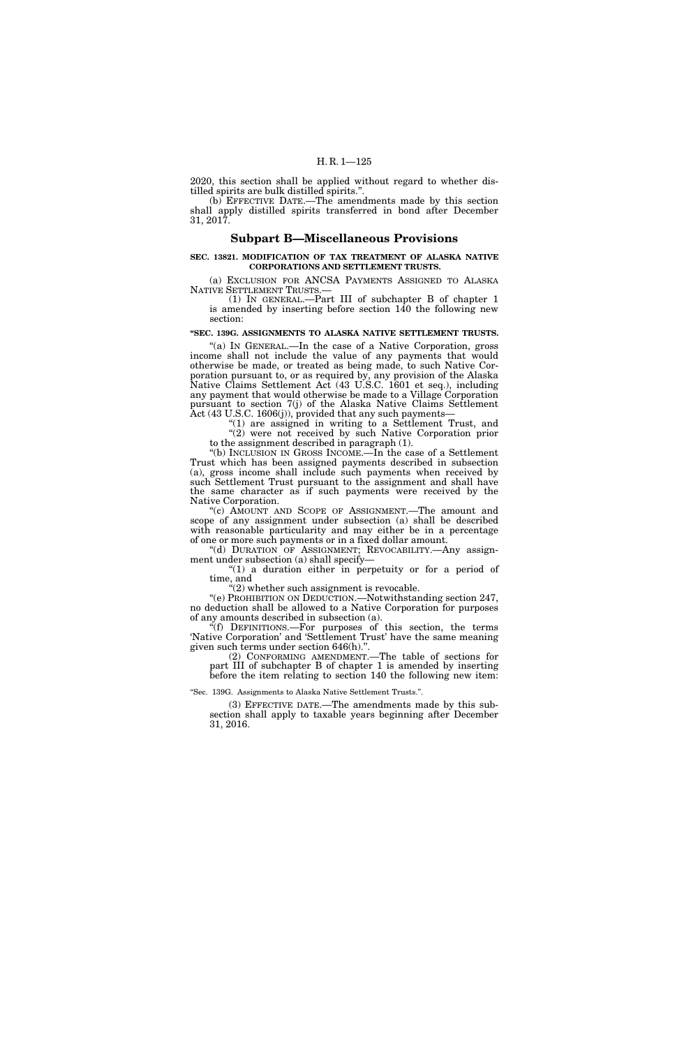2020, this section shall be applied without regard to whether distilled spirits are bulk distilled spirits.''.

(b) EFFECTIVE DATE.—The amendments made by this section shall apply distilled spirits transferred in bond after December 31, 2017.

## **Subpart B—Miscellaneous Provisions**

## **SEC. 13821. MODIFICATION OF TAX TREATMENT OF ALASKA NATIVE CORPORATIONS AND SETTLEMENT TRUSTS.**

(a) EXCLUSION FOR ANCSA PAYMENTS ASSIGNED TO ALASKA NATIVE SETTLEMENT TRUSTS.—<br>(1) IN GENERAL.—Part III of subchapter B of chapter 1

is amended by inserting before section 140 the following new section:

## **''SEC. 139G. ASSIGNMENTS TO ALASKA NATIVE SETTLEMENT TRUSTS.**

"(a) IN GENERAL.—In the case of a Native Corporation, gross income shall not include the value of any payments that would otherwise be made, or treated as being made, to such Native Corporation pursuant to, or as required by, any provision of the Alaska Native Claims Settlement Act (43 U.S.C. 1601 et seq.), including any payment that would otherwise be made to a Village Corporation pursuant to section 7(j) of the Alaska Native Claims Settlement Act (43 U.S.C. 1606(j)), provided that any such payments—

"(1) are assigned in writing to a Settlement Trust, and "(2) were not received by such Native Corporation prior to the assignment described in paragraph (1).

''(b) INCLUSION IN GROSS INCOME.—In the case of a Settlement Trust which has been assigned payments described in subsection (a), gross income shall include such payments when received by such Settlement Trust pursuant to the assignment and shall have the same character as if such payments were received by the Native Corporation.

"(c) AMOUNT AND SCOPE OF ASSIGNMENT.—The amount and scope of any assignment under subsection (a) shall be described with reasonable particularity and may either be in a percentage of one or more such payments or in a fixed dollar amount.

"(d) DURATION OF ASSIGNMENT; REVOCABILITY.- Any assignment under subsection (a) shall specify—

"(1) a duration either in perpetuity or for a period of time, and

''(2) whether such assignment is revocable.

''(e) PROHIBITION ON DEDUCTION.—Notwithstanding section 247, no deduction shall be allowed to a Native Corporation for purposes of any amounts described in subsection (a).

''(f) DEFINITIONS.—For purposes of this section, the terms 'Native Corporation' and 'Settlement Trust' have the same meaning given such terms under section 646(h).''.

(2) CONFORMING AMENDMENT.—The table of sections for part III of subchapter B of chapter 1 is amended by inserting before the item relating to section 140 the following new item:

''Sec. 139G. Assignments to Alaska Native Settlement Trusts.''.

(3) EFFECTIVE DATE.—The amendments made by this subsection shall apply to taxable years beginning after December 31, 2016.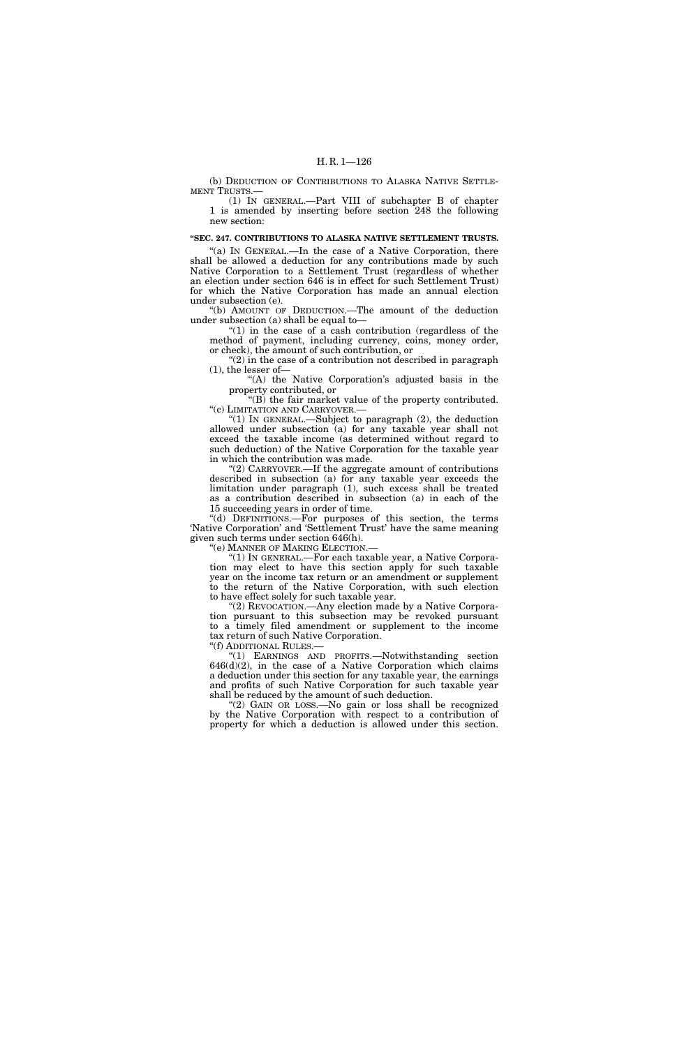## H. R. 1—126

(b) DEDUCTION OF CONTRIBUTIONS TO ALASKA NATIVE SETTLE-MENT TRUSTS.—

(1) IN GENERAL.—Part VIII of subchapter B of chapter 1 is amended by inserting before section 248 the following new section:

## **''SEC. 247. CONTRIBUTIONS TO ALASKA NATIVE SETTLEMENT TRUSTS.**

"(a) IN GENERAL.—In the case of a Native Corporation, there shall be allowed a deduction for any contributions made by such Native Corporation to a Settlement Trust (regardless of whether an election under section 646 is in effect for such Settlement Trust) for which the Native Corporation has made an annual election under subsection (e).

''(b) AMOUNT OF DEDUCTION.—The amount of the deduction under subsection (a) shall be equal to—

" $(1)$  in the case of a cash contribution (regardless of the method of payment, including currency, coins, money order, or check), the amount of such contribution, or

"(2) in the case of a contribution not described in paragraph (1), the lesser of—

"(A) the Native Corporation's adjusted basis in the property contributed, or

''(B) the fair market value of the property contributed. ''(c) LIMITATION AND CARRYOVER.—

" $(1)$  In GENERAL.—Subject to paragraph  $(2)$ , the deduction allowed under subsection (a) for any taxable year shall not exceed the taxable income (as determined without regard to such deduction) of the Native Corporation for the taxable year in which the contribution was made.

''(2) CARRYOVER.—If the aggregate amount of contributions described in subsection (a) for any taxable year exceeds the limitation under paragraph (1), such excess shall be treated as a contribution described in subsection (a) in each of the 15 succeeding years in order of time.

"(d) DEFINITIONS.-For purposes of this section, the terms 'Native Corporation' and 'Settlement Trust' have the same meaning given such terms under section 646(h).

''(e) MANNER OF MAKING ELECTION.—

''(1) IN GENERAL.—For each taxable year, a Native Corporation may elect to have this section apply for such taxable year on the income tax return or an amendment or supplement to the return of the Native Corporation, with such election to have effect solely for such taxable year.

"(2) REVOCATION. Any election made by a Native Corporation pursuant to this subsection may be revoked pursuant to a timely filed amendment or supplement to the income tax return of such Native Corporation. ''(f) ADDITIONAL RULES.—

''(1) EARNINGS AND PROFITS.—Notwithstanding section  $646(d)(2)$ , in the case of a Native Corporation which claims a deduction under this section for any taxable year, the earnings and profits of such Native Corporation for such taxable year shall be reduced by the amount of such deduction.

"(2) GAIN OR LOSS.—No gain or loss shall be recognized by the Native Corporation with respect to a contribution of property for which a deduction is allowed under this section.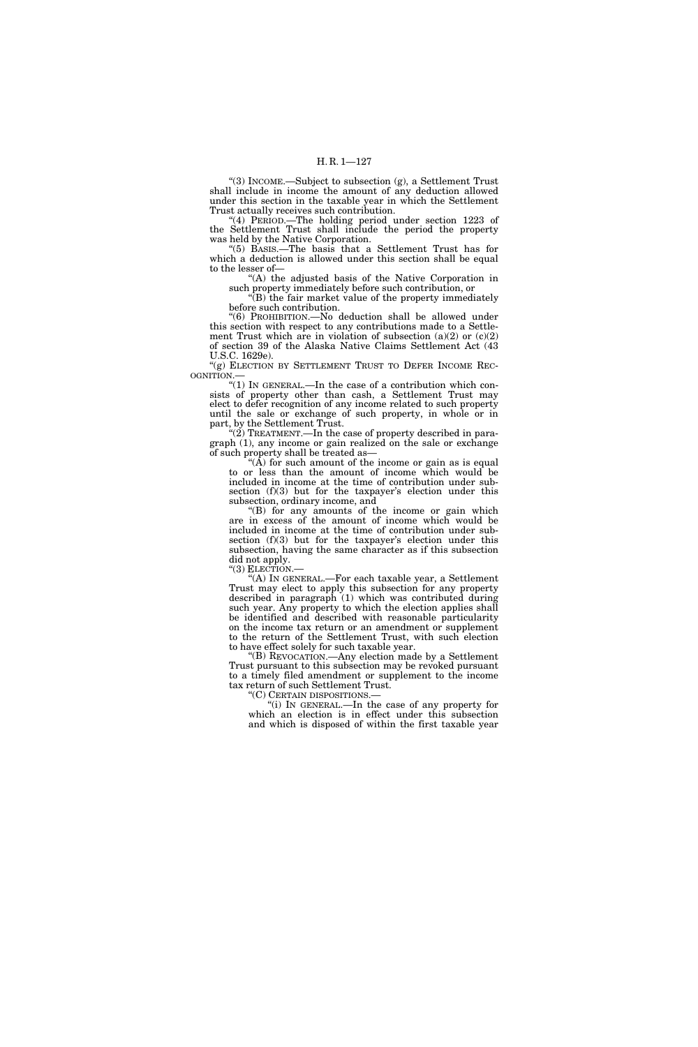"(3) INCOME.—Subject to subsection (g), a Settlement Trust shall include in income the amount of any deduction allowed under this section in the taxable year in which the Settlement Trust actually receives such contribution.

''(4) PERIOD.—The holding period under section 1223 of the Settlement Trust shall include the period the property was held by the Native Corporation.

''(5) BASIS.—The basis that a Settlement Trust has for which a deduction is allowed under this section shall be equal to the lesser of—

''(A) the adjusted basis of the Native Corporation in such property immediately before such contribution, or

''(B) the fair market value of the property immediately before such contribution.

''(6) PROHIBITION.—No deduction shall be allowed under this section with respect to any contributions made to a Settlement Trust which are in violation of subsection  $(a)(2)$  or  $(c)(2)$ of section 39 of the Alaska Native Claims Settlement Act (43 U.S.C. 1629e).

"(g) ELECTION BY SETTLEMENT TRUST TO DEFER INCOME REC-OGNITION.—

''(1) IN GENERAL.—In the case of a contribution which consists of property other than cash, a Settlement Trust may elect to defer recognition of any income related to such property until the sale or exchange of such property, in whole or in part, by the Settlement Trust.

 $(2)$  TREATMENT.—In the case of property described in paragraph (1), any income or gain realized on the sale or exchange of such property shall be treated as—

" $(\hat{A})$  for such amount of the income or gain as is equal to or less than the amount of income which would be included in income at the time of contribution under subsection (f)(3) but for the taxpayer's election under this subsection, ordinary income, and

(B) for any amounts of the income or gain which are in excess of the amount of income which would be included in income at the time of contribution under subsection (f)(3) but for the taxpayer's election under this subsection, having the same character as if this subsection did not apply.

''(3) ELECTION.—

''(A) IN GENERAL.—For each taxable year, a Settlement Trust may elect to apply this subsection for any property described in paragraph (1) which was contributed during such year. Any property to which the election applies shall be identified and described with reasonable particularity on the income tax return or an amendment or supplement to the return of the Settlement Trust, with such election to have effect solely for such taxable year.

''(B) REVOCATION.—Any election made by a Settlement Trust pursuant to this subsection may be revoked pursuant to a timely filed amendment or supplement to the income tax return of such Settlement Trust.<br>"(C) CERTAIN DISPOSITIONS.—

"(i) IN GENERAL.—In the case of any property for which an election is in effect under this subsection and which is disposed of within the first taxable year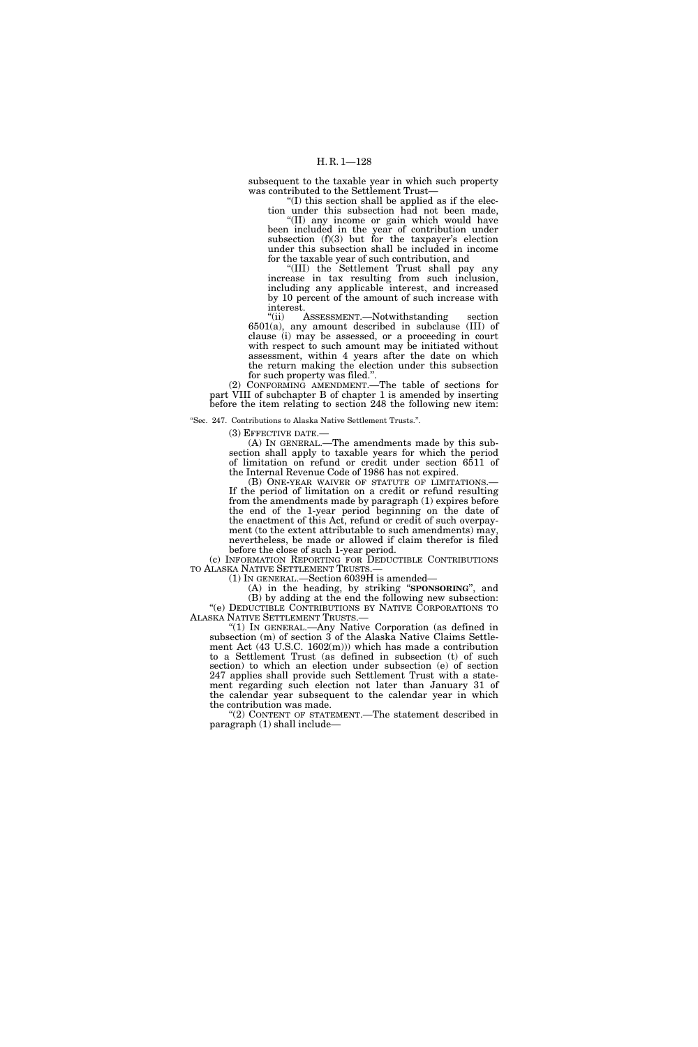subsequent to the taxable year in which such property was contributed to the Settlement Trust—

''(I) this section shall be applied as if the election under this subsection had not been made, ''(II) any income or gain which would have been included in the year of contribution under

subsection  $(f)(3)$  but for the taxpayer's election under this subsection shall be included in income for the taxable year of such contribution, and

''(III) the Settlement Trust shall pay any increase in tax resulting from such inclusion, including any applicable interest, and increased by 10 percent of the amount of such increase with

interest.<br>"(ii) / ASSESSMENT.—Notwithstanding section 6501(a), any amount described in subclause (III) of clause (i) may be assessed, or a proceeding in court with respect to such amount may be initiated without assessment, within 4 years after the date on which the return making the election under this subsection for such property was filed.''.

(2) CONFORMING AMENDMENT.—The table of sections for part VIII of subchapter B of chapter 1 is amended by inserting before the item relating to section 248 the following new item:

''Sec. 247. Contributions to Alaska Native Settlement Trusts.''.

(3) EFFECTIVE DATE.—

(A) IN GENERAL.—The amendments made by this subsection shall apply to taxable years for which the period of limitation on refund or credit under section 6511 of the Internal Revenue Code of 1986 has not expired.

(B) ONE-YEAR WAIVER OF STATUTE OF LIMITATIONS.— If the period of limitation on a credit or refund resulting from the amendments made by paragraph (1) expires before the end of the 1-year period beginning on the date of the enactment of this Act, refund or credit of such overpayment (to the extent attributable to such amendments) may, nevertheless, be made or allowed if claim therefor is filed before the close of such 1-year period.

(c) INFORMATION REPORTING FOR DEDUCTIBLE CONTRIBUTIONS TO ALASKA NATIVE SETTLEMENT TRUSTS.

(1) IN GENERAL.—Section 6039H is amended—

(A) in the heading, by striking ''**SPONSORING**'', and

(B) by adding at the end the following new subsection: "(e) DEDUCTIBLE CONTRIBUTIONS BY NATIVE CORPORATIONS TO ALASKA NATIVE SETTLEMENT TRUSTS.—

"(1) IN GENERAL.—Any Native Corporation (as defined in subsection (m) of section 3 of the Alaska Native Claims Settlement Act (43 U.S.C. 1602(m))) which has made a contribution to a Settlement Trust (as defined in subsection (t) of such section) to which an election under subsection (e) of section 247 applies shall provide such Settlement Trust with a statement regarding such election not later than January 31 of the calendar year subsequent to the calendar year in which the contribution was made.

''(2) CONTENT OF STATEMENT.—The statement described in paragraph (1) shall include—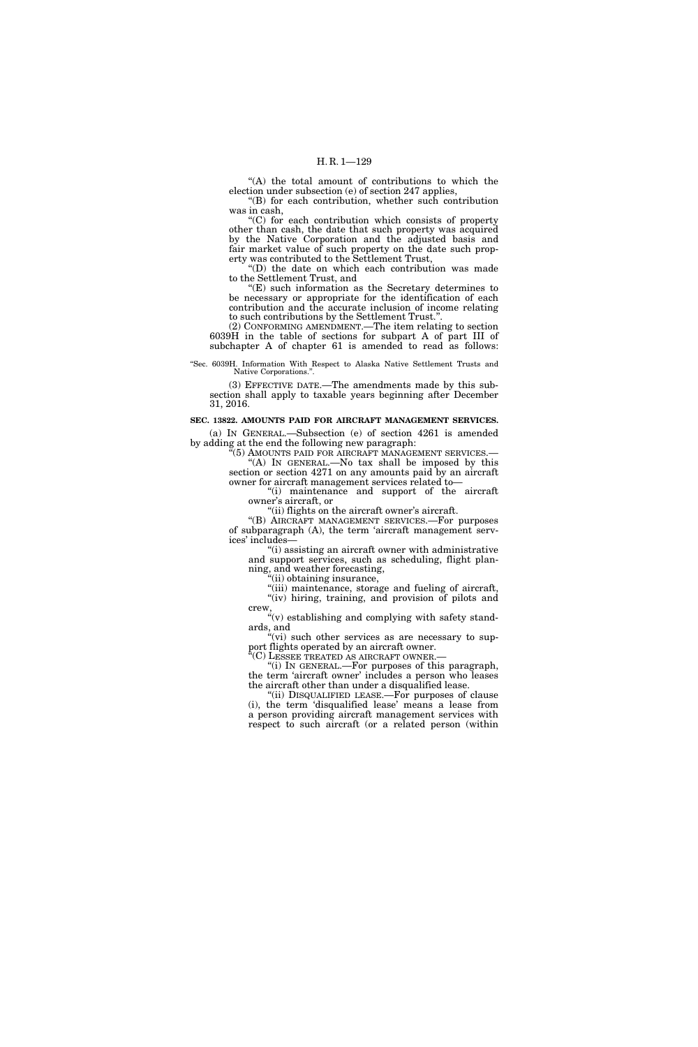"(A) the total amount of contributions to which the election under subsection (e) of section 247 applies,

''(B) for each contribution, whether such contribution was in cash,

''(C) for each contribution which consists of property other than cash, the date that such property was acquired by the Native Corporation and the adjusted basis and fair market value of such property on the date such property was contributed to the Settlement Trust,

''(D) the date on which each contribution was made to the Settlement Trust, and

''(E) such information as the Secretary determines to be necessary or appropriate for the identification of each contribution and the accurate inclusion of income relating to such contributions by the Settlement Trust.''.

(2) CONFORMING AMENDMENT.—The item relating to section 6039H in the table of sections for subpart A of part III of subchapter A of chapter 61 is amended to read as follows:

''Sec. 6039H. Information With Respect to Alaska Native Settlement Trusts and Native Corporations.

(3) EFFECTIVE DATE.—The amendments made by this subsection shall apply to taxable years beginning after December 31, 2016.

### **SEC. 13822. AMOUNTS PAID FOR AIRCRAFT MANAGEMENT SERVICES.**

(a) IN GENERAL.—Subsection (e) of section 4261 is amended by adding at the end the following new paragraph:

 $(5)$  AMOUNTS PAID FOR AIRCRAFT MANAGEMENT SERVICES.— "(A) IN GENERAL.—No tax shall be imposed by this section or section 4271 on any amounts paid by an aircraft

owner for aircraft management services related to— ''(i) maintenance and support of the aircraft owner's aircraft, or

"(ii) flights on the aircraft owner's aircraft.

''(B) AIRCRAFT MANAGEMENT SERVICES.—For purposes of subparagraph (A), the term 'aircraft management services' includes—

''(i) assisting an aircraft owner with administrative and support services, such as scheduling, flight planning, and weather forecasting,

''(ii) obtaining insurance,

"(iii) maintenance, storage and fueling of aircraft, "(iv) hiring, training, and provision of pilots and crew

 $\mathcal{C}'(v)$  establishing and complying with safety standards, and

 $\sqrt[4]{v}$  such other services as are necessary to support flights operated by an aircraft owner.

 $\rm ^{\prime}(C)$  Lessee treated as aircraft owner.

''(i) IN GENERAL.—For purposes of this paragraph, the term 'aircraft owner' includes a person who leases the aircraft other than under a disqualified lease.

"(ii) DISQUALIFIED LEASE.—For purposes of clause (i), the term 'disqualified lease' means a lease from a person providing aircraft management services with respect to such aircraft (or a related person (within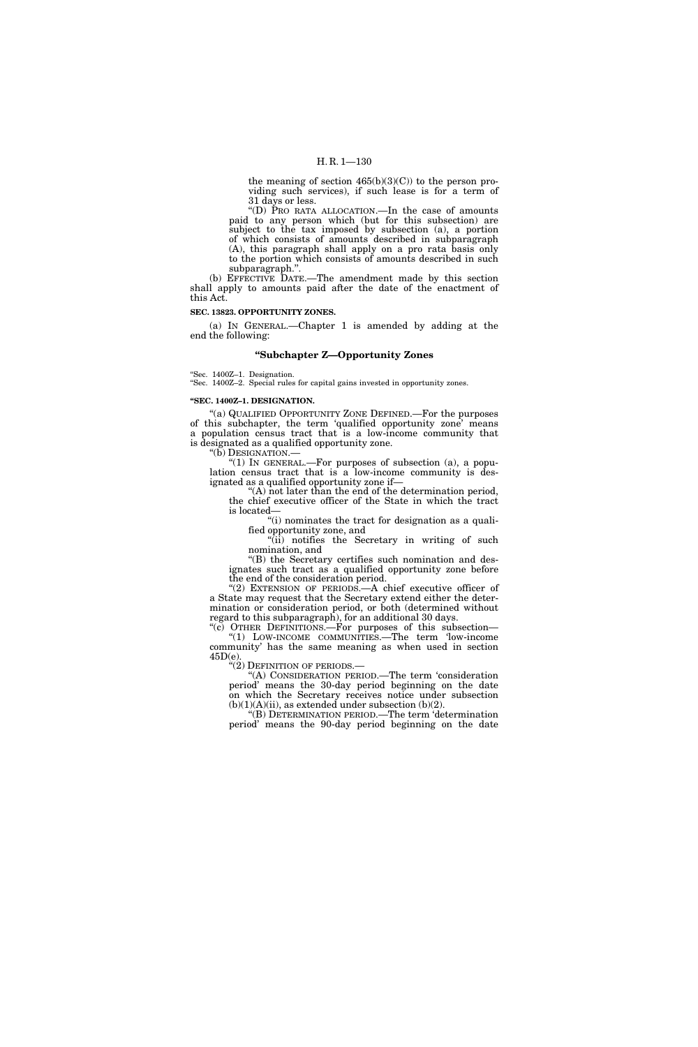## H. R. 1—130

the meaning of section  $465(b)(3)(C)$ ) to the person providing such services), if such lease is for a term of 31 days or less.

''(D) PRO RATA ALLOCATION.—In the case of amounts paid to any person which (but for this subsection) are subject to the tax imposed by subsection (a), a portion of which consists of amounts described in subparagraph (A), this paragraph shall apply on a pro rata basis only to the portion which consists of amounts described in such subparagraph.''.

(b) EFFECTIVE DATE.—The amendment made by this section shall apply to amounts paid after the date of the enactment of this Act.

## **SEC. 13823. OPPORTUNITY ZONES.**

(a) IN GENERAL.—Chapter 1 is amended by adding at the end the following:

### **''Subchapter Z—Opportunity Zones**

''Sec. 1400Z–1. Designation.

''Sec. 1400Z–2. Special rules for capital gains invested in opportunity zones.

## **''SEC. 1400Z–1. DESIGNATION.**

''(a) QUALIFIED OPPORTUNITY ZONE DEFINED.—For the purposes of this subchapter, the term 'qualified opportunity zone' means a population census tract that is a low-income community that is designated as a qualified opportunity zone.

''(b) DESIGNATION.—

"(1) IN GENERAL.—For purposes of subsection (a), a population census tract that is a low-income community is designated as a qualified opportunity zone if—

''(A) not later than the end of the determination period, the chief executive officer of the State in which the tract is located—

''(i) nominates the tract for designation as a qualified opportunity zone, and

''(ii) notifies the Secretary in writing of such nomination, and

''(B) the Secretary certifies such nomination and designates such tract as a qualified opportunity zone before the end of the consideration period.

''(2) EXTENSION OF PERIODS.—A chief executive officer of a State may request that the Secretary extend either the determination or consideration period, or both (determined without regard to this subparagraph), for an additional 30 days.

"(c) OTHER DEFINITIONS.—For purposes of this subsection— ''(1) LOW-INCOME COMMUNITIES.—The term 'low-income community' has the same meaning as when used in section  $45D(e)$ .<br>"(2) DEFINITION OF PERIODS.—

"(A) CONSIDERATION PERIOD.—The term 'consideration period' means the 30-day period beginning on the date on which the Secretary receives notice under subsection  $(b)(1)(A)(ii)$ , as extended under subsection  $(b)(2)$ .

''(B) DETERMINATION PERIOD.—The term 'determination period' means the 90-day period beginning on the date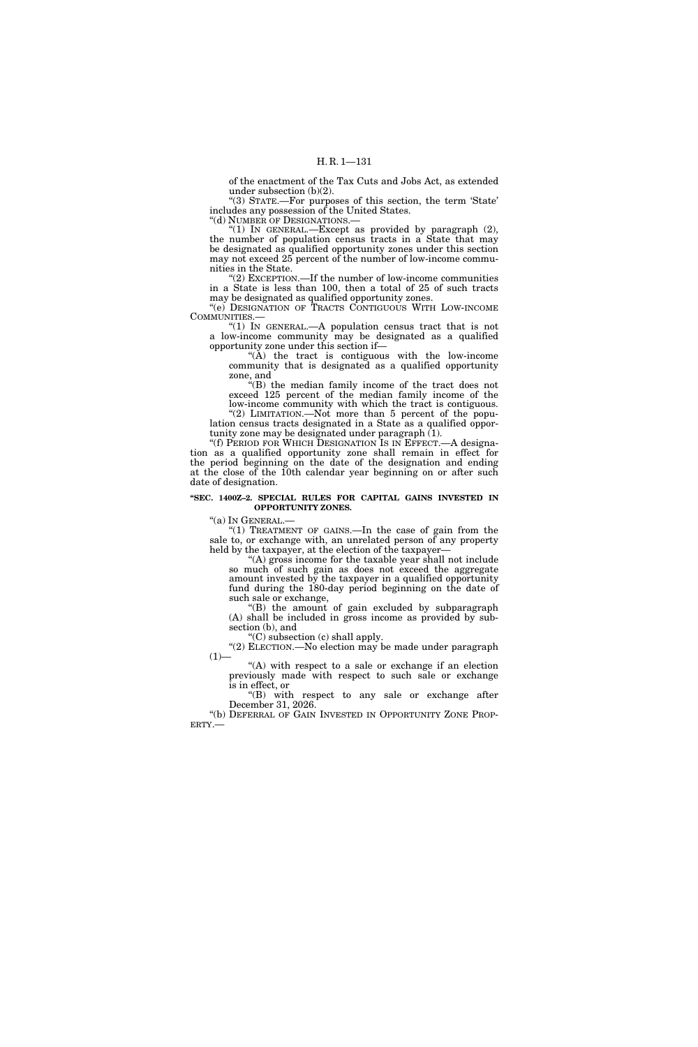of the enactment of the Tax Cuts and Jobs Act, as extended under subsection (b)(2).

''(3) STATE.—For purposes of this section, the term 'State' includes any possession of the United States.

''(d) NUMBER OF DESIGNATIONS.—

"(1) In GENERAL.—Except as provided by paragraph  $(2)$ , the number of population census tracts in a State that may be designated as qualified opportunity zones under this section may not exceed 25 percent of the number of low-income communities in the State.

''(2) EXCEPTION.—If the number of low-income communities in a State is less than 100, then a total of 25 of such tracts may be designated as qualified opportunity zones.

''(e) DESIGNATION OF TRACTS CONTIGUOUS WITH LOW-INCOME COMMUNITIES.—

''(1) IN GENERAL.—A population census tract that is not a low-income community may be designated as a qualified opportunity zone under this section if—

 $(A)$  the tract is contiguous with the low-income community that is designated as a qualified opportunity zone, and

''(B) the median family income of the tract does not exceed 125 percent of the median family income of the low-income community with which the tract is contiguous. "(2) LIMITATION.—Not more than 5 percent of the popu-

lation census tracts designated in a State as a qualified opportunity zone may be designated under paragraph (1). "(f) PERIOD FOR WHICH DESIGNATION IS IN EFFECT.—A designa-

tion as a qualified opportunity zone shall remain in effect for the period beginning on the date of the designation and ending at the close of the 10th calendar year beginning on or after such date of designation.

#### **''SEC. 1400Z–2. SPECIAL RULES FOR CAPITAL GAINS INVESTED IN OPPORTUNITY ZONES.**

''(a) IN GENERAL.—

''(1) TREATMENT OF GAINS.—In the case of gain from the sale to, or exchange with, an unrelated person of any property held by the taxpayer, at the election of the taxpayer—

''(A) gross income for the taxable year shall not include so much of such gain as does not exceed the aggregate amount invested by the taxpayer in a qualified opportunity fund during the 180-day period beginning on the date of such sale or exchange,

''(B) the amount of gain excluded by subparagraph (A) shall be included in gross income as provided by subsection (b), and

''(C) subsection (c) shall apply.

"(2) ELECTION.—No election may be made under paragraph  $(1)$ —

"(A) with respect to a sale or exchange if an election previously made with respect to such sale or exchange is in effect, or

''(B) with respect to any sale or exchange after December 31, 2026.

"(b) DEFERRAL OF GAIN INVESTED IN OPPORTUNITY ZONE PROP-ERTY.—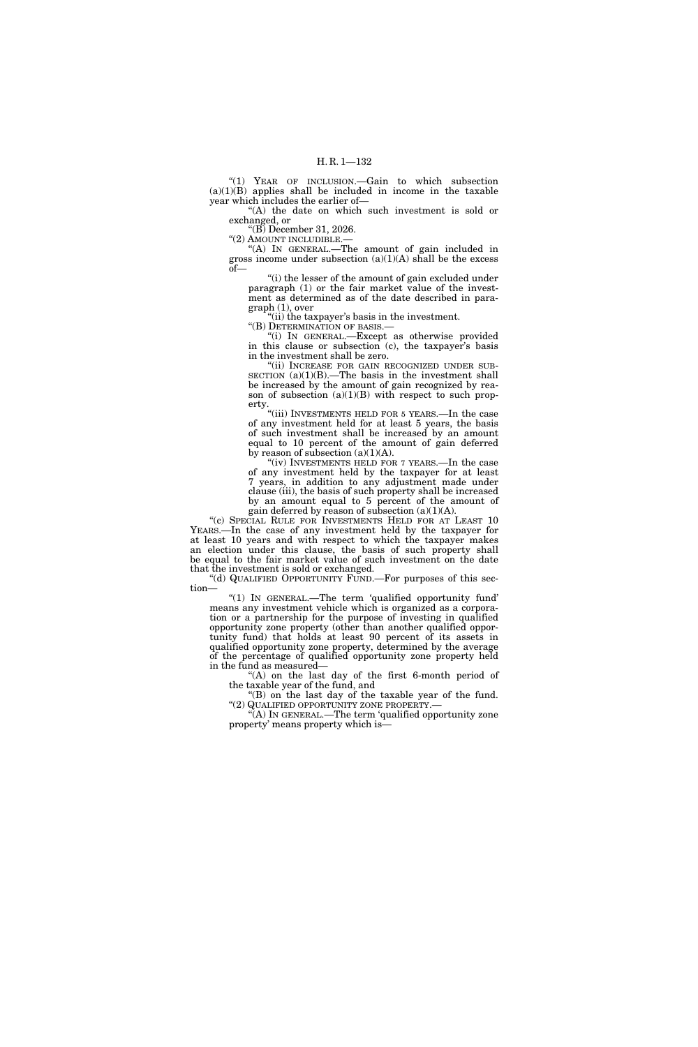''(1) YEAR OF INCLUSION.—Gain to which subsection  $(a)(1)(B)$  applies shall be included in income in the taxable year which includes the earlier of—

''(A) the date on which such investment is sold or exchanged, or

''(B) December 31, 2026.

"(2) AMOUNT INCLUDIBLE.

''(A) IN GENERAL.—The amount of gain included in gross income under subsection (a)(1)(A) shall be the excess of—

''(i) the lesser of the amount of gain excluded under paragraph (1) or the fair market value of the investment as determined as of the date described in paragraph (1), over

''(ii) the taxpayer's basis in the investment. ''(B) DETERMINATION OF BASIS.—

''(i) IN GENERAL.—Except as otherwise provided in this clause or subsection (c), the taxpayer's basis in the investment shall be zero.

'(ii) INCREASE FOR GAIN RECOGNIZED UNDER SUB-SECTION  $(a)(1)(B)$ .—The basis in the investment shall be increased by the amount of gain recognized by reason of subsection  $(a)(1)(B)$  with respect to such property.

"(iii) INVESTMENTS HELD FOR 5 YEARS.—In the case of any investment held for at least 5 years, the basis of such investment shall be increased by an amount equal to 10 percent of the amount of gain deferred by reason of subsection  $(a)(1)(A)$ .

"(iv) INVESTMENTS HELD FOR 7 YEARS.—In the case of any investment held by the taxpayer for at least 7 years, in addition to any adjustment made under clause (iii), the basis of such property shall be increased by an amount equal to 5 percent of the amount of gain deferred by reason of subsection  $(a)(1)(A)$ .

"(c) SPECIAL RULE FOR INVESTMENTS HELD FOR AT LEAST 10 YEARS.—In the case of any investment held by the taxpayer for at least 10 years and with respect to which the taxpayer makes an election under this clause, the basis of such property shall be equal to the fair market value of such investment on the date that the investment is sold or exchanged.

''(d) QUALIFIED OPPORTUNITY FUND.—For purposes of this section—

''(1) IN GENERAL.—The term 'qualified opportunity fund' means any investment vehicle which is organized as a corporation or a partnership for the purpose of investing in qualified opportunity zone property (other than another qualified opportunity fund) that holds at least 90 percent of its assets in qualified opportunity zone property, determined by the average of the percentage of qualified opportunity zone property held in the fund as measured—

''(A) on the last day of the first 6-month period of the taxable year of the fund, and

"(B) on the last day of the taxable year of the fund. ''(2) QUALIFIED OPPORTUNITY ZONE PROPERTY.— ''(A) IN GENERAL.—The term 'qualified opportunity zone

property' means property which is—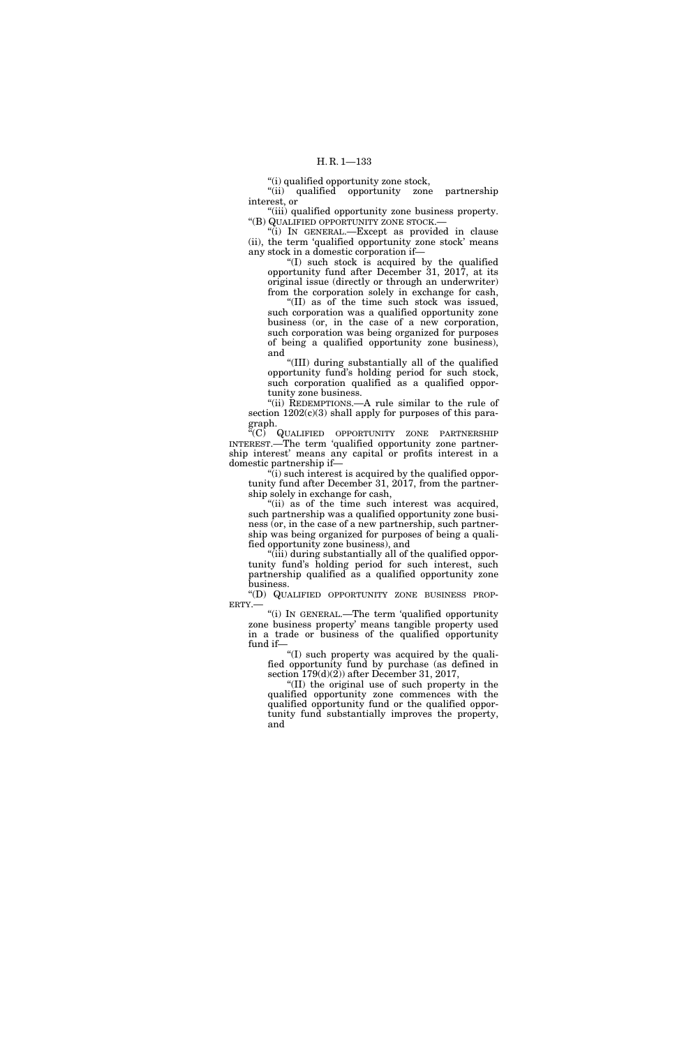## H. R. 1—133

''(i) qualified opportunity zone stock,

''(ii) qualified opportunity zone partnership interest, or

"(iii) qualified opportunity zone business property. ''(B) QUALIFIED OPPORTUNITY ZONE STOCK.—

''(i) IN GENERAL.—Except as provided in clause (ii), the term 'qualified opportunity zone stock' means any stock in a domestic corporation if—

''(I) such stock is acquired by the qualified opportunity fund after December 31, 2017, at its original issue (directly or through an underwriter) from the corporation solely in exchange for cash,

''(II) as of the time such stock was issued, such corporation was a qualified opportunity zone business (or, in the case of a new corporation, such corporation was being organized for purposes of being a qualified opportunity zone business), and

''(III) during substantially all of the qualified opportunity fund's holding period for such stock, such corporation qualified as a qualified opportunity zone business.

"(ii) REDEMPTIONS.—A rule similar to the rule of section  $1202(c)(3)$  shall apply for purposes of this paragraph.

''(C) QUALIFIED OPPORTUNITY ZONE PARTNERSHIP INTEREST.—The term 'qualified opportunity zone partnership interest' means any capital or profits interest in a domestic partnership if—

''(i) such interest is acquired by the qualified opportunity fund after December 31, 2017, from the partnership solely in exchange for cash,

"(ii) as of the time such interest was acquired, such partnership was a qualified opportunity zone business (or, in the case of a new partnership, such partnership was being organized for purposes of being a qualified opportunity zone business), and

"(iii) during substantially all of the qualified opportunity fund's holding period for such interest, such partnership qualified as a qualified opportunity zone business.

''(D) QUALIFIED OPPORTUNITY ZONE BUSINESS PROP-ERTY.—

''(i) IN GENERAL.—The term 'qualified opportunity zone business property' means tangible property used in a trade or business of the qualified opportunity fund if—

''(I) such property was acquired by the qualified opportunity fund by purchase (as defined in section  $179(d)(2)$  after December 31, 2017,

''(II) the original use of such property in the qualified opportunity zone commences with the qualified opportunity fund or the qualified opportunity fund substantially improves the property, and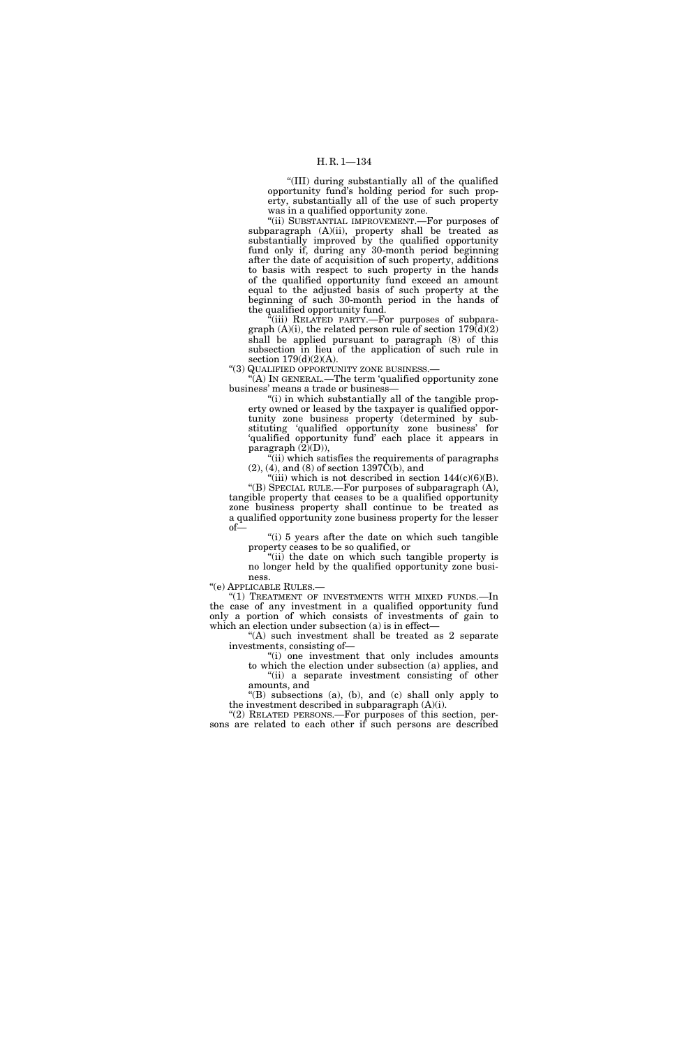## H. R. 1—134

''(III) during substantially all of the qualified opportunity fund's holding period for such property, substantially all of the use of such property was in a qualified opportunity zone.

''(ii) SUBSTANTIAL IMPROVEMENT.—For purposes of subparagraph (A)(ii), property shall be treated as substantially improved by the qualified opportunity fund only if, during any 30-month period beginning after the date of acquisition of such property, additions to basis with respect to such property in the hands of the qualified opportunity fund exceed an amount equal to the adjusted basis of such property at the beginning of such 30-month period in the hands of the qualified opportunity fund.

 $f(iii)$  RELATED PARTY.—For purposes of subparagraph  $(A)(i)$ , the related person rule of section  $179(d)(2)$ shall be applied pursuant to paragraph (8) of this subsection in lieu of the application of such rule in section 179(d)(2)(A).

''(3) QUALIFIED OPPORTUNITY ZONE BUSINESS.—

 $\mathcal{F}(A)$  In GENERAL.—The term 'qualified opportunity zone business' means a trade or business—

"(i) in which substantially all of the tangible property owned or leased by the taxpayer is qualified opportunity zone business property (determined by substituting 'qualified opportunity zone business' for 'qualified opportunity fund' each place it appears in paragraph  $(2)(D)$ ),

"(ii) which satisfies the requirements of paragraphs  $(2)$ ,  $(4)$ , and  $(8)$  of section 1397 $\hat{C}$ (b), and

"(iii) which is not described in section  $144(c)(6)(B)$ . ''(B) SPECIAL RULE.—For purposes of subparagraph (A), tangible property that ceases to be a qualified opportunity zone business property shall continue to be treated as a qualified opportunity zone business property for the lesser of—

"(i) 5 years after the date on which such tangible property ceases to be so qualified, or

''(ii) the date on which such tangible property is no longer held by the qualified opportunity zone business.

''(e) APPLICABLE RULES.—

"(1) TREATMENT OF INVESTMENTS WITH MIXED FUNDS.-In the case of any investment in a qualified opportunity fund only a portion of which consists of investments of gain to which an election under subsection (a) is in effect—

''(A) such investment shall be treated as 2 separate investments, consisting of—

''(i) one investment that only includes amounts to which the election under subsection (a) applies, and "(ii) a separate investment consisting of other amounts, and

''(B) subsections (a), (b), and (c) shall only apply to the investment described in subparagraph (A)(i).

"(2) RELATED PERSONS.—For purposes of this section, persons are related to each other if such persons are described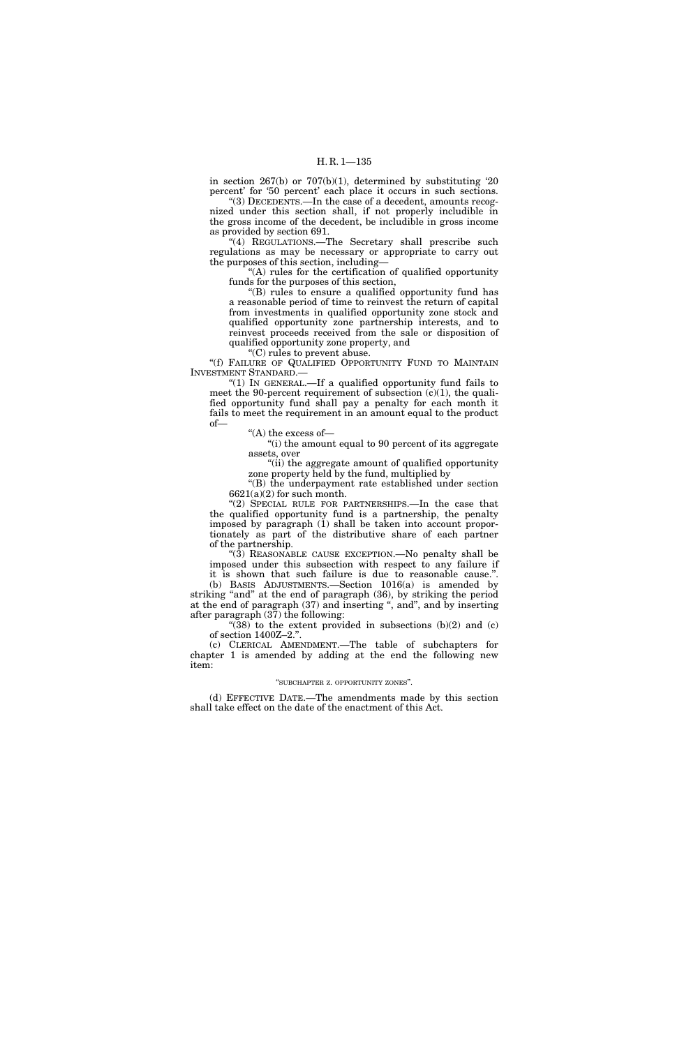in section 267(b) or 707(b)(1), determined by substituting '20 percent' for '50 percent' each place it occurs in such sections.

''(3) DECEDENTS.—In the case of a decedent, amounts recognized under this section shall, if not properly includible in the gross income of the decedent, be includible in gross income as provided by section 691.

"(4) REGULATIONS.-The Secretary shall prescribe such regulations as may be necessary or appropriate to carry out the purposes of this section, including—

''(A) rules for the certification of qualified opportunity funds for the purposes of this section,

''(B) rules to ensure a qualified opportunity fund has a reasonable period of time to reinvest the return of capital from investments in qualified opportunity zone stock and qualified opportunity zone partnership interests, and to reinvest proceeds received from the sale or disposition of qualified opportunity zone property, and

''(C) rules to prevent abuse.

"(f) FAILURE OF QUALIFIED OPPORTUNITY FUND TO MAINTAIN INVESTMENT STANDARD.—

''(1) IN GENERAL.—If a qualified opportunity fund fails to meet the 90-percent requirement of subsection  $(c)(1)$ , the qualified opportunity fund shall pay a penalty for each month it fails to meet the requirement in an amount equal to the product of—

''(A) the excess of—

"(i) the amount equal to 90 percent of its aggregate assets, over

"(ii) the aggregate amount of qualified opportunity zone property held by the fund, multiplied by

''(B) the underpayment rate established under section  $6621(a)(2)$  for such month.

''(2) SPECIAL RULE FOR PARTNERSHIPS.—In the case that the qualified opportunity fund is a partnership, the penalty imposed by paragraph (1) shall be taken into account proportionately as part of the distributive share of each partner of the partnership.

''(3) REASONABLE CAUSE EXCEPTION.—No penalty shall be imposed under this subsection with respect to any failure if

it is shown that such failure is due to reasonable cause.''. (b) BASIS ADJUSTMENTS.—Section 1016(a) is amended by striking "and" at the end of paragraph (36), by striking the period at the end of paragraph (37) and inserting '', and'', and by inserting after paragraph (37) the following:

" $(38)$  to the extent provided in subsections  $(b)(2)$  and  $(c)$ of section 1400Z–2.''.

(c) CLERICAL AMENDMENT.—The table of subchapters for chapter 1 is amended by adding at the end the following new item:

## ''SUBCHAPTER Z. OPPORTUNITY ZONES''.

(d) EFFECTIVE DATE.—The amendments made by this section shall take effect on the date of the enactment of this Act.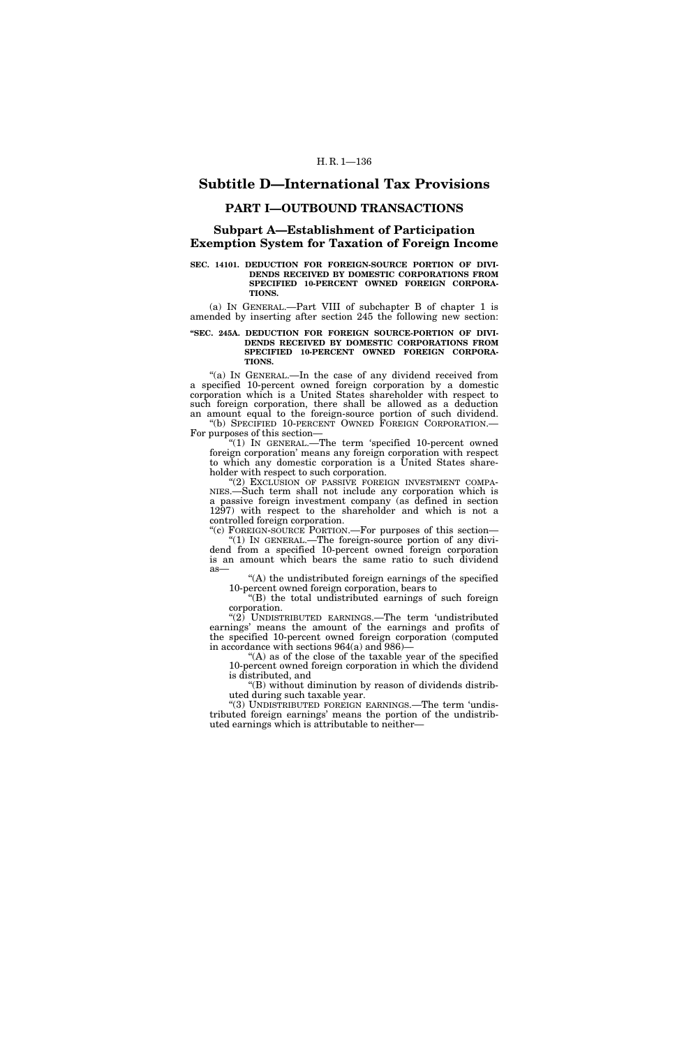# **Subtitle D—International Tax Provisions**

## **PART I—OUTBOUND TRANSACTIONS**

# **Subpart A—Establishment of Participation Exemption System for Taxation of Foreign Income**

#### **SEC. 14101. DEDUCTION FOR FOREIGN-SOURCE PORTION OF DIVI-DENDS RECEIVED BY DOMESTIC CORPORATIONS FROM SPECIFIED 10-PERCENT OWNED FOREIGN CORPORA-TIONS.**

(a) IN GENERAL.—Part VIII of subchapter B of chapter 1 is amended by inserting after section 245 the following new section:

### **''SEC. 245A. DEDUCTION FOR FOREIGN SOURCE-PORTION OF DIVI-DENDS RECEIVED BY DOMESTIC CORPORATIONS FROM SPECIFIED 10-PERCENT OWNED FOREIGN CORPORA-TIONS.**

"(a) IN GENERAL.—In the case of any dividend received from a specified 10-percent owned foreign corporation by a domestic corporation which is a United States shareholder with respect to such foreign corporation, there shall be allowed as a deduction an amount equal to the foreign-source portion of such dividend. ''(b) SPECIFIED 10-PERCENT OWNED FOREIGN CORPORATION.—

For purposes of this section— ''(1) IN GENERAL.—The term 'specified 10-percent owned foreign corporation' means any foreign corporation with respect to which any domestic corporation is a United States share-

holder with respect to such corporation. (2) EXCLUSION OF PASSIVE FOREIGN INVESTMENT COMPA-NIES.—Such term shall not include any corporation which is a passive foreign investment company (as defined in section 1297) with respect to the shareholder and which is not a

controlled foreign corporation. "(c) FOREIGN-SOURCE PORTION.—For purposes of this section—  $^{\prime}(1)$  In GENERAL.—The foreign-source portion of any dividend from a specified 10-percent owned foreign corporation is an amount which bears the same ratio to such dividend

as—

''(A) the undistributed foreign earnings of the specified 10-percent owned foreign corporation, bears to

''(B) the total undistributed earnings of such foreign corporation.

" $(2)$  UNDISTRIBUTED EARNINGS.—The term 'undistributed earnings' means the amount of the earnings and profits of the specified 10-percent owned foreign corporation (computed in accordance with sections 964(a) and 986)—

 $(A)$  as of the close of the taxable year of the specified 10-percent owned foreign corporation in which the dividend is distributed, and

''(B) without diminution by reason of dividends distributed during such taxable year.

''(3) UNDISTRIBUTED FOREIGN EARNINGS.—The term 'undistributed foreign earnings' means the portion of the undistributed earnings which is attributable to neither—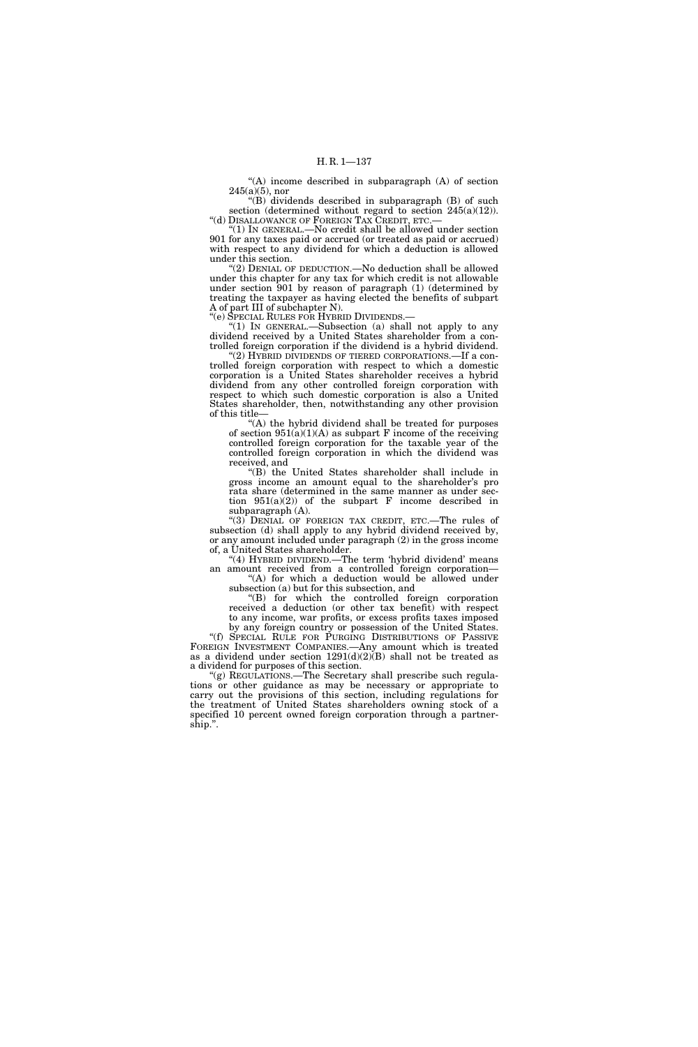''(A) income described in subparagraph (A) of section  $245(a)(5)$ , nor

" $(B)$  dividends described in subparagraph  $(B)$  of such section (determined without regard to section 245(a)(12)). ''(d) DISALLOWANCE OF FOREIGN TAX CREDIT, ETC.—

''(1) IN GENERAL.—No credit shall be allowed under section 901 for any taxes paid or accrued (or treated as paid or accrued) with respect to any dividend for which a deduction is allowed under this section.

''(2) DENIAL OF DEDUCTION.—No deduction shall be allowed under this chapter for any tax for which credit is not allowable under section 901 by reason of paragraph (1) (determined by treating the taxpayer as having elected the benefits of subpart A of part III of subchapter N).

''(e) SPECIAL RULES FOR HYBRID DIVIDENDS.—

''(1) IN GENERAL.—Subsection (a) shall not apply to any dividend received by a United States shareholder from a controlled foreign corporation if the dividend is a hybrid dividend.

'(2) HYBRID DIVIDENDS OF TIERED CORPORATIONS.—If a controlled foreign corporation with respect to which a domestic corporation is a United States shareholder receives a hybrid dividend from any other controlled foreign corporation with respect to which such domestic corporation is also a United States shareholder, then, notwithstanding any other provision of this title—

 $f(A)$  the hybrid dividend shall be treated for purposes of section  $951(a)(1)(A)$  as subpart F income of the receiving controlled foreign corporation for the taxable year of the controlled foreign corporation in which the dividend was received, and

''(B) the United States shareholder shall include in gross income an amount equal to the shareholder's pro rata share (determined in the same manner as under section  $951(a)(2)$  of the subpart F income described in subparagraph (A).

''(3) DENIAL OF FOREIGN TAX CREDIT, ETC.—The rules of subsection (d) shall apply to any hybrid dividend received by, or any amount included under paragraph (2) in the gross income of, a United States shareholder.

''(4) HYBRID DIVIDEND.—The term 'hybrid dividend' means an amount received from a controlled foreign corporation— "(A) for which a deduction would be allowed under

subsection (a) but for this subsection, and

''(B) for which the controlled foreign corporation received a deduction (or other tax benefit) with respect to any income, war profits, or excess profits taxes imposed by any foreign country or possession of the United States.

''(f) SPECIAL RULE FOR PURGING DISTRIBUTIONS OF PASSIVE FOREIGN INVESTMENT COMPANIES.—Any amount which is treated as a dividend under section  $1291(d)(2)(B)$  shall not be treated as a dividend for purposes of this section.

''(g) REGULATIONS.—The Secretary shall prescribe such regulations or other guidance as may be necessary or appropriate to carry out the provisions of this section, including regulations for the treatment of United States shareholders owning stock of a specified 10 percent owned foreign corporation through a partnership.''.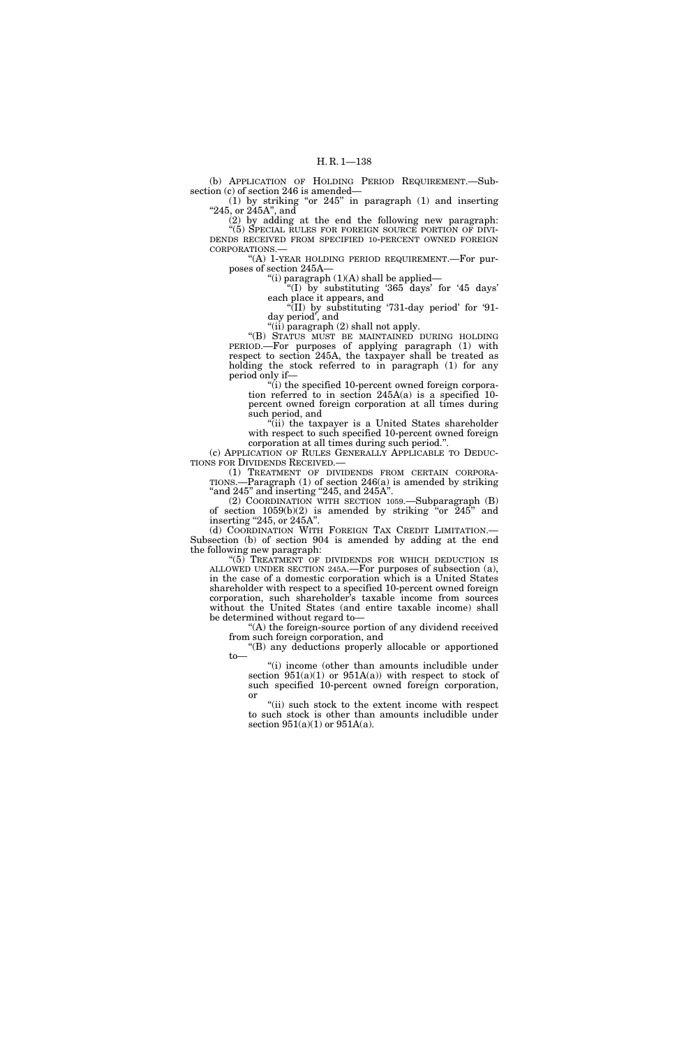(b) APPLICATION OF HOLDING PERIOD REQUIREMENT.—Subsection (c) of section 246 is amended—

 $(1)$  by striking "or 245" in paragraph  $(1)$  and inserting "245, or 245A", and

(2) by adding at the end the following new paragraph: ''(5) SPECIAL RULES FOR FOREIGN SOURCE PORTION OF DIVI-DENDS RECEIVED FROM SPECIFIED 10-PERCENT OWNED FOREIGN CORPORATIONS.—

"(A) 1-YEAR HOLDING PERIOD REQUIREMENT.—For purposes of section 245A—

''(i) paragraph (1)(A) shall be applied—

''(I) by substituting '365 days' for '45 days' each place it appears, and

 $\sqrt{\text{III}}$  by substituting '731-day period' for '91day period', and

 $'$ (ii) paragraph (2) shall not apply.

''(B) STATUS MUST BE MAINTAINED DURING HOLDING PERIOD.—For purposes of applying paragraph (1) with respect to section 245A, the taxpayer shall be treated as holding the stock referred to in paragraph (1) for any period only if—

"(i) the specified 10-percent owned foreign corporation referred to in section 245A(a) is a specified 10 percent owned foreign corporation at all times during such period, and

(ii) the taxpayer is a United States shareholder with respect to such specified 10-percent owned foreign corporation at all times during such period.''.

(c) APPLICATION OF RULES GENERALLY APPLICABLE TO DEDUC-TIONS FOR DIVIDENDS RECEIVED.—

(1) TREATMENT OF DIVIDENDS FROM CERTAIN CORPORA-TIONS.—Paragraph (1) of section 246(a) is amended by striking "and  $245$ " and inserting " $245$ , and  $245A$ ".

(2) COORDINATION WITH SECTION 1059.—Subparagraph (B) of section  $1059(b)(2)$  is amended by striking "or  $245$ " and

inserting "245, or 245A".<br>(d) COORDINATION WITH FOREIGN TAX CREDIT LIMITATION.— Subsection (b) of section 904 is amended by adding at the end the following new paragraph:

"(5) TREATMENT OF DIVIDENDS FOR WHICH DEDUCTION IS ALLOWED UNDER SECTION 245A.—For purposes of subsection (a), in the case of a domestic corporation which is a United States shareholder with respect to a specified 10-percent owned foreign corporation, such shareholder's taxable income from sources without the United States (and entire taxable income) shall be determined without regard to—

"(A) the foreign-source portion of any dividend received from such foreign corporation, and

''(B) any deductions properly allocable or apportioned to—

''(i) income (other than amounts includible under section  $951(a)(1)$  or  $951A(a)$ ) with respect to stock of such specified 10-percent owned foreign corporation, or

"(ii) such stock to the extent income with respect to such stock is other than amounts includible under section  $951(a)(1)$  or  $951A(a)$ .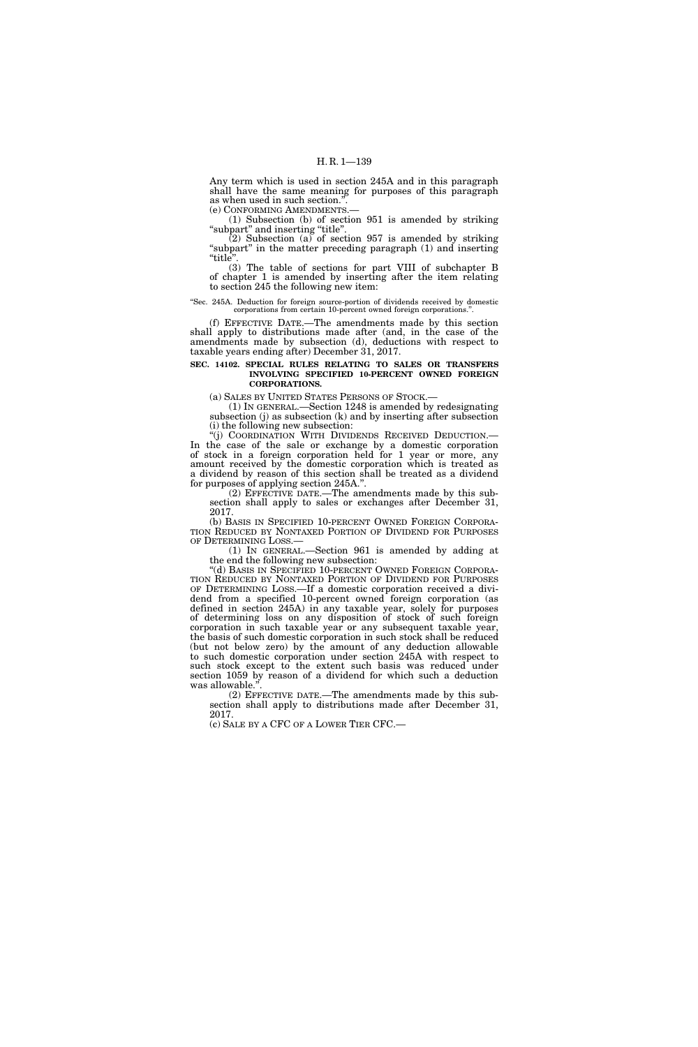Any term which is used in section 245A and in this paragraph shall have the same meaning for purposes of this paragraph as when used in such section.".<br>(e) CONFORMING AMENDMENTS.-

 $(1)$  Subsection (b) of section 951 is amended by striking "subpart" and inserting "title".

 $(2)$  Subsection  $(a)$  of section 957 is amended by striking "subpart" in the matter preceding paragraph (1) and inserting "title"

(3) The table of sections for part VIII of subchapter B of chapter 1 is amended by inserting after the item relating to section 245 the following new item:

#### ''Sec. 245A. Deduction for foreign source-portion of dividends received by domestic corporations from certain 10-percent owned foreign corporations.''.

(f) EFFECTIVE DATE.—The amendments made by this section shall apply to distributions made after (and, in the case of the amendments made by subsection (d), deductions with respect to taxable years ending after) December 31, 2017.

## **SEC. 14102. SPECIAL RULES RELATING TO SALES OR TRANSFERS INVOLVING SPECIFIED 10-PERCENT OWNED FOREIGN CORPORATIONS.**

(a) SALES BY UNITED STATES PERSONS OF STOCK.— (1) IN GENERAL.—Section 1248 is amended by redesignating subsection (j) as subsection (k) and by inserting after subsection (i) the following new subsection:<br>"(j) COORDINATION WITH DIVIDENDS RECEIVED DEDUCTION.—

In the case of the sale or exchange by a domestic corporation of stock in a foreign corporation held for 1 year or more, any amount received by the domestic corporation which is treated as a dividend by reason of this section shall be treated as a dividend for purposes of applying section 245A.''.

(2) EFFECTIVE DATE.—The amendments made by this subsection shall apply to sales or exchanges after December 31, 2017.

(b) BASIS IN SPECIFIED 10-PERCENT OWNED FOREIGN CORPORA- TION REDUCED BY NONTAXED PORTION OF DIVIDEND FOR PURPOSES OF DETERMINING LOSS.—

(1) IN GENERAL.—Section 961 is amended by adding at the end the following new subsection:

''(d) BASIS IN SPECIFIED 10-PERCENT OWNED FOREIGN CORPORA- TION REDUCED BY NONTAXED PORTION OF DIVIDEND FOR PURPOSES OF DETERMINING LOSS.—If a domestic corporation received a dividend from a specified 10-percent owned foreign corporation (as defined in section 245A) in any taxable year, solely for purposes of determining loss on any disposition of stock of such foreign corporation in such taxable year or any subsequent taxable year, the basis of such domestic corporation in such stock shall be reduced (but not below zero) by the amount of any deduction allowable to such domestic corporation under section 245A with respect to such stock except to the extent such basis was reduced under section 1059 by reason of a dividend for which such a deduction was allowable.'

(2) EFFECTIVE DATE.—The amendments made by this subsection shall apply to distributions made after December 31, 2017.

(c) SALE BY A CFC OF A LOWER TIER CFC.—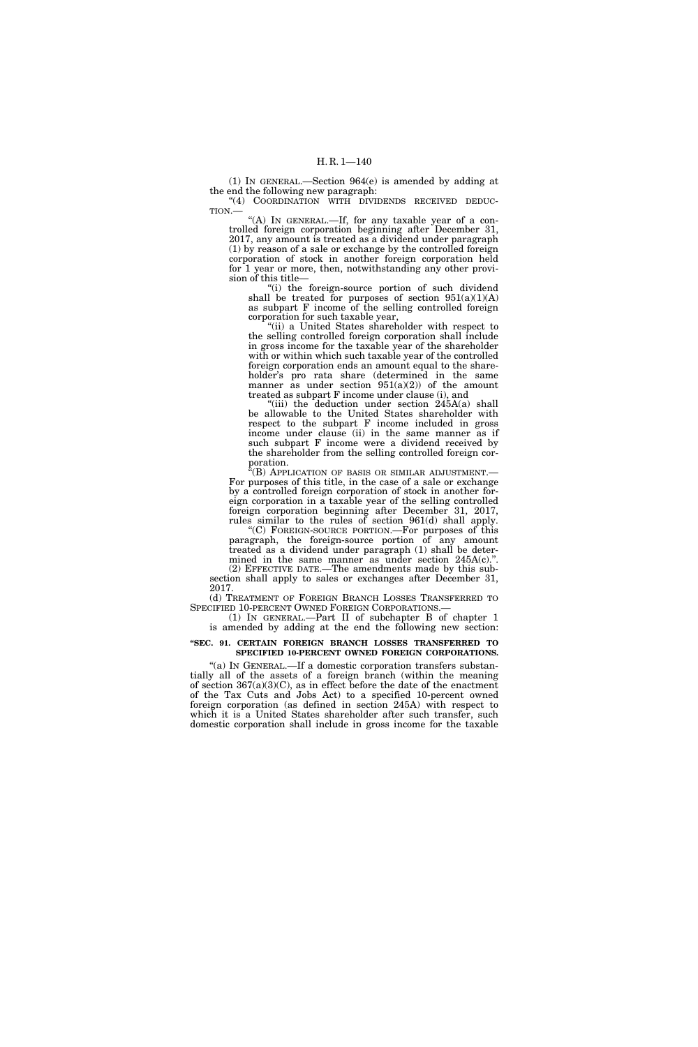(1) IN GENERAL.—Section 964(e) is amended by adding at the end the following new paragraph:

"(4) COORDINATION WITH DIVIDENDS RECEIVED DEDUC-TION.—

"(A) IN GENERAL.-If, for any taxable year of a controlled foreign corporation beginning after December 31, 2017, any amount is treated as a dividend under paragraph (1) by reason of a sale or exchange by the controlled foreign corporation of stock in another foreign corporation held for 1 year or more, then, notwithstanding any other provision of this title—

"(i) the foreign-source portion of such dividend shall be treated for purposes of section 951(a)(1)(A) as subpart F income of the selling controlled foreign corporation for such taxable year,

"(ii) a United States shareholder with respect to the selling controlled foreign corporation shall include in gross income for the taxable year of the shareholder with or within which such taxable year of the controlled foreign corporation ends an amount equal to the shareholder's pro rata share (determined in the same manner as under\_section 951(a)(2)) of the amount treated as subpart F income under clause (i), and

"(iii) the deduction under section  $245A(a)$  shall be allowable to the United States shareholder with respect to the subpart F income included in gross income under clause (ii) in the same manner as if such subpart F income were a dividend received by the shareholder from the selling controlled foreign corporation.

''(B) APPLICATION OF BASIS OR SIMILAR ADJUSTMENT.— For purposes of this title, in the case of a sale or exchange by a controlled foreign corporation of stock in another foreign corporation in a taxable year of the selling controlled foreign corporation beginning after December 31, 2017, rules similar to the rules of section 961(d) shall apply.

''(C) FOREIGN-SOURCE PORTION.—For purposes of this paragraph, the foreign-source portion of any amount treated as a dividend under paragraph (1) shall be determined in the same manner as under section 245A(c).". (2) EFFECTIVE DATE.—The amendments made by this sub-

section shall apply to sales or exchanges after December 31, 2017.

(d) TREATMENT OF FOREIGN BRANCH LOSSES TRANSFERRED TO SPECIFIED 10-PERCENT OWNED FOREIGN CORPORATIONS.—

(1) IN GENERAL.—Part II of subchapter B of chapter 1 is amended by adding at the end the following new section:

#### **''SEC. 91. CERTAIN FOREIGN BRANCH LOSSES TRANSFERRED TO SPECIFIED 10-PERCENT OWNED FOREIGN CORPORATIONS.**

"(a) IN GENERAL.—If a domestic corporation transfers substantially all of the assets of a foreign branch (within the meaning of section  $367(a)(3)(C)$ , as in effect before the date of the enactment of the Tax Cuts and Jobs Act) to a specified 10-percent owned foreign corporation (as defined in section 245A) with respect to which it is a United States shareholder after such transfer, such domestic corporation shall include in gross income for the taxable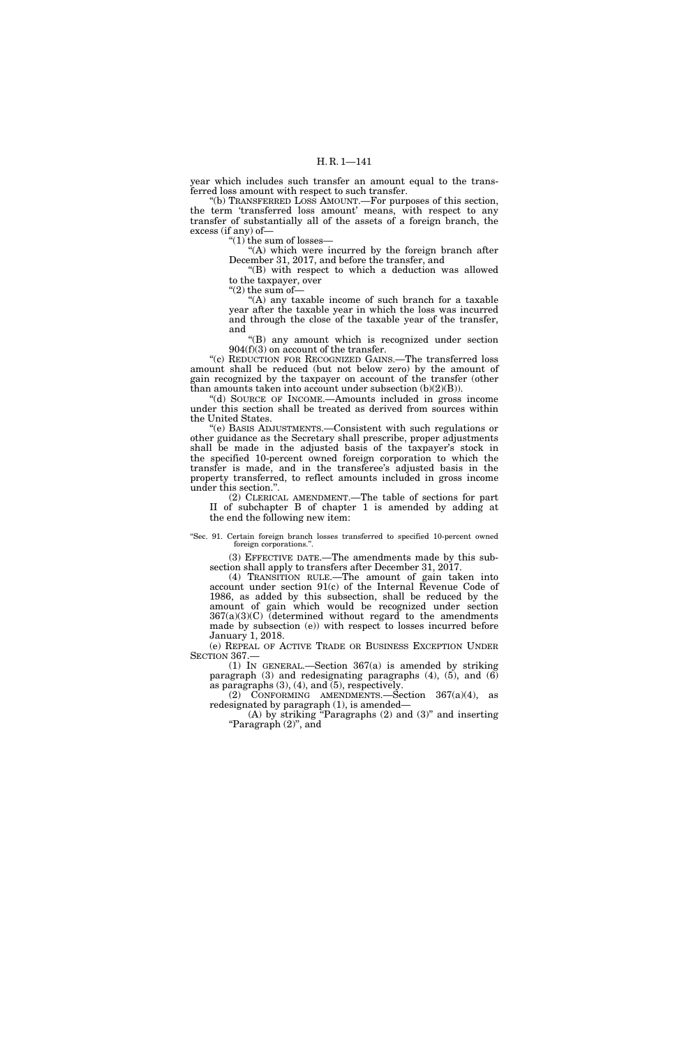year which includes such transfer an amount equal to the transferred loss amount with respect to such transfer.

''(b) TRANSFERRED LOSS AMOUNT.—For purposes of this section, the term 'transferred loss amount' means, with respect to any transfer of substantially all of the assets of a foreign branch, the excess (if any) of—

''(1) the sum of losses—

"(A) which were incurred by the foreign branch after December 31, 2017, and before the transfer, and

''(B) with respect to which a deduction was allowed to the taxpayer, over

 $(2)$  the sum of-

''(A) any taxable income of such branch for a taxable year after the taxable year in which the loss was incurred and through the close of the taxable year of the transfer, and

''(B) any amount which is recognized under section 904(f)(3) on account of the transfer.

''(c) REDUCTION FOR RECOGNIZED GAINS.—The transferred loss amount shall be reduced (but not below zero) by the amount of gain recognized by the taxpayer on account of the transfer (other than amounts taken into account under subsection  $(b)(2)(B)$ ).

''(d) SOURCE OF INCOME.—Amounts included in gross income under this section shall be treated as derived from sources within the United States.

''(e) BASIS ADJUSTMENTS.—Consistent with such regulations or other guidance as the Secretary shall prescribe, proper adjustments shall be made in the adjusted basis of the taxpayer's stock in the specified 10-percent owned foreign corporation to which the transfer is made, and in the transferee's adjusted basis in the property transferred, to reflect amounts included in gross income under this section.''.

(2) CLERICAL AMENDMENT.—The table of sections for part II of subchapter B of chapter 1 is amended by adding at the end the following new item:

''Sec. 91. Certain foreign branch losses transferred to specified 10-percent owned foreign corporations."

(3) EFFECTIVE DATE.—The amendments made by this subsection shall apply to transfers after December 31, 2017.

(4) TRANSITION RULE.—The amount of gain taken into account under section 91(c) of the Internal Revenue Code of 1986, as added by this subsection, shall be reduced by the amount of gain which would be recognized under section  $367(a)(3)(C)$  (determined without regard to the amendments made by subsection (e)) with respect to losses incurred before January 1, 2018.

(e) REPEAL OF ACTIVE TRADE OR BUSINESS EXCEPTION UNDER SECTION 367.—

(1) IN GENERAL.—Section 367(a) is amended by striking paragraph  $(3)$  and redesignating paragraphs  $(4)$ ,  $(5)$ , and  $(6)$ as paragraphs (3), (4), and (5), respectively.

(2) CONFORMING AMENDMENTS.—Section  $367(a)(4)$ , as redesignated by paragraph (1), is amended—

 $(A)$  by striking "Paragraphs  $(2)$  and  $(3)$ " and inserting ''Paragraph (2)'', and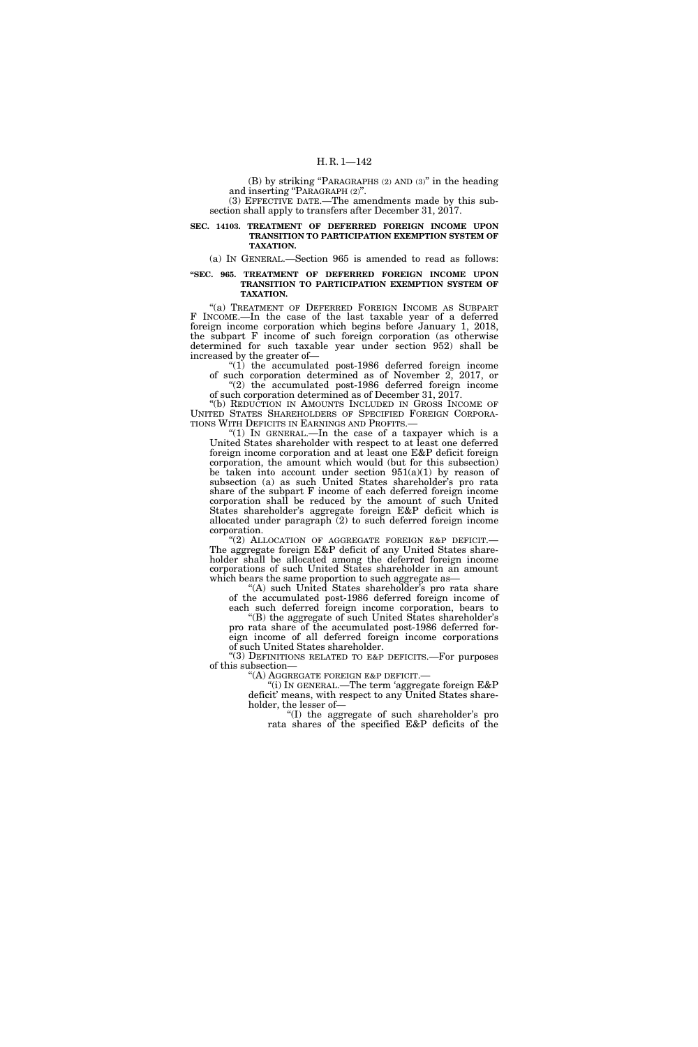(B) by striking ''PARAGRAPHS (2) AND (3)'' in the heading and inserting "PARAGRAPH  $(2)$ ". (3) EFFECTIVE DATE.—The amendments made by this sub-

section shall apply to transfers after December 31, 2017.

#### **SEC. 14103. TREATMENT OF DEFERRED FOREIGN INCOME UPON TRANSITION TO PARTICIPATION EXEMPTION SYSTEM OF TAXATION.**

(a) IN GENERAL.—Section 965 is amended to read as follows:

## **''SEC. 965. TREATMENT OF DEFERRED FOREIGN INCOME UPON TRANSITION TO PARTICIPATION EXEMPTION SYSTEM OF TAXATION.**

"(a) TREATMENT OF DEFERRED FOREIGN INCOME AS SUBPART F INCOME.—In the case of the last taxable year of a deferred foreign income corporation which begins before January 1, 2018, the subpart F income of such foreign corporation (as otherwise determined for such taxable year under section 952) shall be increased by the greater of—

" $(1)$  the accumulated post-1986 deferred foreign income of such corporation determined as of November 2, 2017, or ''(2) the accumulated post-1986 deferred foreign income

of such corporation determined as of December 31, 2017.

''(b) REDUCTION IN AMOUNTS INCLUDED IN GROSS INCOME OF UNITED STATES SHAREHOLDERS OF SPECIFIED FOREIGN CORPORA-TIONS WITH DEFICITS IN EARNINGS AND PROFITS.—

"(1) IN GENERAL.—In the case of a taxpayer which is a United States shareholder with respect to at least one deferred foreign income corporation and at least one E&P deficit foreign corporation, the amount which would (but for this subsection) be taken into account under section  $951(a)(1)$  by reason of subsection (a) as such United States shareholder's pro rata share of the subpart F income of each deferred foreign income corporation shall be reduced by the amount of such United States shareholder's aggregate foreign E&P deficit which is allocated under paragraph (2) to such deferred foreign income corporation.

''(2) ALLOCATION OF AGGREGATE FOREIGN E&P DEFICIT.— The aggregate foreign E&P deficit of any United States shareholder shall be allocated among the deferred foreign income corporations of such United States shareholder in an amount which bears the same proportion to such aggregate as—

"(A) such United States shareholder's pro rata share of the accumulated post-1986 deferred foreign income of each such deferred foreign income corporation, bears to

"(B) the aggregate of such United States shareholder's pro rata share of the accumulated post-1986 deferred foreign income of all deferred foreign income corporations

of such United States shareholder. ''(3) DEFINITIONS RELATED TO E&P DEFICITS.—For purposes of this subsection—

''(A) AGGREGATE FOREIGN E&P DEFICIT.— ''(i) IN GENERAL.—The term 'aggregate foreign E&P deficit' means, with respect to any United States shareholder, the lesser of—

'(I) the aggregate of such shareholder's pro rata shares of the specified E&P deficits of the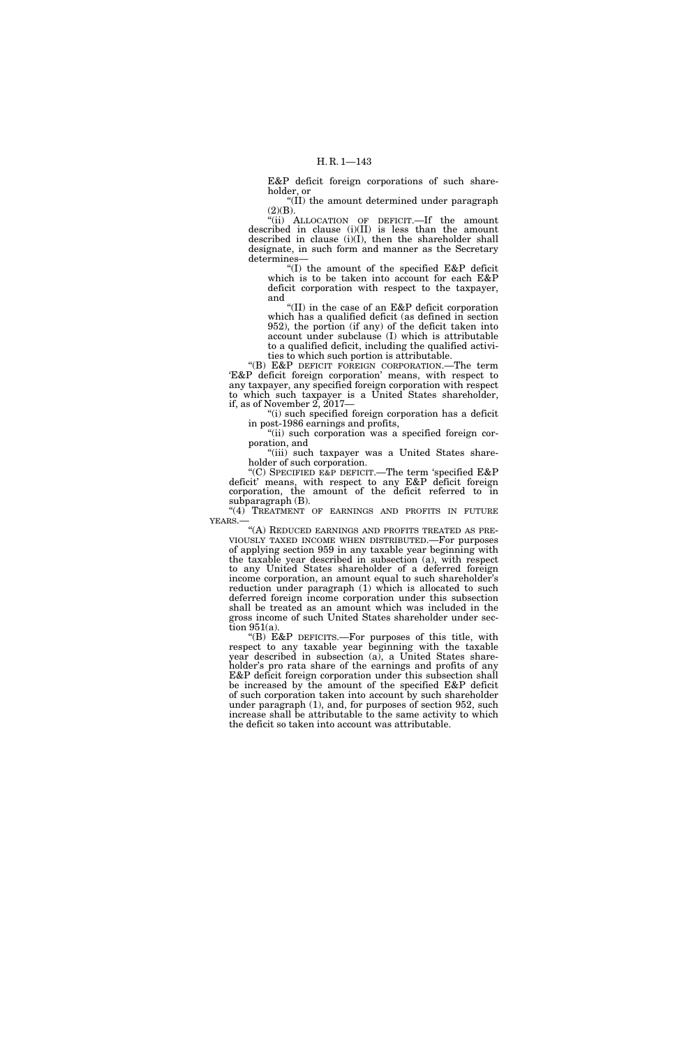E&P deficit foreign corporations of such shareholder, or

''(II) the amount determined under paragraph  $(2)(B).$ 

''(ii) ALLOCATION OF DEFICIT.—If the amount described in clause (i)(II) is less than the amount described in clause (i)(I), then the shareholder shall designate, in such form and manner as the Secretary determines—

"(I) the amount of the specified  $E\&P$  deficit which is to be taken into account for each E&P deficit corporation with respect to the taxpayer, and

''(II) in the case of an E&P deficit corporation which has a qualified deficit (as defined in section 952), the portion (if any) of the deficit taken into account under subclause (I) which is attributable to a qualified deficit, including the qualified activities to which such portion is attributable.

''(B) E&P DEFICIT FOREIGN CORPORATION.—The term 'E&P deficit foreign corporation' means, with respect to any taxpayer, any specified foreign corporation with respect to which such taxpayer is a United States shareholder, if, as of November  $2, 2017$ —

''(i) such specified foreign corporation has a deficit in post-1986 earnings and profits,

"(ii) such corporation was a specified foreign corporation, and

"(iii) such taxpayer was a United States shareholder of such corporation.

''(C) SPECIFIED E&P DEFICIT.—The term 'specified E&P deficit' means, with respect to any E&P deficit foreign corporation, the amount of the deficit referred to in subparagraph (B).

"(4) TREATMENT OF EARNINGS AND PROFITS IN FUTURE YEARS.—

''(A) REDUCED EARNINGS AND PROFITS TREATED AS PRE- VIOUSLY TAXED INCOME WHEN DISTRIBUTED.—For purposes of applying section 959 in any taxable year beginning with the taxable year described in subsection (a), with respect to any United States shareholder of a deferred foreign income corporation, an amount equal to such shareholder's reduction under paragraph (1) which is allocated to such deferred foreign income corporation under this subsection shall be treated as an amount which was included in the gross income of such United States shareholder under section 951(a).

''(B) E&P DEFICITS.—For purposes of this title, with respect to any taxable year beginning with the taxable year described in subsection (a), a United States shareholder's pro rata share of the earnings and profits of any E&P deficit foreign corporation under this subsection shall be increased by the amount of the specified E&P deficit of such corporation taken into account by such shareholder under paragraph (1), and, for purposes of section 952, such increase shall be attributable to the same activity to which the deficit so taken into account was attributable.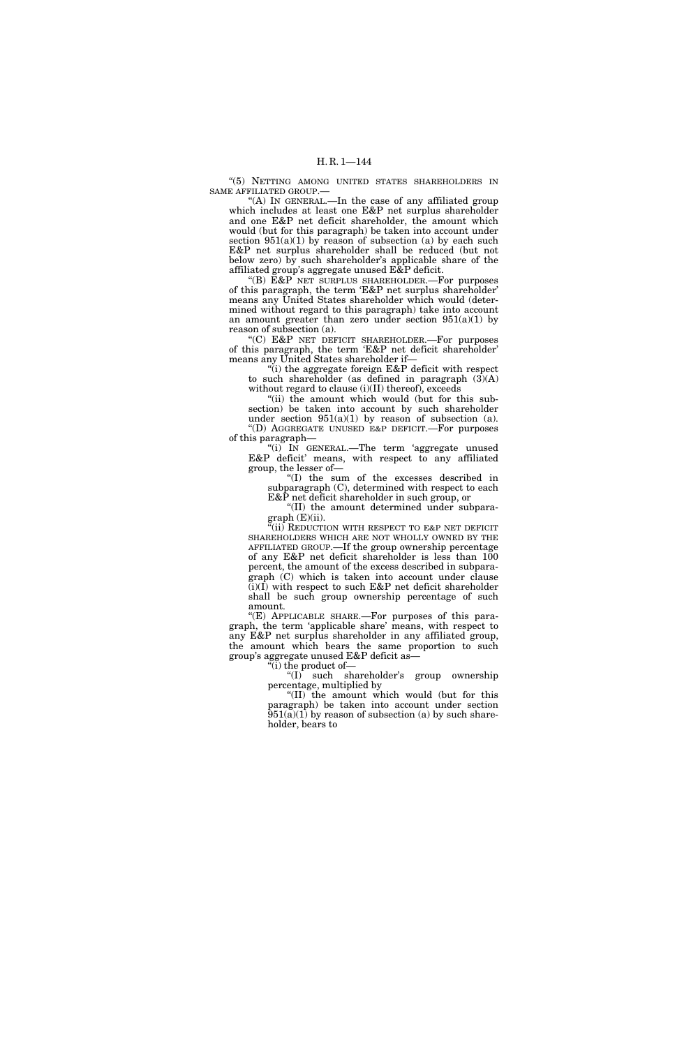''(5) NETTING AMONG UNITED STATES SHAREHOLDERS IN SAME AFFILIATED GROUP.—

''(A) IN GENERAL.—In the case of any affiliated group which includes at least one E&P net surplus shareholder and one E&P net deficit shareholder, the amount which would (but for this paragraph) be taken into account under section  $951(a)(1)$  by reason of subsection (a) by each such E&P net surplus shareholder shall be reduced (but not below zero) by such shareholder's applicable share of the affiliated group's aggregate unused E&P deficit.

''(B) E&P NET SURPLUS SHAREHOLDER.—For purposes of this paragraph, the term 'E&P net surplus shareholder' means any United States shareholder which would (determined without regard to this paragraph) take into account an amount greater than zero under section  $951(a)(1)$  by reason of subsection (a).

"(C)  $E&P$  NET DEFICIT SHAREHOLDER.—For purposes of this paragraph, the term 'E&P net deficit shareholder' means any United States shareholder if—

 $\tilde{f}(i)$  the aggregate foreign E&P deficit with respect to such shareholder (as defined in paragraph  $(3)(A)$ without regard to clause (i)(II) thereof), exceeds

''(ii) the amount which would (but for this subsection) be taken into account by such shareholder under section  $951(a)(1)$  by reason of subsection (a). ''(D) AGGREGATE UNUSED E&P DEFICIT.—For purposes of this paragraph—

" $(i)$  IN GENERAL.—The term 'aggregate unused E&P deficit' means, with respect to any affiliated group, the lesser of—

''(I) the sum of the excesses described in subparagraph (C), determined with respect to each E&P net deficit shareholder in such group, or

''(II) the amount determined under subpara $graph(E)(ii)$ .

 $\sqrt[\alpha]{\text{iii)}}$  Reduction with respect to e&p net deficit SHAREHOLDERS WHICH ARE NOT WHOLLY OWNED BY THE AFFILIATED GROUP.—If the group ownership percentage of any E&P net deficit shareholder is less than 100 percent, the amount of the excess described in subparagraph (C) which is taken into account under clause  $(i)(I)$  with respect to such  $E\&P$  net deficit shareholder shall be such group ownership percentage of such amount.

"(E) APPLICABLE SHARE.—For purposes of this paragraph, the term 'applicable share' means, with respect to any E&P net surplus shareholder in any affiliated group, the amount which bears the same proportion to such group's aggregate unused E&P deficit as—

''(i) the product of—

''(I) such shareholder's group ownership percentage, multiplied by

''(II) the amount which would (but for this paragraph) be taken into account under section  $951(a)(1)$  by reason of subsection (a) by such shareholder, bears to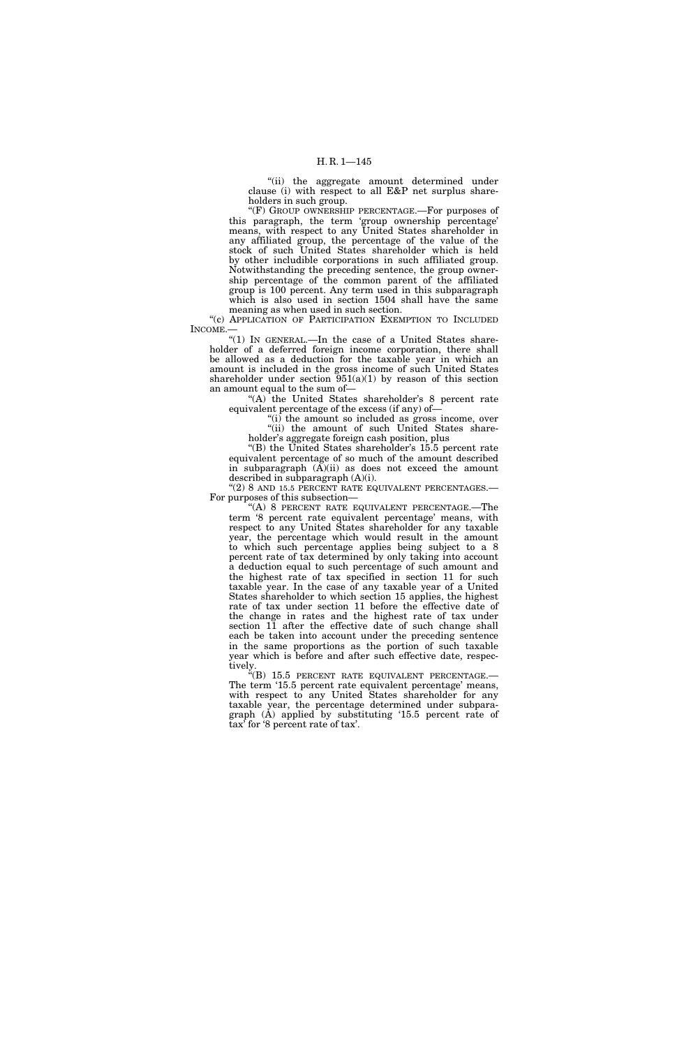''(ii) the aggregate amount determined under clause (i) with respect to all E&P net surplus shareholders in such group.

''(F) GROUP OWNERSHIP PERCENTAGE.—For purposes of this paragraph, the term 'group ownership percentage' means, with respect to any United States shareholder in any affiliated group, the percentage of the value of the stock of such United States shareholder which is held by other includible corporations in such affiliated group. Notwithstanding the preceding sentence, the group ownership percentage of the common parent of the affiliated group is 100 percent. Any term used in this subparagraph which is also used in section 1504 shall have the same meaning as when used in such section.

"(c) APPLICATION OF PARTICIPATION EXEMPTION TO INCLUDED INCOME.—

"(1) In GENERAL.—In the case of a United States shareholder of a deferred foreign income corporation, there shall be allowed as a deduction for the taxable year in which an amount is included in the gross income of such United States shareholder under section  $951(a)(1)$  by reason of this section an amount equal to the sum of—

"(A) the United States shareholder's  $8$  percent rate equivalent percentage of the excess (if any) of—

 $\sqrt[4]{(i)}$  the amount so included as gross income, over ''(ii) the amount of such United States shareholder's aggregate foreign cash position, plus

"(B) the United States shareholder's 15.5 percent rate equivalent percentage of so much of the amount described in subparagraph  $(A)(ii)$  as does not exceed the amount described in subparagraph (A)(i).

 $C(2)$  8 AND 15.5 PERCENT RATE EQUIVALENT PERCENTAGES. For purposes of this subsection—

''(A) 8 PERCENT RATE EQUIVALENT PERCENTAGE.—The term '8 percent rate equivalent percentage' means, with respect to any United States shareholder for any taxable year, the percentage which would result in the amount to which such percentage applies being subject to a 8 percent rate of tax determined by only taking into account a deduction equal to such percentage of such amount and the highest rate of tax specified in section 11 for such taxable year. In the case of any taxable year of a United States shareholder to which section 15 applies, the highest rate of tax under section 11 before the effective date of the change in rates and the highest rate of tax under section 11 after the effective date of such change shall each be taken into account under the preceding sentence in the same proportions as the portion of such taxable year which is before and after such effective date, respectively.

"(B) 15.5 PERCENT RATE EQUIVALENT PERCENTAGE.— The term '15.5 percent rate equivalent percentage' means, with respect to any United States shareholder for any taxable year, the percentage determined under subparagraph (A) applied by substituting '15.5 percent rate of tax' for '8 percent rate of tax'.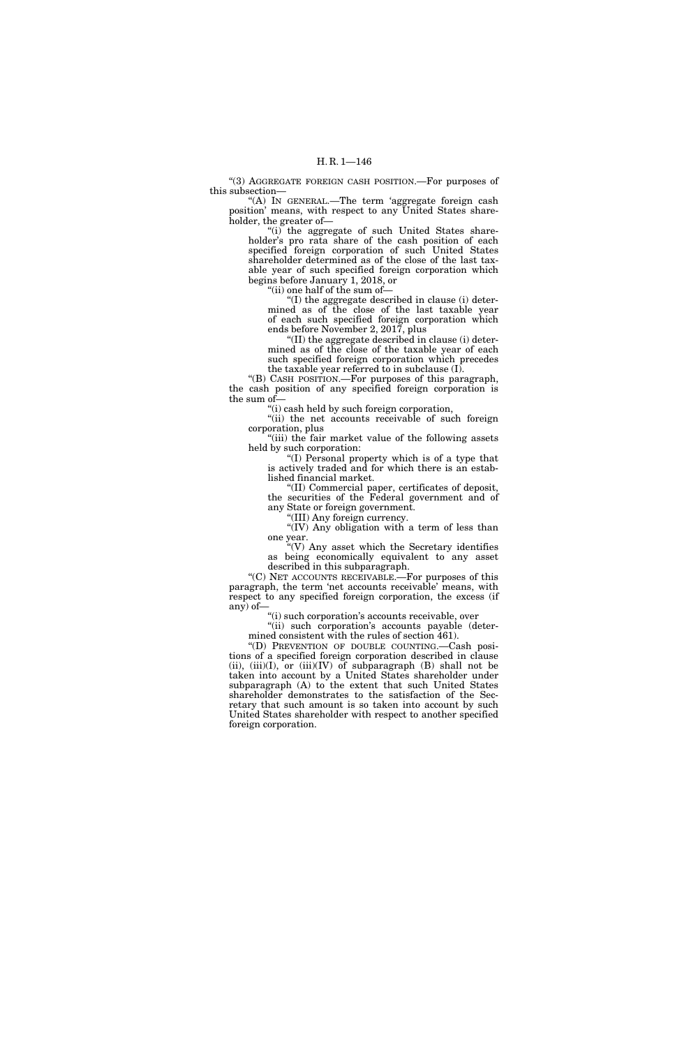''(3) AGGREGATE FOREIGN CASH POSITION.—For purposes of this subsection—

"(A) IN GENERAL.—The term 'aggregate foreign cash position' means, with respect to any United States shareholder, the greater of—

"(i) the aggregate of such United States shareholder's pro rata share of the cash position of each specified foreign corporation of such United States shareholder determined as of the close of the last taxable year of such specified foreign corporation which begins before January 1, 2018, or

''(ii) one half of the sum of—

''(I) the aggregate described in clause (i) determined as of the close of the last taxable year of each such specified foreign corporation which ends before November 2, 2017, plus

''(II) the aggregate described in clause (i) determined as of the close of the taxable year of each such specified foreign corporation which precedes the taxable year referred to in subclause (I).

''(B) CASH POSITION.—For purposes of this paragraph, the cash position of any specified foreign corporation is the sum of—

''(i) cash held by such foreign corporation,

''(ii) the net accounts receivable of such foreign corporation, plus

"(iii) the fair market value of the following assets held by such corporation:

''(I) Personal property which is of a type that is actively traded and for which there is an established financial market.

''(II) Commercial paper, certificates of deposit, the securities of the Federal government and of any State or foreign government.

''(III) Any foreign currency.

"(IV) Any obligation with a term of less than one year.

 $\sqrt{\ }$ <sup>"</sup>(V) Any asset which the Secretary identifies as being economically equivalent to any asset described in this subparagraph.

''(C) NET ACCOUNTS RECEIVABLE.—For purposes of this paragraph, the term 'net accounts receivable' means, with respect to any specified foreign corporation, the excess (if any) of—

''(i) such corporation's accounts receivable, over

"(ii) such corporation's accounts payable (determined consistent with the rules of section 461).

''(D) PREVENTION OF DOUBLE COUNTING.—Cash positions of a specified foreign corporation described in clause (ii),  $(iii)(I)$ , or  $(iii)(IV)$  of subparagraph  $(B)$  shall not be taken into account by a United States shareholder under subparagraph (A) to the extent that such United States shareholder demonstrates to the satisfaction of the Secretary that such amount is so taken into account by such United States shareholder with respect to another specified foreign corporation.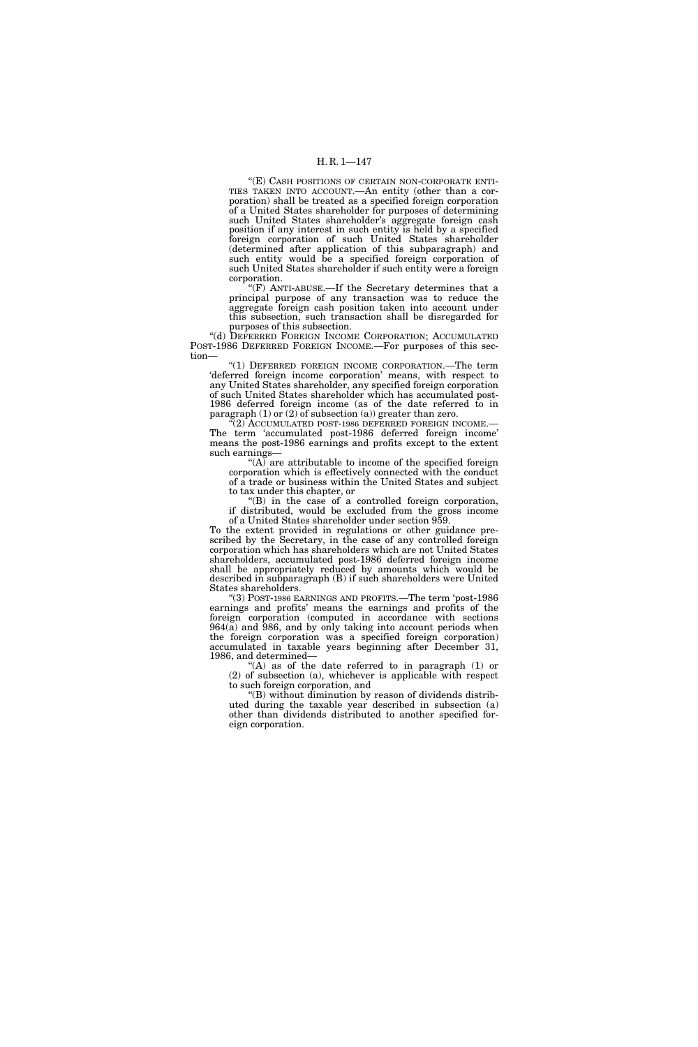# H. R. 1—147

''(E) CASH POSITIONS OF CERTAIN NON-CORPORATE ENTI-TIES TAKEN INTO ACCOUNT.—An entity (other than a corporation) shall be treated as a specified foreign corporation of a United States shareholder for purposes of determining such United States shareholder's aggregate foreign cash position if any interest in such entity is held by a specified foreign corporation of such United States shareholder (determined after application of this subparagraph) and such entity would be a specified foreign corporation of such United States shareholder if such entity were a foreign corporation.

" $(F)$  ANTI-ABUSE.—If the Secretary determines that a principal purpose of any transaction was to reduce the aggregate foreign cash position taken into account under this subsection, such transaction shall be disregarded for purposes of this subsection.

''(d) DEFERRED FOREIGN INCOME CORPORATION; ACCUMULATED POST-1986 DEFERRED FOREIGN INCOME.—For purposes of this section—

''(1) DEFERRED FOREIGN INCOME CORPORATION.—The term 'deferred foreign income corporation' means, with respect to any United States shareholder, any specified foreign corporation of such United States shareholder which has accumulated post-1986 deferred foreign income (as of the date referred to in paragraph (1) or (2) of subsection (a)) greater than zero.

(2) ACCUMULATED POST-1986 DEFERRED FOREIGN INCOME.— The term 'accumulated post-1986 deferred foreign income' means the post-1986 earnings and profits except to the extent such earnings—

''(A) are attributable to income of the specified foreign corporation which is effectively connected with the conduct of a trade or business within the United States and subject to tax under this chapter, or

''(B) in the case of a controlled foreign corporation, if distributed, would be excluded from the gross income of a United States shareholder under section 959.

To the extent provided in regulations or other guidance prescribed by the Secretary, in the case of any controlled foreign corporation which has shareholders which are not United States shareholders, accumulated post-1986 deferred foreign income shall be appropriately reduced by amounts which would be described in subparagraph (B) if such shareholders were United States shareholders.

''(3) POST-1986 EARNINGS AND PROFITS.—The term 'post-1986 earnings and profits' means the earnings and profits of the foreign corporation (computed in accordance with sections 964(a) and 986, and by only taking into account periods when the foreign corporation was a specified foreign corporation) accumulated in taxable years beginning after December 31, 1986, and determined—

''(A) as of the date referred to in paragraph (1) or (2) of subsection (a), whichever is applicable with respect to such foreign corporation, and

''(B) without diminution by reason of dividends distributed during the taxable year described in subsection (a) other than dividends distributed to another specified foreign corporation.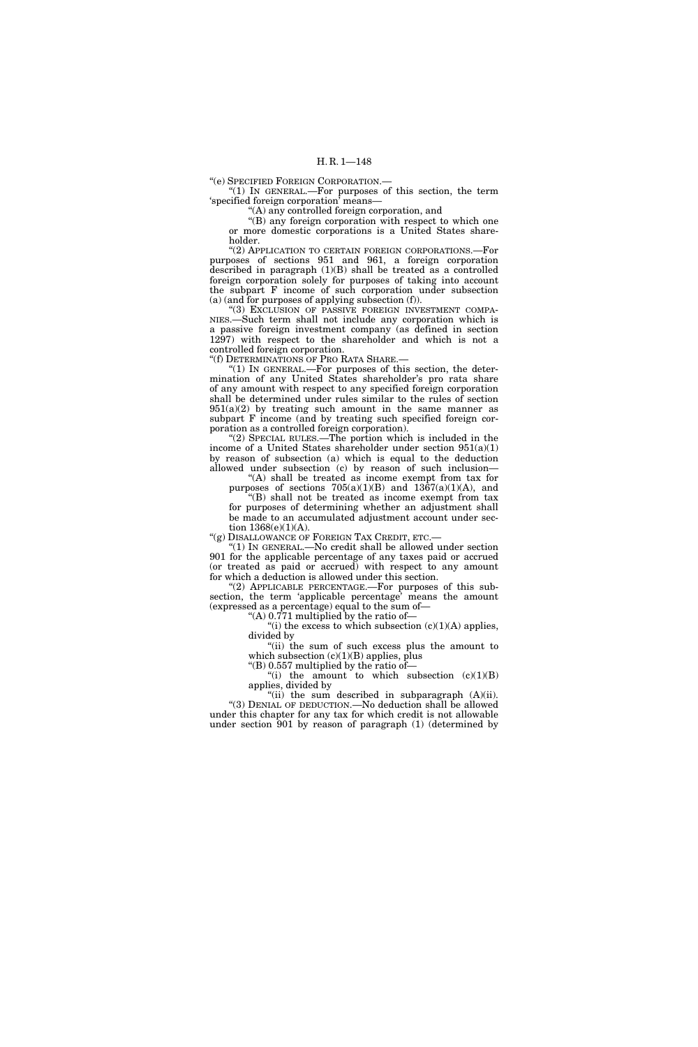''(e) SPECIFIED FOREIGN CORPORATION.—

" $(1)$  In GENERAL.—For purposes of this section, the term 'specified foreign corporation' means—

''(A) any controlled foreign corporation, and

"(B) any foreign corporation with respect to which one or more domestic corporations is a United States shareholder.

''(2) APPLICATION TO CERTAIN FOREIGN CORPORATIONS.—For purposes of sections 951 and 961, a foreign corporation described in paragraph (1)(B) shall be treated as a controlled foreign corporation solely for purposes of taking into account the subpart F income of such corporation under subsection (a) (and for purposes of applying subsection (f)).

"(3) EXCLUSION OF PASSIVE FOREIGN INVESTMENT COMPA-NIES.—Such term shall not include any corporation which is a passive foreign investment company (as defined in section 1297) with respect to the shareholder and which is not a controlled foreign corporation.

''(f) DETERMINATIONS OF PRO RATA SHARE.—

" $(1)$  In GENERAL.—For purposes of this section, the determination of any United States shareholder's pro rata share of any amount with respect to any specified foreign corporation shall be determined under rules similar to the rules of section  $951(a)(2)$  by treating such amount in the same manner as subpart F income (and by treating such specified foreign corporation as a controlled foreign corporation).

"(2) SPECIAL RULES.—The portion which is included in the income of a United States shareholder under section 951(a)(1) by reason of subsection (a) which is equal to the deduction allowed under subsection (c) by reason of such inclusion—

"(A) shall be treated as income exempt from tax for purposes of sections  $705(a)(1)(B)$  and  $1367(a)(1)(A)$ , and

''(B) shall not be treated as income exempt from tax for purposes of determining whether an adjustment shall be made to an accumulated adjustment account under section  $1368(e)(1)(A)$ .

''(g) DISALLOWANCE OF FOREIGN TAX CREDIT, ETC.—

''(1) IN GENERAL.—No credit shall be allowed under section 901 for the applicable percentage of any taxes paid or accrued (or treated as paid or accrued) with respect to any amount for which a deduction is allowed under this section.

 $(2)$  APPLICABLE PERCENTAGE.—For purposes of this subsection, the term 'applicable percentage' means the amount (expressed as a percentage) equal to the sum of—

"(A)  $0.771$  multiplied by the ratio of-

"(i) the excess to which subsection  $(c)(1)(A)$  applies, divided by ''(ii) the sum of such excess plus the amount to

which subsection  $(c)(1)(B)$  applies, plus

"(B)  $0.557$  multiplied by the ratio of-"(i) the amount to which subsection  $(c)(1)(B)$ 

applies, divided by "(ii) the sum described in subparagraph  $(A)(ii)$ . "(3) DENIAL OF DEDUCTION.—No deduction shall be allowed under this chapter for any tax for which credit is not allowable under section 901 by reason of paragraph (1) (determined by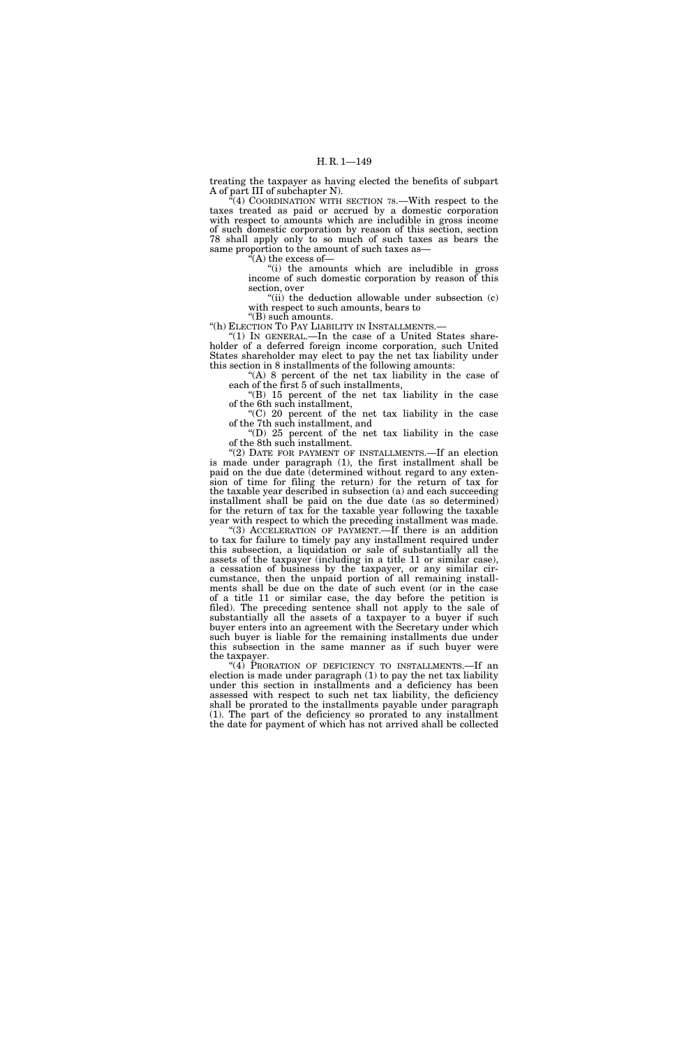treating the taxpayer as having elected the benefits of subpart A of part III of subchapter N).

 $^{5}(4)$  COORDINATION WITH SECTION 78.—With respect to the taxes treated as paid or accrued by a domestic corporation with respect to amounts which are includible in gross income of such domestic corporation by reason of this section, section 78 shall apply only to so much of such taxes as bears the same proportion to the amount of such taxes as—

''(A) the excess of—

''(i) the amounts which are includible in gross income of such domestic corporation by reason of this section, over

"(ii) the deduction allowable under subsection (c) with respect to such amounts, bears to

''(B) such amounts.

"(h) ELECTION TO PAY LIABILITY IN INSTALLMENTS.-

 $^{\prime}(1)$  In GENERAL.—In the case of a United States shareholder of a deferred foreign income corporation, such United States shareholder may elect to pay the net tax liability under this section in 8 installments of the following amounts:

''(A) 8 percent of the net tax liability in the case of each of the first 5 of such installments,

''(B) 15 percent of the net tax liability in the case of the 6th such installment,

''(C) 20 percent of the net tax liability in the case of the 7th such installment, and

''(D) 25 percent of the net tax liability in the case of the 8th such installment.

"(2) DATE FOR PAYMENT OF INSTALLMENTS.—If an election is made under paragraph (1), the first installment shall be paid on the due date (determined without regard to any extension of time for filing the return) for the return of tax for the taxable year described in subsection (a) and each succeeding installment shall be paid on the due date (as so determined) for the return of tax for the taxable year following the taxable year with respect to which the preceding installment was made.

"(3) ACCELERATION OF PAYMENT.—If there is an addition to tax for failure to timely pay any installment required under this subsection, a liquidation or sale of substantially all the assets of the taxpayer (including in a title 11 or similar case), a cessation of business by the taxpayer, or any similar circumstance, then the unpaid portion of all remaining installments shall be due on the date of such event (or in the case of a title 11 or similar case, the day before the petition is filed). The preceding sentence shall not apply to the sale of substantially all the assets of a taxpayer to a buyer if such buyer enters into an agreement with the Secretary under which such buyer is liable for the remaining installments due under this subsection in the same manner as if such buyer were the taxpayer.

"(4) PRORATION OF DEFICIENCY TO INSTALLMENTS.—If an election is made under paragraph (1) to pay the net tax liability under this section in installments and a deficiency has been assessed with respect to such net tax liability, the deficiency shall be prorated to the installments payable under paragraph (1). The part of the deficiency so prorated to any installment the date for payment of which has not arrived shall be collected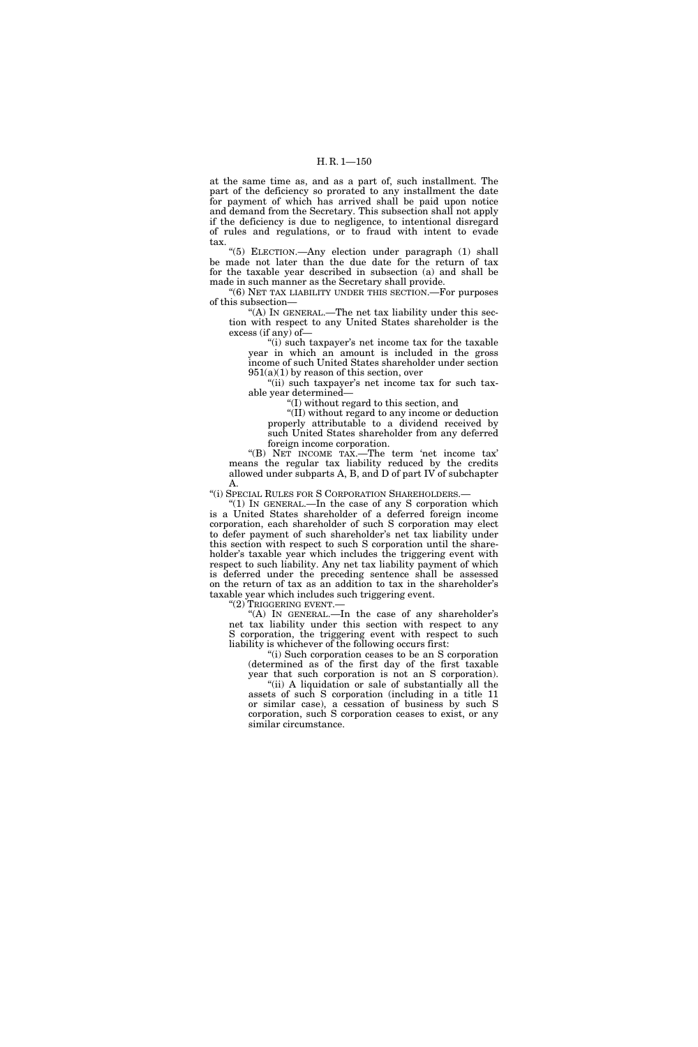### H. R. 1—150

at the same time as, and as a part of, such installment. The part of the deficiency so prorated to any installment the date for payment of which has arrived shall be paid upon notice and demand from the Secretary. This subsection shall not apply if the deficiency is due to negligence, to intentional disregard of rules and regulations, or to fraud with intent to evade tax.

''(5) ELECTION.—Any election under paragraph (1) shall be made not later than the due date for the return of tax for the taxable year described in subsection (a) and shall be made in such manner as the Secretary shall provide.

''(6) NET TAX LIABILITY UNDER THIS SECTION.—For purposes of this subsection—

"(A) IN GENERAL.—The net tax liability under this section with respect to any United States shareholder is the excess (if any) of—

"(i) such taxpayer's net income tax for the taxable year in which an amount is included in the gross income of such United States shareholder under section  $951(a)(1)$  by reason of this section, over

''(ii) such taxpayer's net income tax for such taxable year determined—

''(I) without regard to this section, and

''(II) without regard to any income or deduction properly attributable to a dividend received by such United States shareholder from any deferred foreign income corporation.

''(B) NET INCOME TAX.—The term 'net income tax' means the regular tax liability reduced by the credits allowed under subparts A, B, and D of part IV of subchapter A.

''(i) SPECIAL RULES FOR S CORPORATION SHAREHOLDERS.—

" $(1)$  IN GENERAL.—In the case of any S corporation which is a United States shareholder of a deferred foreign income corporation, each shareholder of such S corporation may elect to defer payment of such shareholder's net tax liability under this section with respect to such S corporation until the shareholder's taxable year which includes the triggering event with respect to such liability. Any net tax liability payment of which is deferred under the preceding sentence shall be assessed on the return of tax as an addition to tax in the shareholder's taxable year which includes such triggering event.

''(2) TRIGGERING EVENT.—

"(A) IN GENERAL.—In the case of any shareholder's net tax liability under this section with respect to any S corporation, the triggering event with respect to such liability is whichever of the following occurs first:

''(i) Such corporation ceases to be an S corporation (determined as of the first day of the first taxable year that such corporation is not an S corporation).

"(ii) A liquidation or sale of substantially all the assets of such S corporation (including in a title 11 or similar case), a cessation of business by such S corporation, such S corporation ceases to exist, or any similar circumstance.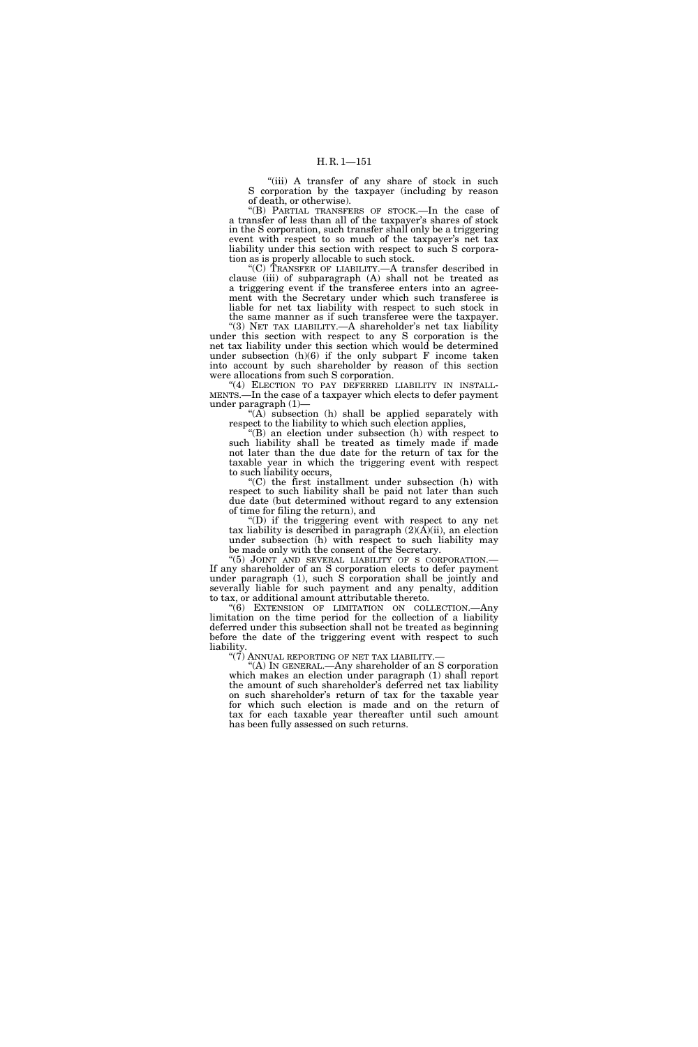"(iii) A transfer of any share of stock in such S corporation by the taxpayer (including by reason of death, or otherwise).

''(B) PARTIAL TRANSFERS OF STOCK.—In the case of a transfer of less than all of the taxpayer's shares of stock in the S corporation, such transfer shall only be a triggering event with respect to so much of the taxpayer's net tax liability under this section with respect to such S corporation as is properly allocable to such stock.

''(C) TRANSFER OF LIABILITY.—A transfer described in clause (iii) of subparagraph (A) shall not be treated as a triggering event if the transferee enters into an agreement with the Secretary under which such transferee is liable for net tax liability with respect to such stock in the same manner as if such transferee were the taxpayer.

''(3) NET TAX LIABILITY.—A shareholder's net tax liability under this section with respect to any S corporation is the net tax liability under this section which would be determined under subsection (h)(6) if the only subpart F income taken into account by such shareholder by reason of this section were allocations from such S corporation.

"(4) ELECTION TO PAY DEFERRED LIABILITY IN INSTALL-MENTS.—In the case of a taxpayer which elects to defer payment under paragraph (1)—

" $(A)$  subsection  $(h)$  shall be applied separately with respect to the liability to which such election applies,

''(B) an election under subsection (h) with respect to such liability shall be treated as timely made if made not later than the due date for the return of tax for the taxable year in which the triggering event with respect to such liability occurs,

''(C) the first installment under subsection (h) with respect to such liability shall be paid not later than such due date (but determined without regard to any extension of time for filing the return), and

''(D) if the triggering event with respect to any net tax liability is described in paragraph  $(2)(\overline{A})(ii)$ , an election under subsection (h) with respect to such liability may be made only with the consent of the Secretary.<br>"(5) JOINT AND SEVERAL LIABILITY OF S CORPORATION.

If any shareholder of an S corporation elects to defer payment under paragraph (1), such S corporation shall be jointly and severally liable for such payment and any penalty, addition to tax, or additional amount attributable thereto.

''(6) EXTENSION OF LIMITATION ON COLLECTION.—Any limitation on the time period for the collection of a liability deferred under this subsection shall not be treated as beginning before the date of the triggering event with respect to such liability.

''(7) ANNUAL REPORTING OF NET TAX LIABILITY.—

''(A) IN GENERAL.—Any shareholder of an S corporation which makes an election under paragraph (1) shall report the amount of such shareholder's deferred net tax liability on such shareholder's return of tax for the taxable year for which such election is made and on the return of tax for each taxable year thereafter until such amount has been fully assessed on such returns.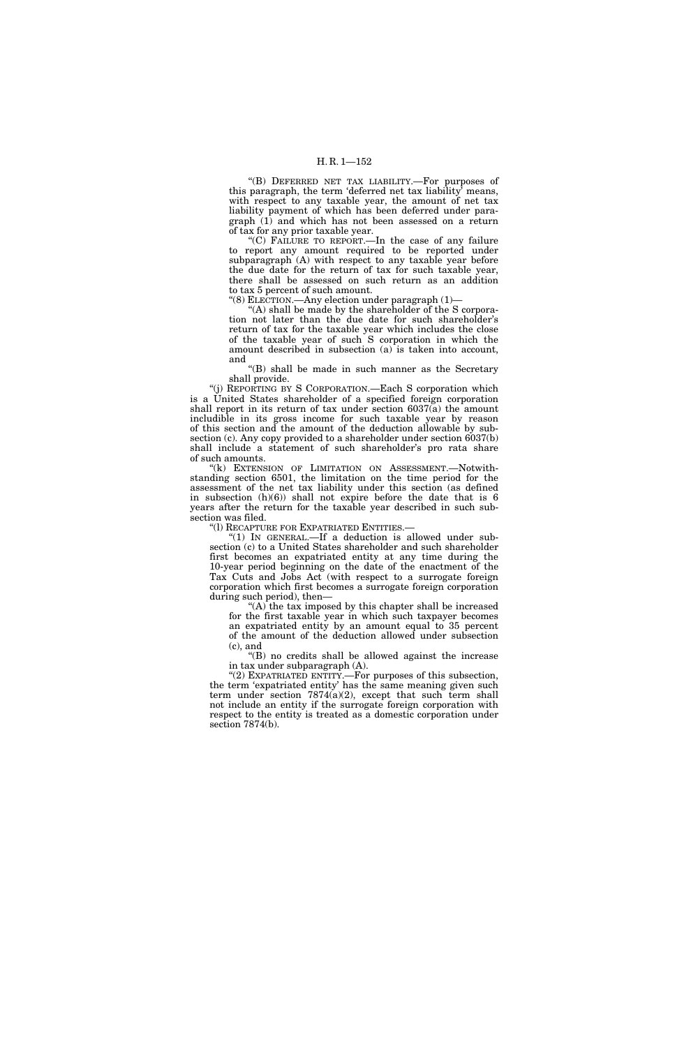''(B) DEFERRED NET TAX LIABILITY.—For purposes of this paragraph, the term 'deferred net tax liability' means, with respect to any taxable year, the amount of net tax liability payment of which has been deferred under paragraph (1) and which has not been assessed on a return of tax for any prior taxable year.

''(C) FAILURE TO REPORT.—In the case of any failure to report any amount required to be reported under subparagraph (A) with respect to any taxable year before the due date for the return of tax for such taxable year, there shall be assessed on such return as an addition to tax 5 percent of such amount.

''(8) ELECTION.—Any election under paragraph (1)—

"(A) shall be made by the shareholder of the S corporation not later than the due date for such shareholder's return of tax for the taxable year which includes the close of the taxable year of such S corporation in which the amount described in subsection (a) is taken into account, and

''(B) shall be made in such manner as the Secretary shall provide.

''(j) REPORTING BY S CORPORATION.—Each S corporation which is a United States shareholder of a specified foreign corporation shall report in its return of tax under section 6037(a) the amount includible in its gross income for such taxable year by reason of this section and the amount of the deduction allowable by subsection (c). Any copy provided to a shareholder under section 6037(b) shall include a statement of such shareholder's pro rata share of such amounts.

"(k) EXTENSION OF LIMITATION ON ASSESSMENT.--Notwithstanding section 6501, the limitation on the time period for the assessment of the net tax liability under this section (as defined in subsection  $(h)(6)$  shall not expire before the date that is 6 years after the return for the taxable year described in such subsection was filed.

''(l) RECAPTURE FOR EXPATRIATED ENTITIES.—

''(1) IN GENERAL.—If a deduction is allowed under subsection (c) to a United States shareholder and such shareholder first becomes an expatriated entity at any time during the 10-year period beginning on the date of the enactment of the Tax Cuts and Jobs Act (with respect to a surrogate foreign corporation which first becomes a surrogate foreign corporation during such period), then—

''(A) the tax imposed by this chapter shall be increased for the first taxable year in which such taxpayer becomes an expatriated entity by an amount equal to 35 percent of the amount of the deduction allowed under subsection (c), and

''(B) no credits shall be allowed against the increase in tax under subparagraph (A).

"(2) EXPATRIATED ENTITY.—For purposes of this subsection, the term 'expatriated entity' has the same meaning given such term under section 7874(a)(2), except that such term shall not include an entity if the surrogate foreign corporation with respect to the entity is treated as a domestic corporation under section 7874(b).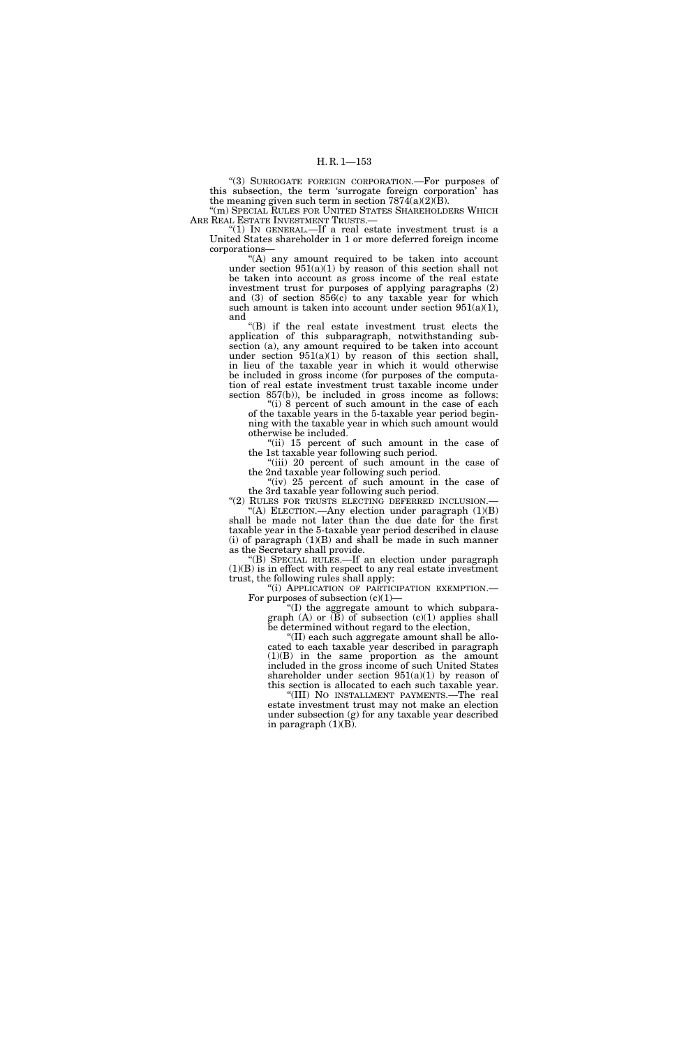''(3) SURROGATE FOREIGN CORPORATION.—For purposes of this subsection, the term 'surrogate foreign corporation' has the meaning given such term in section  $7874(a)(2)(B)$ .

''(m) SPECIAL RULES FOR UNITED STATES SHAREHOLDERS WHICH ARE REAL ESTATE INVESTMENT TRUSTS.

''(1) IN GENERAL.—If a real estate investment trust is a United States shareholder in 1 or more deferred foreign income corporations—

 $(A)$  any amount required to be taken into account under section  $951(a)(1)$  by reason of this section shall not be taken into account as gross income of the real estate investment trust for purposes of applying paragraphs (2) and  $(3)$  of section  $856(c)$  to any taxable year for which such amount is taken into account under section  $951(a)(1)$ , and

''(B) if the real estate investment trust elects the application of this subparagraph, notwithstanding subsection (a), any amount required to be taken into account under section  $951(a)(1)$  by reason of this section shall, in lieu of the taxable year in which it would otherwise be included in gross income (for purposes of the computation of real estate investment trust taxable income under section 857(b)), be included in gross income as follows:

"(i) 8 percent of such amount in the case of each of the taxable years in the 5-taxable year period beginning with the taxable year in which such amount would otherwise be included.

''(ii) 15 percent of such amount in the case of the 1st taxable year following such period.

''(iii) 20 percent of such amount in the case of the 2nd taxable year following such period.

"(iv) 25 percent of such amount in the case of the 3rd taxable year following such period.

"(2) RULES FOR TRUSTS ELECTING DEFERRED INCLUSION.  $(A)$  ELECTION.—Any election under paragraph  $(1)(B)$ 

shall be made not later than the due date for the first taxable year in the 5-taxable year period described in clause (i) of paragraph  $(1)(B)$  and shall be made in such manner as the Secretary shall provide.

''(B) SPECIAL RULES.—If an election under paragraph (1)(B) is in effect with respect to any real estate investment trust, the following rules shall apply:

''(i) APPLICATION OF PARTICIPATION EXEMPTION.— For purposes of subsection  $(c)(1)$ —

''(I) the aggregate amount to which subparagraph  $(A)$  or  $(\overline{B})$  of subsection  $(c)(1)$  applies shall be determined without regard to the election,

''(II) each such aggregate amount shall be allocated to each taxable year described in paragraph (1)(B) in the same proportion as the amount included in the gross income of such United States shareholder under section  $951(a)(1)$  by reason of this section is allocated to each such taxable year.

"(III) NO INSTALLMENT PAYMENTS.—The real estate investment trust may not make an election under subsection (g) for any taxable year described in paragraph  $(1)(B)$ .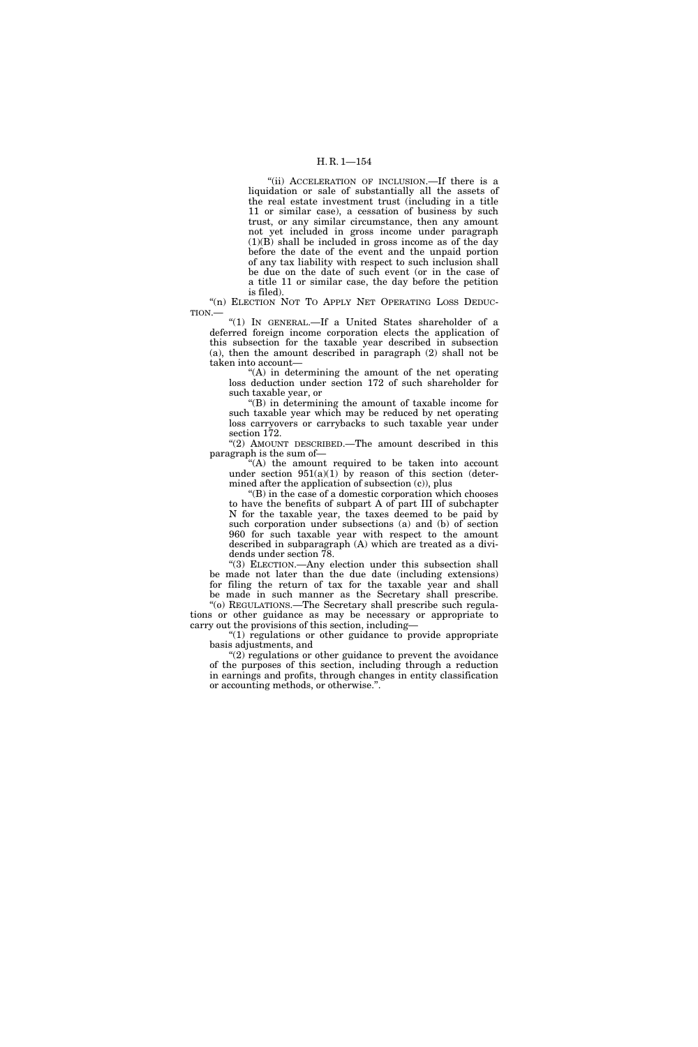"(ii) ACCELERATION OF INCLUSION.—If there is a liquidation or sale of substantially all the assets of the real estate investment trust (including in a title 11 or similar case), a cessation of business by such trust, or any similar circumstance, then any amount not yet included in gross income under paragraph (1)(B) shall be included in gross income as of the day before the date of the event and the unpaid portion of any tax liability with respect to such inclusion shall be due on the date of such event (or in the case of a title 11 or similar case, the day before the petition is filed).

"(n) ELECTION NOT TO APPLY NET OPERATING LOSS DEDUC-TION.—

''(1) IN GENERAL.—If a United States shareholder of a deferred foreign income corporation elects the application of this subsection for the taxable year described in subsection (a), then the amount described in paragraph (2) shall not be taken into account—

 $(A)$  in determining the amount of the net operating loss deduction under section 172 of such shareholder for such taxable year, or

''(B) in determining the amount of taxable income for such taxable year which may be reduced by net operating loss carryovers or carrybacks to such taxable year under section 172.

''(2) AMOUNT DESCRIBED.—The amount described in this paragraph is the sum of—

''(A) the amount required to be taken into account under section  $951(a)(1)$  by reason of this section (determined after the application of subsection (c)), plus

''(B) in the case of a domestic corporation which chooses to have the benefits of subpart A of part III of subchapter N for the taxable year, the taxes deemed to be paid by such corporation under subsections (a) and (b) of section 960 for such taxable year with respect to the amount described in subparagraph (A) which are treated as a dividends under section 78.

''(3) ELECTION.—Any election under this subsection shall be made not later than the due date (including extensions) for filing the return of tax for the taxable year and shall be made in such manner as the Secretary shall prescribe. ''(o) REGULATIONS.—The Secretary shall prescribe such regula-

tions or other guidance as may be necessary or appropriate to carry out the provisions of this section, including—

" $(1)$  regulations or other guidance to provide appropriate basis adjustments, and

 $"(2)$  regulations or other guidance to prevent the avoidance of the purposes of this section, including through a reduction in earnings and profits, through changes in entity classification or accounting methods, or otherwise.''.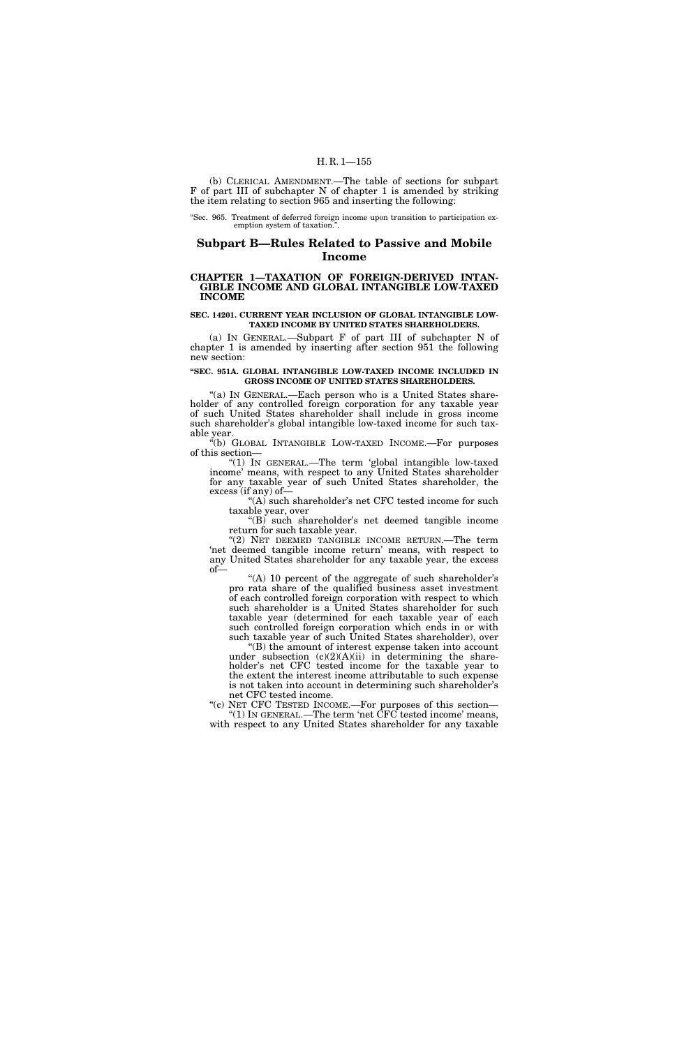(b) CLERICAL AMENDMENT.—The table of sections for subpart F of part III of subchapter N of chapter 1 is amended by striking the item relating to section 965 and inserting the following:

''Sec. 965. Treatment of deferred foreign income upon transition to participation exemption system of taxation."

# **Subpart B—Rules Related to Passive and Mobile Income**

## **CHAPTER 1—TAXATION OF FOREIGN-DERIVED INTAN-GIBLE INCOME AND GLOBAL INTANGIBLE LOW-TAXED INCOME**

#### **SEC. 14201. CURRENT YEAR INCLUSION OF GLOBAL INTANGIBLE LOW-TAXED INCOME BY UNITED STATES SHAREHOLDERS.**

(a) IN GENERAL.—Subpart F of part III of subchapter N of chapter 1 is amended by inserting after section 951 the following new section:

#### **''SEC. 951A. GLOBAL INTANGIBLE LOW-TAXED INCOME INCLUDED IN GROSS INCOME OF UNITED STATES SHAREHOLDERS.**

''(a) IN GENERAL.—Each person who is a United States shareholder of any controlled foreign corporation for any taxable year of such United States shareholder shall include in gross income such shareholder's global intangible low-taxed income for such taxable year.

''(b) GLOBAL INTANGIBLE LOW-TAXED INCOME.—For purposes of this section—

"(1) IN GENERAL.—The term 'global intangible low-taxed income' means, with respect to any United States shareholder for any taxable year of such United States shareholder, the excess (if any) of—

"(A) such shareholder's net CFC tested income for such taxable year, over

"(B) such shareholder's net deemed tangible income return for such taxable year.

''(2) NET DEEMED TANGIBLE INCOME RETURN.—The term 'net deemed tangible income return' means, with respect to any United States shareholder for any taxable year, the excess of—

"(A) 10 percent of the aggregate of such shareholder's pro rata share of the qualified business asset investment of each controlled foreign corporation with respect to which such shareholder is a United States shareholder for such taxable year (determined for each taxable year of each such controlled foreign corporation which ends in or with such taxable year of such United States shareholder), over

''(B) the amount of interest expense taken into account under subsection  $(c)(2)(A)(ii)$  in determining the shareholder's net CFC tested income for the taxable year to the extent the interest income attributable to such expense is not taken into account in determining such shareholder's net CFC tested income.

"(c) NET CFC TESTED INCOME.—For purposes of this section— ''(1) IN GENERAL.—The term 'net CFC tested income' means, with respect to any United States shareholder for any taxable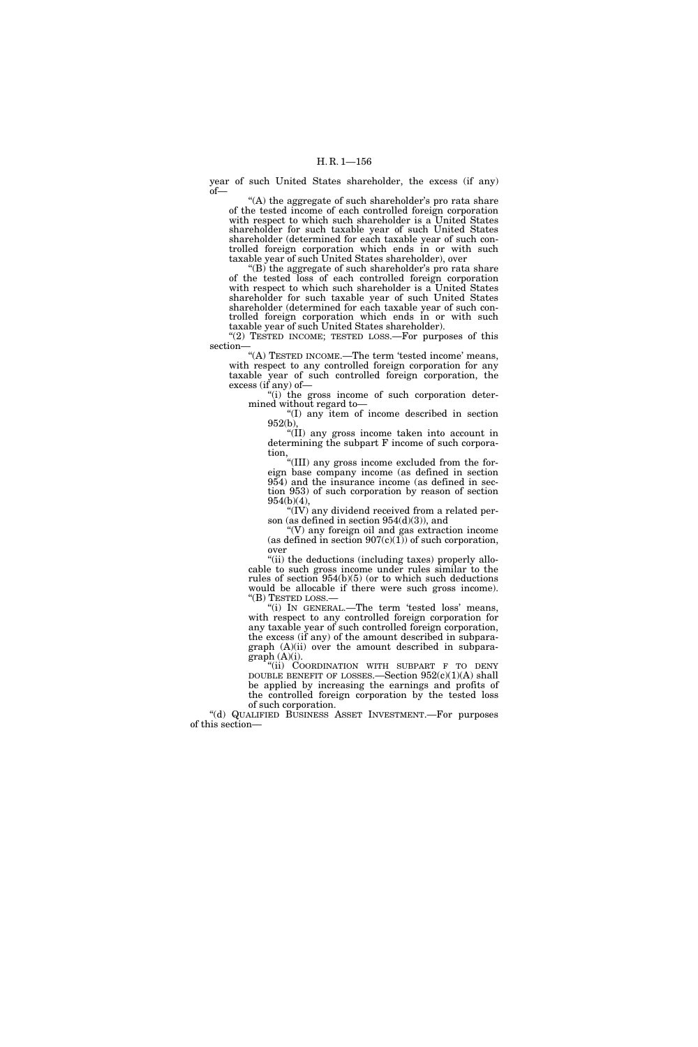year of such United States shareholder, the excess (if any) of—

"(A) the aggregate of such shareholder's pro rata share of the tested income of each controlled foreign corporation with respect to which such shareholder is a United States shareholder for such taxable year of such United States shareholder (determined for each taxable year of such controlled foreign corporation which ends in or with such taxable year of such United States shareholder), over

''(B) the aggregate of such shareholder's pro rata share of the tested loss of each controlled foreign corporation with respect to which such shareholder is a United States shareholder for such taxable year of such United States shareholder (determined for each taxable year of such controlled foreign corporation which ends in or with such taxable year of such United States shareholder).

"(2) TESTED INCOME; TESTED LOSS.—For purposes of this section—

"(A) TESTED INCOME.—The term 'tested income' means, with respect to any controlled foreign corporation for any taxable year of such controlled foreign corporation, the excess (if any) of—

"(i) the gross income of such corporation determined without regard to—

''(I) any item of income described in section 952(b),

''(II) any gross income taken into account in determining the subpart F income of such corporation,

''(III) any gross income excluded from the foreign base company income (as defined in section 954) and the insurance income (as defined in section 953) of such corporation by reason of section 954(b)(4),

 $\sqrt[\alpha]{(V)}$  any dividend received from a related person (as defined in section 954(d)(3)), and

''(V) any foreign oil and gas extraction income (as defined in section  $907(c)(1)$ ) of such corporation, over

"(ii) the deductions (including taxes) properly allocable to such gross income under rules similar to the rules of section 954(b)(5) (or to which such deductions would be allocable if there were such gross income). ''(B) TESTED LOSS.—

''(i) IN GENERAL.—The term 'tested loss' means, with respect to any controlled foreign corporation for any taxable year of such controlled foreign corporation, the excess (if any) of the amount described in subparagraph (A)(ii) over the amount described in subpara $graph (A)(i)$ .

"(ii) COORDINATION WITH SUBPART F TO DENY DOUBLE BENEFIT OF LOSSES.—Section  $952(c)(1)(A)$  shall be applied by increasing the earnings and profits of the controlled foreign corporation by the tested loss of such corporation.

''(d) QUALIFIED BUSINESS ASSET INVESTMENT.—For purposes of this section—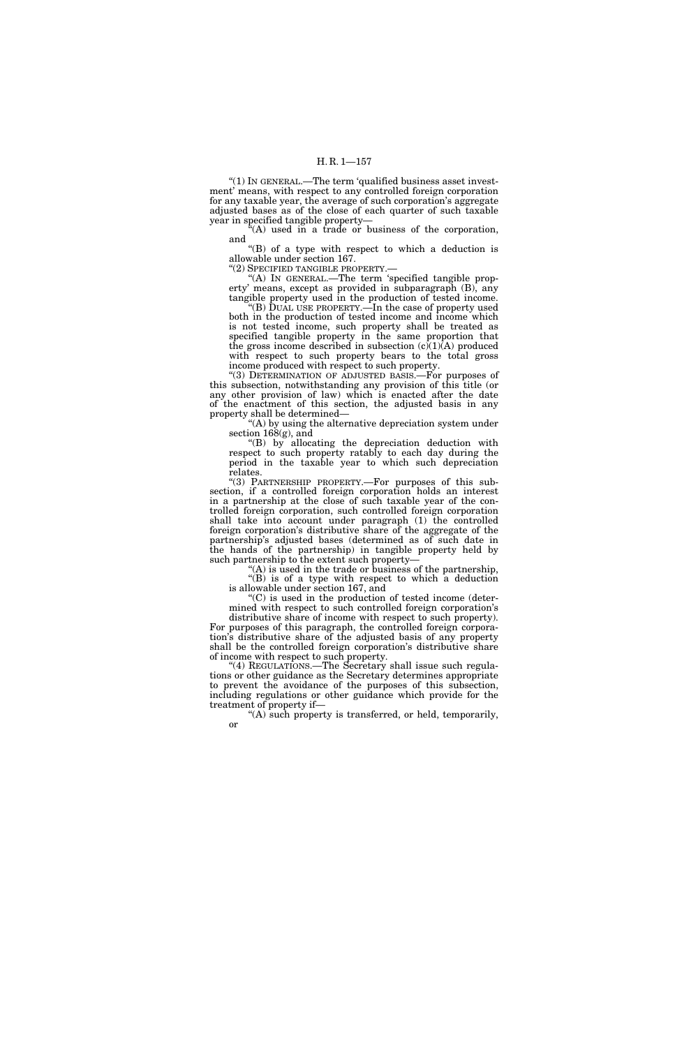''(1) IN GENERAL.—The term 'qualified business asset investment' means, with respect to any controlled foreign corporation for any taxable year, the average of such corporation's aggregate adjusted bases as of the close of each quarter of such taxable year in specified tangible property—

 $\hat{f}(A)$  used in a trade or business of the corporation, and

''(B) of a type with respect to which a deduction is allowable under section 167.

''(2) SPECIFIED TANGIBLE PROPERTY.—

''(A) IN GENERAL.—The term 'specified tangible property' means, except as provided in subparagraph (B), any tangible property used in the production of tested income.

''(B) DUAL USE PROPERTY.—In the case of property used both in the production of tested income and income which is not tested income, such property shall be treated as specified tangible property in the same proportion that the gross income described in subsection  $(c)(1)(A)$  produced with respect to such property bears to the total gross income produced with respect to such property.

''(3) DETERMINATION OF ADJUSTED BASIS.—For purposes of this subsection, notwithstanding any provision of this title (or any other provision of law) which is enacted after the date of the enactment of this section, the adjusted basis in any property shall be determined—

''(A) by using the alternative depreciation system under section 168(g), and

''(B) by allocating the depreciation deduction with respect to such property ratably to each day during the period in the taxable year to which such depreciation relates.

''(3) PARTNERSHIP PROPERTY.—For purposes of this subsection, if a controlled foreign corporation holds an interest in a partnership at the close of such taxable year of the controlled foreign corporation, such controlled foreign corporation shall take into account under paragraph (1) the controlled foreign corporation's distributive share of the aggregate of the partnership's adjusted bases (determined as of such date in the hands of the partnership) in tangible property held by such partnership to the extent such property-

''(A) is used in the trade or business of the partnership, ''(B) is of a type with respect to which a deduction is allowable under section 167, and

''(C) is used in the production of tested income (determined with respect to such controlled foreign corporation's distributive share of income with respect to such property).

For purposes of this paragraph, the controlled foreign corporation's distributive share of the adjusted basis of any property shall be the controlled foreign corporation's distributive share of income with respect to such property.

"(4) REGULATIONS.—The Secretary shall issue such regulations or other guidance as the Secretary determines appropriate to prevent the avoidance of the purposes of this subsection, including regulations or other guidance which provide for the treatment of property if—

 $(A)$  such property is transferred, or held, temporarily, or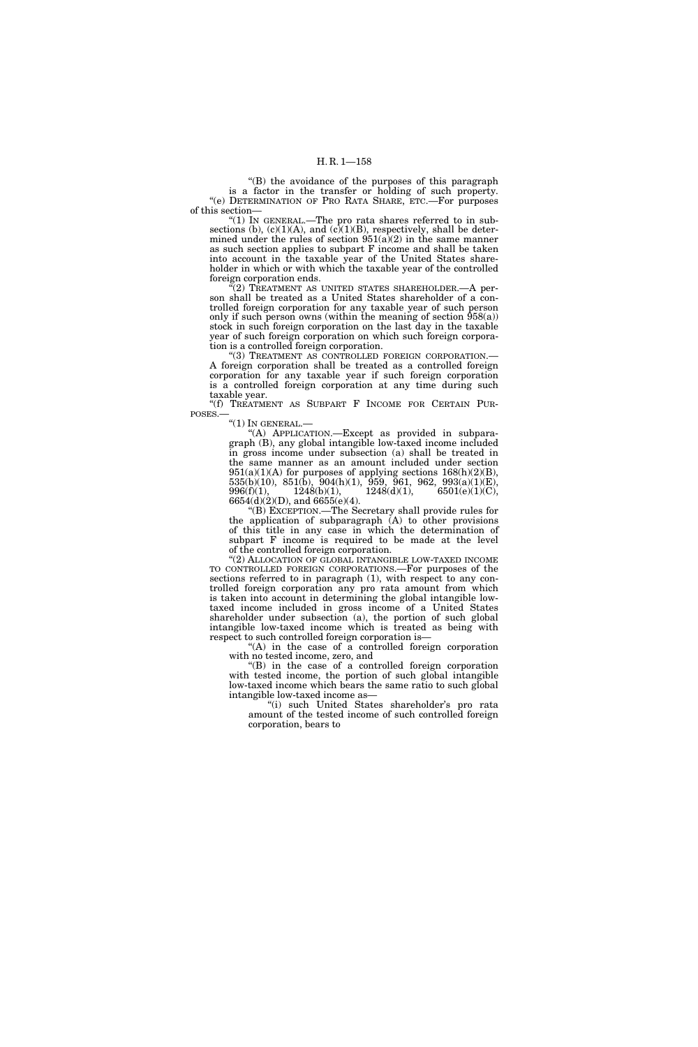''(B) the avoidance of the purposes of this paragraph is a factor in the transfer or holding of such property. ''(e) DETERMINATION OF PRO RATA SHARE, ETC.—For purposes of this section—

"(1) IN GENERAL.—The pro rata shares referred to in subsections (b),  $(c)(1)(A)$ , and  $(c)(1)(B)$ , respectively, shall be determined under the rules of section  $951(a)(2)$  in the same manner as such section applies to subpart F income and shall be taken into account in the taxable year of the United States shareholder in which or with which the taxable year of the controlled foreign corporation ends.

"(2) TREATMENT AS UNITED STATES SHAREHOLDER.—A person shall be treated as a United States shareholder of a controlled foreign corporation for any taxable year of such person only if such person owns (within the meaning of section  $\hat{9}58(a)$ ) stock in such foreign corporation on the last day in the taxable year of such foreign corporation on which such foreign corporation is a controlled foreign corporation.

'(3) TREATMENT AS CONTROLLED FOREIGN CORPORATION.-A foreign corporation shall be treated as a controlled foreign corporation for any taxable year if such foreign corporation is a controlled foreign corporation at any time during such taxable year.

''(f) TREATMENT AS SUBPART F INCOME FOR CERTAIN PUR-POSES.—

"(1) IN GENERAL.—

''(A) APPLICATION.—Except as provided in subparagraph (B), any global intangible low-taxed income included in gross income under subsection (a) shall be treated in the same manner as an amount included under section  $951(a)(1)(A)$  for purposes of applying sections  $168(h)(2)(B)$ ,  $535(b)(10)$ ,  $851(b)$ ,  $904(h)(1)$ ,  $959$ ,  $961$ ,  $962$ ,  $993(a)(1)(E)$ , 996(f)(1),  $1248(b)(1)$ ,  $1248(d)(1)$ ,  $6501(e)(1)(C)$ , 6654(d)(2)(D), and 6655(e)(4).

''(B) EXCEPTION.—The Secretary shall provide rules for the application of subparagraph (A) to other provisions of this title in any case in which the determination of subpart F income is required to be made at the level of the controlled foreign corporation.

''(2) ALLOCATION OF GLOBAL INTANGIBLE LOW-TAXED INCOME TO CONTROLLED FOREIGN CORPORATIONS.—For purposes of the sections referred to in paragraph (1), with respect to any controlled foreign corporation any pro rata amount from which is taken into account in determining the global intangible lowtaxed income included in gross income of a United States shareholder under subsection (a), the portion of such global intangible low-taxed income which is treated as being with respect to such controlled foreign corporation is—

''(A) in the case of a controlled foreign corporation with no tested income, zero, and

''(B) in the case of a controlled foreign corporation with tested income, the portion of such global intangible low-taxed income which bears the same ratio to such global intangible low-taxed income as—

''(i) such United States shareholder's pro rata amount of the tested income of such controlled foreign corporation, bears to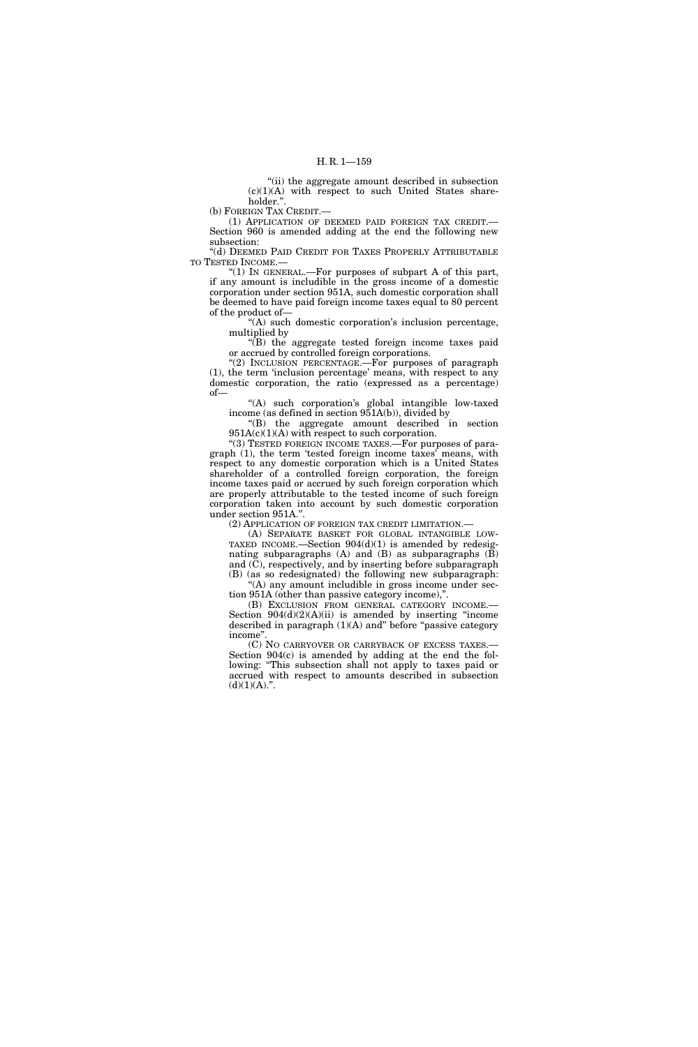"(ii) the aggregate amount described in subsection  $(c)(1)(A)$  with respect to such United States shareholder."

(b) FOREIGN TAX CREDIT.—

(1) APPLICATION OF DEEMED PAID FOREIGN TAX CREDIT.— Section 960 is amended adding at the end the following new subsection:

''(d) DEEMED PAID CREDIT FOR TAXES PROPERLY ATTRIBUTABLE TO TESTED INCOME.—

" $(1)$  In GENERAL.—For purposes of subpart A of this part, if any amount is includible in the gross income of a domestic corporation under section 951A, such domestic corporation shall be deemed to have paid foreign income taxes equal to 80 percent of the product of—

''(A) such domestic corporation's inclusion percentage, multiplied by

''(B) the aggregate tested foreign income taxes paid or accrued by controlled foreign corporations.

"(2) INCLUSION PERCENTAGE. For purposes of paragraph (1), the term 'inclusion percentage' means, with respect to any domestic corporation, the ratio (expressed as a percentage) of—

''(A) such corporation's global intangible low-taxed income (as defined in section 951A(b)), divided by

''(B) the aggregate amount described in section 951A(c)(1)(A) with respect to such corporation.

"(3) TESTED FOREIGN INCOME TAXES.—For purposes of paragraph (1), the term 'tested foreign income taxes' means, with respect to any domestic corporation which is a United States shareholder of a controlled foreign corporation, the foreign income taxes paid or accrued by such foreign corporation which are properly attributable to the tested income of such foreign corporation taken into account by such domestic corporation under section 951A.''.

(2) APPLICATION OF FOREIGN TAX CREDIT LIMITATION.—

(A) SEPARATE BASKET FOR GLOBAL INTANGIBLE LOW-TAXED INCOME.—Section  $904(d)(1)$  is amended by redesignating subparagraphs (A) and (B) as subparagraphs (B) and  $(\bar{C})$ , respectively, and by inserting before subparagraph (B) (as so redesignated) the following new subparagraph: ''(A) any amount includible in gross income under sec-

tion 951A (other than passive category income),''. (B) EXCLUSION FROM GENERAL CATEGORY INCOME.—

Section  $904(d)(2)(A)(ii)$  is amended by inserting "income described in paragraph  $(1)(A)$  and" before "passive category income''.

(C) NO CARRYOVER OR CARRYBACK OF EXCESS TAXES.— Section 904(c) is amended by adding at the end the following: ''This subsection shall not apply to taxes paid or accrued with respect to amounts described in subsection  $(d)(1)(A)$ .".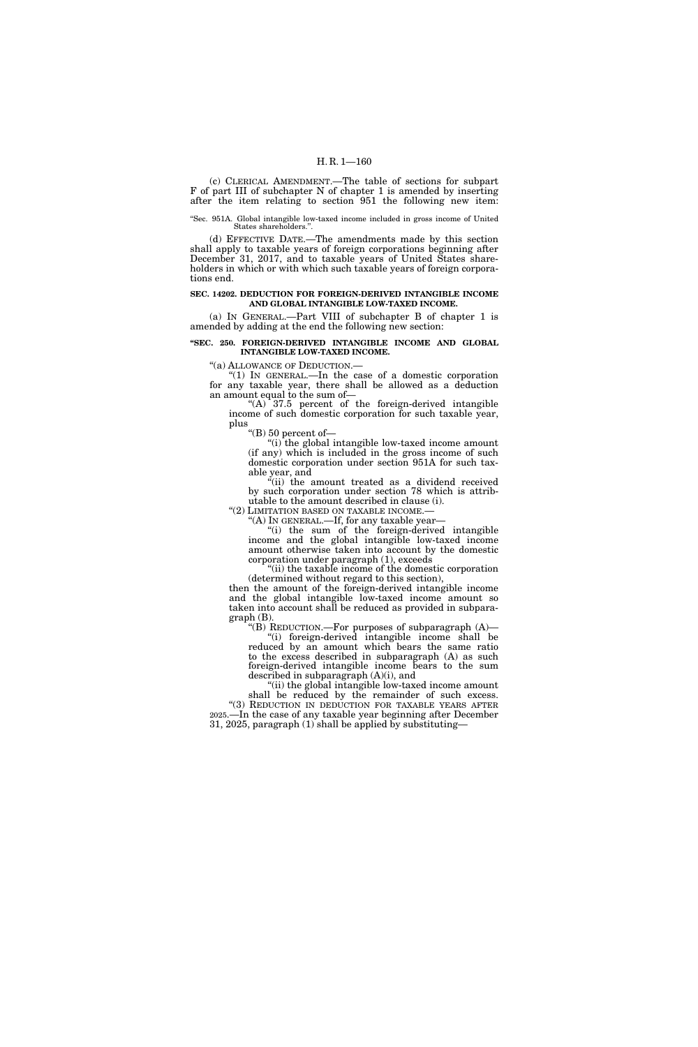(c) CLERICAL AMENDMENT.—The table of sections for subpart F of part III of subchapter N of chapter 1 is amended by inserting after the item relating to section 951 the following new item:

#### ''Sec. 951A. Global intangible low-taxed income included in gross income of United States shareholders."

(d) EFFECTIVE DATE.—The amendments made by this section shall apply to taxable years of foreign corporations beginning after December 31, 2017, and to taxable years of United States shareholders in which or with which such taxable years of foreign corporations end.

#### **SEC. 14202. DEDUCTION FOR FOREIGN-DERIVED INTANGIBLE INCOME AND GLOBAL INTANGIBLE LOW-TAXED INCOME.**

(a) IN GENERAL.—Part VIII of subchapter B of chapter 1 is amended by adding at the end the following new section:

**''SEC. 250. FOREIGN-DERIVED INTANGIBLE INCOME AND GLOBAL INTANGIBLE LOW-TAXED INCOME.** 

''(a) ALLOWANCE OF DEDUCTION.—

''(1) IN GENERAL.—In the case of a domestic corporation for any taxable year, there shall be allowed as a deduction an amount equal to the sum of—

"(A)  $37.5$  percent of the foreign-derived intangible income of such domestic corporation for such taxable year, plus

''(B) 50 percent of—

"(i) the global intangible low-taxed income amount (if any) which is included in the gross income of such domestic corporation under section 951A for such taxable year, and

"(ii) the amount treated as a dividend received by such corporation under section 78 which is attributable to the amount described in clause (i).

"(2) LIMITATION BASED ON TAXABLE INCOME. ''(A) IN GENERAL.—If, for any taxable year—

''(i) the sum of the foreign-derived intangible income and the global intangible low-taxed income amount otherwise taken into account by the domestic corporation under paragraph (1), exceeds

''(ii) the taxable income of the domestic corporation (determined without regard to this section),

then the amount of the foreign-derived intangible income and the global intangible low-taxed income amount so taken into account shall be reduced as provided in subpara $graph(B)$ .

''(B) REDUCTION.—For purposes of subparagraph (A)— ''(i) foreign-derived intangible income shall be reduced by an amount which bears the same ratio to the excess described in subparagraph (A) as such foreign-derived intangible income bears to the sum described in subparagraph (A)(i), and

''(ii) the global intangible low-taxed income amount shall be reduced by the remainder of such excess. "(3) REDUCTION IN DEDUCTION FOR TAXABLE YEARS AFTER 2025.—In the case of any taxable year beginning after December

31, 2025, paragraph (1) shall be applied by substituting—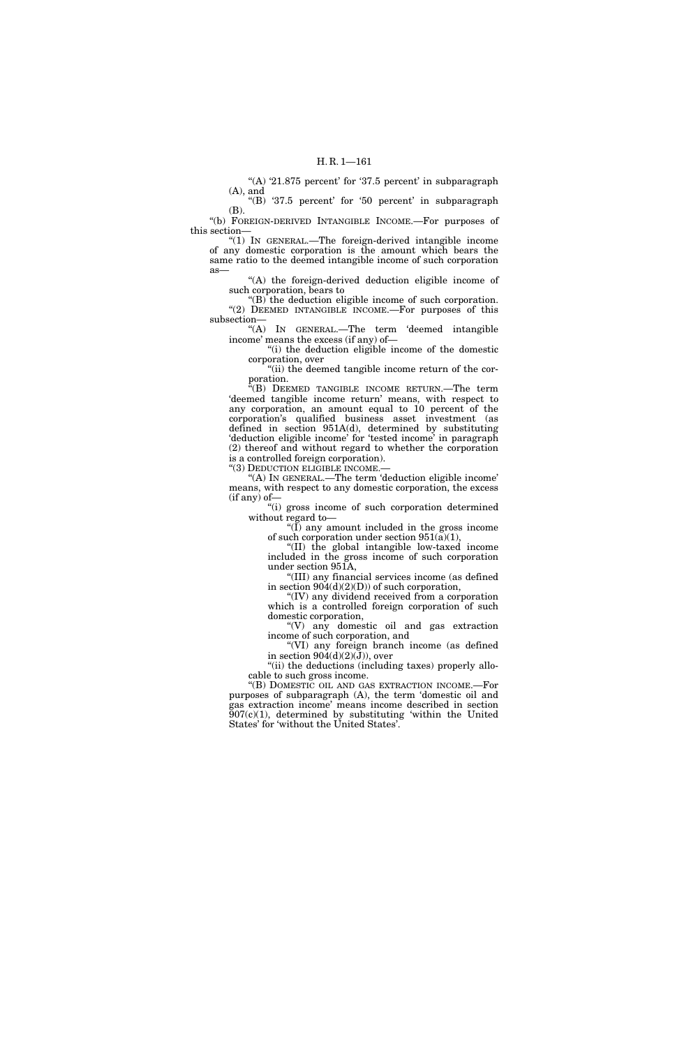"(A) '21.875 percent' for '37.5 percent' in subparagraph (A), and

"(B) '37.5 percent' for '50 percent' in subparagraph (B).

''(b) FOREIGN-DERIVED INTANGIBLE INCOME.—For purposes of this section—

''(1) IN GENERAL.—The foreign-derived intangible income of any domestic corporation is the amount which bears the same ratio to the deemed intangible income of such corporation as—

''(A) the foreign-derived deduction eligible income of such corporation, bears to

 $"(B)$  the deduction eligible income of such corporation. "(2) DEEMED INTANGIBLE INCOME.—For purposes of this subsection—

''(A) IN GENERAL.—The term 'deemed intangible income' means the excess (if any) of—

''(i) the deduction eligible income of the domestic corporation, over

"(ii) the deemed tangible income return of the corporation.

''(B) DEEMED TANGIBLE INCOME RETURN.—The term 'deemed tangible income return' means, with respect to any corporation, an amount equal to 10 percent of the corporation's qualified business asset investment (as defined in section 951A(d), determined by substituting 'deduction eligible income' for 'tested income' in paragraph (2) thereof and without regard to whether the corporation is a controlled foreign corporation).

''(3) DEDUCTION ELIGIBLE INCOME.—

''(A) IN GENERAL.—The term 'deduction eligible income' means, with respect to any domestic corporation, the excess (if any) of—

''(i) gross income of such corporation determined without regard to—

 $\sqrt{\text{I}}$  any amount included in the gross income of such corporation under section  $951(a)(1)$ ,

''(II) the global intangible low-taxed income included in the gross income of such corporation under section 951A,

''(III) any financial services income (as defined in section  $904(d)(2)(D)$  of such corporation,

''(IV) any dividend received from a corporation which is a controlled foreign corporation of such domestic corporation,

''(V) any domestic oil and gas extraction income of such corporation, and

''(VI) any foreign branch income (as defined in section  $904(d)(2)(J)$ , over

"(ii) the deductions (including taxes) properly allocable to such gross income.

''(B) DOMESTIC OIL AND GAS EXTRACTION INCOME.—For purposes of subparagraph (A), the term 'domestic oil and gas extraction income' means income described in section  $907(c)(1)$ , determined by substituting 'within the United States' for 'without the United States'.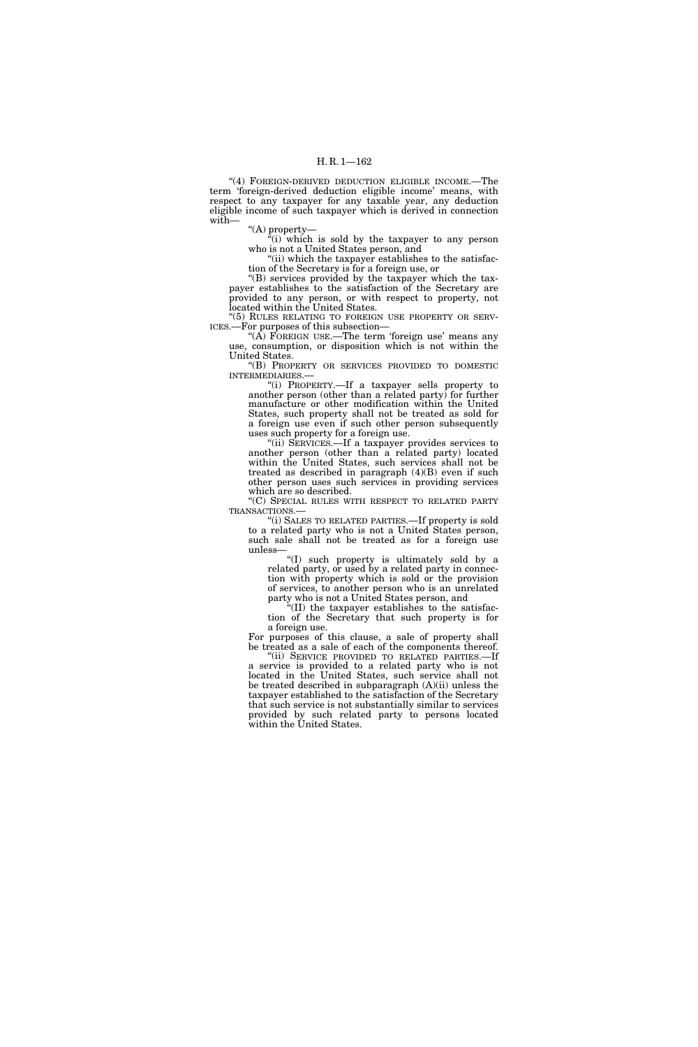''(4) FOREIGN-DERIVED DEDUCTION ELIGIBLE INCOME.—The term 'foreign-derived deduction eligible income' means, with respect to any taxpayer for any taxable year, any deduction eligible income of such taxpayer which is derived in connection with—

''(A) property—

 $\sqrt[\alpha]{i}$  which is sold by the taxpayer to any person who is not a United States person, and

"(ii) which the taxpayer establishes to the satisfaction of the Secretary is for a foreign use, or

''(B) services provided by the taxpayer which the taxpayer establishes to the satisfaction of the Secretary are provided to any person, or with respect to property, not located within the United States.

"(5) RULES RELATING TO FOREIGN USE PROPERTY OR SERV-ICES.—For purposes of this subsection—

" $(A)$  FOREIGN USE.—The term 'foreign use' means any use, consumption, or disposition which is not within the United States.

''(B) PROPERTY OR SERVICES PROVIDED TO DOMESTIC INTERMEDIARIES.—

''(i) PROPERTY.—If a taxpayer sells property to another person (other than a related party) for further manufacture or other modification within the United States, such property shall not be treated as sold for a foreign use even if such other person subsequently uses such property for a foreign use.

''(ii) SERVICES.—If a taxpayer provides services to another person (other than a related party) located within the United States, such services shall not be treated as described in paragraph (4)(B) even if such other person uses such services in providing services which are so described.

''(C) SPECIAL RULES WITH RESPECT TO RELATED PARTY TRANSACTIONS.—

''(i) SALES TO RELATED PARTIES.—If property is sold to a related party who is not a United States person, such sale shall not be treated as for a foreign use unless—

''(I) such property is ultimately sold by a related party, or used by a related party in connection with property which is sold or the provision of services, to another person who is an unrelated party who is not a United States person, and

''(II) the taxpayer establishes to the satisfaction of the Secretary that such property is for a foreign use.

For purposes of this clause, a sale of property shall be treated as a sale of each of the components thereof.

''(ii) SERVICE PROVIDED TO RELATED PARTIES.—If a service is provided to a related party who is not located in the United States, such service shall not be treated described in subparagraph (A)(ii) unless the taxpayer established to the satisfaction of the Secretary that such service is not substantially similar to services provided by such related party to persons located within the United States.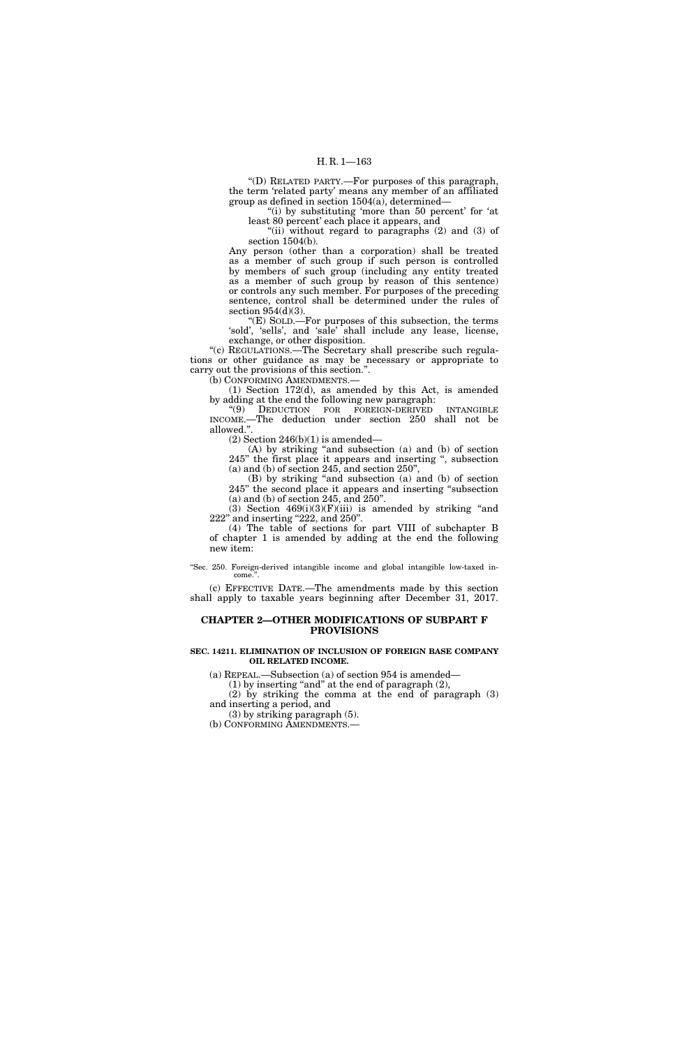''(D) RELATED PARTY.—For purposes of this paragraph, the term 'related party' means any member of an affiliated group as defined in section 1504(a), determined—

"(i) by substituting 'more than 50 percent' for 'at least 80 percent' each place it appears, and

"(ii) without regard to paragraphs (2) and (3) of section 1504(b).

Any person (other than a corporation) shall be treated as a member of such group if such person is controlled by members of such group (including any entity treated as a member of such group by reason of this sentence) or controls any such member. For purposes of the preceding sentence, control shall be determined under the rules of section 954(d)(3).

''(E) SOLD.—For purposes of this subsection, the terms 'sold', 'sells', and 'sale' shall include any lease, license, exchange, or other disposition.

"(c) REGULATIONS.—The Secretary shall prescribe such regulations or other guidance as may be necessary or appropriate to carry out the provisions of this section.''. (b) CONFORMING AMENDMENTS.

(1) Section 172(d), as amended by this Act, is amended by adding at the end the following new paragraph:

''(9) DEDUCTION FOR FOREIGN-DERIVED INTANGIBLE INCOME.—The deduction under section 250 shall not be allowed.''.

 $(2)$  Section 246(b) $(1)$  is amended—

(A) by striking ''and subsection (a) and (b) of section 245'' the first place it appears and inserting '', subsection (a) and (b) of section 245, and section 250'',

(B) by striking ''and subsection (a) and (b) of section 245'' the second place it appears and inserting ''subsection (a) and (b) of section 245, and 250''.

(3) Section  $469(i)(3)(F)(iii)$  is amended by striking "and 222" and inserting "222, and 250".

(4) The table of sections for part VIII of subchapter B of chapter 1 is amended by adding at the end the following new item:

''Sec. 250. Foreign-derived intangible income and global intangible low-taxed income.

(c) EFFECTIVE DATE.—The amendments made by this section shall apply to taxable years beginning after December 31, 2017.

# **CHAPTER 2—OTHER MODIFICATIONS OF SUBPART F PROVISIONS**

# **SEC. 14211. ELIMINATION OF INCLUSION OF FOREIGN BASE COMPANY OIL RELATED INCOME.**

(a) REPEAL.—Subsection (a) of section 954 is amended—

(1) by inserting "and" at the end of paragraph  $(2)$ ,

(2) by striking the comma at the end of paragraph (3) and inserting a period, and

(3) by striking paragraph (5).

(b) CONFORMING AMENDMENTS.—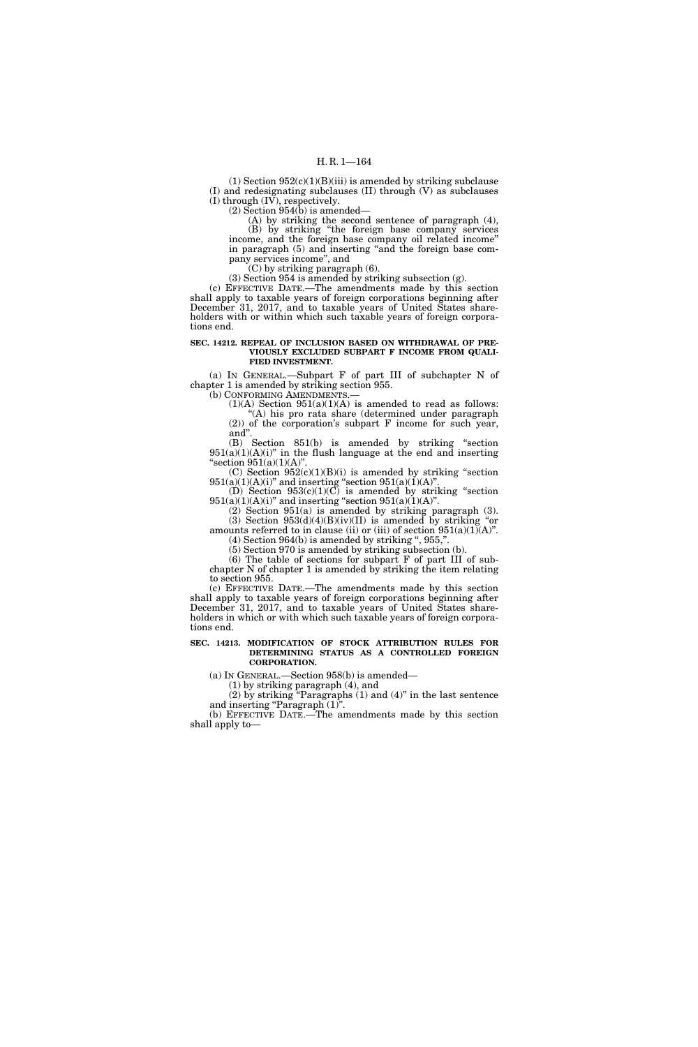(1) Section  $952(c)(1)(B)(iii)$  is amended by striking subclause (I) and redesignating subclauses (II) through (V) as subclauses (I) through (IV), respectively.

(2) Section 954(b) is amended—

(A) by striking the second sentence of paragraph (4), (B) by striking ''the foreign base company services income, and the foreign base company oil related income'' in paragraph (5) and inserting ''and the foreign base company services income'', and

(C) by striking paragraph (6).

(3) Section 954 is amended by striking subsection (g).

(c) EFFECTIVE DATE.—The amendments made by this section shall apply to taxable years of foreign corporations beginning after December 31, 2017, and to taxable years of United States shareholders with or within which such taxable years of foreign corporations end.

#### **SEC. 14212. REPEAL OF INCLUSION BASED ON WITHDRAWAL OF PRE-VIOUSLY EXCLUDED SUBPART F INCOME FROM QUALI-FIED INVESTMENT.**

(a) IN GENERAL.—Subpart F of part III of subchapter N of chapter 1 is amended by striking section 955.

(b) CONFORMING AMENDMENTS.

 $(1)(A)$  Section  $951(a)(1)(A)$  is amended to read as follows: ''(A) his pro rata share (determined under paragraph (2)) of the corporation's subpart F income for such year, and''.

(B) Section 851(b) is amended by striking ''section  $951(a)(1)(A)(i)$ " in the flush language at the end and inserting "section  $951(a)(1)(A)$ ".

 $(C)$  Section  $952(c)(1)(B)(i)$  is amended by striking "section  $951(a)(1)(A)(i)$ " and inserting "section  $951(a)(1)(A)$ ".

(D) Section  $953(c)(1)(C)$  is amended by striking "section  $951(a)(1)(A)(i)$ " and inserting "section  $951(a)(1)(A)$ ".

(2) Section 951(a) is amended by striking paragraph (3). (3) Section  $953(d)(4)(B)(iv)(II)$  is amended by striking "or

amounts referred to in clause (ii) or (iii) of section  $951(a)(1)(A)$ ".  $(4)$  Section 964 $(b)$  is amended by striking ", 955,".

(5) Section 970 is amended by striking subsection (b).

(6) The table of sections for subpart F of part III of subchapter N of chapter 1 is amended by striking the item relating to section 955.

(c) EFFECTIVE DATE.—The amendments made by this section shall apply to taxable years of foreign corporations beginning after December 31, 2017, and to taxable years of United States shareholders in which or with which such taxable years of foreign corporations end.

#### **SEC. 14213. MODIFICATION OF STOCK ATTRIBUTION RULES FOR DETERMINING STATUS AS A CONTROLLED FOREIGN CORPORATION.**

(a) IN GENERAL.—Section 958(b) is amended—

(1) by striking paragraph (4), and

(2) by striking ''Paragraphs (1) and (4)'' in the last sentence and inserting "Paragraph  $(1)$ ".

(b) EFFECTIVE DATE.—The amendments made by this section shall apply to—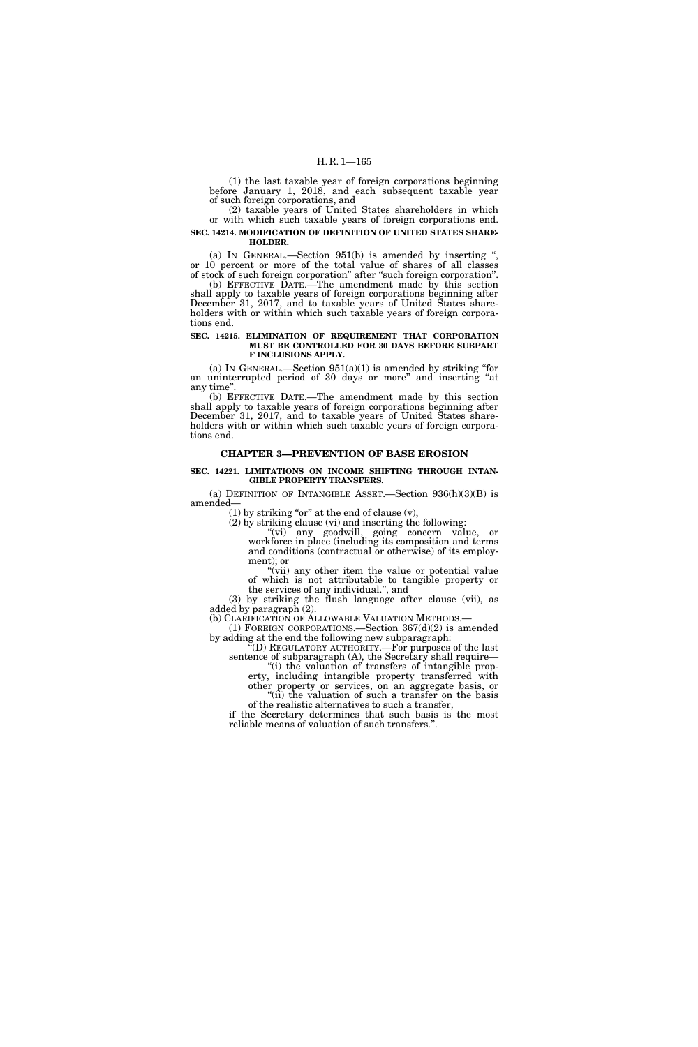(1) the last taxable year of foreign corporations beginning before January 1, 2018, and each subsequent taxable year of such foreign corporations, and

(2) taxable years of United States shareholders in which or with which such taxable years of foreign corporations end.

**SEC. 14214. MODIFICATION OF DEFINITION OF UNITED STATES SHARE-HOLDER.** 

(a) IN GENERAL.—Section  $951(b)$  is amended by inserting " or 10 percent or more of the total value of shares of all classes of stock of such foreign corporation'' after ''such foreign corporation''.

(b) EFFECTIVE DATE.—The amendment made by this section shall apply to taxable years of foreign corporations beginning after December 31, 2017, and to taxable years of United States shareholders with or within which such taxable years of foreign corporations end.

### **SEC. 14215. ELIMINATION OF REQUIREMENT THAT CORPORATION MUST BE CONTROLLED FOR 30 DAYS BEFORE SUBPART F INCLUSIONS APPLY.**

(a) IN GENERAL.—Section  $951(a)(1)$  is amended by striking "for an uninterrupted period of 30 days or more'' and inserting ''at any time''.

(b) EFFECTIVE DATE.—The amendment made by this section shall apply to taxable years of foreign corporations beginning after December 31, 2017, and to taxable years of United States shareholders with or within which such taxable years of foreign corporations end.

# **CHAPTER 3—PREVENTION OF BASE EROSION**

### **SEC. 14221. LIMITATIONS ON INCOME SHIFTING THROUGH INTAN-GIBLE PROPERTY TRANSFERS.**

(a) DEFINITION OF INTANGIBLE ASSET.—Section  $936(h)(3)(B)$  is amended—

(1) by striking "or" at the end of clause  $(v)$ ,

(2) by striking clause (vi) and inserting the following:

''(vi) any goodwill, going concern value, or workforce in place (including its composition and terms and conditions (contractual or otherwise) of its employment); or

"(vii) any other item the value or potential value of which is not attributable to tangible property or the services of any individual.'', and

(3) by striking the flush language after clause (vii), as added by paragraph (2).

(b) CLARIFICATION OF ALLOWABLE VALUATION METHODS.—<br>
(1) FOREIGN CORPORATIONS.—Section  $367(d)(2)$  is amended by adding at the end the following new subparagraph:

''(D) REGULATORY AUTHORITY.—For purposes of the last sentence of subparagraph (A), the Secretary shall require—

''(i) the valuation of transfers of intangible property, including intangible property transferred with other property or services, on an aggregate basis, or

" $(ii)$  the valuation of such a transfer on the basis of the realistic alternatives to such a transfer,

if the Secretary determines that such basis is the most reliable means of valuation of such transfers.''.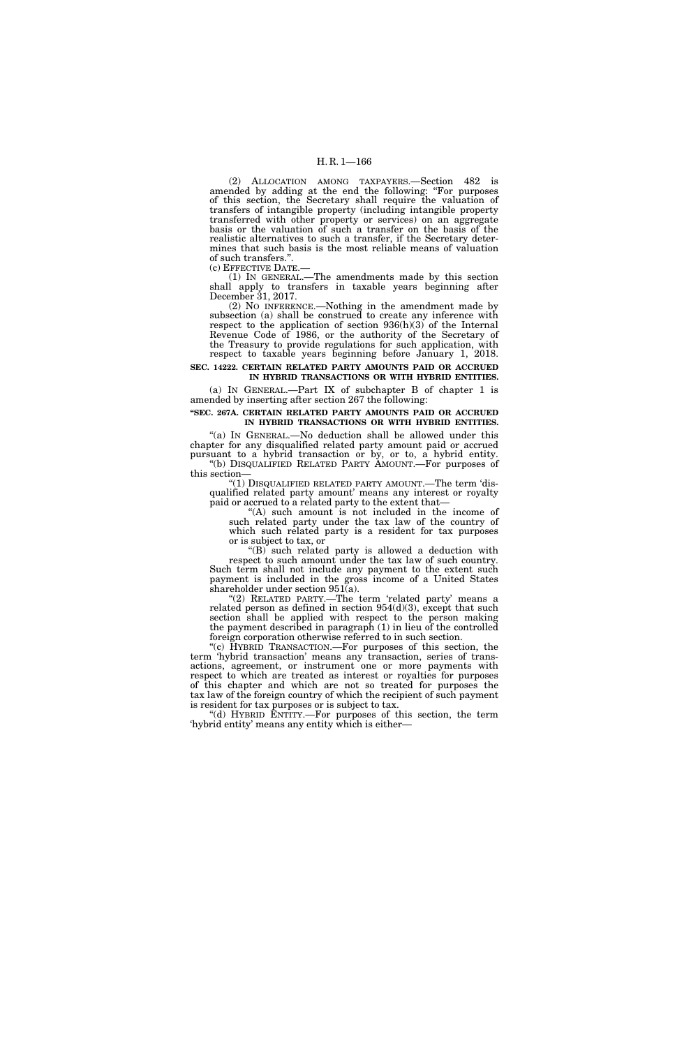(2) ALLOCATION AMONG TAXPAYERS.—Section 482 is amended by adding at the end the following: "For purposes of this section, the Secretary shall require the valuation of transfers of intangible property (including intangible property transferred with other property or services) on an aggregate basis or the valuation of such a transfer on the basis of the realistic alternatives to such a transfer, if the Secretary determines that such basis is the most reliable means of valuation of such transfers.".<br>(c) EFFECTIVE DATE.-

(1) IN GENERAL.—The amendments made by this section shall apply to transfers in taxable years beginning after December 31, 2017.

(2) NO INFERENCE.—Nothing in the amendment made by subsection (a) shall be construed to create any inference with respect to the application of section 936(h)(3) of the Internal Revenue Code of 1986, or the authority of the Secretary of the Treasury to provide regulations for such application, with respect to taxable years beginning before January 1, 2018.

**SEC. 14222. CERTAIN RELATED PARTY AMOUNTS PAID OR ACCRUED IN HYBRID TRANSACTIONS OR WITH HYBRID ENTITIES.** 

(a) IN GENERAL.—Part IX of subchapter B of chapter 1 is amended by inserting after section 267 the following:

# **''SEC. 267A. CERTAIN RELATED PARTY AMOUNTS PAID OR ACCRUED IN HYBRID TRANSACTIONS OR WITH HYBRID ENTITIES.**

"(a) IN GENERAL.—No deduction shall be allowed under this chapter for any disqualified related party amount paid or accrued pursuant to a hybrid transaction or by, or to, a hybrid entity. ''(b) DISQUALIFIED RELATED PARTY AMOUNT.—For purposes of this section—

''(1) DISQUALIFIED RELATED PARTY AMOUNT.—The term 'disqualified related party amount' means any interest or royalty paid or accrued to a related party to the extent that—

"(A) such amount is not included in the income of such related party under the tax law of the country of which such related party is a resident for tax purposes or is subject to tax, or

''(B) such related party is allowed a deduction with respect to such amount under the tax law of such country. Such term shall not include any payment to the extent such payment is included in the gross income of a United States shareholder under section 951(a).

(2) RELATED PARTY.—The term 'related party' means a related person as defined in section  $954(d)(3)$ , except that such section shall be applied with respect to the person making the payment described in paragraph (1) in lieu of the controlled foreign corporation otherwise referred to in such section.

''(c) HYBRID TRANSACTION.—For purposes of this section, the term 'hybrid transaction' means any transaction, series of transactions, agreement, or instrument one or more payments with respect to which are treated as interest or royalties for purposes of this chapter and which are not so treated for purposes the tax law of the foreign country of which the recipient of such payment is resident for tax purposes or is subject to tax.

''(d) HYBRID ENTITY.—For purposes of this section, the term 'hybrid entity' means any entity which is either—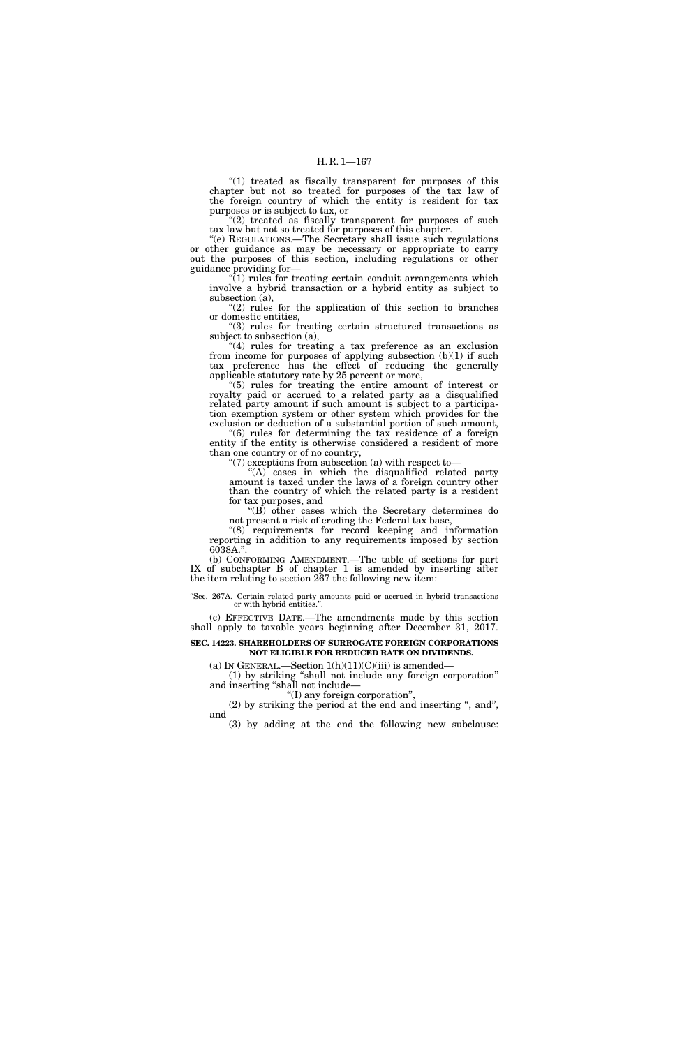"(1) treated as fiscally transparent for purposes of this chapter but not so treated for purposes of the tax law of the foreign country of which the entity is resident for tax purposes or is subject to tax, or

" $(2)$  treated as fiscally transparent for purposes of such tax law but not so treated for purposes of this chapter.

''(e) REGULATIONS.—The Secretary shall issue such regulations or other guidance as may be necessary or appropriate to carry out the purposes of this section, including regulations or other guidance providing for—

 $(1)$  rules for treating certain conduit arrangements which involve a hybrid transaction or a hybrid entity as subject to subsection (a),

 $(2)$  rules for the application of this section to branches or domestic entities,

''(3) rules for treating certain structured transactions as subject to subsection (a),

"(4) rules for treating a tax preference as an exclusion from income for purposes of applying subsection (b)(1) if such tax preference has the effect of reducing the generally applicable statutory rate by 25 percent or more,

''(5) rules for treating the entire amount of interest or royalty paid or accrued to a related party as a disqualified related party amount if such amount is subject to a participation exemption system or other system which provides for the exclusion or deduction of a substantial portion of such amount,

''(6) rules for determining the tax residence of a foreign entity if the entity is otherwise considered a resident of more than one country or of no country,

" $(7)$  exceptions from subsection  $(a)$  with respect to-

 $f(A)$  cases in which the disqualified related party amount is taxed under the laws of a foreign country other than the country of which the related party is a resident for tax purposes, and

''(B) other cases which the Secretary determines do not present a risk of eroding the Federal tax base,

"(8) requirements for record keeping and information reporting in addition to any requirements imposed by section 6038A.''.

(b) CONFORMING AMENDMENT.—The table of sections for part IX of subchapter B of chapter 1 is amended by inserting after the item relating to section 267 the following new item:

''Sec. 267A. Certain related party amounts paid or accrued in hybrid transactions or with hybrid entities.''.

(c) EFFECTIVE DATE.—The amendments made by this section shall apply to taxable years beginning after December 31, 2017.

# **SEC. 14223. SHAREHOLDERS OF SURROGATE FOREIGN CORPORATIONS NOT ELIGIBLE FOR REDUCED RATE ON DIVIDENDS.**

(a) IN GENERAL.—Section  $1(h)(11)(C)(iii)$  is amended—

(1) by striking ''shall not include any foreign corporation'' and inserting ''shall not include—

''(I) any foreign corporation'', (2) by striking the period at the end and inserting ", and", and

(3) by adding at the end the following new subclause: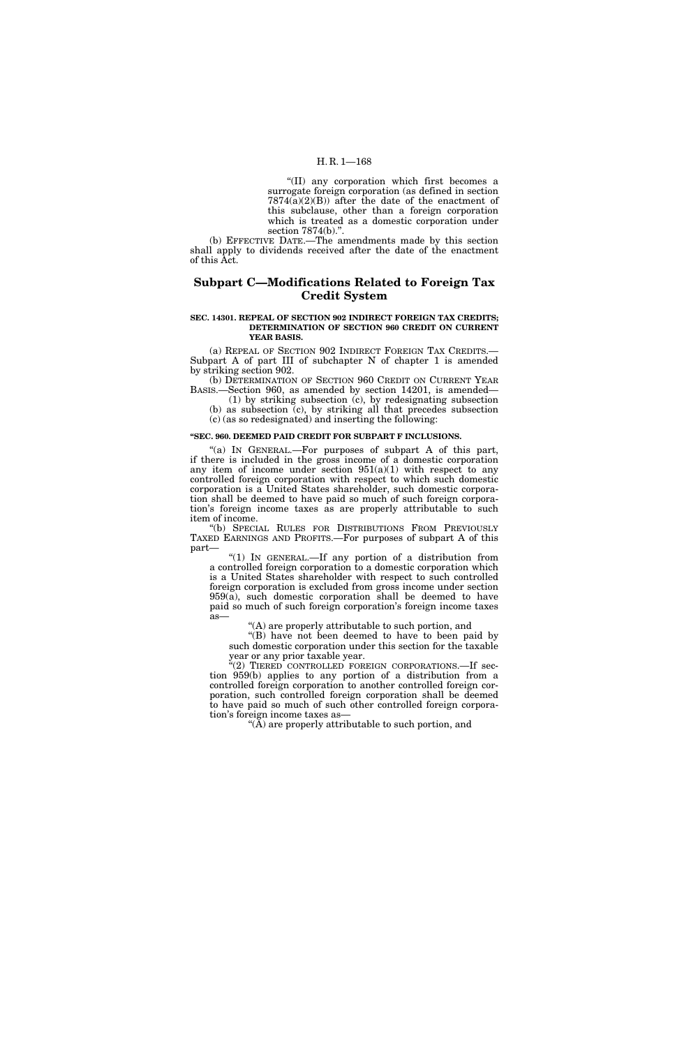### H. R. 1—168

''(II) any corporation which first becomes a surrogate foreign corporation (as defined in section  $7874(a)(2)(B)$  after the date of the enactment of this subclause, other than a foreign corporation which is treated as a domestic corporation under section 7874(b).''.

(b) EFFECTIVE DATE.—The amendments made by this section shall apply to dividends received after the date of the enactment of this Act.

# **Subpart C—Modifications Related to Foreign Tax Credit System**

#### **SEC. 14301. REPEAL OF SECTION 902 INDIRECT FOREIGN TAX CREDITS; DETERMINATION OF SECTION 960 CREDIT ON CURRENT YEAR BASIS.**

(a) REPEAL OF SECTION 902 INDIRECT FOREIGN TAX CREDITS.— Subpart A of part III of subchapter N of chapter 1 is amended by striking section 902.

(b) DETERMINATION OF SECTION 960 CREDIT ON CURRENT YEAR BASIS.—Section 960, as amended by section 14201, is amended—

(1) by striking subsection (c), by redesignating subsection (b) as subsection (c), by striking all that precedes subsection (c) (as so redesignated) and inserting the following:

# **''SEC. 960. DEEMED PAID CREDIT FOR SUBPART F INCLUSIONS.**

"(a) IN GENERAL.—For purposes of subpart A of this part, if there is included in the gross income of a domestic corporation any item of income under section  $951(a)(1)$  with respect to any controlled foreign corporation with respect to which such domestic corporation is a United States shareholder, such domestic corporation shall be deemed to have paid so much of such foreign corporation's foreign income taxes as are properly attributable to such item of income.

''(b) SPECIAL RULES FOR DISTRIBUTIONS FROM PREVIOUSLY TAXED EARNINGS AND PROFITS.—For purposes of subpart A of this part—

"(1) IN GENERAL.—If any portion of a distribution from a controlled foreign corporation to a domestic corporation which is a United States shareholder with respect to such controlled foreign corporation is excluded from gross income under section  $959(a)$ , such domestic corporation shall be deemed to have paid so much of such foreign corporation's foreign income taxes as—

'(A) are properly attributable to such portion, and

"(B) have not been deemed to have to been paid by such domestic corporation under this section for the taxable year or any prior taxable year.

''(2) TIERED CONTROLLED FOREIGN CORPORATIONS.—If section 959(b) applies to any portion of a distribution from a controlled foreign corporation to another controlled foreign corporation, such controlled foreign corporation shall be deemed to have paid so much of such other controlled foreign corporation's foreign income taxes as—

" $(\overline{A})$  are properly attributable to such portion, and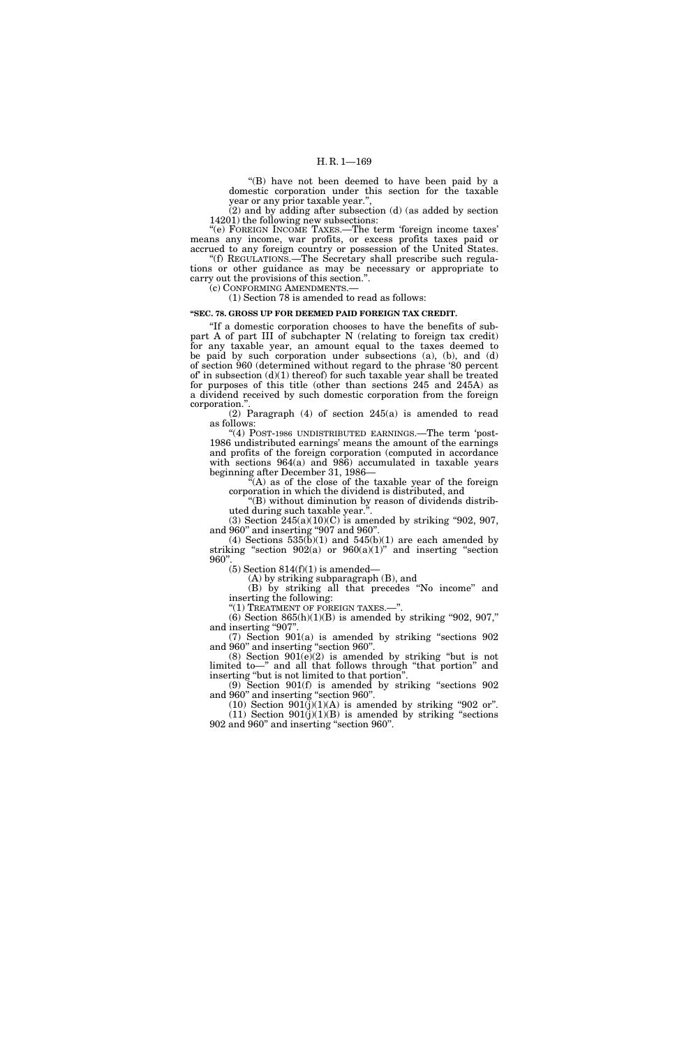''(B) have not been deemed to have been paid by a domestic corporation under this section for the taxable year or any prior taxable year.'',

(2) and by adding after subsection (d) (as added by section 14201) the following new subsections:

"(e) FOREIGN INCOME TAXES.—The term 'foreign income taxes' means any income, war profits, or excess profits taxes paid or accrued to any foreign country or possession of the United States. ''(f) REGULATIONS.—The Secretary shall prescribe such regula-

tions or other guidance as may be necessary or appropriate to carry out the provisions of this section.''. (c) CONFORMING AMENDMENTS.—

(1) Section 78 is amended to read as follows:

# **''SEC. 78. GROSS UP FOR DEEMED PAID FOREIGN TAX CREDIT.**

''If a domestic corporation chooses to have the benefits of subpart A of part III of subchapter N (relating to foreign tax credit) for any taxable year, an amount equal to the taxes deemed to be paid by such corporation under subsections (a), (b), and (d) of section 960 (determined without regard to the phrase '80 percent of' in subsection (d)(1) thereof) for such taxable year shall be treated for purposes of this title (other than sections 245 and 245A) as a dividend received by such domestic corporation from the foreign corporation.''.

(2) Paragraph (4) of section 245(a) is amended to read as follows:

"(4) POST-1986 UNDISTRIBUTED EARNINGS.—The term 'post-1986 undistributed earnings' means the amount of the earnings and profits of the foreign corporation (computed in accordance with sections 964(a) and 986) accumulated in taxable years beginning after December 31, 1986–

 $(A)$  as of the close of the taxable year of the foreign corporation in which the dividend is distributed, and

''(B) without diminution by reason of dividends distributed during such taxable year.''.

(3) Section  $245(a)(10)(C)$  is amended by striking "902, 907, and 960'' and inserting ''907 and 960''.

(4) Sections  $535(b)(1)$  and  $545(b)(1)$  are each amended by striking "section  $902(a)$  or  $960(a)(1)$ " and inserting "section 960''.

 $(5)$  Section 814 $(f)(1)$  is amended—

(A) by striking subparagraph (B), and (B) by striking all that precedes ''No income'' and

inserting the following:

''(1) TREATMENT OF FOREIGN TAXES.—''.

(6) Section  $865(h)(1)(B)$  is amended by striking "902, 907," and inserting "907".

(7) Section 901(a) is amended by striking ''sections 902 and 960'' and inserting ''section 960''.

 $(8)$  Section  $901(e)(2)$  is amended by striking "but is not limited to—'' and all that follows through ''that portion'' and inserting ''but is not limited to that portion''.

(9) Section 901(f) is amended by striking ''sections 902 and 960'' and inserting ''section 960''.

 $(10)$  Section  $901(j)(1)(A)$  is amended by striking "902 or".  $(11)$  Section  $901(j)(1)(B)$  is amended by striking "sections" 902 and 960'' and inserting ''section 960''.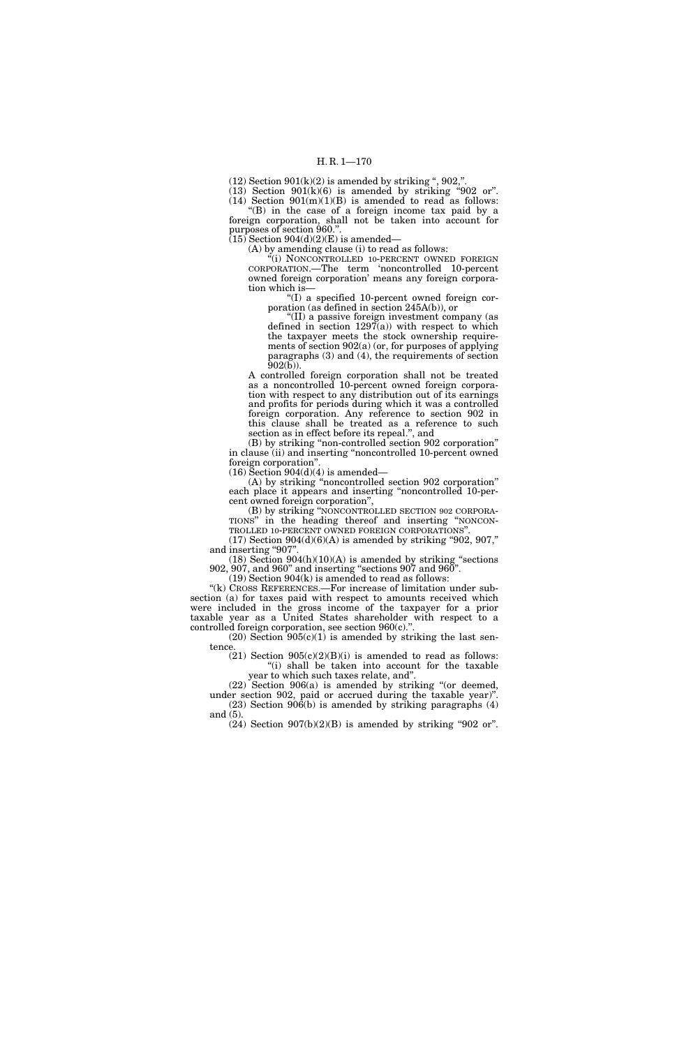$(12)$  Section  $901(k)(2)$  is amended by striking ",  $902$ ,".

(13) Section  $901(k)(6)$  is amended by striking "902 or". (14) Section  $901(m)(1)(B)$  is amended to read as follows:

''(B) in the case of a foreign income tax paid by a foreign corporation, shall not be taken into account for purposes of section 960.".

 $(15)$  Section 904(d)(2)(E) is amended—

(A) by amending clause (i) to read as follows:

"(i) NONCONTROLLED 10-PERCENT OWNED FOREIGN CORPORATION.—The term 'noncontrolled 10-percent owned foreign corporation' means any foreign corporation which is—

''(I) a specified 10-percent owned foreign corporation (as defined in section 245A(b)), or

''(II) a passive foreign investment company (as defined in section  $1297(a)$ ) with respect to which the taxpayer meets the stock ownership requirements of section 902(a) (or, for purposes of applying paragraphs (3) and (4), the requirements of section  $902(b)$ ).

A controlled foreign corporation shall not be treated as a noncontrolled 10-percent owned foreign corporation with respect to any distribution out of its earnings and profits for periods during which it was a controlled foreign corporation. Any reference to section 902 in this clause shall be treated as a reference to such section as in effect before its repeal.'', and

(B) by striking ''non-controlled section 902 corporation'' in clause (ii) and inserting ''noncontrolled 10-percent owned foreign corporation''.

 $(16)$  Section 904 $(d)(4)$  is amended—

(A) by striking ''noncontrolled section 902 corporation'' each place it appears and inserting ''noncontrolled 10-percent owned foreign corporation'',

(B) by striking ''NONCONTROLLED SECTION 902 CORPORA-TIONS'' in the heading thereof and inserting ''NONCON- TROLLED 10-PERCENT OWNED FOREIGN CORPORATIONS''.

(17) Section  $904(d)(6)(A)$  is amended by striking "902, 907," and inserting "907".

 $(18)$  Section  $904(h)(10)(A)$  is amended by striking "sections" 902, 907, and 960'' and inserting ''sections 907 and 960''.

 $(19)$  Section  $904(k)$  is amended to read as follows:

"(k) CROSS REFERENCES.—For increase of limitation under subsection (a) for taxes paid with respect to amounts received which were included in the gross income of the taxpayer for a prior taxable year as a United States shareholder with respect to a controlled foreign corporation, see section 960(c).''.

 $(20)$  Section  $905(c)(1)$  is amended by striking the last sentence.

 $(21)$  Section  $905(c)(2)(B)(i)$  is amended to read as follows: "(i) shall be taken into account for the taxable year to which such taxes relate, and''.

(22) Section 906(a) is amended by striking ''(or deemed, under section 902, paid or accrued during the taxable year)''.  $(23)$  Section  $90\hat{6}$ (b) is amended by striking paragraphs  $(4)$ and (5).

 $(24)$  Section  $907(b)(2)(B)$  is amended by striking "902 or".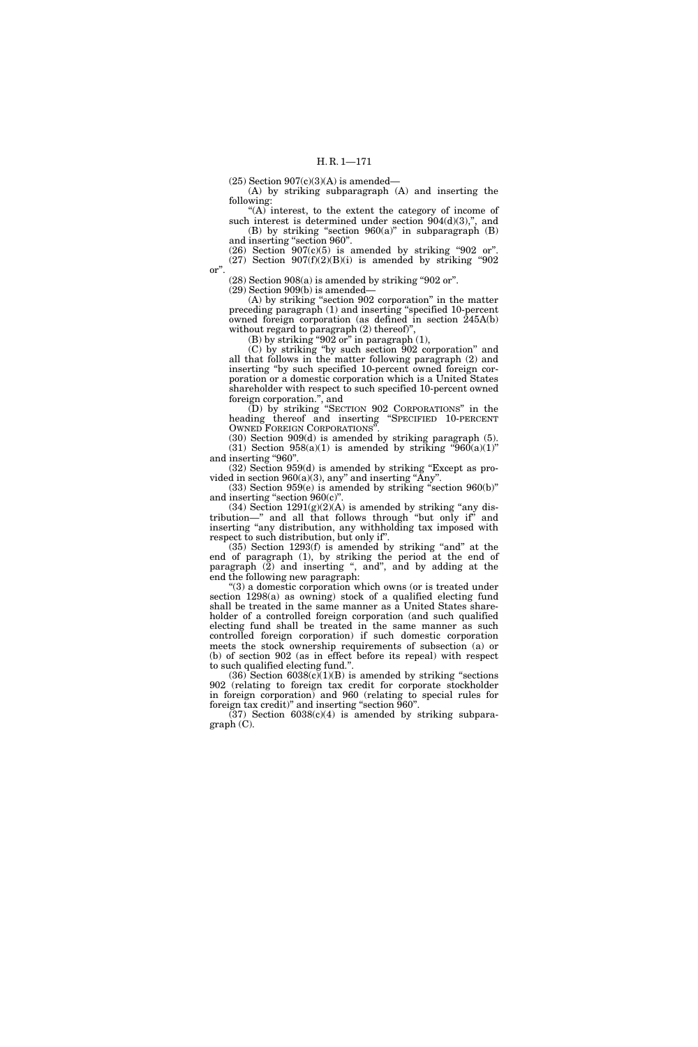$(25)$  Section  $907(c)(3)(A)$  is amended—

(A) by striking subparagraph (A) and inserting the following:

''(A) interest, to the extent the category of income of such interest is determined under section  $904(d)(3)$ ,", and (B) by striking "section  $960(a)$ " in subparagraph (B) and inserting ''section 960''.

 $(26)$  Section  $907(c)(5)$  is amended by striking "902 or".  $(27)$  Section  $907(f)(2)(B)(i)$  is amended by striking "902

or''.

 $(28)$  Section 908 $(a)$  is amended by striking "902 or".

(29) Section 909(b) is amended—

(A) by striking ''section 902 corporation'' in the matter preceding paragraph (1) and inserting ''specified 10-percent owned foreign corporation (as defined in section 245A(b) without regard to paragraph (2) thereof)'',

(B) by striking "902 or" in paragraph  $(1)$ ,

(C) by striking ''by such section 902 corporation'' and all that follows in the matter following paragraph (2) and inserting ''by such specified 10-percent owned foreign corporation or a domestic corporation which is a United States shareholder with respect to such specified 10-percent owned foreign corporation.'', and

(D) by striking ''SECTION 902 CORPORATIONS'' in the heading thereof and inserting ''SPECIFIED 10-PERCENT OWNED FOREIGN CORPORATIONS''.

(30) Section 909(d) is amended by striking paragraph (5). (31) Section  $958(a)(1)$  is amended by striking " $960(a)(1)$ " and inserting "960"

(32) Section 959(d) is amended by striking ''Except as provided in section  $960(a)(3)$ , any" and inserting "Any".

 $(33)$  Section 959 $(e)$  is amended by striking "section 960 $(b)$ " and inserting "section  $960(c)$ ".

 $(34)$  Section  $1291(g)(2)(A)$  is amended by striking "any distribution—'' and all that follows through ''but only if'' and inserting ''any distribution, any withholding tax imposed with respect to such distribution, but only if''.

 $(35)$  Section 1293 $(f)$  is amended by striking "and" at the end of paragraph (1), by striking the period at the end of paragraph (2) and inserting ", and", and by adding at the end the following new paragraph:

 $(3)$  a domestic corporation which owns (or is treated under section 1298(a) as owning) stock of a qualified electing fund shall be treated in the same manner as a United States shareholder of a controlled foreign corporation (and such qualified electing fund shall be treated in the same manner as such controlled foreign corporation) if such domestic corporation meets the stock ownership requirements of subsection (a) or (b) of section 902 (as in effect before its repeal) with respect to such qualified electing fund.''.

 $(36)$  Section  $6038(c)(1)(B)$  is amended by striking "sections" 902 (relating to foreign tax credit for corporate stockholder in foreign corporation) and 960 (relating to special rules for foreign tax credit)'' and inserting ''section 960''.

 $(37)$  Section  $6038(c)(4)$  is amended by striking subparagraph (C).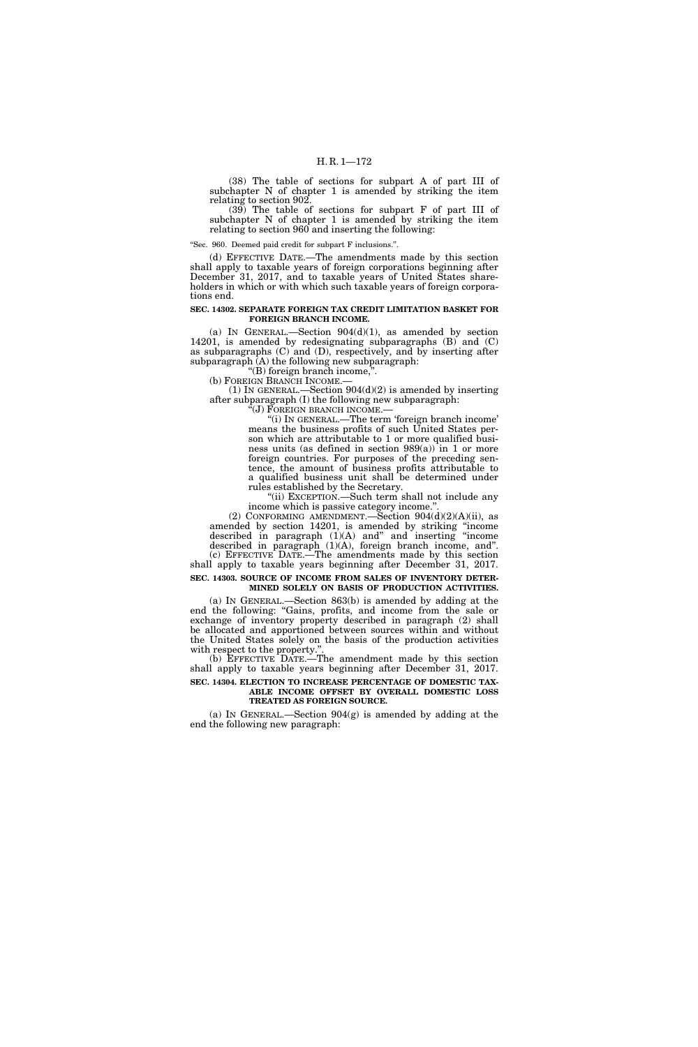(38) The table of sections for subpart A of part III of subchapter N of chapter 1 is amended by striking the item relating to section 902.

(39) The table of sections for subpart F of part III of subchapter N of chapter 1 is amended by striking the item relating to section 960 and inserting the following:

''Sec. 960. Deemed paid credit for subpart F inclusions.''.

(d) EFFECTIVE DATE.—The amendments made by this section shall apply to taxable years of foreign corporations beginning after December 31, 2017, and to taxable years of United States shareholders in which or with which such taxable years of foreign corporations end.

## **SEC. 14302. SEPARATE FOREIGN TAX CREDIT LIMITATION BASKET FOR FOREIGN BRANCH INCOME.**

(a) IN GENERAL.—Section  $904(d)(1)$ , as amended by section 14201, is amended by redesignating subparagraphs (B) and (C) as subparagraphs (C) and (D), respectively, and by inserting after subparagraph (A) the following new subparagraph:

''(B) foreign branch income,''. (b) FOREIGN BRANCH INCOME.—

(1) IN GENERAL.—Section  $904(d)(2)$  is amended by inserting after subparagraph (I) the following new subparagraph:

 $\widetilde{F}(J)$  FOREIGN BRANCH INCOME. $-$ 

''(i) IN GENERAL.—The term 'foreign branch income' means the business profits of such United States person which are attributable to 1 or more qualified business units (as defined in section  $989(a)$ ) in 1 or more foreign countries. For purposes of the preceding sentence, the amount of business profits attributable to a qualified business unit shall be determined under rules established by the Secretary.

''(ii) EXCEPTION.—Such term shall not include any income which is passive category income."

(2) CONFORMING AMENDMENT.—Section  $904(d)(2)(A)(ii)$ , as amended by section 14201, is amended by striking ''income described in paragraph (1)(A) and'' and inserting ''income described in paragraph (1)(A), foreign branch income, and''.

(c) EFFECTIVE DATE.—The amendments made by this section shall apply to taxable years beginning after December 31, 2017. **SEC. 14303. SOURCE OF INCOME FROM SALES OF INVENTORY DETER-**

**MINED SOLELY ON BASIS OF PRODUCTION ACTIVITIES.** 

(a) IN GENERAL.—Section 863(b) is amended by adding at the end the following: "Gains, profits, and income from the sale or exchange of inventory property described in paragraph (2) shall be allocated and apportioned between sources within and without the United States solely on the basis of the production activities with respect to the property.''.

(b) EFFECTIVE DATE.—The amendment made by this section shall apply to taxable years beginning after December 31, 2017. **SEC. 14304. ELECTION TO INCREASE PERCENTAGE OF DOMESTIC TAX-**

# **ABLE INCOME OFFSET BY OVERALL DOMESTIC LOSS TREATED AS FOREIGN SOURCE.**

(a) IN GENERAL.—Section 904(g) is amended by adding at the end the following new paragraph: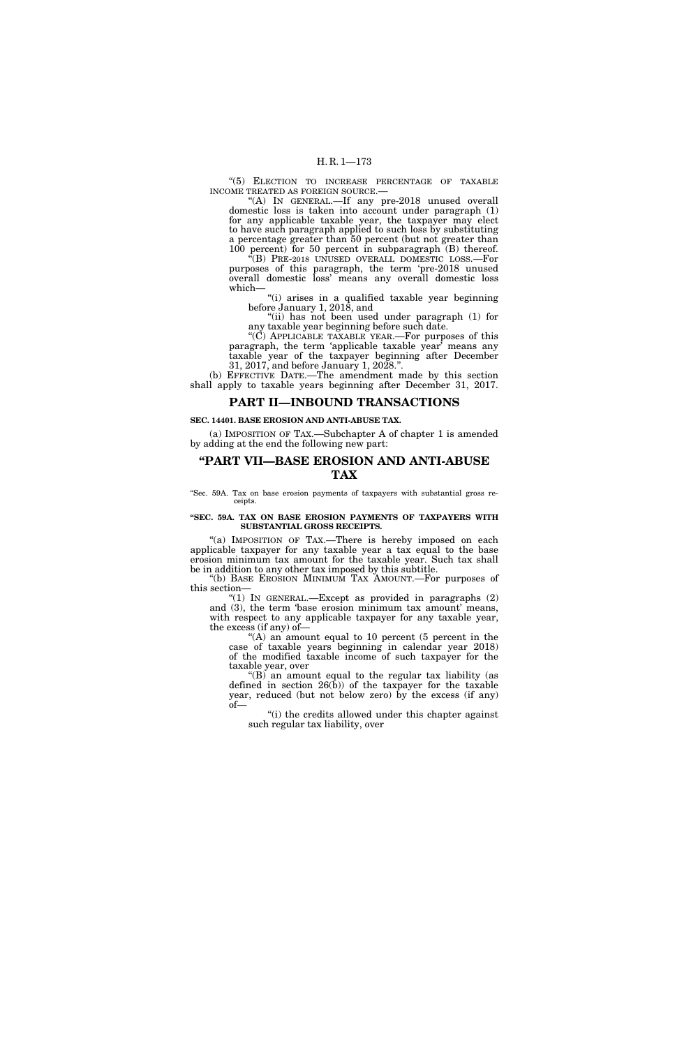"(5) ELECTION TO INCREASE PERCENTAGE OF TAXABLE INCOME TREATED AS FOREIGN SOURCE.—

"(A) In GENERAL.—If any pre-2018 unused overall domestic loss is taken into account under paragraph (1) for any applicable taxable year, the taxpayer may elect to have such paragraph applied to such loss by substituting a percentage greater than 50 percent (but not greater than 100 percent) for 50 percent in subparagraph (B) thereof.

''(B) PRE-2018 UNUSED OVERALL DOMESTIC LOSS.—For purposes of this paragraph, the term 'pre-2018 unused overall domestic loss' means any overall domestic loss which—

''(i) arises in a qualified taxable year beginning before January 1, 2018, and

"(ii) has not been used under paragraph (1) for any taxable year beginning before such date.

''(C) APPLICABLE TAXABLE YEAR.—For purposes of this paragraph, the term 'applicable taxable year' means any taxable year of the taxpayer beginning after December 31, 2017, and before January 1, 2028.''.

(b) EFFECTIVE DATE.—The amendment made by this section shall apply to taxable years beginning after December 31, 2017.

# **PART II—INBOUND TRANSACTIONS**

#### **SEC. 14401. BASE EROSION AND ANTI-ABUSE TAX.**

(a) IMPOSITION OF TAX.—Subchapter A of chapter 1 is amended by adding at the end the following new part:

# **''PART VII—BASE EROSION AND ANTI-ABUSE TAX**

''Sec. 59A. Tax on base erosion payments of taxpayers with substantial gross receipts.

#### **''SEC. 59A. TAX ON BASE EROSION PAYMENTS OF TAXPAYERS WITH SUBSTANTIAL GROSS RECEIPTS.**

"(a) IMPOSITION OF TAX.—There is hereby imposed on each applicable taxpayer for any taxable year a tax equal to the base erosion minimum tax amount for the taxable year. Such tax shall be in addition to any other tax imposed by this subtitle.

''(b) BASE EROSION MINIMUM TAX AMOUNT.—For purposes of this section—

 $'(1)$  In GENERAL.—Except as provided in paragraphs  $(2)$ and (3), the term 'base erosion minimum tax amount' means, with respect to any applicable taxpayer for any taxable year, the excess (if any) of—

''(A) an amount equal to 10 percent (5 percent in the case of taxable years beginning in calendar year 2018) of the modified taxable income of such taxpayer for the taxable year, over

" $(B)$  an amount equal to the regular tax liability (as defined in section  $26(b)$  of the taxpayer for the taxable year, reduced (but not below zero) by the excess (if any) of—

"(i) the credits allowed under this chapter against such regular tax liability, over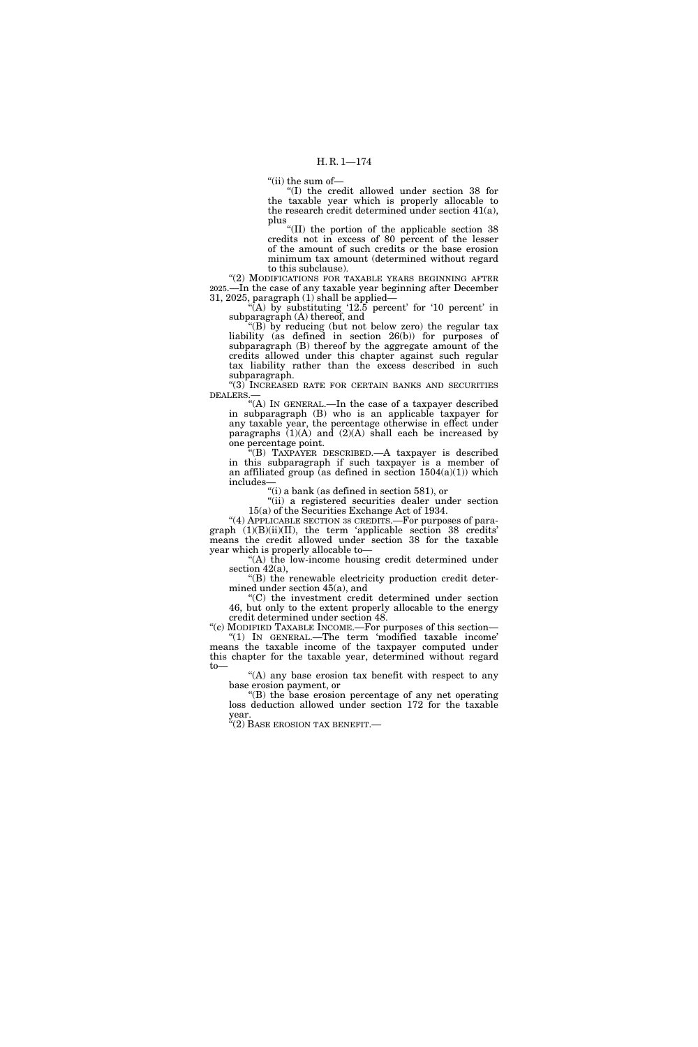''(ii) the sum of—

''(I) the credit allowed under section 38 for the taxable year which is properly allocable to the research credit determined under section 41(a), plus

''(II) the portion of the applicable section 38 credits not in excess of 80 percent of the lesser of the amount of such credits or the base erosion minimum tax amount (determined without regard to this subclause).

"(2) MODIFICATIONS FOR TAXABLE YEARS BEGINNING AFTER 2025.—In the case of any taxable year beginning after December 31, 2025, paragraph (1) shall be applied—

"(A) by substituting  $12.5$  percent' for  $10$  percent' in subparagraph (A) thereof, and

''(B) by reducing (but not below zero) the regular tax liability (as defined in section 26(b)) for purposes of subparagraph (B) thereof by the aggregate amount of the credits allowed under this chapter against such regular tax liability rather than the excess described in such subparagraph.

''(3) INCREASED RATE FOR CERTAIN BANKS AND SECURITIES DEALERS.—

''(A) IN GENERAL.—In the case of a taxpayer described in subparagraph (B) who is an applicable taxpayer for any taxable year, the percentage otherwise in effect under paragraphs  $(1)(A)$  and  $(2)(A)$  shall each be increased by one percentage point.

''(B) TAXPAYER DESCRIBED.—A taxpayer is described in this subparagraph if such taxpayer is a member of an affiliated group (as defined in section  $1504(a)(1)$ ) which includes—

''(i) a bank (as defined in section 581), or

''(ii) a registered securities dealer under section 15(a) of the Securities Exchange Act of 1934.

"(4) APPLICABLE SECTION 38 CREDITS. For purposes of paragraph (1)(B)(ii)(II), the term 'applicable section 38 credits' means the credit allowed under section 38 for the taxable year which is properly allocable to—

''(A) the low-income housing credit determined under section 42(a),

''(B) the renewable electricity production credit determined under section 45(a), and

''(C) the investment credit determined under section 46, but only to the extent properly allocable to the energy credit determined under section 48.

''(c) MODIFIED TAXABLE INCOME.—For purposes of this section— ''(1) IN GENERAL.—The term 'modified taxable income' means the taxable income of the taxpayer computed under this chapter for the taxable year, determined without regard to—

''(A) any base erosion tax benefit with respect to any base erosion payment, or

''(B) the base erosion percentage of any net operating loss deduction allowed under section 172 for the taxable year.

 $\cdot$ "(2) BASE EROSION TAX BENEFIT.—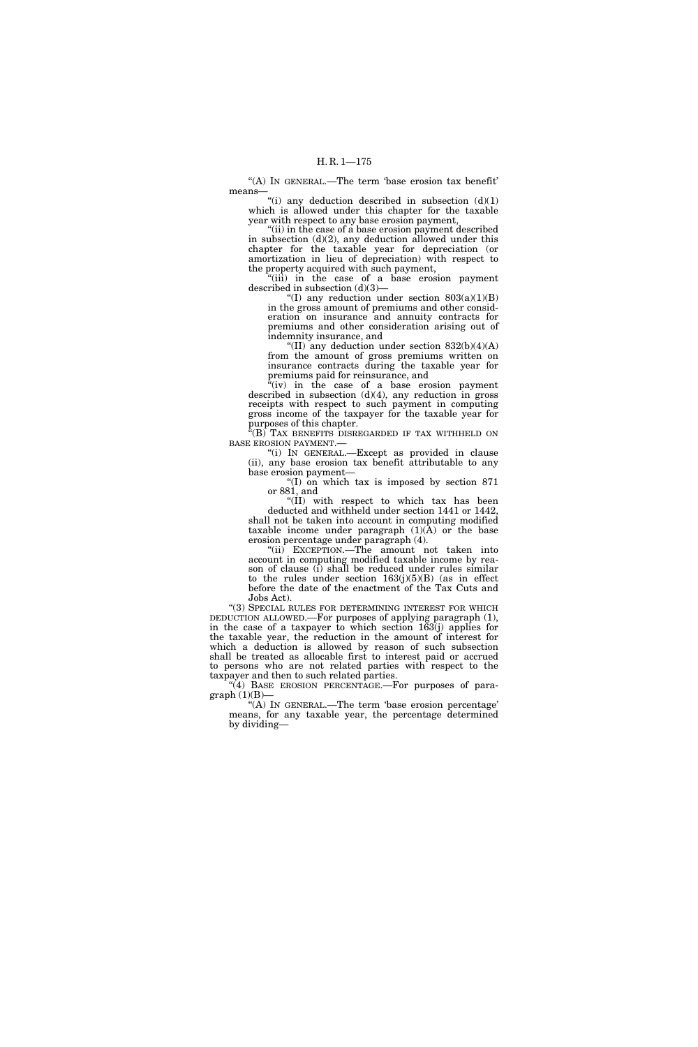''(A) IN GENERAL.—The term 'base erosion tax benefit' means—

"(i) any deduction described in subsection  $(d)(1)$ which is allowed under this chapter for the taxable year with respect to any base erosion payment,

"(ii) in the case of a base erosion payment described in subsection  $(d)(2)$ , any deduction allowed under this chapter for the taxable year for depreciation (or amortization in lieu of depreciation) with respect to the property acquired with such payment,

''(iii) in the case of a base erosion payment described in subsection (d)(3)—

"(I) any reduction under section  $803(a)(1)(B)$ in the gross amount of premiums and other consideration on insurance and annuity contracts for premiums and other consideration arising out of indemnity insurance, and

"(II) any deduction under section  $832(b)(4)(A)$ from the amount of gross premiums written on insurance contracts during the taxable year for premiums paid for reinsurance, and

 $f(iv)$  in the case of a base erosion payment described in subsection  $(d)(4)$ , any reduction in gross receipts with respect to such payment in computing gross income of the taxpayer for the taxable year for purposes of this chapter.

 $E^2(B)$  TAX BENEFITS DISREGARDED IF TAX WITHHELD ON BASE EROSION PAYMENT.—

''(i) IN GENERAL.—Except as provided in clause (ii), any base erosion tax benefit attributable to any base erosion payment—

''(I) on which tax is imposed by section 871 or 881, and

''(II) with respect to which tax has been deducted and withheld under section 1441 or 1442, shall not be taken into account in computing modified taxable income under paragraph  $(1)(A)$  or the base erosion percentage under paragraph (4).

''(ii) EXCEPTION.—The amount not taken into account in computing modified taxable income by reason of clause (i) shall be reduced under rules similar to the rules under section  $163(j)(5)(B)$  (as in effect before the date of the enactment of the Tax Cuts and Jobs Act).

"(3) SPECIAL RULES FOR DETERMINING INTEREST FOR WHICH DEDUCTION ALLOWED.—For purposes of applying paragraph (1), in the case of a taxpayer to which section 163(j) applies for the taxable year, the reduction in the amount of interest for which a deduction is allowed by reason of such subsection shall be treated as allocable first to interest paid or accrued to persons who are not related parties with respect to the taxpayer and then to such related parties.

"(4) BASE EROSION PERCENTAGE.—For purposes of para $graph(1)(B)$ —

 $\widetilde{H(A)}$  In GENERAL.—The term 'base erosion percentage' means, for any taxable year, the percentage determined by dividing—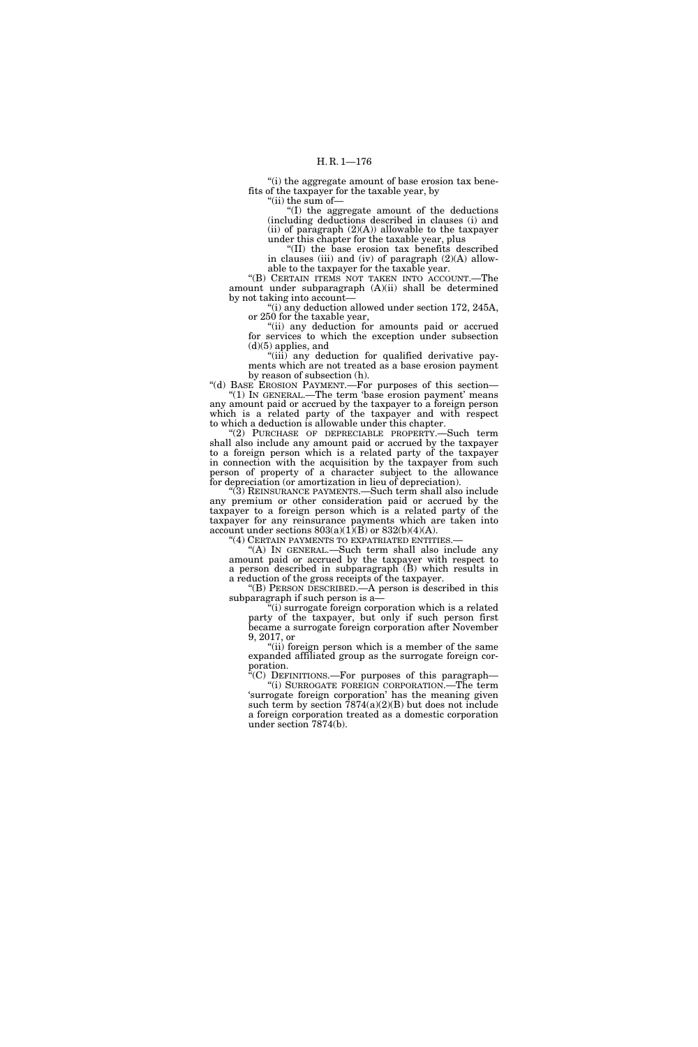''(i) the aggregate amount of base erosion tax benefits of the taxpayer for the taxable year, by "(ii) the sum of-

''(I) the aggregate amount of the deductions (including deductions described in clauses (i) and (ii) of paragraph  $(2)(A)$ ) allowable to the taxpayer under this chapter for the taxable year, plus

''(II) the base erosion tax benefits described in clauses (iii) and (iv) of paragraph (2)(A) allowable to the taxpayer for the taxable year.

"(B) CERTAIN ITEMS NOT TAKEN INTO ACCOUNT.—The amount under subparagraph (A)(ii) shall be determined by not taking into account—

 $\lq$ (i) any deduction allowed under section 172, 245A, or 250 for the taxable year,

''(ii) any deduction for amounts paid or accrued for services to which the exception under subsection  $(d)(5)$  applies, and

''(iii) any deduction for qualified derivative payments which are not treated as a base erosion payment by reason of subsection (h).

''(d) BASE EROSION PAYMENT.—For purposes of this section— "(1) In GENERAL.—The term 'base erosion payment' means any amount paid or accrued by the taxpayer to a foreign person which is a related party of the taxpayer and with respect

to which a deduction is allowable under this chapter. "(2) PURCHASE OF DEPRECIABLE PROPERTY.-Such term shall also include any amount paid or accrued by the taxpayer to a foreign person which is a related party of the taxpayer in connection with the acquisition by the taxpayer from such person of property of a character subject to the allowance for depreciation (or amortization in lieu of depreciation).

''(3) REINSURANCE PAYMENTS.—Such term shall also include any premium or other consideration paid or accrued by the taxpayer to a foreign person which is a related party of the taxpayer for any reinsurance payments which are taken into account under sections  $803(a)(1)(B)$  or  $832(b)(4)(A)$ .

''(4) CERTAIN PAYMENTS TO EXPATRIATED ENTITIES.— ''(A) IN GENERAL.—Such term shall also include any

amount paid or accrued by the taxpayer with respect to a person described in subparagraph (B) which results in a reduction of the gross receipts of the taxpayer.

''(B) PERSON DESCRIBED.—A person is described in this subparagraph if such person is a—

''(i) surrogate foreign corporation which is a related party of the taxpayer, but only if such person first became a surrogate foreign corporation after November 9, 2017, or

"(ii) foreign person which is a member of the same expanded affiliated group as the surrogate foreign corporation.

 $\mathbf{F}^{\mathsf{r}}(C)$  DEFINITIONS.—For purposes of this paragraph— ''(i) SURROGATE FOREIGN CORPORATION.—The term 'surrogate foreign corporation' has the meaning given such term by section  $7874(a)(2)(B)$  but does not include a foreign corporation treated as a domestic corporation under section 7874(b).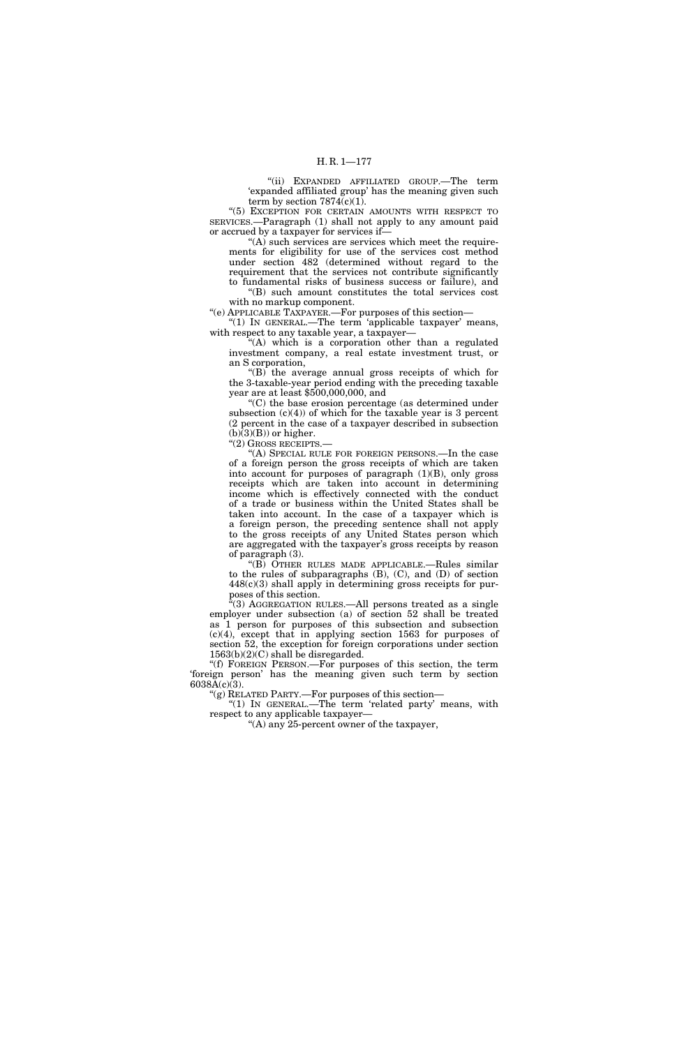''(ii) EXPANDED AFFILIATED GROUP.—The term 'expanded affiliated group' has the meaning given such term by section  $7874(c)(1)$ .

"(5) EXCEPTION FOR CERTAIN AMOUNTS WITH RESPECT TO SERVICES.—Paragraph (1) shall not apply to any amount paid or accrued by a taxpayer for services if—

 $(A)$  such services are services which meet the requirements for eligibility for use of the services cost method under section 482 (determined without regard to the requirement that the services not contribute significantly to fundamental risks of business success or failure), and ''(B) such amount constitutes the total services cost

with no markup component. ''(e) APPLICABLE TAXPAYER.—For purposes of this section—

" $(1)$  In GENERAL.—The term 'applicable taxpayer' means, with respect to any taxable year, a taxpayer—

''(A) which is a corporation other than a regulated investment company, a real estate investment trust, or an S corporation,

 $(G)$  the average annual gross receipts of which for the 3-taxable-year period ending with the preceding taxable year are at least \$500,000,000, and

''(C) the base erosion percentage (as determined under subsection  $(c)(4)$  of which for the taxable year is 3 percent (2 percent in the case of a taxpayer described in subsection  $(b)(3)(B)$  or higher.

''(2) GROSS RECEIPTS.—

''(A) SPECIAL RULE FOR FOREIGN PERSONS.—In the case of a foreign person the gross receipts of which are taken into account for purposes of paragraph (1)(B), only gross receipts which are taken into account in determining income which is effectively connected with the conduct of a trade or business within the United States shall be taken into account. In the case of a taxpayer which is a foreign person, the preceding sentence shall not apply to the gross receipts of any United States person which are aggregated with the taxpayer's gross receipts by reason of paragraph (3).

''(B) OTHER RULES MADE APPLICABLE.—Rules similar to the rules of subparagraphs (B), (C), and (D) of section  $448(c)(3)$  shall apply in determining gross receipts for purposes of this section.

(3) AGGREGATION RULES.—All persons treated as a single employer under subsection (a) of section 52 shall be treated as 1 person for purposes of this subsection and subsection (c)(4), except that in applying section 1563 for purposes of section 52, the exception for foreign corporations under section 1563(b)(2)(C) shall be disregarded.

''(f) FOREIGN PERSON.—For purposes of this section, the term 'foreign person' has the meaning given such term by section  $6038\bar{A}(c)(3)$ .

''(g) RELATED PARTY.—For purposes of this section—

"(1) IN GENERAL.—The term 'related party' means, with respect to any applicable taxpayer—

''(A) any 25-percent owner of the taxpayer,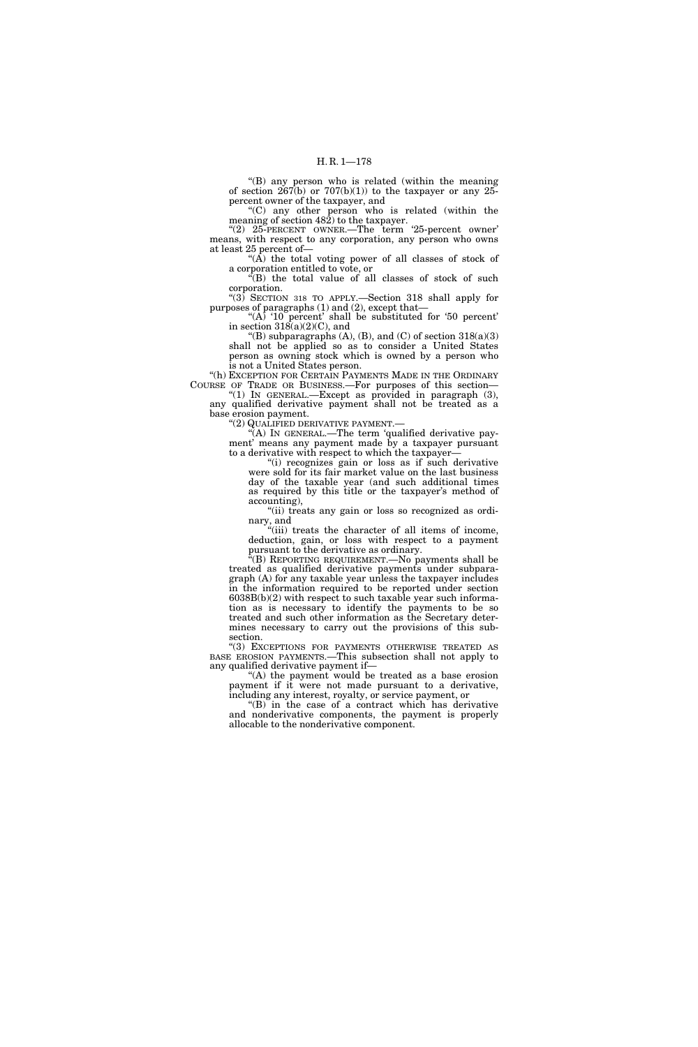''(B) any person who is related (within the meaning of section  $267(b)$  or  $707(b)(1)$  to the taxpayer or any 25percent owner of the taxpayer, and

''(C) any other person who is related (within the meaning of section 482) to the taxpayer.

''(2) 25-PERCENT OWNER.—The term '25-percent owner' means, with respect to any corporation, any person who owns at least 25 percent of—

" $(\overrightarrow{A})$  the total voting power of all classes of stock of a corporation entitled to vote, or

''(B) the total value of all classes of stock of such corporation.

 $^{\prime}(3)$  SECTION 318 TO APPLY.—Section 318 shall apply for purposes of paragraphs (1) and (2), except that—

"(A) ' $10$  percent' shall be substituted for '50 percent' in section  $318(a)(2)(C)$ , and

"(B) subparagraphs  $(A)$ ,  $(B)$ , and  $(C)$  of section  $318(a)(3)$ shall not be applied so as to consider a United States person as owning stock which is owned by a person who is not a United States person.

"(h) EXCEPTION FOR CERTAIN PAYMENTS MADE IN THE ORDINARY COURSE OF TRADE OR BUSINESS.—For purposes of this section—

 $^{\circ}(1)$  In GENERAL.—Except as provided in paragraph  $(3)$ , any qualified derivative payment shall not be treated as a base erosion payment.

''(2) QUALIFIED DERIVATIVE PAYMENT.—

''(A) IN GENERAL.—The term 'qualified derivative payment' means any payment made by a taxpayer pursuant to a derivative with respect to which the taxpayer—

''(i) recognizes gain or loss as if such derivative were sold for its fair market value on the last business day of the taxable year (and such additional times as required by this title or the taxpayer's method of accounting),

"(ii) treats any gain or loss so recognized as ordinary, and

"(iii) treats the character of all items of income, deduction, gain, or loss with respect to a payment pursuant to the derivative as ordinary.

''(B) REPORTING REQUIREMENT.—No payments shall be treated as qualified derivative payments under subparagraph (A) for any taxable year unless the taxpayer includes in the information required to be reported under section  $6038B(b)(2)$  with respect to such taxable year such information as is necessary to identify the payments to be so treated and such other information as the Secretary determines necessary to carry out the provisions of this subsection.

''(3) EXCEPTIONS FOR PAYMENTS OTHERWISE TREATED AS BASE EROSION PAYMENTS.—This subsection shall not apply to any qualified derivative payment if—

''(A) the payment would be treated as a base erosion payment if it were not made pursuant to a derivative, including any interest, royalty, or service payment, or

 $f(B)$  in the case of a contract which has derivative and nonderivative components, the payment is properly allocable to the nonderivative component.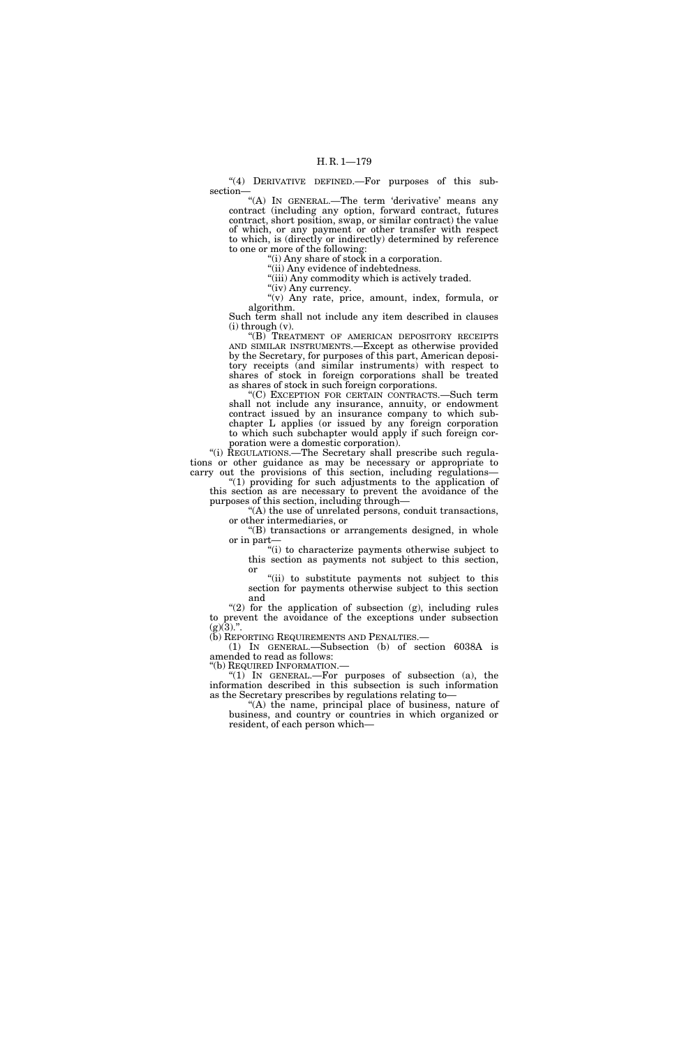"(4) DERIVATIVE DEFINED.—For purposes of this subsection—

"(A) IN GENERAL.—The term 'derivative' means any contract (including any option, forward contract, futures contract, short position, swap, or similar contract) the value of which, or any payment or other transfer with respect to which, is (directly or indirectly) determined by reference to one or more of the following:

''(i) Any share of stock in a corporation.

"(ii) Any evidence of indebtedness.

''(iii) Any commodity which is actively traded.

"(iv) Any currency.

"(v) Any rate, price, amount, index, formula, or algorithm.

Such term shall not include any item described in clauses  $(i)$  through  $(v)$ .

''(B) TREATMENT OF AMERICAN DEPOSITORY RECEIPTS AND SIMILAR INSTRUMENTS.—Except as otherwise provided by the Secretary, for purposes of this part, American depository receipts (and similar instruments) with respect to shares of stock in foreign corporations shall be treated as shares of stock in such foreign corporations.

''(C) EXCEPTION FOR CERTAIN CONTRACTS.—Such term shall not include any insurance, annuity, or endowment contract issued by an insurance company to which subchapter L applies (or issued by any foreign corporation to which such subchapter would apply if such foreign corporation were a domestic corporation).

''(i) REGULATIONS.—The Secretary shall prescribe such regulations or other guidance as may be necessary or appropriate to carry out the provisions of this section, including regulations—

 $(1)$  providing for such adjustments to the application of this section as are necessary to prevent the avoidance of the purposes of this section, including through—

''(A) the use of unrelated persons, conduit transactions, or other intermediaries, or

''(B) transactions or arrangements designed, in whole or in part—

''(i) to characterize payments otherwise subject to this section as payments not subject to this section, or

''(ii) to substitute payments not subject to this section for payments otherwise subject to this section and

" $(2)$  for the application of subsection  $(g)$ , including rules to prevent the avoidance of the exceptions under subsection (g)(3).".<br>(b) Reporting Requirements and Penalties.—

(1) IN GENERAL.—Subsection (b) of section 6038A is amended to read as follows:<br>"(b) REQUIRED INFORMATION.—

"(1) IN GENERAL.—For purposes of subsection (a), the information described in this subsection is such information as the Secretary prescribes by regulations relating to—

''(A) the name, principal place of business, nature of business, and country or countries in which organized or resident, of each person which—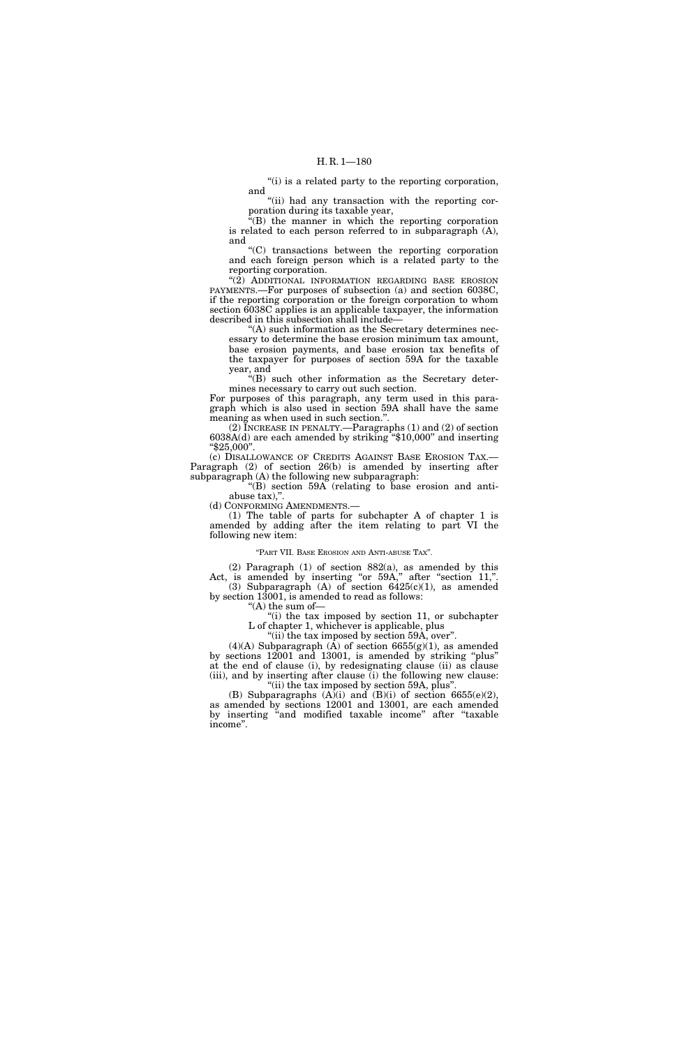"(i) is a related party to the reporting corporation, and

"(ii) had any transaction with the reporting corporation during its taxable year,

''(B) the manner in which the reporting corporation is related to each person referred to in subparagraph (A), and

''(C) transactions between the reporting corporation and each foreign person which is a related party to the reporting corporation.

"(2) ADDITIONAL INFORMATION REGARDING BASE EROSION PAYMENTS.—For purposes of subsection (a) and section 6038C, if the reporting corporation or the foreign corporation to whom section 6038C applies is an applicable taxpayer, the information described in this subsection shall include—

''(A) such information as the Secretary determines necessary to determine the base erosion minimum tax amount, base erosion payments, and base erosion tax benefits of the taxpayer for purposes of section 59A for the taxable year, and

''(B) such other information as the Secretary determines necessary to carry out such section.

For purposes of this paragraph, any term used in this paragraph which is also used in section 59A shall have the same meaning as when used in such section.''.

(2) INCREASE IN PENALTY.—Paragraphs (1) and (2) of section 6038A(d) are each amended by striking ''\$10,000'' and inserting ''\$25,000''.

(c) DISALLOWANCE OF CREDITS AGAINST BASE EROSION TAX.— Paragraph (2) of section 26(b) is amended by inserting after subparagraph (A) the following new subparagraph:

 $f(B)$  section 59A (relating to base erosion and antiabuse tax),''.

(d) CONFORMING AMENDMENTS.—

(1) The table of parts for subchapter A of chapter 1 is amended by adding after the item relating to part VI the following new item:

#### ''PART VII. BASE EROSION AND ANTI-ABUSE TAX''.

(2) Paragraph (1) of section 882(a), as amended by this Act, is amended by inserting "or 59A," after "section 11,". (3) Subparagraph  $(A)$  of section  $6425(c)(1)$ , as amended by section 13001, is amended to read as follows:

" $(A)$  the sum of-

''(i) the tax imposed by section 11, or subchapter L of chapter 1, whichever is applicable, plus

"(ii) the tax imposed by section 59A, over".

 $(4)(A)$  Subparagraph  $(\overline{A})$  of section 6655(g)(1), as amended by sections 12001 and 13001, is amended by striking "plus" at the end of clause (i), by redesignating clause (ii) as clause (iii), and by inserting after clause (i) the following new clause: ''(ii) the tax imposed by section 59A, plus''.

(B) Subparagraphs  $(A)(i)$  and  $(B)(i)$  of section 6655(e)(2), as amended by sections 12001 and 13001, are each amended by inserting ''and modified taxable income'' after ''taxable income''.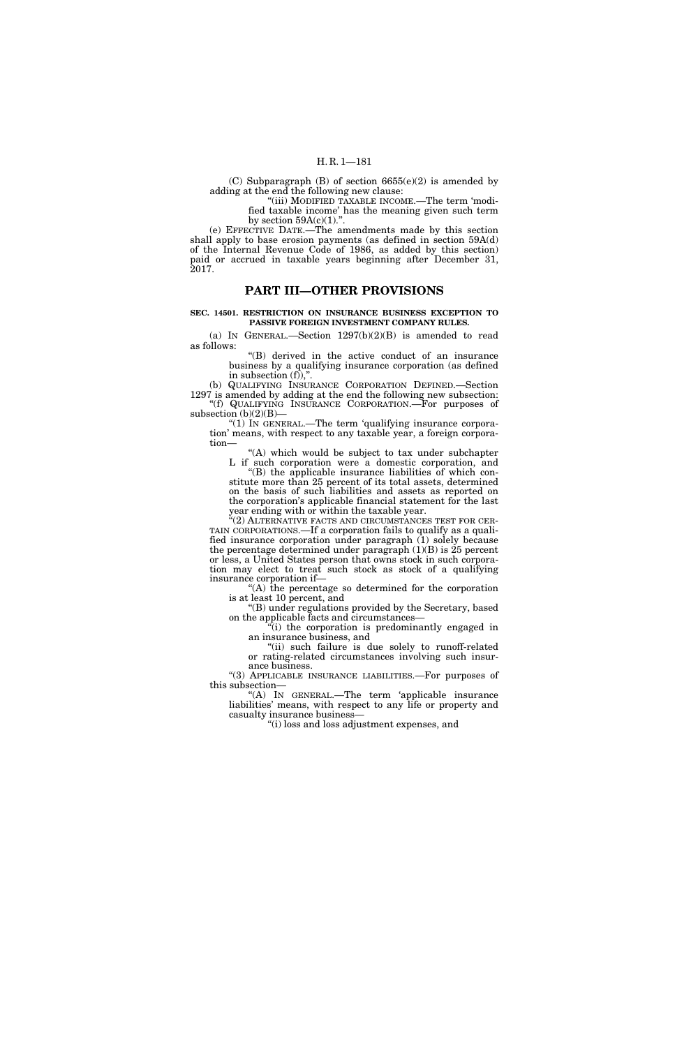(C) Subparagraph (B) of section  $6655(e)(2)$  is amended by adding at the end the following new clause:

''(iii) MODIFIED TAXABLE INCOME.—The term 'modified taxable income' has the meaning given such term by section  $59A(c)(1)$ .".

(e) EFFECTIVE DATE.—The amendments made by this section shall apply to base erosion payments (as defined in section 59A(d) of the Internal Revenue Code of 1986, as added by this section) paid or accrued in taxable years beginning after December 31, 2017.

# **PART III—OTHER PROVISIONS**

## **SEC. 14501. RESTRICTION ON INSURANCE BUSINESS EXCEPTION TO PASSIVE FOREIGN INVESTMENT COMPANY RULES.**

(a) IN GENERAL.—Section  $1297(b)(2)(B)$  is amended to read as follows:

''(B) derived in the active conduct of an insurance business by a qualifying insurance corporation (as defined in subsection  $(f)$ ,".

(b) QUALIFYING INSURANCE CORPORATION DEFINED.—Section 1297 is amended by adding at the end the following new subsection: ''(f) QUALIFYING INSURANCE CORPORATION.—For purposes of subsection  $(b)(2)(B)$ -

"(1) In GENERAL.—The term 'qualifying insurance corporation' means, with respect to any taxable year, a foreign corporation—

''(A) which would be subject to tax under subchapter L if such corporation were a domestic corporation, and

''(B) the applicable insurance liabilities of which constitute more than 25 percent of its total assets, determined on the basis of such liabilities and assets as reported on the corporation's applicable financial statement for the last year ending with or within the taxable year.

''(2) ALTERNATIVE FACTS AND CIRCUMSTANCES TEST FOR CER-TAIN CORPORATIONS.—If a corporation fails to qualify as a qualified insurance corporation under paragraph (1) solely because the percentage determined under paragraph  $(1)(B)$  is 25 percent or less, a United States person that owns stock in such corporation may elect to treat such stock as stock of a qualifying insurance corporation if—

''(A) the percentage so determined for the corporation is at least 10 percent, and

''(B) under regulations provided by the Secretary, based on the applicable facts and circumstances—

 $(i)$  the corporation is predominantly engaged in an insurance business, and

"(ii) such failure is due solely to runoff-related or rating-related circumstances involving such insurance business.

"(3) APPLICABLE INSURANCE LIABILITIES.—For purposes of this subsection—

''(A) IN GENERAL.—The term 'applicable insurance liabilities' means, with respect to any life or property and casualty insurance business—

''(i) loss and loss adjustment expenses, and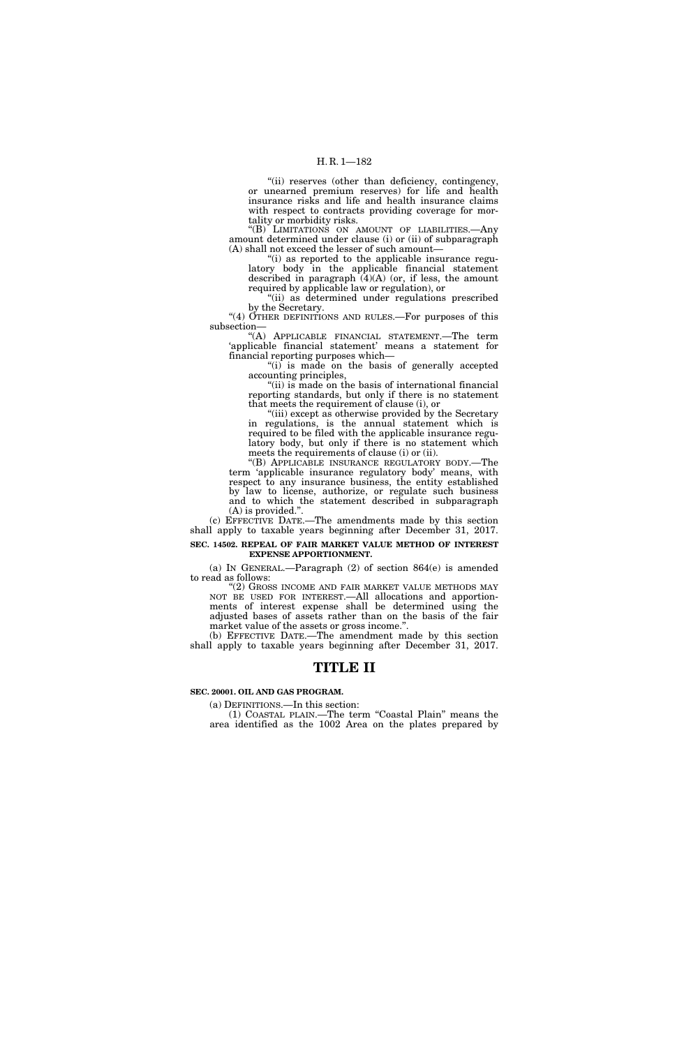### H. R. 1—182

"(ii) reserves (other than deficiency, contingency, or unearned premium reserves) for life and health insurance risks and life and health insurance claims with respect to contracts providing coverage for mortality or morbidity risks.

"(B) LIMITATIONS ON AMOUNT OF LIABILITIES.—Any amount determined under clause (i) or (ii) of subparagraph (A) shall not exceed the lesser of such amount—

''(i) as reported to the applicable insurance regulatory body in the applicable financial statement described in paragraph  $(4)(A)$  (or, if less, the amount required by applicable law or regulation), or

"(ii) as determined under regulations prescribed by the Secretary.

"(4) OTHER DEFINITIONS AND RULES.—For purposes of this subsection—

''(A) APPLICABLE FINANCIAL STATEMENT.—The term 'applicable financial statement' means a statement for financial reporting purposes which—

''(i) is made on the basis of generally accepted accounting principles,

"(ii) is made on the basis of international financial reporting standards, but only if there is no statement that meets the requirement of clause (i), or

''(iii) except as otherwise provided by the Secretary in regulations, is the annual statement which is required to be filed with the applicable insurance regulatory body, but only if there is no statement which meets the requirements of clause (i) or (ii).

''(B) APPLICABLE INSURANCE REGULATORY BODY.—The term 'applicable insurance regulatory body' means, with respect to any insurance business, the entity established by law to license, authorize, or regulate such business and to which the statement described in subparagraph (A) is provided.''.

(c) EFFECTIVE DATE.—The amendments made by this section shall apply to taxable years beginning after December 31, 2017. **SEC. 14502. REPEAL OF FAIR MARKET VALUE METHOD OF INTEREST EXPENSE APPORTIONMENT.** 

(a) IN GENERAL.—Paragraph (2) of section 864(e) is amended

to read as follows: ''(2) GROSS INCOME AND FAIR MARKET VALUE METHODS MAY NOT BE USED FOR INTEREST.—All allocations and apportionments of interest expense shall be determined using the adjusted bases of assets rather than on the basis of the fair

market value of the assets or gross income.''. (b) EFFECTIVE DATE.—The amendment made by this section

shall apply to taxable years beginning after December 31, 2017.

# **TITLE II**

## **SEC. 20001. OIL AND GAS PROGRAM.**

(a) DEFINITIONS.—In this section:

(1) COASTAL PLAIN.—The term ''Coastal Plain'' means the area identified as the 1002 Area on the plates prepared by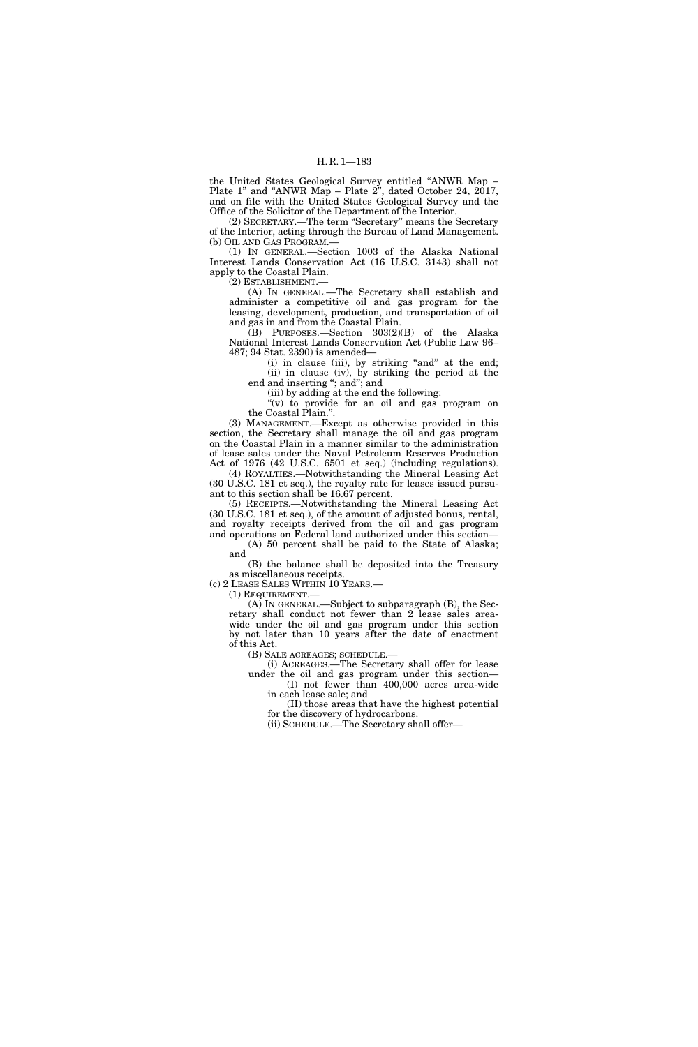the United States Geological Survey entitled ''ANWR Map – Plate 1'' and ''ANWR Map – Plate 2'', dated October 24, 2017, and on file with the United States Geological Survey and the Office of the Solicitor of the Department of the Interior.

(2) SECRETARY.—The term ''Secretary'' means the Secretary of the Interior, acting through the Bureau of Land Management. (b) OIL AND GAS PROGRAM.—

(1) IN GENERAL.—Section 1003 of the Alaska National Interest Lands Conservation Act (16 U.S.C. 3143) shall not apply to the Coastal Plain.

(2) ESTABLISHMENT.—

(A) IN GENERAL.—The Secretary shall establish and administer a competitive oil and gas program for the leasing, development, production, and transportation of oil and gas in and from the Coastal Plain.

(B) PURPOSES.—Section 303(2)(B) of the Alaska National Interest Lands Conservation Act (Public Law 96– 487; 94 Stat. 2390) is amended—

(i) in clause (iii), by striking "and" at the end; (ii) in clause (iv), by striking the period at the end and inserting ''; and''; and

(iii) by adding at the end the following:

''(v) to provide for an oil and gas program on the Coastal Plain.''.

(3) MANAGEMENT.—Except as otherwise provided in this section, the Secretary shall manage the oil and gas program on the Coastal Plain in a manner similar to the administration of lease sales under the Naval Petroleum Reserves Production Act of 1976 (42 U.S.C. 6501 et seq.) (including regulations).

(4) ROYALTIES.—Notwithstanding the Mineral Leasing Act (30 U.S.C. 181 et seq.), the royalty rate for leases issued pursuant to this section shall be 16.67 percent.

(5) RECEIPTS.—Notwithstanding the Mineral Leasing Act (30 U.S.C. 181 et seq.), of the amount of adjusted bonus, rental, and royalty receipts derived from the oil and gas program and operations on Federal land authorized under this section—

(A) 50 percent shall be paid to the State of Alaska; and

(B) the balance shall be deposited into the Treasury as miscellaneous receipts.

(c) 2 LEASE SALES WITHIN 10 YEARS.—

(1) REQUIREMENT.—

(A) IN GENERAL.—Subject to subparagraph (B), the Secretary shall conduct not fewer than 2 lease sales areawide under the oil and gas program under this section by not later than 10 years after the date of enactment of this Act.

(B) SALE ACREAGES; SCHEDULE.—

(i) ACREAGES.—The Secretary shall offer for lease under the oil and gas program under this section—

(I) not fewer than 400,000 acres area-wide in each lease sale; and

(II) those areas that have the highest potential for the discovery of hydrocarbons.

(ii) SCHEDULE.—The Secretary shall offer—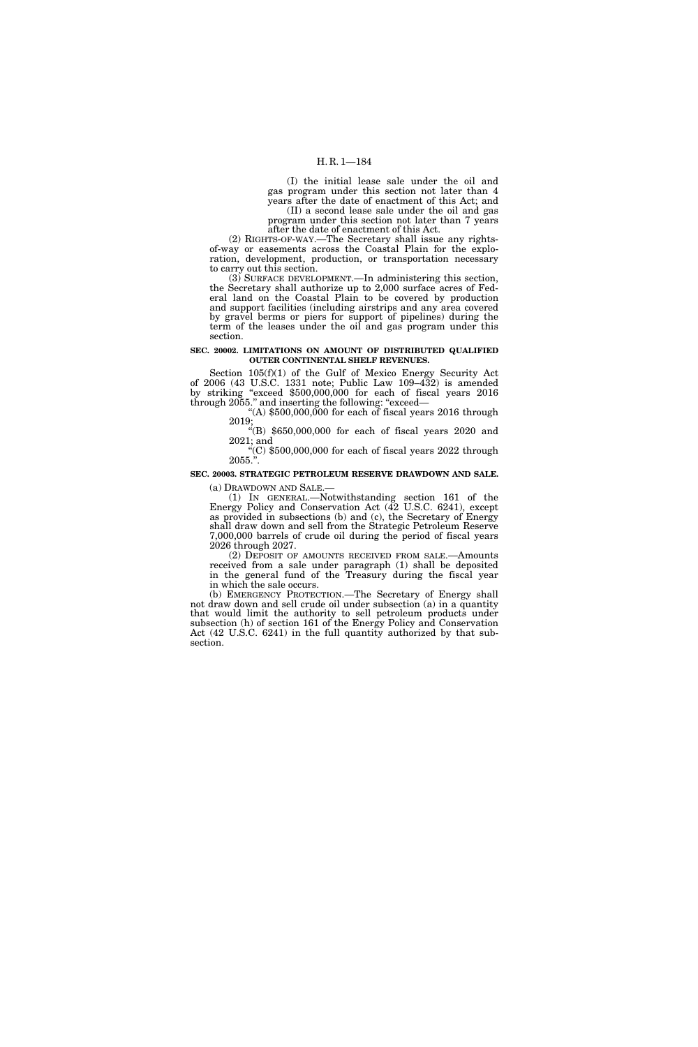### H. R. 1—184

(I) the initial lease sale under the oil and gas program under this section not later than 4 years after the date of enactment of this Act; and (II) a second lease sale under the oil and gas program under this section not later than 7 years

after the date of enactment of this Act. (2) RIGHTS-OF-WAY.—The Secretary shall issue any rights-

of-way or easements across the Coastal Plain for the exploration, development, production, or transportation necessary to carry out this section.

(3) SURFACE DEVELOPMENT.—In administering this section, the Secretary shall authorize up to 2,000 surface acres of Federal land on the Coastal Plain to be covered by production and support facilities (including airstrips and any area covered by gravel berms or piers for support of pipelines) during the term of the leases under the oil and gas program under this section.

#### **SEC. 20002. LIMITATIONS ON AMOUNT OF DISTRIBUTED QUALIFIED OUTER CONTINENTAL SHELF REVENUES.**

Section 105(f)(1) of the Gulf of Mexico Energy Security Act of 2006 (43 U.S.C. 1331 note; Public Law 109–432) is amended by striking "exceed \$500,000,000 for each of fiscal years 2016 through 2055.'' and inserting the following: ''exceed— "(A)  $$500,000,000$  for each of fiscal years  $2016$  through

2019; ''(B) \$650,000,000 for each of fiscal years 2020 and

2021; and "(C)  $$500,000,000$  for each of fiscal years  $2022$  through  $2055."$ .

# **SEC. 20003. STRATEGIC PETROLEUM RESERVE DRAWDOWN AND SALE.**

(a) DRAWDOWN AND SALE.—

(1) IN GENERAL.—Notwithstanding section 161 of the Energy Policy and Conservation Act (42 U.S.C. 6241), except as provided in subsections (b) and (c), the Secretary of Energy shall draw down and sell from the Strategic Petroleum Reserve 7,000,000 barrels of crude oil during the period of fiscal years 2026 through 2027.

(2) DEPOSIT OF AMOUNTS RECEIVED FROM SALE.—Amounts received from a sale under paragraph (1) shall be deposited in the general fund of the Treasury during the fiscal year in which the sale occurs.

(b) EMERGENCY PROTECTION.—The Secretary of Energy shall not draw down and sell crude oil under subsection (a) in a quantity that would limit the authority to sell petroleum products under subsection (h) of section 161 of the Energy Policy and Conservation Act (42 U.S.C. 6241) in the full quantity authorized by that subsection.